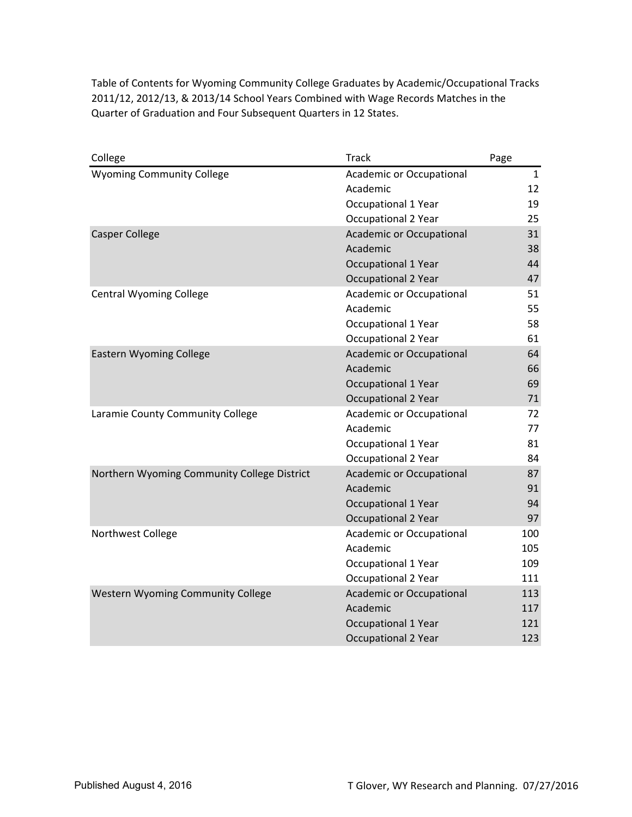| College                                     | <b>Track</b>                    | Page |
|---------------------------------------------|---------------------------------|------|
| <b>Wyoming Community College</b>            | Academic or Occupational        | 1    |
|                                             | Academic                        | 12   |
|                                             | Occupational 1 Year             | 19   |
|                                             | Occupational 2 Year             | 25   |
| <b>Casper College</b>                       | Academic or Occupational        | 31   |
|                                             | Academic                        | 38   |
|                                             | <b>Occupational 1 Year</b>      | 44   |
|                                             | <b>Occupational 2 Year</b>      | 47   |
| <b>Central Wyoming College</b>              | <b>Academic or Occupational</b> | 51   |
|                                             | Academic                        | 55   |
|                                             | <b>Occupational 1 Year</b>      | 58   |
|                                             | <b>Occupational 2 Year</b>      | 61   |
| <b>Eastern Wyoming College</b>              | <b>Academic or Occupational</b> | 64   |
|                                             | Academic                        | 66   |
|                                             | <b>Occupational 1 Year</b>      | 69   |
|                                             | <b>Occupational 2 Year</b>      | 71   |
| Laramie County Community College            | Academic or Occupational        | 72   |
|                                             | Academic                        | 77   |
|                                             | Occupational 1 Year             | 81   |
|                                             | Occupational 2 Year             | 84   |
| Northern Wyoming Community College District | <b>Academic or Occupational</b> | 87   |
|                                             | Academic                        | 91   |
|                                             | Occupational 1 Year             | 94   |
|                                             | <b>Occupational 2 Year</b>      | 97   |
| Northwest College                           | Academic or Occupational        | 100  |
|                                             | Academic                        | 105  |
|                                             | <b>Occupational 1 Year</b>      | 109  |
|                                             | Occupational 2 Year             | 111  |
| Western Wyoming Community College           | <b>Academic or Occupational</b> | 113  |
|                                             | Academic                        | 117  |
|                                             | <b>Occupational 1 Year</b>      | 121  |
|                                             | <b>Occupational 2 Year</b>      | 123  |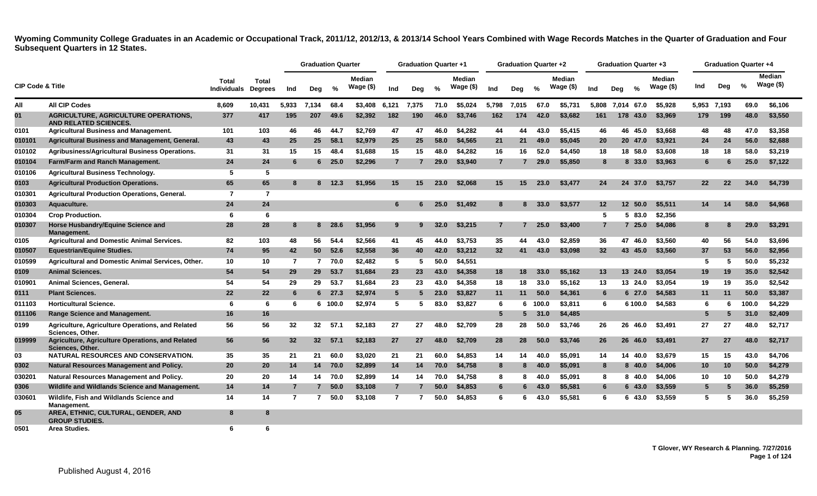<span id="page-1-0"></span>

|                             |                                                                      |                             |                                |       | <b>Graduation Quarter</b> |               |                            |                | <b>Graduation Quarter +1</b> |      |                            |                 | <b>Graduation Quarter +2</b> |       |                            |                 | <b>Graduation Quarter +3</b> |         |                      |             |     | <b>Graduation Quarter +4</b> |                     |
|-----------------------------|----------------------------------------------------------------------|-----------------------------|--------------------------------|-------|---------------------------|---------------|----------------------------|----------------|------------------------------|------|----------------------------|-----------------|------------------------------|-------|----------------------------|-----------------|------------------------------|---------|----------------------|-------------|-----|------------------------------|---------------------|
| <b>CIP Code &amp; Title</b> |                                                                      | Total<br><b>Individuals</b> | <b>Total</b><br><b>Degrees</b> | Ind   | Deg                       | %             | <b>Median</b><br>Wage (\$) | Ind            | Deg                          | %    | <b>Median</b><br>Wage (\$) | Ind             | Deg                          | %     | <b>Median</b><br>Wage (\$) | Ind             | Dea                          | %       | Median<br>Wage $($)$ | Ind         | Deg | $\frac{0}{0}$                | Median<br>Wage (\$) |
| All                         | <b>All CIP Codes</b>                                                 | 8.609                       | 10.431                         | 5,933 | 7.134                     | 68.4          | \$3,408                    | 6,121          | 7,375                        | 71.0 | \$5,024                    | 5.798           | 7.015                        | 67.0  | \$5.731                    | 5.808           | 7.014 67.0                   |         | \$5.928              | 5.953 7.193 |     | 69.0                         | \$6.106             |
| 01                          | AGRICULTURE, AGRICULTURE OPERATIONS.<br><b>AND RELATED SCIENCES.</b> | 377                         | 417                            | 195   | 207                       | 49.6          | \$2,392                    | 182            | 190                          | 46.0 | \$3.746                    | 162             | 174                          | 42.0  | \$3,682                    | 161             | 178                          | 43.0    | \$3,969              | 179         | 199 | 48.0                         | \$3,550             |
| 0101                        | <b>Agricultural Business and Management.</b>                         | 101                         | 103                            | 46    | 46                        | 44.7          | \$2.769                    | 47             | 47                           | 46.0 | \$4.282                    | 44              | 44                           | 43.0  | \$5,415                    | 46              |                              | 46 45.0 | \$3,668              | 48          | 48  | 47.0                         | \$3,358             |
| 010101                      | Agricultural Business and Management, General.                       | 43                          | 43                             | 25    | 25                        | 58.1          | \$2,979                    | 25             | 25                           | 58.0 | \$4,565                    | 21              | 21                           | 49.0  | \$5,045                    | <b>20</b>       |                              | 20 47.0 | \$3,921              | 24          | 24  | 56.0                         | \$2,688             |
| 010102                      | Agribusiness/Agricultural Business Operations.                       | 31                          | 31                             | 15    | 15                        | 48.4          | \$1,688                    | 15             | 15                           | 48.0 | \$4,282                    | 16              | 16                           | 52.0  | \$4,450                    | 18              |                              | 18 58.0 | \$3,608              | 18          | 18  | 58.0                         | \$3,219             |
| 010104                      | Farm/Farm and Ranch Management.                                      | 24                          | 24                             |       |                           | $6\quad 25.0$ | \$2,296                    | $\overline{7}$ |                              | 29.0 | \$3,940                    | $\overline{7}$  |                              | 29.0  | \$5,850                    | 8               |                              | 8 33.0  | \$3,963              | 6           |     | 25.0                         | \$7,122             |
| 010106                      | <b>Agricultural Business Technology.</b>                             | 5                           | 5                              |       |                           |               |                            |                |                              |      |                            |                 |                              |       |                            |                 |                              |         |                      |             |     |                              |                     |
| 0103                        | <b>Agricultural Production Operations.</b>                           | 65                          | 65                             |       | 8                         | 12.3          | \$1,956                    | 15             | 15                           | 23.0 | \$2,068                    | 15              | 15                           | 23.0  | \$3,477                    | 24              |                              | 24 37.0 | \$3,757              | 22          | 22  | 34.0                         | \$4,739             |
| 010301                      | <b>Agricultural Production Operations, General.</b>                  | $\overline{7}$              | $\overline{7}$                 |       |                           |               |                            |                |                              |      |                            |                 |                              |       |                            |                 |                              |         |                      |             |     |                              |                     |
| 010303                      | Aquaculture.                                                         | 24                          | 24                             |       |                           |               |                            | 6              | 6                            | 25.0 | \$1,492                    | 8               | 8                            | 33.0  | \$3,577                    | 12 <sup>2</sup> |                              | 12 50.0 | \$5.511              | 14          | 14  | 58.0                         | \$4,968             |
| 010304                      | <b>Crop Production.</b>                                              | - 6                         | 6                              |       |                           |               |                            |                |                              |      |                            |                 |                              |       |                            | 5               |                              | 5 83.0  | \$2.356              |             |     |                              |                     |
| 010307                      | Horse Husbandry/Equine Science and<br>Management.                    | 28                          | 28                             |       |                           | 8 28.6        | \$1,956                    | 9              |                              | 32.0 | \$3,215                    | $\overline{7}$  |                              | 25.0  | \$3,400                    | $\overline{7}$  |                              | 725.0   | \$4,086              | 8           |     | 29.0                         | \$3,291             |
| 0105                        | <b>Agricultural and Domestic Animal Services.</b>                    | 82                          | 103                            | 48    | 56                        | 54.4          | \$2,566                    | 41             | 45                           | 44.0 | \$3.753                    | 35              | 44                           | 43.0  | \$2.859                    | 36              |                              | 47 46.0 | \$3.560              | 40          | 56  | 54.0                         | \$3,696             |
| 010507                      | <b>Equestrian/Equine Studies.</b>                                    | 74                          | 95                             | 42    | 50                        | 52.6          | \$2,558                    | 36             | 40                           | 42.0 | \$3,212                    | 32              | 41                           | 43.0  | \$3,098                    | 32 <sup>2</sup> |                              | 43 45.0 | \$3,560              | 37          | 53  | 56.0                         | \$2,956             |
| 010599                      | Agricultural and Domestic Animal Services, Other.                    | 10                          | 10                             | -7    | $\mathbf{7}$              | 70.0          | \$2,482                    | 5              | -5                           | 50.0 | \$4,551                    |                 |                              |       |                            |                 |                              |         |                      | -5          | 5   | 50.0                         | \$5,232             |
| 0109                        | <b>Animal Sciences.</b>                                              | 54                          | 54                             | 29    | 29                        | 53.7          | \$1,684                    | 23             | 23                           | 43.0 | \$4,358                    | 18              | 18                           | 33.0  | \$5,162                    | 13              |                              | 13 24.0 | \$3,054              | 19          | 19  | 35.0                         | \$2,542             |
| 010901                      | Animal Sciences, General                                             | 54                          | 54                             | 29    | 29                        | 53.7          | \$1,684                    | 23             | 23                           | 43.0 | \$4,358                    | 18              | 18                           | 33.0  | \$5,162                    | 13              |                              | 13 24.0 | \$3,054              | 19          | 19  | 35.0                         | \$2,542             |
| 0111                        | <b>Plant Sciences.</b>                                               | 22                          | 22                             | 6     |                           | $6\quad 27.3$ | \$2,974                    | 5              | -5                           | 23.0 | \$3,827                    | 11              | 11                           | 50.0  | \$4.361                    | 6               |                              | 6 27.0  | \$4.583              | 11          | 11  | 50.0                         | \$3,387             |
| 011103                      | <b>Horticultural Science.</b>                                        | 6                           | -6                             | -6    |                           | 6 100.0       | \$2.974                    | 5              | -5                           | 83.0 | \$3,827                    | 6               | 6.                           | 100.0 | \$3,811                    | 6               |                              | 6 100.0 | \$4.583              | -6          | 6   | 100.0                        | \$4,229             |
| 011106                      | <b>Range Science and Management.</b>                                 | 16                          | 16                             |       |                           |               |                            |                |                              |      |                            | $5\phantom{.0}$ |                              | 31.0  | \$4,485                    |                 |                              |         |                      | -5          |     | 31.0                         | \$2,409             |
| 0199                        | Agriculture, Agriculture Operations, and Related<br>Sciences, Other. | 56                          | 56                             | 32    | 32 <sub>2</sub>           | 57.1          | \$2,183                    | 27             | 27                           | 48.0 | \$2.709                    | 28              | 28                           | 50.0  | \$3,746                    | 26              |                              | 26 46.0 | \$3,491              | 27          | 27  | 48.0                         | \$2,717             |
| 019999                      | Agriculture, Agriculture Operations, and Related<br>Sciences, Other. | 56                          | 56                             | 32    | 32 <sub>2</sub>           | 57.1          | \$2,183                    | 27             | 27                           | 48.0 | \$2.709                    | 28              | 28                           | 50.0  | \$3,746                    | 26              |                              | 26 46.0 | \$3.491              | 27          | 27  | 48.0                         | \$2,717             |
| 03                          | NATURAL RESOURCES AND CONSERVATION.                                  | 35                          | 35                             | 21    | 21                        | 60.0          | \$3.020                    | 21             | 21                           | 60.0 | \$4.853                    | 14              | 14                           | 40.0  | \$5.091                    | 14              |                              | 14 40.0 | \$3.679              | 15          | 15  | 43.0                         | \$4,706             |
| 0302                        | Natural Resources Management and Policy.                             | 20                          | 20                             | 14    | 14                        | 70.0          | \$2,899                    | 14             | 14                           | 70.0 | \$4,758                    | 8               | 8                            | 40.0  | \$5.091                    | 8               |                              | 840.0   | \$4,006              | 10          | 10  | 50.0                         | \$4,279             |
| 030201                      | <b>Natural Resources Management and Policy.</b>                      | 20                          | 20                             | 14    | 14                        | 70.0          | \$2,899                    | 14             | 14                           | 70.0 | \$4.758                    | 8               | 8                            | 40.0  | \$5.091                    | 8               |                              | 8 40.0  | \$4.006              | 10          | 10  | 50.0                         | \$4,279             |
| 0306                        | Wildlife and Wildlands Science and Management.                       | 14                          | 14                             | -7    | $\overline{7}$            | 50.0          | \$3,108                    | $\overline{7}$ |                              | 50.0 | \$4,853                    | 6               | 6                            | 43.0  | \$5,581                    | 6               |                              | 6 43.0  | \$3,559              | -5          |     | 36.0                         | \$5,259             |
| 030601                      | Wildlife, Fish and Wildlands Science and<br>Management.              | 14                          | 14                             | -7    | $\overline{7}$            | 50.0          | \$3,108                    | $\overline{7}$ |                              | 50.0 | \$4.853                    | 6               | 6                            | 43.0  | \$5,581                    | 6               |                              | 6 43.0  | \$3,559              | 5           | 5   | 36.0                         | \$5,259             |
| 05                          | AREA, ETHNIC, CULTURAL, GENDER, AND<br><b>GROUP STUDIES.</b>         | 8                           | 8                              |       |                           |               |                            |                |                              |      |                            |                 |                              |       |                            |                 |                              |         |                      |             |     |                              |                     |
| 0501                        | Area Studies.                                                        | 6                           | 6                              |       |                           |               |                            |                |                              |      |                            |                 |                              |       |                            |                 |                              |         |                      |             |     |                              |                     |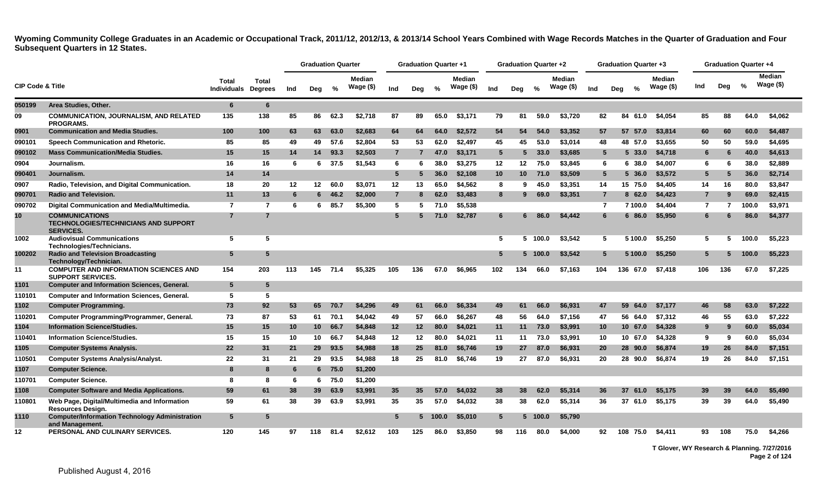|                             |                                                                                          |                             |                         |     | <b>Graduation Quarter</b> |       |                            |                 | <b>Graduation Quarter +1</b> |               |                            |                 | <b>Graduation Quarter +2</b> |         |                            |                 |     | <b>Graduation Quarter +3</b> |                            |                |                | <b>Graduation Quarter +4</b> |                             |
|-----------------------------|------------------------------------------------------------------------------------------|-----------------------------|-------------------------|-----|---------------------------|-------|----------------------------|-----------------|------------------------------|---------------|----------------------------|-----------------|------------------------------|---------|----------------------------|-----------------|-----|------------------------------|----------------------------|----------------|----------------|------------------------------|-----------------------------|
| <b>CIP Code &amp; Title</b> |                                                                                          | Total<br><b>Individuals</b> | Total<br><b>Degrees</b> | Ind | Deg                       | %     | <b>Median</b><br>Wage (\$) | Ind             | Deg                          | $\frac{0}{0}$ | <b>Median</b><br>Wage (\$) | Ind             | Deg                          | %       | <b>Median</b><br>Wage (\$) | Ind             | Deg | %                            | <b>Median</b><br>Wage (\$) | Ind            | Deg            | %                            | <b>Median</b><br>Wage $($)$ |
| 050199                      | Area Studies, Other.                                                                     | $6\phantom{1}6$             | 6                       |     |                           |       |                            |                 |                              |               |                            |                 |                              |         |                            |                 |     |                              |                            |                |                |                              |                             |
| 09                          | <b>COMMUNICATION, JOURNALISM, AND RELATED</b><br><b>PROGRAMS.</b>                        | 135                         | 138                     | 85  | 86                        | 62.3  | \$2,718                    | 87              | 89                           | 65.0          | \$3,171                    | 79              | 81                           | 59.0    | \$3,720                    | 82              |     | 84<br>61.0                   | \$4,054                    | 85             | 88             | 64.0                         | \$4,062                     |
| 0901                        | <b>Communication and Media Studies.</b>                                                  | 100                         | 100                     | 63  | 63                        | 63.0  | \$2,683                    | 64              | 64                           | 64.0          | \$2,572                    | 54              | 54                           | 54.0    | \$3,352                    | 57              |     | 57 57.0                      | \$3,814                    | 60             | 60             | 60.0                         | \$4,487                     |
| 090101                      | Speech Communication and Rhetoric.                                                       | 85                          | 85                      | 49  | 49                        | 57.6  | \$2,804                    | 53              | 53                           | 62.0          | \$2,497                    | 45              | 45                           | 53.0    | \$3,014                    | 48              |     | 48 57.0                      | \$3,655                    | 50             | 50             | 59.0                         | \$4,695                     |
| 090102                      | <b>Mass Communication/Media Studies.</b>                                                 | 15                          | 15                      | 14  | 14                        | 93.3  | \$2,503                    | $\overline{7}$  |                              | 47.0          | \$3,171                    | $5\overline{5}$ | 5                            | 33.0    | \$3,685                    | 5               |     | 5 33.0                       | \$4,718                    | 6              | 6              | 40.0                         | \$4,613                     |
| 0904                        | Journalism.                                                                              | 16                          | 16                      | -6  | 6                         | 37.5  | \$1,543                    | 6               |                              | 38.0          | \$3,275                    | 12              | 12                           | 75.0    | \$3,845                    | 6               |     | 6 38.0                       | \$4,007                    | 6              | 6              | 38.0                         | \$2,889                     |
| 090401                      | Journalism.                                                                              | 14                          | 14                      |     |                           |       |                            | $5\phantom{.0}$ | 5                            | 36.0          | \$2,108                    | 10 <sup>°</sup> | 10 <sup>°</sup>              | 71.0    | \$3,509                    | 5               |     | $5\,36.0$                    | \$3,572                    | 5              | 5              | 36.0                         | \$2,714                     |
| 0907                        | Radio, Television, and Digital Communication.                                            | 18                          | 20                      | 12  | 12                        | 60.0  | \$3.071                    | 12              | 13                           | 65.0          | \$4.562                    | 8               | 9                            | 45.0    | \$3.351                    | 14              |     | 15 75.0                      | \$4,405                    | 14             | 16             | 80.0                         | \$3,847                     |
| 090701                      | <b>Radio and Television.</b>                                                             | 11                          | 13                      | 6   | 6.                        | 46.2  | \$2,000                    | $\overline{7}$  | -8                           | 62.0          | \$3,483                    | 8               | 9                            | 69.0    | \$3,351                    | 7               |     | 8 62.0                       | \$4,423                    |                | 9              | 69.0                         | \$2,415                     |
| 090702                      | Digital Communication and Media/Multimedia.                                              | $\overline{7}$              | $\overline{7}$          | -6  | 6                         | 85.7  | \$5,300                    | 5               | -5                           | 71.0          | \$5,538                    |                 |                              |         |                            | $\overline{7}$  |     | 7 100.0                      | \$4,404                    | $\overline{7}$ | $\overline{7}$ | 100.0                        | \$3,971                     |
| 10 <sup>°</sup>             | <b>COMMUNICATIONS</b><br><b>TECHNOLOGIES/TECHNICIANS AND SUPPORT</b><br><b>SERVICES.</b> | $\overline{7}$              | $\overline{7}$          |     |                           |       |                            | $5\phantom{1}$  |                              | 71.0          | \$2,787                    | 6               |                              | 86.0    | \$4,442                    | 6               |     | 686.0                        | \$5,950                    |                |                | 86.0                         | \$4,377                     |
| 1002                        | <b>Audiovisual Communications</b><br>Technologies/Technicians.                           | 5                           | 5                       |     |                           |       |                            |                 |                              |               |                            | 5               |                              | 5 100.0 | \$3.542                    | -5              |     | 5 100.0                      | \$5.250                    | -5             | 5.             | 100.0                        | \$5.223                     |
| 100202                      | <b>Radio and Television Broadcasting</b><br>Technology/Technician.                       | 5                           | 5                       |     |                           |       |                            |                 |                              |               |                            | 5               |                              | 5 100.0 | \$3,542                    | $5\phantom{.0}$ |     | 5 100.0                      | \$5,250                    | 5              | 5.             | 100.0                        | \$5,223                     |
| 11                          | <b>COMPUTER AND INFORMATION SCIENCES AND</b><br><b>SUPPORT SERVICES.</b>                 | 154                         | 203                     | 113 | 145                       | 71.4  | \$5,325                    | 105             | 136                          | 67.0          | \$6,965                    | 102             | 134                          | 66.0    | \$7,163                    | 104             |     | 136<br>67.0                  | \$7,418                    | 106            | 136            | 67.0                         | \$7,225                     |
| 1101                        | <b>Computer and Information Sciences, General.</b>                                       | $5\phantom{.0}$             | 5                       |     |                           |       |                            |                 |                              |               |                            |                 |                              |         |                            |                 |     |                              |                            |                |                |                              |                             |
| 110101                      | <b>Computer and Information Sciences, General.</b>                                       | 5                           | 5                       |     |                           |       |                            |                 |                              |               |                            |                 |                              |         |                            |                 |     |                              |                            |                |                |                              |                             |
| 1102                        | <b>Computer Programming.</b>                                                             | 73                          | 92                      | 53  | 65                        | 70.7  | \$4,296                    | 49              | -61                          | 66.0          | \$6,334                    | 49              | 61                           | 66.0    | \$6,931                    | 47              |     | 59<br>-64.0                  | \$7,177                    | 46             | 58             | 63.0                         | \$7,222                     |
| 110201                      | Computer Programming/Programmer, General.                                                | 73                          | 87                      | 53  | 61                        | 70.1  | \$4,042                    | 49              | 57                           | 66.0          | \$6,267                    | 48              | 56                           | 64.0    | \$7,156                    | 47              |     | 56 64.0                      | \$7,312                    | 46             | 55             | 63.0                         | \$7,222                     |
| 1104                        | <b>Information Science/Studies.</b>                                                      | 15                          | 15                      | 10  | 10 <sup>1</sup>           | 66.7  | \$4,848                    | 12              | 12                           | 80.0          | \$4,021                    | 11              | 11                           | 73.0    | \$3,991                    | 10              |     | 10 67.0                      | \$4,328                    | 9              | 9              | 60.0                         | \$5,034                     |
| 110401                      | <b>Information Science/Studies.</b>                                                      | 15                          | 15                      | 10  | 10                        | 66.7  | \$4,848                    | 12              | 12                           | 80.0          | \$4,021                    | 11              | 11                           | 73.0    | \$3,991                    | 10              |     | 10 67.0                      | \$4,328                    | 9              | 9              | 60.0                         | \$5,034                     |
| 1105                        | <b>Computer Systems Analysis.</b>                                                        | 22                          | 31                      | 21  | 29                        | 93.5  | \$4,988                    | 18              | 25                           | 81.0          | \$6,746                    | 19              | 27                           | 87.0    | \$6,931                    | 20              |     | 28 90.0                      | \$6,874                    | 19             | -26            | 84.0                         | \$7,151                     |
| 110501                      | <b>Computer Systems Analysis/Analyst.</b>                                                | 22                          | 31                      | 21  | 29                        | 93.5  | \$4,988                    | 18              | 25                           | 81.0          | \$6,746                    | 19              | 27                           | 87.0    | \$6,931                    | 20              |     | 28 90.0                      | \$6,874                    | 19             | 26             | 84.0                         | \$7,151                     |
| 1107                        | <b>Computer Science.</b>                                                                 | 8                           | 8                       | 6   |                           | 675.0 | \$1,200                    |                 |                              |               |                            |                 |                              |         |                            |                 |     |                              |                            |                |                |                              |                             |
| 110701                      | <b>Computer Science.</b>                                                                 | 8                           | 8                       | 6   | 6                         | 75.0  | \$1,200                    |                 |                              |               |                            |                 |                              |         |                            |                 |     |                              |                            |                |                |                              |                             |
| 1108                        | <b>Computer Software and Media Applications.</b>                                         | 59                          | 61                      | 38  | 39                        | 63.9  | \$3,991                    | 35              | 35                           | 57.0          | \$4,032                    | 38              | 38                           | 62.0    | \$5,314                    | 36              |     | 37 61.0                      | \$5,175                    | 39             | 39             | 64.0                         | \$5,490                     |
| 110801                      | Web Page, Digital/Multimedia and Information<br><b>Resources Design.</b>                 | 59                          | 61                      | 38  | 39                        | 63.9  | \$3,991                    | 35              | 35                           | 57.0          | \$4,032                    | 38              | 38                           | 62.0    | \$5,314                    | 36              |     | 37 61.0                      | \$5,175                    | 39             | 39             | 64.0                         | \$5,490                     |
| 1110                        | <b>Computer/Information Technology Administration</b><br>and Management.                 | 5                           | 5                       |     |                           |       |                            | 5               | 5.                           | 100.0         | \$5,010                    | $5^{\circ}$     | 5.                           | 100.0   | \$5,790                    |                 |     |                              |                            |                |                |                              |                             |
| 12                          | <b>PERSONAL AND CULINARY SERVICES.</b>                                                   | 120                         | 145                     | 97  | 118                       | 81.4  | \$2.612                    | 103             | 125                          | 86.0          | \$3,850                    | 98              | 116.                         | 80.0    | \$4,000                    | 92              |     | 75.0<br>108                  | \$4.411                    | 93             | 108            | 75.0                         | \$4.266                     |

**T Glover, WY Research & Planning. 7/27/2016 Page 2 of 124**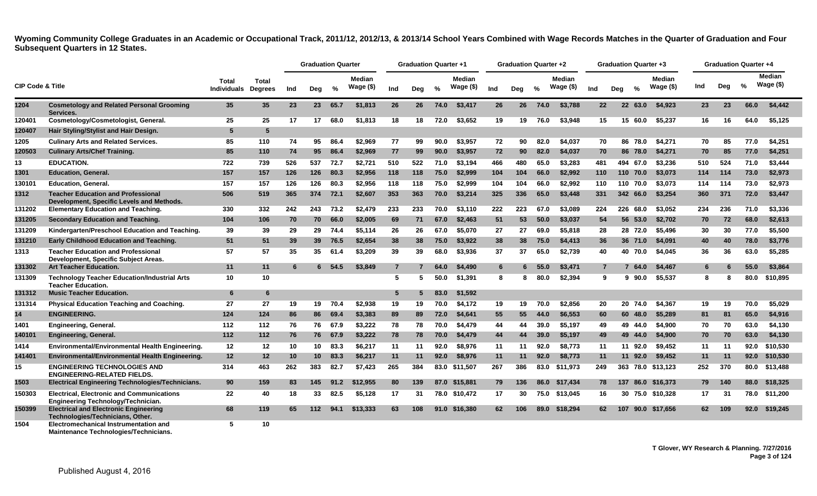|                             |                                                                                        |                             |                         |     | <b>Graduation Quarter</b> |      |                            |                | <b>Graduation Quarter +1</b> |               |                            |     | <b>Graduation Quarter +2</b> |               |                      |                   | Graduation Quarter +3 |               |                             |     | <b>Graduation Quarter +4</b> |      |                             |
|-----------------------------|----------------------------------------------------------------------------------------|-----------------------------|-------------------------|-----|---------------------------|------|----------------------------|----------------|------------------------------|---------------|----------------------------|-----|------------------------------|---------------|----------------------|-------------------|-----------------------|---------------|-----------------------------|-----|------------------------------|------|-----------------------------|
| <b>CIP Code &amp; Title</b> |                                                                                        | Total<br><b>Individuals</b> | Total<br><b>Degrees</b> | Ind | Deg                       | %    | <b>Median</b><br>Wage (\$) | Ind            | Deg                          | $\frac{9}{6}$ | <b>Median</b><br>Wage (\$) | Ind | Deg                          | $\frac{0}{0}$ | Median<br>Wage $($)$ | Ind               | Deg                   | $\frac{0}{2}$ | <b>Median</b><br>Wage $($)$ | Ind | Deg                          | $\%$ | <b>Median</b><br>Wage $($)$ |
| 1204                        | <b>Cosmetology and Related Personal Grooming</b><br>Services.                          | 35                          | 35                      | 23  | 23 <sub>2</sub>           | 65.7 | \$1,813                    | 26             | 26                           | 74.0          | \$3,417                    | 26  | 26                           | 74.0          | \$3.788              | $22 \overline{ }$ | 22                    | 63.0          | \$4.923                     | 23  | 23                           | 66.0 | \$4,442                     |
| 120401                      | Cosmetology/Cosmetologist, General.                                                    | 25                          | 25                      | 17  | 17                        | 68.0 | \$1,813                    | 18             | 18                           | 72.0          | \$3,652                    | 19  | 19                           | 76.0          | \$3,948              | 15                |                       | 15 60.0       | \$5,237                     | 16  | 16                           | 64.0 | \$5,125                     |
| 120407                      | Hair Styling/Stylist and Hair Design.                                                  | -5                          | 5                       |     |                           |      |                            |                |                              |               |                            |     |                              |               |                      |                   |                       |               |                             |     |                              |      |                             |
| 1205                        | <b>Culinary Arts and Related Services.</b>                                             | 85                          | 110                     | 74  | 95                        | 86.4 | \$2,969                    | 77             | 99                           | 90.0          | \$3,957                    | 72  | 90                           | 82.0          | \$4,037              | 70                |                       | 86 78.0       | \$4,271                     | 70  | 85                           | 77.0 | \$4,251                     |
| 120503                      | <b>Culinary Arts/Chef Training.</b>                                                    | 85                          | 110                     | 74  | 95                        | 86.4 | \$2,969                    | 77             | 99                           | 90.0          | \$3,957                    | 72  | 90                           | 82.0          | \$4,037              | 70                |                       | 86 78.0       | \$4,271                     | 70  | 85                           | 77.0 | \$4,251                     |
| 13                          | <b>EDUCATION.</b>                                                                      | 722                         | 739                     | 526 | 537                       | 72.7 | \$2,721                    | 510            | 522                          | 71.0          | \$3,194                    | 466 | 480                          | 65.0          | \$3.283              | 481               |                       | 494 67.0      | \$3,236                     | 510 | 524                          | 71.0 | \$3,444                     |
| 1301                        | <b>Education, General,</b>                                                             | 157                         | 157                     | 126 | 126                       | 80.3 | \$2,956                    | 118            | 118                          | 75.0          | \$2,999                    | 104 | 104                          | 66.0          | \$2,992              | 110               |                       | 110 70.0      | \$3,073                     | 114 | 114                          | 73.0 | \$2,973                     |
| 130101                      | <b>Education, General.</b>                                                             | 157                         | 157                     | 126 | 126                       | 80.3 | \$2,956                    | 118            | 118                          | 75.0          | \$2,999                    | 104 | 104                          | 66.0          | \$2,992              | 110               |                       | 110 70.0      | \$3,073                     | 114 | 114                          | 73.0 | \$2,973                     |
| 1312                        | <b>Teacher Education and Professional</b><br>Development, Specific Levels and Methods. | 506                         | 519                     | 365 | 374                       | 72.1 | \$2,607                    | 353            | 363                          | 70.0          | \$3,214                    | 325 | 336                          | 65.0          | \$3,448              | 331               |                       | 342 66.0      | \$3,254                     | 360 | 371                          | 72.0 | \$3,447                     |
| 131202                      | <b>Elementary Education and Teaching.</b>                                              | 330                         | 332                     | 242 | 243                       | 73.2 | \$2,479                    | 233            | 233                          | 70.0          | \$3.110                    | 222 | 223                          | 67.0          | \$3,089              | 224               |                       | 226 68.0      | \$3.052                     | 234 | 236                          | 71.0 | \$3,336                     |
| 131205                      | <b>Secondary Education and Teaching.</b>                                               | 104                         | 106                     | 70  | 70                        | 66.0 | \$2,005                    | 69             | 71                           | 67.0          | \$2,463                    | 51  | 53                           | 50.0          | \$3,037              | 54                |                       | 56 53.0       | \$2,702                     | 70  | 72                           | 68.0 | \$2,613                     |
| 131209                      | Kindergarten/Preschool Education and Teaching.                                         | 39                          | 39                      | 29  | 29                        | 74.4 | \$5.114                    | 26             | 26                           | 67.0          | \$5,070                    | 27  | 27                           | 69.0          | \$5,818              | 28                |                       | 28 72.0       | \$5.496                     | 30  | 30                           | 77.0 | \$5,500                     |
| 131210                      | Early Childhood Education and Teaching.                                                | 51                          | 51                      | 39  | 39 <sup>°</sup>           | 76.5 | \$2,654                    | 38             | 38                           | 75.0          | \$3,922                    | 38  | 38                           | 75.0          | \$4,413              | 36                |                       | 36 71.0       | \$4,091                     | 40  | 40                           | 78.0 | \$3,776                     |
| 1313                        | <b>Teacher Education and Professional</b><br>Development, Specific Subject Areas.      | 57                          | 57                      | 35  | 35                        | 61.4 | \$3.209                    | 39             | 39                           | 68.0          | \$3.936                    | 37  | 37                           | 65.0          | \$2.739              | 40                |                       | 40 70.0       | \$4.045                     | 36  | 36                           | 63.0 | \$5.285                     |
| 131302                      | <b>Art Teacher Education.</b>                                                          | 11                          | 11                      | 6   | 6.                        | 54.5 | \$3,849                    | $\overline{7}$ |                              | 64.0          | \$4,490                    | 6   |                              | 55.0          | \$3,471              | $\overline{7}$    |                       | 64.0          | \$4,467                     | 6   | 6                            | 55.0 | \$3,864                     |
| 131309                      | <b>Technology Teacher Education/Industrial Arts</b><br><b>Teacher Education.</b>       | 10                          | 10                      |     |                           |      |                            | -5             | 5                            | 50.0          | \$1,391                    | 8   |                              | 80.0          | \$2,394              | 9                 | 9                     | 90.0          | \$5,537                     | 8   | 8                            | 80.0 | \$10,895                    |
| 131312                      | <b>Music Teacher Education.</b>                                                        | 6                           | 6                       |     |                           |      |                            | 5              |                              | 83.0          | \$1,592                    |     |                              |               |                      |                   |                       |               |                             |     |                              |      |                             |
| 131314                      | <b>Physical Education Teaching and Coaching.</b>                                       | 27                          | 27                      | 19  | 19                        | 70.4 | \$2,938                    | 19             | 19                           | 70.0          | \$4.172                    | 19  | 19                           | 70.0          | \$2.856              | 20                |                       | 20 74.0       | \$4.367                     | 19  | 19                           | 70.0 | \$5,029                     |
| 14                          | <b>ENGINEERING.</b>                                                                    | 124                         | 124                     | 86  | 86                        | 69.4 | \$3,383                    | 89             | 89                           | 72.0          | \$4,641                    | 55  | 55                           | 44.0          | \$6,553              | 60                |                       | 60 48.0       | \$5,289                     | 81  | 81                           | 65.0 | \$4,916                     |
| 1401                        | <b>Engineering, General.</b>                                                           | 112                         | 112                     | 76  | 76                        | 67.9 | \$3,222                    | 78             | 78                           | 70.0          | \$4,479                    | 44  | 44                           | 39.0          | \$5.197              | 49                |                       | 49 44.0       | \$4.900                     | 70  | 70                           | 63.0 | \$4.130                     |
| 140101                      | <b>Engineering, General.</b>                                                           | 112                         | 112                     | 76  | 76                        | 67.9 | \$3,222                    | 78             | 78                           | 70.0          | \$4,479                    | 44  | 44                           | 39.0          | \$5,197              | 49                |                       | 49 44.0       | \$4,900                     | 70  | 70                           | 63.0 | \$4,130                     |
| 1414                        | Environmental/Environmental Health Engineering.                                        | 12                          | 12                      | 10  | 10                        | 83.3 | \$6,217                    | 11             | 11                           | 92.0          | \$8.976                    | 11  | 11                           | 92.0          | \$8,773              | 11                |                       | 11 92.0       | \$9,452                     | 11  | 11                           | 92.0 | \$10.530                    |
| 141401                      | Environmental/Environmental Health Engineering.                                        | 12                          | 12                      | 10  | 10                        | 83.3 | \$6,217                    | 11             | 11                           | 92.0          | \$8,976                    | 11  | 11                           | 92.0          | \$8,773              | 11                | 11                    | 92.0          | \$9,452                     | 11  | 11                           | 92.0 | \$10,530                    |
| 15                          | <b>ENGINEERING TECHNOLOGIES AND</b><br><b>ENGINEERING-RELATED FIELDS.</b>              | 314                         | 463                     | 262 | 383                       | 82.7 | \$7,423                    | 265            | 384                          |               | 83.0 \$11,507              | 267 | 386                          | 83.0          | \$11,973             | 249               |                       |               | 363 78.0 \$13,123           | 252 | 370                          |      | 80.0 \$13,488               |
| 1503                        | <b>Electrical Engineering Technologies/Technicians.</b>                                | 90                          | 159                     | 83  | 145                       | 91.2 | \$12.955                   | 80             | 139                          |               | 87.0 \$15.881              | 79  | 136                          | 86.0          | \$17.434             | 78                |                       |               | 137 86.0 \$16.373           | 79  | 140                          |      | 88.0 \$18.325               |
| 150303                      | <b>Electrical, Electronic and Communications</b><br>Engineering Technology/Technician. | 22                          | 40                      | 18  | 33                        | 82.5 | \$5,128                    | 17             | -31                          |               | 78.0 \$10,472              | 17  | 30                           | 75.0          | \$13,045             | 16                |                       |               | 30 75.0 \$10,328            | 17  | -31                          |      | 78.0 \$11,200               |
| 150399                      | <b>Electrical and Electronic Engineering</b><br>Technologies/Technicians, Other.       | 68                          | 119                     | 65  | 112                       | 94.1 | \$13,333                   | 63             | 108                          |               | 91.0 \$16,380              | 62  | 106                          | 89.0          | \$18,294             | 62                | 107                   |               | 90.0 \$17,656               | 62  | 109                          |      | 92.0 \$19,245               |
| 1504                        | <b>Electromechanical Instrumentation and</b>                                           | 5                           | 10                      |     |                           |      |                            |                |                              |               |                            |     |                              |               |                      |                   |                       |               |                             |     |                              |      |                             |

**Maintenance Technologies/Technicians.**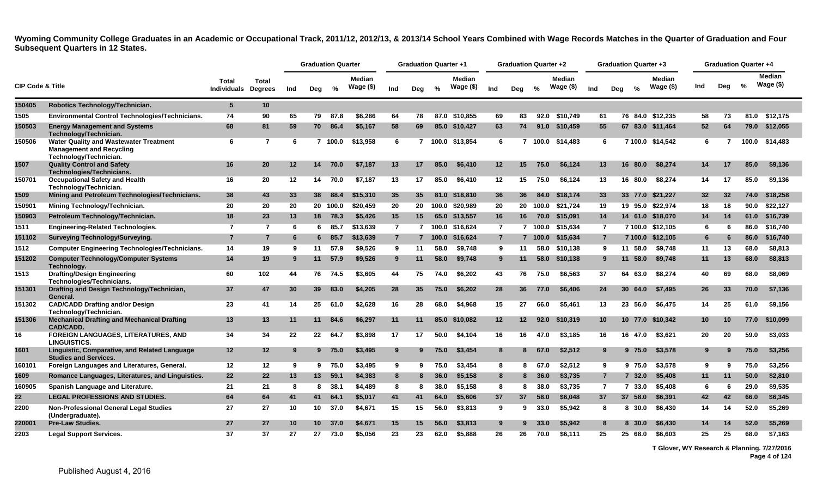|                             |                                                                                                            |                                     |                |     |                 | <b>Graduation Quarter</b> |                             |                |                | <b>Graduation Quarter +1</b> |                            |                 | <b>Graduation Quarter +2</b> |          |                            |                |     | <b>Graduation Quarter +3</b> |                      |     | <b>Graduation Quarter +4</b> |       |                      |
|-----------------------------|------------------------------------------------------------------------------------------------------------|-------------------------------------|----------------|-----|-----------------|---------------------------|-----------------------------|----------------|----------------|------------------------------|----------------------------|-----------------|------------------------------|----------|----------------------------|----------------|-----|------------------------------|----------------------|-----|------------------------------|-------|----------------------|
| <b>CIP Code &amp; Title</b> |                                                                                                            | Total<br><b>Individuals Degrees</b> | <b>Total</b>   | Ind | Deg             | %                         | <b>Median</b><br>Wage $($)$ | Ind            | Deg            | $\frac{0}{2}$                | <b>Median</b><br>Wage (\$) | Ind             | Deg                          | %        | <b>Median</b><br>Wage (\$) | Ind            | Deg | $\frac{0}{2}$                | Median<br>Wage $($)$ | Ind | Deg                          | %     | Median<br>Wage $($)$ |
| 150405                      | Robotics Technology/Technician.                                                                            | $5\phantom{.0}$                     | 10             |     |                 |                           |                             |                |                |                              |                            |                 |                              |          |                            |                |     |                              |                      |     |                              |       |                      |
| 1505                        | Environmental Control Technologies/Technicians.                                                            | 74                                  | 90             | 65  | 79              | 87.8                      | \$6.286                     | 64             | 78             | 87.0                         | \$10.855                   | 69              | 83                           | 92.0     | \$10.749                   | 61             |     |                              | 76 84.0 \$12.235     | 58  | 73                           | 81.0  | \$12.175             |
| 150503                      | <b>Energy Management and Systems</b><br>Technology/Technician.                                             | 68                                  | 81             | 59  | 70              | 86.4                      | \$5.167                     | 58             | 69             |                              | 85.0 \$10.427              | 63              | 74                           | 91.0     | \$10.459                   | 55             |     |                              | 67 83.0 \$11.464     | 52  | 64                           |       | 79.0 \$12,055        |
| 150506                      | <b>Water Quality and Wastewater Treatment</b><br><b>Management and Recycling</b><br>Technology/Technician. | 6                                   | 7              | 6   |                 | 7 100.0                   | \$13,958                    | 6              |                |                              | 100.0 \$13,854             | 6               |                              |          | 100.0 \$14,483             | 6              |     |                              | 7 100.0 \$14,542     | 6   |                              | 100.0 | \$14,483             |
| 1507                        | <b>Quality Control and Safety</b><br><b>Technologies/Technicians</b>                                       | 16                                  | 20             | 12  | 14              | 70.0                      | \$7.187                     | 13             | 17             | 85.0                         | \$6,410                    | 12 <sub>2</sub> | 15                           | 75.0     | \$6,124                    | 13             |     | 16.<br>80.0                  | \$8,274              | 14  | 17                           | 85.0  | \$9,136              |
| 150701                      | <b>Occupational Safety and Health</b><br>Technology/Technician.                                            | 16                                  | 20             | 12  | 14              | 70.0                      | \$7,187                     | 13             | 17             | 85.0                         | \$6,410                    | 12              | 15                           | 75.0     | \$6,124                    | 13             |     | 16 80.0                      | \$8,274              | 14  | 17                           | 85.0  | \$9,136              |
| 1509                        | Mining and Petroleum Technologies/Technicians.                                                             | 38                                  | 43             | 33  | 38              | 88.4                      | \$15,310                    | 35             | 35             | 81.0                         | \$18,810                   | 36              | 36                           | 84.0     | \$18,174                   | 33             |     | 33 77.0                      | \$21,227             | 32  | 32                           | 74.0  | \$18,258             |
| 150901                      | Mining Technology/Technician.                                                                              | 20                                  | 20             | 20  |                 | 20 100.0                  | \$20.459                    | 20             | 20             |                              | 100.0 \$20.989             | 20              |                              | 20 100.0 | \$21.724                   | 19             |     |                              | 19 95.0 \$22.974     | 18  | 18                           | 90.0  | \$22.127             |
| 150903                      | Petroleum Technology/Technician.                                                                           | 18                                  | 23             | 13  |                 | 18 78.3                   | \$5,426                     | 15             | 15             | 65.0                         | \$13,557                   | 16              | 16                           | 70.0     | \$15,091                   | 14             |     | 14 61.0                      | \$18,070             | 14  | 14                           |       | 61.0 \$16,739        |
| 1511                        | <b>Engineering-Related Technologies.</b>                                                                   | $\overline{7}$                      | 7              | 6   | 6               | 85.7                      | \$13,639                    | $\overline{7}$ | $\overline{7}$ |                              | 100.0 \$16,624             | $\overline{7}$  |                              |          | 7 100.0 \$15,634           | $\overline{7}$ |     |                              | 7 100.0 \$12,105     | 6   | 6                            |       | 86.0 \$16,740        |
| 151102                      | <b>Surveying Technology/Surveying.</b>                                                                     | $\overline{7}$                      | $\overline{7}$ | -6  | 6.              | 85.7                      | \$13,639                    | $\overline{7}$ |                | 7 100.0                      | \$16,624                   | $\overline{7}$  |                              | 7 100.0  | \$15,634                   | $\overline{7}$ |     | 7 100.0                      | \$12,105             | 6   | 6                            | 86.0  | \$16,740             |
| 1512                        | <b>Computer Engineering Technologies/Technicians.</b>                                                      | 14                                  | 19             | -9  | 11              | 57.9                      | \$9,526                     | 9              | 11             | 58.0                         | \$9,748                    | 9               | 11                           | 58.0     | \$10,138                   | 9              |     | 58.0<br>11                   | \$9,748              | 11  | 13                           | 68.0  | \$8,813              |
| 151202                      | <b>Computer Technology/Computer Systems</b><br>Technology.                                                 | 14                                  | 19             | -9  | 11              | 57.9                      | \$9,526                     | 9              | 11             | 58.0                         | \$9,748                    | 9               | 11                           | 58.0     | \$10,138                   | 9              |     | 11<br>58.0                   | \$9,748              | 11  | 13                           | 68.0  | \$8,813              |
| 1513                        | <b>Drafting/Design Engineering</b><br>Technologies/Technicians.                                            | 60                                  | 102            | 44  | 76              | 74.5                      | \$3,605                     | 44             | 75             | 74.0                         | \$6,202                    | 43              | 76                           | 75.0     | \$6,563                    | 37             |     | 64 63.0                      | \$8,274              | 40  | 69                           | 68.0  | \$8,069              |
| 151301                      | Drafting and Design Technology/Technician,<br>General.                                                     | 37                                  | 47             | 30  | 39              | 83.0                      | \$4,205                     | 28             | 35             | 75.0                         | \$6,202                    | 28              | 36                           | 77.0     | \$6,406                    | 24             |     | 30, 64.0                     | \$7,495              | 26  | 33                           | 70.0  | \$7,136              |
| 151302                      | <b>CAD/CADD Drafting and/or Design</b><br>Technology/Technician.                                           | 23                                  | 41             | 14  | 25              | 61.0                      | \$2,628                     | 16             | 28             | 68.0                         | \$4,968                    | 15              | 27                           | 66.0     | \$5,461                    | 13             |     | 23 56.0                      | \$6,475              | 14  | 25                           | 61.0  | \$9,156              |
| 151306                      | <b>Mechanical Drafting and Mechanical Drafting</b><br><b>CAD/CADD.</b>                                     | 13                                  | 13             | 11  | 11              | 84.6                      | \$6,297                     | 11             | 11             | 85.0                         | \$10,082                   | 12 <sub>2</sub> | 12 <sup>°</sup>              | 92.0     | \$10,319                   | 10             |     |                              | 10 77.0 \$10.342     | 10  | 10                           | 77.0  | \$10,099             |
| 16                          | FOREIGN LANGUAGES, LITERATURES, AND<br><b>LINGUISTICS.</b>                                                 | 34                                  | 34             | 22  | 22              | 64.7                      | \$3,898                     | 17             | 17             | 50.0                         | \$4,104                    | 16              | 16                           | 47.0     | \$3,185                    | 16             |     | 16 47.0                      | \$3,621              | 20  | 20                           | 59.0  | \$3,033              |
| 1601                        | Linguistic, Comparative, and Related Language<br><b>Studies and Services.</b>                              | 12                                  | 12             | 9   |                 | 975.0                     | \$3,495                     | 9              |                | 75.0                         | \$3,454                    | 8               | 8                            | 67.0     | \$2,512                    | 9              |     | 975.0                        | \$3,578              |     | 9                            | 75.0  | \$3,256              |
| 160101                      | Foreign Languages and Literatures, General.                                                                | 12                                  | 12             | -9  | 9               | 75.0                      | \$3,495                     | 9              | 9              | 75.0                         | \$3,454                    | 8               | 8                            | 67.0     | \$2,512                    | 9              |     | 9 75.0                       | \$3,578              | 9   | 9                            | 75.0  | \$3,256              |
| 1609                        | Romance Languages, Literatures, and Linguistics.                                                           | 22                                  | 22             | 13  | 13 <sup>7</sup> | 59.1                      | \$4,383                     | 8              | 8              | 36.0                         | \$5,158                    | 8               | 8                            | 36.0     | \$3,735                    | $\overline{7}$ |     | 732.0                        | \$5,408              | 11  | 11                           | 50.0  | \$2,810              |
| 160905                      | Spanish Language and Literature.                                                                           | 21                                  | 21             | -8  | 8               | 38.1                      | \$4,489                     | 8              | 8              | 38.0                         | \$5.158                    | 8               | 8                            | 38.0     | \$3.735                    | $\overline{7}$ |     | 7 33.0                       | \$5,408              | 6   | 6                            | 29.0  | \$9,535              |
| 22                          | <b>LEGAL PROFESSIONS AND STUDIES.</b>                                                                      | 64                                  | 64             | 41  | 41              | 64.1                      | \$5,017                     | 41             | 41             | 64.0                         | \$5,606                    | 37              | 37                           | 58.0     | \$6,048                    | 37             |     | 37 58.0                      | \$6,391              | 42  | 42                           | 66.0  | \$6,345              |
| 2200                        | <b>Non-Professional General Legal Studies</b><br>(Undergraduate).                                          | 27                                  | 27             | 10  | 10 <sup>1</sup> | 37.0                      | \$4,671                     | 15             | 15             | 56.0                         | \$3,813                    | 9               | 9                            | 33.0     | \$5.942                    | 8              |     | 8 30.0                       | \$6,430              | 14  | 14                           | 52.0  | \$5,269              |
| 220001                      | <b>Pre-Law Studies.</b>                                                                                    | 27                                  | 27             | 10  | 10 <sup>1</sup> | 37.0                      | \$4,671                     | 15             | 15             | 56.0                         | \$3,813                    | 9               |                              | 33.0     | \$5,942                    | 8              |     | 8 30.0                       | \$6,430              | 14  | 14                           | 52.0  | \$5,269              |
| 2203                        | <b>Legal Support Services.</b>                                                                             | 37                                  | 37             | 27  | 27              | 73.0                      | \$5,056                     | 23             | 23             | 62.0                         | \$5,888                    | 26              | 26                           | 70.0     | \$6.111                    | 25             |     | 25<br>68.0                   | \$6,603              | 25  | 25                           | 68.0  | \$7.163              |

**T Glover, WY Research & Planning. 7/27/2016 Page 4 of 124**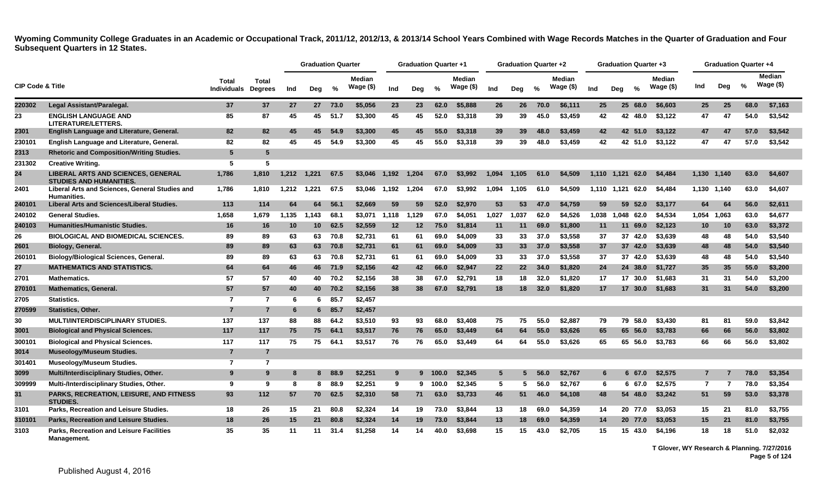|                             |                                                                             |                             |                                |       | <b>Graduation Quarter</b> |         |                            |       | <b>Graduation Quarter +1</b> |               |                            |       | Graduation Quarter +2 |               |                            |       |                  |               | Graduation Quarter +3      |                |             | <b>Graduation Quarter +4</b> |                            |
|-----------------------------|-----------------------------------------------------------------------------|-----------------------------|--------------------------------|-------|---------------------------|---------|----------------------------|-------|------------------------------|---------------|----------------------------|-------|-----------------------|---------------|----------------------------|-------|------------------|---------------|----------------------------|----------------|-------------|------------------------------|----------------------------|
| <b>CIP Code &amp; Title</b> |                                                                             | Total<br><b>Individuals</b> | <b>Total</b><br><b>Degrees</b> | Ind   | Deg                       | %       | <b>Median</b><br>Wage (\$) | Ind   | Dea                          | $\frac{6}{6}$ | <b>Median</b><br>Wage (\$) | Ind   | Dea                   | $\frac{6}{6}$ | <b>Median</b><br>Wage (\$) | Ind   | Dea              | $\frac{6}{6}$ | <b>Median</b><br>Wage (\$) | Ind            | Deg         | %                            | <b>Median</b><br>Wage (\$) |
| 220302                      | Legal Assistant/Paralegal.                                                  | 37                          | 37                             | 27    |                           | 27 73.0 | \$5,056                    | 23    | 23                           | 62.0          | \$5,888                    | 26    | 26                    | 70.0          | \$6,111                    | 25    |                  | 25 68.0       | \$6,603                    | 25             | 25          | 68.0                         | \$7,163                    |
| 23                          | <b>ENGLISH LANGUAGE AND</b><br><b>LITERATURE/LETTERS.</b>                   | 85                          | 87                             | 45    | 45                        | 51.7    | \$3,300                    | 45    | 45                           | 52.0          | \$3,318                    | 39    | 39                    | 45.0          | \$3.459                    | 42    |                  | 42 48.0       | \$3,122                    | 47             | 47          | 54.0                         | \$3.542                    |
| 2301                        | <b>English Language and Literature, General.</b>                            | 82                          | 82                             | 45    | 45                        | 54.9    | \$3,300                    | 45    | 45                           | 55.0          | \$3,318                    | 39    | 39                    | 48.0          | \$3,459                    | 42    |                  | 42 51.0       | \$3,122                    | 47             | 47          | 57.0                         | \$3,542                    |
| 230101                      | English Language and Literature, General.                                   | 82                          | 82                             | 45    | 45                        | 54.9    | \$3,300                    | 45    | 45                           | 55.0          | \$3,318                    | 39    | 39                    | 48.0          | \$3,459                    | 42    |                  | 42 51.0       | \$3,122                    | 47             | 47          | 57.0                         | \$3,542                    |
| 2313                        | <b>Rhetoric and Composition/Writing Studies.</b>                            | 5                           | 5                              |       |                           |         |                            |       |                              |               |                            |       |                       |               |                            |       |                  |               |                            |                |             |                              |                            |
| 231302                      | <b>Creative Writing.</b>                                                    | 5                           | 5                              |       |                           |         |                            |       |                              |               |                            |       |                       |               |                            |       |                  |               |                            |                |             |                              |                            |
| 24                          | <b>LIBERAL ARTS AND SCIENCES, GENERAL</b><br><b>STUDIES AND HUMANITIES.</b> | 1,786                       | 1,810                          | 1,212 | 1.221                     | 67.5    | \$3,046                    | 1.192 | 1.204                        | 67.0          | \$3,992                    | 1.094 | 1.105                 | 61.0          | \$4,509                    | 1,110 | 1.121            | 62.0          | \$4,484                    |                | 1,130 1,140 | 63.0                         | \$4,607                    |
| 2401                        | Liberal Arts and Sciences, General Studies and<br><b>Humanities.</b>        | 1,786                       | 1,810                          | 1,212 | 1,221                     | 67.5    | \$3.046                    | 1,192 | 1,204                        | 67.0          | \$3.992                    | 1,094 | 1.105                 | 61.0          | \$4,509                    |       | 1.110 1.121 62.0 |               | \$4,484                    |                | 1,130 1,140 | 63.0                         | \$4,607                    |
| 240101                      | <b>Liberal Arts and Sciences/Liberal Studies.</b>                           | 113                         | 114                            | 64    | 64.                       | 56.1    | \$2,669                    | 59    | 59                           | 52.0          | \$2.970                    | 53    | 53                    | 47.0          | \$4.759                    | 59    | 59               | 52.0          | \$3,177                    | 64             | 64          | 56.0                         | \$2,611                    |
| 240102                      | <b>General Studies.</b>                                                     | 1,658                       | 1.679                          | 1,135 | 1.143                     | 68.1    | \$3.071                    | 1,118 | 1,129                        | 67.0          | \$4.051                    | 1,027 | 1.037                 | 62.0          | \$4,526                    | 1.038 |                  | 1.048 62.0    | \$4,534                    | 1,054          | 1.063       | 63.0                         | \$4,677                    |
| 240103                      | <b>Humanities/Humanistic Studies.</b>                                       | 16                          | 16                             | 10    | 10                        | 62.5    | \$2,559                    | 12    | 12                           | 75.0          | \$1,814                    | 11    | 11                    | 69.0          | \$1,800                    | 11    |                  | 11 69.0       | \$2,123                    | 10             | 10          | 63.0                         | \$3,372                    |
| 26                          | <b>BIOLOGICAL AND BIOMEDICAL SCIENCES.</b>                                  | 89                          | 89                             | 63    | 63                        | 70.8    | \$2.731                    | 61    | 61                           | 69.0          | \$4,009                    | 33    | 33                    | 37.0          | \$3.558                    | 37    |                  | 37 42.0       | \$3,639                    | 48             | 48          | 54.0                         | \$3,540                    |
| 2601                        | Biology, General.                                                           | 89                          | 89                             | 63    | 63                        | 70.8    | \$2,731                    | 61    | 61                           | 69.0          | \$4,009                    | 33    | 33 <sub>o</sub>       | 37.0          | \$3,558                    | 37    |                  | 37 42.0       | \$3,639                    | 48             | 48          | 54.0                         | \$3,540                    |
| 260101                      | <b>Biology/Biological Sciences, General.</b>                                | 89                          | 89                             | 63    | 63                        | 70.8    | \$2.731                    | 61    | 61                           | 69.0          | \$4,009                    | 33    | 33                    | 37.0          | \$3.558                    | 37    |                  | 37 42.0       | \$3.639                    | 48             | 48          | 54.0                         | \$3.540                    |
| 27                          | <b>MATHEMATICS AND STATISTICS.</b>                                          | 64                          | 64                             | 46    |                           | 46 71.9 | \$2,156                    | 42    | 42                           | 66.0          | \$2,947                    | 22    | 22 <sub>2</sub>       | 34.0          | \$1,820                    | 24    |                  | 24 38.0       | \$1,727                    | 35             | 35          | 55.0                         | \$3,200                    |
| 2701                        | <b>Mathematics.</b>                                                         | 57                          | 57                             | 40    | 40                        | 70.2    | \$2.156                    | 38    | 38                           | 67.0          | \$2.791                    | 18    | 18                    | 32.0          | \$1.820                    | 17    |                  | 17 30.0       | \$1.683                    | 31             | 31          | 54.0                         | \$3.200                    |
| 270101                      | <b>Mathematics, General.</b>                                                | 57                          | 57                             | 40    |                           | 40 70.2 | \$2,156                    | 38    | 38                           | 67.0          | \$2.791                    | 18    | 18                    | 32.0          | \$1.820                    | 17    |                  | 17 30.0       | \$1.683                    | 31             | 31          | 54.0                         | \$3,200                    |
| 2705                        | Statistics.                                                                 | $\overline{7}$              | 7                              | -6    | 6                         | 85.7    | \$2,457                    |       |                              |               |                            |       |                       |               |                            |       |                  |               |                            |                |             |                              |                            |
| 270599                      | <b>Statistics, Other.</b>                                                   | $\overline{7}$              | $\overline{7}$                 | 6     | 6                         | 85.7    | \$2,457                    |       |                              |               |                            |       |                       |               |                            |       |                  |               |                            |                |             |                              |                            |
| 30                          | <b>MULTI/INTERDISCIPLINARY STUDIES.</b>                                     | 137                         | 137                            | 88    | 88                        | 64.2    | \$3,510                    | 93    | 93                           | 68.0          | \$3,408                    | 75    | 75                    | 55.0          | \$2.887                    | 79    | 79               | 58.0          | \$3,430                    | 81             | 81          | 59.0                         | \$3,842                    |
| 3001                        | <b>Biological and Physical Sciences.</b>                                    | 117                         | 117                            | 75    | 75                        | 64.1    | \$3,517                    | 76    | 76                           | 65.0          | \$3,449                    | 64    | 64                    | 55.0          | \$3,626                    | 65    |                  | 65 56.0       | \$3.783                    | 66             | 66          | 56.0                         | \$3,802                    |
| 300101                      | <b>Biological and Physical Sciences.</b>                                    | 117                         | 117                            | 75    | 75                        | 64.1    | \$3,517                    | 76    | 76                           | 65.0          | \$3,449                    | 64    | 64                    | 55.0          | \$3,626                    | 65    |                  |               | 65 56.0 \$3,783            | 66             | 66          | 56.0                         | \$3,802                    |
| 3014                        | Museology/Museum Studies.                                                   | $\overline{7}$              | 7                              |       |                           |         |                            |       |                              |               |                            |       |                       |               |                            |       |                  |               |                            |                |             |                              |                            |
| 301401                      | <b>Museology/Museum Studies.</b>                                            | $\overline{7}$              | $\overline{7}$                 |       |                           |         |                            |       |                              |               |                            |       |                       |               |                            |       |                  |               |                            |                |             |                              |                            |
| 3099                        | Multi/Interdisciplinary Studies, Other.                                     | 9                           | 9                              |       | 8                         | 88.9    | \$2,251                    | 9     |                              | 9 100.0       | \$2,345                    | 5     |                       | 56.0          | \$2,767                    | 6     |                  | 6 67.0        | \$2,575                    |                |             | 78.0                         | \$3,354                    |
| 309999                      | Multi-/Interdisciplinary Studies, Other.                                    | 9                           | 9                              | -8    | 8                         | 88.9    | \$2.251                    | 9     |                              | 9 100.0       | \$2.345                    | 5     | 5.                    | 56.0          | \$2.767                    | 6     |                  | 6 67.0        | \$2,575                    | $\overline{7}$ | 7           | 78.0                         | \$3,354                    |
| 31                          | PARKS, RECREATION, LEISURE, AND FITNESS<br><b>STUDIES.</b>                  | 93                          | 112                            | 57    | 70                        | 62.5    | \$2,310                    | 58    | 71                           | 63.0          | \$3,733                    | 46    | 51                    | 46.0          | \$4,108                    | 48    |                  | 54 48.0       | \$3,242                    | 51             | 59          | 53.0                         | \$3,378                    |
| 3101                        | Parks, Recreation and Leisure Studies.                                      | 18                          | 26                             | 15    | 21                        | 80.8    | \$2,324                    | 14    | 19                           | 73.0          | \$3,844                    | 13    | 18                    | 69.0          | \$4,359                    | 14    |                  | 20 77.0       | \$3,053                    | 15             | 21          | 81.0                         | \$3,755                    |
| 310101                      | Parks, Recreation and Leisure Studies.                                      | 18                          | 26                             | 15    | 21                        | 80.8    | \$2,324                    | 14    | 19                           | 73.0          | \$3,844                    | 13    | 18                    | 69.0          | \$4,359                    | 14    |                  | 20 77.0       | \$3,053                    | 15             | 21          | 81.0                         | \$3,755                    |
| 3103                        | Parks, Recreation and Leisure Facilities<br>Management.                     | 35                          | 35                             | 11    | 11                        | 31.4    | \$1.258                    | 14    | 14                           | 40.0          | \$3.698                    | 15    | 15                    | 43.0          | \$2.705                    | 15    |                  | 15 43.0       | \$4,196                    | 18             | 18          | 51.0                         | \$2.032                    |

**T Glover, WY Research & Planning. 7/27/2016 Page 5 of 124**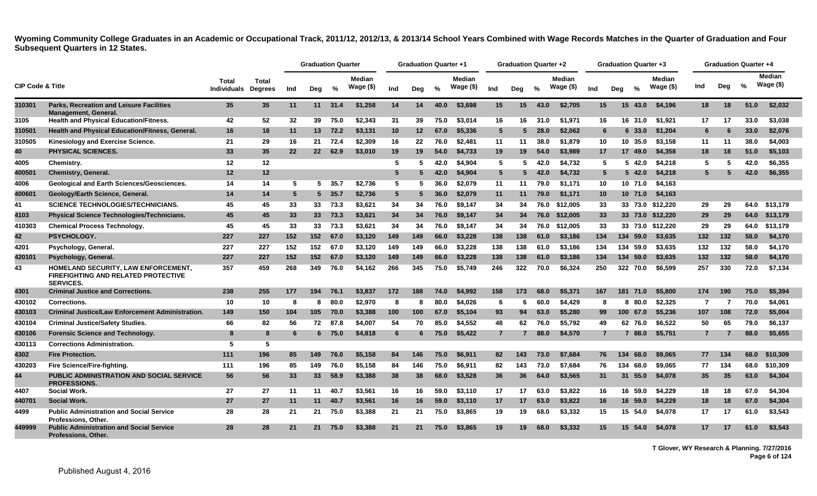|                             |                                                                                                       |                             |                                |     | <b>Graduation Quarter</b> |         |                             |                 | <b>Graduation Quarter +1</b> |      |                      |                | <b>Graduation Quarter +2</b> |      |                      |                 | Graduation Quarter +3 |                      |                 | <b>Graduation Quarter +4</b> |               |                             |
|-----------------------------|-------------------------------------------------------------------------------------------------------|-----------------------------|--------------------------------|-----|---------------------------|---------|-----------------------------|-----------------|------------------------------|------|----------------------|----------------|------------------------------|------|----------------------|-----------------|-----------------------|----------------------|-----------------|------------------------------|---------------|-----------------------------|
| <b>CIP Code &amp; Title</b> |                                                                                                       | <b>Total</b><br>Individuals | <b>Total</b><br><b>Degrees</b> | Ind | Deg                       | %       | <b>Median</b><br>Wage $($)$ | Ind             | Deg                          | $\%$ | Median<br>Wage $($)$ | Ind            | Deg                          | $\%$ | Median<br>Wage $($)$ | Ind             | $\frac{1}{2}$<br>Deg  | Median<br>Wage $($)$ | Ind             | Dea                          | $\frac{0}{2}$ | <b>Median</b><br>Wage $($)$ |
| 310301                      | <b>Parks, Recreation and Leisure Facilities</b><br><b>Management, General.</b>                        | 35                          | 35 <sub>5</sub>                | 11  | 11                        | 31.4    | \$1,258                     | 14              | 14                           | 40.0 | \$3,698              | 15             | 15                           | 43.0 | \$2,705              | 15              | 15<br>43.0            | \$4,196              | 18              | 18                           | 51.0          | \$2,032                     |
| 3105                        | <b>Health and Physical Education/Fitness.</b>                                                         | 42                          | 52                             | 32  | 39                        | 75.0    | \$2,343                     | 31              | 39                           | 75.0 | \$3,014              | 16             | 16                           | 31.0 | \$1,971              | 16              | 16 31.0               | \$1,921              | 17              | 17                           | 33.0          | \$3,038                     |
| 310501                      | Health and Physical Education/Fitness, General.                                                       | 16                          | 18                             | 11  | 13                        | 72.2    | \$3,131                     | 10              | 12                           | 67.0 | \$5,336              | 5              | 5                            | 28.0 | \$2,062              | 6               | 33.0<br>6             | \$1,204              | 6               | 6                            | 33.0          | \$2,076                     |
| 310505                      | Kinesiology and Exercise Science.                                                                     | 21                          | 29                             | 16  | 21                        | 72.4    | \$2,309                     | 16              | 22                           | 76.0 | \$2,481              | 11             | 11                           | 38.0 | \$1.879              | 10              | 10 35.0               | \$3,158              | 11              | 11                           | 38.0          | \$4,003                     |
| 40                          | PHYSICAL SCIENCES.                                                                                    | 33                          | 35                             | 22  | 22 <sub>2</sub>           | 62.9    | \$3,010                     | 19              | 19                           | 54.0 | \$4,733              | 19             | 19                           | 54.0 | \$3,989              | 17              | 17 49.0               | \$4,358              | 18              | 18                           | 51.0          | \$5,103                     |
| 4005                        | Chemistry.                                                                                            | 12                          | 12                             |     |                           |         |                             | -5              | 5                            | 42.0 | \$4,904              | 5              | -5                           | 42.0 | \$4.732              | 5               | 42.0<br>5             | \$4,218              | 5               | 5                            | 42.0          | \$6,355                     |
| 400501                      | Chemistry, General.                                                                                   | 12                          | 12                             |     |                           |         |                             | 5               |                              | 42.0 | \$4,904              | $5^{\circ}$    | 5                            | 42.0 | \$4,732              | $5^{\circ}$     | $5\,42.0$             | \$4,218              | 5.              | 5                            | 42.0          | \$6,355                     |
| 4006                        | Geological and Earth Sciences/Geosciences.                                                            | 14                          | 14                             | -5  |                           | 5, 35.7 | \$2,736                     | 5               | 5                            | 36.0 | \$2,079              | 11             | 11                           | 79.0 | \$1,171              | 10              | 10 71.0               | \$4,163              |                 |                              |               |                             |
| 400601                      | Geology/Earth Science, General.                                                                       | 14                          | 14                             | 5   |                           | 535.7   | \$2,736                     | $5\phantom{.0}$ | 5                            | 36.0 | \$2,079              | 11             | 11                           | 79.0 | \$1,171              | 10 <sup>°</sup> | 10 71.0               | \$4,163              |                 |                              |               |                             |
| 41                          | <b>SCIENCE TECHNOLOGIES/TECHNICIANS.</b>                                                              | 45                          | 45                             | 33  | 33                        | 73.3    | \$3.621                     | 34              | 34                           | 76.0 | \$9.147              | 34             | 34                           | 76.0 | \$12,005             | 33              |                       | 33 73.0 \$12.220     | 29              | 29                           | 64.0          | \$13.179                    |
| 4103                        | Physical Science Technologies/Technicians.                                                            | 45                          | 45                             | 33  | 33 <sup>3</sup>           | 73.3    | \$3,621                     | 34              | 34                           | 76.0 | \$9,147              | 34             | 34                           | 76.0 | \$12,005             | 33              |                       | 33 73.0 \$12,220     | 29              | 29                           | 64.0          | \$13,179                    |
| 410303                      | <b>Chemical Process Technology.</b>                                                                   | 45                          | 45                             | 33  | 33                        | 73.3    | \$3.621                     | 34              | 34                           | 76.0 | \$9.147              | 34             | 34                           | 76.0 | \$12,005             | 33              |                       | 33 73.0 \$12,220     | 29              | 29                           | 64.0          | \$13.179                    |
| 42                          | <b>PSYCHOLOGY.</b>                                                                                    | 227                         | 227                            | 152 | 152                       | 67.0    | \$3,120                     | 149             | 149                          | 66.0 | \$3.228              | 138            | 138                          | 61.0 | \$3,186              | 134             | 134 59.0              | \$3,635              | 132             | 132                          | 58.0          | \$4,170                     |
| 4201                        | Psychology, General.                                                                                  | 227                         | 227                            | 152 | 152                       | 67.0    | \$3,120                     | 149             | 149                          | 66.0 | \$3,228              | 138            | 138                          | 61.0 | \$3,186              | 134             | 134 59.0              | \$3,635              | 132             | 132                          | 58.0          | \$4,170                     |
| 420101                      | Psychology, General.                                                                                  | 227                         | 227                            | 152 | 152                       | 67.0    | \$3,120                     | 149             | 149                          | 66.0 | \$3,228              | 138            | 138                          | 61.0 | \$3,186              | 134             | 134 59.0              | \$3,635              | 132             | 132                          | 58.0          | \$4,170                     |
| 43                          | HOMELAND SECURITY, LAW ENFORCEMENT,<br><b>FIREFIGHTING AND RELATED PROTECTIVE</b><br><b>SERVICES.</b> | 357                         | 459                            | 268 | 349                       | 76.0    | \$4,162                     | 266             | 345                          | 75.0 | \$5,749              | 246            | 322                          | 70.0 | \$6,324              | 250             | 322 70.0              | \$6.599              | 257             | 330                          | 72.0          | \$7,134                     |
| 4301                        | <b>Criminal Justice and Corrections.</b>                                                              | 238                         | 255                            | 177 | 194                       | 76.1    | \$3,837                     | 172             | 188                          | 74.0 | \$4,992              | 158            | 173                          | 68.0 | \$5,371              | 167             | 181 71.0              | \$5,800              | 174             | 190                          | 75.0          | \$5,394                     |
| 430102                      | Corrections.                                                                                          | 10                          | 10                             | 8   | 8                         | 80.0    | \$2,970                     | 8               | -8                           | 80.0 | \$4,026              | 6              | -6                           | 60.0 | \$4,429              | 8               | 8 80.0                | \$2,325              | $\overline{7}$  | 7                            | 70.0          | \$4,061                     |
| 430103                      | <b>Criminal Justice/Law Enforcement Administration.</b>                                               | 149                         | 150                            | 104 | 105                       | 70.0    | \$3,388                     | 100             | 100                          | 67.0 | \$5,104              | 93             | 94                           | 63.0 | \$5,280              | 99              | 100 67.0              | \$5,236              | 107             | 108                          | 72.0          | \$5,004                     |
| 430104                      | <b>Criminal Justice/Safety Studies.</b>                                                               | 66                          | 82                             | 56  | 72                        | 87.8    | \$4.007                     | 54              | 70                           | 85.0 | \$4,552              | 48             | 62                           | 76.0 | \$5.792              | 49              | 62 76.0               | \$6.522              | 50              | 65                           | 79.0          | \$6,137                     |
| 430106                      | <b>Forensic Science and Technology.</b>                                                               | 8                           | 8                              | 6   | 6                         | 75.0    | \$4,818                     | $6\phantom{.}6$ |                              | 75.0 | \$5,422              | $\overline{7}$ |                              | 88.0 | \$4,570              | $\overline{7}$  | 7 88.0                | \$5,751              | $\overline{7}$  | 7                            | 88.0          | \$5,655                     |
| 430113                      | <b>Corrections Administration.</b>                                                                    | 5                           | 5                              |     |                           |         |                             |                 |                              |      |                      |                |                              |      |                      |                 |                       |                      |                 |                              |               |                             |
| 4302                        | <b>Fire Protection.</b>                                                                               | 111                         | 196                            | 85  | 149                       | 76.0    | \$5,158                     | 84              | 146                          | 75.0 | \$6,911              | 82             | 143                          | 73.0 | \$7,684              | 76              | 134<br>68.0           | \$9,065              | 77              | 134                          | 68.0          | \$10,309                    |
| 430203                      | Fire Science/Fire-fighting.                                                                           | 111                         | 196                            | 85  | 149                       | 76.0    | \$5,158                     | 84              | 146                          | 75.0 | \$6,911              | 82             | 143                          | 73.0 | \$7,684              | 76              | 134 68.0              | \$9,065              | 77              | 134                          | 68.0          | \$10,309                    |
| 44                          | PUBLIC ADMINISTRATION AND SOCIAL SERVICE<br><b>PROFESSIONS.</b>                                       | 56                          | 56                             | 33  | 33                        | 58.9    | \$3,388                     | 38              | 38                           | 68.0 | \$3,528              | 36             | 36                           | 64.0 | \$3,565              | 31              | 31 55.0               | \$4,078              | 35              | 35                           | 63.0          | \$4,304                     |
| 4407                        | <b>Social Work.</b>                                                                                   | 27                          | 27                             | 11  | 11                        | 40.7    | \$3.561                     | 16              | 16                           | 59.0 | \$3,110              | 17             | 17                           | 63.0 | \$3.822              | 16              | 16 59.0               | \$4,229              | 18              | 18                           | 67.0          | \$4,304                     |
| 440701                      | <b>Social Work.</b>                                                                                   | 27                          | 27                             | 11  | 11                        | 40.7    | \$3,561                     | 16              | 16                           | 59.0 | \$3,110              | 17             | 17                           | 63.0 | \$3,822              | 16              | 16 59.0               | \$4,229              | 18              | 18                           | 67.0          | \$4,304                     |
| 4499                        | <b>Public Administration and Social Service</b><br>Professions, Other.                                | 28                          | 28                             | 21  | 21                        | 75.0    | \$3,388                     | 21              | 21                           | 75.0 | \$3,865              | 19             | 19                           | 68.0 | \$3,332              | 15              | 15 54.0               | \$4.078              | 17              | 17                           | 61.0          | \$3.543                     |
| 449999                      | <b>Public Administration and Social Service</b><br><b>Professions, Other,</b>                         | 28                          | 28                             | 21  | 21                        | 75.0    | \$3,388                     | 21              | 21                           | 75.0 | \$3,865              | 19             | 19                           | 68.0 | \$3.332              | 15              | 15 54.0               | \$4,078              | 17 <sup>2</sup> | 17                           | 61.0          | \$3.543                     |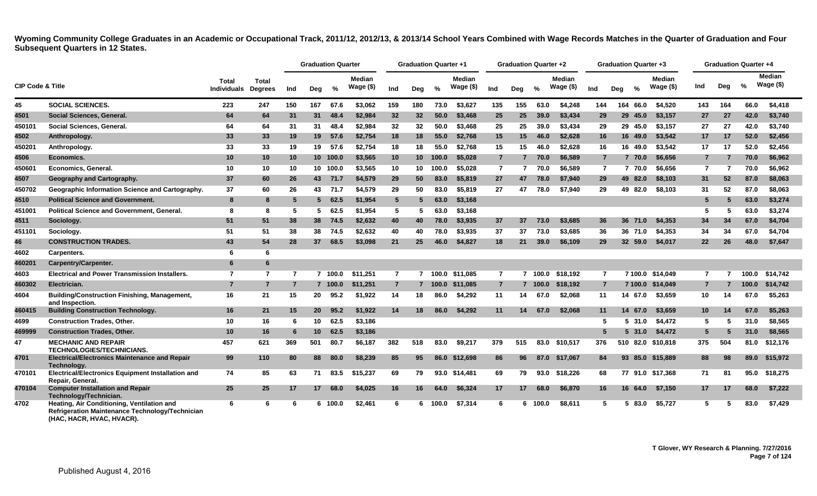|                             |                                                                                               |                             |                         |     | <b>Graduation Quarter</b> |          |                             |                 | <b>Graduation Quarter +1</b> |               |                            |                | <b>Graduation Quarter +2</b> |         |                      |                | <b>Graduation Quarter +3</b> |               |                             |                | <b>Graduation Quarter +4</b> |               |                     |
|-----------------------------|-----------------------------------------------------------------------------------------------|-----------------------------|-------------------------|-----|---------------------------|----------|-----------------------------|-----------------|------------------------------|---------------|----------------------------|----------------|------------------------------|---------|----------------------|----------------|------------------------------|---------------|-----------------------------|----------------|------------------------------|---------------|---------------------|
| <b>CIP Code &amp; Title</b> |                                                                                               | Total<br><b>Individuals</b> | Total<br><b>Degrees</b> | Ind | Deg                       | %        | <b>Median</b><br>Wage $($)$ | Ind             | Deg                          | $\frac{9}{6}$ | <b>Median</b><br>Wage (\$) | Ind            | Dea                          | $\%$    | Median<br>Wage $($)$ | Ind            | Deg                          | $\frac{9}{6}$ | <b>Median</b><br>Wage $($)$ | Ind            | Deg                          | $\frac{0}{0}$ | Median<br>Wage (\$) |
| 45                          | <b>SOCIAL SCIENCES.</b>                                                                       | 223                         | 247                     | 150 | 167                       | 67.6     | \$3.062                     | 159             | 180                          | 73.0          | \$3.627                    | 135            | 155                          | 63.0    | \$4.248              | 144            |                              | 164 66.0      | \$4.520                     | 143            | 164                          | 66.0          | \$4,418             |
| 4501                        | Social Sciences, General.                                                                     | 64                          | 64                      | 31  | 31                        | 48.4     | \$2,984                     | 32              | 32                           | 50.0          | \$3,468                    | 25             | 25                           | 39.0    | \$3,434              | 29             |                              | 29 45.0       | \$3,157                     | 27             | 27                           | 42.0          | \$3,740             |
| 450101                      | Social Sciences, General,                                                                     | 64                          | 64                      | 31  | 31                        | 48.4     | \$2.984                     | 32              | 32                           | 50.0          | \$3,468                    | 25             | 25                           | 39.0    | \$3,434              | 29             |                              | 29 45.0       | \$3.157                     | 27             | 27                           | 42.0          | \$3,740             |
| 4502                        | Anthropology.                                                                                 | 33                          | 33                      | 19  | 19                        | 57.6     | \$2,754                     | 18              | 18                           | 55.0          | \$2,768                    | 15             | 15                           | 46.0    | \$2,628              | 16             |                              | 16 49.0       | \$3,542                     | 17             | 17                           | 52.0          | \$2,456             |
| 450201                      | Anthropology.                                                                                 | 33                          | 33                      | 19  | 19                        | 57.6     | \$2.754                     | 18              | 18                           | 55.0          | \$2.768                    | 15             | 15                           | 46.0    | \$2.628              | 16             |                              | 16 49.0       | \$3.542                     | 17             | 17                           | 52.0          | \$2,456             |
| 4506                        | <b>Economics.</b>                                                                             | 10                          | 10 <sup>°</sup>         | 10  |                           | 10 100.0 | \$3,565                     | 10 <sub>1</sub> | 10 <sup>1</sup>              | 100.0         | \$5,028                    | $\overline{7}$ |                              | 70.0    | \$6,589              | $\overline{7}$ |                              | 7 70.0        | \$6,656                     | $\overline{7}$ |                              | 70.0          | \$6,962             |
| 450601                      | <b>Economics, General.</b>                                                                    | 10                          | 10                      | 10  |                           | 10 100.0 | \$3.565                     | 10              | 10                           | 100.0         | \$5.028                    | $\overline{7}$ | $\overline{7}$               | 70.0    | \$6.589              | $\overline{7}$ |                              | 7 70.0        | \$6.656                     | $\overline{7}$ | 7                            | 70.0          | \$6,962             |
| 4507                        | Geography and Cartography.                                                                    | 37                          | 60                      | 26  | 43                        | 71.7     | \$4,579                     | 29              | 50                           | 83.0          | \$5,819                    | 27             | 47                           | 78.0    | \$7,940              | 29             |                              | 49 82.0       | \$8,103                     | 31             | 52                           | 87.0          | \$8,063             |
| 450702                      | Geographic Information Science and Cartography.                                               | 37                          | 60                      | 26  | 43                        | 71.7     | \$4.579                     | 29              | 50                           | 83.0          | \$5,819                    | 27             | 47                           | 78.0    | \$7.940              | 29             |                              | 49 82.0       | \$8.103                     | 31             | 52                           | 87.0          | \$8,063             |
| 4510                        | <b>Political Science and Government.</b>                                                      | 8                           | 8                       | 5   | 5 <sup>5</sup>            | 62.5     | \$1,954                     | $5\phantom{.0}$ | 5                            | 63.0          | \$3,168                    |                |                              |         |                      |                |                              |               |                             | -5             |                              | 63.0          | \$3,274             |
| 451001                      | <b>Political Science and Government, General.</b>                                             | 8                           | 8                       | 5   | 5                         | 62.5     | \$1.954                     | 5               | 5                            | 63.0          | \$3.168                    |                |                              |         |                      |                |                              |               |                             | 5              |                              | 63.0          | \$3,274             |
| 4511                        | Sociology.                                                                                    | 51                          | 51                      | 38  | 38                        | 74.5     | \$2,632                     | 40              | 40                           | 78.0          | \$3,935                    | 37             | 37                           | 73.0    | \$3,685              | 36             |                              | 36 71.0       | \$4,353                     | 34             | 34                           | 67.0          | \$4,704             |
| 451101                      | Sociology.                                                                                    | 51                          | 51                      | 38  | 38                        | 74.5     | \$2.632                     | 40              | 40                           | 78.0          | \$3,935                    | 37             | 37                           | 73.0    | \$3.685              | 36             |                              | 36 71.0       | \$4,353                     | 34             | 34                           | 67.0          | \$4,704             |
| 46                          | <b>CONSTRUCTION TRADES.</b>                                                                   | 43                          | 54                      | 28  | 37                        | 68.5     | \$3,098                     | 21              | 25                           | 46.0          | \$4,827                    | 18             | 21                           | 39.0    | \$6,109              | 29             |                              | 32 59.0       | \$4,017                     | 22             | 26                           | 48.0          | \$7,647             |
| 4602                        | Carpenters.                                                                                   | 6                           | 6                       |     |                           |          |                             |                 |                              |               |                            |                |                              |         |                      |                |                              |               |                             |                |                              |               |                     |
| 460201                      | Carpentry/Carpenter.                                                                          | 6                           | 6                       |     |                           |          |                             |                 |                              |               |                            |                |                              |         |                      |                |                              |               |                             |                |                              |               |                     |
| 4603                        | <b>Electrical and Power Transmission Installers.</b>                                          | $\overline{7}$              | $\overline{7}$          | 7   |                           | 7 100.0  | \$11.251                    | $\overline{7}$  | 7                            | 100.0         | \$11.085                   | $\overline{7}$ |                              | 7 100.0 | \$18.192             | $\overline{7}$ |                              | 7 100.0       | \$14.049                    | 7              |                              | 100.0         | \$14,742            |
| 460302                      | Electrician.                                                                                  | $\overline{7}$              | $\overline{7}$          | 7   |                           | 7 100.0  | \$11,251                    | $\overline{7}$  |                              | 100.0         | \$11,085                   | $\overline{7}$ |                              | 100.0   | \$18,192             | $\overline{7}$ |                              | 7 100.0       | \$14,049                    |                |                              | 100.0         | \$14,742            |
| 4604                        | <b>Building/Construction Finishing, Management,</b><br>and Inspection.                        | 16                          | 21                      | 15  | 20                        | 95.2     | \$1.922                     | 14              | 18                           | 86.0          | \$4,292                    | 11             | 14                           | 67.0    | \$2.068              | 11             |                              | 14 67.0       | \$3,659                     | 10             | 14                           | 67.0          | \$5,263             |
| 460415                      | <b>Building Construction Technology.</b>                                                      | 16                          | 21                      | 15  | 20 <sub>2</sub>           | 95.2     | \$1,922                     | 14              | 18                           | 86.0          | \$4.292                    | 11             | 14                           | 67.0    | \$2,068              | 11             |                              | 14 67.0       | \$3,659                     | 10             | 14                           | 67.0          | \$5,263             |
| 4699                        | <b>Construction Trades, Other.</b>                                                            | 10                          | 16                      | 6   | 10                        | 62.5     | \$3,186                     |                 |                              |               |                            |                |                              |         |                      | 5              |                              | 5, 31.0       | \$4,472                     | 5              | 5                            | 31.0          | \$8,565             |
| 469999                      | <b>Construction Trades, Other.</b>                                                            | 10                          | 16                      | 6   | 10                        | 62.5     | \$3.186                     |                 |                              |               |                            |                |                              |         |                      | 5              |                              | 5, 31.0       | \$4.472                     | 5              |                              | 31.0          | \$8,565             |
| 47                          | <b>MECHANIC AND REPAIR</b><br>TECHNOLOGIES/TECHNICIANS.                                       | 457                         | 621                     | 369 | 501                       | 80.7     | \$6.187                     | 382             | 518                          | 83.0          | \$9.217                    | 379            | 515                          | 83.0    | \$10.517             | 376            |                              | 510 82.0      | \$10.818                    | 375            | 504                          | 81.0          | \$12,176            |
| 4701                        | <b>Electrical/Electronics Maintenance and Repair</b><br>Technology.                           | 99                          | 110                     | 80  | 88                        | 80.0     | \$8,239                     | 85              | 95                           | 86.0          | \$12.698                   | 86             | 96                           | 87.0    | \$17.067             | 84             |                              | 93 85.0       | \$15,889                    | 88             | 98                           | 89.0          | \$15,972            |
| 470101                      | <b>Electrical/Electronics Equipment Installation and</b><br>Repair, General.                  | 74                          | 85                      | 63  | 71                        | 83.5     | \$15,237                    | 69              | 79                           |               | 93.0 \$14,481              | 69             | 79                           | 93.0    | \$18,226             | 68             |                              |               | 77 91.0 \$17,368            | 71             | 81                           | 95.0          | \$18,275            |
| 470104                      | <b>Computer Installation and Repair</b><br>Technology/Technician.                             | 25                          | 25                      | 17  | 17                        | 68.0     | \$4,025                     | 16              | 16                           | 64.0          | \$6,324                    | 17             | 17                           | 68.0    | \$6,870              | 16             |                              | 16 64.0       | \$7,150                     | 17             | 17                           | 68.0          | \$7,222             |
| 4702                        | Heating, Air Conditioning, Ventilation and<br>Refrigeration Maintenance Technology/Technician | 6                           | 6                       | -6  |                           | 6 100.0  | \$2.461                     | 6               | 6                            | 100.0         | \$7,314                    | 6              | 6                            | 100.0   | \$8.611              | 5.             |                              | 5 83.0        | \$5.727                     | -5             |                              | 83.0          | \$7,429             |

**(HAC, HACR, HVAC, HVACR).**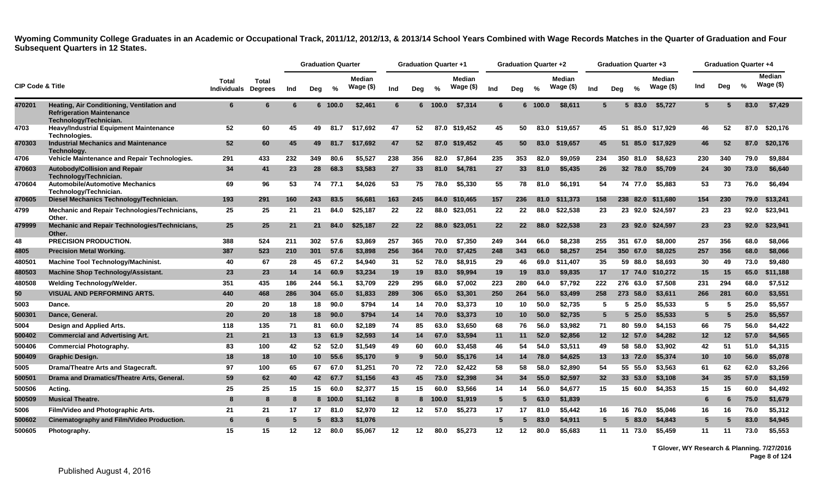|                             |                                                                                                          |                             |                         |     | <b>Graduation Quarter</b> |         |                            |     | <b>Graduation Quarter +1</b> |         |                            |                 | <b>Graduation Quarter +2</b> |               |                     |                 |     | <b>Graduation Quarter +3</b> |                            |     | <b>Graduation Quarter +4</b> |      |                            |
|-----------------------------|----------------------------------------------------------------------------------------------------------|-----------------------------|-------------------------|-----|---------------------------|---------|----------------------------|-----|------------------------------|---------|----------------------------|-----------------|------------------------------|---------------|---------------------|-----------------|-----|------------------------------|----------------------------|-----|------------------------------|------|----------------------------|
| <b>CIP Code &amp; Title</b> |                                                                                                          | Total<br><b>Individuals</b> | Total<br><b>Degrees</b> | Ind | Deg                       | %       | <b>Median</b><br>Wage (\$) | Ind | Deg                          | $\%$    | <b>Median</b><br>Wage (\$) | Ind             | Deg                          | $\frac{9}{6}$ | Median<br>Wage (\$) | Ind             | Dea | $\frac{6}{6}$                | <b>Median</b><br>Wage (\$) | Ind | Deg                          | %    | <b>Median</b><br>Wage (\$) |
| 470201                      | Heating, Air Conditioning, Ventilation and<br><b>Refrigeration Maintenance</b><br>Technology/Technician. | 6                           | 6                       | 6   |                           | 6 100.0 | \$2,461                    | 6   |                              | 6 100.0 | \$7,314                    | 6               |                              | 6 100.0       | \$8,611             | 5               |     | 5 83.0                       | \$5,727                    | 5   |                              | 83.0 | \$7,429                    |
| 4703                        | <b>Heavy/Industrial Equipment Maintenance</b><br>Technologies.                                           | 52                          | 60                      | 45  | 49                        | 81.7    | \$17,692                   | 47  | 52                           |         | 87.0 \$19,452              | 45              | 50                           | 83.0          | \$19.657            | 45              |     |                              | 51 85.0 \$17.929           | 46  | 52                           | 87.0 | \$20,176                   |
| 470303                      | <b>Industrial Mechanics and Maintenance</b><br>Technology.                                               | 52                          | 60                      | 45  | 49                        | 81.7    | \$17,692                   | 47  | 52                           |         | 87.0 \$19,452              | 45              | 50                           | 83.0          | \$19,657            | 45              |     |                              | 51 85.0 \$17,929           | 46  | 52                           | 87.0 | \$20,176                   |
| 4706                        | Vehicle Maintenance and Repair Technologies.                                                             | 291                         | 433                     | 232 | 349                       | 80.6    | \$5.527                    | 238 | 356                          | 82.0    | \$7,864                    | 235             | 353                          | 82.0          | \$9.059             | 234             |     | 350 81.0                     | \$8,623                    | 230 | 340                          | 79.0 | \$9,884                    |
| 470603                      | Autobody/Collision and Repair<br>Technology/Technician.                                                  | 34                          | 41                      | 23  | 28                        | 68.3    | \$3,583                    | 27  | 33                           | 81.0    | \$4,781                    | 27              | 33                           | 81.0          | \$5,435             | 26              |     | 32 78.0                      | \$5,709                    | 24  | 30                           | 73.0 | \$6,640                    |
| 470604                      | <b>Automobile/Automotive Mechanics</b><br>Technology/Technician.                                         | 69                          | 96                      | 53  | 74                        | 77.1    | \$4,026                    | 53  | 75                           | 78.0    | \$5,330                    | 55              | 78                           | 81.0          | \$6.191             | 54              |     | 74 77.0                      | \$5.883                    | 53  | 73                           | 76.0 | \$6.494                    |
| 470605                      | Diesel Mechanics Technology/Technician.                                                                  | 193                         | 291                     | 160 | 243                       | 83.5    | \$6,681                    | 163 | 245                          |         | 84.0 \$10,465              | 157             | 236                          | 81.0          | \$11,373            | 158             |     | 238 82.0                     | \$11,680                   | 154 | 230                          | 79.0 | \$13,241                   |
| 4799                        | <b>Mechanic and Repair Technologies/Technicians,</b><br>Other.                                           | 25                          | 25                      | 21  | 21                        | 84.0    | \$25,187                   | 22  | 22                           |         | 88.0 \$23,051              | 22              | 22                           | 88.0          | \$22,538            | 23              |     |                              | 23 92.0 \$24,597           | 23  | 23                           | 92.0 | \$23,941                   |
| 479999                      | <b>Mechanic and Repair Technologies/Technicians,</b><br>Other.                                           | 25                          | 25                      | 21  | 21                        | 84.0    | \$25,187                   | 22  | 22                           |         | 88.0 \$23,051              | 22              | $22 \overline{ }$            | 88.0          | \$22,538            | 23              |     |                              | 23 92.0 \$24,597           | 23  | 23                           | 92.0 | \$23,941                   |
| 48                          | <b>PRECISION PRODUCTION.</b>                                                                             | 388                         | 524                     | 211 | 302                       | 57.6    | \$3,869                    | 257 | 365                          | 70.0    | \$7,350                    | 249             | 344                          | 66.0          | \$8,238             | 255             | 351 | 67.0                         | \$8,000                    | 257 | 356                          | 68.0 | \$8,066                    |
| 4805                        | <b>Precision Metal Working.</b>                                                                          | 387                         | 523                     | 210 | 301                       | 57.6    | \$3,898                    | 256 | 364                          | 70.0    | \$7,425                    | 248             | 343                          | 66.0          | \$8,257             | 254             |     | 350 67.0                     | \$8,025                    | 257 | 356                          | 68.0 | \$8,066                    |
| 480501                      | <b>Machine Tool Technology/Machinist.</b>                                                                | 40                          | 67                      | 28  | 45                        | 67.2    | \$4,940                    | 31  | 52                           | 78.0    | \$8,915                    | 29              | 46                           | 69.0          | \$11,407            | 35              |     | 59 88.0                      | \$8,693                    | 30  | 49                           | 73.0 | \$9,480                    |
| 480503                      | <b>Machine Shop Technology/Assistant.</b>                                                                | 23                          | 23                      | 14  | 14                        | 60.9    | \$3,234                    | 19  | 19                           | 83.0    | \$9,994                    | 19              | 19                           | 83.0          | \$9,835             | 17              |     |                              | 17 74.0 \$10,272           | 15  | 15                           | 65.0 | \$11,188                   |
| 480508                      | Welding Technology/Welder.                                                                               | 351                         | 435                     | 186 | 244                       | 56.1    | \$3,709                    | 229 | 295                          | 68.0    | \$7.002                    | 223             | 280                          | 64.0          | \$7.792             | 222             |     | 276 63.0                     | \$7.508                    | 231 | 294                          | 68.0 | \$7.512                    |
| 50                          | VISUAL AND PERFORMING ARTS.                                                                              | 440                         | 468                     | 286 | 304                       | 65.0    | \$1,833                    | 289 | 306                          | 65.0    | \$3,301                    | 250             | 264                          | 56.0          | \$3,499             | 258             |     | 273 58.0                     | \$3,611                    | 266 | 281                          | 60.0 | \$3,551                    |
| 5003                        | Dance.                                                                                                   | 20                          | 20                      | 18  | 18                        | 90.0    | \$794                      | 14  | 14                           | 70.0    | \$3,373                    | 10              | 10                           | 50.0          | \$2,735             | 5               |     | 525.0                        | \$5,533                    | 5   | 5                            | 25.0 | \$5,557                    |
| 500301                      | Dance, General.                                                                                          | 20                          | 20                      | 18  | 18                        | 90.0    | \$794                      | 14  | 14                           | 70.0    | \$3,373                    | 10              | 10                           | 50.0          | \$2,735             | 5               |     | $5\,25.0$                    | \$5,533                    | 5   | 5                            | 25.0 | \$5,557                    |
| 5004                        | Design and Applied Arts.                                                                                 | 118                         | 135                     | 71  | 81                        | 60.0    | \$2,189                    | 74  | 85                           | 63.0    | \$3,650                    | 68              | 76                           | 56.0          | \$3,982             | 71              |     | 80 59.0                      | \$4,153                    | 66  | 75                           | 56.0 | \$4,422                    |
| 500402                      | <b>Commercial and Advertising Art.</b>                                                                   | 21                          | 21                      | 13  | 13                        | 61.9    | \$2,593                    | 14  | 14                           | 67.0    | \$3,594                    | 11              | 11                           | 52.0          | \$2,856             | 12 <sub>2</sub> |     | 12 57.0                      | \$4,282                    | 12  | 12                           | 57.0 | \$4,565                    |
| 500406                      | <b>Commercial Photography.</b>                                                                           | 83                          | 100                     | 42  | 52                        | 52.0    | \$1,549                    | 49  | 60                           | 60.0    | \$3,458                    | 46              | 54                           | 54.0          | \$3,511             | 49              |     | 58 58.0                      | \$3,902                    | 42  | 51                           | 51.0 | \$4,315                    |
| 500409                      | <b>Graphic Design.</b>                                                                                   | 18                          | 18                      | 10  | 10 <sup>°</sup>           | 55.6    | \$5,170                    | 9   | 9                            | 50.0    | \$5,176                    | 14              | 14                           | 78.0          | \$4,625             | 13              |     | 13 72.0                      | \$5,374                    | 10  | 10                           | 56.0 | \$5,078                    |
| 5005                        | Drama/Theatre Arts and Stagecraft.                                                                       | 97                          | 100                     | 65  | 67                        | 67.0    | \$1.251                    | 70  | 72                           | 72.0    | \$2.422                    | 58              | 58                           | 58.0          | \$2.890             | 54              |     | 55 55.0                      | \$3,563                    | 61  | 62                           | 62.0 | \$3,266                    |
| 500501                      | Drama and Dramatics/Theatre Arts, General.                                                               | 59                          | 62                      | 40  | 42                        | 67.7    | \$1,156                    | 43  | 45                           | 73.0    | \$2,398                    | 34              | 34                           | 55.0          | \$2,597             | 32              |     | 33 53.0                      | \$3,108                    | 34  | 35                           | 57.0 | \$3,159                    |
| 500506                      | Acting.                                                                                                  | 25                          | 25                      | 15  | 15                        | 60.0    | \$2,377                    | 15  | 15                           | 60.0    | \$3,566                    | 14              | 14                           | 56.0          | \$4,677             | 15              |     | 15 60.0                      | \$4,353                    | 15  | 15                           | 60.0 | \$4,492                    |
| 500509                      | <b>Musical Theatre.</b>                                                                                  | 8                           | 8                       | -8  |                           | 8 100.0 | \$1,162                    | 8   |                              | 8 100.0 | \$1,919                    | $5\phantom{.0}$ | -5                           | 63.0          | \$1,839             |                 |     |                              |                            | 6   | 6                            | 75.0 | \$1,679                    |
| 5006                        | Film/Video and Photographic Arts.                                                                        | 21                          | 21                      | 17  | 17                        | 81.0    | \$2,970                    | 12  | 12                           | 57.0    | \$5,273                    | 17              | 17                           | 81.0          | \$5,442             | 16              |     | 16 76.0                      | \$5,046                    | 16  | 16                           | 76.0 | \$5,312                    |
| 500602                      | Cinematography and Film/Video Production.                                                                | 6                           | 6                       | 5   | 5                         | 83.3    | \$1,076                    |     |                              |         |                            | $5\phantom{.0}$ | 5                            | 83.0          | \$4,911             | 5               |     | 5 83.0                       | \$4,843                    | 5   |                              | 83.0 | \$4,945                    |
| 500605                      | Photography.                                                                                             | 15                          | 15                      | 12  | 12                        | 80.0    | \$5,067                    | 12  | 12                           | 80.0    | \$5,273                    | 12              | 12                           | 80.0          | \$5.683             | 11              |     | 11 73.0                      | \$5.459                    | 11  | 11                           | 73.0 | \$5.553                    |

**T Glover, WY Research & Planning. 7/27/2016 Page 8 of 124**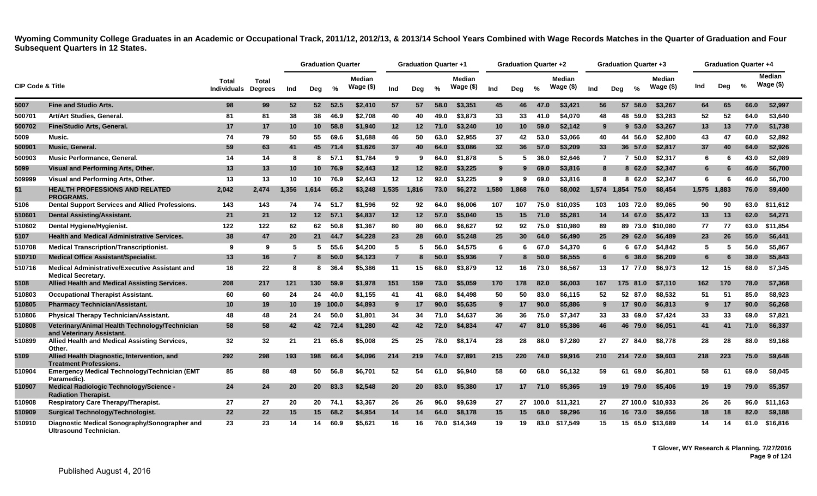|                             |                                                                               |                                    |                                |       | <b>Graduation Quarter</b> |          |                             |                | <b>Graduation Quarter +1</b> |               |                            |                 | <b>Graduation Quarter +2</b> |               |                             |                 |     | <b>Graduation Quarter +3</b> |                            |       | <b>Graduation Quarter +4</b> |               |                             |
|-----------------------------|-------------------------------------------------------------------------------|------------------------------------|--------------------------------|-------|---------------------------|----------|-----------------------------|----------------|------------------------------|---------------|----------------------------|-----------------|------------------------------|---------------|-----------------------------|-----------------|-----|------------------------------|----------------------------|-------|------------------------------|---------------|-----------------------------|
| <b>CIP Code &amp; Title</b> |                                                                               | <b>Total</b><br><b>Individuals</b> | <b>Total</b><br><b>Degrees</b> | Ind   | Deg                       | %        | <b>Median</b><br>Wage $($)$ | Ind            | Dea                          | $\frac{0}{0}$ | <b>Median</b><br>Wage (\$) | Ind             | Deg                          | $\frac{9}{6}$ | <b>Median</b><br>Wage $($)$ | Ind             | Deg | $\frac{0}{0}$                | <b>Median</b><br>Wage (\$) | Ind   | Dea                          | $\frac{9}{6}$ | <b>Median</b><br>Wage $($)$ |
| 5007                        | <b>Fine and Studio Arts.</b>                                                  | 98                                 | 99                             | 52    | 52 <sub>2</sub>           | 52.5     | \$2,410                     | 57             | 57                           | 58.0          | \$3,351                    | 45              | 46                           | 47.0          | \$3,421                     | 56              |     | 57 58.0                      | \$3,267                    | 64    | 65                           | 66.0          | \$2,997                     |
| 500701                      | Art/Art Studies, General.                                                     | 81                                 | 81                             | 38    | 38                        | 46.9     | \$2,708                     | 40             | 40                           | 49.0          | \$3,873                    | 33              | 33                           | 41.0          | \$4,070                     | 48              |     | 48 59.0                      | \$3,283                    | 52    | 52                           | 64.0          | \$3,640                     |
| 500702                      | Fine/Studio Arts, General.                                                    | 17                                 | 17                             | 10    | 10 <sup>1</sup>           | 58.8     | \$1,940                     | 12             | 12                           | 71.0          | \$3,240                    | 10              | 10 <sup>°</sup>              | 59.0          | \$2,142                     | 9               |     | $9\;\;53.0$                  | \$3,267                    | 13    | 13                           | 77.0          | \$1,738                     |
| 5009                        | Music.                                                                        | 74                                 | 79                             | 50    | 55                        | 69.6     | \$1,688                     | 46             | 50                           | 63.0          | \$2,955                    | 37              | 42                           | 53.0          | \$3,066                     | 40              |     | 44 56.0                      | \$2,800                    | 43    | 47                           | 60.0          | \$2,892                     |
| 500901                      | Music, General.                                                               | 59                                 | 63                             | 41    | 45                        | 71.4     | \$1,626                     | 37             | 40                           | 64.0          | \$3,086                    | 32 <sub>2</sub> | 36                           | 57.0          | \$3,209                     | 33              |     | 36 57.0                      | \$2,817                    | 37    | 40                           | 64.0          | \$2,926                     |
| 500903                      | Music Performance, General.                                                   | 14                                 | 14                             | -8    | 8                         | 57.1     | \$1,784                     | 9              | 9                            | 64.0          | \$1,878                    | 5               | 5                            | 36.0          | \$2.646                     | $\overline{7}$  |     | 7 50.0                       | \$2,317                    | 6     | 6                            | 43.0          | \$2,089                     |
| 5099                        | Visual and Performing Arts, Other.                                            | 13                                 | 13                             | 10    | 10 <sup>1</sup>           | 76.9     | \$2,443                     | 12             | 12                           | 92.0          | \$3,225                    | 9               | 9                            | 69.0          | \$3,816                     | 8               |     | 8 62.0                       | \$2,347                    | -6    | 6                            | 46.0          | \$6,700                     |
| 509999                      | Visual and Performing Arts, Other.                                            | 13                                 | 13                             | 10    | 10                        | 76.9     | \$2,443                     | 12             | 12                           | 92.0          | \$3,225                    | 9               | 9                            | 69.0          | \$3,816                     | 8               |     | 62.0<br>8                    | \$2,347                    | -6    | -6                           | 46.0          | \$6,700                     |
| 51                          | <b>HEALTH PROFESSIONS AND RELATED</b><br><b>PROGRAMS.</b>                     | 2,042                              | 2,474                          | 1,356 | 1,614                     | 65.2     | \$3,248                     | 1,535          | 1,816                        | 73.0          | \$6,272                    | 1,580           | 1,868                        | 76.0          | \$8,002                     |                 |     | 1,574 1,854 75.0             | \$8,454                    | 1,575 | 1,883                        | 76.0          | \$9,400                     |
| 5106                        | <b>Dental Support Services and Allied Professions.</b>                        | 143                                | 143                            | 74    | 74                        | 51.7     | \$1,596                     | 92             | 92                           | 64.0          | \$6,006                    | 107             | 107                          | 75.0          | \$10.035                    | 103             | 103 | 72.0                         | \$9.065                    | 90    | 90                           | 63.0          | \$11,612                    |
| 510601                      | <b>Dental Assisting/Assistant.</b>                                            | 21                                 | 21                             | 12    | 12 <sup>2</sup>           | 57.1     | \$4,837                     | 12             | 12                           | 57.0          | \$5,040                    | 15              | 15                           | 71.0          | \$5,281                     | 14              | 14  | 67.0                         | \$5,472                    | 13    | 13                           | 62.0          | \$4,271                     |
| 510602                      | Dental Hygiene/Hygienist.                                                     | 122                                | 122                            | 62    | 62                        | 50.8     | \$1,367                     | 80             | 80                           | 66.0          | \$6,627                    | 92              | 92                           | 75.0          | \$10,980                    | 89              |     |                              | 89 73.0 \$10,080           | 77    | 77                           | 63.0          | \$11,854                    |
| 5107                        | <b>Health and Medical Administrative Services.</b>                            | 38                                 | 47                             | 20    | 21                        | 44.7     | \$4,228                     | 23             | 28                           | 60.0          | \$5,248                    | 25              | 30                           | 64.0          | \$6,490                     | 25              |     | 29 62.0                      | \$6,489                    | 23    | 26                           | 55.0          | \$6,441                     |
| 510708                      | <b>Medical Transcription/Transcriptionist.</b>                                | 9                                  | 9                              | -5    | 5                         | 55.6     | \$4,200                     | 5              | 5                            | 56.0          | \$4,575                    | 6               | 6                            | 67.0          | \$4,370                     | 6               |     | 6 67.0                       | \$4,842                    | -5    | -5                           | 56.0          | \$5,867                     |
| 510710                      | <b>Medical Office Assistant/Specialist.</b>                                   | 13                                 | 16                             | -7    | 8                         | 50.0     | \$4,123                     | $\overline{7}$ | 8                            | 50.0          | \$5,936                    | $\overline{7}$  | 8                            | 50.0          | \$6,555                     | $6\phantom{1}6$ |     | 638.0                        | \$6,209                    | 6     | 6                            | 38.0          | \$5,843                     |
| 510716                      | Medical Administrative/Executive Assistant and<br><b>Medical Secretary.</b>   | 16                                 | 22                             | 8     | 8                         | 36.4     | \$5,386                     | 11             | 15                           | 68.0          | \$3,879                    | 12              | 16                           | 73.0          | \$6,567                     | 13              |     | 17 77.0                      | \$6,973                    | 12    | 15                           | 68.0          | \$7,345                     |
| 5108                        | <b>Allied Health and Medical Assisting Services.</b>                          | 208                                | 217                            | 121   | 130                       | 59.9     | \$1,978                     | 151            | 159                          | 73.0          | \$5,059                    | 170             | 178                          | 82.0          | \$6,003                     | 167             |     | 175 81.0                     | \$7,110                    | 162   | 170                          | 78.0          | \$7,368                     |
| 510803                      | <b>Occupational Therapist Assistant.</b>                                      | 60                                 | 60                             | 24    | 24                        | 40.0     | \$1,155                     | 41             | 41                           | 68.0          | \$4,498                    | 50              | 50                           | 83.0          | \$6.115                     | 52              |     | 52 87.0                      | \$8,532                    | 51    | 51                           | 85.0          | \$8,923                     |
| 510805                      | <b>Pharmacy Technician/Assistant.</b>                                         | 10                                 | 19                             | 10    |                           | 19 100.0 | \$4,893                     | 9              | 17                           | 90.0          | \$5,635                    | 9               | 17                           | 90.0          | \$5,886                     | 9               |     | 17 90.0                      | \$6,813                    |       | -17                          | 90.0          | \$6,268                     |
| 510806                      | Physical Therapy Technician/Assistant.                                        | 48                                 | 48                             | 24    | 24                        | 50.0     | \$1,801                     | 34             | 34                           | 71.0          | \$4,637                    | 36              | 36                           | 75.0          | \$7,347                     | 33              |     | 33 69.0                      | \$7,424                    | 33    | 33                           | 69.0          | \$7,821                     |
| 510808                      | Veterinary/Animal Health Technology/Technician<br>and Veterinary Assistant.   | 58                                 | 58                             | 42    | 42                        | 72.4     | \$1,280                     | 42             | 42                           | 72.0          | \$4,834                    | 47              | 47                           | 81.0          | \$5,386                     | 46              |     | 46 79.0                      | \$6,051                    | 41    | 41                           | 71.0          | \$6,337                     |
| 510899                      | Allied Health and Medical Assisting Services,<br>Other.                       | 32                                 | 32                             | 21    | 21                        | 65.6     | \$5,008                     | 25             | 25                           | 78.0          | \$8.174                    | 28              | 28                           | 88.0          | \$7.280                     | 27              | 27  | 84.0                         | \$8.778                    | 28    | 28                           | 88.0          | \$9.168                     |
| 5109                        | Allied Health Diagnostic, Intervention, and<br><b>Treatment Professions.</b>  | 292                                | 298                            | 193   | 198                       | 66.4     | \$4,096                     | 214            | 219                          | 74.0          | \$7,891                    | 215             | 220                          | 74.0          | \$9,916                     | 210             |     | 214 72.0                     | \$9,603                    | 218   | 223                          | 75.0          | \$9,648                     |
| 510904                      | Emergency Medical Technology/Technician (EMT<br>Paramedic).                   | 85                                 | 88                             | 48    | 50                        | 56.8     | \$6,701                     | 52             | 54                           | 61.0          | \$6,940                    | 58              | 60                           | 68.0          | \$6,132                     | 59              |     | 61 69.0                      | \$6,801                    | 58    | 61                           | 69.0          | \$8,045                     |
| 510907                      | <b>Medical Radiologic Technology/Science -</b><br><b>Radiation Therapist.</b> | 24                                 | 24                             | 20    | 20 <sub>2</sub>           | 83.3     | \$2,548                     | 20             | 20                           | 83.0          | \$5,380                    | 17              | 17                           | 71.0          | \$5,365                     | 19              |     | 19 79.0                      | \$5,406                    | 19    | 19                           | 79.0          | \$5,357                     |
| 510908                      | <b>Respiratory Care Therapy/Therapist.</b>                                    | 27                                 | 27                             | 20    | 20                        | 74.1     | \$3,367                     | 26             | 26                           | 96.0          | \$9,639                    | 27              |                              | 27 100.0      | \$11,321                    | 27              |     | 27 100.0                     | \$10,933                   | 26    | 26                           | 96.0          | \$11,163                    |
| 510909                      | Surgical Technology/Technologist.                                             | 22                                 | 22                             | 15    | 15                        | 68.2     | \$4,954                     | 14             | 14                           | 64.0          | \$8,178                    | 15              | 15 <sub>1</sub>              | 68.0          | \$9,296                     | 16              |     | 16 73.0                      | \$9,656                    | 18    | 18                           | 82.0          | \$9,188                     |
| 510910                      | Diagnostic Medical Sonography/Sonographer and<br>Ultrasound Technician.       | 23                                 | 23                             | 14    | 14                        | 60.9     | \$5,621                     | 16             | 16                           | 70.0          | \$14,349                   | 19              | 19                           | 83.0          | \$17,549                    | 15              |     |                              | 15 65.0 \$13,689           | 14    | 14                           | 61.0          | \$16,816                    |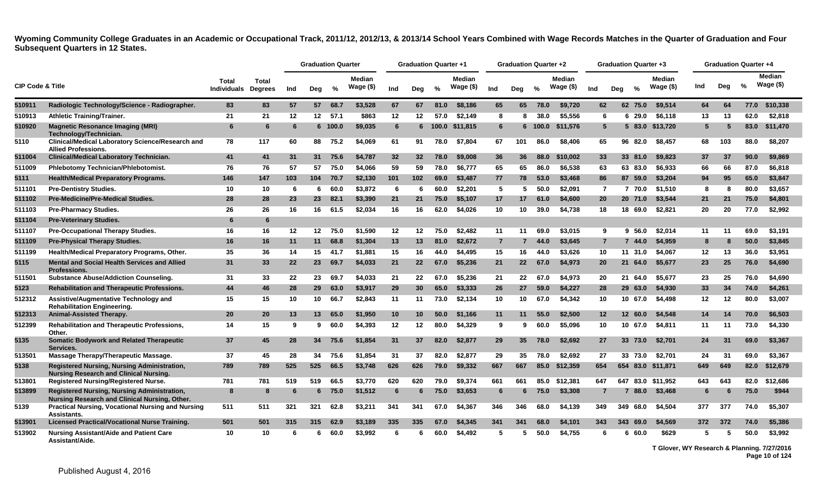|                             |                                                                                                     |                                     |              |     | <b>Graduation Quarter</b> |         |                            |     | <b>Graduation Quarter +1</b> |               |                            |                | <b>Graduation Quarter +2</b> |       |                     |                 | <b>Graduation Quarter +3</b> |          |                            |     | <b>Graduation Quarter +4</b> |               |                             |
|-----------------------------|-----------------------------------------------------------------------------------------------------|-------------------------------------|--------------|-----|---------------------------|---------|----------------------------|-----|------------------------------|---------------|----------------------------|----------------|------------------------------|-------|---------------------|-----------------|------------------------------|----------|----------------------------|-----|------------------------------|---------------|-----------------------------|
| <b>CIP Code &amp; Title</b> |                                                                                                     | Total<br><b>Individuals Degrees</b> | <b>Total</b> | Ind | Deg                       | %       | <b>Median</b><br>Wage (\$) | Ind | Dea                          | $\frac{0}{0}$ | <b>Median</b><br>Wage (\$) | Ind            | Deg                          | %     | Median<br>Wage (\$) | Ind             | Dea                          | %        | <b>Median</b><br>Wage (\$) | Ind | Dea                          | $\frac{0}{2}$ | <b>Median</b><br>Wage $($)$ |
| 510911                      | Radiologic Technology/Science - Radiographer.                                                       | 83                                  | 83           | 57  | 57                        | 68.7    | \$3.528                    | 67  | 67                           | 81.0          | \$8,186                    | 65             | 65                           | 78.0  | \$9.720             | 62              |                              | 62 75.0  | \$9.514                    | 64  | 64                           | 77.0          | \$10,338                    |
| 510913                      | <b>Athletic Training/Trainer.</b>                                                                   | 21                                  | 21           | 12  | 12                        | 57.1    | \$863                      | 12  | 12                           | 57.0          | \$2.149                    | 8              | 8                            | 38.0  | \$5,556             | -6              |                              | 629.0    | \$6,118                    | 13  | 13                           | 62.0          | \$2,818                     |
| 510920                      | <b>Magnetic Resonance Imaging (MRI)</b><br>Technology/Technician.                                   | 6                                   | 6            | -6  |                           | 6 100.0 | \$9,035                    | 6   | 6                            | 100.0         | \$11,815                   | 6              | 6                            | 100.0 | \$11,576            | $5\overline{5}$ |                              | 5 83.0   | \$13,720                   | 5   | 5                            | 83.0          | \$11,470                    |
| 5110                        | <b>Clinical/Medical Laboratory Science/Research and</b><br><b>Allied Professions.</b>               | 78                                  | 117          | 60  | 88                        | 75.2    | \$4,069                    | 61  | 91                           | 78.0          | \$7,804                    | 67             | 101                          | 86.0  | \$8,406             | 65              |                              | 96 82.0  | \$8,457                    | 68  | 103                          | 88.0          | \$8,207                     |
| 511004                      | <b>Clinical/Medical Laboratory Technician.</b>                                                      | 41                                  | 41           | 31  | 31                        | 75.6    | \$4,787                    | 32  | 32                           | 78.0          | \$9,008                    | 36             | 36                           | 88.0  | \$10,002            | 33              |                              | 33 81.0  | \$9,823                    | 37  | -37                          | 90.0          | \$9,869                     |
| 511009                      | <b>Phlebotomy Technician/Phlebotomist.</b>                                                          | 76                                  | 76           | 57  | 57                        | 75.0    | \$4.066                    | 59  | 59                           | 78.0          | \$6,777                    | 65             | 65                           | 86.0  | \$6,538             | 63              |                              | 63 83.0  | \$6,933                    | 66  | 66                           | 87.0          | \$6,818                     |
| 5111                        | <b>Health/Medical Preparatory Programs.</b>                                                         | 146                                 | 147          | 103 | 104                       | 70.7    | \$2,130                    | 101 | 102                          | 69.0          | \$3,487                    | 77             | 78                           | 53.0  | \$3,468             | 86              |                              | 87 59.0  | \$3,204                    | 94  | 95                           | 65.0          | \$3,847                     |
| 511101                      | <b>Pre-Dentistry Studies.</b>                                                                       | 10                                  | 10           | -6  | 6.                        | 60.0    | \$3,872                    | 6   | -6                           | 60.0          | \$2.201                    | 5              | 5                            | 50.0  | \$2.091             | $\overline{7}$  |                              | 7 70.0   | \$1.510                    | -8  | 8                            | 80.0          | \$3.657                     |
| 511102                      | <b>Pre-Medicine/Pre-Medical Studies.</b>                                                            | 28                                  | 28           | 23  | 23                        | 82.1    | \$3,390                    | 21  | 21                           | 75.0          | \$5,107                    | 17             | 17                           | 61.0  | \$4,600             | 20              |                              | 20 71.0  | \$3,544                    | 21  | 21                           | 75.0          | \$4,801                     |
| 511103                      | <b>Pre-Pharmacy Studies.</b>                                                                        | 26                                  | 26           | 16  | 16                        | 61.5    | \$2,034                    | 16  | 16                           | 62.0          | \$4,026                    | 10             | 10                           | 39.0  | \$4,738             | 18              |                              | 18 69.0  | \$2,821                    | 20  | 20                           | 77.0          | \$2,992                     |
| 511104                      | <b>Pre-Veterinary Studies.</b>                                                                      | 6                                   | 6            |     |                           |         |                            |     |                              |               |                            |                |                              |       |                     |                 |                              |          |                            |     |                              |               |                             |
| 511107                      | <b>Pre-Occupational Therapy Studies.</b>                                                            | 16                                  | 16           | 12  |                           | 12 75.0 | \$1.590                    | 12  | 12                           | 75.0          | \$2.482                    | 11             | 11                           | 69.0  | \$3.015             | 9               |                              | 9,56.0   | \$2.014                    | 11  | 11                           | 69.0          | \$3.191                     |
| 511109                      | <b>Pre-Physical Therapy Studies.</b>                                                                | 16                                  | 16           | 11  | 11                        | 68.8    | \$1,304                    | 13  | 13                           | 81.0          | \$2,672                    | $\overline{7}$ |                              | 44.0  | \$3,645             | $\overline{7}$  |                              | 7 44.0   | \$4,959                    |     | 8                            | 50.0          | \$3,845                     |
| 511199                      | Health/Medical Preparatory Programs, Other.                                                         | 35                                  | 36           | 14  | 15                        | 41.7    | \$1.881                    | 15  | 16                           | 44.0          | \$4,495                    | 15             | 16                           | 44.0  | \$3,626             | 10              |                              | 11 31.0  | \$4,067                    | 12  | 13                           | 36.0          | \$3,951                     |
| 5115                        | <b>Mental and Social Health Services and Allied</b><br><b>Professions.</b>                          | 31                                  | 33           | 22  | 23                        | 69.7    | \$4,033                    | 21  | 22                           | 67.0          | \$5,236                    | 21             | 22 <sub>2</sub>              | 67.0  | \$4,973             | 20              |                              | 21 64.0  | \$5,677                    | 23  | 25                           | 76.0          | \$4,690                     |
| 511501                      | <b>Substance Abuse/Addiction Counseling.</b>                                                        | 31                                  | 33           | 22  | 23                        | 69.7    | \$4.033                    | 21  | 22                           | 67.0          | \$5.236                    | 21             | 22                           | 67.0  | \$4,973             | 20              |                              | 21 64.0  | \$5.677                    | 23  | 25                           | 76.0          | \$4,690                     |
| 5123                        | Rehabilitation and Therapeutic Professions.                                                         | 44                                  | 46           | 28  | 29                        | 63.0    | \$3,917                    | 29  | 30 <sup>°</sup>              | 65.0          | \$3,333                    | 26             | 27                           | 59.0  | \$4,227             | 28              |                              | 29 63.0  | \$4,930                    | 33  | 34                           | 74.0          | \$4,261                     |
| 512312                      | Assistive/Augmentative Technology and<br><b>Rehabilitation Engineering.</b>                         | 15                                  | 15           | 10  | 10                        | 66.7    | \$2,843                    | 11  | 11                           | 73.0          | \$2,134                    | 10             | 10                           | 67.0  | \$4,342             | 10              |                              | 10 67.0  | \$4,498                    | 12  | 12                           | 80.0          | \$3,007                     |
| 512313                      | <b>Animal-Assisted Therapy.</b>                                                                     | 20                                  | 20           | 13  | 13 <sup>13</sup>          | 65.0    | \$1,950                    | 10  | 10                           | 50.0          | \$1.166                    | 11             | 11                           | 55.0  | \$2.500             | $12 \,$         |                              | 12 60.0  | \$4,548                    | 14  | 14                           | 70.0          | \$6,503                     |
| 512399                      | <b>Rehabilitation and Therapeutic Professions,</b><br>Other.                                        | 14                                  | 15           | -9  | 9                         | 60.0    | \$4,393                    | 12  | 12                           | 80.0          | \$4,329                    | 9              | 9                            | 60.0  | \$5,096             | 10              |                              | 10 67.0  | \$4,811                    | 11  | 11                           | 73.0          | \$4,330                     |
| 5135                        | <b>Somatic Bodywork and Related Therapeutic</b><br>Services.                                        | 37                                  | 45           | 28  | 34                        | 75.6    | \$1,854                    | 31  | 37                           | 82.0          | \$2,877                    | 29             | 35                           | 78.0  | \$2,692             | 27              |                              | 33 73.0  | \$2,701                    | 24  | 31                           | 69.0          | \$3,367                     |
| 513501                      | Massage Therapy/Therapeutic Massage.                                                                | 37                                  | 45           | 28  | 34                        | 75.6    | \$1.854                    | 31  | 37                           | 82.0          | \$2,877                    | 29             | 35                           | 78.0  | \$2.692             | 27              |                              | 33 73.0  | \$2,701                    | 24  | 31                           | 69.0          | \$3,367                     |
| 5138                        | Registered Nursing, Nursing Administration,<br><b>Nursing Research and Clinical Nursing.</b>        | 789                                 | 789          | 525 | 525                       | 66.5    | \$3,748                    | 626 | 626                          | 79.0          | \$9,332                    | 667            | 667                          | 85.0  | \$12,359            | 654             |                              | 654 83.0 | \$11,871                   | 649 | 649                          | 82.0          | \$12,679                    |
| 513801                      | <b>Registered Nursing/Registered Nurse.</b>                                                         | 781                                 | 781          | 519 | 519                       | 66.5    | \$3.770                    | 620 | 620                          | 79.0          | \$9,374                    | 661            | 661                          | 85.0  | \$12,381            | 647             | 647                          | 83.0     | \$11.952                   | 643 | 643                          | 82.0          | \$12,686                    |
| 513899                      | <b>Registered Nursing, Nursing Administration,</b><br>Nursing Research and Clinical Nursing, Other. | 8                                   | 8            | -6  | 6.                        | 75.0    | \$1,512                    | 6   | 6                            | 75.0          | \$3,653                    | 6              | 6                            | 75.0  | \$3,308             | 7               | 7                            | 88.0     | \$3,468                    | 6   | 6                            | 75.0          | \$944                       |
| 5139                        | <b>Practical Nursing, Vocational Nursing and Nursing</b><br><b>Assistants.</b>                      | 511                                 | 511          | 321 | 321                       | 62.8    | \$3,211                    | 341 | 341                          | 67.0          | \$4,367                    | 346            | 346                          | 68.0  | \$4,139             | 349             | 349                          | 68.0     | \$4,504                    | 377 | 377                          | 74.0          | \$5,307                     |
| 513901                      | <b>Licensed Practical/Vocational Nurse Training.</b>                                                | 501                                 | 501          | 315 | 315                       | 62.9    | \$3.189                    | 335 | 335                          | 67.0          | \$4,345                    | 341            | 341                          | 68.0  | \$4.101             | 343             | 343                          | 69.0     | \$4,569                    | 372 | 372                          | 74.0          | \$5,386                     |
| 513902                      | Nursing Assistant/Aide and Patient Care<br>Assistant/Aide.                                          | 10                                  | 10           | -6  | 6                         | 60.0    | \$3.992                    | 6   | 6                            | 60.0          | \$4.492                    | 5              | 5                            | 50.0  | \$4.755             | 6               | 6                            | 60.0     | \$629                      | 5   | 5                            | 50.0          | \$3.992                     |

**T Glover, WY Research & Planning. 7/27/2016 Page 10 of 124**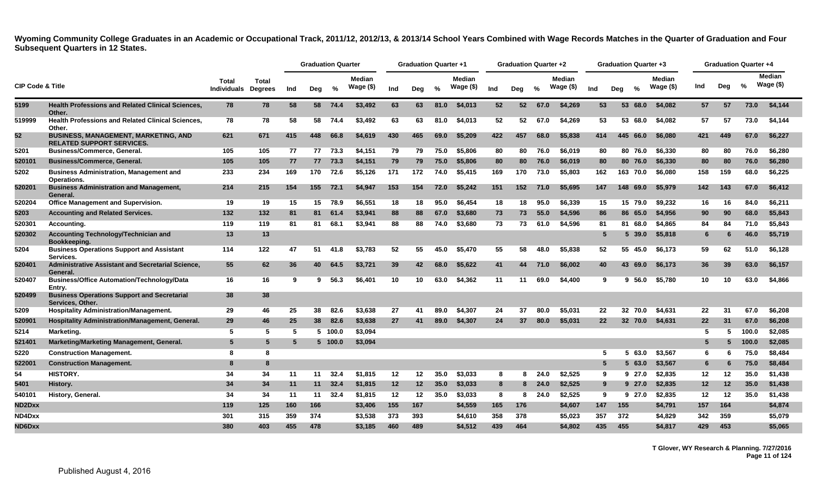|                             |                                                                                 |                             |                         |     | <b>Graduation Quarter</b> |         |                             |     | <b>Graduation Quarter +1</b> |               |                             |     | Graduation Quarter +2 |               |                             |     | <b>Graduation Quarter +3</b> |      |                            |                 |     | <b>Graduation Quarter +4</b> |                            |
|-----------------------------|---------------------------------------------------------------------------------|-----------------------------|-------------------------|-----|---------------------------|---------|-----------------------------|-----|------------------------------|---------------|-----------------------------|-----|-----------------------|---------------|-----------------------------|-----|------------------------------|------|----------------------------|-----------------|-----|------------------------------|----------------------------|
| <b>CIP Code &amp; Title</b> |                                                                                 | Total<br><b>Individuals</b> | Total<br><b>Degrees</b> | Ind | Deg                       | $\%$    | <b>Median</b><br>Wage $($)$ | Ind | Dea                          | $\frac{0}{0}$ | <b>Median</b><br>Wage $($)$ | Ind | Dea                   | $\frac{0}{2}$ | <b>Median</b><br>Wage $($)$ | Ind | $\frac{1}{2}$<br>Dea         |      | <b>Median</b><br>Wage (\$) | Ind             | Deg | $\%$                         | <b>Median</b><br>Wage (\$) |
| 5199                        | <b>Health Professions and Related Clinical Sciences,</b><br>Other.              | 78                          | 78                      | 58  |                           | 58 74.4 | \$3.492                     | 63  | 63                           | 81.0          | \$4,013                     | 52  | 52                    | 67.0          | \$4,269                     | 53  | 53 68.0                      |      | \$4,082                    | 57              | 57  | 73.0                         | \$4,144                    |
| 519999                      | <b>Health Professions and Related Clinical Sciences,</b><br>Other.              | 78                          | 78                      | 58  | 58                        | 74.4    | \$3,492                     | 63  | 63                           | 81.0          | \$4,013                     | 52  | 52                    | 67.0          | \$4,269                     | 53  | 53                           | 68.0 | \$4,082                    | 57              | 57  | 73.0                         | \$4,144                    |
| 52                          | <b>BUSINESS, MANAGEMENT, MARKETING, AND</b><br><b>RELATED SUPPORT SERVICES.</b> | 621                         | 671                     | 415 | 448                       | 66.8    | \$4,619                     | 430 | 465                          | 69.0          | \$5,209                     | 422 | 457                   | 68.0          | \$5,838                     | 414 | 445 66.0                     |      | \$6,080                    | 421             | 449 | 67.0                         | \$6,227                    |
| 5201                        | <b>Business/Commerce, General.</b>                                              | 105                         | 105                     | 77  | 77                        | 73.3    | \$4,151                     | 79  | 79                           | 75.0          | \$5,806                     | 80  | 80                    | 76.0          | \$6,019                     | 80  | 80 76.0                      |      | \$6,330                    | 80              | 80  | 76.0                         | \$6,280                    |
| 520101                      | <b>Business/Commerce, General.</b>                                              | 105                         | 105                     | 77  | 77                        | 73.3    | \$4,151                     | 79  | 79                           | 75.0          | \$5,806                     | 80  | 80                    | 76.0          | \$6,019                     | 80  | 80 76.0                      |      | \$6,330                    | 80              | 80  | 76.0                         | \$6,280                    |
| 5202                        | <b>Business Administration, Management and</b><br>Operations.                   | 233                         | 234                     | 169 | 170                       | 72.6    | \$5,126                     | 171 | 172                          | 74.0          | \$5,415                     | 169 | 170                   | 73.0          | \$5,803                     | 162 | 163 70.0                     |      | \$6,080                    | 158             | 159 | 68.0                         | \$6,225                    |
| 520201                      | <b>Business Administration and Management,</b><br>General.                      | 214                         | 215                     | 154 | 155                       | 72.1    | \$4,947                     | 153 | 154                          | 72.0          | \$5,242                     | 151 | 152                   | 71.0          | \$5,695                     | 147 | 148 69.0                     |      | \$5,979                    | 142             | 143 | 67.0                         | \$6,412                    |
| 520204                      | <b>Office Management and Supervision.</b>                                       | 19                          | 19                      | 15  | 15                        | 78.9    | \$6.551                     | 18  | 18                           | 95.0          | \$6.454                     | 18  | 18                    | 95.0          | \$6,339                     | 15  | 15 79.0                      |      | \$9.232                    | 16              | 16  | 84.0                         | \$6.211                    |
| 5203                        | <b>Accounting and Related Services.</b>                                         | 132                         | 132                     | 81  | 81                        | 61.4    | \$3,941                     | 88  | 88                           | 67.0          | \$3,680                     | 73  | 73                    | 55.0          | \$4,596                     | 86  | 86 65.0                      |      | \$4,956                    | 90              | 90  | 68.0                         | \$5,843                    |
| 520301                      | Accounting.                                                                     | 119                         | 119                     | 81  | 81                        | 68.1    | \$3,941                     | 88  | 88                           | 74.0          | \$3,680                     | 73  | 73                    | 61.0          | \$4.596                     | 81  | 81                           | 68.0 | \$4.865                    | 84              | 84  | 71.0                         | \$5.843                    |
| 520302                      | <b>Accounting Technology/Technician and</b><br>Bookkeeping.                     | 13                          | 13                      |     |                           |         |                             |     |                              |               |                             |     |                       |               |                             | 5   | 5 39.0                       |      | \$5,818                    | 6               | 6   | 46.0                         | \$5,719                    |
| 5204                        | <b>Business Operations Support and Assistant</b><br>Services.                   | 114                         | 122                     | 47  | 51                        | 41.8    | \$3,783                     | 52  | 55                           | 45.0          | \$5,470                     | 55  | 58                    | 48.0          | \$5,838                     | 52  | 55 45.0                      |      | \$6,173                    | 59              | 62  | 51.0                         | \$6,128                    |
| 520401                      | Administrative Assistant and Secretarial Science,<br>General.                   | 55                          | 62                      | 36  | 40                        | 64.5    | \$3,721                     | 39  | 42                           | 68.0          | \$5,622                     | 41  | 44                    | 71.0          | \$6.002                     | 40  | 43 69.0                      |      | \$6,173                    | 36              | 39  | 63.0                         | \$6,157                    |
| 520407                      | <b>Business/Office Automation/Technology/Data</b><br>Entry.                     | 16                          | 16                      | -9  | 9                         | 56.3    | \$6,401                     | 10  | 10                           | 63.0          | \$4,362                     | 11  | 11                    | 69.0          | \$4,400                     | 9   | 9,56.0                       |      | \$5,780                    | 10              | 10  | 63.0                         | \$4,866                    |
| 520499                      | <b>Business Operations Support and Secretarial</b><br>Services. Other.          | 38                          | 38                      |     |                           |         |                             |     |                              |               |                             |     |                       |               |                             |     |                              |      |                            |                 |     |                              |                            |
| 5209                        | <b>Hospitality Administration/Management.</b>                                   | 29                          | 46                      | 25  | 38                        | 82.6    | \$3,638                     | 27  | 41                           | 89.0          | \$4,307                     | 24  | 37                    | 80.0          | \$5.031                     | 22  | 32 70.0                      |      | \$4,631                    | 22              | 31  | 67.0                         | \$6,208                    |
| 520901                      | Hospitality Administration/Management, General.                                 | 29                          | 46                      | 25  | 38 <sup>°</sup>           | 82.6    | \$3,638                     | 27  | 41                           | 89.0          | \$4,307                     | 24  | 37                    | 80.0          | \$5,031                     | 22  | 32 70.0                      |      | \$4,631                    | 22              | 31  | 67.0                         | \$6,208                    |
| 5214                        | Marketing.                                                                      | -5                          | 5                       | -5  |                           | 5 100.0 | \$3.094                     |     |                              |               |                             |     |                       |               |                             |     |                              |      |                            | 5               | -5  | 100.0                        | \$2.085                    |
| 521401                      | Marketing/Marketing Management, General.                                        | 5                           | 5                       | -5  |                           | 5 100.0 | \$3,094                     |     |                              |               |                             |     |                       |               |                             |     |                              |      |                            | 5               | 5   | 100.0                        | \$2,085                    |
| 5220                        | <b>Construction Management.</b>                                                 | -8                          | 8                       |     |                           |         |                             |     |                              |               |                             |     |                       |               |                             | 5   |                              | 63.0 | \$3.567                    | 6               |     | 75.0                         | \$8,484                    |
| 522001                      | <b>Construction Management.</b>                                                 | -8                          | 8                       |     |                           |         |                             |     |                              |               |                             |     |                       |               |                             | 5   | 5 63.0                       |      | \$3,567                    | 6               | 6   | 75.0                         | \$8,484                    |
| 54                          | <b>HISTORY.</b>                                                                 | 34                          | 34                      | 11  | 11                        | 32.4    | \$1,815                     | 12  | 12                           | 35.0          | \$3,033                     | 8   | 8                     | 24.0          | \$2,525                     | 9   | 9 27.0                       |      | \$2,835                    | $12 \,$         | 12  | 35.0                         | \$1,438                    |
| 5401                        | History.                                                                        | 34                          | 34                      | 11  | 11                        | 32.4    | \$1,815                     | 12  | 12                           | 35.0          | \$3,033                     | 8   | 8                     | 24.0          | \$2,525                     | 9   | 927.0                        |      | \$2,835                    | 12 <sub>2</sub> | 12  | 35.0                         | \$1,438                    |
| 54010٬                      | History, General.                                                               | 34                          | 34                      | 11  | 11                        | 32.4    | \$1,815                     | 12  | 12                           | 35.0          | \$3,033                     | 8   | 8                     | 24.0          | \$2,525                     | 9   | 9 27.0                       |      | \$2,835                    | 12              | 12  | 35.0                         | \$1,438                    |
| ND2Dxx                      |                                                                                 | 119                         | 125                     | 160 | 166                       |         | \$3,406                     | 155 | 167                          |               | \$4,559                     | 165 | 176                   |               | \$4,607                     | 147 | 155                          |      | \$4,791                    | 157             | 164 |                              | \$4,874                    |
| ND4Dxx                      |                                                                                 | 301                         | 315                     | 359 | 374                       |         | \$3,538                     | 373 | 393                          |               | \$4,610                     | 358 | 378                   |               | \$5,023                     | 357 | 372                          |      | \$4,829                    | 342             | 359 |                              | \$5,079                    |
| ND6Dxx                      |                                                                                 | 380                         | 403                     | 455 | 478                       |         | \$3.185                     | 460 | 489                          |               | \$4.512                     | 439 | 464                   |               | \$4.802                     | 435 | 455                          |      | \$4.817                    | 429             | 453 |                              | \$5.065                    |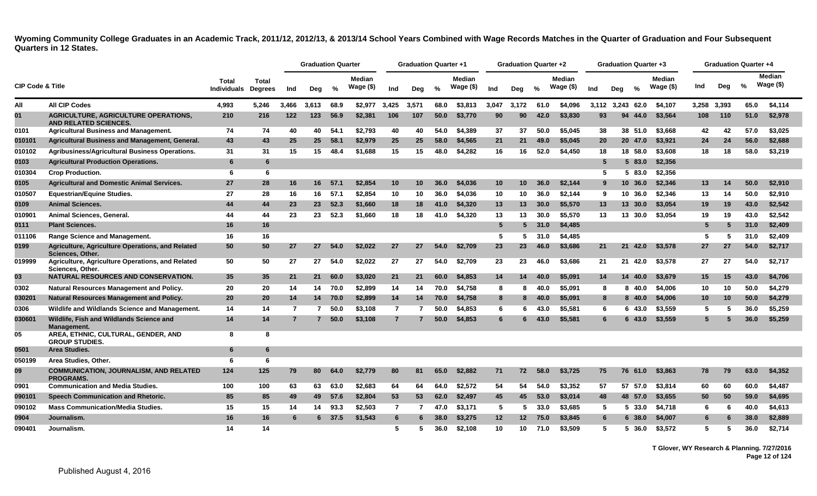<span id="page-12-0"></span>

|                             |                                                                      |                             |                                |                | <b>Graduation Quarter</b> |       |                     |                | <b>Graduation Quarter +1</b> |      |                            |                 | <b>Graduation Quarter +2</b> |      |                            |       | <b>Graduation Quarter +3</b> |         |                     |             | <b>Graduation Quarter +4</b> |      |                     |
|-----------------------------|----------------------------------------------------------------------|-----------------------------|--------------------------------|----------------|---------------------------|-------|---------------------|----------------|------------------------------|------|----------------------------|-----------------|------------------------------|------|----------------------------|-------|------------------------------|---------|---------------------|-------------|------------------------------|------|---------------------|
| <b>CIP Code &amp; Title</b> |                                                                      | Total<br><b>Individuals</b> | <b>Total</b><br><b>Degrees</b> | Ind            | Deg                       | %     | Median<br>Wage (\$) | Ind            | Deg                          | %    | <b>Median</b><br>Wage (\$) | Ind             | Deg                          | %    | <b>Median</b><br>Wage (\$) | Ind   | Dea                          | %       | Median<br>Wage (\$) | Ind         | Deg                          | %    | Median<br>Wage (\$) |
| All                         | <b>All CIP Codes</b>                                                 | 4.993                       | 5.246                          | 3.466          | 3.613                     | 68.9  | \$2,977             | 3,425          | 3,571                        | 68.0 | \$3.813                    | 3.047           | 3.172                        | 61.0 | \$4.096                    | 3.112 | 3.243                        | 62.0    | \$4,107             | 3.258 3.393 |                              | 65.0 | \$4,114             |
| 01                          | AGRICULTURE, AGRICULTURE OPERATIONS,<br><b>AND RELATED SCIENCES.</b> | 210                         | 216                            | 122            | 123                       | 56.9  | \$2,381             | 106            | 107                          | 50.0 | \$3,770                    | 90              | 90                           | 42.0 | \$3,830                    | 93    | 94                           | 44.0    | \$3,564             | 108         | 110                          | 51.0 | \$2,978             |
| 0101                        | <b>Agricultural Business and Management.</b>                         | 74                          | 74                             | 40             | 40                        | 54.1  | \$2.793             | 40             | 40                           | 54.0 | \$4.389                    | 37              | 37                           | 50.0 | \$5.045                    | 38    |                              | 38 51.0 | \$3.668             | 42          | -42                          | 57.0 | \$3,025             |
| 010101                      | Agricultural Business and Management, General.                       | 43                          | 43                             | 25             | 25                        | 58.1  | \$2,979             | 25             | 25                           | 58.0 | \$4,565                    | 21              | 21                           | 49.0 | \$5,045                    | 20    |                              | 20 47.0 | \$3,921             | 24          | 24                           | 56.0 | \$2,688             |
| 010102                      | Agribusiness/Agricultural Business Operations.                       | 31                          | 31                             | 15             | 15                        | 48.4  | \$1,688             | 15             | 15                           | 48.0 | \$4,282                    | 16              | 16                           | 52.0 | \$4,450                    | 18    |                              | 18 58.0 | \$3,608             | 18          | 18                           | 58.0 | \$3,219             |
| 0103                        | <b>Agricultural Production Operations.</b>                           | 6                           | 6                              |                |                           |       |                     |                |                              |      |                            |                 |                              |      |                            |       |                              | 5 83.0  | \$2,356             |             |                              |      |                     |
| 010304                      | <b>Crop Production.</b>                                              | 6                           | 6                              |                |                           |       |                     |                |                              |      |                            |                 |                              |      |                            | 5     |                              | 5 83.0  | \$2.356             |             |                              |      |                     |
| 0105                        | <b>Agricultural and Domestic Animal Services.</b>                    | 27                          | 28                             | 16             | 16                        | .57.1 | \$2.854             | 10             | 10                           | 36.0 | \$4,036                    | 10              | 10                           | 36.0 | \$2,144                    | 9     |                              | 10 36.0 | \$2,346             | 13          | 14                           | 50.0 | \$2,910             |
| 010507                      | <b>Equestrian/Equine Studies.</b>                                    | 27                          | 28                             | 16             | 16                        | 57.1  | \$2.854             | 10             | 10                           | 36.0 | \$4.036                    | 10              | 10                           | 36.0 | \$2,144                    | 9     |                              | 10 36.0 | \$2.346             | 13          | 14                           | 50.0 | \$2,910             |
| 0109                        | <b>Animal Sciences.</b>                                              | 44                          | 44                             | 23             | 23                        | 52.3  | \$1,660             | 18             | 18                           | 41.0 | \$4,320                    | 13              | 13                           | 30.0 | \$5,570                    | 13    |                              | 13 30.0 | \$3,054             | 19          | 19                           | 43.0 | \$2,542             |
| 010901                      | Animal Sciences, General.                                            | 44                          | 44                             | 23             | 23                        | 52.3  | \$1,660             | 18             | 18                           | 41.0 | \$4,320                    | 13              | 13                           | 30.0 | \$5,570                    | 13    |                              | 13 30.0 | \$3.054             | 19          | 19                           | 43.0 | \$2,542             |
| 0111                        | <b>Plant Sciences.</b>                                               | 16                          | 16                             |                |                           |       |                     |                |                              |      |                            | 5               | 5.                           | 31.0 | \$4,485                    |       |                              |         |                     | 5           |                              | 31.0 | \$2,409             |
| 011106                      | <b>Range Science and Management.</b>                                 | 16                          | 16                             |                |                           |       |                     |                |                              |      |                            | 5               |                              | 31.0 | \$4,485                    |       |                              |         |                     | 5           |                              | 31.0 | \$2.409             |
| 0199                        | Agriculture, Agriculture Operations, and Related<br>Sciences, Other. | 50                          | 50                             | 27             | 27                        | 54.0  | \$2.022             | 27             | 27                           | 54.0 | \$2.709                    | 23              | 23                           | 46.0 | \$3,686                    | 21    |                              | 21 42.0 | \$3.578             | 27          | 27                           | 54.0 | \$2,717             |
| 019999                      | Agriculture, Agriculture Operations, and Related<br>Sciences, Other. | 50                          | 50                             | 27             | 27                        | 54.0  | \$2.022             | 27             | 27                           | 54.0 | \$2.709                    | 23              | 23                           | 46.0 | \$3,686                    | 21    |                              | 21 42.0 | \$3.578             | 27          | 27                           | 54.0 | \$2,717             |
| 03                          | <b>NATURAL RESOURCES AND CONSERVATION.</b>                           | 35                          | 35                             | 21             | 21                        | 60.0  | \$3,020             | 21             | 21                           | 60.0 | \$4,853                    | 14              | 14                           | 40.0 | \$5,091                    | 14    |                              | 14 40.0 | \$3,679             | 15          | 15                           | 43.0 | \$4,706             |
| 0302                        | <b>Natural Resources Management and Policy.</b>                      | 20                          | 20                             | 14             | 14                        | 70.0  | \$2.899             | 14             | 14                           | 70.0 | \$4.758                    | 8               | 8                            | 40.0 | \$5.091                    | 8     |                              | 8 40.0  | \$4.006             | 10          | 10                           | 50.0 | \$4,279             |
| 030201                      | Natural Resources Management and Policy.                             | 20                          | 20                             | 14             | 14                        | 70.0  | \$2,899             | 14             | 14                           | 70.0 | \$4.758                    | 8               | 8                            | 40.0 | \$5,091                    | 8     |                              | 8 40.0  | \$4,006             | 10          | 10                           | 50.0 | \$4,279             |
| 0306                        | Wildlife and Wildlands Science and Management.                       | 14                          | 14                             | 7              |                           | 50.0  | \$3,108             | $\overline{7}$ | 7                            | 50.0 | \$4,853                    | 6               | 6                            | 43.0 | \$5,581                    | 6     |                              | 6 43.0  | \$3,559             | 5           | 5                            | 36.0 | \$5,259             |
| 030601                      | Wildlife, Fish and Wildlands Science and<br>Management.              | 14                          | 14                             | $\overline{7}$ |                           | 50.0  | \$3,108             | $\overline{7}$ |                              | 50.0 | \$4,853                    | 6               |                              | 43.0 | \$5,581                    | 6     |                              | 6 43.0  | \$3,559             |             |                              | 36.0 | \$5,259             |
| 05                          | AREA, ETHNIC, CULTURAL, GENDER, AND<br><b>GROUP STUDIES.</b>         | 8                           | 8                              |                |                           |       |                     |                |                              |      |                            |                 |                              |      |                            |       |                              |         |                     |             |                              |      |                     |
| 0501                        | Area Studies.                                                        | 6                           | 6                              |                |                           |       |                     |                |                              |      |                            |                 |                              |      |                            |       |                              |         |                     |             |                              |      |                     |
| 050199                      | Area Studies, Other.                                                 | 6                           | 6                              |                |                           |       |                     |                |                              |      |                            |                 |                              |      |                            |       |                              |         |                     |             |                              |      |                     |
| 09                          | <b>COMMUNICATION, JOURNALISM, AND RELATED</b><br><b>PROGRAMS.</b>    | 124                         | 125                            | 79             | 80                        | 64.0  | \$2,779             | 80             | 81                           | 65.0 | \$2,882                    | 71              | 72                           | 58.0 | \$3,725                    | 75    |                              | 76 61.0 | \$3,863             | 78          | 79                           | 63.0 | \$4,352             |
| 0901                        | <b>Communication and Media Studies.</b>                              | 100                         | 100                            | 63             | 63                        | 63.0  | \$2.683             | 64             | 64                           | 64.0 | \$2,572                    | 54              | 54                           | 54.0 | \$3,352                    | 57    |                              | 57 57.0 | \$3,814             | 60          | 60                           | 60.0 | \$4,487             |
| 090101                      | Speech Communication and Rhetoric.                                   | 85                          | 85                             | 49             | 49                        | 57.6  | \$2,804             | 53             | 53                           | 62.0 | \$2,497                    | 45              | 45                           | 53.0 | \$3,014                    | 48    |                              | 48 57.0 | \$3,655             | 50          | 50                           | 59.0 | \$4,695             |
| 090102                      | <b>Mass Communication/Media Studies.</b>                             | 15                          | 15                             | 14             | 14                        | 93.3  | \$2,503             | $\overline{7}$ | 7                            | 47.0 | \$3,171                    | 5               | 5                            | 33.0 | \$3,685                    | -5    |                              | 5 33.0  | \$4,718             | 6           | 6                            | 40.0 | \$4,613             |
| 0904                        | Journalism.                                                          | 16                          | 16                             | 6              | 6.                        | 37.5  | \$1.543             | 6              | 6                            | 38.0 | \$3,275                    | 12 <sub>2</sub> | $12 \,$                      | 75.0 | \$3,845                    | 6     |                              | 6 38.0  | \$4,007             | -6          |                              | 38.0 | \$2,889             |
| 090401                      | Journalism.                                                          | 14                          | 14                             |                |                           |       |                     | 5              | 5.                           | 36.0 | \$2,108                    | 10              | 10                           | 71.0 | \$3.509                    | 5     |                              | 5 36.0  | \$3.572             | 5           | 5                            | 36.0 | \$2.714             |

**T Glover, WY Research & Planning. 7/27/2016 Page 12 of 124**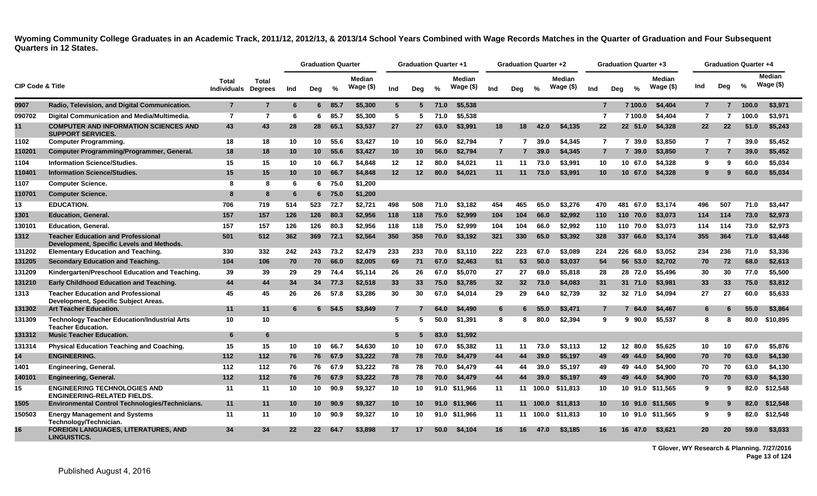|                             |                                                                                        |                                     |                |     | <b>Graduation Quarter</b> |        |                            |                 | <b>Graduation Quarter +1</b> |      |                            |                | <b>Graduation Quarter +2</b> |       |                               |                | <b>Graduation Quarter +3</b> |                            |                | <b>Graduation Quarter +4</b> |       |                              |
|-----------------------------|----------------------------------------------------------------------------------------|-------------------------------------|----------------|-----|---------------------------|--------|----------------------------|-----------------|------------------------------|------|----------------------------|----------------|------------------------------|-------|-------------------------------|----------------|------------------------------|----------------------------|----------------|------------------------------|-------|------------------------------|
| <b>CIP Code &amp; Title</b> |                                                                                        | Total<br><b>Individuals Degrees</b> | <b>Total</b>   | Ind | Deg                       | %      | <b>Median</b><br>Wage (\$) | Ind             | Deg                          | $\%$ | <b>Median</b><br>Wage (\$) | Ind            | Deg                          | %     | <b>Median</b><br>Wage $($ \$) | Ind            | $\frac{0}{0}$<br>Deg         | <b>Median</b><br>Wage (\$) | Ind            | Deg                          | $\%$  | <b>Median</b><br>Wage $(\$)$ |
| 0907                        | Radio, Television, and Digital Communication.                                          | $\overline{7}$                      | $\overline{7}$ | 6   | 6                         | 85.7   | \$5,300                    | $5\overline{ }$ | 5                            | 71.0 | \$5,538                    |                |                              |       |                               | $\overline{7}$ | 7 100.0                      | \$4,404                    | $\overline{7}$ | $\overline{7}$               | 100.0 | \$3,971                      |
| 090702                      | Digital Communication and Media/Multimedia.                                            | $\overline{7}$                      | $\overline{7}$ | 6   | 6.                        | 85.7   | \$5,300                    | 5               | 5                            | 71.0 | \$5,538                    |                |                              |       |                               | 7              | 7 100.0                      | \$4,404                    | $\overline{7}$ | 7                            | 100.0 | \$3,971                      |
| 11                          | <b>COMPUTER AND INFORMATION SCIENCES AND</b><br><b>SUPPORT SERVICES.</b>               | 43                                  | 43             | 28  | 28                        | 65.1   | \$3,537                    | 27              | 27                           | 63.0 | \$3,991                    | 18             | 18                           | 42.0  | \$4.135                       | 22             | 22 51.0                      | \$4,328                    | 22             | 22                           | 51.0  | \$5,243                      |
| 1102                        | <b>Computer Programming.</b>                                                           | 18                                  | 18             | 10  | 10                        | 55.6   | \$3,427                    | 10              | 10                           | 56.0 | \$2,794                    | $\overline{7}$ | 7                            | 39.0  | \$4.345                       | $\overline{7}$ | 7 39.0                       | \$3,850                    | 7              | 7                            | 39.0  | \$5.452                      |
| 110201                      | Computer Programming/Programmer, General.                                              | 18                                  | 18             | 10  | 10 <sup>°</sup>           | 55.6   | \$3,427                    | 10              | 10                           | 56.0 | \$2,794                    | $\overline{7}$ |                              | 39.0  | \$4,345                       | $\overline{7}$ | 7 39.0                       | \$3,850                    |                | $\overline{7}$               | 39.0  | \$5,452                      |
| 1104                        | <b>Information Science/Studies.</b>                                                    | 15                                  | 15             | 10  | 10                        | 66.7   | \$4,848                    | 12              | 12                           | 80.0 | \$4,021                    | 11             | 11                           | 73.0  | \$3.991                       | 10             | 10 67.0                      | \$4,328                    | 9              | 9                            | 60.0  | \$5,034                      |
| 110401                      | <b>Information Science/Studies.</b>                                                    | 15                                  | 15             | 10  | 10 <sup>°</sup>           | 66.7   | \$4,848                    | 12 <sub>2</sub> | 12                           | 80.0 | \$4,021                    | 11             | 11                           | 73.0  | \$3,991                       | 10             | 10 67.0                      | \$4,328                    |                |                              | 60.0  | \$5,034                      |
| 1107                        | <b>Computer Science.</b>                                                               | 8                                   | 8              | -6  | 6.                        | 75.0   | \$1,200                    |                 |                              |      |                            |                |                              |       |                               |                |                              |                            |                |                              |       |                              |
| 110701                      | <b>Computer Science.</b>                                                               | 8                                   | 8              | 6   |                           | 6 75.0 | \$1,200                    |                 |                              |      |                            |                |                              |       |                               |                |                              |                            |                |                              |       |                              |
| 13                          | <b>EDUCATION.</b>                                                                      | 706                                 | 719            | 514 | 523                       | 72.7   | \$2.721                    | 498             | 508                          | 71.0 | \$3.182                    | 454            | 465                          | 65.0  | \$3.276                       | 470            | 481<br>67.0                  | \$3.174                    | 496            | 507                          | 71.0  | \$3,447                      |
| 1301                        | <b>Education, General.</b>                                                             | 157                                 | 157            | 126 | 126                       | 80.3   | \$2,956                    | 118             | 118                          | 75.0 | \$2,999                    | 104            | 104                          | 66.0  | \$2,992                       | 110            | 110 70.0                     | \$3,073                    | 114            | 114                          | 73.0  | \$2,973                      |
| 130101                      | <b>Education, General.</b>                                                             | 157                                 | 157            | 126 | 126                       | 80.3   | \$2,956                    | 118             | 118                          | 75.0 | \$2,999                    | 104            | 104                          | 66.0  | \$2.992                       | 110            | 110 70.0                     | \$3,073                    | 114            | 114                          | 73.0  | \$2,973                      |
| 1312                        | <b>Teacher Education and Professional</b><br>Development, Specific Levels and Methods. | 501                                 | 512            | 362 | 369                       | 72.1   | \$2,564                    | 350             | 358                          | 70.0 | \$3,192                    | 321            | 330                          | 65.0  | \$3,392                       | 328            | 337 66.0                     | \$3,174                    | 355            | 364                          | 71.0  | \$3,448                      |
| 131202                      | <b>Elementary Education and Teaching.</b>                                              | 330                                 | 332            | 242 | 243                       | 73.2   | \$2,479                    | 233             | 233                          | 70.0 | \$3.110                    | 222            | 223                          | 67.0  | \$3.089                       | 224            | 226 68.0                     | \$3.052                    | 234            | 236                          | 71.0  | \$3,336                      |
| 131205                      | Secondary Education and Teaching.                                                      | 104                                 | 106            | 70  | 70                        | 66.0   | \$2,005                    | 69              | 71                           | 67.0 | \$2,463                    | 51             | 53                           | 50.0  | \$3,037                       | 54             | 56 53.0                      | \$2,702                    | 70             | 72                           | 68.0  | \$2,613                      |
| 131209                      | Kindergarten/Preschool Education and Teaching.                                         | 39                                  | 39             | 29  | 29                        | 74.4   | \$5.114                    | 26              | 26                           | 67.0 | \$5,070                    | 27             | 27                           | 69.0  | \$5.818                       | 28             | 28 72.0                      | \$5.496                    | 30             | 30                           | 77.0  | \$5.500                      |
| 131210                      | <b>Early Childhood Education and Teaching.</b>                                         | 44                                  | 44             | 34  | 34                        | 77.3   | \$2,518                    | 33              | 33                           | 75.0 | \$3,785                    | 32             | 32 <sub>2</sub>              | 73.0  | \$4,083                       | 31             | 31 71.0                      | \$3,981                    | 33             | 33                           | 75.0  | \$3,812                      |
| 1313                        | <b>Teacher Education and Professional</b><br>Development, Specific Subject Areas.      | 45                                  | 45             | 26  | 26                        | 57.8   | \$3,286                    | 30              | 30                           | 67.0 | \$4,014                    | 29             | 29                           | 64.0  | \$2,739                       | 32             | 32 71.0                      | \$4.094                    | 27             | 27                           | 60.0  | \$5,633                      |
| 131302                      | <b>Art Teacher Education.</b>                                                          | 11                                  | 11             | 6   | 6.                        | 54.5   | \$3,849                    | $\overline{7}$  |                              | 64.0 | \$4,490                    | 6              | 6                            | 55.0  | \$3,471                       | 7              | 7<br>64.0                    | \$4,467                    | 6              |                              | 55.0  | \$3,864                      |
| 131309                      | <b>Technology Teacher Education/Industrial Arts</b><br><b>Teacher Education.</b>       | 10                                  | 10             |     |                           |        |                            | 5               | 5                            | 50.0 | \$1,391                    | 8              | 8                            | 80.0  | \$2.394                       | 9              | $9\ 90.0$                    | \$5,537                    | 8              | 8                            | 80.0  | \$10,895                     |
| 131312                      | <b>Music Teacher Education.</b>                                                        | 6                                   | 6              |     |                           |        |                            | 5               |                              | 83.0 | \$1,592                    |                |                              |       |                               |                |                              |                            |                |                              |       |                              |
| 131314                      | <b>Physical Education Teaching and Coaching.</b>                                       | 15                                  | 15             | 10  | 10                        | 66.7   | \$4,630                    | 10              | 10                           | 67.0 | \$5.382                    | 11             | 11                           | 73.0  | \$3.113                       | $12 \,$        | 12 80.0                      | \$5.625                    | 10             | 10                           | 67.0  | \$5,876                      |
| 14                          | <b>ENGINEERING.</b>                                                                    | 112                                 | 112            | 76  | 76                        | 67.9   | \$3,222                    | 78              | 78                           | 70.0 | \$4,479                    | 44             | 44                           | 39.0  | \$5,197                       | 49             | 49 44.0                      | \$4,900                    | 70             | 70                           | 63.0  | \$4,130                      |
| 1401                        | Engineering, General.                                                                  | 112                                 | 112            | 76  | 76                        | 67.9   | \$3.222                    | 78              | 78                           | 70.0 | \$4,479                    | 44             | 44                           | 39.0  | \$5.197                       | 49             | 49 44.0                      | \$4.900                    | 70             | 70                           | 63.0  | \$4.130                      |
| 140101                      | <b>Engineering, General.</b>                                                           | 112                                 | 112            | 76  | 76                        | 67.9   | \$3,222                    | 78              | 78                           | 70.0 | \$4,479                    | 44             | 44                           | 39.0  | \$5,197                       | 49             | 49 44.0                      | \$4,900                    | 70             | 70                           | 63.0  | \$4,130                      |
| 15                          | <b>ENGINEERING TECHNOLOGIES AND</b><br><b>ENGINEERING-RELATED FIELDS.</b>              | 11                                  | 11             | 10  | 10                        | 90.9   | \$9,327                    | 10              | 10                           |      | 91.0 \$11.966              | 11             | 11                           | 100.0 | \$11.813                      | 10             |                              | 10 91.0 \$11.565           | 9              | ാ                            | 82.0  | \$12,548                     |
| 1505                        | Environmental Control Technologies/Technicians.                                        | 11                                  | 11             | 10  | 10 <sup>1</sup>           | 90.9   | \$9,327                    | 10              | 10                           | 91.0 | \$11,966                   | 11             | 11                           | 100.0 | \$11,813                      | 10             |                              | 10 91.0 \$11,565           | 9              |                              | 82.0  | \$12,548                     |
| 150503                      | <b>Energy Management and Systems</b><br>Technology/Technician.                         | 11                                  | 11             | 10  | 10                        | 90.9   | \$9,327                    | 10              | 10                           |      | 91.0 \$11,966              | 11             | 11                           | 100.0 | \$11,813                      | 10             |                              | 10 91.0 \$11,565           | 9              | 9                            | 82.0  | \$12,548                     |
| 16                          | <b>FOREIGN LANGUAGES, LITERATURES, AND</b><br>LINGUISTICS.                             | 34                                  | 34             | 22  | 22 <sub>2</sub>           | 64.7   | \$3,898                    | 17              | 17                           | 50.0 | \$4.104                    | 16             | 16                           | 47.0  | \$3.185                       | 16             | 16 47.0                      | \$3.621                    | <b>20</b>      | <b>20</b>                    | 59.0  | \$3,033                      |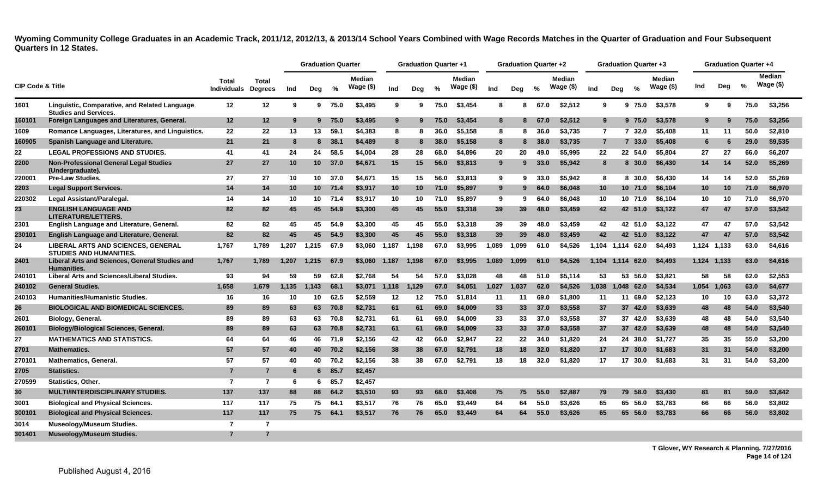|        |                                                                               |                |                                            |       | <b>Graduation Quarter</b> |         |                            |         | <b>Graduation Quarter +1</b> |      |                      |       | <b>Graduation Quarter +2</b> |      |                            |                | <b>Graduation Quarter +3</b> |            |                               |             |       | <b>Graduation Quarter +4</b> |                     |
|--------|-------------------------------------------------------------------------------|----------------|--------------------------------------------|-------|---------------------------|---------|----------------------------|---------|------------------------------|------|----------------------|-------|------------------------------|------|----------------------------|----------------|------------------------------|------------|-------------------------------|-------------|-------|------------------------------|---------------------|
|        | <b>CIP Code &amp; Title</b>                                                   |                | <b>Total</b><br><b>Individuals Degrees</b> | Ind   | Deg                       | %       | <b>Median</b><br>Wage (\$) | Ind     | Deg                          | %    | Median<br>Wage $($)$ | Ind   | Deg                          | $\%$ | <b>Median</b><br>Wage (\$) | Ind            | Deg                          | %          | <b>Median</b><br>Wage $($ \$) | Ind         | Deg   | %                            | Median<br>Wage (\$) |
| 1601   | Linguistic, Comparative, and Related Language<br><b>Studies and Services.</b> | 12             | 12                                         | 9     |                           | 9 75.0  | \$3,495                    | 9       | 9                            | 75.0 | \$3,454              | 8     | 8                            | 67.0 | \$2,512                    | 9              |                              | 9 75.0     | \$3,578                       | 9           | 9     | 75.0                         | \$3,256             |
| 160101 | Foreign Languages and Literatures, General.                                   | 12             | 12                                         | 9     | 9                         | 75.0    | \$3,495                    | 9       | 9                            | 75.0 | \$3,454              | 8     | 8                            | 67.0 | \$2,512                    | 9              |                              | 9 75.0     | \$3,578                       | 9           | 9     | 75.0                         | \$3,256             |
| 1609   | Romance Languages, Literatures, and Linguistics.                              | 22             | 22                                         | 13    | 13                        | 59.1    | \$4.383                    | 8       | 8                            | 36.0 | \$5.158              | 8     | 8                            | 36.0 | \$3.735                    | $\overline{7}$ |                              | 732.0      | \$5.408                       | 11          | 11    | 50.0                         | \$2,810             |
| 160905 | Spanish Language and Literature.                                              | 21             | 21                                         | 8     | 8                         | 38.1    | \$4,489                    | 8       | 8                            | 38.0 | \$5,158              | 8     | 8                            | 38.0 | \$3,735                    | $\overline{7}$ |                              | 7, 33.0    | \$5,408                       | -6          |       | 29.0                         | \$9,535             |
| 22     | <b>LEGAL PROFESSIONS AND STUDIES.</b>                                         | 41             | 41                                         | 24    | 24                        | 58.5    | \$4,004                    | 28      | 28                           | 68.0 | \$4,896              | 20    | 20                           | 49.0 | \$5,995                    | 22             |                              | 22 54.0    | \$5.804                       | 27          | 27    | 66.0                         | \$6,207             |
| 2200   | <b>Non-Professional General Legal Studies</b><br>(Undergraduate).             | 27             | 27                                         | 10    | 10 <sup>1</sup>           | 37.0    | \$4,671                    | 15      | 15                           | 56.0 | \$3,813              | 9     | 9                            | 33.0 | \$5,942                    | 8              |                              | 8 30.0     | \$6,430                       | 14          | 14    | 52.0                         | \$5,269             |
| 220001 | <b>Pre-Law Studies.</b>                                                       | 27             | 27                                         | 10    |                           | 10 37.0 | \$4.671                    | 15      | 15                           | 56.0 | \$3,813              | 9     | 9                            | 33.0 | \$5.942                    | 8              |                              | 8 30.0     | \$6.430                       | 14          | 14    | 52.0                         | \$5,269             |
| 2203   | <b>Legal Support Services.</b>                                                | 14             | 14                                         | 10    |                           | 10 71.4 | \$3.917                    | 10      | 10 <sup>°</sup>              | 71.0 | \$5.897              | 9     | 9                            | 64.0 | \$6,048                    | 10             |                              | 10 71.0    | \$6,104                       | 10          | 10    | 71.0                         | \$6,970             |
| 220302 | Legal Assistant/Paralegal.                                                    | 14             | 14                                         | 10    |                           | 10 71.4 | \$3.917                    | 10      | 10                           | 71.0 | \$5.897              | 9     | 9                            | 64.0 | \$6,048                    | 10             |                              | 10 71.0    | \$6,104                       | 10          | 10    | 71.0                         | \$6,970             |
| 23     | <b>ENGLISH LANGUAGE AND</b><br><b>LITERATURE/LETTERS.</b>                     | 82             | 82                                         | 45    | 45                        | 54.9    | \$3,300                    | 45      | 45                           | 55.0 | \$3,318              | 39    | 39                           | 48.0 | \$3,459                    | 42             |                              | 42 51.0    | \$3,122                       | 47          | 47    | 57.0                         | \$3,542             |
| 2301   | English Language and Literature, General.                                     | 82             | 82                                         | 45    | 45                        | 54.9    | \$3.300                    | 45      | 45                           | 55.0 | \$3,318              | 39    | 39                           | 48.0 | \$3,459                    | 42             |                              | 42 51.0    | \$3.122                       | 47          | 47    | 57.0                         | \$3,542             |
| 230101 | English Language and Literature, General.                                     | 82             | 82                                         | 45    | 45                        | 54.9    | \$3,300                    | 45      | 45                           | 55.0 | \$3,318              | 39    | 39                           | 48.0 | \$3,459                    | 42             |                              | 42 51.0    | \$3,122                       | 47          | 47    | 57.0                         | \$3,542             |
| 24     | LIBERAL ARTS AND SCIENCES, GENERAL<br><b>STUDIES AND HUMANITIES.</b>          | 1,767          | 1,789                                      | 1,207 | 1,215                     | 67.9    | \$3,060                    | 1,187   | 1,198                        | 67.0 | \$3,995              | 1,089 | 1,099                        | 61.0 | \$4,526                    | 1,104          |                              | 1,114 62.0 | \$4,493                       | 1,124       | 1,133 | 63.0                         | \$4,616             |
| 2401   | Liberal Arts and Sciences, General Studies and<br><b>Humanities.</b>          | 1,767          | 1,789                                      | 1,207 | 1.215                     | 67.9    | \$3,060                    | 1,187   | 1,198                        | 67.0 | \$3,995              | 1,089 | 1,099                        | 61.0 | \$4,526                    | 1.104          | 1.114                        | 62.0       | \$4,493                       | 1,124 1,133 |       | 63.0                         | \$4,616             |
| 240101 | <b>Liberal Arts and Sciences/Liberal Studies.</b>                             | 93             | 94                                         | 59    | 59                        | 62.8    | \$2,768                    | 54      | 54                           | 57.0 | \$3.028              | 48    | 48                           | 51.0 | \$5,114                    | 53             |                              | 53 56.0    | \$3,821                       | 58          | 58    | 62.0                         | \$2,553             |
| 240102 | <b>General Studies.</b>                                                       | 1,658          | 1,679                                      | 1,135 | 1.143                     | 68.1    | \$3,071                    | 1,118   | 1,129                        | 67.0 | \$4,051              | 1,027 | 1,037                        | 62.0 | \$4,526                    | 1,038          | 1.048                        | 62.0       | \$4,534                       | 1,054       | 1,063 | 63.0                         | \$4,677             |
| 240103 | <b>Humanities/Humanistic Studies.</b>                                         | 16             | 16                                         | 10    | 10                        | 62.5    | \$2.559                    | $12 \,$ | 12                           | 75.0 | \$1.814              | 11    | 11                           | 69.0 | \$1.800                    | 11             |                              | 11 69.0    | \$2.123                       | 10          | 10    | 63.0                         | \$3,372             |
| 26     | <b>BIOLOGICAL AND BIOMEDICAL SCIENCES.</b>                                    | 89             | 89                                         | 63    | 63                        | 70.8    | \$2,731                    | 61      | 61                           | 69.0 | \$4,009              | 33    | 33                           | 37.0 | \$3,558                    | 37             |                              | 37 42.0    | \$3,639                       | 48          | 48    | 54.0                         | \$3,540             |
| 2601   | Biology, General.                                                             | 89             | 89                                         | 63    | 63                        | 70.8    | \$2.731                    | 61      | 61                           | 69.0 | \$4,009              | 33    | 33                           | 37.0 | \$3.558                    | 37             |                              | 37 42.0    | \$3.639                       | 48          | 48    | 54.0                         | \$3,540             |
| 260101 | <b>Biology/Biological Sciences, General.</b>                                  | 89             | 89                                         | 63    | 63                        | 70.8    | \$2,731                    | 61      | 61                           | 69.0 | \$4,009              | 33    | 33                           | 37.0 | \$3,558                    | 37             |                              | 37 42.0    | \$3,639                       | 48          | 48    | 54.0                         | \$3,540             |
| 27     | <b>MATHEMATICS AND STATISTICS.</b>                                            | 64             | 64                                         | 46    | 46                        | 71.9    | \$2,156                    | 42      | 42                           | 66.0 | \$2.947              | 22    | 22                           | 34.0 | \$1,820                    | 24             |                              | 24 38.0    | \$1,727                       | 35          | 35    | 55.0                         | \$3,200             |
| 2701   | <b>Mathematics.</b>                                                           | 57             | 57                                         | 40    | 40                        | 70.2    | \$2,156                    | 38      | 38                           | 67.0 | \$2.791              | 18    | 18                           | 32.0 | \$1,820                    | 17             |                              | 17 30.0    | \$1,683                       | 31          | 31    | 54.0                         | \$3,200             |
| 270101 | <b>Mathematics, General.</b>                                                  | 57             | 57                                         | 40    | 40                        | 70.2    | \$2.156                    | 38      | 38                           | 67.0 | \$2,791              | 18    | 18                           | 32.0 | \$1,820                    | 17             |                              | 17 30.0    | \$1,683                       | 31          | 31    | 54.0                         | \$3,200             |
| 2705   | <b>Statistics.</b>                                                            | $\overline{7}$ | $\overline{7}$                             | 6     |                           | 6 85.7  | \$2,457                    |         |                              |      |                      |       |                              |      |                            |                |                              |            |                               |             |       |                              |                     |
| 270599 | <b>Statistics, Other,</b>                                                     | $\overline{7}$ | $\overline{7}$                             | 6     | 6.                        | 85.7    | \$2.457                    |         |                              |      |                      |       |                              |      |                            |                |                              |            |                               |             |       |                              |                     |
| 30     | <b>MULTI/INTERDISCIPLINARY STUDIES.</b>                                       | 137            | 137                                        | 88    | 88                        | 64.2    | \$3,510                    | 93      | 93                           | 68.0 | \$3,408              | 75    | 75                           | 55.0 | \$2,887                    | 79             |                              | 79 58.0    | \$3,430                       | 81          | 81    | 59.0                         | \$3,842             |
| 3001   | <b>Biological and Physical Sciences</b>                                       | 117            | 117                                        | 75    | 75                        | 64.1    | \$3.517                    | 76      | 76                           | 65.0 | \$3,449              | 64    | 64                           | 55.0 | \$3,626                    | 65             |                              | 65 56.0    | \$3,783                       | 66          | 66    | 56.0                         | \$3,802             |
| 300101 | <b>Biological and Physical Sciences.</b>                                      | 117            | 117                                        | 75    | 75                        | 64.1    | \$3,517                    | 76      | 76                           | 65.0 | \$3,449              | 64    | 64                           | 55.0 | \$3,626                    | 65             |                              | 65 56.0    | \$3,783                       | 66          | 66    | 56.0                         | \$3,802             |
| 3014   | <b>Museology/Museum Studies.</b>                                              | $\overline{7}$ | 7                                          |       |                           |         |                            |         |                              |      |                      |       |                              |      |                            |                |                              |            |                               |             |       |                              |                     |
| 301401 | <b>Museology/Museum Studies.</b>                                              | $\overline{7}$ | $\overline{7}$                             |       |                           |         |                            |         |                              |      |                      |       |                              |      |                            |                |                              |            |                               |             |       |                              |                     |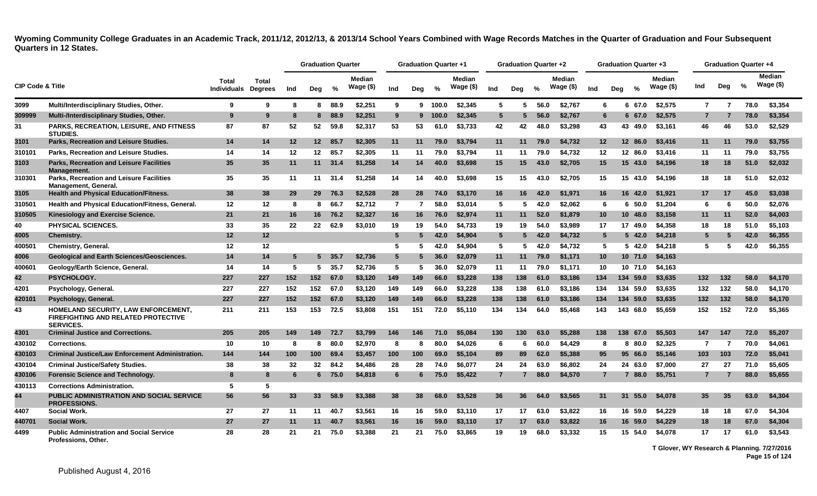|                             |                                                                                                       |                                            |              |     | <b>Graduation Quarter</b> |                 |                            |                 | <b>Graduation Quarter +1</b> |               |                            |                 | Graduation Quarter +2 |      |                             |                  | <b>Graduation Quarter +3</b> |               |                            |                |     | Graduation Quarter +4 |                      |
|-----------------------------|-------------------------------------------------------------------------------------------------------|--------------------------------------------|--------------|-----|---------------------------|-----------------|----------------------------|-----------------|------------------------------|---------------|----------------------------|-----------------|-----------------------|------|-----------------------------|------------------|------------------------------|---------------|----------------------------|----------------|-----|-----------------------|----------------------|
| <b>CIP Code &amp; Title</b> |                                                                                                       | <b>Total</b><br><b>Individuals Degrees</b> | <b>Total</b> | Ind | Deg                       | %               | <b>Median</b><br>Wage (\$) | Ind             | Dea                          | $\frac{0}{0}$ | <b>Median</b><br>Wage (\$) | Ind             | Deg                   | $\%$ | <b>Median</b><br>Wage $($)$ | Ind              | Dea                          | $\frac{0}{n}$ | <b>Median</b><br>Wage (\$) | Ind            | Deg | %                     | Median<br>Wage $($)$ |
| 3099                        | Multi/Interdisciplinary Studies, Other.                                                               | 9                                          | 9            | 8   | 8                         | 88.9            | \$2,251                    | 9               |                              | $9 - 100.0$   | \$2,345                    | 5               | 5                     | 56.0 | \$2.767                     | 6                | 6                            | 67.0          | \$2,575                    | $\overline{7}$ | 7   | 78.0                  | \$3,354              |
| 309999                      | Multi-/Interdisciplinary Studies, Other.                                                              | 9                                          | 9            | -8  | 8                         | 88.9            | \$2,251                    | 9               |                              | 9 100.0       | \$2,345                    | $5^{\circ}$     | -5                    | 56.0 | \$2,767                     | 6                |                              | 6 67.0        | \$2,575                    | $\overline{7}$ | 7   | 78.0                  | \$3,354              |
| 31                          | <b>PARKS, RECREATION, LEISURE, AND FITNESS</b><br><b>STUDIES.</b>                                     | 87                                         | 87           | 52  | 52                        | 59.8            | \$2,317                    | 53              | 53                           | 61.0          | \$3,733                    | 42              | 42                    | 48.0 | \$3,298                     | 43               |                              | 43 49.0       | \$3,161                    | 46             | 46  | 53.0                  | \$2,529              |
| 3101                        | Parks. Recreation and Leisure Studies.                                                                | 14                                         | 14           | 12  |                           | 12 85.7         | \$2.305                    | 11              | 11                           | 79.0          | \$3.794                    | 11              | 11                    | 79.0 | \$4.732                     | 12               |                              | 12 86.0       | \$3,416                    | 11             | 11  | 79.0                  | \$3.755              |
| 310101                      | Parks, Recreation and Leisure Studies.                                                                | 14                                         | 14           | 12  | $12 \,$                   | 85.7            | \$2,305                    | 11              | 11                           | 79.0          | \$3,794                    | 11              | 11                    | 79.0 | \$4.732                     | 12 <sup>12</sup> |                              | 12 86.0       | \$3,416                    | 11             | 11  | 79.0                  | \$3,755              |
| 3103                        | <b>Parks, Recreation and Leisure Facilities</b><br>Management.                                        | 35                                         | 35           | 11  |                           | $11 \quad 31.4$ | \$1,258                    | 14              | 14                           | 40.0          | \$3,698                    | 15              | 15                    | 43.0 | \$2,705                     | 15               |                              | 15, 43.0      | \$4,196                    | 18             | 18  | 51.0                  | \$2,032              |
| 310301                      | <b>Parks, Recreation and Leisure Facilities</b><br>Management, General.                               | 35                                         | 35           | 11  | 11                        | 31.4            | \$1,258                    | 14              | 14                           | 40.0          | \$3.698                    | 15              | 15                    | 43.0 | \$2.705                     | 15               |                              | 15 43.0       | \$4.196                    | 18             | 18  | 51.0                  | \$2,032              |
| 3105                        | <b>Health and Physical Education/Fitness.</b>                                                         | 38                                         | 38           | 29  | <b>29</b>                 | 76.3            | \$2,528                    | 28              | 28                           | 74.0          | \$3,170                    | 16              | 16                    | 42.0 | \$1.971                     | 16               |                              | 16 42.0       | \$1.921                    | 17             | 17  | 45.0                  | \$3,038              |
| 310501                      | Health and Physical Education/Fitness, General.                                                       | 12                                         | 12           | 8   | 8                         | 66.7            | \$2,712                    | $\overline{7}$  | $\overline{7}$               | 58.0          | \$3.014                    | 5               | -5                    | 42.0 | \$2.062                     | 6                |                              | $6\,50.0$     | \$1,204                    | 6              | 6   | 50.0                  | \$2.076              |
| 310505                      | Kinesiology and Exercise Science.                                                                     | 21                                         | 21           | 16  | 16                        | 76.2            | \$2,327                    | 16              | 16                           | 76.0          | \$2,974                    | 11              | 11                    | 52.0 | \$1,879                     | 10 <sup>°</sup>  | 10 <sup>°</sup>              | 48.0          | \$3,158                    | 11             | 11  | 52.0                  | \$4,003              |
| 40                          | <b>PHYSICAL SCIENCES.</b>                                                                             | 33                                         | 35           | 22  | 22                        | 62.9            | \$3,010                    | 19              | 19                           | 54.0          | \$4,733                    | 19              | 19                    | 54.0 | \$3.989                     | 17               | 17                           | 49.0          | \$4,358                    | 18             | 18  | 51.0                  | \$5,103              |
| 4005                        | <b>Chemistry.</b>                                                                                     | 12                                         | 12           |     |                           |                 |                            | $5\phantom{.0}$ | 5                            | 42.0          | \$4,904                    | $5\phantom{.0}$ | 5                     | 42.0 | \$4,732                     | $5^{\circ}$      |                              | $5\,42.0$     | \$4,218                    | 5              | 5   | 42.0                  | \$6,355              |
| 400501                      | Chemistry, General.                                                                                   | 12                                         | 12           |     |                           |                 |                            | 5               | 5                            | 42.0          | \$4,904                    | 5               | 5                     | 42.0 | \$4.732                     | 5                |                              | 5 42.0        | \$4,218                    | 5              | 5   | 42.0                  | \$6,355              |
| 4006                        | <b>Geological and Earth Sciences/Geosciences.</b>                                                     | 14                                         | 14           | -5  | 5                         | 35.7            | \$2,736                    | $5\phantom{.0}$ |                              | 36.0          | \$2,079                    | 11              | 11                    | 79.0 | \$1,171                     | 10 <sup>°</sup>  |                              | 10, 71.0      | \$4,163                    |                |     |                       |                      |
| 400601                      | Geology/Earth Science, General.                                                                       | 14                                         | 14           | -5  | 5                         | 35.7            | \$2,736                    | 5               | 5                            | 36.0          | \$2,079                    | 11              | 11                    | 79.0 | \$1,171                     | 10               |                              | 10 71.0       | \$4,163                    |                |     |                       |                      |
| 42                          | PSYCHOLOGY.                                                                                           | 227                                        | 227          | 152 | 152                       | 67.0            | \$3,120                    | 149             | 149                          | 66.0          | \$3,228                    | 138             | 138                   | 61.0 | \$3.186                     | 134              |                              | 134 59.0      | \$3,635                    | 132            | 132 | 58.0                  | \$4,170              |
| 4201                        | Psychology, General.                                                                                  | 227                                        | 227          | 152 | 152                       | 67.0            | \$3,120                    | 149             | 149                          | 66.0          | \$3,228                    | 138             | 138                   | 61.0 | \$3,186                     | 134              |                              | 134 59.0      | \$3,635                    | 132            | 132 | 58.0                  | \$4,170              |
| 420101                      | Psychology, General.                                                                                  | 227                                        | 227          | 152 | 152                       | 67.0            | \$3,120                    | 149             | 149                          | 66.0          | \$3,228                    | 138             | 138                   | 61.0 | \$3,186                     | 134              |                              | 134 59.0      | \$3,635                    | 132            | 132 | 58.0                  | \$4,170              |
| 43                          | HOMELAND SECURITY, LAW ENFORCEMENT,<br><b>FIREFIGHTING AND RELATED PROTECTIVE</b><br><b>SERVICES.</b> | 211                                        | 211          | 153 | 153                       | 72.5            | \$3,808                    | 151             | 151                          | 72.0          | \$5,110                    | 134             | 134                   | 64.0 | \$5.468                     | 143              |                              | 143 68.0      | \$5.659                    | 152            | 152 | 72.0                  | \$5,365              |
| 4301                        | <b>Criminal Justice and Corrections.</b>                                                              | 205                                        | 205          | 149 | 149                       | 72.7            | \$3,799                    | 146             | 146                          | 71.0          | \$5,084                    | 130             | 130                   | 63.0 | \$5.288                     | 138              | 138                          | 67.0          | \$5,503                    | 147            | 147 | 72.0                  | \$5,207              |
| 430102                      | <b>Corrections.</b>                                                                                   | 10                                         | 10           | -8  | 8                         | 80.0            | \$2,970                    | 8               |                              | 80.0          | \$4.026                    | 6               | 6                     | 60.0 | \$4.429                     | 8                |                              | 8 80.0        | \$2,325                    | 7              | 7   | 70.0                  | \$4,061              |
| 430103                      | <b>Criminal Justice/Law Enforcement Administration.</b>                                               | 144                                        | 144          | 100 | 100                       | 69.4            | \$3,457                    | 100             | 100                          | 69.0          | \$5,104                    | 89              | 89                    | 62.0 | \$5,388                     | 95               | 95                           | 66.0          | \$5,146                    | 103            | 103 | 72.0                  | \$5,041              |
| 430104                      | <b>Criminal Justice/Safety Studies.</b>                                                               | 38                                         | 38           | 32  | 32                        | 84.2            | \$4,486                    | 28              | 28                           | 74.0          | \$6,077                    | 24              | 24                    | 63.0 | \$6.802                     | 24               |                              | 24 63.0       | \$7,000                    | 27             | 27  | 71.0                  | \$5,605              |
| 430106                      | <b>Forensic Science and Technology.</b>                                                               | 8                                          | 8            | -6  |                           | 675.0           | \$4,818                    | 6               | 6                            | 75.0          | \$5,422                    | $\overline{7}$  | 7                     | 88.0 | \$4,570                     | $\overline{7}$   |                              | 7 88.0        | \$5,751                    | $\mathbf{7}$   | 7   | 88.0                  | \$5,655              |
| 430113                      | <b>Corrections Administration.</b>                                                                    | -5                                         | 5            |     |                           |                 |                            |                 |                              |               |                            |                 |                       |      |                             |                  |                              |               |                            |                |     |                       |                      |
| 44                          | <b>PUBLIC ADMINISTRATION AND SOCIAL SERVICE</b><br><b>PROFESSIONS.</b>                                | 56                                         | 56           | 33  | 33 <sup>°</sup>           | 58.9            | \$3,388                    | 38              | 38                           | 68.0          | \$3.528                    | 36              | 36                    | 64.0 | \$3.565                     | 31               | 31                           | 55.0          | \$4,078                    | 35             | 35  | 63.0                  | \$4,304              |
| 4407                        | <b>Social Work.</b>                                                                                   | 27                                         | 27           | 11  | 11                        | 40.7            | \$3.561                    | 16              | 16                           | 59.0          | \$3,110                    | 17              | 17                    | 63.0 | \$3.822                     | 16               |                              | 16 59.0       | \$4,229                    | 18             | 18  | 67.0                  | \$4,304              |
| 440701                      | <b>Social Work.</b>                                                                                   | 27                                         | 27           | 11  | 11                        | 40.7            | \$3,561                    | 16              | 16                           | 59.0          | \$3,110                    | 17              | 17                    | 63.0 | \$3,822                     | 16               |                              | 16 59.0       | \$4,229                    | 18             | 18  | 67.0                  | \$4,304              |
| 4499                        | <b>Public Administration and Social Service</b><br>Professions, Other.                                | 28                                         | 28           | 21  | 21                        | 75.0            | \$3,388                    | 21              | 21                           | 75.0          | \$3,865                    | 19              | 19                    | 68.0 | \$3,332                     | 15               |                              | 15 54.0       | \$4,078                    | 17             | 17  | 61.0                  | \$3,543              |

**T Glover, WY Research & Planning. 7/27/2016 Page 15 of 124**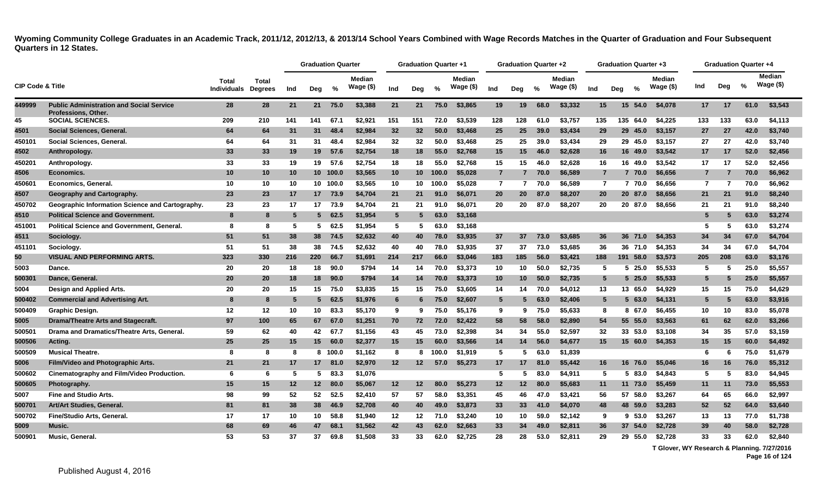|                             |                                                                        |                             |                         |     | <b>Graduation Quarter</b> |          |                            |     | <b>Graduation Quarter +1</b> |       |                            |                | Graduation Quarter +2 |      |                             |                 | <b>Graduation Quarter +3</b> |           |                            |                | <b>Graduation Quarter +4</b> |      |                            |
|-----------------------------|------------------------------------------------------------------------|-----------------------------|-------------------------|-----|---------------------------|----------|----------------------------|-----|------------------------------|-------|----------------------------|----------------|-----------------------|------|-----------------------------|-----------------|------------------------------|-----------|----------------------------|----------------|------------------------------|------|----------------------------|
| <b>CIP Code &amp; Title</b> |                                                                        | Total<br><b>Individuals</b> | Total<br><b>Degrees</b> | Ind | Deg                       | %        | <b>Median</b><br>Wage (\$) | Ind | Deg                          | %     | <b>Median</b><br>Wage (\$) | Ind            | Dea                   | %    | <b>Median</b><br>Wage $($)$ | Ind             | Dea                          | %         | <b>Median</b><br>Wage (\$) | Ind            | Deg                          | %    | <b>Median</b><br>Wage (\$) |
| 449999                      | <b>Public Administration and Social Service</b><br>Professions, Other. | 28                          | 28                      | 21  | 21                        | 75.0     | \$3,388                    | 21  | 21                           | 75.0  | \$3,865                    | 19             | 19                    | 68.0 | \$3,332                     | 15              | 15                           | 54.0      | \$4,078                    | 17             | 17                           | 61.0 | \$3,543                    |
| 45                          | <b>SOCIAL SCIENCES</b>                                                 | 209                         | 210                     | 141 | 141                       | 67.1     | \$2,921                    | 151 | 151                          | 72.0  | \$3.539                    | 128            | 128                   | 61.0 | \$3.757                     | 135             | 135                          | 64.0      | \$4.225                    | 133            | 133                          | 63.0 | \$4,113                    |
| 4501                        | Social Sciences, General.                                              | 64                          | 64                      | 31  | 31                        | 48.4     | \$2,984                    | 32  | 32                           | 50.0  | \$3,468                    | 25             | 25                    | 39.0 | \$3,434                     | 29              |                              | 29 45.0   | \$3,157                    | 27             | 27                           | 42.0 | \$3,740                    |
| 450101                      | Social Sciences, General.                                              | 64                          | 64                      | 31  | 31                        | 48.4     | \$2,984                    | 32  | 32                           | 50.0  | \$3,468                    | 25             | 25                    | 39.0 | \$3,434                     | 29              |                              | 29 45.0   | \$3,157                    | 27             | 27                           | 42.0 | \$3,740                    |
| 4502                        | Anthropology.                                                          | 33                          | 33                      | 19  | 19                        | 57.6     | \$2,754                    | 18  | 18                           | 55.0  | \$2,768                    | 15             | 15                    | 46.0 | \$2,628                     | 16              |                              | 16 49.0   | \$3,542                    | 17             | 17                           | 52.0 | \$2,456                    |
| 450201                      | Anthropology.                                                          | 33                          | 33                      | 19  | 19                        | 57.6     | \$2,754                    | 18  | 18                           | 55.0  | \$2,768                    | 15             | 15                    | 46.0 | \$2,628                     | 16              | 16                           | 49.0      | \$3,542                    | 17             | 17                           | 52.0 | \$2,456                    |
| 4506                        | Economics.                                                             | 10                          | 10                      | 10  |                           | 10 100.0 | \$3,565                    | 10  | 10 <sup>1</sup>              | 100.0 | \$5,028                    | $\overline{7}$ |                       | 70.0 | \$6,589                     | $\overline{7}$  |                              | 7 70.0    | \$6,656                    |                |                              | 70.0 | \$6,962                    |
| 450601                      | Economics, General.                                                    | 10                          | 10                      | 10  |                           | 10 100.0 | \$3,565                    | 10  | 10                           | 100.0 | \$5,028                    | $\overline{7}$ | 7                     | 70.0 | \$6,589                     | $\overline{7}$  |                              | 7 70.0    | \$6,656                    | $\overline{7}$ | $\overline{7}$               | 70.0 | \$6.962                    |
| 4507                        | Geography and Cartography.                                             | 23                          | 23                      | 17  |                           | 17 73.9  | \$4,704                    | 21  | 21                           | 91.0  | \$6,071                    | 20             | 20                    | 87.0 | \$8,207                     | 20              |                              | 20 87.0   | \$8,656                    | 21             | 21                           | 91.0 | \$8,240                    |
| 450702                      | Geographic Information Science and Cartography.                        | 23                          | 23                      | 17  | 17 <sup>2</sup>           | 73.9     | \$4,704                    | 21  | 21                           | 91.0  | \$6,071                    | 20             | 20                    | 87.0 | \$8,207                     | 20              |                              | 20 87.0   | \$8,656                    | 21             | 21                           | 91.0 | \$8,240                    |
| 4510                        | <b>Political Science and Government.</b>                               | -8                          | 8                       | -5  | 5.                        | 62.5     | \$1,954                    | 5   |                              | 63.0  | \$3,168                    |                |                       |      |                             |                 |                              |           |                            | 5              | 5                            | 63.0 | \$3,274                    |
| 451001                      | <b>Political Science and Government, General.</b>                      | 8                           | 8                       | -5  | 5                         | 62.5     | \$1,954                    | 5   | 5                            | 63.0  | \$3,168                    |                |                       |      |                             |                 |                              |           |                            | 5              | 5                            | 63.0 | \$3,274                    |
| 4511                        | Sociology.                                                             | 51                          | 51                      | 38  | 38                        | 74.5     | \$2,632                    | 40  | 40                           | 78.0  | \$3,935                    | 37             | 37                    | 73.0 | \$3,685                     | 36              |                              | 36 71.0   | \$4,353                    | 34             | 34                           | 67.0 | \$4,704                    |
| 451101                      | Sociology.                                                             | 51                          | 51                      | 38  | 38                        | 74.5     | \$2.632                    | 40  | 40                           | 78.0  | \$3,935                    | 37             | 37                    | 73.0 | \$3.685                     | 36              |                              | 36 71.0   | \$4,353                    | 34             | 34                           | 67.0 | \$4,704                    |
| 50                          | <b>VISUAL AND PERFORMING ARTS.</b>                                     | 323                         | 330                     | 216 | 220                       | 66.7     | \$1,691                    | 214 | 217                          | 66.0  | \$3,046                    | 183            | 185                   | 56.0 | \$3,421                     | 188             |                              | 191 58.0  | \$3,573                    | 205            | 208                          | 63.0 | \$3,176                    |
| 5003                        | Dance.                                                                 | 20                          | 20                      | 18  | 18                        | 90.0     | \$794                      | 14  | 14                           | 70.0  | \$3,373                    | 10             | 10                    | 50.0 | \$2,735                     | -5              |                              | 525.0     | \$5,533                    | 5              | 5                            | 25.0 | \$5,557                    |
| 500301                      | Dance, General.                                                        | 20                          | 20                      | 18  | 18                        | 90.0     | \$794                      | 14  | 14                           | 70.0  | \$3,373                    | 10             | 10                    | 50.0 | \$2,735                     | $5\overline{5}$ |                              | $5\,25.0$ | \$5,533                    | 5              | 5                            | 25.0 | \$5,557                    |
| 5004                        | Design and Applied Arts.                                               | 20                          | 20                      | 15  | 15                        | 75.0     | \$3.835                    | 15  | 15                           | 75.0  | \$3,605                    | 14             | 14                    | 70.0 | \$4,012                     | 13              |                              | 13 65.0   | \$4,929                    | 15             | 15                           | 75.0 | \$4.629                    |
| 500402                      | <b>Commercial and Advertising Art.</b>                                 | -8                          | 8                       | -5  | 5                         | 62.5     | \$1,976                    | 6   |                              | 75.0  | \$2,607                    | $5^{\circ}$    | 5                     | 63.0 | \$2,406                     | $5^{\circ}$     |                              | 5 63.0    | \$4,131                    | 5              | 5                            | 63.0 | \$3,916                    |
| 500409                      | <b>Graphic Design.</b>                                                 | 12                          | 12                      | 10  | 10                        | 83.3     | \$5,170                    | 9   | 9                            | 75.0  | \$5,176                    | 9              | 9                     | 75.0 | \$5,633                     | 8               |                              | 8 67.0    | \$6,455                    | 10             | 10                           | 83.0 | \$5.078                    |
| 5005                        | Drama/Theatre Arts and Stagecraft.                                     | 97                          | 100                     | 65  | 67                        | 67.0     | \$1,251                    | 70  | 72                           | 72.0  | \$2,422                    | 58             | 58                    | 58.0 | \$2,890                     | 54              |                              | 55 55.0   | \$3,563                    | 61             | 62                           | 62.0 | \$3,266                    |
| 500501                      | Drama and Dramatics/Theatre Arts, General.                             | 59                          | 62                      | 40  | 42                        | 67.7     | \$1,156                    | 43  | 45                           | 73.0  | \$2.398                    | 34             | 34                    | 55.0 | \$2.597                     | 32              |                              | 33 53.0   | \$3,108                    | 34             | 35                           | 57.0 | \$3.159                    |
| 500506                      | Acting.                                                                | 25                          | 25                      | 15  | 15                        | 60.0     | \$2,377                    | 15  | 15                           | 60.0  | \$3,566                    | 14             | 14                    | 56.0 | \$4,677                     | 15              |                              | 15 60.0   | \$4,353                    | 15             | 15                           | 60.0 | \$4,492                    |
| 500509                      | <b>Musical Theatre.</b>                                                | 8                           | 8                       | -8  |                           | 8 100.0  | \$1,162                    | 8   | 8                            | 100.0 | \$1,919                    | 5              | 5                     | 63.0 | \$1,839                     |                 |                              |           |                            | 6              | 6                            | 75.0 | \$1,679                    |
| 5006                        | Film/Video and Photographic Arts.                                      | 21                          | 21                      | 17  | 17 <sup>2</sup>           | 81.0     | \$2,970                    | 12  | 12 <sup>°</sup>              | 57.0  | \$5,273                    | 17             | 17                    | 81.0 | \$5,442                     | 16              |                              | 16 76.0   | \$5,046                    | 16             | 16                           | 76.0 | \$5,312                    |
| 500602                      | Cinematography and Film/Video Production.                              | 6                           | 6                       | -5  | 5                         | 83.3     | \$1,076                    |     |                              |       |                            | 5              | 5.                    | 83.0 | \$4,911                     | -5              |                              | 5 83.0    | \$4,843                    | 5              | 5                            | 83.0 | \$4,945                    |
| 500605                      | Photography.                                                           | 15                          | 15                      | 12  | 12 <sup>12</sup>          | 80.0     | \$5,067                    | 12  | 12                           | 80.0  | \$5,273                    | 12             | 12                    | 80.0 | \$5,683                     | 11              |                              | 11 73.0   | \$5,459                    | 11             | 11                           | 73.0 | \$5,553                    |
| 5007                        | <b>Fine and Studio Arts.</b>                                           | 98                          | 99                      | 52  | 52                        | 52.5     | \$2,410                    | 57  | 57                           | 58.0  | \$3,351                    | 45             | 46                    | 47.0 | \$3.421                     | 56              |                              | 57 58.0   | \$3,267                    | 64             | 65                           | 66.0 | \$2.997                    |
| 500701                      | Art/Art Studies, General.                                              | 81                          | 81                      | 38  | 38                        | 46.9     | \$2,708                    | 40  | 40                           | 49.0  | \$3,873                    | 33             | 33                    | 41.0 | \$4,070                     | 48              |                              | 48 59.0   | \$3,283                    | 52             | 52                           | 64.0 | \$3,640                    |
| 500702                      | Fine/Studio Arts, General.                                             | 17                          | 17                      | 10  | 10                        | 58.8     | \$1,940                    | 12  | 12                           | 71.0  | \$3,240                    | 10             | 10                    | 59.0 | \$2,142                     | 9               |                              | 9 53.0    | \$3,267                    | 13             | 13                           | 77.0 | \$1,738                    |
| 5009                        | Music.                                                                 | 68                          | 69                      | 46  | 47                        | 68.1     | \$1,562                    | 42  | 43                           | 62.0  | \$2,663                    | 33             | 34                    | 49.0 | \$2,811                     | 36              |                              | 37 54.0   | \$2,728                    | 39             | 40                           | 58.0 | \$2,728                    |
| 500901                      | Music, General.                                                        | 53                          | 53                      | 37  | 37                        | 69.8     | \$1.508                    | 33  | 33                           | 62.0  | \$2.725                    | 28             | 28                    | 53.0 | \$2.811                     | 29              | 29                           | 55.0      | \$2.728                    | 33             | 33                           | 62.0 | \$2,840                    |

**T Glover, WY Research & Planning. 7/27/2016**

**Page 16 of 124**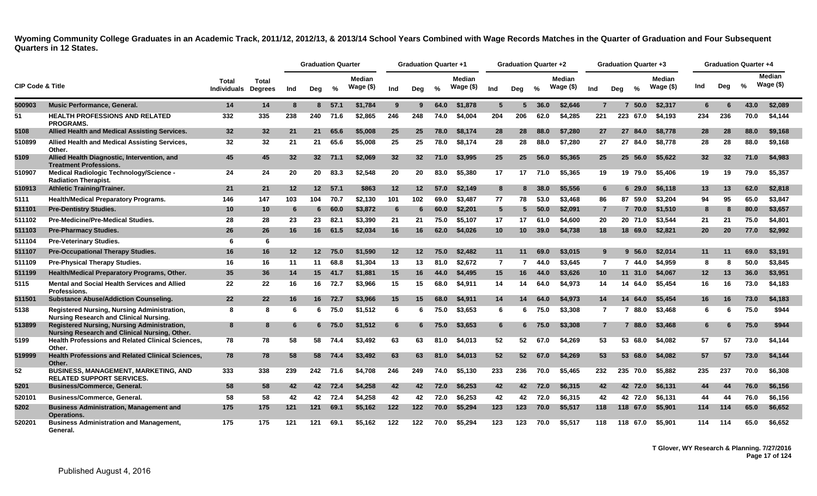|                             |                                                                                              |                                    |                         |     | <b>Graduation Quarter</b> |         |                            |     | <b>Graduation Quarter +1</b> |               |                     |                | <b>Graduation Quarter +2</b> |               |                     |                 |     | <b>Graduation Quarter +3</b> |                      |     |     | <b>Graduation Quarter +4</b> |                            |
|-----------------------------|----------------------------------------------------------------------------------------------|------------------------------------|-------------------------|-----|---------------------------|---------|----------------------------|-----|------------------------------|---------------|---------------------|----------------|------------------------------|---------------|---------------------|-----------------|-----|------------------------------|----------------------|-----|-----|------------------------------|----------------------------|
| <b>CIP Code &amp; Title</b> |                                                                                              | <b>Total</b><br><b>Individuals</b> | Total<br><b>Degrees</b> | Ind | Deg                       | %       | <b>Median</b><br>Wage (\$) | Ind | Deg                          | $\frac{0}{2}$ | Median<br>Wage (\$) | Ind            | Dea                          | $\frac{9}{6}$ | Median<br>Wage (\$) | Ind             | Deg | $\frac{6}{6}$                | Median<br>Wage $($)$ | Ind | Dea | $\frac{0}{2}$                | <b>Median</b><br>Wage (\$) |
| 500903                      | <b>Music Performance, General,</b>                                                           | 14                                 | 14                      | 8   | 8                         | 57.1    | \$1.784                    | 9   | 9                            | 64.0          | \$1,878             | 5              | 5                            | 36.0          | \$2.646             | $\overline{7}$  |     | 50.0                         | \$2.317              | 6.  | 6   | 43.0                         | \$2,089                    |
| 51                          | <b>HEALTH PROFESSIONS AND RELATED</b><br><b>PROGRAMS.</b>                                    | 332                                | 335                     | 238 | 240                       | 71.6    | \$2.865                    | 246 | 248                          | 74.0          | \$4.004             | 204            | 206                          | 62.0          | \$4.285             | 221             | 223 | 67.0                         | \$4.193              | 234 | 236 | 70.0                         | \$4.144                    |
| 5108                        | Allied Health and Medical Assisting Services.                                                | 32                                 | 32                      | 21  | 21                        | 65.6    | \$5,008                    | 25  | 25                           | 78.0          | \$8,174             | 28             | 28                           | 88.0          | \$7,280             | 27              |     | 27<br>84.0                   | \$8,778              | 28  | 28  | 88.0                         | \$9,168                    |
| 510899                      | Allied Health and Medical Assisting Services,<br>Other.                                      | 32                                 | 32                      | 21  | 21                        | 65.6    | \$5,008                    | 25  | 25                           | 78.0          | \$8,174             | 28             | 28                           | 88.0          | \$7,280             | 27              |     | 27 84.0                      | \$8,778              | 28  | 28  | 88.0                         | \$9,168                    |
| 5109                        | Allied Health Diagnostic, Intervention, and<br><b>Treatment Professions.</b>                 | 45                                 | 45                      | 32  |                           | 32 71.1 | \$2,069                    | 32  | 32 <sup>2</sup>              | 71.0          | \$3.995             | 25             | 25                           | 56.0          | \$5,365             | 25              |     | 25 56.0                      | \$5,622              | 32  | 32  | 71.0                         | \$4,983                    |
| 510907                      | Medical Radiologic Technology/Science -<br><b>Radiation Therapist.</b>                       | 24                                 | 24                      | 20  | 20                        | 83.3    | \$2,548                    | 20  | 20                           | 83.0          | \$5,380             | 17             | 17                           | 71.0          | \$5.365             | 19              |     | 19 79.0                      | \$5.406              | 19  | 19  | 79.0                         | \$5,357                    |
| 510913                      | <b>Athletic Training/Trainer.</b>                                                            | 21                                 | 21                      | 12  | 12 <sup>7</sup>           | 57.1    | \$863                      | 12  | $12 \,$                      | 57.0          | \$2.149             | 8              | 8                            | 38.0          | \$5.556             | 6               |     | 629.0                        | \$6,118              | 13  | 13  | 62.0                         | \$2,818                    |
| 5111                        | <b>Health/Medical Preparatory Programs.</b>                                                  | 146                                | 147                     | 103 | 104                       | 70.7    | \$2,130                    | 101 | 102                          | 69.0          | \$3.487             | 77             | 78                           | 53.0          | \$3,468             | 86              |     | 87<br>59.0                   | \$3.204              | 94  | 95  | 65.0                         | \$3.847                    |
| 511101                      | <b>Pre-Dentistry Studies.</b>                                                                | 10                                 | 10                      | -6  | 6                         | 60.0    | \$3,872                    | 6   | 6                            | 60.0          | \$2,201             | 5              | 5.                           | 50.0          | \$2,091             | $\overline{7}$  |     | 7 70.0                       | \$1,510              | 8   | 8   | 80.0                         | \$3,657                    |
| 511102                      | <b>Pre-Medicine/Pre-Medical Studies.</b>                                                     | 28                                 | 28                      | 23  | 23                        | 82.1    | \$3,390                    | 21  | 21                           | 75.0          | \$5,107             | 17             | 17                           | 61.0          | \$4,600             | 20              |     | 20 71.0                      | \$3,544              | 21  | 21  | 75.0                         | \$4,801                    |
| 511103                      | <b>Pre-Pharmacy Studies.</b>                                                                 | 26                                 | 26                      | 16  | 16                        | 61.5    | \$2,034                    | 16  | 16                           | 62.0          | \$4,026             | 10             | 10                           | 39.0          | \$4,738             | 18              |     | 18<br>69.0                   | \$2,821              | 20  | 20  | 77.0                         | \$2,992                    |
| 511104                      | <b>Pre-Veterinary Studies.</b>                                                               | 6                                  | 6                       |     |                           |         |                            |     |                              |               |                     |                |                              |               |                     |                 |     |                              |                      |     |     |                              |                            |
| 511107                      | <b>Pre-Occupational Therapy Studies.</b>                                                     | 16                                 | 16                      | 12  | 12 <sup>12</sup>          | 75.0    | \$1,590                    | 12  | 12                           | 75.0          | \$2,482             | 11             | 11                           | 69.0          | \$3,015             | 9               |     | 56.0                         | \$2,014              | 11  | 11  | 69.0                         | \$3,191                    |
| 511109                      | <b>Pre-Physical Therapy Studies.</b>                                                         | 16                                 | 16                      | 11  | 11                        | 68.8    | \$1,304                    | 13  | 13                           | 81.0          | \$2,672             | $\overline{7}$ | 7                            | 44.0          | \$3,645             | $\overline{7}$  |     | 744.0                        | \$4,959              | 8   | 8   | 50.0                         | \$3,845                    |
| 511199                      | Health/Medical Preparatory Programs, Other.                                                  | 35                                 | 36                      | 14  | 15                        | 41.7    | \$1,881                    | 15  | 16                           | 44.0          | \$4,495             | 15             | 16                           | 44.0          | \$3,626             | 10 <sup>1</sup> |     | 11 31.0                      | \$4,067              | 12  | 13  | 36.0                         | \$3,951                    |
| 5115                        | <b>Mental and Social Health Services and Allied</b><br><b>Professions.</b>                   | 22                                 | 22                      | 16  | 16                        | 72.7    | \$3,966                    | 15  | 15                           | 68.0          | \$4.911             | 14             | 14                           | 64.0          | \$4.973             | 14              |     | 14 64.0                      | \$5.454              | 16  | 16  | 73.0                         | \$4,183                    |
| 511501                      | <b>Substance Abuse/Addiction Counseling.</b>                                                 | 22                                 | 22 <sub>2</sub>         | 16  | 16                        | 72.7    | \$3,966                    | 15  | 15                           | 68.0          | \$4,911             | 14             | 14                           | 64.0          | \$4,973             | 14              |     | 14<br>64.0                   | \$5,454              | 16  | 16  | 73.0                         | \$4,183                    |
| 5138                        | Registered Nursing, Nursing Administration,<br><b>Nursing Research and Clinical Nursing.</b> | 8                                  | 8                       | -6  | 6.                        | 75.0    | \$1.512                    | 6   | 6                            | 75.0          | \$3,653             | 6              | 6                            | 75.0          | \$3,308             | $\overline{7}$  |     | 88.0<br>7                    | \$3.468              | 6   | 6   | 75.0                         | \$944                      |
| 513899                      | Registered Nursing, Nursing Administration,<br>Nursing Research and Clinical Nursing, Other. | 8                                  | 8                       | 6   |                           | 6 75.0  | \$1,512                    | 6   |                              | 75.0          | \$3,653             | 6              |                              | 75.0          | \$3,308             | $\overline{7}$  |     | 88.0                         | \$3,468              | 6   |     | 75.0                         | \$944                      |
| 5199                        | Health Professions and Related Clinical Sciences,<br>Other.                                  | 78                                 | 78                      | 58  | 58                        | 74.4    | \$3.492                    | 63  | 63                           | 81.0          | \$4,013             | 52             | 52                           | 67.0          | \$4,269             | 53              |     | 53 68.0                      | \$4.082              | 57  | 57  | 73.0                         | \$4.144                    |
| 519999                      | <b>Health Professions and Related Clinical Sciences,</b><br>Other.                           | 78                                 | 78                      | 58  | 58                        | 74.4    | \$3,492                    | 63  | 63                           | 81.0          | \$4,013             | 52             | 52                           | 67.0          | \$4.269             | 53              |     | 53 68.0                      | \$4,082              | 57  | 57  | 73.0                         | \$4,144                    |
| 52                          | BUSINESS, MANAGEMENT, MARKETING, AND<br><b>RELATED SUPPORT SERVICES.</b>                     | 333                                | 338                     | 239 | 242                       | 71.6    | \$4,708                    | 246 | 249                          | 74.0          | \$5,130             | 233            | 236                          | 70.0          | \$5,465             | 232             |     | 235 70.0                     | \$5,882              | 235 | 237 | 70.0                         | \$6,308                    |
| 5201                        | <b>Business/Commerce, General.</b>                                                           | 58                                 | 58                      | 42  |                           | 42 72.4 | \$4,258                    | 42  | 42                           | 72.0          | \$6,253             | 42             | 42                           | 72.0          | \$6,315             | 42              |     | 42 72.0                      | \$6,131              | 44  | 44  | 76.0                         | \$6,156                    |
| 520101                      | <b>Business/Commerce, General.</b>                                                           | 58                                 | 58                      | 42  | 42                        | 72.4    | \$4,258                    | 42  | 42                           | 72.0          | \$6,253             | 42             | 42                           | 72.0          | \$6,315             | 42              |     | 42 72.0                      | \$6,131              | 44  | 44  | 76.0                         | \$6,156                    |
| 5202                        | <b>Business Administration, Management and</b><br>Operations.                                | 175                                | 175                     | 121 | 121                       | 69.1    | \$5,162                    | 122 | $122$                        | 70.0          | \$5,294             | 123            | 123                          | 70.0          | \$5,517             | 118             |     | 118 67.0                     | \$5,901              | 114 | 114 | 65.0                         | \$6,652                    |
| 520201                      | <b>Business Administration and Management,</b><br>General.                                   | 175                                | 175                     | 121 | 121                       | 69.1    | \$5,162                    | 122 | 122                          | 70.0          | \$5.294             | 123            | 123                          | 70.0          | \$5,517             | 118             | 118 | 67.0                         | \$5.901              | 114 | 114 | 65.0                         | \$6.652                    |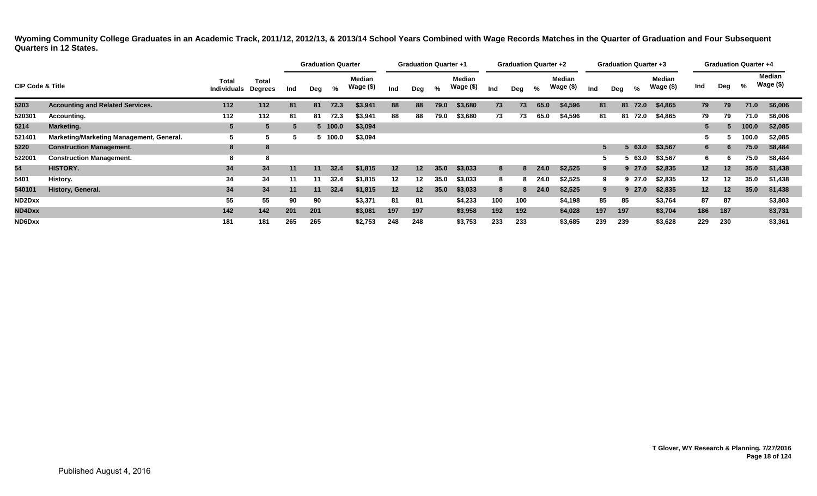|                             |                                          |                                    |                         |     | <b>Graduation Quarter</b> |         |                            |     | <b>Graduation Quarter +1</b> |      |                     |     | <b>Graduation Quarter +2</b> |      |                            |              | <b>Graduation Quarter +3</b> |               |                            |                 | <b>Graduation Quarter +4</b> |       |                     |
|-----------------------------|------------------------------------------|------------------------------------|-------------------------|-----|---------------------------|---------|----------------------------|-----|------------------------------|------|---------------------|-----|------------------------------|------|----------------------------|--------------|------------------------------|---------------|----------------------------|-----------------|------------------------------|-------|---------------------|
| <b>CIP Code &amp; Title</b> |                                          | <b>Total</b><br><b>Individuals</b> | Total<br><b>Degrees</b> | Ind | Deg                       | %       | <b>Median</b><br>Wage (\$) | Ind | Deg                          | %    | Median<br>Wage (\$) | Ind | Deg                          | %    | <b>Median</b><br>Wage (\$) | Ind          | Deg                          | $\frac{0}{0}$ | <b>Median</b><br>Wage (\$) | Ind             | Deg                          | %     | Median<br>Wage (\$) |
| 5203                        | <b>Accounting and Related Services.</b>  | 112                                | 112                     | 81  | 81                        | 72.3    | \$3,941                    | 88  | 88                           | 79.0 | \$3,680             | 73  | 73                           | 65.0 | \$4,596                    | 81           |                              | 81 72.0       | \$4,865                    | 79              | 79                           | 71.0  | \$6,006             |
| 520301                      | Accounting.                              | 112                                | 112                     | 81  | 81                        | 72.3    | \$3,941                    | 88  | 88                           | 79.0 | \$3,680             | 73  | 73                           | 65.0 | \$4,596                    | 81           |                              | 81 72.0       | \$4,865                    | 79              | 79                           | 71.0  | \$6,006             |
| 5214                        | Marketing.                               |                                    | 5                       |     |                           | 5 100.0 | \$3,094                    |     |                              |      |                     |     |                              |      |                            |              |                              |               |                            |                 |                              | 100.0 | \$2,085             |
| 521401                      | Marketing/Marketing Management, General. | C                                  |                         |     |                           | 5 100.0 | \$3,094                    |     |                              |      |                     |     |                              |      |                            |              |                              |               |                            |                 |                              | 100.0 | \$2,085             |
| 5220                        | <b>Construction Management.</b>          | 8                                  | 8                       |     |                           |         |                            |     |                              |      |                     |     |                              |      |                            | $\mathbf{a}$ |                              | 63.0          | \$3,567                    | 6.              | b                            | 75.0  | \$8,484             |
| 522001                      | <b>Construction Management.</b>          | -8                                 | 8                       |     |                           |         |                            |     |                              |      |                     |     |                              |      |                            | -5.          |                              | 63.0          | \$3,567                    | 6               |                              | 75.0  | \$8,484             |
| 54                          | HISTORY.                                 | 34                                 | 34                      | 11  | 11                        | 32.4    | \$1,815                    | 12  | 12 <sub>1</sub>              | 35.0 | \$3,033             | 8   | 8                            | 24.0 | \$2,525                    | 9            |                              | 927.0         | \$2,835                    | 12 <sub>2</sub> | 12 <sup>2</sup>              | 35.0  | \$1,438             |
| 5401                        | History.                                 | 34                                 | 34                      | 11  | 11                        | 32.4    | \$1,815                    | 12  | 12                           | 35.0 | \$3,033             | 8   |                              | 24.0 | \$2,525                    | 9            |                              | 9 27.0        | \$2,835                    | $12 \,$         | 12                           | 35.0  | \$1,438             |
| 540101                      | History, General.                        | 34                                 | 34                      | 11  | 11                        | 32.4    | \$1,815                    | 12  | 12                           | 35.0 | \$3,033             | 8   | 8                            | 24.0 | \$2,525                    | 9            |                              | 927.0         | \$2,835                    | 12 <sub>2</sub> | 12 <sup>1</sup>              | 35.0  | \$1,438             |
| ND2Dxx                      |                                          | 55                                 | 55                      | 90  | 90                        |         | \$3,371                    | 81  | 81                           |      | \$4,233             | 100 | 100                          |      | \$4,198                    | 85           | 85                           |               | \$3,764                    | 87              | 87                           |       | \$3,803             |
| ND4Dxx                      |                                          | 142                                | 142                     | 201 | 201                       |         | \$3,081                    | 197 | 197                          |      | \$3,958             | 192 | 192                          |      | \$4,028                    | 197          | 197                          |               | \$3,704                    | 186             | 187                          |       | \$3,731             |
| ND6Dxx                      |                                          | 181                                | 181                     | 265 | 265                       |         | \$2,753                    | 248 | 248                          |      | \$3,753             | 233 | 233                          |      | \$3,685                    | 239          | 239                          |               | \$3,628                    | 229             | 230                          |       | \$3,361             |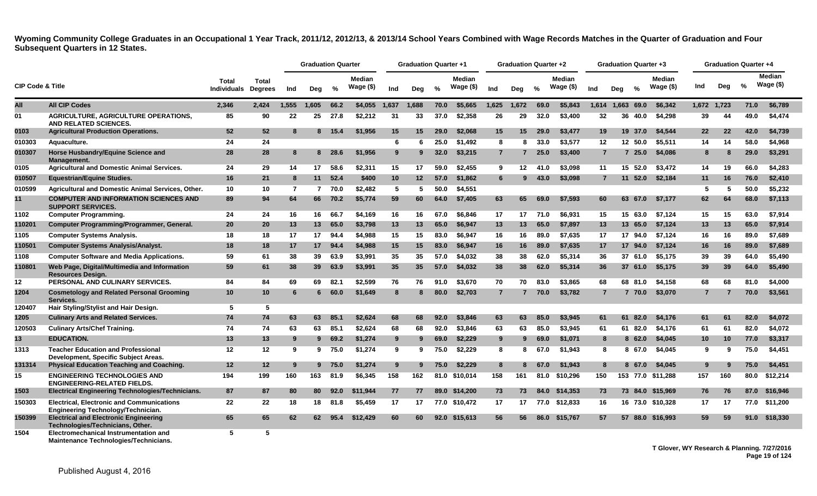<span id="page-19-0"></span>

|                             |                                                                                        |                             |                         |                | <b>Graduation Quarter</b> |        |                     |                 | <b>Graduation Quarter +1</b> |      |                     |                | <b>Graduation Quarter +2</b> |               |                     |                |     |               | Graduation Quarter +3 |              | <b>Graduation Quarter +4</b> |      |                             |
|-----------------------------|----------------------------------------------------------------------------------------|-----------------------------|-------------------------|----------------|---------------------------|--------|---------------------|-----------------|------------------------------|------|---------------------|----------------|------------------------------|---------------|---------------------|----------------|-----|---------------|-----------------------|--------------|------------------------------|------|-----------------------------|
| <b>CIP Code &amp; Title</b> |                                                                                        | Total<br><b>Individuals</b> | Total<br><b>Degrees</b> | Ind            | Deg                       | %      | Median<br>Wage (\$) | Ind             | Deg                          | %    | Median<br>Wage (\$) | Ind            | Dea                          | $\frac{0}{2}$ | Median<br>Wage (\$) | Ind            | Dea | $\frac{6}{6}$ | Median<br>Wage (\$)   | Ind          | Deg                          | %    | <b>Median</b><br>Wage $($)$ |
| All                         | <b>All CIP Codes</b>                                                                   | 2,346                       | 2,424                   | 1,555          | 1.605                     | 66.2   | \$4,055             | 1,637           | 1,688                        | 70.0 | \$5,665             | 1,625          | 1,672                        | 69.0          | \$5,843             | 1,614          |     | 1,663 69.0    | \$6,342               | 1,672 1,723  |                              | 71.0 | \$6,789                     |
| 01                          | AGRICULTURE, AGRICULTURE OPERATIONS,<br>AND RELATED SCIENCES.                          | 85                          | 90                      | 22             | 25                        | 27.8   | \$2.212             | 31              | 33                           | 37.0 | \$2,358             | 26             | 29                           | 32.0          | \$3,400             | 32             | 36  | 40.0          | \$4,298               | 39           | 44                           | 49.0 | \$4,474                     |
| 0103                        | <b>Agricultural Production Operations.</b>                                             | 52                          | 52                      | -8             |                           | 8 15.4 | \$1,956             | 15              | 15                           | 29.0 | \$2,068             | 15             | 15                           | 29.0          | \$3,477             | 19             |     | 19 37.0       | \$4,544               | 22           | 22                           | 42.0 | \$4,739                     |
| 010303                      | Aquaculture.                                                                           | 24                          | 24                      |                |                           |        |                     | 6               | 6                            | 25.0 | \$1,492             | 8              | 8                            | 33.0          | \$3,577             | 12             |     | 12 50.0       | \$5,511               | 14           | 14                           | 58.0 | \$4,968                     |
| 010307                      | Horse Husbandry/Equine Science and<br>Management.                                      | 28                          | 28                      | 8              |                           | 8 28.6 | \$1.956             | 9               | 9                            | 32.0 | \$3,215             | $\overline{7}$ | 7                            | 25.0          | \$3,400             | $\overline{7}$ |     | 725.0         | \$4,086               | 8            | 8                            | 29.0 | \$3,291                     |
| 0105                        | <b>Agricultural and Domestic Animal Services.</b>                                      | 24                          | 29                      | 14             | 17                        | 58.6   | \$2,311             | 15              | 17                           | 59.0 | \$2,455             | 9              | 12                           | 41.0          | \$3,098             | 11             |     | 15 52.0       | \$3.472               | 14           | 19                           | 66.0 | \$4,283                     |
| 010507                      | <b>Equestrian/Equine Studies.</b>                                                      | 16                          | 21                      | 8              | 11                        | 52.4   | \$400               | 10 <sup>1</sup> | $12 \,$                      | 57.0 | \$1,862             | 6              |                              | 43.0          | \$3,098             | $\overline{7}$ | 11  | 52.0          | \$2,184               | 11           | 16                           | 76.0 | \$2,410                     |
| 010599                      | Agricultural and Domestic Animal Services, Other.                                      | 10                          | 10                      | $\overline{7}$ | $\overline{7}$            | 70.0   | \$2,482             | 5               | -5                           | 50.0 | \$4,551             |                |                              |               |                     |                |     |               |                       | 5            | 5                            | 50.0 | \$5,232                     |
| 11                          | <b>COMPUTER AND INFORMATION SCIENCES AND</b><br><b>SUPPORT SERVICES.</b>               | 89                          | 94                      | 64             | 66                        | 70.2   | \$5,774             | 59              | 60                           | 64.0 | \$7,405             | 63             | 65                           | 69.0          | \$7,593             | 60             |     | 63 67.0       | \$7,177               | 62           | 64                           | 68.0 | \$7,113                     |
| 1102                        | <b>Computer Programming.</b>                                                           | 24                          | 24                      | 16             | 16                        | 66.7   | \$4.169             | 16              | 16                           | 67.0 | \$6.846             | 17             | 17                           | 71.0          | \$6.931             | 15             |     | 15 63.0       | \$7.124               | 15           | 15                           | 63.0 | \$7,914                     |
| 110201                      | Computer Programming/Programmer, General.                                              | 20                          | 20                      | 13             | 13                        | 65.0   | \$3,798             | 13              | 13                           | 65.0 | \$6,947             | 13             | 13                           | 65.0          | \$7,897             | 13             | 13  | 65.0          | \$7,124               | 13           | 13                           | 65.0 | \$7,914                     |
| 1105                        | <b>Computer Systems Analysis.</b>                                                      | 18                          | 18                      | 17             | 17                        | 94.4   | \$4,988             | 15              | 15                           | 83.0 | \$6.947             | 16             | 16                           | 89.0          | \$7,635             | 17             |     | 17 94.0       | \$7,124               | 16           | 16                           | 89.0 | \$7,689                     |
| 110501                      | <b>Computer Systems Analysis/Analyst.</b>                                              | 18                          | 18                      | 17             | 17 <sup>2</sup>           | 94.4   | \$4,988             | 15              | 15                           | 83.0 | \$6,947             | 16             | 16                           | 89.0          | \$7,635             | 17             |     | 17 94.0       | \$7,124               | 16           | 16                           | 89.0 | \$7,689                     |
| 1108                        | <b>Computer Software and Media Applications.</b>                                       | 59                          | 61                      | 38             | 39                        | 63.9   | \$3,991             | 35              | 35                           | 57.0 | \$4,032             | 38             | 38                           | 62.0          | \$5,314             | 36             |     | 37 61.0       | \$5,175               | 39           | 39                           | 64.0 | \$5,490                     |
| 110801                      | Web Page, Digital/Multimedia and Information<br><b>Resources Design.</b>               | 59                          | 61                      | 38             | 39 <sup>°</sup>           | 63.9   | \$3,991             | 35              | 35                           | 57.0 | \$4,032             | 38             | 38                           | 62.0          | \$5,314             | 36             |     | 37 61.0       | \$5,175               | 39           | 39                           | 64.0 | \$5,490                     |
| 12                          | PERSONAL AND CULINARY SERVICES.                                                        | 84                          | 84                      | 69             | 69                        | 82.1   | \$2.599             | 76              | 76                           | 91.0 | \$3.670             | 70             | 70                           | 83.0          | \$3.865             | 68             |     | 68 81.0       | \$4.158               | 68           | 68                           | 81.0 | \$4.000                     |
| 1204                        | <b>Cosmetology and Related Personal Grooming</b><br>Services.                          | 10                          | 10                      | 6              | 6.                        | 60.0   | \$1,649             | 8               | 8                            | 80.0 | \$2,703             | $\overline{7}$ | 7                            | 70.0          | \$3,782             | $\overline{7}$ |     | 7 70.0        | \$3,070               | $\mathbf{7}$ | 7                            | 70.0 | \$3,561                     |
| 120407                      | Hair Styling/Stylist and Hair Design.                                                  | 5                           | 5                       |                |                           |        |                     |                 |                              |      |                     |                |                              |               |                     |                |     |               |                       |              |                              |      |                             |
| 1205                        | <b>Culinary Arts and Related Services.</b>                                             | 74                          | 74                      | 63             | 63                        | 85.1   | \$2,624             | 68              | 68                           | 92.0 | \$3,846             | 63             | 63                           | 85.0          | \$3,945             | 61             | 61  | 82.0          | \$4,176               | 61           | 61                           | 82.0 | \$4,072                     |
| 120503                      | <b>Culinary Arts/Chef Training.</b>                                                    | 74                          | 74                      | 63             | 63                        | 85.1   | \$2.624             | 68              | 68                           | 92.0 | \$3,846             | 63             | 63                           | 85.0          | \$3.945             | 61             |     | 61 82.0       | \$4.176               | 61           | 61                           | 82.0 | \$4,072                     |
| 13                          | <b>EDUCATION.</b>                                                                      | 13                          | 13                      | -9             | 9                         | 69.2   | \$1,274             | 9               |                              | 69.0 | \$2,229             | 9              | 9                            | 69.0          | \$1,071             | 8              |     | 862.0         | \$4,045               | 10           | 10                           | 77.0 | \$3,317                     |
| 1313                        | <b>Teacher Education and Professional</b><br>Development, Specific Subject Areas.      | 12                          | 12                      | -9             | 9                         | 75.0   | \$1,274             | 9               | 9                            | 75.0 | \$2,229             | 8              | 8                            | 67.0          | \$1,943             | 8              |     | 8 67.0        | \$4,045               | 9            | 9                            | 75.0 | \$4,451                     |
| 131314                      | <b>Physical Education Teaching and Coaching.</b>                                       | 12                          | 12                      | -9             |                           | 9 75.0 | \$1,274             | 9               | 9                            | 75.0 | \$2,229             | 8              |                              | 67.0          | \$1,943             | 8              |     | 8 67.0        | \$4,045               | 9            | 9                            | 75.0 | \$4,451                     |
| 15                          | <b>ENGINEERING TECHNOLOGIES AND</b><br><b>ENGINEERING-RELATED FIELDS.</b>              | 194                         | 199                     | 160            | 163                       | 81.9   | \$6,345             | 158             | 162                          |      | 81.0 \$10,014       | 158            | 161                          | 81.0          | \$10,296            | 150            |     |               | 153 77.0 \$11,288     | 157          | 160                          | 80.0 | \$12,214                    |
| 1503                        | <b>Electrical Engineering Technologies/Technicians.</b>                                | 87                          | 87                      | 80             | 80                        | 92.0   | \$11,944            | 77              | 77                           |      | 89.0 \$14,200       | 73             | 73                           | 84.0          | \$14,353            | 73             |     |               | 73 84.0 \$15,969      | 76           | 76                           |      | 87.0 \$16,946               |
| 150303                      | <b>Electrical, Electronic and Communications</b><br>Engineering Technology/Technician. | 22                          | 22                      | 18             | 18                        | 81.8   | \$5.459             | 17              | 17                           |      | 77.0 \$10,472       | 17             | 17                           | 77.0          | \$12.833            | 16             |     |               | 16 73.0 \$10,328      | 17           | 17                           |      | 77.0 \$11.200               |
| 150399                      | <b>Electrical and Electronic Engineering</b><br>Technologies/Technicians, Other.       | 65                          | 65                      | 62             | 62                        | 95.4   | \$12.429            | 60              | 60                           | 92.0 | \$15,613            | 56             | 56                           | 86.0          | \$15,767            | 57             |     |               | 57 88.0 \$16,993      | 59           | 59                           | 91.0 | \$18,330                    |
| 1504                        | Electromechanical Instrumentation and<br>Maintenance Technologies/Technicians.         | 5                           | 5                       |                |                           |        |                     |                 |                              |      |                     |                |                              |               |                     |                |     |               |                       |              |                              |      |                             |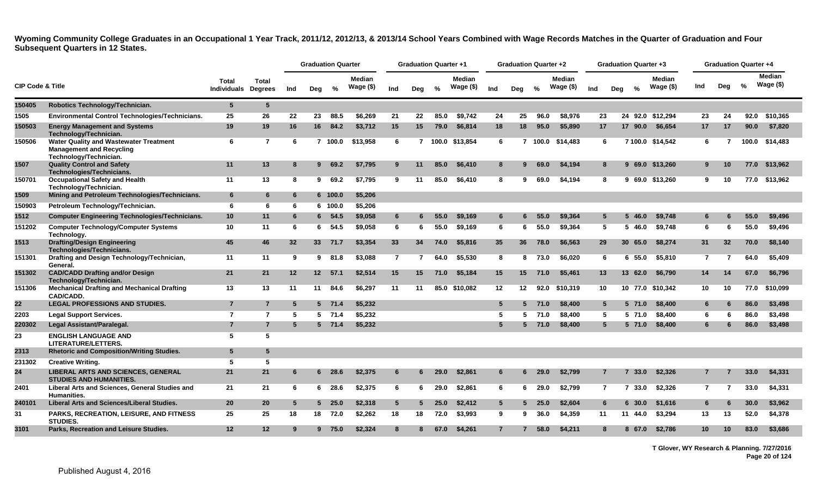|                             |                                                                                                            |                             |                         |     |     | <b>Graduation Quarter</b> |                            |                 | <b>Graduation Quarter +1</b> |               |                            |                 | <b>Graduation Quarter +2</b> |               |                             |     |                | <b>Graduation Quarter +3</b> |                             |                | <b>Graduation Quarter +4</b> |       |                      |
|-----------------------------|------------------------------------------------------------------------------------------------------------|-----------------------------|-------------------------|-----|-----|---------------------------|----------------------------|-----------------|------------------------------|---------------|----------------------------|-----------------|------------------------------|---------------|-----------------------------|-----|----------------|------------------------------|-----------------------------|----------------|------------------------------|-------|----------------------|
| <b>CIP Code &amp; Title</b> |                                                                                                            | <b>Total</b><br>Individuals | Total<br><b>Degrees</b> | Ind | Deg | %                         | <b>Median</b><br>Wage (\$) | Ind             | Deg                          | $\frac{0}{2}$ | <b>Median</b><br>Wage (\$) | Ind             | Deg                          | $\frac{1}{2}$ | <b>Median</b><br>Wage $($)$ | Ind | Deg            | $\frac{6}{6}$                | <b>Median</b><br>Wage $($)$ | Ind            | Dea                          | %     | Median<br>Wage $($)$ |
| 150405                      | Robotics Technology/Technician.                                                                            | $5\phantom{.0}$             | $5\phantom{1}$          |     |     |                           |                            |                 |                              |               |                            |                 |                              |               |                             |     |                |                              |                             |                |                              |       |                      |
| 1505                        | <b>Environmental Control Technologies/Technicians.</b>                                                     | 25                          | 26                      | 22  | 23  | 88.5                      | \$6.269                    | 21              | 22                           | 85.0          | \$9.742                    | 24              | 25                           | 96.0          | \$8,976                     | 23  |                | 24<br>92.0                   | \$12.294                    | 23             | -24                          | 92.0  | \$10,365             |
| 150503                      | <b>Energy Management and Systems</b><br>Technology/Technician.                                             | 19                          | 19                      | 16  | 16  | 84.2                      | \$3,712                    | 15              | 15                           | 79.0          | \$6,814                    | 18              | 18                           | 95.0          | \$5,890                     | 17  |                | 17 90.0                      | \$6,654                     | 17             | 17                           | 90.0  | \$7,820              |
| 150506                      | <b>Water Quality and Wastewater Treatment</b><br><b>Management and Recycling</b><br>Technology/Technician. | 6                           | $\overline{7}$          | -6  |     | 7 100.0                   | \$13,958                   | 6               |                              |               | 7 100.0 \$13,854           | 6               |                              | 7 100.0       | \$14,483                    | 6   |                |                              | 7 100.0 \$14,542            | 6              |                              | 100.0 | \$14,483             |
| 1507                        | <b>Quality Control and Safety</b><br>Technologies/Technicians.                                             | 11                          | 13                      | -8  | 9   | 69.2                      | \$7,795                    | 9               | 11                           | 85.0          | \$6,410                    | 8               | 9                            | 69.0          | \$4,194                     | 8   |                |                              | 9 69.0 \$13,260             | 9              | 10                           | 77.0  | \$13,962             |
| 150701                      | <b>Occupational Safety and Health</b><br>Technology/Technician.                                            | 11                          | 13                      | 8   | 9   | 69.2                      | \$7,795                    | 9               | 11                           | 85.0          | \$6.410                    | 8               | 9                            | 69.0          | \$4.194                     | 8   |                |                              | 9 69.0 \$13.260             | 9              | 10                           | 77.0  | \$13,962             |
| 1509                        | Mining and Petroleum Technologies/Technicians.                                                             | 6                           | 6                       | 6   |     | 6 100.0                   | \$5,206                    |                 |                              |               |                            |                 |                              |               |                             |     |                |                              |                             |                |                              |       |                      |
| 150903                      | Petroleum Technology/Technician.                                                                           | 6                           | 6                       | 6   |     | 6 100.0                   | \$5,206                    |                 |                              |               |                            |                 |                              |               |                             |     |                |                              |                             |                |                              |       |                      |
| 1512                        | <b>Computer Engineering Technologies/Technicians.</b>                                                      | 10                          | 11                      | 6   | 6.  | 54.5                      | \$9,058                    | 6               |                              | 55.0          | \$9,169                    | 6               |                              | 55.0          | \$9,364                     |     |                | 46.0                         | \$9,748                     |                |                              | 55.0  | \$9,496              |
| 151202                      | <b>Computer Technology/Computer Systems</b><br>Technology.                                                 | 10                          | 11                      | 6   |     | 6, 54.5                   | \$9,058                    | 6               | 6                            | 55.0          | \$9,169                    | 6               | 6                            | 55.0          | \$9,364                     | -5  |                | 5 46.0                       | \$9,748                     | 6              |                              | 55.0  | \$9,496              |
| 1513                        | <b>Drafting/Design Engineering</b><br>Technologies/Technicians.                                            | 45                          | 46                      | 32  |     | 33 71.7                   | \$3,354                    | 33              | 34                           | 74.0          | \$5,816                    | 35              | 36                           | 78.0          | \$6,563                     | 29  |                | 30 65.0                      | \$8,274                     | 31             | 32                           | 70.0  | \$8,140              |
| 151301                      | Drafting and Design Technology/Technician,<br>General.                                                     | 11                          | 11                      | 9   | 9   | 81.8                      | \$3,088                    | $\overline{7}$  |                              | 64.0          | \$5,530                    | 8               | 8                            | 73.0          | \$6,020                     | 6   |                | 6 55.0                       | \$5,810                     | $\overline{7}$ |                              | 64.0  | \$5,409              |
| 151302                      | <b>CAD/CADD Drafting and/or Design</b><br>Technology/Technician.                                           | 21                          | 21                      | 12  |     | 12 57.1                   | \$2,514                    | 15              | 15                           | 71.0          | \$5,184                    | 15              | 15                           | 71.0          | \$5,461                     | 13  |                | 13 62.0                      | \$6,790                     | 14             | 14                           | 67.0  | \$6,796              |
| 151306                      | <b>Mechanical Drafting and Mechanical Drafting</b><br>CAD/CADD.                                            | 13                          | 13                      | 11  | 11  | 84.6                      | \$6,297                    | 11              | 11                           | 85.0          | \$10,082                   | $12 \,$         | 12 <sub>2</sub>              | 92.0          | \$10,319                    | 10  |                | 10 77.0                      | \$10,342                    | 10             | 10                           | 77.0  | \$10,099             |
| 22                          | <b>LEGAL PROFESSIONS AND STUDIES.</b>                                                                      | $\overline{7}$              | $\overline{7}$          | -5  |     | $5$ 71.4                  | \$5,232                    |                 |                              |               |                            | $5^{\circ}$     | 5.                           | 71.0          | \$8,400                     | 5   |                | 5 71.0                       | \$8,400                     | 6              |                              | 86.0  | \$3,498              |
| 2203                        | <b>Legal Support Services.</b>                                                                             | $\overline{7}$              | $\overline{7}$          | -5  |     | $5$ 71.4                  | \$5,232                    |                 |                              |               |                            | 5               | 5.                           | 71.0          | \$8,400                     | -5  |                | 5 71.0                       | \$8,400                     | 6              | 6                            | 86.0  | \$3,498              |
| 220302                      | Legal Assistant/Paralegal.                                                                                 | $\overline{7}$              | $\overline{7}$          | -5  |     | 5 71.4                    | \$5,232                    |                 |                              |               |                            | $5^{\circ}$     | 5                            | 71.0          | \$8,400                     |     | 5              | 5 71.0                       | \$8,400                     | 6              | 6                            | 86.0  | \$3,498              |
| 23                          | <b>ENGLISH LANGUAGE AND</b><br><b>LITERATURE/LETTERS.</b>                                                  | 5                           | 5                       |     |     |                           |                            |                 |                              |               |                            |                 |                              |               |                             |     |                |                              |                             |                |                              |       |                      |
| 2313                        | <b>Rhetoric and Composition/Writing Studies.</b>                                                           | 5                           | 5                       |     |     |                           |                            |                 |                              |               |                            |                 |                              |               |                             |     |                |                              |                             |                |                              |       |                      |
| 231302                      | <b>Creative Writing.</b>                                                                                   | 5                           | 5                       |     |     |                           |                            |                 |                              |               |                            |                 |                              |               |                             |     |                |                              |                             |                |                              |       |                      |
| 24                          | <b>LIBERAL ARTS AND SCIENCES, GENERAL</b><br><b>STUDIES AND HUMANITIES.</b>                                | 21                          | 21                      | 6   |     | $6\quad 28.6$             | \$2,375                    | 6               | 6                            | 29.0          | \$2,861                    | 6               | 6                            | 29.0          | \$2,799                     |     |                | 33.0<br>7                    | \$2,326                     |                |                              | 33.0  | \$4,331              |
| 2401                        | Liberal Arts and Sciences, General Studies and<br><b>Humanities.</b>                                       | 21                          | 21                      | -6  |     | $6\quad 28.6$             | \$2,375                    | 6               | 6                            | 29.0          | \$2,861                    | 6               | 6.                           | 29.0          | \$2,799                     |     | $\overline{7}$ | 7 33.0                       | \$2,326                     | $\overline{7}$ |                              | 33.0  | \$4,331              |
| 240101                      | <b>Liberal Arts and Sciences/Liberal Studies.</b>                                                          | 20                          | 20                      | -5  |     | 525.0                     | \$2,318                    | $5\phantom{.0}$ |                              | 25.0          | \$2,412                    | $5\phantom{.0}$ | 5                            | 25.0          | \$2,604                     | 6   |                | 630.0                        | \$1,616                     | 6              |                              | 30.0  | \$3,962              |
| 31                          | PARKS, RECREATION, LEISURE, AND FITNESS<br><b>STUDIES.</b>                                                 | 25                          | 25                      | 18  | 18  | 72.0                      | \$2,262                    | 18              | 18                           | 72.0          | \$3,993                    | 9               | 9                            | 36.0          | \$4,359                     | 11  |                | 11 44.0                      | \$3,294                     | 13             | 13                           | 52.0  | \$4,378              |
| 3101                        | Parks, Recreation and Leisure Studies.                                                                     | 12                          | 12                      | 9   | 9   | 75.0                      | \$2,324                    | 8               |                              | 67.0          | \$4,261                    | $\overline{7}$  |                              | 58.0          | \$4,211                     | 8   |                | 8 67.0                       | \$2,786                     | 10             | 10                           | 83.0  | \$3,686              |

**T Glover, WY Research & Planning. 7/27/2016 Page 20 of 124**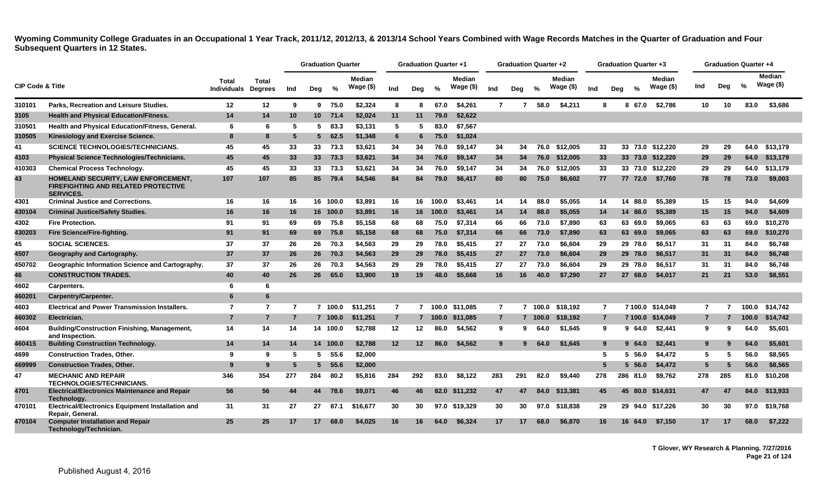|                             |                                                                                                       |                             |                                |     | <b>Graduation Quarter</b> |          |                            |                | <b>Graduation Quarter +1</b> |         |                            |                | <b>Graduation Quarter +2</b> |          |                            |     |                | <b>Graduation Quarter +3</b> |                            |                 | <b>Graduation Quarter +4</b> |       |                            |
|-----------------------------|-------------------------------------------------------------------------------------------------------|-----------------------------|--------------------------------|-----|---------------------------|----------|----------------------------|----------------|------------------------------|---------|----------------------------|----------------|------------------------------|----------|----------------------------|-----|----------------|------------------------------|----------------------------|-----------------|------------------------------|-------|----------------------------|
| <b>CIP Code &amp; Title</b> |                                                                                                       | Total<br><b>Individuals</b> | <b>Total</b><br><b>Degrees</b> | Ind | Deg                       | %        | <b>Median</b><br>Wage (\$) | Ind            | Dea                          | $\%$    | <b>Median</b><br>Wage (\$) | Ind            | Deg                          | $\%$     | <b>Median</b><br>Wage (\$) | Ind | Dea            | $\%$                         | <b>Median</b><br>Wage (\$) | Ind             | Deg                          | %     | <b>Median</b><br>Wage (\$) |
| 310101                      | Parks, Recreation and Leisure Studies.                                                                | 12                          | 12                             | 9   |                           | 975.0    | \$2,324                    | 8              | 8                            | 67.0    | \$4,261                    | $\overline{7}$ | $\overline{7}$               | 58.0     | \$4,211                    | 8   |                | 67.0<br>8                    | \$2,786                    | 10 <sup>1</sup> | 10                           | 83.0  | \$3,686                    |
| 3105                        | <b>Health and Physical Education/Fitness.</b>                                                         | 14                          | 14                             | 10  | 10 <sup>1</sup>           | 71.4     | \$2,024                    | 11             | 11                           | 79.0    | \$2,622                    |                |                              |          |                            |     |                |                              |                            |                 |                              |       |                            |
| 310501                      | <b>Health and Physical Education/Fitness, General.</b>                                                | 6                           | 6                              | 5   | 5.                        | 83.3     | \$3,131                    | 5              | 5                            | 83.0    | \$7.567                    |                |                              |          |                            |     |                |                              |                            |                 |                              |       |                            |
| 310505                      | Kinesiology and Exercise Science.                                                                     | -8                          | 8                              | -5  | $5^{\circ}$               | 62.5     | \$1,348                    | 6              | 6                            | 75.0    | \$1,024                    |                |                              |          |                            |     |                |                              |                            |                 |                              |       |                            |
| 41                          | <b>SCIENCE TECHNOLOGIES/TECHNICIANS.</b>                                                              | 45                          | 45                             | 33  | 33                        | 73.3     | \$3,621                    | 34             | 34                           | 76.0    | \$9.147                    | 34             | 34                           | 76.0     | \$12.005                   | 33  |                |                              | 33 73.0 \$12.220           | 29              | 29                           | 64.0  | \$13,179                   |
| 4103                        | <b>Physical Science Technologies/Technicians.</b>                                                     | 45                          | 45                             | 33  | 33 <sup>2</sup>           | 73.3     | \$3,621                    | 34             | 34                           | 76.0    | \$9,147                    | 34             | 34                           | 76.0     | \$12,005                   | 33  |                |                              | 33 73.0 \$12,220           | 29              | 29                           | 64.0  | \$13,179                   |
| 410303                      | <b>Chemical Process Technology.</b>                                                                   | 45                          | 45                             | 33  | 33                        | 73.3     | \$3,621                    | 34             | 34                           | 76.0    | \$9,147                    | 34             | 34                           | 76.0     | \$12,005                   | 33  |                |                              | 33 73.0 \$12,220           | 29              | 29                           | 64.0  | \$13,179                   |
| 43                          | HOMELAND SECURITY, LAW ENFORCEMENT,<br><b>FIREFIGHTING AND RELATED PROTECTIVE</b><br><b>SERVICES.</b> | 107                         | 107                            | 85  | 85                        | 79.4     | \$4,546                    | 84             | 84                           | 79.0    | \$6.417                    | 80             | 80                           | 75.0     | \$6.602                    | 77  |                | 77 72.0                      | \$7,760                    | 78              | 78                           | 73.0  | \$9,003                    |
| 4301                        | <b>Criminal Justice and Corrections.</b>                                                              | 16                          | 16                             | 16  |                           | 16 100.0 | \$3,891                    | 16             | 16                           | 100.0   | \$3,461                    | 14             | 14                           | 88.0     | \$5,055                    | 14  |                | 14 88.0                      | \$5,389                    | 15              | 15                           | 94.0  | \$4,609                    |
| 430104                      | <b>Criminal Justice/Safety Studies.</b>                                                               | 16                          | 16                             | 16  |                           | 16 100.0 | \$3,891                    | 16             | 16                           | 100.0   | \$3,461                    | 14             | 14                           | 88.0     | \$5,055                    | 14  |                | 14 88.0                      | \$5,389                    | 15              | 15                           | 94.0  | \$4,609                    |
| 4302                        | <b>Fire Protection.</b>                                                                               | 91                          | 91                             | 69  | 69                        | 75.8     | \$5.158                    | 68             | 68                           | 75.0    | \$7.314                    | 66             | 66                           | 73.0     | \$7.890                    | 63  |                | 63 69.0                      | \$9.065                    | 63              | 63                           | 69.0  | \$10,270                   |
| 430203                      | Fire Science/Fire-fighting.                                                                           | 91                          | 91                             | 69  | 69                        | 75.8     | \$5,158                    | 68             | 68                           | 75.0    | \$7,314                    | 66             | 66                           | 73.0     | \$7,890                    | 63  |                | 63 69.0                      | \$9,065                    | 63              | 63                           | 69.0  | \$10,270                   |
| 45                          | <b>SOCIAL SCIENCES.</b>                                                                               | 37                          | 37                             | 26  | 26                        | 70.3     | \$4,563                    | 29             | 29                           | 78.0    | \$5,415                    | 27             | 27                           | 73.0     | \$6.604                    | 29  |                | 29 78.0                      | \$6.517                    | 31              | 31                           | 84.0  | \$6,748                    |
| 4507                        | Geography and Cartography.                                                                            | 37                          | 37                             | 26  | 26 <sup>2</sup>           | 70.3     | \$4,563                    | 29             | 29                           | 78.0    | \$5,415                    | 27             | 27                           | 73.0     | \$6,604                    | 29  |                | 29 78.0                      | \$6,517                    | 31              | 31                           | 84.0  | \$6,748                    |
| 450702                      | Geographic Information Science and Cartography.                                                       | 37                          | 37                             | -26 | 26                        | 70.3     | \$4,563                    | 29             | 29                           | 78.0    | \$5,415                    | 27             | 27                           | 73.0     | \$6,604                    | 29  |                | 29 78.0                      | \$6,517                    | 31              | 31                           | 84.0  | \$6,748                    |
| 46                          | <b>CONSTRUCTION TRADES.</b>                                                                           | 40                          | 40                             | 26  | 26 <sup>°</sup>           | 65.0     | \$3,900                    | 19             | 19                           | 48.0    | \$5,668                    | 16             | 16.                          | 40.0     | \$7,290                    | 27  |                | 27 68.0                      | \$4,017                    | 21              | 21                           | 53.0  | \$8,551                    |
| 4602                        | Carpenters.                                                                                           | -6                          | 6                              |     |                           |          |                            |                |                              |         |                            |                |                              |          |                            |     |                |                              |                            |                 |                              |       |                            |
| 460201                      | Carpentry/Carpenter.                                                                                  | 6                           | 6                              |     |                           |          |                            |                |                              |         |                            |                |                              |          |                            |     |                |                              |                            |                 |                              |       |                            |
| 4603                        | <b>Electrical and Power Transmission Installers.</b>                                                  | $\overline{7}$              | $\overline{7}$                 | -7  |                           | 7 100.0  | \$11,251                   | $\overline{7}$ |                              |         | 100.0 \$11,085             | $\overline{7}$ |                              | 7, 100.0 | \$18.192                   |     | $\overline{7}$ |                              | 7 100.0 \$14,049           | $\overline{7}$  |                              | 100.0 | \$14,742                   |
| 460302                      | Electrician.                                                                                          | $\overline{7}$              | $\overline{7}$                 | -7  |                           | 7 100.0  | \$11,251                   | $\overline{7}$ |                              | 7 100.0 | \$11,085                   | $\overline{7}$ |                              | 7 100.0  | \$18,192                   |     | $\overline{7}$ |                              | 7 100.0 \$14,049           | $\overline{7}$  |                              | 100.0 | \$14,742                   |
| 4604                        | <b>Building/Construction Finishing, Management,</b><br>and Inspection.                                | 14                          | 14                             | 14  |                           | 14 100.0 | \$2,788                    | 12             | 12                           | 86.0    | \$4,562                    | 9              | 9                            | 64.0     | \$1,645                    | 9   |                | 964.0                        | \$2,441                    | 9               | -9                           | 64.0  | \$5,601                    |
| 460415                      | <b>Building Construction Technology.</b>                                                              | 14                          | 14                             | 14  |                           | 14 100.0 | \$2,788                    | 12             | $12 \,$                      | 86.0    | \$4,562                    | 9              | 9                            | 64.0     | \$1,645                    |     | 9              | 64.0<br>9                    | \$2,441                    | 9               |                              | 64.0  | \$5,601                    |
| 4699                        | <b>Construction Trades, Other.</b>                                                                    | 9                           | 9                              | 5   | 5.                        | 55.6     | \$2,000                    |                |                              |         |                            |                |                              |          |                            | 5   |                | 56.0                         | \$4,472                    | 5               | 5                            | 56.0  | \$8,565                    |
| 469999                      | <b>Construction Trades, Other.</b>                                                                    | -9                          | 9                              |     | $5^{\circ}$               | 55.6     | \$2,000                    |                |                              |         |                            |                |                              |          |                            | 5   |                | 56.0                         | \$4,472                    | 5               |                              | 56.0  | \$8,565                    |
| 47                          | <b>MECHANIC AND REPAIR</b><br><b>TECHNOLOGIES/TECHNICIANS.</b>                                        | 346                         | 354                            | 277 | 284                       | 80.2     | \$5,816                    | 284            | 292                          | 83.0    | \$8,122                    | 283            | 291                          | 82.0     | \$9,440                    | 278 |                | 286 81.0                     | \$9,762                    | 278             | 285                          |       | 81.0 \$10,208              |
| 4701                        | <b>Electrical/Electronics Maintenance and Repair</b><br>Technology.                                   | 56                          | 56                             | 44  | 44                        | 78.6     | \$9,071                    | 46             | 46                           |         | 82.0 \$11,232              | 47             | 47                           | 84.0     | \$13,381                   | 45  |                |                              | 45 80.0 \$14,631           | 47              | 47                           | 84.0  | \$13,933                   |
| 470101                      | Electrical/Electronics Equipment Installation and<br>Repair, General.                                 | 31                          | 31                             | 27  | 27                        | 87.1     | \$16,677                   | 30             | 30                           |         | 97.0 \$19,329              | 30             | 30                           | 97.0     | \$18,838                   | 29  |                |                              | 29 94.0 \$17,226           | 30              | 30                           | 97.0  | \$19,768                   |
| 470104                      | <b>Computer Installation and Repair</b><br>Technology/Technician.                                     | 25                          | 25                             | 17  | 17 <sup>2</sup>           | 68.0     | \$4,025                    | 16             | 16.                          | 64.0    | \$6,324                    | 17             | 17                           | 68.0     | \$6,870                    | 16  |                | 16 64.0                      | \$7,150                    | 17              | 17                           | 68.0  | \$7,222                    |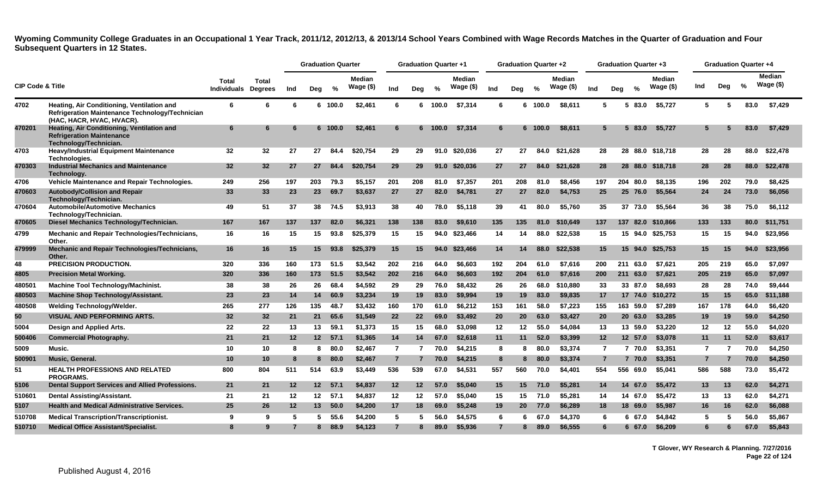|                             |                                                                                                                            |                                     |                 |                   | <b>Graduation Quarter</b> |         |                            |                | <b>Graduation Quarter +1</b> |       |                            |                | <b>Graduation Quarter +2</b> |         |                            |                | <b>Graduation Quarter +3</b> |          |                            |                | <b>Graduation Quarter +4</b> |      |                     |
|-----------------------------|----------------------------------------------------------------------------------------------------------------------------|-------------------------------------|-----------------|-------------------|---------------------------|---------|----------------------------|----------------|------------------------------|-------|----------------------------|----------------|------------------------------|---------|----------------------------|----------------|------------------------------|----------|----------------------------|----------------|------------------------------|------|---------------------|
| <b>CIP Code &amp; Title</b> |                                                                                                                            | Total<br><b>Individuals Degrees</b> | <b>Total</b>    | Ind               | Dea                       | %       | <b>Median</b><br>Wage (\$) | Ind            | Deg                          | %     | <b>Median</b><br>Wage (\$) | Ind            | Dea                          | $\%$    | <b>Median</b><br>Wage (\$) | Ind            | Dea                          | %        | <b>Median</b><br>Wage (\$) | Ind            | Deg                          | %    | Median<br>Wage (\$) |
| 4702                        | Heating, Air Conditioning, Ventilation and<br>Refrigeration Maintenance Technology/Technician<br>(HAC, HACR, HVAC, HVACR). | 6                                   | 6               | 6                 |                           | 6 100.0 | \$2,461                    | 6              | 6                            | 100.0 | \$7,314                    | 6              | 6                            | 100.0   | \$8,611                    | 5              |                              | 5 83.0   | \$5,727                    | 5              | 5                            | 83.0 | \$7,429             |
| 470201                      | Heating, Air Conditioning, Ventilation and<br><b>Refrigeration Maintenance</b><br>Technology/Technician.                   | 6                                   | 6               | 6                 |                           | 6 100.0 | \$2,461                    | 6              | 6.                           | 100.0 | \$7,314                    | 6              |                              | 6 100.0 | \$8,611                    | 5              |                              | 5 83.0   | \$5.727                    |                |                              | 83.0 | \$7,429             |
| 4703                        | <b>Heavy/Industrial Equipment Maintenance</b><br>Technologies.                                                             | 32                                  | $32\phantom{a}$ | 27                | 27                        | 84.4    | \$20,754                   | 29             | 29                           |       | 91.0 \$20,036              | 27             | 27                           | 84.0    | \$21,628                   | 28             |                              |          | 28 88.0 \$18,718           | 28             | 28                           | 88.0 | \$22,478            |
| 470303                      | <b>Industrial Mechanics and Maintenance</b><br>Technology.                                                                 | 32                                  | 32              | 27                | 27                        | 84.4    | \$20,754                   | 29             | 29                           | 91.0  | \$20,036                   | 27             | 27                           | 84.0    | \$21,628                   | 28             |                              | 28 88.0  | \$18,718                   | 28             | 28                           | 88.0 | \$22,478            |
| 4706                        | Vehicle Maintenance and Repair Technologies.                                                                               | 249                                 | 256             | 197               | 203                       | 79.3    | \$5.157                    | 201            | 208                          | 81.0  | \$7.357                    | 201            | 208                          | 81.0    | \$8.456                    | 197            |                              | 204 80.0 | \$8.135                    | 196            | 202                          | 79.0 | \$8,425             |
| 470603                      | <b>Autobody/Collision and Repair</b><br>Technology/Technician.                                                             | 33                                  | 33              | 23                | 23                        | 69.7    | \$3,637                    | 27             | 27                           | 82.0  | \$4,781                    | 27             | 27                           | 82.0    | \$4,753                    | 25             |                              | 25 76.0  | \$5,564                    | 24             | 24                           | 73.0 | \$6,056             |
| 470604                      | <b>Automobile/Automotive Mechanics</b><br>Technology/Technician.                                                           | 49                                  | 51              | 37                | 38                        | 74.5    | \$3.913                    | 38             | 40                           | 78.0  | \$5.118                    | 39             | 41                           | 80.0    | \$5.760                    | 35             |                              | 37 73.0  | \$5.564                    | 36             | 38                           | 75.0 | \$6.112             |
| 470605                      | Diesel Mechanics Technology/Technician.                                                                                    | 167                                 | 167             | 137               | 137                       | 82.0    | \$6,321                    | 138            | 138                          | 83.0  | \$9,610                    | 135            | 135                          | 81.0    | \$10.649                   | 137            |                              | 137 82.0 | \$10,866                   | 133            | 133                          | 80.0 | \$11,751            |
| 4799                        | Mechanic and Repair Technologies/Technicians,<br>Other.                                                                    | 16                                  | 16              | 15                | 15                        | 93.8    | \$25,379                   | 15             | 15                           | 94.0  | \$23,466                   | 14             | 14                           | 88.0    | \$22,538                   | 15             |                              | 15 94.0  | \$25,753                   | 15             | 15                           | 94.0 | \$23,956            |
| 479999                      | Mechanic and Repair Technologies/Technicians,<br>Other.                                                                    | 16                                  | 16              | 15                | 15                        | 93.8    | \$25,379                   | 15             | 15                           | 94.0  | \$23,466                   | 14             | 14                           | 88.0    | \$22.538                   | 15             |                              | 15 94.0  | \$25.753                   | 15             | 15                           | 94.0 | \$23,956            |
| 48                          | <b>PRECISION PRODUCTION.</b>                                                                                               | 320                                 | 336             | 160               | 173                       | 51.5    | \$3,542                    | 202            | 216                          | 64.0  | \$6,603                    | 192            | 204                          | 61.0    | \$7,616                    | 200            | 211                          | 63.0     | \$7,621                    | 205            | 219                          | 65.0 | \$7,097             |
| 4805                        | <b>Precision Metal Working.</b>                                                                                            | 320                                 | 336             | 160               | 173                       | 51.5    | \$3,542                    | 202            | 216                          | 64.0  | \$6,603                    | 192            | 204                          | 61.0    | \$7,616                    | 200            | 211                          | 63.0     | \$7,621                    | 205            | 219                          | 65.0 | \$7,097             |
| 480501                      | <b>Machine Tool Technology/Machinist.</b>                                                                                  | 38                                  | 38              | 26                | 26                        | 68.4    | \$4,592                    | 29             | 29                           | 76.0  | \$8,432                    | 26             | 26                           | 68.0    | \$10,880                   | 33             |                              | 33 87.0  | \$8,693                    | 28             | 28                           | 74.0 | \$9,444             |
| 480503                      | <b>Machine Shop Technology/Assistant.</b>                                                                                  | 23                                  | 23              | 14                | 14                        | 60.9    | \$3,234                    | 19             | 19                           | 83.0  | \$9,994                    | 19             | 19                           | 83.0    | \$9,835                    | 17             |                              | 17 74.0  | \$10,272                   | 15             | 15                           | 65.0 | \$11,188            |
| 480508                      | Welding Technology/Welder.                                                                                                 | 265                                 | 277             | 126               | 135                       | 48.7    | \$3,432                    | 160            | 170                          | 61.0  | \$6,212                    | 153            | 161                          | 58.0    | \$7,223                    | 155            |                              | 163 59.0 | \$7,289                    | 167            | 178                          | 64.0 | \$6,420             |
| 50                          | <b>VISUAL AND PERFORMING ARTS.</b>                                                                                         | 32                                  | 32              | 21                | 21                        | 65.6    | \$1,549                    | 22             | 22                           | 69.0  | \$3,492                    | 20             | 20                           | 63.0    | \$3,427                    | 20             |                              | 20 63.0  | \$3,285                    | 19             | 19                           | 59.0 | \$4,250             |
| 5004                        | Design and Applied Arts.                                                                                                   | 22                                  | 22              | 13                | 13                        | 59.1    | \$1,373                    | 15             | 15                           | 68.0  | \$3,098                    | 12             | 12                           | 55.0    | \$4,084                    | 13             |                              | 13 59.0  | \$3,220                    | 12             | 12                           | 55.0 | \$4,020             |
| 500406                      | <b>Commercial Photography.</b>                                                                                             | 21                                  | 21              | 12                |                           | 12 57.1 | \$1,365                    | 14             | 14                           | 67.0  | \$2,618                    | 11             | 11                           | 52.0    | \$3,399                    | 12             |                              | 12 57.0  | \$3,078                    | 11             | 11                           | 52.0 | \$3,617             |
| 5009                        | Music.                                                                                                                     | 10                                  | 10              | 8                 | 8                         | 80.0    | \$2,467                    | $\overline{7}$ | 7                            | 70.0  | \$4,215                    | 8              | 8                            | 80.0    | \$3,374                    | $\overline{7}$ |                              | 7 70.0   | \$3,351                    | 7              | -7                           | 70.0 | \$4,250             |
| 500901                      | Music, General.                                                                                                            | 10                                  | 10              | 8                 | 8                         | 80.0    | \$2,467                    | $\overline{7}$ | $\overline{7}$               | 70.0  | \$4,215                    | 8              | 8                            | 80.0    | \$3,374                    | $\overline{7}$ |                              | 7 70.0   | \$3,351                    | $\overline{7}$ |                              | 70.0 | \$4,250             |
| 51                          | <b>HEALTH PROFESSIONS AND RELATED</b><br><b>PROGRAMS.</b>                                                                  | 800                                 | 804             | 511               | 514                       | 63.9    | \$3,449                    | 536            | 539                          | 67.0  | \$4,531                    | 557            | 560                          | 70.0    | \$4,401                    | 554            |                              | 556 69.0 | \$5,041                    | 586            | 588                          | 73.0 | \$5,472             |
| 5106                        | <b>Dental Support Services and Allied Professions.</b>                                                                     | 21                                  | 21              | 12                | 12 <sup>12</sup>          | 57.1    | \$4,837                    | 12             | $12 \,$                      | 57.0  | \$5,040                    | 15             | 15                           | 71.0    | \$5,281                    | 14             |                              | 14 67.0  | \$5,472                    | 13             | 13                           | 62.0 | \$4,271             |
| 510601                      | <b>Dental Assisting/Assistant.</b>                                                                                         | 21                                  | -21             | $12 \,$           | 12                        | 57.1    | \$4.837                    | 12             | 12                           | 57.0  | \$5.040                    | 15             | 15                           | 71.0    | \$5,281                    | 14             |                              | 14 67.0  | \$5,472                    | 13             | 13                           | 62.0 | \$4,271             |
| 5107                        | <b>Health and Medical Administrative Services.</b>                                                                         | 25                                  | 26              | $12 \overline{ }$ | 13 <sup>13</sup>          | 50.0    | \$4,200                    | 17             | 18                           | 69.0  | \$5,248                    | 19             | 20                           | 77.0    | \$6,289                    | 18             |                              | 18 69.0  | \$5,987                    | 16             | 16                           | 62.0 | \$6,088             |
| 510708                      | <b>Medical Transcription/Transcriptionist.</b>                                                                             | 9                                   | 9               | 5                 | 5.                        | 55.6    | \$4.200                    | 5              | 5                            | 56.0  | \$4,575                    | 6              |                              | 67.0    | \$4,370                    | 6              |                              | 6 67.0   | \$4,842                    | 5              |                              | 56.0 | \$5,867             |
| 510710                      | <b>Medical Office Assistant/Specialist.</b>                                                                                | 8                                   | 9               |                   |                           | 88.9    | \$4,123                    | $\overline{7}$ | 8                            | 89.0  | \$5,936                    | $\overline{7}$ |                              | 89.0    | \$6,555                    |                |                              | 6 67.0   | \$6,209                    |                |                              | 67.0 | \$5,843             |

**T Glover, WY Research & Planning. 7/27/2016 Page 22 of 124**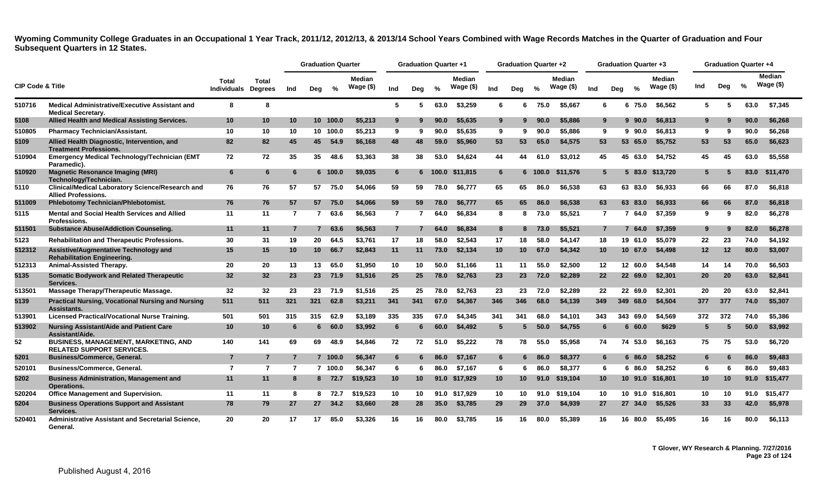|                             |                                                                                       |                                     |                |                | <b>Graduation Quarter</b> |               |                             |                 | <b>Graduation Quarter +1</b> |               |                            |                 | <b>Graduation Quarter +2</b> |                |                            |                 |     | <b>Graduation Quarter +3</b> |                            |     | <b>Graduation Quarter +4</b> |               |                             |
|-----------------------------|---------------------------------------------------------------------------------------|-------------------------------------|----------------|----------------|---------------------------|---------------|-----------------------------|-----------------|------------------------------|---------------|----------------------------|-----------------|------------------------------|----------------|----------------------------|-----------------|-----|------------------------------|----------------------------|-----|------------------------------|---------------|-----------------------------|
| <b>CIP Code &amp; Title</b> |                                                                                       | Total<br><b>Individuals Degrees</b> | Total          | Ind            | Dea                       | $\frac{9}{6}$ | <b>Median</b><br>Wage $($)$ | Ind             | Dea                          | $\frac{9}{6}$ | <b>Median</b><br>Wage (\$) | Ind             | Dea                          | $\frac{1}{2}$  | <b>Median</b><br>Wage (\$) | Ind             | Dea | $\frac{0}{0}$                | <b>Median</b><br>Wage (\$) | Ind | Dea                          | $\frac{0}{2}$ | <b>Median</b><br>Wage $($)$ |
| 510716                      | <b>Medical Administrative/Executive Assistant and</b><br><b>Medical Secretary.</b>    | 8                                   | 8              |                |                           |               |                             | 5               | 5.                           | 63.0          | \$3.259                    | 6               | 6                            | 75.0           | \$5.667                    | 6               |     | 6 75.0                       | \$6.562                    | -5  | 5                            | 63.0          | \$7,345                     |
| 5108                        | Allied Health and Medical Assisting Services.                                         | 10                                  | 10             | 10             |                           | 10 100.0      | \$5.213                     | 9               | 9                            | 90.0          | \$5,635                    | 9               | 9.                           | 90.0           | \$5,886                    | 9               |     | $9\,90.0$                    | \$6,813                    |     |                              | 90.0          | \$6,268                     |
| 510805                      | <b>Pharmacy Technician/Assistant.</b>                                                 | 10                                  | 10             | 10             |                           | 10 100.0      | \$5,213                     | 9               | 9                            | 90.0          | \$5,635                    | 9               | 9                            | 90.0           | \$5.886                    | 9               |     | $9\,90.0$                    | \$6,813                    | -9  | 9                            | 90.0          | \$6,268                     |
| 5109                        | Allied Health Diagnostic, Intervention, and<br><b>Treatment Professions.</b>          | 82                                  | 82             | 45             | 45                        | 54.9          | \$6,168                     | 48              | 48                           | 59.0          | \$5,960                    | 53              | 53                           | 65.0           | \$4,575                    | 53              |     | 53 65.0                      | \$5,752                    | 53  | 53                           | 65.0          | \$6,623                     |
| 510904                      | Emergency Medical Technology/Technician (EMT<br>Paramedic).                           | 72                                  | 72             | 35             | 35                        | 48.6          | \$3.363                     | 38              | 38                           | 53.0          | \$4.624                    | 44              | 44                           | 61.0           | \$3.012                    | 45              |     | 45 63.0                      | \$4.752                    | 45  | 45                           | 63.0          | \$5,558                     |
| 510920                      | <b>Magnetic Resonance Imaging (MRI)</b><br>Technology/Technician.                     | 6                                   | 6              | 6              |                           | 6 100.0       | \$9,035                     | 6               |                              |               | 6 100.0 \$11.815           | 6               |                              | $6\quad 100.0$ | \$11,576                   | 5               |     |                              | 5 83.0 \$13.720            | 5   |                              | 83.0          | \$11.470                    |
| 5110                        | <b>Clinical/Medical Laboratory Science/Research and</b><br><b>Allied Professions.</b> | 76                                  | 76             | 57             | 57                        | 75.0          | \$4,066                     | 59              | 59                           | 78.0          | \$6.777                    | 65              | 65                           | 86.0           | \$6.538                    | 63              |     | 63 83.0                      | \$6.933                    | 66  | 66                           | 87.0          | \$6,818                     |
| 511009                      | <b>Phlebotomy Technician/Phlebotomist.</b>                                            | 76                                  | 76             | 57             | 57                        | 75.0          | \$4,066                     | 59              | 59                           | 78.0          | \$6.777                    | 65              | 65                           | 86.0           | \$6.538                    | 63              |     | 63 83.0                      | \$6.933                    | 66  | 66                           | 87.0          | \$6,818                     |
| 5115                        | Mental and Social Health Services and Allied<br><b>Professions.</b>                   | 11                                  | 11             | $\overline{7}$ | $\overline{7}$            | 63.6          | \$6,563                     | $\overline{7}$  | 7                            | 64.0          | \$6,834                    | 8               | 8                            | 73.0           | \$5,521                    | $\overline{7}$  |     | 7 64.0                       | \$7,359                    | 9   | 9                            | 82.0          | \$6,278                     |
| 511501                      | <b>Substance Abuse/Addiction Counseling.</b>                                          | 11                                  | 11             | $\overline{7}$ | 7                         | 63.6          | \$6,563                     | $\overline{7}$  |                              | 64.0          | \$6,834                    | 8               | 8                            | 73.0           | \$5,521                    | $\overline{7}$  |     | 764.0                        | \$7,359                    | 9   |                              | 82.0          | \$6,278                     |
| 5123                        | <b>Rehabilitation and Therapeutic Professions.</b>                                    | 30                                  | 31             | 19             | 20                        | 64.5          | \$3.761                     | 17              | 18                           | 58.0          | \$2.543                    | 17              | 18                           | 58.0           | \$4.147                    | 18              |     | 19 61.0                      | \$5.079                    | 22  | 23                           | 74.0          | \$4,192                     |
| 512312                      | Assistive/Augmentative Technology and<br><b>Rehabilitation Engineering.</b>           | 15                                  | 15             | 10             | 10                        | 66.7          | \$2,843                     | 11              | 11                           | 73.0          | \$2,134                    | 10              | 10 <sup>°</sup>              | 67.0           | \$4,342                    | 10              |     | 10 67.0                      | \$4,498                    | 12  | $12 \,$                      | 80.0          | \$3,007                     |
| 512313                      | Animal-Assisted Therapy.                                                              | 20                                  | 20             | 13             | 13                        | 65.0          | \$1.950                     | 10              | 10                           | 50.0          | \$1,166                    | 11              | 11                           | 55.0           | \$2.500                    | 12              |     | 12 60.0                      | \$4,548                    | 14  | 14                           | 70.0          | \$6,503                     |
| 5135                        | <b>Somatic Bodywork and Related Therapeutic</b><br>Services.                          | 32                                  | 32             | 23             |                           | 23 71.9       | \$1,516                     | 25              | 25                           | 78.0          | \$2,763                    | 23              | 23                           | 72.0           | \$2,289                    | 22              |     | 22 69.0                      | \$2,301                    | 20  | 20                           | 63.0          | \$2,841                     |
| 513501                      | Massage Therapy/Therapeutic Massage.                                                  | 32                                  | 32             | 23             | 23                        | 71.9          | \$1.516                     | 25              | 25                           | 78.0          | \$2,763                    | 23              | 23                           | 72.0           | \$2.289                    | 22              |     | 22 69.0                      | \$2.301                    | 20  | 20                           | 63.0          | \$2.841                     |
| 5139                        | <b>Practical Nursing, Vocational Nursing and Nursing</b><br>Assistants.               | 511                                 | 511            | 321            | 321                       | 62.8          | \$3.211                     | 341             | 341                          | 67.0          | \$4,367                    | 346             | 346                          | 68.0           | \$4,139                    | 349             |     | 349 68.0                     | \$4,504                    | 377 | 377                          | 74.0          | \$5,307                     |
| 513901                      | Licensed Practical/Vocational Nurse Training.                                         | 501                                 | 501            | 315            | 315                       | 62.9          | \$3,189                     | 335             | 335                          | 67.0          | \$4,345                    | 341             | 341                          | 68.0           | \$4,101                    | 343             |     | 343 69.0                     | \$4,569                    | 372 | 372                          | 74.0          | \$5,386                     |
| 513902                      | <b>Nursing Assistant/Aide and Patient Care</b><br>Assistant/Aide.                     | 10                                  | 10             | 6              | 6.                        | 60.0          | \$3,992                     | 6               | 6                            | 60.0          | \$4.492                    | 5               | 5                            | 50.0           | \$4,755                    | 6               |     | 660.0                        | \$629                      | 5   | -5                           | 50.0          | \$3,992                     |
| 52                          | <b>BUSINESS, MANAGEMENT, MARKETING, AND</b><br><b>RELATED SUPPORT SERVICES.</b>       | 140                                 | 141            | 69             | 69                        | 48.9          | \$4.846                     | 72              | 72                           | 51.0          | \$5.222                    | 78              | 78                           | 55.0           | \$5.958                    | 74              |     | 74 53.0                      | \$6.163                    | 75  | 75                           | 53.0          | \$6.720                     |
| 5201                        | <b>Business/Commerce, General.</b>                                                    | $\overline{7}$                      | $\overline{7}$ | $\overline{7}$ |                           | 7 100.0       | \$6,347                     | 6               | 6                            | 86.0          | \$7,167                    | 6               | 6                            | 86.0           | \$8,377                    | 6               |     | 6 86.0                       | \$8,252                    | 6   |                              | 86.0          | \$9,483                     |
| 520101                      | <b>Business/Commerce, General.</b>                                                    | $\overline{7}$                      | $\overline{7}$ | $\overline{7}$ |                           | 7 100.0       | \$6,347                     | 6               | 6                            | 86.0          | \$7,167                    | 6               | 6                            | 86.0           | \$8,377                    | 6               |     | 6 86.0                       | \$8,252                    | 6   | 6                            | 86.0          | \$9,483                     |
| 5202                        | <b>Business Administration, Management and</b><br>Operations.                         | 11                                  | 11             | 8              |                           | 8 72.7        | \$19,523                    | 10 <sup>°</sup> | 10 <sup>°</sup>              |               | 91.0 \$17,929              | 10 <sup>°</sup> | 10 <sup>°</sup>              | 91.0           | \$19,104                   | 10 <sup>°</sup> |     |                              | 10 91.0 \$16,801           | 10  | 10                           | 91.0          | \$15,477                    |
| 520204                      | <b>Office Management and Supervision.</b>                                             | 11                                  | 11             | 8              |                           | 8 72.7        | \$19,523                    | 10              | 10                           |               | 91.0 \$17.929              | 10              | 10                           | 91.0           | \$19.104                   | 10              |     |                              | 10 91.0 \$16.801           | 10  | 10                           | 91.0          | \$15.477                    |
| 5204                        | <b>Business Operations Support and Assistant</b><br>Services.                         | 78                                  | 79             | 27             |                           | 27 34.2       | \$3,660                     | 28              | 28                           | 35.0          | \$3,785                    | 29              | 29                           | 37.0           | \$4,939                    | 27              |     | 27 34.0                      | \$5,526                    | 33  | 33                           | 42.0          | \$5,978                     |
| 520401                      | Administrative Assistant and Secretarial Science,<br>General.                         | 20                                  | 20             | 17             | 17                        | 85.0          | \$3,326                     | 16              | 16                           | 80.0          | \$3,785                    | 16              | 16                           | 80.0           | \$5,389                    | 16              |     | 16 80.0                      | \$5.495                    | 16  | 16                           | 80.0          | \$6,113                     |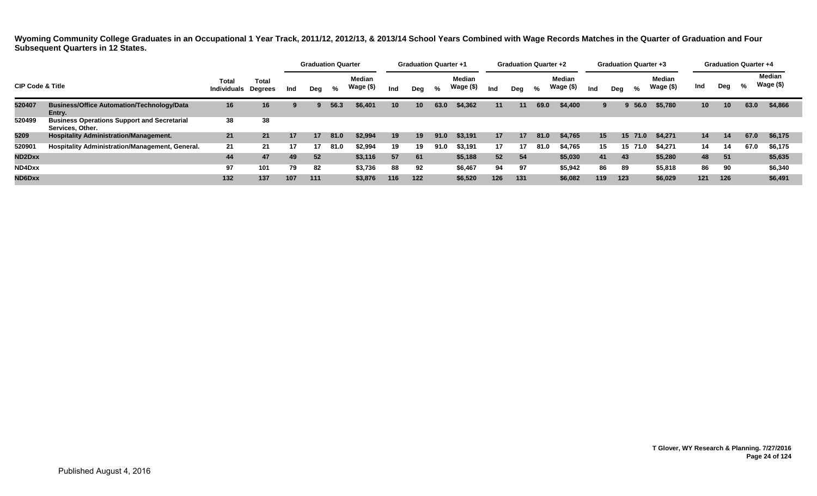|                                                                                                                                         |                                                                        |     |     |     | <b>Graduation Quarter</b> |      |                     |     | <b>Graduation Quarter +1</b> |      |                            |     | <b>Graduation Quarter +2</b> |      |                            |     |     | <b>Graduation Quarter +3</b> |                            |                 | <b>Graduation Quarter +4</b> |      |                            |
|-----------------------------------------------------------------------------------------------------------------------------------------|------------------------------------------------------------------------|-----|-----|-----|---------------------------|------|---------------------|-----|------------------------------|------|----------------------------|-----|------------------------------|------|----------------------------|-----|-----|------------------------------|----------------------------|-----------------|------------------------------|------|----------------------------|
| Total<br><b>CIP Code &amp; Title</b><br><b>Individuals Degrees</b><br><b>Business/Office Automation/Technology/Data</b><br>520407<br>16 |                                                                        |     |     | Ind | Deg                       | %    | Median<br>Wage (\$) | Ind | Dea                          | %    | <b>Median</b><br>Wage (\$) | Ind | Dea                          | %    | <b>Median</b><br>Wage (\$) | Ind | Dea | %                            | <b>Median</b><br>Wage (\$) | Ind             | Deg                          | %    | <b>Median</b><br>Wage (\$) |
|                                                                                                                                         | Entry.                                                                 |     | 16  |     | 9                         | 56.3 | \$6,401             | 10  | 10                           | 63.0 | \$4,362                    | 11  | 11                           | 69.0 | \$4,400                    | 9   |     | 56.0                         | \$5,780                    | 10 <sup>1</sup> | 10                           | 63.0 | \$4,866                    |
| 520499                                                                                                                                  | <b>Business Operations Support and Secretarial</b><br>Services, Other. | 38  | 38  |     |                           |      |                     |     |                              |      |                            |     |                              |      |                            |     |     |                              |                            |                 |                              |      |                            |
| 5209                                                                                                                                    | <b>Hospitality Administration/Management.</b>                          | 21  | 21  | 17  | 17                        | 81.0 | \$2,994             | 19  | 19                           | 91.0 | \$3,191                    | 17  | $17 \,$                      | 81.0 | \$4,765                    | 15  |     | 15 71.0                      | \$4,271                    | 14              | 14                           | 67.0 | \$6,175                    |
| 520901                                                                                                                                  | Hospitality Administration/Management, General.                        | 21  | 21  | 17  |                           | 81.0 | \$2,994             | 19  | 19                           | 91.0 | \$3,191                    | 17  | 17                           | 81.0 | \$4,765                    | 15  |     | 71.0<br>15                   | \$4.271                    | 14              | 14                           | 67.0 | \$6,175                    |
| ND2Dxx                                                                                                                                  |                                                                        | 44  | 47  | 49  | 52                        |      | \$3,116             | 57  | 61                           |      | \$5,188                    | 52  | 54                           |      | \$5,030                    | 41  | 43  |                              | \$5,280                    | 48              | 51                           |      | \$5,635                    |
| ND4Dxx                                                                                                                                  |                                                                        | 97  | 101 | 79  | 82                        |      | \$3,736             | 88  | 92                           |      | \$6,467                    | 94  | 97                           |      | \$5,942                    | 86  | 89  |                              | \$5,818                    | 86              | 90                           |      | \$6,340                    |
| ND6Dxx                                                                                                                                  |                                                                        | 132 | 137 | 107 | 111                       |      | \$3,876             | 116 | 122                          |      | \$6,520                    | 126 | 131                          |      | \$6,082                    | 119 | 123 |                              | \$6,029                    | 121             | 126                          |      | \$6,491                    |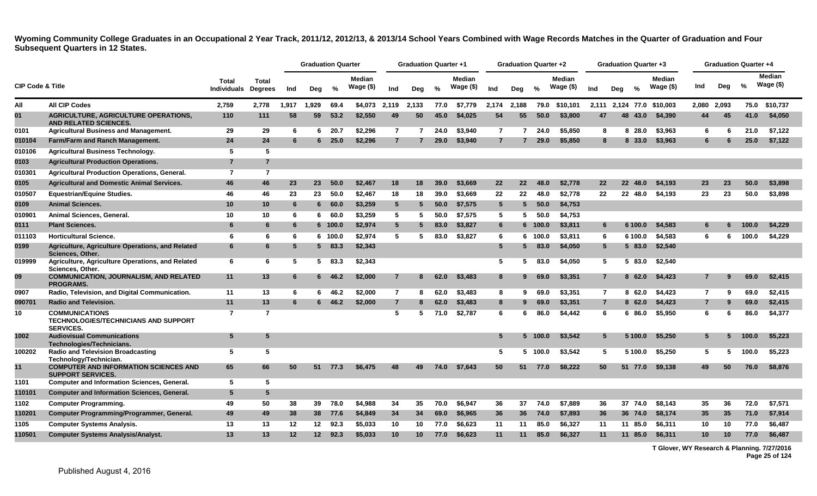<span id="page-25-0"></span>

|                             |                                                                                          |                             |                                |       | <b>Graduation Quarter</b> |         |                            |                 | <b>Graduation Quarter +1</b> |      |                            |                 | Graduation Quarter +2 |         |                            |                | <b>Graduation Quarter +3</b> |         |                            |                |       | <b>Graduation Quarter +4</b> |                             |
|-----------------------------|------------------------------------------------------------------------------------------|-----------------------------|--------------------------------|-------|---------------------------|---------|----------------------------|-----------------|------------------------------|------|----------------------------|-----------------|-----------------------|---------|----------------------------|----------------|------------------------------|---------|----------------------------|----------------|-------|------------------------------|-----------------------------|
| <b>CIP Code &amp; Title</b> |                                                                                          | Total<br><b>Individuals</b> | <b>Total</b><br><b>Degrees</b> | Ind   | Deg                       | %       | <b>Median</b><br>Wage (\$) | Ind             | Deg                          | %    | <b>Median</b><br>Wage (\$) | Ind             | Deg                   | %       | <b>Median</b><br>Wage (\$) | Ind            | Dea                          | %       | <b>Median</b><br>Wage (\$) | Ind            | Deg   | %                            | <b>Median</b><br>Wage $($)$ |
| All                         | <b>All CIP Codes</b>                                                                     | 2,759                       | 2,778                          | 1,917 | 1,929                     | 69.4    | \$4,073                    | 2,119           | 2,133                        | 77.0 | \$7,779                    | 2,174           | 2,188                 | 79.0    | \$10.101                   | 2,111          |                              |         | 2.124 77.0 \$10.003        | 2,080          | 2,093 | 75.0                         | \$10.737                    |
| 01                          | <b>AGRICULTURE, AGRICULTURE OPERATIONS,</b><br>AND RELATED SCIENCES.                     | 110                         | 111                            | 58    | 59                        | 53.2    | \$2,550                    | 49              | 50                           | 45.0 | \$4,025                    | 54              | 55                    | 50.0    | \$3,800                    | 47             | 48                           | 43.0    | \$4,390                    |                | 45    | 41.0                         | \$4,050                     |
| 0101                        | <b>Agricultural Business and Management.</b>                                             | 29                          | 29                             | -6    | 6.                        | 20.7    | \$2,296                    | $\overline{7}$  | 7                            | 24.0 | \$3,940                    | $\mathbf{7}$    | 7                     | 24.0    | \$5,850                    | 8              |                              | 8 28.0  | \$3,963                    | 6              | -6    | 21.0                         | \$7,122                     |
| 010104                      | Farm/Farm and Ranch Management.                                                          | 24                          | 24                             | 6     | 6                         | 25.0    | \$2,296                    | $\overline{7}$  |                              | 29.0 | \$3,940                    | $\overline{7}$  |                       | 29.0    | \$5,850                    | 8              |                              | 8 33.0  | \$3,963                    | 6              | 6     | 25.0                         | \$7,122                     |
| 010106                      | <b>Agricultural Business Technology.</b>                                                 | 5                           | 5                              |       |                           |         |                            |                 |                              |      |                            |                 |                       |         |                            |                |                              |         |                            |                |       |                              |                             |
| 0103                        | <b>Agricultural Production Operations.</b>                                               | $\overline{7}$              | $\overline{7}$                 |       |                           |         |                            |                 |                              |      |                            |                 |                       |         |                            |                |                              |         |                            |                |       |                              |                             |
| 010301                      | Agricultural Production Operations, General.                                             | $\overline{7}$              | $\overline{7}$                 |       |                           |         |                            |                 |                              |      |                            |                 |                       |         |                            |                |                              |         |                            |                |       |                              |                             |
| 0105                        | <b>Agricultural and Domestic Animal Services.</b>                                        | 46                          | 46                             | 23    | 23                        | 50.0    | \$2,467                    | 18              | 18                           | 39.0 | \$3,669                    | 22              | 22                    | 48.0    | \$2,778                    | 22             | 22                           | 48.0    | \$4,193                    | 23             | 23    | 50.0                         | \$3,898                     |
| 010507                      | <b>Equestrian/Equine Studies.</b>                                                        | 46                          | 46                             | 23    | 23                        | 50.0    | \$2,467                    | 18              | 18                           | 39.0 | \$3,669                    | 22              | 22                    | 48.0    | \$2,778                    | 22             |                              | 22 48.0 | \$4,193                    | 23             | 23    | 50.0                         | \$3,898                     |
| 0109                        | <b>Animal Sciences.</b>                                                                  | 10                          | 10                             | 6     | 6                         | 60.0    | \$3,259                    | $5\overline{5}$ | 5                            | 50.0 | \$7,575                    | $5\phantom{.0}$ | 5                     | 50.0    | \$4,753                    |                |                              |         |                            |                |       |                              |                             |
| 010901                      | Animal Sciences, General.                                                                | 10                          | 10                             | 6     | 6.                        | 60.0    | \$3.259                    | 5               | 5.                           | 50.0 | \$7,575                    | 5               | 5.                    | 50.0    | \$4.753                    |                |                              |         |                            |                |       |                              |                             |
| 0111                        | <b>Plant Sciences.</b>                                                                   | 6                           | 6                              | 6     |                           | 6 100.0 | \$2,974                    | $5\phantom{.0}$ | 5                            | 83.0 | \$3,827                    | $6\phantom{1}6$ |                       | 6 100.0 | \$3,811                    | 6              |                              | 6 100.0 | \$4,583                    | 6              |       | 100.0                        | \$4,229                     |
| 011103                      | <b>Horticultural Science.</b>                                                            | 6                           | 6                              | 6     |                           | 6 100.0 | \$2,974                    | 5               | 5                            | 83.0 | \$3,827                    | 6               |                       | 6 100.0 | \$3,811                    | 6              |                              | 6 100.0 | \$4,583                    | 6              | 6     | 100.0                        | \$4,229                     |
| 0199                        | Agriculture, Agriculture Operations, and Related<br>Sciences, Other.                     | 6                           | 6                              | 5     |                           | 583.3   | \$2,343                    |                 |                              |      |                            | $5\overline{)}$ |                       | 583.0   | \$4,050                    | 5              |                              | 5 83.0  | \$2,540                    |                |       |                              |                             |
| 019999                      | Agriculture, Agriculture Operations, and Related<br>Sciences, Other.                     | 6                           | 6                              | 5     | 5                         | 83.3    | \$2,343                    |                 |                              |      |                            | 5               | 5.                    | 83.0    | \$4,050                    | 5              |                              | 5 83.0  | \$2,540                    |                |       |                              |                             |
| 09                          | <b>COMMUNICATION, JOURNALISM, AND RELATED</b><br><b>PROGRAMS.</b>                        | 11                          | 13                             | 6     |                           | 646.2   | \$2,000                    | $\overline{7}$  | 8                            | 62.0 | \$3,483                    | 8               | 9                     | 69.0    | \$3,351                    | $\overline{7}$ |                              | 862.0   | \$4,423                    | $\overline{7}$ | 9     | 69.0                         | \$2,415                     |
| 0907                        | Radio, Television, and Digital Communication.                                            | 11                          | 13                             | 6     | 6.                        | 46.2    | \$2,000                    | $\overline{7}$  | 8                            | 62.0 | \$3,483                    | 8               | 9                     | 69.0    | \$3.351                    | $\overline{7}$ |                              | 862.0   | \$4,423                    | $\overline{7}$ | 9     | 69.0                         | \$2,415                     |
| 090701                      | <b>Radio and Television.</b>                                                             | 11                          | 13                             | 6     |                           | 646.2   | \$2,000                    | $\overline{7}$  | 8                            | 62.0 | \$3,483                    | 8               | 9                     | 69.0    | \$3,351                    | $\overline{7}$ |                              | 862.0   | \$4,423                    | $\overline{7}$ | 9     | 69.0                         | \$2,415                     |
| 10                          | <b>COMMUNICATIONS</b><br><b>TECHNOLOGIES/TECHNICIANS AND SUPPORT</b><br><b>SERVICES.</b> | $\overline{7}$              | $\overline{7}$                 |       |                           |         |                            | 5               | 5                            | 71.0 | \$2,787                    | 6               | -6                    | 86.0    | \$4,442                    | 6              |                              | 6 86.0  | \$5,950                    | 6              | 6     | 86.0                         | \$4,377                     |
| 1002                        | <b>Audiovisual Communications</b><br>Technologies/Technicians.                           | 5                           | 5                              |       |                           |         |                            |                 |                              |      |                            | $5\overline{5}$ |                       | 5 100.0 | \$3,542                    | 5              |                              | 5 100.0 | \$5,250                    | 5              |       | 100.0                        | \$5,223                     |
| 100202                      | <b>Radio and Television Broadcasting</b><br>Technology/Technician.                       | 5                           | 5                              |       |                           |         |                            |                 |                              |      |                            | 5               |                       | 5 100.0 | \$3,542                    | 5              |                              | 5 100.0 | \$5,250                    | 5              | 5.    | 100.0                        | \$5.223                     |
| 11                          | <b>COMPUTER AND INFORMATION SCIENCES AND</b><br><b>SUPPORT SERVICES.</b>                 | 65                          | 66                             | 50    |                           | 51 77.3 | \$6,475                    | 48              | 49                           | 74.0 | \$7,643                    | 50              | 51                    | 77.0    | \$8,222                    | 50             |                              | 51 77.0 | \$9,138                    | 49             | 50    | 76.0                         | \$8,876                     |
| 1101                        | <b>Computer and Information Sciences, General.</b>                                       | 5                           | 5                              |       |                           |         |                            |                 |                              |      |                            |                 |                       |         |                            |                |                              |         |                            |                |       |                              |                             |
| 110101                      | <b>Computer and Information Sciences, General.</b>                                       | 5                           | 5                              |       |                           |         |                            |                 |                              |      |                            |                 |                       |         |                            |                |                              |         |                            |                |       |                              |                             |
| 1102                        | <b>Computer Programming.</b>                                                             | 49                          | 50                             | 38    | 39                        | 78.0    | \$4,988                    | 34              | 35                           | 70.0 | \$6,947                    | 36              | 37                    | 74.0    | \$7,889                    | 36             |                              | 37 74.0 | \$8,143                    | 35             | 36    | 72.0                         | \$7,571                     |
| 110201                      | Computer Programming/Programmer, General.                                                | 49                          | 49                             | 38    | 38                        | 77.6    | \$4,849                    | 34              | 34                           | 69.0 | \$6,965                    | 36              | 36                    | 74.0    | \$7,893                    | 36             |                              | 36 74.0 | \$8,174                    | 35             | 35    | 71.0                         | \$7,914                     |
| 1105                        | <b>Computer Systems Analysis.</b>                                                        | 13                          | 13                             | 12    | 12                        | 92.3    | \$5,033                    | 10              | 10                           | 77.0 | \$6,623                    | 11              | 11                    | 85.0    | \$6,327                    | 11             |                              | 11 85.0 | \$6,311                    | 10             | 10    | 77.0                         | \$6,487                     |
| 110501                      | <b>Computer Systems Analysis/Analyst.</b>                                                | 13                          | 13                             | 12    | 12 <sup>2</sup>           | 92.3    | \$5,033                    | 10              | 10                           | 77.0 | \$6,623                    | 11              | 11                    | 85.0    | \$6,327                    | 11             | 11                           | 85.0    | \$6,311                    | 10             | 10    | 77.0                         | \$6,487                     |

**T Glover, WY Research & Planning. 7/27/2016 Page 25 of 124**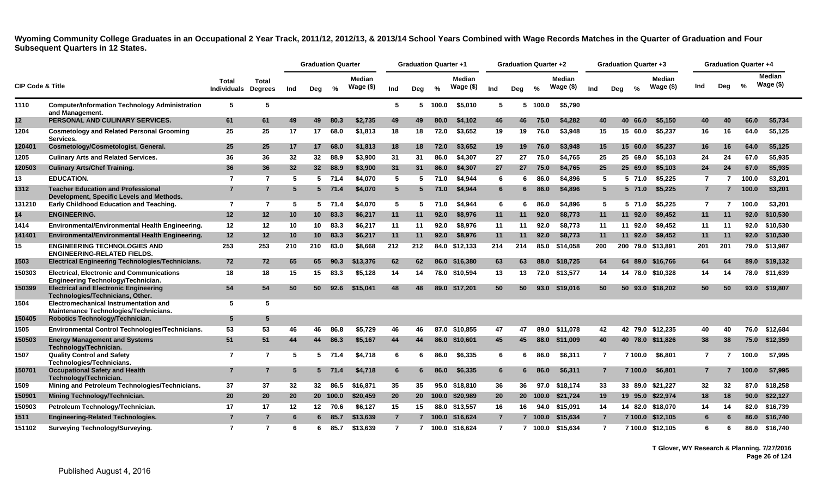|                             |                                                                                        |                                     |                 |     | <b>Graduation Quarter</b> |          |                            |                | <b>Graduation Quarter +1</b> |          |                            |                | <b>Graduation Quarter +2</b> |       |                     |                |     | <b>Graduation Quarter +3</b> |                     |     | <b>Graduation Quarter +4</b> |               |                      |
|-----------------------------|----------------------------------------------------------------------------------------|-------------------------------------|-----------------|-----|---------------------------|----------|----------------------------|----------------|------------------------------|----------|----------------------------|----------------|------------------------------|-------|---------------------|----------------|-----|------------------------------|---------------------|-----|------------------------------|---------------|----------------------|
| <b>CIP Code &amp; Title</b> |                                                                                        | Total<br><b>Individuals Degrees</b> | <b>Total</b>    | Ind | Deg                       | $\%$     | <b>Median</b><br>Wage (\$) | Ind            | Deg                          | $\%$     | <b>Median</b><br>Wage (\$) | Ind            | Deg                          | %     | Median<br>Wage (\$) | Ind            | Deg | %                            | Median<br>Wage (\$) | Ind | Deg                          | $\frac{0}{2}$ | Median<br>Wage $($)$ |
| 1110                        | <b>Computer/Information Technology Administration</b><br>and Management.               | 5                                   | 5               |     |                           |          |                            | 5              |                              | 5 100.0  | \$5,010                    | 5              | 5                            | 100.0 | \$5,790             |                |     |                              |                     |     |                              |               |                      |
| 12 <sub>2</sub>             | PERSONAL AND CULINARY SERVICES.                                                        | 61                                  | 61              | 49  | 49                        | 80.3     | \$2,735                    | 49             | 49                           | 80.0     | \$4,102                    | 46             | 46                           | 75.0  | \$4,282             | 40             |     | 40 66.0                      | \$5,150             | 40  | 40                           | 66.0          | \$5,734              |
| 1204                        | <b>Cosmetology and Related Personal Grooming</b><br>Services.                          | 25                                  | 25              | 17  | 17                        | 68.0     | \$1,813                    | 18             | 18                           | 72.0     | \$3,652                    | 19             | 19                           | 76.0  | \$3,948             | 15             |     | 15 60.0                      | \$5,237             | 16  | 16                           | 64.0          | \$5,125              |
| 120401                      | Cosmetology/Cosmetologist, General.                                                    | 25                                  | 25              | 17  | 17                        | 68.0     | \$1,813                    | 18             | 18                           | 72.0     | \$3.652                    | 19             | 19                           | 76.0  | \$3,948             | 15             |     | 15 60.0                      | \$5,237             | 16  | 16                           | 64.0          | \$5,125              |
| 1205                        | <b>Culinary Arts and Related Services.</b>                                             | 36                                  | 36              | 32  | 32                        | 88.9     | \$3,900                    | 31             | 31                           | 86.0     | \$4.307                    | 27             | 27                           | 75.0  | \$4,765             | 25             |     | 25 69.0                      | \$5,103             | 24  | 24                           | 67.0          | \$5,935              |
| 120503                      | <b>Culinary Arts/Chef Training.</b>                                                    | 36                                  | 36              | 32  | 32 <sup>2</sup>           | 88.9     | \$3,900                    | 31             | 31                           | 86.0     | \$4,307                    | 27             | <b>27</b>                    | 75.0  | \$4.765             | 25             |     | 25 69.0                      | \$5,103             | 24  | 24                           | 67.0          | \$5,935              |
| 13                          | <b>EDUCATION.</b>                                                                      | $\overline{7}$                      | $\overline{7}$  | 5   |                           | $5$ 71.4 | \$4,070                    | 5              | -5                           | 71.0     | \$4,944                    | 6              | 6                            | 86.0  | \$4.896             | 5              |     | 5 71.0                       | \$5,225             | -7  | 7                            | 100.0         | \$3,201              |
| 1312                        | <b>Teacher Education and Professional</b><br>Development, Specific Levels and Methods. | $\overline{7}$                      | $\overline{7}$  | 5   |                           | $5$ 71.4 | \$4,070                    | $5^{\circ}$    | 5                            | 71.0     | \$4,944                    | 6              | 6                            | 86.0  | \$4,896             | 5              |     | $5\,71.0$                    | \$5,225             | 7   | 7                            | 100.0         | \$3,201              |
| 131210                      | <b>Early Childhood Education and Teaching.</b>                                         | $\overline{7}$                      | $\overline{7}$  | -5  | 5.                        | 71.4     | \$4,070                    | 5              | -5                           | 71.0     | \$4.944                    | 6              | 6                            | 86.0  | \$4,896             | 5              |     | 571.0                        | \$5.225             | 7   | 7                            | 100.0         | \$3,201              |
| 14                          | <b>ENGINEERING.</b>                                                                    | 12                                  | 12              | 10  | 10 <sup>1</sup>           | 83.3     | \$6,217                    | 11             | 11                           | 92.0     | \$8,976                    | 11             | 11                           | 92.0  | \$8,773             | 11             |     | 11 92.0                      | \$9,452             | 11  | 11                           | 92.0          | \$10,530             |
| 1414                        | Environmental/Environmental Health Engineering.                                        | 12                                  | 12              | 10  | 10                        | 83.3     | \$6,217                    | 11             | 11                           | 92.0     | \$8,976                    | 11             | 11                           | 92.0  | \$8,773             | 11             |     | 11 92.0                      | \$9,452             | 11  | 11                           | 92.0          | \$10,530             |
| 141401                      | Environmental/Environmental Health Engineering.                                        | 12                                  | 12 <sup>2</sup> | 10  | 10                        | 83.3     | \$6,217                    | 11             | 11                           | 92.0     | \$8,976                    | 11             | 11                           | 92.0  | \$8,773             | 11             |     | 11 92.0                      | \$9,452             | 11  | 11                           | 92.0          | \$10,530             |
| 15                          | <b>ENGINEERING TECHNOLOGIES AND</b><br><b>ENGINEERING-RELATED FIELDS.</b>              | 253                                 | 253             | 210 | 210                       | 83.0     | \$8,668                    | 212            | 212                          |          | 84.0 \$12,133              | 214            | 214                          | 85.0  | \$14,058            | 200            |     |                              | 200 79.0 \$13,891   | 201 | 201                          |               | 79.0 \$13,987        |
| 1503                        | <b>Electrical Engineering Technologies/Technicians.</b>                                | 72                                  | 72              | 65  | 65                        | 90.3     | \$13,376                   | 62             | 62                           |          | 86.0 \$16,380              | 63             | 63                           | 88.0  | \$18,725            | 64             |     |                              | 64 89.0 \$16.766    | 64  | 64                           | 89.0          | \$19,132             |
| 150303                      | <b>Electrical, Electronic and Communications</b><br>Engineering Technology/Technician. | 18                                  | 18              | 15  | 15                        | 83.3     | \$5.128                    | 14             | 14                           |          | 78.0 \$10.594              | 13             | 13                           | 72.0  | \$13,577            | 14             |     |                              | 14 78.0 \$10,328    | 14  | 14                           | 78.0          | \$11,639             |
| 150399                      | <b>Electrical and Electronic Engineering</b><br>Technologies/Technicians, Other.       | 54                                  | 54              | 50  | 50                        | 92.6     | \$15,041                   | 48             | 48                           | 89.0     | \$17,201                   | 50             | 50                           | 93.0  | \$19.016            | 50             |     |                              | 50 93.0 \$18.202    | 50  | 50                           | 93.0          | \$19,807             |
| 1504                        | Electromechanical Instrumentation and<br>Maintenance Technologies/Technicians.         | 5                                   | 5               |     |                           |          |                            |                |                              |          |                            |                |                              |       |                     |                |     |                              |                     |     |                              |               |                      |
| 150405                      | Robotics Technology/Technician.                                                        | 5                                   | 5               |     |                           |          |                            |                |                              |          |                            |                |                              |       |                     |                |     |                              |                     |     |                              |               |                      |
| 1505                        | <b>Environmental Control Technologies/Technicians.</b>                                 | 53                                  | 53              | 46  | 46                        | 86.8     | \$5.729                    | 46             | 46                           | 87.0     | \$10.855                   | 47             | 47                           | 89.0  | \$11.078            | 42             |     |                              | 42 79.0 \$12.235    | 40  | 40                           | 76.0          | \$12,684             |
| 150503                      | <b>Energy Management and Systems</b><br>Technology/Technician.                         | 51                                  | 51              | 44  | 44                        | 86.3     | \$5,167                    | 44             | 44                           |          | 86.0 \$10,601              | 45             | 45                           | 88.0  | \$11,009            | 40             |     |                              | 40 78.0 \$11,826    | 38  | 38                           | 75.0          | \$12,359             |
| 1507                        | <b>Quality Control and Safety</b><br>Technologies/Technicians.                         | $\overline{7}$                      | $\overline{7}$  | 5   |                           | 5 71.4   | \$4.718                    | 6              | -6                           | 86.0     | \$6.335                    | 6              | 6                            | 86.0  | \$6,311             | $\overline{7}$ |     | 7 100.0                      | \$6.801             | 7   |                              | 100.0         | \$7,995              |
| 150701                      | <b>Occupational Safety and Health</b><br>Technology/Technician.                        | 7                                   | 7               |     |                           | 5 71.4   | \$4,718                    | 6              |                              | 86.0     | \$6.335                    | 6              | 6                            | 86.0  | \$6,311             | $\overline{7}$ |     | 7 100.0                      | \$6,801             |     |                              | 100.0         | \$7,995              |
| 1509                        | Mining and Petroleum Technologies/Technicians.                                         | 37                                  | 37              | 32  | 32 <sub>2</sub>           | 86.5     | \$16,871                   | 35             | 35                           |          | 95.0 \$18.810              | 36             | 36                           | 97.0  | \$18.174            | 33             |     |                              | 33 89.0 \$21.227    | 32  | 32                           | 87.0          | \$18.258             |
| 150901                      | Mining Technology/Technician.                                                          | 20                                  | 20              | 20  |                           | 20 100.0 | \$20,459                   | 20             |                              | 20 100.0 | \$20,989                   | 20             | 20 <sub>2</sub>              | 100.0 | \$21,724            | 19             |     |                              | 19 95.0 \$22,974    | 18  | 18                           | 90.0          | \$22,127             |
| 150903                      | Petroleum Technology/Technician.                                                       | 17                                  | 17              | 12  | 12                        | 70.6     | \$6,127                    | 15             | 15                           | 88.0     | \$13,557                   | 16             | 16                           | 94.0  | \$15,091            | 14             |     |                              | 14 82.0 \$18,070    | 14  | 14                           | 82.0          | \$16,739             |
| 1511                        | Engineering-Related Technologies.                                                      | $\overline{7}$                      | $\overline{7}$  | -6  | 6.                        | 85.7     | \$13,639                   | $\overline{7}$ |                              | 100.0    | \$16,624                   | $\overline{7}$ | 7                            | 100.0 | \$15,634            | $\overline{7}$ |     | 7 100.0                      | \$12,105            | 6   |                              | 86.0          | \$16,740             |
| 151102                      | <b>Surveying Technology/Surveying.</b>                                                 | $\overline{7}$                      | 7               | -6  | 6                         | 85.7     | \$13.639                   | $\overline{7}$ | $\overline{7}$               |          | 100.0 \$16.624             | $\overline{7}$ | $\overline{7}$               |       | 100.0 \$15.634      | $\overline{7}$ |     |                              | 7 100.0 \$12.105    | 6   | 6                            | 86.0          | \$16.740             |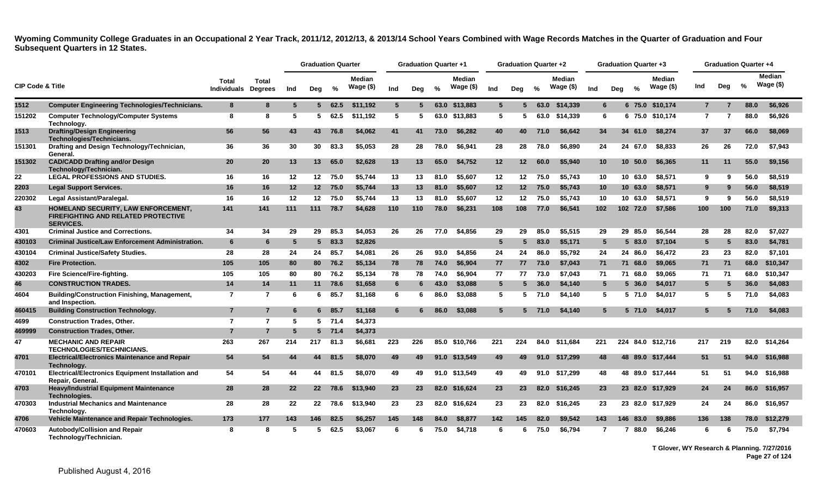|                             |                                                                                                       |                                            |                |     | <b>Graduation Quarter</b> |          |                            |     | <b>Graduation Quarter +1</b> |               |                            |                 | <b>Graduation Quarter +2</b> |               |                            |                  |     | Graduation Quarter +3 |                            |                | <b>Graduation Quarter +4</b> |      |                             |
|-----------------------------|-------------------------------------------------------------------------------------------------------|--------------------------------------------|----------------|-----|---------------------------|----------|----------------------------|-----|------------------------------|---------------|----------------------------|-----------------|------------------------------|---------------|----------------------------|------------------|-----|-----------------------|----------------------------|----------------|------------------------------|------|-----------------------------|
| <b>CIP Code &amp; Title</b> |                                                                                                       | <b>Total</b><br><b>Individuals Degrees</b> | <b>Total</b>   | Ind | Deg                       | %        | <b>Median</b><br>Wage (\$) | Ind | Deg                          | $\frac{6}{6}$ | <b>Median</b><br>Wage (\$) | Ind             | Dea                          | $\frac{0}{2}$ | <b>Median</b><br>Wage (\$) | Ind              | Deg | $\frac{6}{6}$         | <b>Median</b><br>Wage (\$) | Ind            | Deg                          | %    | <b>Median</b><br>Wage $($)$ |
| 1512                        | <b>Computer Engineering Technologies/Technicians.</b>                                                 | 8                                          | 8              | -5  |                           | 562.5    | \$11.192                   | 5   | 5.                           |               | 63.0 \$13,883              | $5^{\circ}$     | 5.                           | 63.0          | \$14,339                   | 6                |     |                       | 6 75.0 \$10,174            | $\overline{7}$ | 7                            | 88.0 | \$6,926                     |
| 151202                      | <b>Computer Technology/Computer Systems</b><br>Technology.                                            | 8                                          | 8              | -5  | 5                         | 62.5     | \$11,192                   | 5   | -5                           |               | 63.0 \$13,883              | 5               | 5                            | 63.0          | \$14,339                   | 6                |     |                       | 6 75.0 \$10,174            | $\overline{7}$ | 7                            | 88.0 | \$6,926                     |
| 1513                        | <b>Drafting/Design Engineering</b><br>Technologies/Technicians.                                       | 56                                         | 56             | 43  | 43                        | 76.8     | \$4,062                    | 41  | 41                           | 73.0          | \$6.282                    | 40              | 40                           | 71.0          | \$6.642                    | 34               |     | 34 61.0               | \$8.274                    | 37             | 37                           | 66.0 | \$8,069                     |
| 151301                      | Drafting and Design Technology/Technician,<br>General.                                                | 36                                         | 36             | 30  | 30                        | 83.3     | \$5.053                    | 28  | 28                           | 78.0          | \$6.941                    | 28              | 28                           | 78.0          | \$6.890                    | 24               |     | 24 67.0               | \$8,833                    | 26             | 26                           | 72.0 | \$7.943                     |
| 151302                      | <b>CAD/CADD Drafting and/or Design</b><br>Technology/Technician.                                      | 20                                         | 20             | 13  | 13 <sup>1</sup>           | 65.0     | \$2,628                    | 13  | 13                           | 65.0          | \$4,752                    | 12              | 12                           | 60.0          | \$5,940                    | 10 <sup>°</sup>  |     | 10, 50.0              | \$6,365                    | 11             | 11                           | 55.0 | \$9,156                     |
| 22                          | <b>LEGAL PROFESSIONS AND STUDIES.</b>                                                                 | 16                                         | 16             | 12  | 12 <sup>12</sup>          | 75.0     | \$5,744                    | 13  | 13                           | 81.0          | \$5,607                    | 12 <sub>2</sub> | $12 \,$                      | 75.0          | \$5,743                    | 10               |     | 10 63.0               | \$8,571                    | 9              | 9                            | 56.0 | \$8,519                     |
| 2203                        | <b>Legal Support Services.</b>                                                                        | 16                                         | 16             | 12  | 12 <sup>12</sup>          | 75.0     | \$5,744                    | 13  | 13                           | 81.0          | \$5,607                    | 12              | 12 <sub>2</sub>              | 75.0          | \$5,743                    | 10 <sup>°</sup>  |     | 10, 63.0              | \$8,571                    | 9              | 9                            | 56.0 | \$8,519                     |
| 220302                      | Legal Assistant/Paralegal.                                                                            | 16                                         | 16             | 12  | 12                        | 75.0     | \$5,744                    | 13  | 13                           | 81.0          | \$5,607                    | 12              | 12                           | 75.0          | \$5,743                    | 10               |     | 10 63.0               | \$8,571                    | 9              | 9                            | 56.0 | \$8,519                     |
| 43                          | HOMELAND SECURITY, LAW ENFORCEMENT,<br><b>FIREFIGHTING AND RELATED PROTECTIVE</b><br><b>SERVICES.</b> | 141                                        | 141            | 111 | 111                       | 78.7     | \$4,628                    | 110 | 110                          | 78.0          | \$6,231                    | 108             | 108                          | 77.0          | \$6.541                    | 102 <sub>1</sub> |     | 102 72.0              | \$7,586                    | 100            | 100                          | 71.0 | \$9,313                     |
| 4301                        | <b>Criminal Justice and Corrections.</b>                                                              | 34                                         | 34             | 29  | 29                        | 85.3     | \$4,053                    | 26  | 26                           | 77.0          | \$4,856                    | 29              | 29                           | 85.0          | \$5,515                    | 29               |     | 29 85.0               | \$6,544                    | 28             | 28                           | 82.0 | \$7,027                     |
| 430103                      | <b>Criminal Justice/Law Enforcement Administration.</b>                                               | $6\phantom{1}6$                            | 6              | 5   | $5^{\circ}$               | 83.3     | \$2,826                    |     |                              |               |                            | 5               | 5                            | 83.0          | \$5,171                    | $5\overline{5}$  |     | 583.0                 | \$7,104                    | 5              | 5                            | 83.0 | \$4,781                     |
| 430104                      | <b>Criminal Justice/Safety Studies.</b>                                                               | 28                                         | 28             | 24  | 24                        | 85.7     | \$4,081                    | 26  | 26                           | 93.0          | \$4,856                    | 24              | 24                           | 86.0          | \$5,792                    | 24               |     | 24 86.0               | \$6,472                    | 23             | 23                           | 82.0 | \$7,101                     |
| 4302                        | <b>Fire Protection.</b>                                                                               | 105                                        | 105            | 80  | 80                        | 76.2     | \$5,134                    | 78  | 78                           | 74.0          | \$6,904                    | 77              | 77                           | 73.0          | \$7,043                    | 71               |     | 71 68.0               | \$9,065                    | 71             | 71                           | 68.0 | \$10,347                    |
| 430203                      | Fire Science/Fire-fighting.                                                                           | 105                                        | 105            | 80  | 80                        | 76.2     | \$5,134                    | 78  | 78                           | 74.0          | \$6,904                    | 77              | 77                           | 73.0          | \$7,043                    | 71               |     | 71 68.0               | \$9,065                    | 71             | 71                           | 68.0 | \$10,347                    |
| 46                          | <b>CONSTRUCTION TRADES.</b>                                                                           | 14                                         | 14             | 11  | 11                        | 78.6     | \$1,658                    | 6   |                              | 43.0          | \$3,088                    | $5^{\circ}$     | 5.                           | 36.0          | \$4,140                    | $5\overline{5}$  |     | 5, 36.0               | \$4,017                    | 5              | 5                            | 36.0 | \$4,083                     |
| 4604                        | <b>Building/Construction Finishing, Management,</b><br>and Inspection.                                | $\overline{7}$                             | $\overline{7}$ | -6  | 6                         | 85.7     | \$1,168                    | 6   | 6                            | 86.0          | \$3,088                    | 5               | 5                            | 71.0          | \$4,140                    | 5                |     | 5 71.0                | \$4,017                    | 5              | 5                            | 71.0 | \$4,083                     |
| 460415                      | <b>Building Construction Technology.</b>                                                              | $\overline{7}$                             | $\overline{7}$ | 6   |                           | 6 85.7   | \$1,168                    | 6   |                              | 86.0          | \$3,088                    | $5^{\circ}$     |                              | 71.0          | \$4.140                    | $5^{\circ}$      |     | $5\,71.0$             | \$4,017                    | 5              |                              | 71.0 | \$4,083                     |
| 4699                        | <b>Construction Trades, Other.</b>                                                                    | $\overline{7}$                             | $\overline{7}$ | -5  |                           | $5$ 71.4 | \$4,373                    |     |                              |               |                            |                 |                              |               |                            |                  |     |                       |                            |                |                              |      |                             |
| 469999                      | <b>Construction Trades, Other.</b>                                                                    | $\overline{7}$                             | $\overline{7}$ | 5   |                           | $5$ 71.4 | \$4,373                    |     |                              |               |                            |                 |                              |               |                            |                  |     |                       |                            |                |                              |      |                             |
| 47                          | <b>MECHANIC AND REPAIR</b><br>TECHNOLOGIES/TECHNICIANS.                                               | 263                                        | 267            | 214 | 217                       | 81.3     | \$6,681                    | 223 | 226                          |               | 85.0 \$10,766              | 221             | 224                          |               | 84.0 \$11,684              | 221              |     |                       | 224 84.0 \$12,716          | 217            | 219                          |      | 82.0 \$14,264               |
| 4701                        | <b>Electrical/Electronics Maintenance and Repair</b><br>Technology.                                   | 54                                         | 54             | 44  | 44                        | 81.5     | \$8,070                    | 49  | 49                           |               | 91.0 \$13,549              | 49              | 49                           |               | 91.0 \$17,299              | 48               |     |                       | 48 89.0 \$17,444           | 51             | 51                           |      | 94.0 \$16,988               |
| 470101                      | Electrical/Electronics Equipment Installation and<br>Repair, General.                                 | 54                                         | 54             | 44  | 44                        | 81.5     | \$8,070                    | 49  | 49                           |               | 91.0 \$13,549              | 49              | 49                           |               | 91.0 \$17,299              | 48               |     |                       | 48 89.0 \$17,444           | 51             | 51                           |      | 94.0 \$16,988               |
| 4703                        | Heavy/Industrial Equipment Maintenance<br>Technologies.                                               | 28                                         | 28             | 22  | 22                        | 78.6     | \$13,940                   | 23  | 23                           |               | 82.0 \$16,624              | 23              | 23                           | 82.0          | \$16,245                   | 23               |     |                       | 23 82.0 \$17,929           | 24             | 24                           |      | 86.0 \$16,957               |
| 470303                      | <b>Industrial Mechanics and Maintenance</b><br>Technology.                                            | 28                                         | 28             | 22  | 22                        | 78.6     | \$13,940                   | 23  | 23                           |               | 82.0 \$16,624              | 23              | 23                           | 82.0          | \$16,245                   | 23               |     |                       | 23 82.0 \$17.929           | 24             | 24                           |      | 86.0 \$16,957               |
| 4706                        | <b>Vehicle Maintenance and Repair Technologies.</b>                                                   | 173                                        | 177            | 143 | 146                       | 82.5     | \$6,257                    | 145 | 148                          | 84.0          | \$8,877                    | 142             | 145                          | 82.0          | \$9,542                    | 143              |     | 146 83.0              | \$9,886                    | 136            | 138                          | 78.0 | \$12,279                    |
| 470603                      | Autobody/Collision and Repair<br>Technology/Technician.                                               | 8                                          | 8              | 5   | 5.                        | 62.5     | \$3.067                    | 6   | 6                            | 75.0          | \$4.718                    | 6               | 6                            | 75.0          | \$6.794                    | $\overline{7}$   |     | 88.0<br>7             | \$6.246                    | 6              |                              | 75.0 | \$7,794                     |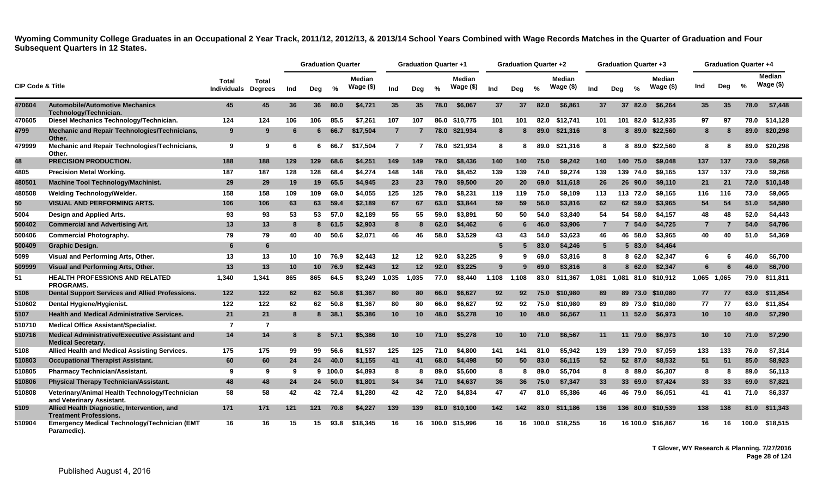|                             |                                                                                    |                             |                                |     | <b>Graduation Quarter</b> |         |                            |                | <b>Graduation Quarter +1</b> |               |                             |                 | <b>Graduation Quarter +2</b> |               |                             |                | <b>Graduation Quarter +3</b> |               |                            |                 |       | <b>Graduation Quarter +4</b> |                             |
|-----------------------------|------------------------------------------------------------------------------------|-----------------------------|--------------------------------|-----|---------------------------|---------|----------------------------|----------------|------------------------------|---------------|-----------------------------|-----------------|------------------------------|---------------|-----------------------------|----------------|------------------------------|---------------|----------------------------|-----------------|-------|------------------------------|-----------------------------|
| <b>CIP Code &amp; Title</b> |                                                                                    | Total<br><b>Individuals</b> | <b>Total</b><br><b>Dearees</b> | Ind | Deg                       | $\%$    | <b>Median</b><br>Wage (\$) | Ind            | Deg                          | $\frac{1}{2}$ | <b>Median</b><br>Wage $($)$ | Ind             | Deg                          | $\frac{6}{6}$ | <b>Median</b><br>Wage $($)$ | Ind            | Dea                          | $\frac{0}{2}$ | <b>Median</b><br>Wage (\$) | Ind             | Deg   | $\frac{6}{6}$                | <b>Median</b><br>Wage $($)$ |
| 470604                      | <b>Automobile/Automotive Mechanics</b><br>Technology/Technician.                   | 45                          | 45                             | 36  | 36                        | 80.0    | \$4,721                    | 35             | 35                           | 78.0          | \$6,067                     | 37              | 37                           | 82.0          | \$6,861                     | 37             |                              | 37 82.0       | \$6,264                    | 35 <sub>5</sub> | 35    | 78.0                         | \$7,448                     |
| 470605                      | Diesel Mechanics Technology/Technician.                                            | 124                         | 124                            | 106 | 106                       | 85.5    | \$7.261                    | 107            | 107                          |               | 86.0 \$10.775               | 101             | 101                          | 82.0          | \$12.741                    | 101            |                              |               | 101 82.0 \$12.935          | 97              | 97    | 78.0                         | \$14.128                    |
| 4799                        | Mechanic and Repair Technologies/Technicians,<br>Other.                            | 9                           | 9                              |     | 6                         | 66.7    | \$17,504                   | $\overline{7}$ |                              |               | 78.0 \$21,934               | 8               |                              | 89.0          | \$21,316                    | 8              |                              |               | 8 89.0 \$22,560            | 8               | -8    | 89.0                         | \$20,298                    |
| 479999                      | Mechanic and Repair Technologies/Technicians,<br>Other.                            | 9                           | 9                              | -6  | 6                         | 66.7    | \$17,504                   | $\overline{7}$ |                              |               | 78.0 \$21,934               | 8               | 8                            | 89.0          | \$21,316                    | 8              |                              |               | 8 89.0 \$22,560            | 8               | 8     | 89.0                         | \$20,298                    |
| 48                          | <b>PRECISION PRODUCTION.</b>                                                       | 188                         | 188                            | 129 | 129.                      | 68.6    | \$4,251                    | 149            | 149                          | 79.0          | \$8,436                     | 140             | 140                          | 75.0          | \$9,242                     | 140            | 140                          | 75.0          | \$9,048                    | 137             | 137   | 73.0                         | \$9,268                     |
| 4805                        | <b>Precision Metal Working.</b>                                                    | 187                         | 187                            | 128 | 128                       | 68.4    | \$4,274                    | 148            | 148                          | 79.0          | \$8,452                     | 139             | 139                          | 74.0          | \$9,274                     | 139            |                              | 139 74.0      | \$9,165                    | 137             | 137   | 73.0                         | \$9.268                     |
| 480501                      | <b>Machine Tool Technology/Machinist.</b>                                          | 29                          | 29                             | 19  | 19                        | 65.5    | \$4,945                    | 23             | 23                           | 79.0          | \$9,500                     | 20              | 20                           | 69.0          | \$11,618                    | 26             |                              | 26 90.0       | \$9,110                    | 21              | 21    | 72.0                         | \$10,148                    |
| 480508                      | Welding Technology/Welder.                                                         | 158                         | 158                            | 109 | 109                       | 69.0    | \$4.055                    | 125            | 125                          | 79.0          | \$8,231                     | 119             | 119                          | 75.0          | \$9,109                     | 113            |                              | 113 72.0      | \$9.165                    | 116             | 116   | 73.0                         | \$9.065                     |
| 50                          | <b>VISUAL AND PERFORMING ARTS.</b>                                                 | 106                         | 106                            | 63  | 63                        | 59.4    | \$2,189                    | 67             | 67                           | 63.0          | \$3,844                     | 59              | 59                           | 56.0          | \$3,816                     | 62             |                              | 62 59.0       | \$3,965                    | 54              | 54    | 51.0                         | \$4,580                     |
| 5004                        | Design and Applied Arts.                                                           | 93                          | 93                             | 53  | 53                        | 57.0    | \$2,189                    | 55             | 55                           | 59.0          | \$3,891                     | 50              | 50                           | 54.0          | \$3,840                     | 54             |                              | 54 58.0       | \$4,157                    | 48              | 48    | 52.0                         | \$4.443                     |
| 500402                      | <b>Commercial and Advertising Art.</b>                                             | 13                          | 13                             | -8  | 8                         | 61.5    | \$2,903                    | 8              | 8                            | 62.0          | \$4,462                     | 6               | 6                            | 46.0          | \$3,906                     | $\overline{7}$ |                              | 7 54.0        | \$4,725                    | $\overline{7}$  |       | 54.0                         | \$4,786                     |
| 500406                      | <b>Commercial Photography.</b>                                                     | 79                          | 79                             | 40  | 40                        | 50.6    | \$2,071                    | 46             | 46                           | 58.0          | \$3,529                     | 43              | 43                           | 54.0          | \$3.623                     | 46             |                              | 46 58.0       | \$3.965                    | 40              | 40    | 51.0                         | \$4.369                     |
| 500409                      | <b>Graphic Design.</b>                                                             | 6                           | 6                              |     |                           |         |                            |                |                              |               |                             | $5\phantom{.0}$ | 5                            | 83.0          | \$4,246                     | $5^{\circ}$    |                              | 5 83.0        | \$4,464                    |                 |       |                              |                             |
| 5099                        | Visual and Performing Arts, Other.                                                 | 13                          | 13                             | 10  | 10                        | 76.9    | \$2,443                    | 12             | 12                           | 92.0          | \$3.225                     | 9               | 9                            | 69.0          | \$3,816                     | 8              |                              | 8 62.0        | \$2,347                    | 6               | 6     | 46.0                         | \$6.700                     |
| 509999                      | Visual and Performing Arts, Other.                                                 | 13                          | 13                             | 10  | 10 <sup>1</sup>           | 76.9    | \$2,443                    | 12             | $12 \,$                      | 92.0          | \$3,225                     | 9               |                              | 69.0          | \$3,816                     | 8              |                              | 8 62.0        | \$2,347                    | 6               |       | 46.0                         | \$6,700                     |
| 51                          | <b>HEALTH PROFESSIONS AND RELATED</b><br><b>PROGRAMS.</b>                          | 1.340                       | 1,341                          | 865 | 865                       | 64.5    | \$3,249                    | 1,035          | 1,035                        | 77.0          | \$8,440                     | 1,108           | 1.108                        | 83.0          | \$11,367                    | 1,081          | 1.081                        |               | 81.0 \$10,912              | 1,065           | 1,065 | 79.0                         | \$11,811                    |
| 5106                        | Dental Support Services and Allied Professions.                                    | 122                         | 122                            | 62  | 62                        | 50.8    | \$1.367                    | 80             | 80                           | 66.0          | \$6.627                     | 92              | 92                           | 75.0          | \$10,980                    | 89             |                              |               | 89 73.0 \$10.080           | 77              | 77    | 63.0                         | \$11,854                    |
| 510602                      | Dental Hygiene/Hygienist.                                                          | 122                         | 122                            | 62  | 62                        | 50.8    | \$1,367                    | 80             | 80                           | 66.0          | \$6,627                     | 92              | 92                           | 75.0          | \$10,980                    | 89             |                              |               | 89 73.0 \$10,080           | 77              | 77    | 63.0                         | \$11,854                    |
| 5107                        | <b>Health and Medical Administrative Services.</b>                                 | 21                          | 21                             | 8   | 8                         | 38.1    | \$5,386                    | 10             | 10 <sup>1</sup>              | 48.0          | \$5.278                     | 10              | 10 <sup>°</sup>              | 48.0          | \$6.567                     | 11             |                              | 11 52.0       | \$6.973                    | 10 <sup>°</sup> | 10    | 48.0                         | \$7.290                     |
| 510710                      | <b>Medical Office Assistant/Specialist.</b>                                        | $\overline{7}$              | $\overline{7}$                 |     |                           |         |                            |                |                              |               |                             |                 |                              |               |                             |                |                              |               |                            |                 |       |                              |                             |
| 510716                      | <b>Medical Administrative/Executive Assistant and</b><br><b>Medical Secretary.</b> | 14                          | 14                             | -8  | 8                         | 57.1    | \$5,386                    | 10             | 10 <sup>°</sup>              | 71.0          | \$5,278                     | 10              | 10 <sup>°</sup>              | 71.0          | \$6.567                     | 11             |                              | 11 79.0       | \$6.973                    | 10 <sup>°</sup> | 10    | 71.0                         | \$7.290                     |
| 5108                        | Allied Health and Medical Assisting Services.                                      | 175                         | 175                            | 99  | 99                        | 56.6    | \$1,537                    | 125            | 125                          | 71.0          | \$4,800                     | 141             | 141                          | 81.0          | \$5,942                     | 139            |                              | 139 79.0      | \$7,059                    | 133             | 133   | 76.0                         | \$7,314                     |
| 510803                      | <b>Occupational Therapist Assistant.</b>                                           | 60                          | 60                             | 24  | 24                        | 40.0    | \$1,155                    | 41             | 41                           | 68.0          | \$4,498                     | 50              | 50                           | 83.0          | \$6,115                     | 52             |                              | 52 87.0       | \$8,532                    | 51              | 51    | 85.0                         | \$8,923                     |
| 510805                      | <b>Pharmacy Technician/Assistant.</b>                                              | 9                           | 9                              | 9   |                           | 9 100.0 | \$4,893                    | 8              | 8                            | 89.0          | \$5,600                     | 8               | 8                            | 89.0          | \$5,704                     | 8              |                              | 8 89.0        | \$6,307                    | 8               | 8     | 89.0                         | \$6,113                     |
| 510806                      | <b>Physical Therapy Technician/Assistant.</b>                                      | 48                          | 48                             | 24  | 24                        | 50.0    | \$1,801                    | 34             | 34                           | 71.0          | \$4,637                     | 36              | 36                           | 75.0          | \$7,347                     | 33             |                              | 33 69.0       | \$7,424                    | 33              | 33    | 69.0                         | \$7,821                     |
| 510808                      | Veterinary/Animal Health Technology/Technician<br>and Veterinary Assistant.        | 58                          | 58                             | 42  | 42                        | 72.4    | \$1,280                    | 42             | 42                           | 72.0          | \$4,834                     | 47              | 47                           | 81.0          | \$5,386                     | 46             |                              | 46 79.0       | \$6,051                    | 41              | 41    | 71.0                         | \$6,337                     |
| 5109                        | Allied Health Diagnostic, Intervention, and<br><b>Treatment Professions.</b>       | 171                         | 171                            | 121 | 121                       | 70.8    | \$4.227                    | 139            | 139                          |               | 81.0 \$10.100               | 142             | 142                          | 83.0          | \$11.186                    | 136            |                              |               | 136 80.0 \$10.539          | 138             | 138   | 81.0                         | \$11,343                    |
| 510904                      | <b>Emergency Medical Technology/Technician (EMT</b><br>Paramedic).                 | 16                          | 16                             | 15  | 15                        | 93.8    | \$18,345                   | 16             | 16                           |               | 100.0 \$15,996              | 16              | 16                           | 100.0         | \$18,255                    | 16             |                              |               | 16 100.0 \$16,867          | 16              | 16    | 100.0                        | \$18,515                    |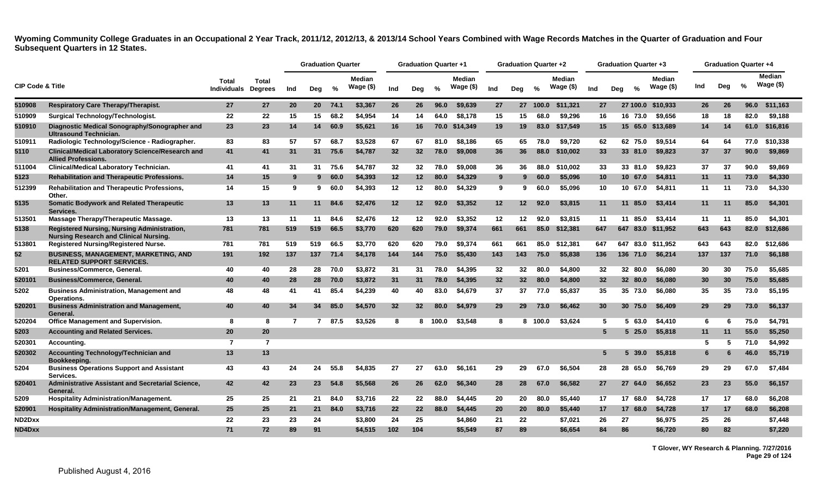|                             |                                                                                              |                             |                         |              | <b>Graduation Quarter</b> |      |                            |                 | <b>Graduation Quarter +1</b> |               |                            |     | <b>Graduation Quarter +2</b> |          |                            |     | <b>Graduation Quarter +3</b> |               |                             |     | <b>Graduation Quarter +4</b> |      |                      |
|-----------------------------|----------------------------------------------------------------------------------------------|-----------------------------|-------------------------|--------------|---------------------------|------|----------------------------|-----------------|------------------------------|---------------|----------------------------|-----|------------------------------|----------|----------------------------|-----|------------------------------|---------------|-----------------------------|-----|------------------------------|------|----------------------|
| <b>CIP Code &amp; Title</b> |                                                                                              | Total<br><b>Individuals</b> | Total<br><b>Degrees</b> | Ind          | Deg                       | %    | <b>Median</b><br>Wage (\$) | Ind             | Deg                          | $\frac{6}{6}$ | <b>Median</b><br>Wage (\$) | Ind | Deg                          | $\%$     | <b>Median</b><br>Wage (\$) | Ind | Deg                          | $\frac{6}{6}$ | <b>Median</b><br>Wage $($)$ | Ind | Deg                          | %    | Median<br>Wage $($)$ |
| 510908                      | <b>Respiratory Care Therapy/Therapist.</b>                                                   | 27                          | 27                      | 20           | 20 <sub>2</sub>           | 74.1 | \$3,367                    | 26              | 26                           | 96.0          | \$9,639                    | 27  |                              | 27 100.0 | \$11,321                   | 27  |                              |               | 27 100.0 \$10,933           | 26  | 26                           | 96.0 | \$11,163             |
| 510909                      | <b>Surgical Technology/Technologist.</b>                                                     | 22                          | 22                      | 15           | 15                        | 68.2 | \$4.954                    | 14              | 14                           | 64.0          | \$8,178                    | 15  | 15                           | 68.0     | \$9.296                    | 16  |                              | 16 73.0       | \$9,656                     | 18  | 18                           | 82.0 | \$9,188              |
| 510910                      | Diagnostic Medical Sonography/Sonographer and<br><b>Ultrasound Technician.</b>               | 23                          | 23                      | 14           | 14                        | 60.9 | \$5,621                    | 16              | 16                           | 70.0          | \$14,349                   | 19  | 19                           | 83.0     | \$17,549                   | 15  |                              |               | 15 65.0 \$13,689            | 14  | 14                           | 61.0 | \$16,816             |
| 510911                      | Radiologic Technology/Science - Radiographer.                                                | 83                          | 83                      | 57           | 57                        | 68.7 | \$3,528                    | 67              | 67                           | 81.0          | \$8.186                    | 65  | 65                           | 78.0     | \$9.720                    | 62  |                              | 62 75.0       | \$9.514                     | 64  | 64                           | 77.0 | \$10.338             |
| 5110                        | <b>Clinical/Medical Laboratory Science/Research and</b><br><b>Allied Professions.</b>        | 41                          | 41                      | 31           | 31                        | 75.6 | \$4,787                    | 32              | 32                           | 78.0          | \$9,008                    | 36  | 36                           | 88.0     | \$10,002                   | 33  |                              | 33 81.0       | \$9,823                     | 37  | 37                           | 90.0 | \$9,869              |
| 511004                      | <b>Clinical/Medical Laboratory Technician.</b>                                               | 41                          | 41                      | 31           | 31                        | 75.6 | \$4,787                    | 32              | 32                           | 78.0          | \$9,008                    | 36  | 36                           | 88.0     | \$10.002                   | 33  |                              | 33 81.0       | \$9.823                     | 37  | 37                           | 90.0 | \$9.869              |
| 5123                        | <b>Rehabilitation and Therapeutic Professions.</b>                                           | 14                          | 15                      | -9           | 9                         | 60.0 | \$4,393                    | 12 <sup>2</sup> | 12                           | 80.0          | \$4,329                    | 9   | 9                            | 60.0     | \$5,096                    | 10  |                              | 10 67.0       | \$4,811                     | 11  | 11                           | 73.0 | \$4,330              |
| 512399                      | <b>Rehabilitation and Therapeutic Professions,</b><br>Other.                                 | 14                          | 15                      | 9            | 9                         | 60.0 | \$4,393                    | 12              | 12                           | 80.0          | \$4,329                    | 9   | 9.                           | 60.0     | \$5,096                    | 10  |                              | 10 67.0       | \$4,811                     | 11  | 11                           | 73.0 | \$4,330              |
| 5135                        | <b>Somatic Bodywork and Related Therapeutic</b><br>Services.                                 | 13                          | 13                      | 11           | 11                        | 84.6 | \$2,476                    | 12              | 12                           | 92.0          | \$3,352                    | 12  | 12 <sub>2</sub>              | 92.0     | \$3,815                    | 11  |                              | 11 85.0       | \$3,414                     | 11  | -11                          | 85.0 | \$4,301              |
| 513501                      | Massage Therapy/Therapeutic Massage.                                                         | 13                          | 13                      | 11           | 11                        | 84.6 | \$2,476                    | 12              | 12                           | 92.0          | \$3,352                    | 12  | 12                           | 92.0     | \$3,815                    | 11  |                              | 11 85.0       | \$3,414                     | 11  | 11                           | 85.0 | \$4,301              |
| 5138                        | Registered Nursing, Nursing Administration,<br><b>Nursing Research and Clinical Nursing.</b> | 781                         | 781                     | 519          | 519                       | 66.5 | \$3,770                    | 620             | 620                          | 79.0          | \$9,374                    | 661 | 661                          | 85.0     | \$12,381                   | 647 |                              | 647 83.0      | \$11,952                    | 643 | 643                          | 82.0 | \$12,686             |
| 513801                      | <b>Registered Nursing/Registered Nurse.</b>                                                  | 781                         | 781                     | 519          | 519                       | 66.5 | \$3.770                    | 620             | 620                          | 79.0          | \$9,374                    | 661 | 661                          | 85.0     | \$12,381                   | 647 |                              | 647 83.0      | \$11,952                    | 643 | 643                          | 82.0 | \$12,686             |
| 52                          | <b>BUSINESS, MANAGEMENT, MARKETING, AND</b><br><b>RELATED SUPPORT SERVICES.</b>              | 191                         | 192                     | 137          | 137                       | 71.4 | \$4,178                    | 144             | 144                          | 75.0          | \$5,430                    | 143 | 143                          | 75.0     | \$5,838                    | 136 |                              | 136 71.0      | \$6,214                     | 137 | 137                          | 71.0 | \$6,188              |
| 5201                        | <b>Business/Commerce, General.</b>                                                           | 40                          | 40                      | 28           | 28                        | 70.0 | \$3,872                    | 31              | 31                           | 78.0          | \$4,395                    | 32  | 32                           | 80.0     | \$4,800                    | 32  |                              | 32 80.0       | \$6,080                     | 30  | 30                           | 75.0 | \$5,685              |
| 520101                      | <b>Business/Commerce, General.</b>                                                           | 40                          | 40                      | 28           | 28                        | 70.0 | \$3,872                    | 31              | 31                           | 78.0          | \$4,395                    | 32  | 32 <sub>2</sub>              | 80.0     | \$4,800                    | 32  |                              | 32 80.0       | \$6,080                     | 30  | 30                           | 75.0 | \$5,685              |
| 5202                        | <b>Business Administration, Management and</b><br>Operations.                                | 48                          | 48                      | 41           | 41                        | 85.4 | \$4,239                    | 40              | 40                           | 83.0          | \$4,679                    | 37  | 37                           | 77.0     | \$5.837                    | 35  |                              | 35 73.0       | \$6.080                     | 35  | 35                           | 73.0 | \$5,195              |
| 520201                      | <b>Business Administration and Management,</b><br>General.                                   | 40                          | 40                      | 34           | 34                        | 85.0 | \$4,570                    | 32              | 32                           | 80.0          | \$4,979                    | 29  | 29                           | 73.0     | \$6,462                    | 30  |                              | 30 75.0       | \$6,409                     | 29  | 29                           | 73.0 | \$6,137              |
| 520204                      | <b>Office Management and Supervision.</b>                                                    | 8                           | 8                       | $\mathbf{7}$ | 7                         | 87.5 | \$3,526                    | 8               | 8                            | 100.0         | \$3,548                    | 8   | 8.                           | 100.0    | \$3,624                    | 5   |                              | 5 63.0        | \$4,410                     | -6  | 6                            | 75.0 | \$4,791              |
| 5203                        | <b>Accounting and Related Services.</b>                                                      | 20                          | 20                      |              |                           |      |                            |                 |                              |               |                            |     |                              |          |                            | 5   |                              | $5\,25.0$     | \$5,818                     | 11  | 11                           | 55.0 | \$5,250              |
| 520301                      | Accounting.                                                                                  | $\overline{7}$              | $\overline{7}$          |              |                           |      |                            |                 |                              |               |                            |     |                              |          |                            |     |                              |               |                             |     | 5                            | 71.0 | \$4,992              |
| 520302                      | Accounting Technology/Technician and<br>Bookkeeping.                                         | 13                          | 13                      |              |                           |      |                            |                 |                              |               |                            |     |                              |          |                            | 5   | 5                            | 39.0          | \$5,818                     | 6   |                              | 46.0 | \$5,719              |
| 5204                        | <b>Business Operations Support and Assistant</b><br>Services.                                | 43                          | 43                      | 24           | 24                        | 55.8 | \$4,835                    | 27              | 27                           | 63.0          | \$6.161                    | 29  | 29                           | 67.0     | \$6.504                    | 28  |                              | 28 65.0       | \$6.769                     | 29  | 29                           | 67.0 | \$7.484              |
| 520401                      | <b>Administrative Assistant and Secretarial Science,</b><br>General.                         | 42                          | 42                      | 23           | 23                        | 54.8 | \$5,568                    | 26              | 26                           | 62.0          | \$6,340                    | 28  | 28                           | 67.0     | \$6,582                    | 27  |                              | 27 64.0       | \$6,652                     | 23  | 23                           | 55.0 | \$6,157              |
| 5209                        | <b>Hospitality Administration/Management.</b>                                                | 25                          | 25                      | 21           | 21                        | 84.0 | \$3,716                    | 22              | 22                           | 88.0          | \$4,445                    | 20  | 20                           | 80.0     | \$5,440                    | 17  |                              | 17 68.0       | \$4,728                     | 17  | 17                           | 68.0 | \$6,208              |
| 520901                      | Hospitality Administration/Management, General.                                              | 25                          | 25                      | 21           | 21                        | 84.0 | \$3,716                    | 22              | 22                           | 88.0          | \$4,445                    | 20  | 20                           | 80.0     | \$5,440                    | 17  |                              | 17 68.0       | \$4,728                     | 17  | 17                           | 68.0 | \$6,208              |
| ND2Dxx                      |                                                                                              | 22                          | 23                      | 23           | 24                        |      | \$3,800                    | 24              | 25                           |               | \$4,860                    | 21  | 22                           |          | \$7,021                    | 26  | 27                           |               | \$6,975                     | 25  | 26                           |      | \$7,448              |
| ND4Dxx                      |                                                                                              | 71                          | 72                      | 89           | 91                        |      | \$4,515                    | 102             | 104                          |               | \$5.549                    | 87  | 89                           |          | \$6,654                    | 84  | 86                           |               | \$6,720                     | 80  | 82                           |      | \$7,220              |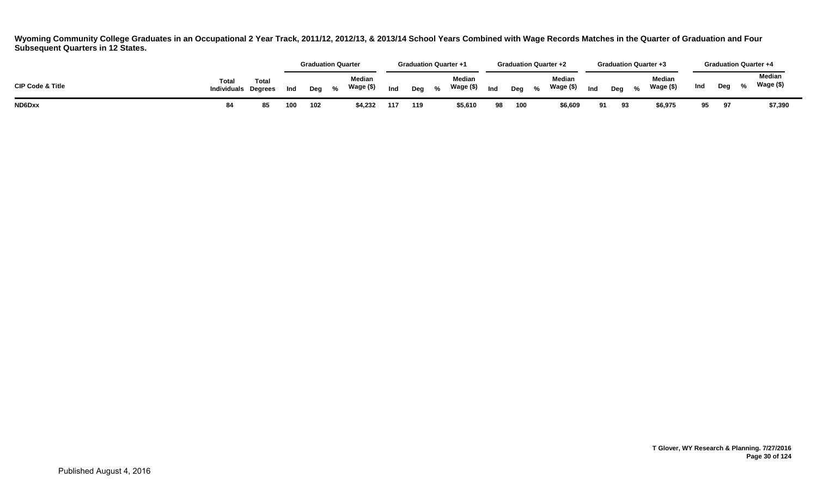|                             |                             |                         |     |     | <b>Graduation Quarter</b>          |     | <b>Graduation Quarter +1</b> |                            |     |     |            | <b>Graduation Quarter +2</b> |     |     |                         | <b>Graduation Quarter +3</b> |     |     | <b>Graduation Quarter +4</b> |  |
|-----------------------------|-----------------------------|-------------------------|-----|-----|------------------------------------|-----|------------------------------|----------------------------|-----|-----|------------|------------------------------|-----|-----|-------------------------|------------------------------|-----|-----|------------------------------|--|
| <b>CIP Code &amp; Title</b> | Total<br><b>Individuals</b> | Total<br><b>Dearees</b> | Ind | Deg | <b>Median</b><br>Wage (\$)<br>$\%$ | Ind | Deg                          | <b>Median</b><br>Wage (\$) | Ind | Deg | $^{\circ}$ | <b>Median</b><br>Wage (\$)   | Ind | Deg | $\mathbf{O}/\mathbf{L}$ | <b>Median</b><br>Wage (\$)   | Ind | Deg | <b>Median</b><br>Wage (\$)   |  |
| ND6Dxx                      | 84                          | 85                      | 100 | 102 | \$4.232                            | 117 | 119                          | \$5,610                    |     | 100 |            | \$6,609                      | 91  | 93  |                         | \$6,975                      | 95  | 97  | \$7,390                      |  |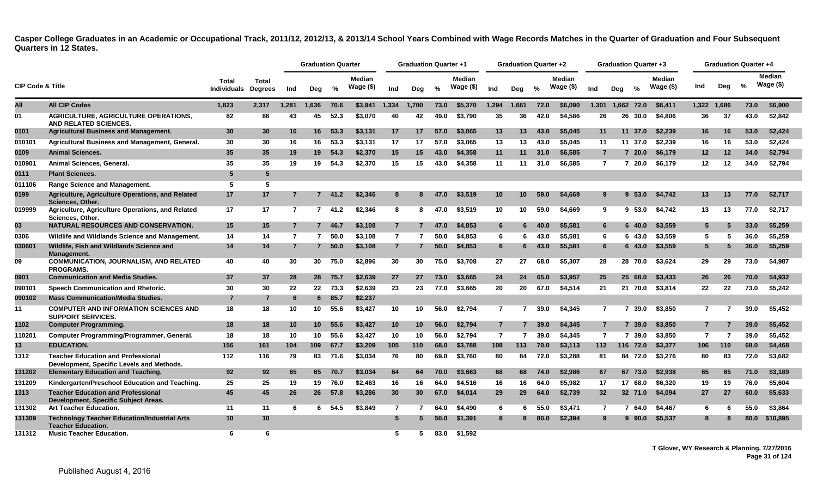<span id="page-31-0"></span>

|                             |                                                                                        |                             |                         |                | <b>Graduation Quarter</b> |      |                            |                | <b>Graduation Quarter +1</b> |             |                               |                | <b>Graduation Quarter +2</b> |      |                            |                 | <b>Graduation Quarter +3</b> |               |                     |                | <b>Graduation Quarter +4</b> |               |                             |
|-----------------------------|----------------------------------------------------------------------------------------|-----------------------------|-------------------------|----------------|---------------------------|------|----------------------------|----------------|------------------------------|-------------|-------------------------------|----------------|------------------------------|------|----------------------------|-----------------|------------------------------|---------------|---------------------|----------------|------------------------------|---------------|-----------------------------|
| <b>CIP Code &amp; Title</b> |                                                                                        | Total<br><b>Individuals</b> | Total<br><b>Degrees</b> | Ind            | Dea                       | %    | <b>Median</b><br>Wage (\$) | Ind            | Deg                          | %           | <b>Median</b><br>Wage $($ \$) | Ind            | Deg                          | %    | <b>Median</b><br>Wage (\$) | Ind             | Dea                          | $\frac{0}{2}$ | Median<br>Wage (\$) | Ind            | Dea                          | $\frac{6}{6}$ | <b>Median</b><br>Wage $($)$ |
| All                         | <b>All CIP Codes</b>                                                                   | 1,823                       | 2,317                   | 1,281          | 1,636                     | 70.6 | \$3,941                    | 1,334          | 1.700                        | 73.0        | \$5,370                       | 1,294          | 1,661                        | 72.0 | \$6,090                    | 1,301           |                              | 1,662 72.0    | \$6,411             | 1,322 1,686    |                              | 73.0          | \$6,900                     |
| 01                          | <b>AGRICULTURE, AGRICULTURE OPERATIONS,</b><br>AND RELATED SCIENCES.                   | 82                          | 86                      | 43             | 45                        | 52.3 | \$3,070                    | 40             | 42                           | 49.0        | \$3.790                       | 35             | 36                           | 42.0 | \$4.586                    | 26              | 26                           | 30.0          | \$4,806             | 36             | 37                           | 43.0          | \$2,842                     |
| 0101                        | <b>Agricultural Business and Management.</b>                                           | 30                          | 30                      | 16             | 16                        | 53.3 | \$3,131                    | 17             | 17                           | 57.0        | \$3,065                       | 13             | 13                           | 43.0 | \$5,045                    | 11              |                              | 11 37.0       | \$2,239             | 16             | 16                           | 53.0          | \$2,424                     |
| 010101                      | Agricultural Business and Management, General.                                         | 30                          | 30                      | 16             | 16                        | 53.3 | \$3,131                    | 17             | 17                           | 57.0        | \$3.065                       | 13             | 13                           | 43.0 | \$5.045                    | 11              |                              | 11 37.0       | \$2,239             | 16             | 16                           | 53.0          | \$2.424                     |
| 0109                        | <b>Animal Sciences.</b>                                                                | 35                          | 35                      | 19             | 19                        | 54.3 | \$2,370                    | 15             | 15                           | 43.0        | \$4,358                       | 11             | 11                           | 31.0 | \$6,585                    | $\overline{7}$  |                              | 720.0         | \$6,179             | 12             | 12                           | 34.0          | \$2,794                     |
| 01090 <sup>.</sup>          | Animal Sciences, General.                                                              | 35                          | 35                      | 19             | 19                        | 54.3 | \$2,370                    | 15             | 15                           | 43.0        | \$4,358                       | 11             | 11                           | 31.0 | \$6,585                    | $\overline{7}$  |                              | 720.0         | \$6,179             | 12             | 12                           | 34.0          | \$2,794                     |
| 0111                        | <b>Plant Sciences.</b>                                                                 | 5                           | 5                       |                |                           |      |                            |                |                              |             |                               |                |                              |      |                            |                 |                              |               |                     |                |                              |               |                             |
| 011106                      | <b>Range Science and Management.</b>                                                   | 5                           | 5                       |                |                           |      |                            |                |                              |             |                               |                |                              |      |                            |                 |                              |               |                     |                |                              |               |                             |
| 0199                        | Agriculture, Agriculture Operations, and Related<br>Sciences, Other.                   | 17                          | 17                      | 7              | $7^{\circ}$               | 41.2 | \$2,346                    | 8              |                              | <b>47.0</b> | \$3,519                       | 10             | 10                           | 59.0 | \$4,669                    | 9               | 9                            | 53.0          | \$4.742             | 13             | 13                           | 77.0          | \$2,717                     |
| 019999                      | Agriculture, Agriculture Operations, and Related<br>Sciences, Other.                   | 17                          | 17                      | $\overline{7}$ | $\overline{7}$            | 41.2 | \$2,346                    | 8              | 8                            | 47.0        | \$3.519                       | 10             | 10                           | 59.0 | \$4,669                    | 9               |                              | 9,53.0        | \$4.742             | 13             | 13                           | 77.0          | \$2,717                     |
| 03                          | NATURAL RESOURCES AND CONSERVATION.                                                    | 15                          | 15                      | 7              | $\overline{7}$            | 46.7 | \$3,108                    | $\overline{7}$ |                              | 47.0        | \$4,853                       | 6              | 6                            | 40.0 | \$5,581                    | 6               |                              | 6 40.0        | \$3,559             | 5              | 5                            | 33.0          | \$5,259                     |
| 0306                        | Wildlife and Wildlands Science and Management.                                         | 14                          | 14                      | $\overline{7}$ | $\overline{7}$            | 50.0 | \$3,108                    | $\overline{7}$ |                              | 50.0        | \$4,853                       | 6              | 6.                           | 43.0 | \$5.581                    | 6               |                              | 6 43.0        | \$3,559             | 5              | 5                            | 36.0          | \$5,259                     |
| 030601                      | Wildlife, Fish and Wildlands Science and<br>Management.                                | 14                          | 14                      | 7              | $\overline{7}$            | 50.0 | \$3,108                    | $\overline{7}$ |                              | 50.0        | \$4,853                       | $6\phantom{.}$ |                              | 43.0 | \$5,581                    | 6               |                              | 6 43.0        | \$3,559             | 5              |                              | 36.0          | \$5,259                     |
| 09                          | <b>COMMUNICATION, JOURNALISM, AND RELATED</b><br><b>PROGRAMS.</b>                      | 40                          | 40                      | 30             | 30                        | 75.0 | \$2,896                    | 30             | 30                           | 75.0        | \$3.708                       | 27             | 27                           | 68.0 | \$5,307                    | 28              |                              | 28 70.0       | \$3.624             | 29             | 29                           | 73.0          | \$4,987                     |
| 0901                        | <b>Communication and Media Studies.</b>                                                | 37                          | 37                      | 28             | 28                        | 75.7 | \$2,639                    | 27             | 27                           | 73.0        | \$3,665                       | 24             | 24                           | 65.0 | \$3,957                    | 25              |                              | 25 68.0       | \$3,433             | 26             | 26                           | 70.0          | \$4,932                     |
| 090101                      | Speech Communication and Rhetoric.                                                     | 30                          | 30                      | 22             | 22                        | 73.3 | \$2,639                    | 23             | 23                           | 77.0        | \$3,665                       | 20             | 20                           | 67.0 | \$4,514                    | 21              |                              |               | 21 70.0 \$3,814     | 22             | 22                           | 73.0          | \$5,242                     |
| 090102                      | <b>Mass Communication/Media Studies.</b>                                               | $\overline{7}$              | $\overline{7}$          | 6              | 6                         | 85.7 | \$2,237                    |                |                              |             |                               |                |                              |      |                            |                 |                              |               |                     |                |                              |               |                             |
| 11                          | <b>COMPUTER AND INFORMATION SCIENCES AND</b><br><b>SUPPORT SERVICES.</b>               | 18                          | 18                      | 10             | 10                        | 55.6 | \$3,427                    | 10             | 10                           | 56.0        | \$2,794                       | $\overline{7}$ | 7                            | 39.0 | \$4.345                    | $\mathbf{7}$    |                              | 7 39.0        | \$3,850             | 7              |                              | 39.0          | \$5,452                     |
| 1102                        | <b>Computer Programming.</b>                                                           | 18                          | 18                      | 10             | 10 <sup>°</sup>           | 55.6 | \$3,427                    | 10             | 10                           | 56.0        | \$2,794                       | $\overline{7}$ |                              | 39.0 | \$4,345                    | $\overline{7}$  |                              | 7 39.0        | \$3,850             | $\overline{7}$ |                              | 39.0          | \$5,452                     |
| 110201                      | Computer Programming/Programmer, General.                                              | 18                          | 18                      | 10             | 10                        | 55.6 | \$3,427                    | 10             | 10                           | 56.0        | \$2,794                       | $\overline{7}$ | 7                            | 39.0 | \$4,345                    | $\overline{7}$  |                              | 7 39.0        | \$3,850             | $\overline{7}$ | 7                            | 39.0          | \$5.452                     |
| 13                          | <b>EDUCATION.</b>                                                                      | 156                         | 161                     | 104            | 109                       | 67.7 | \$3,209                    | 105            | 110                          | 68.0        | \$3,788                       | 108            | 113                          | 70.0 | \$3.113                    | 112             |                              | 116 72.0      | \$3,377             | 106            | 110                          | 68.0          | \$4,468                     |
| 1312                        | <b>Teacher Education and Professional</b><br>Development, Specific Levels and Methods. | 112                         | 116                     | 79             | 83                        | 71.6 | \$3,034                    | 76             | 80                           | 69.0        | \$3,760                       | 80             | 84                           | 72.0 | \$3,288                    | 81              |                              | 84 72.0       | \$3,276             | 80             | 83                           | 72.0          | \$3,682                     |
| 131202                      | <b>Elementary Education and Teaching.</b>                                              | 92                          | 92                      | 65             | 65                        | 70.7 | \$3,034                    | 64             | 64                           | 70.0        | \$3,663                       | 68             | 68                           | 74.0 | \$2,986                    | 67              |                              | 67 73.0       | \$2,938             | 65             | 65                           | 71.0          | \$3,189                     |
| 131209                      | Kindergarten/Preschool Education and Teaching.                                         | 25                          | 25                      | 19             | 19                        | 76.0 | \$2,463                    | 16             | 16                           | 64.0        | \$4,516                       | 16             | 16                           | 64.0 | \$5,982                    | 17              |                              | 17 68.0       | \$6,320             | 19             | 19                           | 76.0          | \$5,604                     |
| 1313                        | <b>Teacher Education and Professional</b><br>Development, Specific Subject Areas.      | 45                          | 45                      | 26             | 26                        | 57.8 | \$3,286                    | 30             | 30                           | 67.0        | \$4,014                       | 29             | 29                           | 64.0 | \$2,739                    | 32 <sub>2</sub> |                              | 32 71.0       | \$4,094             | 27             | 27                           | 60.0          | \$5,633                     |
| 131302                      | <b>Art Teacher Education.</b>                                                          | 11                          | 11                      | 6              | 6.                        | 54.5 | \$3,849                    | $\overline{7}$ |                              | 64.0        | \$4,490                       | 6              |                              | 55.0 | \$3,471                    | 7               | 7                            | 64.0          | \$4.467             | 6              |                              | 55.0          | \$3,864                     |
| 131309                      | <b>Technology Teacher Education/Industrial Arts</b><br><b>Teacher Education.</b>       | 10                          | 10                      |                |                           |      |                            | 5              |                              | 50.0        | \$1,391                       | 8              | 8                            | 80.0 | \$2,394                    | 9               |                              | 90.0          | \$5,537             | 8              |                              | 80.0          | \$10,895                    |
| 131312                      | <b>Music Teacher Education.</b>                                                        | 6                           | 6                       |                |                           |      |                            | 5              | 5                            | 83.0        | \$1.592                       |                |                              |      |                            |                 |                              |               |                     |                |                              |               |                             |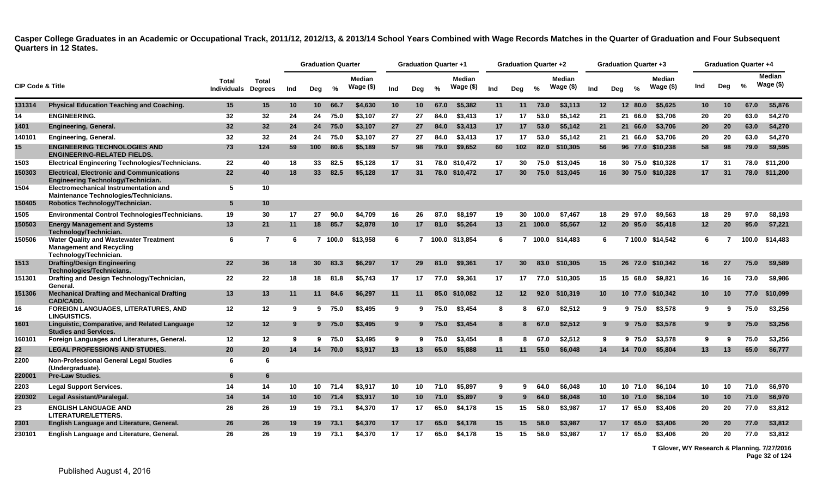|                             |                                                                                                                                 |                      |                                |     | <b>Graduation Quarter</b> |         |                             |                 | <b>Graduation Quarter +1</b> |      |                            |                 | <b>Graduation Quarter +2</b> |          |                             |                 | <b>Graduation Quarter +3</b> |         |                            |                 |                 | <b>Graduation Quarter +4</b> |                             |
|-----------------------------|---------------------------------------------------------------------------------------------------------------------------------|----------------------|--------------------------------|-----|---------------------------|---------|-----------------------------|-----------------|------------------------------|------|----------------------------|-----------------|------------------------------|----------|-----------------------------|-----------------|------------------------------|---------|----------------------------|-----------------|-----------------|------------------------------|-----------------------------|
| <b>CIP Code &amp; Title</b> |                                                                                                                                 | Total<br>Individuals | <b>Total</b><br><b>Degrees</b> | Ind | Deg                       | %       | <b>Median</b><br>Wage $($)$ | Ind             | Deg                          | %    | <b>Median</b><br>Wage (\$) | Ind             | Deg                          | %        | <b>Median</b><br>Wage $($)$ | Ind             | Deg                          | %       | <b>Median</b><br>Wage (\$) | Ind             | Dea             | $\frac{0}{0}$                | <b>Median</b><br>Wage $($)$ |
| 131314                      | <b>Physical Education Teaching and Coaching.</b>                                                                                | 15                   | 15                             | 10  | 10 <sub>1</sub>           | 66.7    | \$4,630                     | 10              | 10                           | 67.0 | \$5,382                    | 11              | 11                           | 73.0     | \$3,113                     | 12              |                              | 12 80.0 | \$5,625                    | 10              | 10 <sup>°</sup> | 67.0                         | \$5,876                     |
| 14                          | <b>ENGINEERING.</b>                                                                                                             | 32                   | 32                             | 24  | 24                        | 75.0    | \$3.107                     | 27              | 27                           | 84.0 | \$3,413                    | 17              | 17                           | 53.0     | \$5.142                     | 21              | 21                           | 66.0    | \$3,706                    | 20              | 20              | 63.0                         | \$4,270                     |
| 1401                        | <b>Engineering, General.</b>                                                                                                    | 32                   | 32 <sub>2</sub>                | 24  | 24                        | 75.0    | \$3,107                     | 27              | 27                           | 84.0 | \$3,413                    | 17              | 17                           | 53.0     | \$5.142                     | 21              |                              | 21 66.0 | \$3,706                    | 20              | <b>20</b>       | 63.0                         | \$4,270                     |
| 140101                      | <b>Engineering, General.</b>                                                                                                    | 32                   | 32                             | 24  | 24                        | 75.0    | \$3,107                     | 27              | 27                           | 84.0 | \$3,413                    | 17              | 17                           | 53.0     | \$5.142                     | 21              |                              | 21 66.0 | \$3,706                    | 20              | 20              | 63.0                         | \$4,270                     |
| 15                          | <b>ENGINEERING TECHNOLOGIES AND</b><br><b>ENGINEERING-RELATED FIELDS.</b>                                                       | 73                   | 124                            | 59  | 100                       | 80.6    | \$5,189                     | 57              | 98                           | 79.0 | \$9,652                    | 60              | 102                          | 82.0     | \$10,305                    | 56              |                              |         | 96 77.0 \$10,238           | 58              | 98              | 79.0                         | \$9,595                     |
| 1503                        | <b>Electrical Engineering Technologies/Technicians.</b>                                                                         | 22                   | 40                             | 18  | 33                        | 82.5    | \$5.128                     | 17              | 31                           | 78.0 | \$10,472                   | 17              | 30                           | 75.0     | \$13.045                    | 16              |                              |         | 30 75.0 \$10,328           | 17              | 31              | 78.0                         | \$11.200                    |
| 150303<br>1504              | <b>Electrical, Electronic and Communications</b><br>Engineering Technology/Technician.<br>Electromechanical Instrumentation and | 22<br>5              | 40<br>10                       | 18  | 33                        | 82.5    | \$5,128                     | 17              | 31                           | 78.0 | \$10,472                   | 17              | 30                           | 75.0     | \$13,045                    | 16              |                              |         | 30 75.0 \$10,328           | 17              | 31              | 78.0                         | \$11,200                    |
| 150405                      | Maintenance Technologies/Technicians.<br>Robotics Technology/Technician.                                                        | 5                    | 10                             |     |                           |         |                             |                 |                              |      |                            |                 |                              |          |                             |                 |                              |         |                            |                 |                 |                              |                             |
| 1505                        | Environmental Control Technologies/Technicians.                                                                                 | 19                   | 30                             | 17  | 27                        | 90.0    | \$4,709                     | 16              | 26                           | 87.0 | \$8,197                    | 19              |                              | 30 100.0 | \$7,467                     | 18              |                              | 29 97.0 | \$9.563                    | 18              | 29              | 97.0                         | \$8,193                     |
| 150503                      | <b>Energy Management and Systems</b><br>Technology/Technician.                                                                  | 13                   | 21                             | 11  |                           | 18 85.7 | \$2,878                     | 10 <sub>1</sub> | 17                           | 81.0 | \$5,264                    | 13              |                              | 21 100.0 | \$5,567                     | 12              |                              | 20 95.0 | \$5,418                    | 12 <sub>2</sub> | 20              | 95.0                         | \$7,221                     |
| 150506                      | <b>Water Quality and Wastewater Treatment</b><br><b>Management and Recycling</b><br>Technology/Technician.                      | 6                    | $\overline{7}$                 | 6   |                           | 7 100.0 | \$13,958                    | 6               |                              |      | 7 100.0 \$13,854           | 6               |                              | 7 100.0  | \$14,483                    | 6               |                              |         | 7 100.0 \$14.542           | 6               | 7               | 100.0                        | \$14,483                    |
| 1513                        | <b>Drafting/Design Engineering</b><br>Technologies/Technicians.                                                                 | 22                   | 36                             | 18  | 30 <sup>°</sup>           | 83.3    | \$6,297                     | 17              | 29                           | 81.0 | \$9,361                    | 17              | 30                           | 83.0     | \$10,305                    | 15              |                              | 26 72.0 | \$10,342                   | 16              | 27              | 75.0                         | \$9,589                     |
| 151301                      | Drafting and Design Technology/Technician,<br>General.                                                                          | 22                   | 22                             | 18  | 18                        | 81.8    | \$5,743                     | 17              | 17                           | 77.0 | \$9,361                    | 17              | 17                           | 77.0     | \$10,305                    | 15              |                              | 15 68.0 | \$9,821                    | 16              | 16              | 73.0                         | \$9,986                     |
| 151306                      | <b>Mechanical Drafting and Mechanical Drafting</b><br><b>CAD/CADD.</b>                                                          | 13                   | 13                             | 11  | 11                        | 84.6    | \$6,297                     | 11              | 11                           | 85.0 | \$10,082                   | 12 <sub>2</sub> | $12 \,$                      | 92.0     | \$10,319                    | 10 <sup>°</sup> |                              | 10 77.0 | \$10,342                   | 10 <sup>°</sup> | 10              | 77.0                         | \$10,099                    |
| 16                          | <b>FOREIGN LANGUAGES, LITERATURES, AND</b><br><b>LINGUISTICS.</b>                                                               | 12                   | 12                             | 9   | 9                         | 75.0    | \$3,495                     | 9               | 9                            | 75.0 | \$3,454                    | 8               | 8                            | 67.0     | \$2,512                     | 9               |                              | 9 75.0  | \$3,578                    | 9               | g               | 75.0                         | \$3,256                     |
| 1601                        | Linguistic, Comparative, and Related Language<br><b>Studies and Services.</b>                                                   | 12                   | 12                             | 9   |                           | 9 75.0  | \$3,495                     | 9               | 9                            | 75.0 | \$3,454                    | 8               | 8                            | 67.0     | \$2,512                     | 9               |                              | 9 75.0  | \$3,578                    | 9               | 9               | 75.0                         | \$3,256                     |
| 160101                      | Foreign Languages and Literatures, General.                                                                                     | 12                   | 12                             | 9   | 9                         | 75.0    | \$3,495                     | 9               | -9                           | 75.0 | \$3,454                    | 8               | 8                            | 67.0     | \$2,512                     | 9               |                              | 9 75.0  | \$3,578                    | 9               |                 | 75.0                         | \$3,256                     |
| 22                          | <b>LEGAL PROFESSIONS AND STUDIES.</b>                                                                                           | 20                   | 20                             | 14  | 14                        | 70.0    | \$3,917                     | 13              | 13                           | 65.0 | \$5,888                    | 11              | 11                           | 55.0     | \$6,048                     | 14              |                              | 14 70.0 | \$5,804                    | 13              | 13              | 65.0                         | \$6,777                     |
| 2200                        | <b>Non-Professional General Legal Studies</b><br>(Undergraduate).                                                               | 6                    | 6                              |     |                           |         |                             |                 |                              |      |                            |                 |                              |          |                             |                 |                              |         |                            |                 |                 |                              |                             |
| 220001                      | <b>Pre-Law Studies.</b>                                                                                                         | 6                    | 6                              |     |                           |         |                             |                 |                              |      |                            |                 |                              |          |                             |                 |                              |         |                            |                 |                 |                              |                             |
| 2203                        | <b>Legal Support Services.</b>                                                                                                  | 14                   | 14                             | 10  | 10                        | 71.4    | \$3,917                     | 10              | 10                           | 71.0 | \$5,897                    | 9               | 9                            | 64.0     | \$6.048                     | 10              |                              | 10 71.0 | \$6,104                    | 10              | 10              | 71.0                         | \$6,970                     |
| 220302                      | Legal Assistant/Paralegal.                                                                                                      | 14                   | 14                             | 10  |                           | 10 71.4 | \$3,917                     | 10              | 10                           | 71.0 | \$5,897                    | 9               | 9                            | 64.0     | \$6,048                     | 10              |                              | 10 71.0 | \$6,104                    | 10 <sup>°</sup> | 10 <sup>°</sup> | 71.0                         | \$6,970                     |
| 23                          | <b>ENGLISH LANGUAGE AND</b><br>LITERATURE/LETTERS.                                                                              | 26                   | 26                             | 19  | 19                        | 73.1    | \$4,370                     | 17              | 17                           | 65.0 | \$4,178                    | 15              | 15                           | 58.0     | \$3,987                     | 17              |                              | 17 65.0 | \$3,406                    | 20              | 20              | 77.0                         | \$3,812                     |
| 2301                        | English Language and Literature, General.                                                                                       | 26                   | 26                             | 19  | 19 <sup>°</sup>           | 73.1    | \$4,370                     | 17              | 17                           | 65.0 | \$4,178                    | 15              | 15                           | 58.0     | \$3,987                     | 17              |                              | 17 65.0 | \$3,406                    | 20              | <b>20</b>       | 77.0                         | \$3,812                     |
| 230101                      | English Language and Literature, General.                                                                                       | 26                   | 26                             | 19  | 19                        | 73.1    | \$4,370                     | 17              | 17                           | 65.0 | \$4.178                    | 15              | 15                           | 58.0     | \$3.987                     | 17              |                              | 17 65.0 | \$3,406                    | 20              | 20              | 77.0                         | \$3,812                     |

**T Glover, WY Research & Planning. 7/27/2016 Page 32 of 124**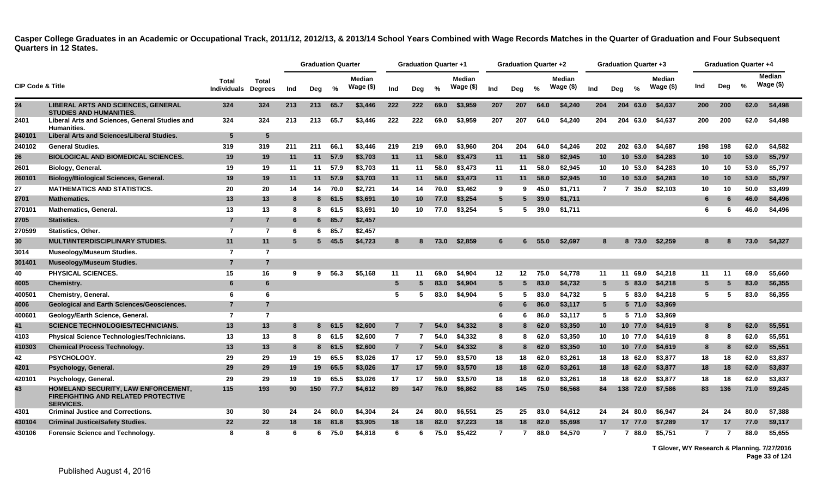|                             |                                                                                                       |                                    |                                |     | <b>Graduation Quarter</b> |          |                             |                | <b>Graduation Quarter +1</b> |      |                             |                 | Graduation Quarter +2 |      |                      |                 | <b>Graduation Quarter +3</b> |          |                     |                |     | <b>Graduation Quarter +4</b> |                             |
|-----------------------------|-------------------------------------------------------------------------------------------------------|------------------------------------|--------------------------------|-----|---------------------------|----------|-----------------------------|----------------|------------------------------|------|-----------------------------|-----------------|-----------------------|------|----------------------|-----------------|------------------------------|----------|---------------------|----------------|-----|------------------------------|-----------------------------|
| <b>CIP Code &amp; Title</b> |                                                                                                       | <b>Total</b><br><b>Individuals</b> | <b>Total</b><br><b>Degrees</b> | Ind | Deg                       | %        | <b>Median</b><br>Wage $($)$ | Ind            | Deg                          | %    | <b>Median</b><br>Wage $($)$ | Ind             | Deg                   | %    | Median<br>Wage $($)$ | Ind             | Deg                          | %        | Median<br>Wage $(\$ | Ind            | Dea | %                            | <b>Median</b><br>Wage $($)$ |
| 24                          | <b>LIBERAL ARTS AND SCIENCES, GENERAL</b><br><b>STUDIES AND HUMANITIES.</b>                           | 324                                | 324                            | 213 | 213                       | 65.7     | \$3,446                     | 222            | 222                          | 69.0 | \$3,959                     | 207             | 207                   | 64.0 | \$4,240              | 204             |                              | 204 63.0 | \$4,637             | 200            | 200 | 62.0                         | \$4,498                     |
| 2401                        | Liberal Arts and Sciences, General Studies and<br><b>Humanities.</b>                                  | 324                                | 324                            | 213 | 213                       | 65.7     | \$3,446                     | 222            | 222                          | 69.0 | \$3,959                     | 207             | 207                   | 64.0 | \$4,240              | 204             | 204                          | 63.0     | \$4,637             | 200            | 200 | 62.0                         | \$4,498                     |
| 240101                      | <b>Liberal Arts and Sciences/Liberal Studies.</b>                                                     | $5\phantom{1}$                     | 5                              |     |                           |          |                             |                |                              |      |                             |                 |                       |      |                      |                 |                              |          |                     |                |     |                              |                             |
| 240102                      | <b>General Studies.</b>                                                                               | 319                                | 319                            | 211 | 211                       | 66.1     | \$3,446                     | 219            | 219                          | 69.0 | \$3.960                     | 204             | 204                   | 64.0 | \$4.246              | 202             | 202                          | 63.0     | \$4.687             | 198            | 198 | 62.0                         | \$4,582                     |
| 26                          | <b>BIOLOGICAL AND BIOMEDICAL SCIENCES.</b>                                                            | 19                                 | 19                             | 11  | 11                        | 57.9     | \$3,703                     | 11             | 11                           | 58.0 | \$3,473                     | 11              | 11                    | 58.0 | \$2,945              | 10              |                              | 10, 53.0 | \$4,283             | 10             | 10  | 53.0                         | \$5,797                     |
| 2601                        | Biology, General.                                                                                     | 19                                 | 19                             | 11  | 11                        | 57.9     | \$3,703                     | 11             | 11                           | 58.0 | \$3,473                     | 11              | 11                    | 58.0 | \$2,945              | 10              |                              | 10 53.0  | \$4,283             | 10             | 10  | 53.0                         | \$5,797                     |
| 260101                      | <b>Biology/Biological Sciences, General.</b>                                                          | 19                                 | 19                             | 11  | 11                        | 57.9     | \$3,703                     | 11             | 11                           | 58.0 | \$3,473                     | 11              | 11                    | 58.0 | \$2,945              | 10 <sup>°</sup> |                              | 10, 53.0 | \$4,283             | 10             | 10  | 53.0                         | \$5,797                     |
| 27                          | <b>MATHEMATICS AND STATISTICS.</b>                                                                    | 20                                 | 20                             | 14  |                           | 14 70.0  | \$2,721                     | 14             | 14                           | 70.0 | \$3.462                     | 9               | 9                     | 45.0 | \$1.711              | $\overline{7}$  |                              | 7 35.0   | \$2,103             | 10             | 10  | 50.0                         | \$3,499                     |
| 2701                        | <b>Mathematics.</b>                                                                                   | 13                                 | 13                             | -8  |                           | 8 61.5   | \$3,691                     | 10             | 10                           | 77.0 | \$3,254                     | $5\phantom{.0}$ | 5                     | 39.0 | \$1,711              |                 |                              |          |                     | 6              | 6   | 46.0                         | \$4,496                     |
| 270101                      | <b>Mathematics, General.</b>                                                                          | 13                                 | 13                             | 8   |                           | 8 61.5   | \$3.691                     | 10             | 10                           | 77.0 | \$3.254                     | 5               | 5                     | 39.0 | \$1,711              |                 |                              |          |                     | 6              | 6   | 46.0                         | \$4,496                     |
| 2705                        | Statistics.                                                                                           | $\overline{7}$                     | $\overline{7}$                 | 6   |                           | $6$ 85.7 | \$2,457                     |                |                              |      |                             |                 |                       |      |                      |                 |                              |          |                     |                |     |                              |                             |
| 270599                      | <b>Statistics, Other.</b>                                                                             | $\overline{7}$                     | $\overline{7}$                 | 6   | 6.                        | 85.7     | \$2,457                     |                |                              |      |                             |                 |                       |      |                      |                 |                              |          |                     |                |     |                              |                             |
| 30                          | <b>MULTI/INTERDISCIPLINARY STUDIES.</b>                                                               | 11                                 | 11                             | 5   |                           | 5, 45.5  | \$4,723                     | 8              | 8.                           | 73.0 | \$2,859                     | 6               | 6                     | 55.0 | \$2,697              | 8               |                              | 8 73.0   | \$2,259             | 8              | 8   | 73.0                         | \$4,327                     |
| 3014                        | <b>Museology/Museum Studies.</b>                                                                      | $\overline{7}$                     | $\overline{7}$                 |     |                           |          |                             |                |                              |      |                             |                 |                       |      |                      |                 |                              |          |                     |                |     |                              |                             |
| 301401                      | <b>Museology/Museum Studies.</b>                                                                      | $\overline{7}$                     | $\overline{7}$                 |     |                           |          |                             |                |                              |      |                             |                 |                       |      |                      |                 |                              |          |                     |                |     |                              |                             |
| 40                          | <b>PHYSICAL SCIENCES.</b>                                                                             | 15                                 | 16                             | 9   | 9.                        | 56.3     | \$5,168                     | 11             | 11                           | 69.0 | \$4.904                     | 12 <sup>°</sup> | $12 \,$               | 75.0 | \$4.778              | 11              | 11                           | 69.0     | \$4.218             | 11             | 11  | 69.0                         | \$5.660                     |
| 4005                        | <b>Chemistry.</b>                                                                                     | 6                                  | 6                              |     |                           |          |                             | 5              |                              | 83.0 | \$4,904                     | $5\phantom{.0}$ | 5                     | 83.0 | \$4,732              | $5^{\circ}$     |                              | 583.0    | \$4,218             | 5              | 5   | 83.0                         | \$6,355                     |
| 400501                      | <b>Chemistry, General.</b>                                                                            | 6                                  | 6                              |     |                           |          |                             | 5              |                              | 83.0 | \$4,904                     | 5               | 5                     | 83.0 | \$4.732              | 5               | 5.                           | 83.0     | \$4,218             | 5              | 5   | 83.0                         | \$6,355                     |
| 4006                        | <b>Geological and Earth Sciences/Geosciences.</b>                                                     | 7                                  | $\overline{7}$                 |     |                           |          |                             |                |                              |      |                             | 6               | 6                     | 86.0 | \$3,117              | $5^{\circ}$     |                              | 5 71.0   | \$3,969             |                |     |                              |                             |
| 400601                      | Geology/Earth Science, General.                                                                       | $\overline{7}$                     | $\overline{7}$                 |     |                           |          |                             |                |                              |      |                             | 6               | 6                     | 86.0 | \$3,117              | 5               |                              | 5 71.0   | \$3,969             |                |     |                              |                             |
| 41                          | <b>SCIENCE TECHNOLOGIES/TECHNICIANS.</b>                                                              | 13                                 | 13                             |     | 8                         | 61.5     | \$2,600                     | $\overline{7}$ |                              | 54.0 | \$4,332                     | 8               | 8                     | 62.0 | \$3,350              | 10              |                              | 10 77.0  | \$4,619             | 8              | 8   | 62.0                         | \$5,551                     |
| 4103                        | Physical Science Technologies/Technicians.                                                            | 13                                 | 13                             | 8   | 8                         | 61.5     | \$2,600                     | $\overline{7}$ | -7                           | 54.0 | \$4,332                     | 8               | 8                     | 62.0 | \$3,350              | 10              |                              | 10 77.0  | \$4,619             | 8              | 8   | 62.0                         | \$5,551                     |
| 410303                      | <b>Chemical Process Technology.</b>                                                                   | 13                                 | 13                             | -8  |                           | 8 61.5   | \$2,600                     | $\overline{7}$ | 7                            | 54.0 | \$4,332                     | 8               | 8                     | 62.0 | \$3,350              | 10              |                              | 10 77.0  | \$4,619             | 8              | 8   | 62.0                         | \$5,551                     |
| 42                          | PSYCHOLOGY.                                                                                           | 29                                 | 29                             | 19  | 19                        | 65.5     | \$3,026                     | 17             | 17                           | 59.0 | \$3,570                     | 18              | 18                    | 62.0 | \$3.261              | 18              |                              | 18 62.0  | \$3,877             | 18             | 18  | 62.0                         | \$3,837                     |
| 4201                        | Psychology, General.                                                                                  | 29                                 | 29                             | 19  | 19                        | 65.5     | \$3,026                     | 17             | 17                           | 59.0 | \$3,570                     | 18              | 18                    | 62.0 | \$3,261              | 18              |                              | 18 62.0  | \$3,877             | 18             | 18  | 62.0                         | \$3,837                     |
| 420101                      | Psychology, General.                                                                                  | 29                                 | 29                             | 19  | 19                        | 65.5     | \$3,026                     | 17             | 17                           | 59.0 | \$3,570                     | 18              | 18                    | 62.0 | \$3,261              | 18              |                              | 18 62.0  | \$3,877             | 18             | 18  | 62.0                         | \$3,837                     |
| 43                          | HOMELAND SECURITY, LAW ENFORCEMENT,<br><b>FIREFIGHTING AND RELATED PROTECTIVE</b><br><b>SERVICES.</b> | 115                                | 193                            | 90  | 150                       | 77.7     | \$4,612                     | 89             | 147                          | 76.0 | \$6,862                     | 88              | 145                   | 75.0 | \$6.568              | 84              |                              | 138 72.0 | \$7.586             | 83             | 136 | 71.0                         | \$9,245                     |
| 4301                        | <b>Criminal Justice and Corrections.</b>                                                              | 30                                 | 30                             | 24  | 24                        | 80.0     | \$4.304                     | 24             | 24                           | 80.0 | \$6,551                     | 25              | 25                    | 83.0 | \$4.612              | 24              |                              | 24 80.0  | \$6.947             | 24             | 24  | 80.0                         | \$7,388                     |
| 430104                      | <b>Criminal Justice/Safety Studies.</b>                                                               | 22                                 | 22                             | 18  | 18                        | 81.8     | \$3,905                     | 18             | 18                           | 82.0 | \$7,223                     | 18              | 18                    | 82.0 | \$5,698              | 17              |                              | 17 77.0  | \$7,289             | 17             | 17  | 77.0                         | \$9,117                     |
| 430106                      | <b>Forensic Science and Technology.</b>                                                               | 8                                  | 8                              | 6   | 6                         | 75.0     | \$4,818                     | 6              | 6                            | 75.0 | \$5,422                     | $\overline{7}$  |                       | 88.0 | \$4.570              | $\overline{7}$  | 7                            | 88.0     | \$5,751             | $\overline{7}$ |     | 88.0                         | \$5.655                     |

**T Glover, WY Research & Planning. 7/27/2016 Page 33 of 124**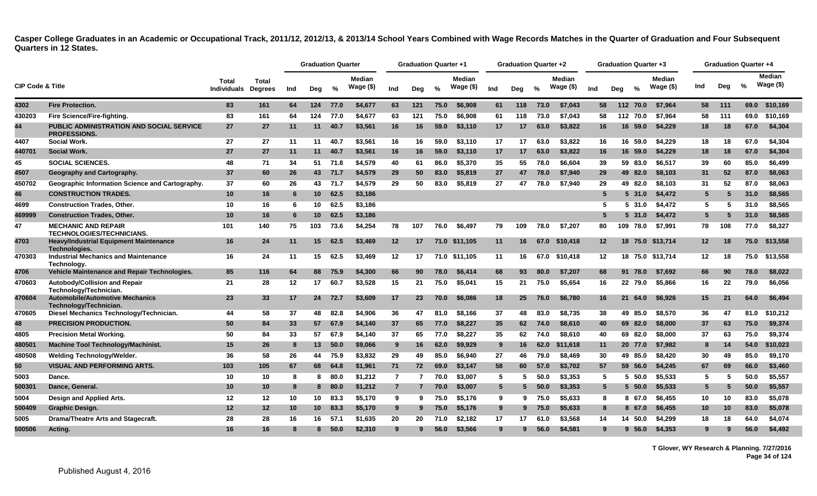|                             |                                                                        |                             |                         |     | <b>Graduation Quarter</b> |      |                            |                | Graduation Quarter +1 |      |                     |             | <b>Graduation Quarter +2</b> |      |                     |                 | Graduation Quarter +3 |               |                            |                   | <b>Graduation Quarter +4</b> |               |                             |
|-----------------------------|------------------------------------------------------------------------|-----------------------------|-------------------------|-----|---------------------------|------|----------------------------|----------------|-----------------------|------|---------------------|-------------|------------------------------|------|---------------------|-----------------|-----------------------|---------------|----------------------------|-------------------|------------------------------|---------------|-----------------------------|
| <b>CIP Code &amp; Title</b> |                                                                        | Total<br><b>Individuals</b> | Total<br><b>Degrees</b> | Ind | Deg                       | %    | <b>Median</b><br>Wage (\$) | Ind            | Deg                   | $\%$ | Median<br>Wage (\$) | Ind         | Deg                          | $\%$ | Median<br>Wage (\$) | Ind             | Deg                   | $\frac{6}{6}$ | <b>Median</b><br>Wage (\$) | Ind               | Dea                          | $\frac{0}{2}$ | <b>Median</b><br>Wage $($)$ |
| 4302                        | <b>Fire Protection.</b>                                                | 83                          | 161                     | 64  | 124                       | 77.0 | \$4,677                    | 63             | 121                   | 75.0 | \$6,908             | 61          | 118                          | 73.0 | \$7.043             | 58              | 112                   | 70.0          | \$7.964                    | 58                | 111                          | 69.0          | \$10,169                    |
| 430203                      | Fire Science/Fire-fighting.                                            | 83                          | 161                     | 64  | 124                       | 77.0 | \$4.677                    | 63             | 121                   | 75.0 | \$6.908             | 61          | 118                          | 73.0 | \$7.043             | 58              |                       | 112 70.0      | \$7.964                    | 58                | 111                          | 69.0          | \$10.169                    |
| 44                          | <b>PUBLIC ADMINISTRATION AND SOCIAL SERVICE</b><br><b>PROFESSIONS.</b> | 27                          | 27                      | 11  | 11                        | 40.7 | \$3,561                    | 16             | 16                    | 59.0 | \$3.110             | 17          | 17                           | 63.0 | \$3,822             | 16              |                       | 16 59.0       | \$4.229                    | 18                | 18                           | 67.0          | \$4,304                     |
| 4407                        | <b>Social Work.</b>                                                    | 27                          | 27                      | 11  | 11                        | 40.7 | \$3.561                    | 16             | 16                    | 59.0 | \$3.110             | 17          | 17                           | 63.0 | \$3,822             | 16              |                       | 16 59.0       | \$4.229                    | 18                | 18                           | 67.0          | \$4,304                     |
| 440701                      | <b>Social Work.</b>                                                    | 27                          | 27                      | 11  | 11                        | 40.7 | \$3,561                    | 16             | 16                    | 59.0 | \$3,110             | 17          | 17                           | 63.0 | \$3,822             | 16              |                       | 16 59.0       | \$4,229                    | 18                | 18                           | 67.0          | \$4,304                     |
| 45                          | <b>SOCIAL SCIENCES.</b>                                                | 48                          | 71                      | 34  | 51                        | 71.8 | \$4,579                    | 40             | 61                    | 86.0 | \$5,370             | 35          | 55                           | 78.0 | \$6,604             | 39              |                       | 59 83.0       | \$6,517                    | 39                | 60                           | 85.0          | \$6,499                     |
| 4507                        | Geography and Cartography.                                             | 37                          | 60                      | 26  | 43                        | 71.7 | \$4,579                    | 29             | 50                    | 83.0 | \$5,819             | 27          | 47                           | 78.0 | \$7,940             | 29              |                       | 49 82.0       | \$8,103                    | 31                | 52                           | 87.0          | \$8,063                     |
| 450702                      | <b>Geographic Information Science and Cartography.</b>                 | 37                          | 60                      | 26  | 43                        | 71.7 | \$4,579                    | 29             | 50                    | 83.0 | \$5,819             | 27          | 47                           | 78.0 | \$7.940             | 29              |                       | 49 82.0       | \$8.103                    | 31                | 52                           | 87.0          | \$8,063                     |
| 46                          | <b>CONSTRUCTION TRADES.</b>                                            | 10                          | 16                      | -6  | 10                        | 62.5 | \$3,186                    |                |                       |      |                     |             |                              |      |                     | 5               |                       | 5 31.0        | \$4,472                    | 5                 | 5                            | 31.0          | \$8,565                     |
| 4699                        | <b>Construction Trades, Other,</b>                                     | 10                          | 16                      | -6  | 10                        | 62.5 | \$3,186                    |                |                       |      |                     |             |                              |      |                     | 5               |                       | 531.0         | \$4.472                    | 5                 | 5                            | 31.0          | \$8,565                     |
| 469999                      | <b>Construction Trades, Other.</b>                                     | 10                          | 16                      | -6  | 10 <sup>1</sup>           | 62.5 | \$3,186                    |                |                       |      |                     |             |                              |      |                     | 5               | 5.                    | 31.0          | \$4,472                    | 5                 | 5                            | 31.0          | \$8,565                     |
| 47                          | <b>MECHANIC AND REPAIR</b><br><b>TECHNOLOGIES/TECHNICIANS.</b>         | 101                         | 140                     | 75  | 103                       | 73.6 | \$4,254                    | 78             | 107                   | 76.0 | \$6,497             | 79          | 109                          | 78.0 | \$7,207             | 80              | 109                   | 78.0          | \$7,991                    | 78                | 108                          | 77.0          | \$8,327                     |
| 4703                        | <b>Heavy/Industrial Equipment Maintenance</b><br>Technologies.         | 16                          | 24                      | 11  | 15 <sup>1</sup>           | 62.5 | \$3,469                    | 12             | 17                    | 71.0 | \$11.105            | 11          | 16                           | 67.0 | \$10,418            | 12 <sup>2</sup> |                       | 18 75.0       | \$13.714                   | $12 \overline{ }$ | 18                           | 75.0          | \$13,558                    |
| 470303                      | <b>Industrial Mechanics and Maintenance</b><br>Technology.             | 16                          | 24                      | 11  | 15                        | 62.5 | \$3.469                    | 12             | 17                    |      | 71.0 \$11,105       | 11          | 16                           | 67.0 | \$10,418            | $12 \,$         |                       |               | 18 75.0 \$13,714           | 12                | 18                           | 75.0          | \$13,558                    |
| 4706                        | Vehicle Maintenance and Repair Technologies.                           | 85                          | 116                     | 64  | 88                        | 75.9 | \$4,300                    | 66             | 90                    | 78.0 | \$6,414             | 68          | 93                           | 80.0 | \$7,207             | 68              |                       | 91 78.0       | \$7,692                    | 66                | 90                           | 78.0          | \$8,022                     |
| 470603                      | Autobody/Collision and Repair<br>Technology/Technician.                | 21                          | 28                      | 12  | 17 <sup>2</sup>           | 60.7 | \$3,528                    | 15             | 21                    | 75.0 | \$5,041             | 15          | 21                           | 75.0 | \$5,654             | 16              |                       | 22 79.0       | \$5,866                    | 16                | 22                           | 79.0          | \$6,056                     |
| 470604                      | <b>Automobile/Automotive Mechanics</b><br>Technology/Technician.       | 23                          | 33                      | 17  | 24                        | 72.7 | \$3,609                    | 17             | 23                    | 70.0 | \$6,086             | 18          | 25                           | 76.0 | \$6,780             | 16              |                       | 21 64.0       | \$6,926                    | 15                | 21                           | 64.0          | \$6,494                     |
| 470605                      | Diesel Mechanics Technology/Technician.                                | 44                          | 58                      | 37  | 48                        | 82.8 | \$4.906                    | 36             | 47                    | 81.0 | \$8.166             | 37          | 48                           | 83.0 | \$8,735             | 38              |                       | 49 85.0       | \$8,570                    | 36                | 47                           | 81.0          | \$10,212                    |
| 48                          | <b>PRECISION PRODUCTION.</b>                                           | 50                          | 84                      | 33  | 57                        | 67.9 | \$4,140                    | 37             | 65                    | 77.0 | \$8,227             | 35          | 62                           | 74.0 | \$8,610             | 40              |                       | 69 82.0       | \$8,000                    | 37                | 63                           | 75.0          | \$9,374                     |
| 4805                        | <b>Precision Metal Working.</b>                                        | 50                          | 84                      | 33  | 57                        | 67.9 | \$4,140                    | 37             | 65                    | 77.0 | \$8,227             | 35          | 62                           | 74.0 | \$8,610             | 40              |                       | 69 82.0       | \$8,000                    | 37                | 63                           | 75.0          | \$9,374                     |
| 480501                      | <b>Machine Tool Technology/Machinist.</b>                              | 15                          | 26                      | -8  | 13                        | 50.0 | \$9,066                    | 9              | 16                    | 62.0 | \$9,929             | 9           | 16                           | 62.0 | \$11,618            | 11              |                       | 20 77.0       | \$7,982                    | 8                 | 14                           | 54.0          | \$10,023                    |
| 480508                      | <b>Welding Technology/Welder.</b>                                      | 36                          | 58                      | 26  | 44                        | 75.9 | \$3,832                    | 29             | 49                    | 85.0 | \$6,940             | 27          | 46                           | 79.0 | \$8,469             | 30              |                       | 49 85.0       | \$8,420                    | 30                | 49                           | 85.0          | \$9,170                     |
| 50                          | <b>VISUAL AND PERFORMING ARTS.</b>                                     | 103                         | 105                     | 67  | 68                        | 64.8 | \$1,961                    | 71             | 72                    | 69.0 | \$3,147             | 58          | 60                           | 57.0 | \$3,702             | 57              |                       | 59 56.0       | \$4,245                    | 67                | 69                           | 66.0          | \$3,460                     |
| 5003                        | Dance.                                                                 | 10                          | 10                      | 8   | 8                         | 80.0 | \$1,212                    | $\overline{7}$ |                       | 70.0 | \$3,007             | 5           | 5                            | 50.0 | \$3,353             | 5               |                       | $5\,50.0$     | \$5,533                    | 5                 | 5                            | 50.0          | \$5,557                     |
| 500301                      | Dance, General.                                                        | 10                          | 10                      | -8  | 8                         | 80.0 | \$1,212                    | $\overline{7}$ |                       | 70.0 | \$3,007             | $5^{\circ}$ |                              | 50.0 | \$3,353             | $5^{\circ}$     |                       | $5\,50.0$     | \$5,533                    | 5                 | 5                            | 50.0          | \$5,557                     |
| 5004                        | Design and Applied Arts.                                               | 12                          | 12                      | 10  | 10                        | 83.3 | \$5,170                    | 9              | 9                     | 75.0 | \$5,176             | 9           | 9.                           | 75.0 | \$5.633             | 8               |                       | 8 67.0        | \$6,455                    | 10                | 10                           | 83.0          | \$5,078                     |
| 500409                      | <b>Graphic Design.</b>                                                 | 12                          | 12                      | 10  | 10 <sup>1</sup>           | 83.3 | \$5,170                    | 9              | 9                     | 75.0 | \$5,176             | 9           | 9                            | 75.0 | \$5,633             | 8               |                       | 8 67.0        | \$6,455                    | 10                | 10                           | 83.0          | \$5,078                     |
| 5005                        | Drama/Theatre Arts and Stagecraft.                                     | 28                          | 28                      | 16  | 16                        | 57.1 | \$1,635                    | 20             | 20                    | 71.0 | \$2,182             | 17          | 17                           | 61.0 | \$3.568             | 14              | 14                    | 50.0          | \$4,299                    | 18                | 18                           | 64.0          | \$4,074                     |
| 500506                      | Acting.                                                                | 16                          | 16                      | 8   | 8                         | 50.0 | \$2,310                    | 9              | 9                     | 56.0 | \$3,566             | 9           | 9                            | 56.0 | \$4,581             | 9               |                       | $9\,56.0$     | \$4,353                    | 9                 | 9                            | 56.0          | \$4,492                     |

**T Glover, WY Research & Planning. 7/27/2016 Page 34 of 124**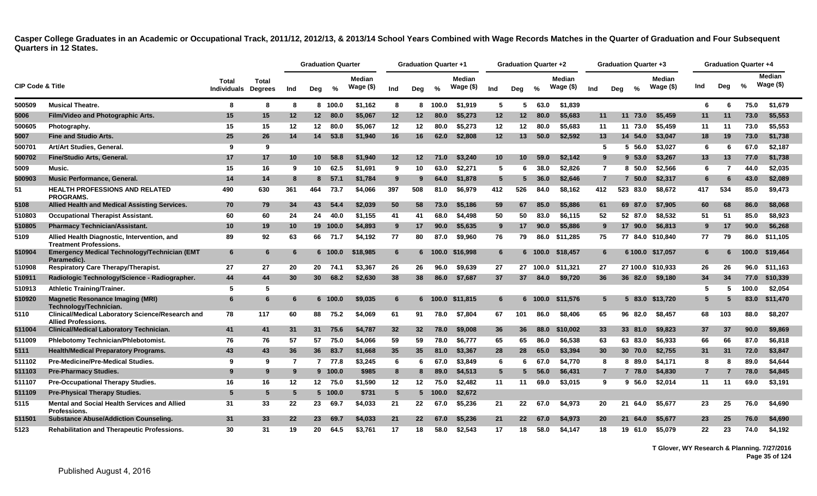|                             |                                                                                       |                             |                                |     | <b>Graduation Quarter</b> |          |                             |                 | <b>Graduation Quarter +1</b> |                |                             |                 | Graduation Quarter +2 |               |                             |                |     | <b>Graduation Quarter +3</b> |                            |                |                | <b>Graduation Quarter +4</b> |                            |
|-----------------------------|---------------------------------------------------------------------------------------|-----------------------------|--------------------------------|-----|---------------------------|----------|-----------------------------|-----------------|------------------------------|----------------|-----------------------------|-----------------|-----------------------|---------------|-----------------------------|----------------|-----|------------------------------|----------------------------|----------------|----------------|------------------------------|----------------------------|
| <b>CIP Code &amp; Title</b> |                                                                                       | Total<br><b>Individuals</b> | <b>Total</b><br><b>Degrees</b> | Ind | Deg                       | %        | <b>Median</b><br>Wage $($)$ | Ind             | Dea                          | $\frac{6}{6}$  | <b>Median</b><br>Wage $($)$ | Ind             | Dea                   | $\frac{0}{0}$ | <b>Median</b><br>Wage $($)$ | Ind            | Dea | $\frac{0}{2}$                | <b>Median</b><br>Wage (\$) | Ind            | Dea            | $\frac{9}{6}$                | <b>Median</b><br>Wage (\$) |
| 500509                      | <b>Musical Theatre.</b>                                                               | -8                          | 8                              | -8  |                           | 8 100.0  | \$1,162                     | 8               |                              | 8 100.0        | \$1,919                     | 5               | 5                     | 63.0          | \$1,839                     |                |     |                              |                            | 6              | -6             | 75.0                         | \$1,679                    |
| 5006                        | Film/Video and Photographic Arts.                                                     | 15                          | 15                             | 12  | 12 <sup>12</sup>          | 80.0     | \$5,067                     | 12              | 12                           | 80.0           | \$5,273                     | 12              | 12                    | 80.0          | \$5,683                     | 11             |     | 11<br>73.0                   | \$5,459                    | 11             | 11             | 73.0                         | \$5,553                    |
| 500605                      | Photography.                                                                          | 15                          | 15                             | 12  | 12                        | 80.0     | \$5,067                     | 12              | 12                           | 80.0           | \$5,273                     | 12              | 12                    | 80.0          | \$5.683                     | 11             |     | 11 73.0                      | \$5,459                    | 11             | 11             | 73.0                         | \$5,553                    |
| 5007                        | <b>Fine and Studio Arts.</b>                                                          | 25                          | 26                             | 14  | 14                        | 53.8     | \$1,940                     | 16              | 16                           | 62.0           | \$2,808                     | 12              | 13                    | 50.0          | \$2,592                     | 13             |     | 14 54.0                      | \$3,047                    | 18             | 19             | 73.0                         | \$1,738                    |
| 500701                      | Art/Art Studies, General.                                                             | 9                           | 9                              |     |                           |          |                             |                 |                              |                |                             |                 |                       |               |                             | 5              |     | 5 56.0                       | \$3,027                    | 6              | 6              | 67.0                         | \$2,187                    |
| 500702                      | <b>Fine/Studio Arts, General.</b>                                                     | 17                          | 17                             | 10  | 10 <sup>1</sup>           | 58.8     | \$1,940                     | 12              | 12                           | 71.0           | \$3,240                     | 10              | 10 <sup>1</sup>       | 59.0          | \$2,142                     | 9              |     | 9 53.0                       | \$3,267                    | 13             | 13             | 77.0                         | \$1,738                    |
| 5009                        | Music.                                                                                | 15                          | 16                             | 9   | 10                        | 62.5     | \$1,691                     | 9               | 10                           | 63.0           | \$2,271                     | 5               | -6                    | 38.0          | \$2,826                     | $\overline{7}$ |     | 8, 50.0                      | \$2,566                    | 6              | $\overline{7}$ | 44.0                         | \$2,035                    |
| 500903                      | <b>Music Performance, General.</b>                                                    | 14                          | 14                             | 8   | 8                         | 57.1     | \$1,784                     | 9               | 9                            | 64.0           | \$1,878                     | $5\phantom{.0}$ | -5                    | 36.0          | \$2,646                     | $\overline{7}$ |     | 7, 50.0                      | \$2,317                    | 6              | 6              | 43.0                         | \$2,089                    |
| 51                          | <b>HEALTH PROFESSIONS AND RELATED</b><br><b>PROGRAMS.</b>                             | 490                         | 630                            | 361 | 464                       | 73.7     | \$4,066                     | 397             | 508                          | 81.0           | \$6,979                     | 412             | 526                   | 84.0          | \$8,162                     | 412            |     | 523<br>83.0                  | \$8,672                    | 417            | 534            | 85.0                         | \$9,473                    |
| 5108                        | Allied Health and Medical Assisting Services.                                         | 70                          | 79                             | 34  | 43                        | 54.4     | \$2.039                     | 50              | 58                           | 73.0           | \$5,186                     | 59              | 67                    | 85.0          | \$5,886                     | 61             |     | 69 87.0                      | \$7,905                    | 60             | 68             | 86.0                         | \$8,068                    |
| 510803                      | <b>Occupational Therapist Assistant.</b>                                              | 60                          | 60                             | 24  | 24                        | 40.0     | \$1.155                     | 41              | 41                           | 68.0           | \$4,498                     | 50              | 50                    | 83.0          | \$6,115                     | 52             |     | 52 87.0                      | \$8,532                    | 51             | 51             | 85.0                         | \$8.923                    |
| 510805                      | <b>Pharmacy Technician/Assistant.</b>                                                 | 10                          | 19                             | 10  |                           | 19 100.0 | \$4,893                     | 9               | 17                           | 90.0           | \$5,635                     | 9               | 17                    | 90.0          | \$5,886                     | 9              |     | 17 90.0                      | \$6,813                    | 9              | 17             | 90.0                         | \$6,268                    |
| 5109                        | Allied Health Diagnostic, Intervention, and<br><b>Treatment Professions.</b>          | 89                          | 92                             | 63  |                           | 66 71.7  | \$4,192                     | 77              | 80                           | 87.0           | \$9,960                     | 76              | 79                    | 86.0          | \$11,285                    | 75             |     |                              | 77 84.0 \$10,840           | 77             | 79             | 86.0                         | \$11,105                   |
| 510904                      | Emergency Medical Technology/Technician (EMT<br>Paramedic).                           | 6                           | 6                              |     |                           | 6 100.0  | \$18,985                    | 6               |                              |                | 6 100.0 \$16,998            | $6\phantom{1}6$ |                       |               | 6 100.0 \$18,457            | 6              |     |                              | 6 100.0 \$17,057           | 6              | 6              | 100.0                        | \$19,464                   |
| 510908                      | <b>Respiratory Care Therapy/Therapist.</b>                                            | 27                          | 27                             | 20  | 20                        | 74.1     | \$3,367                     | 26              | 26                           | 96.0           | \$9,639                     | 27              |                       | 27 100.0      | \$11.321                    | 27             |     |                              | 27 100.0 \$10,933          | 26             | 26             | 96.0                         | \$11,163                   |
| 510911                      | Radiologic Technology/Science - Radiographer.                                         | 44                          | 44                             | 30  | 30 <sup>2</sup>           | 68.2     | \$2,630                     | 38              | 38                           | 86.0           | \$7,687                     | 37              | 37                    | 84.0          | \$9,720                     | 36             |     | 36 82.0                      | \$9,180                    | 34             | 34             | 77.0                         | \$10,339                   |
| 510913                      | <b>Athletic Training/Trainer.</b>                                                     | 5                           | 5                              |     |                           |          |                             |                 |                              |                |                             |                 |                       |               |                             |                |     |                              |                            | 5              | -5             | 100.0                        | \$2,054                    |
| 510920                      | <b>Magnetic Resonance Imaging (MRI)</b><br>Technology/Technician.                     | 6                           | 6                              | 6   |                           | 6 100.0  | \$9,035                     | 6               |                              |                | 6 100.0 \$11,815            | 6               |                       | $6 - 100.0$   | \$11,576                    | 5              |     |                              | 5 83.0 \$13,720            | 5              | 5              | 83.0                         | \$11,470                   |
| 5110                        | <b>Clinical/Medical Laboratory Science/Research and</b><br><b>Allied Professions.</b> | 78                          | 117                            | 60  | 88                        | 75.2     | \$4,069                     | 61              | 91                           | 78.0           | \$7,804                     | 67              | 101                   | 86.0          | \$8,406                     | 65             |     | 96 82.0                      | \$8,457                    | 68             | 103            | 88.0                         | \$8,207                    |
| 511004                      | <b>Clinical/Medical Laboratory Technician.</b>                                        | 41                          | 41                             | 31  | 31                        | 75.6     | \$4,787                     | 32              | 32                           | 78.0           | \$9,008                     | 36              | 36                    | 88.0          | \$10,002                    | 33             |     | 33 81.0                      | \$9,823                    | 37             | 37             | 90.0                         | \$9,869                    |
| 511009                      | Phlebotomy Technician/Phlebotomist.                                                   | 76                          | 76                             | 57  | 57                        | 75.0     | \$4,066                     | 59              | 59                           | 78.0           | \$6,777                     | 65              | 65                    | 86.0          | \$6,538                     | 63             |     | 63 83.0                      | \$6,933                    | 66             | 66             | 87.0                         | \$6,818                    |
| 5111                        | <b>Health/Medical Preparatory Programs.</b>                                           | 43                          | 43                             | 36  | 36                        | 83.7     | \$1,668                     | 35              | 35                           | 81.0           | \$3,367                     | 28              | 28                    | 65.0          | \$3,394                     | 30             |     | 30 70.0                      | \$2,755                    | 31             | 31             | 72.0                         | \$3,847                    |
| 511102                      | Pre-Medicine/Pre-Medical Studies.                                                     | 9                           | 9                              | 7   |                           | 7 77.8   | \$3,245                     | 6               | 6                            | 67.0           | \$3,849                     | 6               | 6                     | 67.0          | \$4,770                     | 8              |     | 8 89.0                       | \$4,171                    | 8              | 8              | 89.0                         | \$4,644                    |
| 511103                      | <b>Pre-Pharmacy Studies.</b>                                                          | 9                           | 9                              | -9  |                           | 9 100.0  | \$985                       | 8               |                              | 89.0           | \$4,513                     | $5\phantom{.0}$ |                       | 56.0          | \$6,431                     | $\overline{7}$ |     | 7 78.0                       | \$4,830                    | $\overline{7}$ |                | 78.0                         | \$4,845                    |
| 511107                      | <b>Pre-Occupational Therapy Studies.</b>                                              | 16                          | 16                             | 12  |                           | 12 75.0  | \$1,590                     | 12              | 12                           | 75.0           | \$2,482                     | 11              | 11                    | 69.0          | \$3,015                     | 9              |     | 9,56.0                       | \$2,014                    | 11             | 11             | 69.0                         | \$3,191                    |
| 511109                      | <b>Pre-Physical Therapy Studies.</b>                                                  | 5                           | 5                              | -5  |                           | 5 100.0  | \$731                       | $5\overline{5}$ |                              | $5\quad 100.0$ | \$2,672                     |                 |                       |               |                             |                |     |                              |                            |                |                |                              |                            |
| 5115                        | Mental and Social Health Services and Allied<br><b>Professions.</b>                   | 31                          | 33                             | 22  | 23                        | 69.7     | \$4,033                     | 21              | 22                           | 67.0           | \$5,236                     | 21              | 22                    | 67.0          | \$4,973                     | 20             |     | 21<br>64.0                   | \$5,677                    | 23             | 25             | 76.0                         | \$4,690                    |
| 511501                      | <b>Substance Abuse/Addiction Counseling.</b>                                          | 31                          | 33                             | 22  | 23                        | 69.7     | \$4,033                     | 21              | 22 <sub>2</sub>              | 67.0           | \$5.236                     | 21              | $22 \overline{ }$     | 67.0          | \$4.973                     | 20             |     | 21<br>64.0                   | \$5.677                    | 23             | 25             | 76.0                         | \$4,690                    |
| 5123                        | <b>Rehabilitation and Therapeutic Professions.</b>                                    | 30                          | 31                             | 19  | 20                        | 64.5     | \$3.761                     | 17              | 18                           | 58.0           | \$2.543                     | 17              | 18                    | 58.0          | \$4,147                     | 18             |     | 19<br>61.0                   | \$5.079                    | 22             | 23             | 74.0                         | \$4.192                    |

**T Glover, WY Research & Planning. 7/27/2016 Page 35 of 124**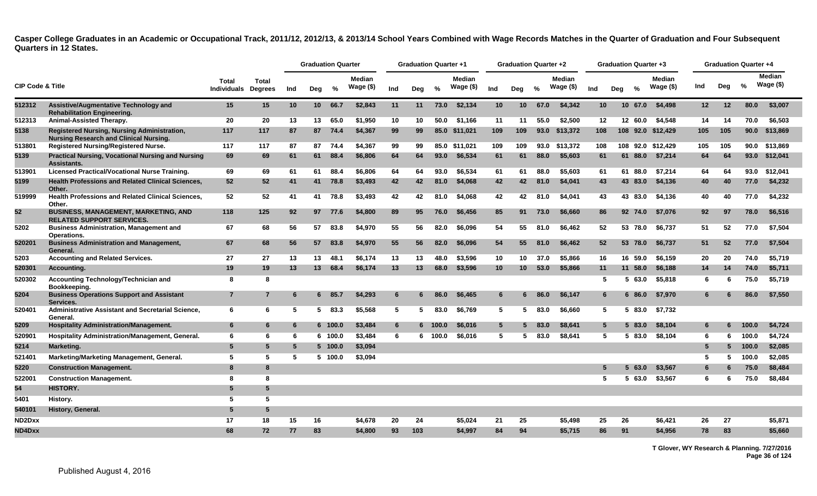|                             |                                                                                                     |                             |                                |     | <b>Graduation Quarter</b> |         |                            |     | <b>Graduation Quarter +1</b> |               |                            |                 | <b>Graduation Quarter +2</b> |               |                     |                 | Graduation Quarter +3 |               |                            |                  |     | <b>Graduation Quarter +4</b> |                            |
|-----------------------------|-----------------------------------------------------------------------------------------------------|-----------------------------|--------------------------------|-----|---------------------------|---------|----------------------------|-----|------------------------------|---------------|----------------------------|-----------------|------------------------------|---------------|---------------------|-----------------|-----------------------|---------------|----------------------------|------------------|-----|------------------------------|----------------------------|
| <b>CIP Code &amp; Title</b> |                                                                                                     | Total<br><b>Individuals</b> | <b>Total</b><br><b>Degrees</b> | Ind | Deg                       | %       | <b>Median</b><br>Wage (\$) | Ind | Dea                          | $\frac{0}{2}$ | <b>Median</b><br>Wage (\$) | Ind             | Dea                          | $\frac{9}{6}$ | Median<br>Wage (\$) | Ind             | Dea                   | $\frac{6}{6}$ | <b>Median</b><br>Wage (\$) | Ind              | Deg | $\%$                         | <b>Median</b><br>Wage (\$) |
| 512312                      | Assistive/Augmentative Technology and<br><b>Rehabilitation Engineering.</b>                         | 15                          | 15                             | 10  | 10 <sup>1</sup>           | 66.7    | \$2,843                    | 11  | 11                           | 73.0          | \$2,134                    | 10 <sup>°</sup> | 10 <sup>°</sup>              | 67.0          | \$4,342             | 10 <sup>1</sup> |                       | 10 67.0       | \$4,498                    | 12 <sup>12</sup> | 12  | 80.0                         | \$3,007                    |
| 512313                      | Animal-Assisted Therapy.                                                                            | 20                          | 20                             | 13  | 13                        | 65.0    | \$1,950                    | 10  | 10                           | 50.0          | \$1,166                    | 11              | 11                           | 55.0          | \$2,500             | 12              |                       | 12 60.0       | \$4,548                    | 14               | 14  | 70.0                         | \$6,503                    |
| 5138                        | <b>Registered Nursing, Nursing Administration,</b><br><b>Nursing Research and Clinical Nursing.</b> | 117                         | 117                            | 87  | 87                        | 74.4    | \$4,367                    | 99  | 99                           |               | 85.0 \$11,021              | 109             | 109                          | 93.0          | \$13,372            | 108             |                       |               | 108 92.0 \$12,429          | 105              | 105 | 90.0                         | \$13,869                   |
| 513801                      | <b>Registered Nursing/Registered Nurse.</b>                                                         | 117                         | 117                            | 87  | 87                        | 74.4    | \$4.367                    | 99  | 99                           |               | 85.0 \$11.021              | 109             | 109                          | 93.0          | \$13.372            | 108             |                       |               | 108 92.0 \$12.429          | 105              | 105 |                              | 90.0 \$13,869              |
| 5139                        | <b>Practical Nursing, Vocational Nursing and Nursing</b><br><b>Assistants</b>                       | 69                          | 69                             | 61  | 61                        | 88.4    | \$6,806                    | 64  | 64                           | 93.0          | \$6,534                    | 61              | 61                           | 88.0          | \$5,603             | 61              | 61                    | 88.0          | \$7,214                    | 64               | 64  |                              | 93.0 \$12,041              |
| 513901                      | Licensed Practical/Vocational Nurse Training.                                                       | 69                          | 69                             | 61  | 61                        | 88.4    | \$6,806                    | 64  | 64                           | 93.0          | \$6,534                    | 61              | 61                           | 88.0          | \$5.603             | 61              |                       | 61 88.0       | \$7,214                    | 64               | 64  | 93.0                         | \$12.041                   |
| 5199                        | <b>Health Professions and Related Clinical Sciences,</b><br>Other                                   | 52                          | 52                             | 41  | 41                        | 78.8    | \$3,493                    | 42  | 42                           | 81.0          | \$4,068                    | 42              | 42                           | 81.0          | \$4,041             | 43              |                       | 43 83.0       | \$4,136                    | 40               | 40  | 77.0                         | \$4,232                    |
| 519999                      | <b>Health Professions and Related Clinical Sciences,</b><br>Other                                   | 52                          | 52                             | 41  | 41                        | 78.8    | \$3.493                    | 42  | 42                           | 81.0          | \$4.068                    | 42              | 42                           | 81.0          | \$4,041             | 43              |                       | 43 83.0       | \$4.136                    | 40               | 40  | 77.0                         | \$4,232                    |
| 52                          | <b>BUSINESS, MANAGEMENT, MARKETING, AND</b><br><b>RELATED SUPPORT SERVICES.</b>                     | 118                         | 125                            | 92  | 97                        | 77.6    | \$4,800                    | 89  | 95                           | 76.0          | \$6,456                    | 85              | 91                           | 73.0          | \$6,660             | 86              |                       | 92 74.0       | \$7,076                    | 92               | 97  | 78.0                         | \$6,516                    |
| 5202                        | <b>Business Administration, Management and</b><br>Operations.                                       | 67                          | 68                             | 56  | 57                        | 83.8    | \$4,970                    | 55  | 56                           | 82.0          | \$6,096                    | 54              | 55                           | 81.0          | \$6,462             | 52              |                       | 53 78.0       | \$6,737                    | 51               | 52  | 77.0                         | \$7.504                    |
| 520201                      | <b>Business Administration and Management,</b><br>General.                                          | 67                          | 68                             | 56  | 57                        | 83.8    | \$4,970                    | 55  | 56                           | 82.0          | \$6,096                    | 54              | 55                           | 81.0          | \$6,462             | 52              |                       | 53 78.0       | \$6,737                    | 51               | 52  | 77.0                         | \$7,504                    |
| 5203                        | <b>Accounting and Related Services.</b>                                                             | 27                          | 27                             | 13  | 13                        | 48.1    | \$6.174                    | 13  | 13                           | 48.0          | \$3.596                    | 10              | 10                           | 37.0          | \$5.866             | 16              |                       | 16 59.0       | \$6.159                    | 20               | 20  | 74.0                         | \$5.719                    |
| 520301                      | Accounting.                                                                                         | 19                          | 19                             | 13  | 13                        | 68.4    | \$6,174                    | 13  | 13                           | 68.0          | \$3,596                    | 10 <sup>°</sup> | 10                           | 53.0          | \$5,866             | 11              |                       | 11 58.0       | \$6,188                    | 14               | 14  | 74.0                         | \$5,711                    |
| 520302                      | Accounting Technology/Technician and<br>Bookkeeping.                                                | 8                           | 8                              |     |                           |         |                            |     |                              |               |                            |                 |                              |               |                     | 5               | 5.                    | 63.0          | \$5,818                    | 6                | 6   | 75.0                         | \$5,719                    |
| 5204                        | <b>Business Operations Support and Assistant</b><br>Services.                                       | $\overline{7}$              | $\overline{7}$                 | 6   |                           | 6 85.7  | \$4,293                    | 6   |                              | 86.0          | \$6,465                    | 6               | 6                            | 86.0          | \$6,147             | 6               |                       | 6 86.0        | \$7,970                    | 6.               |     | 86.0                         | \$7,550                    |
| 520401                      | Administrative Assistant and Secretarial Science,<br>General.                                       | 6                           | 6                              | 5   |                           | 583.3   | \$5,568                    | 5   | 5.                           | 83.0          | \$6,769                    | 5               | -5                           | 83.0          | \$6,660             | 5               | 5.                    | 83.0          | \$7,732                    |                  |     |                              |                            |
| 5209                        | <b>Hospitality Administration/Management.</b>                                                       | 6                           | 6                              | -6  |                           | 6 100.0 | \$3,484                    | 6   |                              | 6 100.0       | \$6,016                    | $5\phantom{.0}$ | 5                            | 83.0          | \$8,641             | $5^{\circ}$     |                       | 5 83.0        | \$8,104                    | 6                | 6   | 100.0                        | \$4,724                    |
| 520901                      | Hospitality Administration/Management, General.                                                     | 6                           | 6                              | 6   |                           | 6 100.0 | \$3,484                    | 6   |                              | 6 100.0       | \$6,016                    | 5               | -5                           | 83.0          | \$8,641             | 5               |                       | 5 83.0        | \$8,104                    | 6                | 6   | 100.0                        | \$4,724                    |
| 5214                        | Marketing.                                                                                          | 5                           | $5\overline{5}$                | 5   |                           | 5 100.0 | \$3,094                    |     |                              |               |                            |                 |                              |               |                     |                 |                       |               |                            | 5                | 5   | 100.0                        | \$2,085                    |
| 521401                      | Marketing/Marketing Management, General.                                                            | -5                          | 5                              | 5   |                           | 5 100.0 | \$3,094                    |     |                              |               |                            |                 |                              |               |                     |                 |                       |               |                            | 5                | 5.  | 100.0                        | \$2,085                    |
| 5220                        | <b>Construction Management.</b>                                                                     | 8                           | 8                              |     |                           |         |                            |     |                              |               |                            |                 |                              |               |                     |                 |                       | 63.0          | \$3,567                    | 6                | 6   | 75.0                         | \$8,484                    |
| 522001                      | <b>Construction Management.</b>                                                                     | 8                           | 8                              |     |                           |         |                            |     |                              |               |                            |                 |                              |               |                     | 5               | 5.                    | 63.0          | \$3,567                    | 6                | 6   | 75.0                         | \$8,484                    |
| 54                          | <b>HISTORY.</b>                                                                                     | 5                           | $5\phantom{.0}$                |     |                           |         |                            |     |                              |               |                            |                 |                              |               |                     |                 |                       |               |                            |                  |     |                              |                            |
| 5401                        | History.                                                                                            | -5                          | 5                              |     |                           |         |                            |     |                              |               |                            |                 |                              |               |                     |                 |                       |               |                            |                  |     |                              |                            |
| 540101                      | History, General.                                                                                   | -5                          | 5                              |     |                           |         |                            |     |                              |               |                            |                 |                              |               |                     |                 |                       |               |                            |                  |     |                              |                            |
| ND2Dxx                      |                                                                                                     | 17                          | 18                             | 15  | 16                        |         | \$4,678                    | 20  | 24                           |               | \$5,024                    | 21              | 25                           |               | \$5,498             | 25              | 26                    |               | \$6,421                    | 26               | 27  |                              | \$5,871                    |
| ND4Dxx                      |                                                                                                     | 68                          | 72                             | 77  | 83                        |         | \$4,800                    | 93  | 103                          |               | \$4,997                    | 84              | 94                           |               | \$5,715             | 86              | 91                    |               | \$4,956                    | 78               | 83  |                              | \$5,660                    |

**T Glover, WY Research & Planning. 7/27/2016 Page 36 of 124**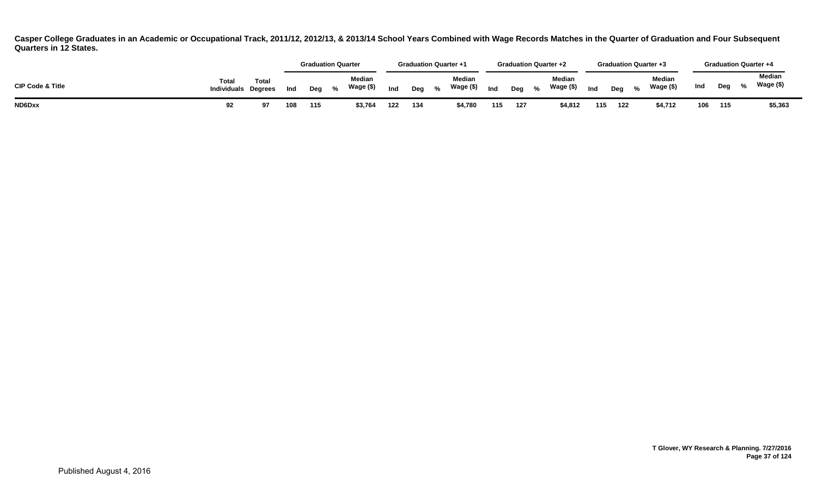|                             |                             |                        |     |     | <b>Graduation Quarter</b>                             |     | <b>Graduation Quarter +1</b> |                     |     | <b>Graduation Quarter +2</b> |                |                            |     |     | <b>Graduation Quarter +3</b> |     |     | <b>Graduation Quarter +4</b> |  |
|-----------------------------|-----------------------------|------------------------|-----|-----|-------------------------------------------------------|-----|------------------------------|---------------------|-----|------------------------------|----------------|----------------------------|-----|-----|------------------------------|-----|-----|------------------------------|--|
| <b>CIP Code &amp; Title</b> | Total<br><b>Individuals</b> | Tota<br><b>Dearees</b> | Ind | Deg | <b>Median</b><br>Wage (\$)<br>$\mathcal{O}'_{\alpha}$ | Ind | Deg                          | Median<br>Wage (\$) | Ind | Deg                          | $\mathcal{O}'$ | <b>Median</b><br>Wage (\$) | Ind | Dea | Median<br>Wage (\$)          | Ind | Deg | Median<br>Wage (\$)          |  |
| ND6Dxx                      |                             |                        | 108 | 115 | \$3,764                                               | 122 | 134                          | \$4,780             | 115 | 127                          |                | \$4,812                    | 115 | 122 | \$4,712                      | 106 | 115 | \$5,363                      |  |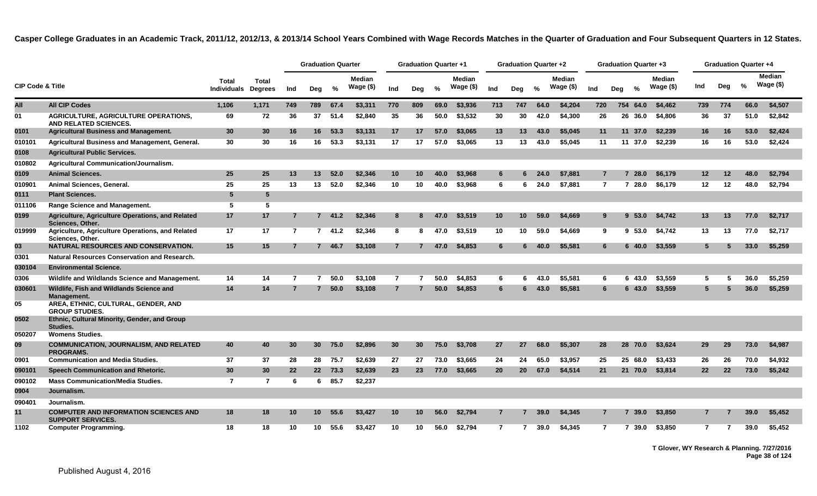|                             |                                                                          |                                    |                                |                | <b>Graduation Quarter</b> |         |                            |                | <b>Graduation Quarter +1</b> |               |                            |                 | <b>Graduation Quarter +2</b> |      |                            |                | <b>Graduation Quarter +3</b> |               |                             |                   |                   | <b>Graduation Quarter +4</b> |                            |  |
|-----------------------------|--------------------------------------------------------------------------|------------------------------------|--------------------------------|----------------|---------------------------|---------|----------------------------|----------------|------------------------------|---------------|----------------------------|-----------------|------------------------------|------|----------------------------|----------------|------------------------------|---------------|-----------------------------|-------------------|-------------------|------------------------------|----------------------------|--|
| <b>CIP Code &amp; Title</b> |                                                                          | <b>Total</b><br><b>Individuals</b> | <b>Total</b><br><b>Degrees</b> | Ind            | Deg                       | %       | <b>Median</b><br>Wage (\$) | Ind            | Deg                          | $\frac{0}{0}$ | <b>Median</b><br>Wage (\$) | Ind             | Deg                          | %    | <b>Median</b><br>Wage (\$) | Ind            | Deg                          | $\frac{0}{n}$ | <b>Median</b><br>Wage $($)$ | Ind               | Deg               | %                            | <b>Median</b><br>Wage (\$) |  |
| All                         | <b>All CIP Codes</b>                                                     | 1,106                              | 1,171                          | 749            | 789                       | 67.4    | \$3,311                    | 770            | 809                          | 69.0          | \$3,936                    | 713             | 747                          | 64.0 | \$4,204                    | 720            |                              | 754 64.0      | \$4,462                     | 739               | 774               | 66.0                         | \$4,507                    |  |
| 01                          | <b>AGRICULTURE, AGRICULTURE OPERATIONS,</b><br>AND RELATED SCIENCES.     | 69                                 | 72                             | 36             | 37                        | 51.4    | \$2,840                    | 35             | 36                           | 50.0          | \$3,532                    | 30              | 30                           | 42.0 | \$4,300                    | 26             |                              | 26 36.0       | \$4,806                     | 36                | 37                | 51.0                         | \$2,842                    |  |
| 0101                        | <b>Agricultural Business and Management.</b>                             | 30                                 | 30                             | 16             |                           | 16 53.3 | \$3,131                    | 17             | 17                           | 57.0          | \$3,065                    | 13              | 13                           | 43.0 | \$5,045                    | 11             |                              | 11 37.0       | \$2,239                     | 16                | 16                | 53.0                         | \$2,424                    |  |
| 010101                      | Agricultural Business and Management, General.                           | 30                                 | 30                             | 16             | 16                        | 53.3    | \$3.131                    | 17             | 17                           | 57.0          | \$3.065                    | 13              | 13                           | 43.0 | \$5.045                    | 11             |                              |               | 11 37.0 \$2.239             | 16                | 16                | 53.0                         | \$2,424                    |  |
| 0108                        | <b>Agricultural Public Services.</b>                                     |                                    |                                |                |                           |         |                            |                |                              |               |                            |                 |                              |      |                            |                |                              |               |                             |                   |                   |                              |                            |  |
| 010802                      | <b>Agricultural Communication/Journalism.</b>                            |                                    |                                |                |                           |         |                            |                |                              |               |                            |                 |                              |      |                            |                |                              |               |                             |                   |                   |                              |                            |  |
| 0109                        | <b>Animal Sciences.</b>                                                  | 25                                 | 25                             | 13             | 13                        | 52.0    | \$2,346                    | 10             | 10                           | 40.0          | \$3,968                    | 6               |                              | 24.0 | \$7,881                    | $\overline{7}$ |                              | 28.0          | \$6,179                     | 12                | 12                | 48.0                         | \$2,794                    |  |
| 010901                      | Animal Sciences, General.                                                | 25                                 | 25                             | 13             | 13                        | 52.0    | \$2,346                    | 10             | 10                           | 40.0          | \$3,968                    | 6               | 6                            | 24.0 | \$7.881                    | $\overline{7}$ |                              |               | 7 28.0 \$6,179              | 12                | 12                | 48.0                         | \$2,794                    |  |
| 0111                        | <b>Plant Sciences.</b>                                                   | $5\phantom{.0}$                    | $5\phantom{.0}$                |                |                           |         |                            |                |                              |               |                            |                 |                              |      |                            |                |                              |               |                             |                   |                   |                              |                            |  |
| 011106                      | <b>Range Science and Management.</b>                                     | 5                                  | 5                              |                |                           |         |                            |                |                              |               |                            |                 |                              |      |                            |                |                              |               |                             |                   |                   |                              |                            |  |
| 0199                        | Agriculture, Agriculture Operations, and Related<br>Sciences, Other.     | 17                                 | 17                             | $\overline{7}$ |                           | 741.2   | \$2,346                    | 8              |                              | 47.0          | \$3,519                    | 10 <sub>1</sub> | 10                           | 59.0 | \$4,669                    | 9              |                              | 9,53.0        | \$4,742                     | 13                | 13                | 77.0                         | \$2,717                    |  |
| 019999                      | Agriculture, Agriculture Operations, and Related<br>Sciences, Other.     | 17                                 | 17                             | $\overline{7}$ | $7^{\circ}$               | 41.2    | \$2,346                    | 8              | 8                            | 47.0          | \$3,519                    | 10              | 10                           | 59.0 | \$4.669                    | 9              |                              | 9,53.0        | \$4,742                     | 13                | 13                | 77.0                         | \$2,717                    |  |
| 03                          | NATURAL RESOURCES AND CONSERVATION.                                      | 15                                 | 15                             |                |                           | 7 46.7  | \$3,108                    | $\overline{7}$ |                              | 47.0          | \$4,853                    | 6               | 6                            | 40.0 | \$5.581                    | 6              |                              | $6\,40.0$     | \$3,559                     | 5                 | 5                 | 33.0                         | \$5,259                    |  |
| 0301                        | <b>Natural Resources Conservation and Research.</b>                      |                                    |                                |                |                           |         |                            |                |                              |               |                            |                 |                              |      |                            |                |                              |               |                             |                   |                   |                              |                            |  |
| 030104                      | <b>Environmental Science.</b>                                            |                                    |                                |                |                           |         |                            |                |                              |               |                            |                 |                              |      |                            |                |                              |               |                             |                   |                   |                              |                            |  |
| 0306                        | Wildlife and Wildlands Science and Management.                           | 14                                 | 14                             | 7              | 7                         | 50.0    | \$3,108                    | $\overline{7}$ |                              | 50.0          | \$4,853                    | 6               | 6                            | 43.0 | \$5.581                    | 6              | 6                            | 43.0          | \$3.559                     | 5                 |                   | 36.0                         | \$5,259                    |  |
| 030601                      | Wildlife, Fish and Wildlands Science and<br>Management.                  | 14                                 | 14                             | 7              | $7^{\circ}$               | 50.0    | \$3,108                    | $\overline{7}$ |                              | 50.0          | \$4,853                    | 6               |                              | 43.0 | \$5,581                    | 6              |                              | 6 43.0        | \$3,559                     | 5                 |                   | 36.0                         | \$5,259                    |  |
| 05                          | AREA, ETHNIC, CULTURAL, GENDER, AND<br><b>GROUP STUDIES.</b>             |                                    |                                |                |                           |         |                            |                |                              |               |                            |                 |                              |      |                            |                |                              |               |                             |                   |                   |                              |                            |  |
| 0502                        | Ethnic, Cultural Minority, Gender, and Group<br>Studies.                 |                                    |                                |                |                           |         |                            |                |                              |               |                            |                 |                              |      |                            |                |                              |               |                             |                   |                   |                              |                            |  |
| 050207                      | <b>Womens Studies.</b>                                                   |                                    |                                |                |                           |         |                            |                |                              |               |                            |                 |                              |      |                            |                |                              |               |                             |                   |                   |                              |                            |  |
| 09                          | <b>COMMUNICATION, JOURNALISM, AND RELATED</b><br><b>PROGRAMS.</b>        | 40                                 | 40                             | 30             | 30 <sup>°</sup>           | 75.0    | \$2,896                    | 30             | 30                           | 75.0          | \$3,708                    | 27              | 27                           | 68.0 | \$5,307                    | 28             |                              | 28 70.0       | \$3,624                     | 29                | 29                | 73.0                         | \$4,987                    |  |
| 0901                        | <b>Communication and Media Studies.</b>                                  | 37                                 | 37                             | 28             | 28                        | 75.7    | \$2.639                    | 27             | 27                           | 73.0          | \$3,665                    | 24              | 24                           | 65.0 | \$3.957                    | 25             |                              | 25 68.0       | \$3,433                     | 26                | 26                | 70.0                         | \$4,932                    |  |
| 090101                      | Speech Communication and Rhetoric.                                       | 30                                 | 30                             | 22             |                           | 22 73.3 | \$2,639                    | 23             | 23                           | 77.0          | \$3,665                    | 20              | 20 <sub>2</sub>              | 67.0 | \$4,514                    | 21             |                              | 21 70.0       | \$3,814                     | $22 \overline{ }$ | $22 \overline{ }$ | 73.0                         | \$5,242                    |  |
| 090102                      | <b>Mass Communication/Media Studies.</b>                                 | $\overline{7}$                     | $\overline{7}$                 | 6              | 6.                        | 85.7    | \$2,237                    |                |                              |               |                            |                 |                              |      |                            |                |                              |               |                             |                   |                   |                              |                            |  |
| 0904                        | Journalism.                                                              |                                    |                                |                |                           |         |                            |                |                              |               |                            |                 |                              |      |                            |                |                              |               |                             |                   |                   |                              |                            |  |
| 090401                      | Journalism.                                                              |                                    |                                |                |                           |         |                            |                |                              |               |                            |                 |                              |      |                            |                |                              |               |                             |                   |                   |                              |                            |  |
| 11                          | <b>COMPUTER AND INFORMATION SCIENCES AND</b><br><b>SUPPORT SERVICES.</b> | 18                                 | 18                             | 10             | 10                        | 55.6    | \$3,427                    | 10             | 10                           | 56.0          | \$2,794                    | 7               |                              | 39.0 | \$4,345                    | 7              |                              | 7 39.0        | \$3,850                     |                   |                   | 39.0                         | \$5,452                    |  |
| 1102                        | <b>Computer Programming.</b>                                             | 18                                 | 18                             | 10             | 10                        | 55.6    | \$3.427                    | 10             | 10                           | 56.0          | \$2.794                    | $\overline{7}$  | $\mathbf{7}$                 | 39.0 | \$4.345                    | $\overline{7}$ |                              | 7 39.0        | \$3,850                     | $\overline{7}$    | $\overline{7}$    | 39.0                         | \$5.452                    |  |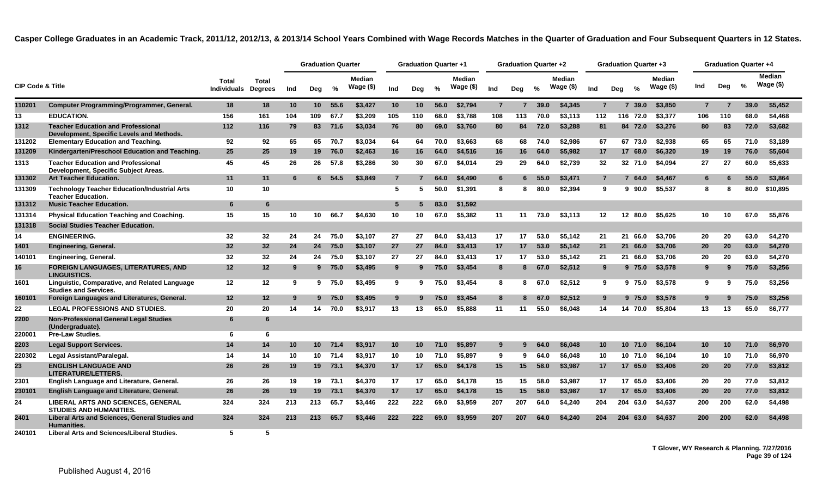|                             |                                                                                        |                             |                                |     | <b>Graduation Quarter</b> |         |                             |                 | <b>Graduation Quarter +1</b> |      |                             |                | <b>Graduation Quarter +2</b> |      |                            |                |     | Graduation Quarter +3 |                      |                |     | Graduation Quarter +4 |                            |  |
|-----------------------------|----------------------------------------------------------------------------------------|-----------------------------|--------------------------------|-----|---------------------------|---------|-----------------------------|-----------------|------------------------------|------|-----------------------------|----------------|------------------------------|------|----------------------------|----------------|-----|-----------------------|----------------------|----------------|-----|-----------------------|----------------------------|--|
| <b>CIP Code &amp; Title</b> |                                                                                        | Total<br><b>Individuals</b> | <b>Total</b><br><b>Degrees</b> | Ind | Dea                       | %       | <b>Median</b><br>Wage $($)$ | Ind             | Dea                          | %    | <b>Median</b><br>Wage $($)$ | Ind            | Dea                          | $\%$ | <b>Median</b><br>Wage (\$) | Ind            | Dea | $\frac{0}{n}$         | Median<br>Wage $($)$ | Ind            | Deg | %                     | <b>Median</b><br>Wage (\$) |  |
| 110201                      | Computer Programming/Programmer, General.                                              | 18                          | 18                             | 10  | 10 <sup>1</sup>           | 55.6    | \$3,427                     | 10 <sup>1</sup> | 10                           | 56.0 | \$2,794                     | $\overline{7}$ | 7                            | 39.0 | \$4,345                    | $\overline{7}$ |     | 7, 39.0               | \$3,850              | $\overline{7}$ | 7   | 39.0                  | \$5,452                    |  |
| 13                          | <b>EDUCATION.</b>                                                                      | 156                         | 161                            | 104 | 109                       | 67.7    | \$3,209                     | 105             | 110                          | 68.0 | \$3,788                     | 108            | 113                          | 70.0 | \$3,113                    | 112            | 116 | 72.0                  | \$3,377              | 106            | 110 | 68.0                  | \$4,468                    |  |
| 1312                        | <b>Teacher Education and Professional</b><br>Development, Specific Levels and Methods. | 112                         | 116                            | 79  | 83                        | 71.6    | \$3,034                     | 76              | 80                           | 69.0 | \$3,760                     | 80             | 84                           | 72.0 | \$3,288                    | 81             |     | 84 72.0               | \$3,276              | 80             | 83  | 72.0                  | \$3,682                    |  |
| 131202                      | <b>Elementary Education and Teaching.</b>                                              | 92                          | 92                             | 65  | 65                        | 70.7    | \$3,034                     | 64              | 64                           | 70.0 | \$3,663                     | 68             | 68                           | 74.0 | \$2,986                    | 67             |     | 67 73.0               | \$2,938              | 65             | 65  | 71.0                  | \$3,189                    |  |
| 131209                      | Kindergarten/Preschool Education and Teaching.                                         | 25                          | 25                             | 19  | 19                        | 76.0    | \$2,463                     | 16              | 16                           | 64.0 | \$4,516                     | 16             | 16                           | 64.0 | \$5,982                    | 17             |     | 17 68.0               | \$6,320              | 19             | 19  | 76.0                  | \$5,604                    |  |
| 1313                        | <b>Teacher Education and Professional</b><br>Development, Specific Subject Areas.      | 45                          | 45                             | 26  | 26                        | 57.8    | \$3,286                     | 30              | 30                           | 67.0 | \$4,014                     | 29             | 29                           | 64.0 | \$2.739                    | 32             |     | 32 71.0               | \$4.094              | 27             | 27  | 60.0                  | \$5,633                    |  |
| 131302                      | <b>Art Teacher Education.</b>                                                          | 11                          | 11                             | 6   |                           | 6, 54.5 | \$3,849                     | $\overline{7}$  |                              | 64.0 | \$4,490                     | 6              | 6                            | 55.0 | \$3,471                    | $\overline{7}$ |     | 64.0<br>7             | \$4,467              | 6              | 6   | 55.0                  | \$3,864                    |  |
| 131309                      | <b>Technology Teacher Education/Industrial Arts</b><br><b>Teacher Education.</b>       | 10                          | 10                             |     |                           |         |                             | 5               | 5                            | 50.0 | \$1,391                     | 8              | 8                            | 80.0 | \$2,394                    | 9              |     | 90.0<br>9.            | \$5,537              | 8              | 8   | 80.0                  | \$10,895                   |  |
| 131312                      | <b>Music Teacher Education.</b>                                                        | 6                           | 6                              |     |                           |         |                             | $5\phantom{.0}$ | 5                            | 83.0 | \$1,592                     |                |                              |      |                            |                |     |                       |                      |                |     |                       |                            |  |
| 131314                      | <b>Physical Education Teaching and Coaching.</b>                                       | 15                          | 15                             | 10  | 10                        | 66.7    | \$4,630                     | 10              | 10                           | 67.0 | \$5,382                     | 11             | 11                           | 73.0 | \$3,113                    | 12             |     | 12<br>80.0            | \$5.625              | 10             | 10  | 67.0                  | \$5,876                    |  |
| 131318                      | <b>Social Studies Teacher Education.</b>                                               |                             |                                |     |                           |         |                             |                 |                              |      |                             |                |                              |      |                            |                |     |                       |                      |                |     |                       |                            |  |
| 14                          | <b>ENGINEERING.</b>                                                                    | 32                          | 32                             | 24  | 24                        | 75.0    | \$3,107                     | 27              | 27                           | 84.0 | \$3,413                     | 17             | 17                           | 53.0 | \$5,142                    | 21             |     | 21 66.0               | \$3,706              | 20             | 20  | 63.0                  | \$4,270                    |  |
| 1401                        | Engineering, General.                                                                  | 32                          | 32                             | 24  | 24                        | 75.0    | \$3,107                     | 27              | 27                           | 84.0 | \$3,413                     | 17             | 17                           | 53.0 | \$5,142                    | 21             |     | 21 66.0               | \$3,706              | 20             | 20  | 63.0                  | \$4,270                    |  |
| 140101                      | Engineering, General.                                                                  | 32                          | 32                             | 24  | 24                        | 75.0    | \$3,107                     | 27              | 27                           | 84.0 | \$3,413                     | 17             | 17                           | 53.0 | \$5.142                    | 21             |     | 21 66.0               | \$3,706              | 20             | 20  | 63.0                  | \$4,270                    |  |
| 16                          | <b>FOREIGN LANGUAGES, LITERATURES, AND</b><br><b>LINGUISTICS.</b>                      | 12                          | 12                             | 9   |                           | 975.0   | \$3,495                     | 9               | 9                            | 75.0 | \$3,454                     | 8              | 8                            | 67.0 | \$2,512                    | 9              |     | 975.0                 | \$3,578              | 9              | 9   | 75.0                  | \$3,256                    |  |
| 1601                        | Linguistic, Comparative, and Related Language<br><b>Studies and Services.</b>          | 12                          | 12                             | 9   | 9                         | 75.0    | \$3,495                     | 9               | 9                            | 75.0 | \$3.454                     | 8              | 8                            | 67.0 | \$2,512                    | 9              |     | 9 75.0                | \$3.578              | 9              | 9   | 75.0                  | \$3,256                    |  |
| 160101                      | Foreign Languages and Literatures, General.                                            | 12                          | 12                             | 9   |                           | 975.0   | \$3,495                     | 9               | 9                            | 75.0 | \$3,454                     | 8              | 8                            | 67.0 | \$2,512                    | 9              |     | 9 75.0                | \$3,578              | 9              | 9   | 75.0                  | \$3,256                    |  |
| 22                          | <b>LEGAL PROFESSIONS AND STUDIES.</b>                                                  | 20                          | 20                             | 14  | 14                        | 70.0    | \$3,917                     | 13              | 13                           | 65.0 | \$5,888                     | 11             | 11                           | 55.0 | \$6.048                    | 14             |     | 14 70.0               | \$5,804              | 13             | 13  | 65.0                  | \$6,777                    |  |
| 2200                        | <b>Non-Professional General Legal Studies</b><br>(Undergraduate).                      | 6                           | 6                              |     |                           |         |                             |                 |                              |      |                             |                |                              |      |                            |                |     |                       |                      |                |     |                       |                            |  |
| 220001                      | <b>Pre-Law Studies.</b>                                                                | 6                           | 6                              |     |                           |         |                             |                 |                              |      |                             |                |                              |      |                            |                |     |                       |                      |                |     |                       |                            |  |
| 2203                        | <b>Legal Support Services.</b>                                                         | 14                          | 14                             | 10  | 10 <sup>1</sup>           | 71.4    | \$3,917                     | 10              | 10                           | 71.0 | \$5.897                     | 9              |                              | 64.0 | \$6,048                    | 10             |     | 10<br>71.0            | \$6,104              | 10             | 10  | 71.0                  | \$6,970                    |  |
| 220302                      | Legal Assistant/Paralegal.                                                             | 14                          | 14                             | 10  | 10                        | 71.4    | \$3.917                     | 10              | 10                           | 71.0 | \$5.897                     | 9              | 9                            | 64.0 | \$6,048                    | 10             |     | 10 71.0               | \$6.104              | 10             | 10  | 71.0                  | \$6,970                    |  |
| 23                          | <b>ENGLISH LANGUAGE AND</b><br>LITERATURE/LETTERS.                                     | 26                          | 26                             | 19  | 19                        | 73.1    | \$4,370                     | 17              | 17                           | 65.0 | \$4,178                     | 15             | 15                           | 58.0 | \$3,987                    | 17             |     | 17 65.0               | \$3,406              | 20             | 20  | 77.0                  | \$3,812                    |  |
| 2301                        | English Language and Literature, General.                                              | 26                          | 26                             | 19  | 19                        | 73.1    | \$4,370                     | 17              | 17                           | 65.0 | \$4.178                     | 15             | 15                           | 58.0 | \$3.987                    | 17             |     | 17<br>65.0            | \$3,406              | 20             | 20  | 77.0                  | \$3,812                    |  |
| 230101                      | English Language and Literature, General.                                              | 26                          | 26                             | 19  | 19                        | 73.1    | \$4,370                     | 17              | 17                           | 65.0 | \$4,178                     | 15             | 15                           | 58.0 | \$3,987                    | 17             |     | 17<br>65.0            | \$3,406              | 20             | 20  | 77.0                  | \$3,812                    |  |
| 24                          | LIBERAL ARTS AND SCIENCES, GENERAL<br><b>STUDIES AND HUMANITIES.</b>                   | 324                         | 324                            | 213 | 213                       | 65.7    | \$3,446                     | 222             | 222                          | 69.0 | \$3,959                     | 207            | 207                          | 64.0 | \$4,240                    | 204            |     | 204 63.0              | \$4,637              | 200            | 200 | 62.0                  | \$4,498                    |  |
| 2401                        | Liberal Arts and Sciences, General Studies and<br><b>Humanities.</b>                   | 324                         | 324                            | 213 | 213                       | 65.7    | \$3,446                     | 222             | 222                          | 69.0 | \$3,959                     | 207            | 207                          | 64.0 | \$4,240                    | 204            | 204 | 63.0                  | \$4.637              | 200            | 200 | 62.0                  | \$4,498                    |  |
| 240101                      | Liberal Arts and Sciences/Liberal Studies.                                             | 5                           | 5                              |     |                           |         |                             |                 |                              |      |                             |                |                              |      |                            |                |     |                       |                      |                |     |                       |                            |  |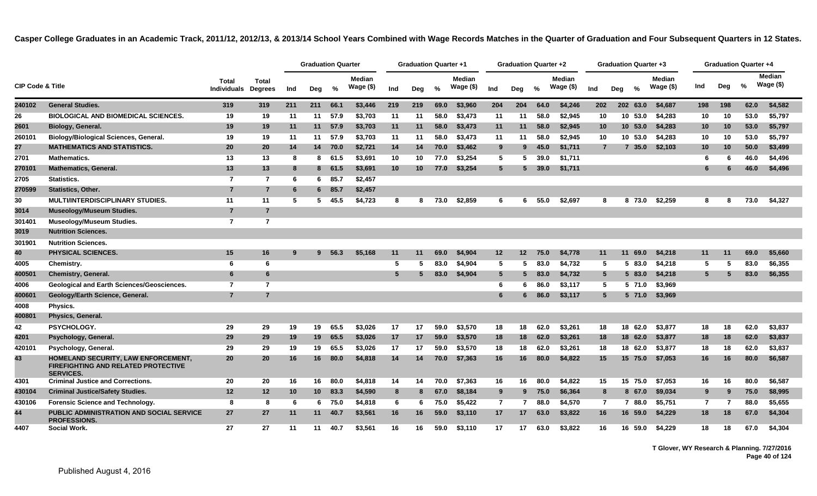|                             |                                                                                                       |                                    |                                |     | <b>Graduation Quarter</b> |          |                            |     | <b>Graduation Quarter +1</b> |      |                            |                 | Graduation Quarter +2 |      |                            |                |     | <b>Graduation Quarter +3</b> |                            |                |     | <b>Graduation Quarter +4</b> |                            |  |
|-----------------------------|-------------------------------------------------------------------------------------------------------|------------------------------------|--------------------------------|-----|---------------------------|----------|----------------------------|-----|------------------------------|------|----------------------------|-----------------|-----------------------|------|----------------------------|----------------|-----|------------------------------|----------------------------|----------------|-----|------------------------------|----------------------------|--|
| <b>CIP Code &amp; Title</b> |                                                                                                       | <b>Total</b><br><b>Individuals</b> | <b>Total</b><br><b>Degrees</b> | Ind | Deg                       | %        | <b>Median</b><br>Wage (\$) | Ind | Deg                          | %    | <b>Median</b><br>Wage (\$) | Ind             | Deg                   | %    | <b>Median</b><br>Wage (\$) | Ind            | Deg | %                            | <b>Median</b><br>Wage (\$) | Ind            | Deg | %                            | <b>Median</b><br>Wage (\$) |  |
| 240102                      | <b>General Studies.</b>                                                                               | 319                                | 319                            | 211 | 211                       | 66.1     | \$3,446                    | 219 | 219                          | 69.0 | \$3,960                    | 204             | 204                   | 64.0 | \$4,246                    | 202            |     | 202 63.0                     | \$4,687                    | 198            | 198 | 62.0                         | \$4,582                    |  |
| 26                          | <b>BIOLOGICAL AND BIOMEDICAL SCIENCES.</b>                                                            | 19                                 | 19                             | 11  | 11                        | 57.9     | \$3,703                    | 11  | 11                           | 58.0 | \$3,473                    | 11              | 11                    | 58.0 | \$2,945                    | 10             |     | 10 53.0                      | \$4,283                    | 10             | 10  | 53.0                         | \$5,797                    |  |
| 2601                        | <b>Biology, General.</b>                                                                              | 19                                 | 19                             | 11  | 11                        | 57.9     | \$3,703                    | 11  | 11                           | 58.0 | \$3,473                    | 11              | 11                    | 58.0 | \$2,945                    | 10             |     | 10, 53.0                     | \$4,283                    | 10             | 10  | 53.0                         | \$5,797                    |  |
| 260101                      | <b>Biology/Biological Sciences, General.</b>                                                          | 19                                 | 19                             | 11  | 11                        | 57.9     | \$3,703                    | 11  | 11                           | 58.0 | \$3,473                    | 11              | 11                    | 58.0 | \$2,945                    | 10             |     | 10 53.0                      | \$4,283                    | 10             | 10  | 53.0                         | \$5,797                    |  |
| 27                          | <b>MATHEMATICS AND STATISTICS.</b>                                                                    | 20                                 | 20                             | 14  | 14                        | 70.0     | \$2,721                    | 14  | 14                           | 70.0 | \$3,462                    | 9               | 9                     | 45.0 | \$1,711                    | $\overline{7}$ |     | 7, 35.0                      | \$2,103                    | 10             | 10  | 50.0                         | \$3,499                    |  |
| 2701                        | <b>Mathematics.</b>                                                                                   | 13                                 | 13                             | -8  | 8                         | 61.5     | \$3,691                    | 10  | 10                           | 77.0 | \$3,254                    | 5               | 5                     | 39.0 | \$1,711                    |                |     |                              |                            | 6              | 6   | 46.0                         | \$4,496                    |  |
| 270101                      | <b>Mathematics, General.</b>                                                                          | 13                                 | 13                             | 8   |                           | 8 61.5   | \$3,691                    | 10  | 10                           | 77.0 | \$3,254                    | $5\phantom{.0}$ |                       | 39.0 | \$1,711                    |                |     |                              |                            | 6              |     | 46.0                         | \$4,496                    |  |
| 2705                        | Statistics.                                                                                           | $\overline{7}$                     | 7                              | -6  | 6.                        | 85.7     | \$2,457                    |     |                              |      |                            |                 |                       |      |                            |                |     |                              |                            |                |     |                              |                            |  |
| 270599                      | <b>Statistics, Other.</b>                                                                             | $\overline{7}$                     | $\overline{7}$                 | -6  |                           | $6$ 85.7 | \$2,457                    |     |                              |      |                            |                 |                       |      |                            |                |     |                              |                            |                |     |                              |                            |  |
| 30                          | <b>MULTI/INTERDISCIPLINARY STUDIES.</b>                                                               | 11                                 | 11                             | -5  | 5.                        | 45.5     | \$4,723                    | 8   | 8                            | 73.0 | \$2,859                    | 6               | 6                     | 55.0 | \$2,697                    | 8              |     | 8 73.0                       | \$2,259                    | 8              | 8   | 73.0                         | \$4,327                    |  |
| 3014                        | <b>Museology/Museum Studies.</b>                                                                      | $\overline{7}$                     | $\overline{7}$                 |     |                           |          |                            |     |                              |      |                            |                 |                       |      |                            |                |     |                              |                            |                |     |                              |                            |  |
| 301401                      | <b>Museology/Museum Studies.</b>                                                                      | $\overline{7}$                     | $\overline{7}$                 |     |                           |          |                            |     |                              |      |                            |                 |                       |      |                            |                |     |                              |                            |                |     |                              |                            |  |
| 3019                        | <b>Nutrition Sciences.</b>                                                                            |                                    |                                |     |                           |          |                            |     |                              |      |                            |                 |                       |      |                            |                |     |                              |                            |                |     |                              |                            |  |
| 301901                      | <b>Nutrition Sciences.</b>                                                                            |                                    |                                |     |                           |          |                            |     |                              |      |                            |                 |                       |      |                            |                |     |                              |                            |                |     |                              |                            |  |
| 40                          | <b>PHYSICAL SCIENCES.</b>                                                                             | 15                                 | 16                             | -9  | 9                         | 56.3     | \$5,168                    | 11  | 11                           | 69.0 | \$4,904                    | $12 \,$         | $12 \,$               | 75.0 | \$4,778                    | 11             |     | 69.0<br>11                   | \$4,218                    | 11             | 11  | 69.0                         | \$5,660                    |  |
| 4005                        | Chemistry.                                                                                            | 6                                  | 6                              |     |                           |          |                            | 5   |                              | 83.0 | \$4,904                    | 5               | 5                     | 83.0 | \$4,732                    | 5              |     | 5 83.0                       | \$4,218                    | 5              | 5   | 83.0                         | \$6,355                    |  |
| 400501                      | <b>Chemistry, General.</b>                                                                            | 6                                  | 6                              |     |                           |          |                            | 5   |                              | 83.0 | \$4,904                    | 5               | -5                    | 83.0 | \$4,732                    | $5^{\circ}$    |     | 5 83.0                       | \$4,218                    | 5              |     | 83.0                         | \$6,355                    |  |
| 4006                        | <b>Geological and Earth Sciences/Geosciences.</b>                                                     | $\overline{7}$                     | $\overline{7}$                 |     |                           |          |                            |     |                              |      |                            | 6               | 6                     | 86.0 | \$3,117                    | 5              |     | 5 71.0                       | \$3,969                    |                |     |                              |                            |  |
| 400601                      | Geology/Earth Science, General.                                                                       | $\overline{7}$                     | $\overline{7}$                 |     |                           |          |                            |     |                              |      |                            | 6               | 6                     | 86.0 | \$3,117                    | $5^{\circ}$    |     | 5 71.0                       | \$3,969                    |                |     |                              |                            |  |
| 4008                        | Physics.                                                                                              |                                    |                                |     |                           |          |                            |     |                              |      |                            |                 |                       |      |                            |                |     |                              |                            |                |     |                              |                            |  |
| 400801                      | Physics, General.                                                                                     |                                    |                                |     |                           |          |                            |     |                              |      |                            |                 |                       |      |                            |                |     |                              |                            |                |     |                              |                            |  |
| 42                          | PSYCHOLOGY.                                                                                           | 29                                 | 29                             | 19  | 19                        | 65.5     | \$3,026                    | 17  | 17                           | 59.0 | \$3,570                    | 18              | 18                    | 62.0 | \$3,261                    | 18             |     | 18 62.0                      | \$3,877                    | 18             | 18  | 62.0                         | \$3,837                    |  |
| 4201                        | Psychology, General.                                                                                  | 29                                 | 29                             | 19  | 19                        | 65.5     | \$3,026                    | 17  | 17                           | 59.0 | \$3,570                    | 18              | 18                    | 62.0 | \$3,261                    | 18             |     | 18 62.0                      | \$3,877                    | 18             | 18  | 62.0                         | \$3,837                    |  |
| 420101                      | Psychology, General.                                                                                  | 29                                 | 29                             | 19  | 19                        | 65.5     | \$3,026                    | 17  | 17                           | 59.0 | \$3,570                    | 18              | 18                    | 62.0 | \$3,261                    | 18             |     | 18 62.0                      | \$3,877                    | 18             | 18  | 62.0                         | \$3,837                    |  |
| 43                          | HOMELAND SECURITY, LAW ENFORCEMENT,<br><b>FIREFIGHTING AND RELATED PROTECTIVE</b><br><b>SERVICES.</b> | 20                                 | 20                             | 16  | 16                        | 80.0     | \$4,818                    | 14  | 14                           | 70.0 | \$7,363                    | 16              | 16                    | 80.0 | \$4,822                    | 15             |     | 15 75.0                      | \$7,053                    | 16             | 16  | 80.0                         | \$6,587                    |  |
| 4301                        | <b>Criminal Justice and Corrections.</b>                                                              | 20                                 | 20                             | 16  | 16                        | 80.0     | \$4,818                    | 14  | 14                           | 70.0 | \$7,363                    | 16              | 16                    | 80.0 | \$4,822                    | 15             |     | 15 75.0                      | \$7,053                    | 16             | 16  | 80.0                         | \$6,587                    |  |
| 430104                      | <b>Criminal Justice/Safety Studies.</b>                                                               | 12                                 | $12 \,$                        | 10  | 10 <sup>1</sup>           | 83.3     | \$4,590                    | 8   | 8                            | 67.0 | \$8,184                    | 9               | 9                     | 75.0 | \$6,364                    | 8              |     | 8 67.0                       | \$9,034                    | 9              | 9   | 75.0                         | \$8,995                    |  |
| 430106                      | <b>Forensic Science and Technology.</b>                                                               | 8                                  | 8                              | -6  | 6.                        | 75.0     | \$4,818                    | 6   | 6                            | 75.0 | \$5,422                    | $\overline{7}$  |                       | 88.0 | \$4,570                    | $\overline{7}$ |     | 7 88.0                       | \$5,751                    | $\overline{7}$ | 7   | 88.0                         | \$5,655                    |  |
| 44                          | <b>PUBLIC ADMINISTRATION AND SOCIAL SERVICE</b><br><b>PROFESSIONS.</b>                                | 27                                 | 27                             | 11  | 11                        | 40.7     | \$3,561                    | 16  | 16                           | 59.0 | \$3,110                    | 17              | 17                    | 63.0 | \$3,822                    | 16             |     | 16 59.0                      | \$4,229                    | 18             | 18  | 67.0                         | \$4,304                    |  |
| 4407                        | Social Work.                                                                                          | 27                                 | 27                             | 11  | 11                        | 40.7     | \$3.561                    | 16  | 16                           | 59.0 | \$3.110                    | 17              | 17                    | 63.0 | \$3.822                    | 16             |     | 16 59.0                      | \$4.229                    | 18             | 18  | 67.0                         | \$4.304                    |  |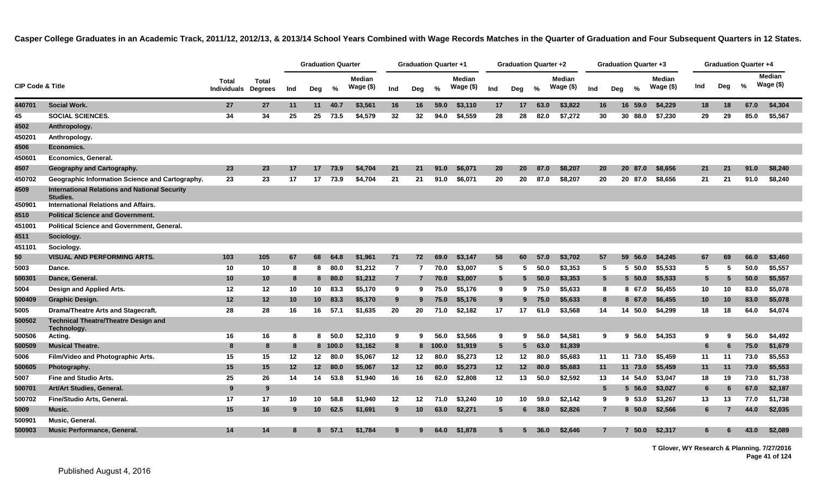|                  |                                                                  |                                    |                                |     | <b>Graduation Quarter</b> |         |                     |                | <b>Graduation Quarter +1</b> |       |                     |                 | <b>Graduation Quarter +2</b> |      |                            |                |     | Graduation Quarter +3 |                            |     |                | Graduation Quarter +4 |                      |  |
|------------------|------------------------------------------------------------------|------------------------------------|--------------------------------|-----|---------------------------|---------|---------------------|----------------|------------------------------|-------|---------------------|-----------------|------------------------------|------|----------------------------|----------------|-----|-----------------------|----------------------------|-----|----------------|-----------------------|----------------------|--|
| CIP Code & Title |                                                                  | <b>Total</b><br><b>Individuals</b> | <b>Total</b><br><b>Degrees</b> | Ind | Deg                       | %       | Median<br>Wage (\$) | Ind            | Deg                          | %     | Median<br>Wage (\$) | Ind             | Deg                          | $\%$ | <b>Median</b><br>Wage (\$) | Ind            | Dea | $\%$                  | <b>Median</b><br>Wage (\$) | Ind | Deg            | %                     | Median<br>Wage $($)$ |  |
| 440701           | <b>Social Work.</b>                                              | 27                                 | <b>27</b>                      | 11  |                           | 11 40.7 | \$3,561             | 16             | 16                           | 59.0  | \$3,110             | 17              | 17                           | 63.0 | \$3,822                    | 16.            |     | 16 59.0               | \$4,229                    | 18  | 18             | 67.0                  | \$4,304              |  |
| 45               | <b>SOCIAL SCIENCES.</b>                                          | 34                                 | 34                             | 25  | 25                        | 73.5    | \$4,579             | 32             | 32                           | 94.0  | \$4,559             | 28              | 28                           | 82.0 | \$7,272                    | 30             |     | 30 88.0               | \$7,230                    | 29  | 29             | 85.0                  | \$5,567              |  |
| 4502             | Anthropology.                                                    |                                    |                                |     |                           |         |                     |                |                              |       |                     |                 |                              |      |                            |                |     |                       |                            |     |                |                       |                      |  |
| 450201           | Anthropology.                                                    |                                    |                                |     |                           |         |                     |                |                              |       |                     |                 |                              |      |                            |                |     |                       |                            |     |                |                       |                      |  |
| 4506             | Economics.                                                       |                                    |                                |     |                           |         |                     |                |                              |       |                     |                 |                              |      |                            |                |     |                       |                            |     |                |                       |                      |  |
| 450601           | Economics, General.                                              |                                    |                                |     |                           |         |                     |                |                              |       |                     |                 |                              |      |                            |                |     |                       |                            |     |                |                       |                      |  |
| 4507             | Geography and Cartography.                                       | 23                                 | 23                             | 17  | 17                        | 73.9    | \$4,704             | 21             | 21                           | 91.0  | \$6,071             | 20              | 20 <sub>2</sub>              | 87.0 | \$8,207                    | 20             |     | 20 87.0               | \$8,656                    | 21  | 21             | 91.0                  | \$8,240              |  |
| 450702           | Geographic Information Science and Cartography.                  | 23                                 | 23                             | 17  | 17                        | 73.9    | \$4,704             | 21             | 21                           | 91.0  | \$6,071             | 20              | 20                           | 87.0 | \$8,207                    | 20             |     | 20 87.0               | \$8,656                    | 21  | 21             | 91.0                  | \$8,240              |  |
| 4509             | <b>International Relations and National Security</b><br>Studies. |                                    |                                |     |                           |         |                     |                |                              |       |                     |                 |                              |      |                            |                |     |                       |                            |     |                |                       |                      |  |
| 450901           | International Relations and Affairs.                             |                                    |                                |     |                           |         |                     |                |                              |       |                     |                 |                              |      |                            |                |     |                       |                            |     |                |                       |                      |  |
| 4510             | <b>Political Science and Government.</b>                         |                                    |                                |     |                           |         |                     |                |                              |       |                     |                 |                              |      |                            |                |     |                       |                            |     |                |                       |                      |  |
| 451001           | <b>Political Science and Government, General.</b>                |                                    |                                |     |                           |         |                     |                |                              |       |                     |                 |                              |      |                            |                |     |                       |                            |     |                |                       |                      |  |
| 4511             | Sociology.                                                       |                                    |                                |     |                           |         |                     |                |                              |       |                     |                 |                              |      |                            |                |     |                       |                            |     |                |                       |                      |  |
| 451101           | Sociology.                                                       |                                    |                                |     |                           |         |                     |                |                              |       |                     |                 |                              |      |                            |                |     |                       |                            |     |                |                       |                      |  |
| 50               | <b>VISUAL AND PERFORMING ARTS.</b>                               | 103                                | 105                            | 67  | 68                        | 64.8    | \$1,961             | 71             | 72                           | 69.0  | \$3,147             | 58              | 60                           | 57.0 | \$3,702                    | 57             |     | 59 56.0               | \$4,245                    | 67  | 69             | 66.0                  | \$3,460              |  |
| 5003             | Dance.                                                           | 10                                 | 10                             | 8   | 8                         | 80.0    | \$1,212             | $\mathbf{7}$   |                              | 70.0  | \$3,007             | 5               | 5.                           | 50.0 | \$3,353                    | -5             |     | $5\,50.0$             | \$5,533                    | 5   | 5              | 50.0                  | \$5,557              |  |
| 500301           | Dance, General.                                                  | 10                                 | 10                             | 8   | 8                         | 80.0    | \$1,212             | $\overline{7}$ |                              | 70.0  | \$3,007             | $5\phantom{.0}$ | 5                            | 50.0 | \$3,353                    | 5              |     | $5\,50.0$             | \$5,533                    | 5   | 5              | 50.0                  | \$5,557              |  |
| 5004             | Design and Applied Arts.                                         | 12                                 | 12                             | 10  | 10                        | 83.3    | \$5,170             | 9              | 9                            | 75.0  | \$5,176             | 9               | 9                            | 75.0 | \$5,633                    | 8              |     | 8 67.0                | \$6,455                    | 10  | 10             | 83.0                  | \$5,078              |  |
| 500409           | Graphic Design.                                                  | 12                                 | 12                             | 10  | 10 <sup>1</sup>           | 83.3    | \$5,170             | 9              | 9                            | 75.0  | \$5,176             | 9               | 9                            | 75.0 | \$5,633                    | 8              |     | 8 67.0                | \$6,455                    | 10  | 10             | 83.0                  | \$5,078              |  |
| 5005             | Drama/Theatre Arts and Stagecraft.                               | 28                                 | 28                             | 16  | 16                        | 57.1    | \$1,635             | 20             | 20                           | 71.0  | \$2,182             | 17              | 17                           | 61.0 | \$3,568                    | 14             |     | 14 50.0               | \$4.299                    | 18  | 18             | 64.0                  | \$4,074              |  |
| 500502           | <b>Technical Theatre/Theatre Design and</b><br>Technology.       |                                    |                                |     |                           |         |                     |                |                              |       |                     |                 |                              |      |                            |                |     |                       |                            |     |                |                       |                      |  |
| 500506           | Acting.                                                          | 16                                 | 16                             | 8   | 8                         | 50.0    | \$2,310             | 9              | 9                            | 56.0  | \$3,566             | 9               | 9                            | 56.0 | \$4,581                    | 9              |     | $9\,56.0$             | \$4,353                    | 9   | 9              | 56.0                  | \$4,492              |  |
| 500509           | <b>Musical Theatre.</b>                                          | 8                                  | 8                              | 8   |                           | 8 100.0 | \$1,162             | 8              | 8                            | 100.0 | \$1,919             | $5^{\circ}$     | 5                            | 63.0 | \$1,839                    |                |     |                       |                            | 6   | 6              | 75.0                  | \$1,679              |  |
| 5006             | Film/Video and Photographic Arts.                                | 15                                 | 15                             | 12  |                           | 12 80.0 | \$5,067             | 12             | 12                           | 80.0  | \$5,273             | 12              | 12                           | 80.0 | \$5,683                    | 11             |     | 11 73.0               | \$5,459                    | 11  | 11             | 73.0                  | \$5,553              |  |
| 500605           | Photography.                                                     | 15                                 | 15                             | 12  | 12 <sup>12</sup>          | 80.0    | \$5,067             | 12             | 12                           | 80.0  | \$5,273             | 12              | 12 <sup>2</sup>              | 80.0 | \$5,683                    | 11             |     | 11 73.0               | \$5,459                    | 11  | 11             | 73.0                  | \$5,553              |  |
| 5007             | <b>Fine and Studio Arts.</b>                                     | 25                                 | 26                             | 14  | 14                        | 53.8    | \$1,940             | 16             | 16                           | 62.0  | \$2,808             | 12              | 13                           | 50.0 | \$2,592                    | 13             |     | 14 54.0               | \$3,047                    | 18  | 19             | 73.0                  | \$1,738              |  |
| 500701           | Art/Art Studies, General.                                        | 9                                  | 9                              |     |                           |         |                     |                |                              |       |                     |                 |                              |      |                            | 5              |     | $5\,56.0$             | \$3,027                    | 6   | 6              | 67.0                  | \$2,187              |  |
| 500702           | Fine/Studio Arts, General.                                       | 17                                 | 17                             | 10  | 10                        | 58.8    | \$1,940             | 12             | 12                           | 71.0  | \$3,240             | 10              | 10                           | 59.0 | \$2,142                    | 9              |     | 9 53.0                | \$3,267                    | 13  | 13             | 77.0                  | \$1,738              |  |
| 5009             | Music.                                                           | 15                                 | 16                             | 9   | 10 <sup>°</sup>           | 62.5    | \$1,691             | 9              | 10                           | 63.0  | \$2,271             | $5\overline{5}$ | 6                            | 38.0 | \$2,826                    | $\overline{7}$ |     | 8, 50.0               | \$2,566                    | 6.  | $\overline{7}$ | 44.0                  | \$2,035              |  |
| 500901           | Music, General.                                                  |                                    |                                |     |                           |         |                     |                |                              |       |                     |                 |                              |      |                            |                |     |                       |                            |     |                |                       |                      |  |
| 500903           | Music Performance, General.                                      | 14                                 | 14                             | 8   | 8                         | 57.1    | \$1,784             | 9              |                              | 64.0  | \$1,878             | 5               | 5                            | 36.0 | \$2,646                    | $\overline{7}$ |     | 50.0                  | \$2,317                    | 6.  |                | 43.0                  | \$2,089              |  |
|                  |                                                                  |                                    |                                |     |                           |         |                     |                |                              |       |                     |                 |                              |      |                            |                |     |                       |                            |     |                |                       |                      |  |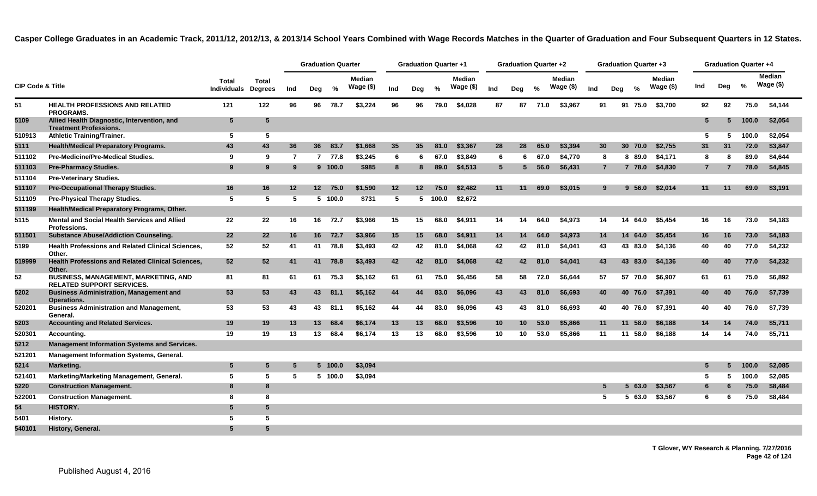|                             |                                                                                 |                                    |                         |     | <b>Graduation Quarter</b> |         |                     |                   | <b>Graduation Quarter +1</b> |         |                            |                 | Graduation Quarter +2 |         |                            |                |                 | Graduation Quarter +3 |                             |                 |     | <b>Graduation Quarter +4</b> |                      |
|-----------------------------|---------------------------------------------------------------------------------|------------------------------------|-------------------------|-----|---------------------------|---------|---------------------|-------------------|------------------------------|---------|----------------------------|-----------------|-----------------------|---------|----------------------------|----------------|-----------------|-----------------------|-----------------------------|-----------------|-----|------------------------------|----------------------|
| <b>CIP Code &amp; Title</b> |                                                                                 | <b>Total</b><br><b>Individuals</b> | Total<br><b>Degrees</b> | Ind | Deg                       | %       | Median<br>Wage (\$) | Ind               | Deg                          | $\%$    | <b>Median</b><br>Wage (\$) | Ind             | Deg                   | %       | <b>Median</b><br>Wage (\$) | Ind            | Deg             | $\frac{9}{6}$         | <b>Median</b><br>Wage $($)$ | Ind             | Deg | $\%$                         | Median<br>Wage $($)$ |
| 51                          | <b>HEALTH PROFESSIONS AND RELATED</b><br><b>PROGRAMS.</b>                       | 121                                | 122                     | 96  |                           | 96 78.7 | \$3,224             | 96                | 96                           | 79.0    | \$4,028                    | 87              |                       | 87 71.0 | \$3,967                    | 91             |                 | 91 75.0               | \$3,700                     | 92              | 92  | 75.0                         | \$4,144              |
| 5109                        | Allied Health Diagnostic, Intervention, and<br><b>Treatment Professions.</b>    | $5\phantom{.0}$                    | 5                       |     |                           |         |                     |                   |                              |         |                            |                 |                       |         |                            |                |                 |                       |                             | $5\overline{5}$ | 5   | 100.0                        | \$2,054              |
| 510913                      | <b>Athletic Training/Trainer.</b>                                               | 5                                  | 5                       |     |                           |         |                     |                   |                              |         |                            |                 |                       |         |                            |                |                 |                       |                             | 5               | 5   | 100.0                        | \$2,054              |
| 5111                        | <b>Health/Medical Preparatory Programs.</b>                                     | 43                                 | 43                      | 36  | 36 <sup>2</sup>           | 83.7    | \$1,668             | 35                | 35                           | 81.0    | \$3,367                    | 28              | 28                    | 65.0    | \$3,394                    | 30             | 30 <sup>°</sup> | 70.0                  | \$2,755                     | 31              | 31  | 72.0                         | \$3,847              |
| 511102                      | <b>Pre-Medicine/Pre-Medical Studies.</b>                                        | 9                                  | 9                       | -7  |                           | 7 77.8  | \$3,245             | 6                 | 6                            | 67.0    | \$3.849                    | -6              | 6                     | 67.0    | \$4,770                    | 8              |                 | 8 89.0                | \$4,171                     | 8               | 8   | 89.0                         | \$4,644              |
| 511103                      | <b>Pre-Pharmacy Studies.</b>                                                    | 9                                  | 9                       | 9   |                           | 9 100.0 | \$985               | 8                 | 8                            | 89.0    | \$4,513                    | $5\overline{5}$ | 5                     | 56.0    | \$6,431                    | $\overline{7}$ |                 | 7 78.0                | \$4,830                     | $\overline{7}$  | 7   | 78.0                         | \$4,845              |
| 511104                      | <b>Pre-Veterinary Studies.</b>                                                  |                                    |                         |     |                           |         |                     |                   |                              |         |                            |                 |                       |         |                            |                |                 |                       |                             |                 |     |                              |                      |
| 511107                      | <b>Pre-Occupational Therapy Studies.</b>                                        | 16                                 | 16                      | 12  | 12                        | 75.0    | \$1,590             | $12 \overline{ }$ | $12 \,$                      | 75.0    | \$2,482                    | 11              | 11                    | 69.0    | \$3,015                    | 9              |                 | 9,56.0                | \$2,014                     | 11              | 11  | 69.0                         | \$3,191              |
| 511109                      | <b>Pre-Physical Therapy Studies.</b>                                            | -5                                 | 5                       | -5  |                           | 5 100.0 | \$731               | 5                 |                              | 5 100.0 | \$2,672                    |                 |                       |         |                            |                |                 |                       |                             |                 |     |                              |                      |
| 511199                      | Health/Medical Preparatory Programs, Other.                                     |                                    |                         |     |                           |         |                     |                   |                              |         |                            |                 |                       |         |                            |                |                 |                       |                             |                 |     |                              |                      |
| 5115                        | Mental and Social Health Services and Allied<br><b>Professions.</b>             | 22                                 | 22                      | 16  | 16                        | 72.7    | \$3,966             | 15                | 15                           | 68.0    | \$4,911                    | 14              | 14                    | 64.0    | \$4.973                    | 14             | 14              | 64.0                  | \$5,454                     | 16              | 16  | 73.0                         | \$4,183              |
| 511501                      | <b>Substance Abuse/Addiction Counseling.</b>                                    | 22                                 | 22                      | 16  |                           | 16 72.7 | \$3,966             | 15                | 15                           | 68.0    | \$4,911                    | 14              | 14                    | 64.0    | \$4,973                    | 14             | 14              | 64.0                  | \$5,454                     | 16              | 16  | 73.0                         | \$4,183              |
| 5199                        | <b>Health Professions and Related Clinical Sciences,</b><br>Other.              | 52                                 | 52                      | 41  | 41                        | 78.8    | \$3,493             | 42                | 42                           | 81.0    | \$4,068                    | 42              | 42                    | 81.0    | \$4,041                    | 43             |                 | 43 83.0               | \$4,136                     | 40              | 40  | 77.0                         | \$4,232              |
| 519999                      | <b>Health Professions and Related Clinical Sciences,</b><br>Other.              | 52                                 | 52                      | 41  | 41                        | 78.8    | \$3,493             | 42                | 42                           | 81.0    | \$4.068                    | 42              | 42                    | 81.0    | \$4.041                    | 43             |                 | 43 83.0               | \$4.136                     | 40              | 40  | 77.0                         | \$4,232              |
| 52                          | <b>BUSINESS, MANAGEMENT, MARKETING, AND</b><br><b>RELATED SUPPORT SERVICES.</b> | 81                                 | 81                      | 61  | 61                        | 75.3    | \$5,162             | 61                | 61                           | 75.0    | \$6.456                    | 58              | 58                    | 72.0    | \$6,644                    | 57             |                 | 57 70.0               | \$6,907                     | 61              | 61  | 75.0                         | \$6,892              |
| 5202                        | <b>Business Administration, Management and</b><br><b>Operations.</b>            | 53                                 | 53                      | 43  | 43                        | 81.1    | \$5,162             | 44                | 44                           | 83.0    | \$6,096                    | 43              | 43                    | 81.0    | \$6,693                    | 40             |                 | 40 76.0               | \$7,391                     | 40              | 40  | 76.0                         | \$7,739              |
| 520201                      | <b>Business Administration and Management,</b><br>General.                      | 53                                 | 53                      | 43  | 43                        | 81.1    | \$5,162             | 44                | 44                           | 83.0    | \$6.096                    | 43              | 43                    | 81.0    | \$6,693                    | 40             |                 | 40 76.0               | \$7,391                     | 40              | 40  | 76.0                         | \$7,739              |
| 5203                        | <b>Accounting and Related Services.</b>                                         | 19                                 | 19                      | 13  | 13                        | 68.4    | \$6,174             | 13                | 13                           | 68.0    | \$3,596                    | 10              | 10                    | 53.0    | \$5,866                    | 11             | 11              | 58.0                  | \$6,188                     | 14              | 14  | 74.0                         | \$5,711              |
| 520301                      | Accounting.                                                                     | 19                                 | 19                      | 13  | 13                        | 68.4    | \$6,174             | 13                | 13                           | 68.0    | \$3,596                    | 10              | 10                    | 53.0    | \$5,866                    | 11             |                 | 11 58.0               | \$6,188                     | 14              | 14  | 74.0                         | \$5,711              |
| 5212                        | <b>Management Information Systems and Services.</b>                             |                                    |                         |     |                           |         |                     |                   |                              |         |                            |                 |                       |         |                            |                |                 |                       |                             |                 |     |                              |                      |
| 521201                      | <b>Management Information Systems, General.</b>                                 |                                    |                         |     |                           |         |                     |                   |                              |         |                            |                 |                       |         |                            |                |                 |                       |                             |                 |     |                              |                      |
| 5214                        | Marketing.                                                                      | $5\phantom{.0}$                    | 5                       | 5   |                           | 5 100.0 | \$3,094             |                   |                              |         |                            |                 |                       |         |                            |                |                 |                       |                             | 5               |     | 100.0                        | \$2,085              |
| 521401                      | Marketing/Marketing Management, General.                                        | 5                                  | 5                       | 5   |                           | 5 100.0 | \$3,094             |                   |                              |         |                            |                 |                       |         |                            |                |                 |                       |                             | 5               |     | 100.0                        | \$2,085              |
| 5220                        | <b>Construction Management.</b>                                                 | 8                                  | 8                       |     |                           |         |                     |                   |                              |         |                            |                 |                       |         |                            | 5              |                 | 63.0<br>5.            | \$3,567                     | 6               |     | 75.0                         | \$8,484              |
| 522001                      | <b>Construction Management.</b>                                                 | 8                                  | 8                       |     |                           |         |                     |                   |                              |         |                            |                 |                       |         |                            | -5             |                 | 63.0<br>5.            | \$3,567                     | 6               | 6   | 75.0                         | \$8,484              |
| 54                          | HISTORY.                                                                        | 5                                  | 5                       |     |                           |         |                     |                   |                              |         |                            |                 |                       |         |                            |                |                 |                       |                             |                 |     |                              |                      |
| 5401                        | History.                                                                        | -5                                 | 5                       |     |                           |         |                     |                   |                              |         |                            |                 |                       |         |                            |                |                 |                       |                             |                 |     |                              |                      |
| 540101                      | History, General.                                                               | 5                                  | 5                       |     |                           |         |                     |                   |                              |         |                            |                 |                       |         |                            |                |                 |                       |                             |                 |     |                              |                      |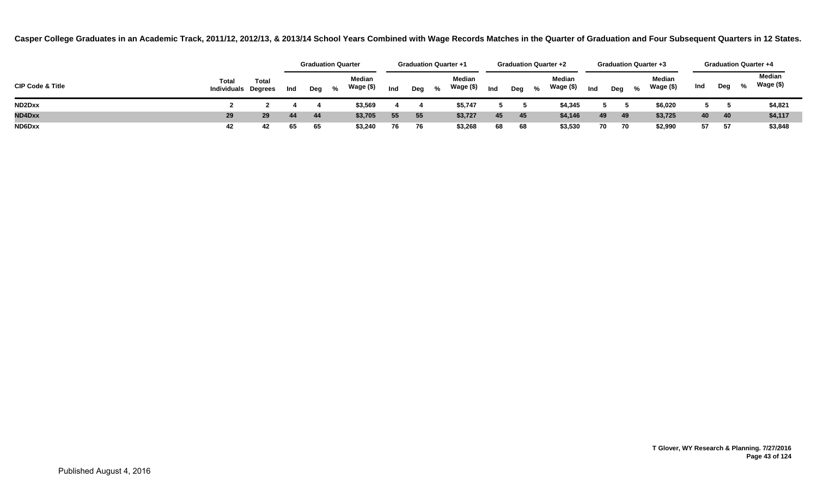|                             |                                     |              |     |     | <b>Graduation Quarter</b> |                 |     | <b>Graduation Quarter +1</b> |     | <b>Graduation Quarter +2</b> |                     |     | <b>Graduation Quarter +3</b> |   |                            |     |      |                           | <b>Graduation Quarter +4</b> |
|-----------------------------|-------------------------------------|--------------|-----|-----|---------------------------|-----------------|-----|------------------------------|-----|------------------------------|---------------------|-----|------------------------------|---|----------------------------|-----|------|---------------------------|------------------------------|
| <b>CIP Code &amp; Title</b> | Total<br><b>Individuals Degrees</b> | <b>Total</b> | Ind | Deg | Median<br>Wage (\$)<br>%  | Ind             | Deg | Median<br>Wage (\$)<br>%     | Ind | %<br>Deg                     | Median<br>Wage (\$) | Ind | Deg                          | % | <b>Median</b><br>Wage (\$) | Ind | Deg  | $\mathbf{Q}_{\mathbf{A}}$ | Median<br>Wage (\$)          |
| ND2Dxx                      |                                     |              |     |     | \$3,569                   |                 |     | \$5,747                      |     |                              | \$4,345             |     |                              |   | \$6,020                    |     |      |                           | \$4,821                      |
| <b>ND4Dxx</b>               | 29                                  | 29           | 44  | 44  | \$3,705                   | 55 <sub>5</sub> | 55  | \$3,727                      | 45  | 45                           | \$4,146             | 49  | 49                           |   | \$3,725                    | 40  | 40   |                           | \$4,117                      |
| ND6Dxx                      | 42                                  | 42           | 65  | 65  | \$3,240                   | 76              | 76  | \$3,268                      | 68  | 68                           | \$3,530             | 70  | - 70                         |   | \$2,990                    | 57  | - 57 |                           | \$3,848                      |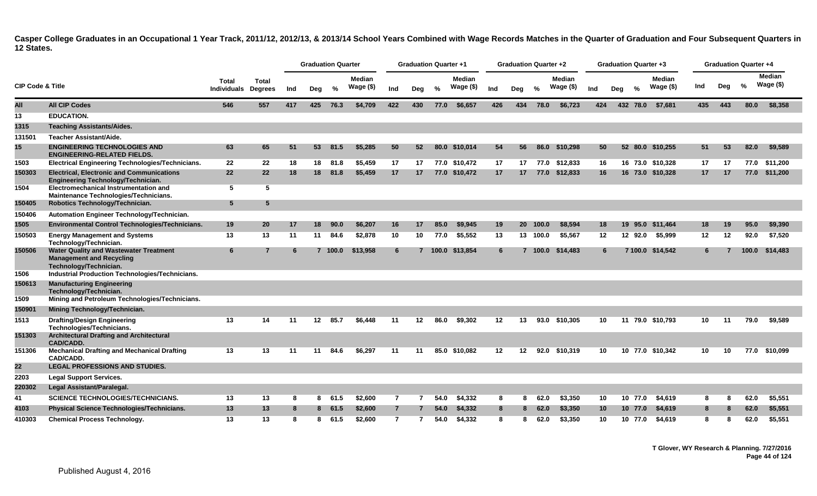|                             |                                                                                                            |                             |                         |     | <b>Graduation Quarter</b> |          |                     |                | <b>Graduation Quarter +1</b> |      |                            |         | Graduation Quarter +2 |          |                            |     |                 | Graduation Quarter +3 |                             |     |     | <b>Graduation Quarter +4</b> |                            |  |
|-----------------------------|------------------------------------------------------------------------------------------------------------|-----------------------------|-------------------------|-----|---------------------------|----------|---------------------|----------------|------------------------------|------|----------------------------|---------|-----------------------|----------|----------------------------|-----|-----------------|-----------------------|-----------------------------|-----|-----|------------------------------|----------------------------|--|
| <b>CIP Code &amp; Title</b> |                                                                                                            | <b>Total</b><br>Individuals | Total<br><b>Degrees</b> | Ind | Deg                       | %        | Median<br>Wage (\$) | Ind            | Deg                          | %    | <b>Median</b><br>Wage (\$) | Ind     | Deg                   | %        | <b>Median</b><br>Wage (\$) | Ind | Deg             | %                     | <b>Median</b><br>Wage $($)$ | Ind | Deg | %                            | <b>Median</b><br>Wage (\$) |  |
| All                         | <b>All CIP Codes</b>                                                                                       | 546                         | 557                     | 417 | 425                       | 76.3     | \$4,709             | 422            | 430                          | 77.0 | \$6,657                    | 426     | 434                   | 78.0     | \$6,723                    | 424 |                 | 432 78.0              | \$7,681                     | 435 | 443 | 80.0                         | \$8,358                    |  |
| 13                          | <b>EDUCATION.</b>                                                                                          |                             |                         |     |                           |          |                     |                |                              |      |                            |         |                       |          |                            |     |                 |                       |                             |     |     |                              |                            |  |
| 1315                        | <b>Teaching Assistants/Aides.</b>                                                                          |                             |                         |     |                           |          |                     |                |                              |      |                            |         |                       |          |                            |     |                 |                       |                             |     |     |                              |                            |  |
| 131501                      | Teacher Assistant/Aide.                                                                                    |                             |                         |     |                           |          |                     |                |                              |      |                            |         |                       |          |                            |     |                 |                       |                             |     |     |                              |                            |  |
| 15                          | <b>ENGINEERING TECHNOLOGIES AND</b><br><b>ENGINEERING-RELATED FIELDS.</b>                                  | 63                          | 65                      | 51  | 53                        | 81.5     | \$5.285             | 50             | 52                           |      | 80.0 \$10.014              | 54      | 56                    | 86.0     | \$10.298                   |     | 50              |                       | 52 80.0 \$10,255            | 51  | 53  | 82.0                         | \$9,589                    |  |
| 1503                        | <b>Electrical Engineering Technologies/Technicians.</b>                                                    | 22                          | $22 \,$                 | 18  |                           | 18 81.8  | \$5.459             | 17             | 17                           |      | 77.0 \$10.472              | 17      |                       | 17 77.0  | \$12.833                   |     | 16              |                       | 16 73.0 \$10.328            | 17  | 17  |                              | 77.0 \$11.200              |  |
| 150303                      | <b>Electrical, Electronic and Communications</b><br>Engineering Technology/Technician.                     | 22                          | 22                      | 18  | 18                        | 81.8     | \$5.459             | 17             | 17                           |      | 77.0 \$10,472              | 17      | 17                    |          | 77.0 \$12,833              |     | 16              |                       | 16 73.0 \$10,328            | 17  | 17  |                              | 77.0 \$11,200              |  |
| 1504                        | Electromechanical Instrumentation and<br>Maintenance Technologies/Technicians.                             | 5                           | 5                       |     |                           |          |                     |                |                              |      |                            |         |                       |          |                            |     |                 |                       |                             |     |     |                              |                            |  |
| 150405                      | Robotics Technology/Technician.                                                                            | $5\phantom{.0}$             | $5\phantom{.0}$         |     |                           |          |                     |                |                              |      |                            |         |                       |          |                            |     |                 |                       |                             |     |     |                              |                            |  |
| 150406                      | Automation Engineer Technology/Technician.                                                                 |                             |                         |     |                           |          |                     |                |                              |      |                            |         |                       |          |                            |     |                 |                       |                             |     |     |                              |                            |  |
| 1505                        | <b>Environmental Control Technologies/Technicians.</b>                                                     | 19                          | 20                      | 17  | 18                        | 90.0     | \$6,207             | 16             | 17                           | 85.0 | \$9,945                    | 19      | 20 <sup>°</sup>       | 100.0    | \$8,594                    |     | 18              | 19<br>95.0            | \$11,464                    | 18  | 19  | 95.0                         | \$9,390                    |  |
| 150503                      | <b>Energy Management and Systems</b><br>Technology/Technician.                                             | 13                          | 13                      | 11  | 11                        | 84.6     | \$2,878             | 10             | 10                           | 77.0 | \$5,552                    | 13      |                       | 13 100.0 | \$5,567                    |     | $12 \,$         | 12 92.0               | \$5,999                     | 12  | 12  | 92.0                         | \$7,520                    |  |
| 150506                      | <b>Water Quality and Wastewater Treatment</b><br><b>Management and Recycling</b><br>Technology/Technician. | 6                           | $\mathbf{z}$            | -6  |                           | 7, 100.0 | \$13,958            | 6              |                              |      | 7 100.0 \$13.854           | 6       |                       | 7, 100.0 | \$14.483                   |     | 6               |                       | 7 100.0 \$14,542            | 6   |     | 100.0                        | \$14,483                   |  |
| 1506                        | Industrial Production Technologies/Technicians.                                                            |                             |                         |     |                           |          |                     |                |                              |      |                            |         |                       |          |                            |     |                 |                       |                             |     |     |                              |                            |  |
| 150613                      | <b>Manufacturing Engineering</b><br>Technology/Technician.                                                 |                             |                         |     |                           |          |                     |                |                              |      |                            |         |                       |          |                            |     |                 |                       |                             |     |     |                              |                            |  |
| 1509                        | Mining and Petroleum Technologies/Technicians.                                                             |                             |                         |     |                           |          |                     |                |                              |      |                            |         |                       |          |                            |     |                 |                       |                             |     |     |                              |                            |  |
| 150901                      | Mining Technology/Technician.                                                                              |                             |                         |     |                           |          |                     |                |                              |      |                            |         |                       |          |                            |     |                 |                       |                             |     |     |                              |                            |  |
| 1513                        | <b>Drafting/Design Engineering</b><br>Technologies/Technicians.                                            | 13                          | 14                      | 11  | 12 <sup>12</sup>          | 85.7     | \$6,448             | 11             | 12                           | 86.0 | \$9,302                    | 12      | 13                    | 93.0     | \$10,305                   |     | 10              |                       | 11 79.0 \$10,793            | 10  | 11  | 79.0                         | \$9,589                    |  |
| 151303                      | <b>Architectural Drafting and Architectural</b><br><b>CAD/CADD.</b>                                        |                             |                         |     |                           |          |                     |                |                              |      |                            |         |                       |          |                            |     |                 |                       |                             |     |     |                              |                            |  |
| 151306                      | <b>Mechanical Drafting and Mechanical Drafting</b><br>CAD/CADD.                                            | 13                          | 13                      | 11  | 11                        | 84.6     | \$6,297             | 11             | 11                           |      | 85.0 \$10,082              | $12 \,$ | 12 <sup>12</sup>      | 92.0     | \$10,319                   |     | 10              |                       | 10 77.0 \$10,342            | 10  | 10  |                              | 77.0 \$10,099              |  |
| 22                          | <b>LEGAL PROFESSIONS AND STUDIES.</b>                                                                      |                             |                         |     |                           |          |                     |                |                              |      |                            |         |                       |          |                            |     |                 |                       |                             |     |     |                              |                            |  |
| 2203                        | <b>Legal Support Services.</b>                                                                             |                             |                         |     |                           |          |                     |                |                              |      |                            |         |                       |          |                            |     |                 |                       |                             |     |     |                              |                            |  |
| 220302                      | Legal Assistant/Paralegal.                                                                                 |                             |                         |     |                           |          |                     |                |                              |      |                            |         |                       |          |                            |     |                 |                       |                             |     |     |                              |                            |  |
| 41                          | SCIENCE TECHNOLOGIES/TECHNICIANS.                                                                          | 13                          | 13                      | -8  | 8                         | 61.5     | \$2,600             | $\overline{7}$ |                              | 54.0 | \$4,332                    | 8       | 8                     | 62.0     | \$3,350                    | 10  |                 | 10 77.0               | \$4,619                     | 8   | 8   | 62.0                         | \$5,551                    |  |
| 4103                        | <b>Physical Science Technologies/Technicians.</b>                                                          | 13                          | 13                      | 8   |                           | 8 61.5   | \$2,600             | $\overline{7}$ |                              | 54.0 | \$4,332                    | 8       | 8                     | 62.0     | \$3,350                    |     | 10 <sup>°</sup> | 10 77.0               | \$4,619                     | 8   | 8   | 62.0                         | \$5,551                    |  |
| 410303                      | <b>Chemical Process Technology.</b>                                                                        | 13                          | 13                      | 8   | 8                         | 61.5     | \$2.600             | $\overline{7}$ | $\overline{7}$               | 54.0 | \$4.332                    | 8       | 8                     | 62.0     | \$3,350                    |     | 10              | 10 77.0               | \$4.619                     | 8   | 8   | 62.0                         | \$5,551                    |  |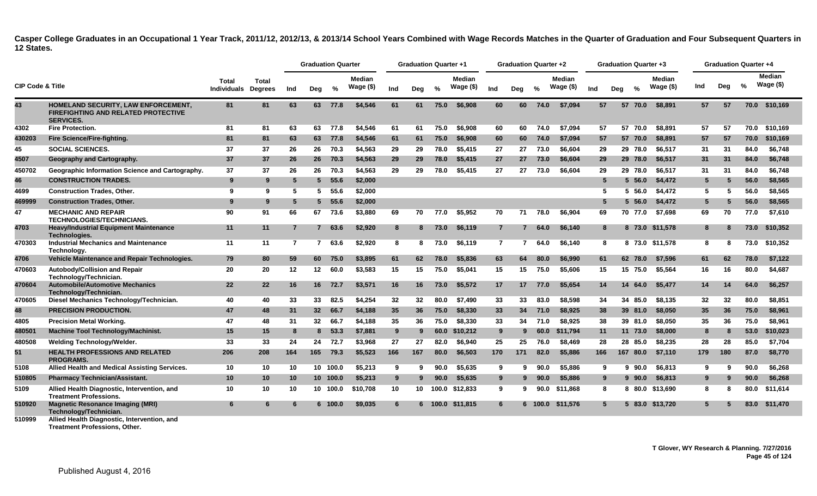|                             |                                                                                                                |                             |                                |     | <b>Graduation Quarter</b> |          |                             |     | <b>Graduation Quarter +1</b> |               |                             |                | <b>Graduation Quarter +2</b> |               |                             |     |     | Graduation Quarter +3 |                      |     | <b>Graduation Quarter +4</b> |      |                             |
|-----------------------------|----------------------------------------------------------------------------------------------------------------|-----------------------------|--------------------------------|-----|---------------------------|----------|-----------------------------|-----|------------------------------|---------------|-----------------------------|----------------|------------------------------|---------------|-----------------------------|-----|-----|-----------------------|----------------------|-----|------------------------------|------|-----------------------------|
| <b>CIP Code &amp; Title</b> |                                                                                                                | Total<br><b>Individuals</b> | <b>Total</b><br><b>Degrees</b> | Ind | Dea                       | %        | <b>Median</b><br>Wage $($)$ | Ind | Dea                          | $\frac{0}{0}$ | <b>Median</b><br>Wage $($)$ | Ind            | Deg                          | $\frac{6}{6}$ | <b>Median</b><br>Wage $($)$ | Ind | Deg | $\frac{0}{2}$         | Median<br>Wage $($)$ | Ind | Deg                          | %    | <b>Median</b><br>Wage $($)$ |
| 43                          | HOMELAND SECURITY, LAW ENFORCEMENT,<br><b>FIREFIGHTING AND RELATED PROTECTIVE</b><br><b>SERVICES.</b>          | 81                          | 81                             | 63  |                           | 63 77.8  | \$4,546                     | 61  | 61                           | 75.0          | \$6.908                     | 60             | 60                           | 74.0          | \$7.094                     | 57  |     | 57 70.0               | \$8,891              | 57  | 57                           |      | 70.0 \$10,169               |
| 4302                        | <b>Fire Protection.</b>                                                                                        | 81                          | 81                             | 63  | 63                        | 77.8     | \$4,546                     | 61  | 61                           | 75.0          | \$6,908                     | 60             | 60                           | 74.0          | \$7,094                     | 57  |     | 57 70.0               | \$8,891              | 57  | 57                           | 70.0 | \$10,169                    |
| 430203                      | Fire Science/Fire-fighting.                                                                                    | 81                          | 81                             | 63  | 63                        | 77.8     | \$4,546                     | 61  | 61                           | 75.0          | \$6,908                     | 60             | 60                           | 74.0          | \$7,094                     | 57  |     | 57 70.0               | \$8,891              | 57  | 57                           | 70.0 | \$10,169                    |
| 45                          | <b>SOCIAL SCIENCES.</b>                                                                                        | 37                          | 37                             | 26  | 26                        | 70.3     | \$4,563                     | 29  | 29                           | 78.0          | \$5,415                     | 27             | 27                           | 73.0          | \$6,604                     | 29  |     | 29 78.0               | \$6.517              | 31  | 31                           | 84.0 | \$6,748                     |
| 4507                        | Geography and Cartography.                                                                                     | 37                          | 37                             | 26  | 26                        | 70.3     | \$4.563                     | 29  | 29                           | 78.0          | \$5,415                     | 27             | 27                           | 73.0          | \$6,604                     | 29  |     | 29 78.0               | \$6.517              | 31  | 31                           | 84.0 | \$6.748                     |
| 450702                      | Geographic Information Science and Cartography.                                                                | 37                          | 37                             | 26  | 26                        | 70.3     | \$4,563                     | 29  | 29                           | 78.0          | \$5,415                     | 27             | 27                           | 73.0          | \$6,604                     | 29  |     | 29 78.0               | \$6,517              | 31  | 31                           | 84.0 | \$6,748                     |
| 46                          | <b>CONSTRUCTION TRADES.</b>                                                                                    | 9                           | 9                              | -5  | 5.                        | 55.6     | \$2,000                     |     |                              |               |                             |                |                              |               |                             | 5   |     | $5\,56.0$             | \$4,472              | 5   | 5                            | 56.0 | \$8,565                     |
| 4699                        | <b>Construction Trades, Other.</b>                                                                             | 9                           | 9                              | -5  | 5                         | 55.6     | \$2,000                     |     |                              |               |                             |                |                              |               |                             | 5   |     | 5, 56.0               | \$4,472              | 5   | 5                            | 56.0 | \$8.565                     |
| 469999                      | <b>Construction Trades, Other.</b>                                                                             | 9                           | 9                              | -5  | 5                         | 55.6     | \$2,000                     |     |                              |               |                             |                |                              |               |                             | 5   |     | $5\,56.0$             | \$4,472              | 5   | 5                            | 56.0 | \$8,565                     |
| 47                          | <b>MECHANIC AND REPAIR</b><br><b>TECHNOLOGIES/TECHNICIANS.</b>                                                 | 90                          | 91                             | 66  | 67                        | 73.6     | \$3,880                     | 69  | 70                           | 77.0          | \$5.952                     | 70             | 71                           | 78.0          | \$6.904                     | 69  |     | 70 77.0               | \$7.698              | 69  | 70                           | 77.0 | \$7.610                     |
| 4703                        | <b>Heavy/Industrial Equipment Maintenance</b><br>Technologies.                                                 | 11                          | 11                             | 7   | $\mathbf{7}$              | 63.6     | \$2,920                     | 8   | 8                            | 73.0          | \$6.119                     | $\overline{7}$ |                              | 64.0          | \$6.140                     | 8   |     | 8 73.0                | \$11.578             | 8   |                              | 73.0 | \$10,352                    |
| 470303                      | <b>Industrial Mechanics and Maintenance</b><br>Technology.                                                     | 11                          | 11                             | 7   | $\overline{7}$            | 63.6     | \$2,920                     | 8   | 8                            | 73.0          | \$6.119                     | $\overline{7}$ | 7                            | 64.0          | \$6.140                     | 8   |     |                       | 8 73.0 \$11.578      | 8   | 8                            | 73.0 | \$10.352                    |
| 4706                        | Vehicle Maintenance and Repair Technologies.                                                                   | 79                          | 80                             | 59  | 60                        | 75.0     | \$3,895                     | 61  | 62                           | 78.0          | \$5,836                     | 63             | 64                           | 80.0          | \$6,990                     | 61  |     | 62 78.0               | \$7,596              | 61  | 62                           | 78.0 | \$7,122                     |
| 470603                      | <b>Autobody/Collision and Repair</b><br>Technology/Technician.                                                 | 20                          | 20                             | 12  | 12 <sup>12</sup>          | 60.0     | \$3,583                     | 15  | 15                           | 75.0          | \$5,041                     | 15             | 15                           | 75.0          | \$5,606                     | 15  |     | 15 75.0               | \$5.564              | 16  | 16                           | 80.0 | \$4.687                     |
| 470604                      | <b>Automobile/Automotive Mechanics</b><br>Technology/Technician.                                               | 22                          | 22                             | 16  | 16                        | 72.7     | \$3,571                     | 16  | 16                           | 73.0          | \$5,572                     | 17             | 17                           | 77.0          | \$5,654                     | 14  |     | 14<br>64.0            | \$5,477              | 14  | 14                           | 64.0 | \$6,257                     |
| 470605                      | Diesel Mechanics Technology/Technician.                                                                        | 40                          | 40                             | 33  | 33                        | 82.5     | \$4,254                     | 32  | 32                           | 80.0          | \$7,490                     | 33             | 33                           | 83.0          | \$8,598                     | 34  |     | 85.0<br>34            | \$8,135              | 32  | 32                           | 80.0 | \$8,851                     |
| 48                          | <b>PRECISION PRODUCTION.</b>                                                                                   | 47                          | 48                             | 31  | 32 <sub>2</sub>           | 66.7     | \$4,188                     | 35  | 36                           | 75.0          | \$8,330                     | 33             | 34                           | 71.0          | \$8,925                     | 38  |     | 39 81.0               | \$8,050              | 35  | 36                           | 75.0 | \$8,961                     |
| 4805                        | <b>Precision Metal Working.</b>                                                                                | 47                          | 48                             | 31  | $32\,$                    | 66.7     | \$4,188                     | 35  | 36                           | 75.0          | \$8,330                     | 33             | 34                           | 71.0          | \$8.925                     | 38  |     | 39 81.0               | \$8,050              | 35  | 36                           | 75.0 | \$8,961                     |
| 480501                      | Machine Tool Technology/Machinist.                                                                             | 15                          | 15                             | 8   | 8                         | 53.3     | \$7,881                     | 9   | 9                            | 60.0          | \$10,212                    | 9              | 9                            | 60.0          | \$11,794                    | 11  |     | 11 73.0               | \$8,000              | 8   | 8                            | 53.0 | \$10,023                    |
| 480508                      | Welding Technology/Welder.                                                                                     | 33                          | 33                             | 24  | 24                        | 72.7     | \$3.968                     | 27  | 27                           | 82.0          | \$6.940                     | 25             | 25                           | 76.0          | \$8.469                     | 28  |     | 28 85.0               | \$8.235              | 28  | 28                           | 85.0 | \$7.704                     |
| 51                          | <b>HEALTH PROFESSIONS AND RELATED</b><br><b>PROGRAMS.</b>                                                      | 206                         | 208                            | 164 | 165                       | 79.3     | \$5,523                     | 166 | 167                          | 80.0          | \$6,503                     | 170            | 171                          | 82.0          | \$5,886                     | 166 |     | 167 80.0              | \$7,110              | 179 | 180                          | 87.0 | \$8,770                     |
| 5108                        | Allied Health and Medical Assisting Services.                                                                  | 10                          | 10                             | 10  |                           | 10 100.0 | \$5.213                     | 9   | q                            | 90.0          | \$5.635                     | 9              | 9                            | 90.0          | \$5.886                     | 9   |     | 90.0<br>9.            | \$6.813              | -9  | 9                            | 90.0 | \$6.268                     |
| 510805                      | <b>Pharmacy Technician/Assistant.</b>                                                                          | 10                          | 10                             | 10  |                           | 10 100.0 | \$5,213                     | 9   |                              | 90.0          | \$5,635                     | 9              | 9                            | 90.0          | \$5,886                     | 9   |     | $9\,90.0$             | \$6,813              | 9   | $\mathbf{Q}$                 | 90.0 | \$6,268                     |
| 5109                        | Allied Health Diagnostic, Intervention, and<br><b>Treatment Professions.</b>                                   | 10                          | 10                             | 10  |                           | 10 100.0 | \$10,708                    | 10  | 10                           | 100.0         | \$12,833                    | 9              | 9                            | 90.0          | \$11,868                    | 8   |     | 8 80.0                | \$13,690             | 8   | 8                            | 80.0 | \$11,614                    |
| 510920<br>EADDOO            | <b>Magnetic Resonance Imaging (MRI)</b><br>Technology/Technician.<br>Alliad Haalth Diagnactic Interception and | 6                           | 6                              |     |                           | 6 100.0  | \$9,035                     | 6   |                              | 100.0         | \$11.815                    | 6              | 6                            | 100.0         | \$11,576                    | 5   |     | 83.0                  | \$13,720             |     |                              | 83.0 | \$11,470                    |
|                             |                                                                                                                |                             |                                |     |                           |          |                             |     |                              |               |                             |                |                              |               |                             |     |     |                       |                      |     |                              |      |                             |

**Allied Health Diagnostic, Intervention, and Treatment Professions, Other. 510999**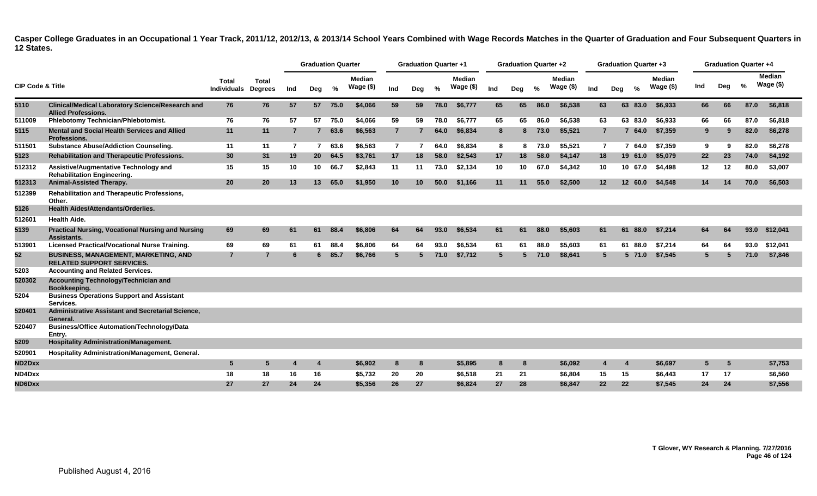|                             |                                                                                       |                             |                                |     | <b>Graduation Quarter</b> |         |                     |                | <b>Graduation Quarter +1</b> |      |                     |     | <b>Graduation Quarter +2</b> |      |                            |                 |                |               | <b>Graduation Quarter +3</b> |     | <b>Graduation Quarter +4</b> |      |                            |
|-----------------------------|---------------------------------------------------------------------------------------|-----------------------------|--------------------------------|-----|---------------------------|---------|---------------------|----------------|------------------------------|------|---------------------|-----|------------------------------|------|----------------------------|-----------------|----------------|---------------|------------------------------|-----|------------------------------|------|----------------------------|
| <b>CIP Code &amp; Title</b> |                                                                                       | Total<br><b>Individuals</b> | <b>Total</b><br><b>Degrees</b> | Ind | Deg                       | %       | Median<br>Wage (\$) | Ind            | Deg                          | %    | Median<br>Wage (\$) | Ind | Deg                          | %    | <b>Median</b><br>Wage (\$) | Ind             | Deg            | $\frac{0}{2}$ | <b>Median</b><br>Wage (\$)   | Ind | Deg                          | %    | <b>Median</b><br>Wage (\$) |
| 5110                        | <b>Clinical/Medical Laboratory Science/Research and</b><br><b>Allied Professions.</b> | 76                          | 76                             | 57  |                           | 57 75.0 | \$4,066             | 59             | 59                           | 78.0 | \$6,777             | 65  | 65                           | 86.0 | \$6,538                    | 63              |                | 63 83.0       | \$6,933                      | 66  | 66                           | 87.0 | \$6,818                    |
| 511009                      | Phlebotomy Technician/Phlebotomist.                                                   | 76                          | 76                             | 57  | 57                        | 75.0    | \$4.066             | 59             | 59                           | 78.0 | \$6.777             | 65  | 65                           | 86.0 | \$6,538                    | 63              |                | 63 83.0       | \$6,933                      | 66  | 66                           | 87.0 | \$6,818                    |
| 5115                        | Mental and Social Health Services and Allied<br><b>Professions.</b>                   | 11                          | 11                             | 7   | $\overline{7}$            | 63.6    | \$6,563             | $\overline{7}$ |                              | 64.0 | \$6,834             | 8   | 8                            | 73.0 | \$5,521                    |                 | $\overline{7}$ | 64.0<br>7     | \$7,359                      | 9   | 9                            | 82.0 | \$6,278                    |
| 511501                      | <b>Substance Abuse/Addiction Counseling.</b>                                          | 11                          | 11                             | -7  | 7                         | 63.6    | \$6,563             | $\overline{7}$ |                              | 64.0 | \$6,834             | 8   | 8                            | 73.0 | \$5,521                    |                 | $\overline{7}$ | 64.0<br>7     | \$7,359                      | 9   | 9                            | 82.0 | \$6,278                    |
| 5123                        | <b>Rehabilitation and Therapeutic Professions.</b>                                    | 30                          | 31                             | 19  | 20                        | 64.5    | \$3,761             | 17             | 18                           | 58.0 | \$2,543             | 17  | 18                           | 58.0 | \$4,147                    | 18              |                | 19 61.0       | \$5,079                      | 22  | 23                           | 74.0 | \$4,192                    |
| 512312                      | Assistive/Augmentative Technology and<br><b>Rehabilitation Engineering.</b>           | 15                          | 15                             | 10  | 10                        | 66.7    | \$2,843             | 11             | 11                           | 73.0 | \$2,134             | 10  | 10                           | 67.0 | \$4,342                    | 10              |                | 10 67.0       | \$4,498                      | 12  | 12                           | 80.0 | \$3,007                    |
| 512313                      | Animal-Assisted Therapy.                                                              | 20                          | 20                             | 13  | 13 <sup>1</sup>           | 65.0    | \$1,950             | 10             | 10                           | 50.0 | \$1,166             | 11  | 11                           | 55.0 | \$2,500                    | 12 <sup>2</sup> |                | 12 60.0       | \$4,548                      | 14  | 14                           | 70.0 | \$6,503                    |
| 512399                      | <b>Rehabilitation and Therapeutic Professions,</b><br>Other.                          |                             |                                |     |                           |         |                     |                |                              |      |                     |     |                              |      |                            |                 |                |               |                              |     |                              |      |                            |
| 5126                        | <b>Health Aides/Attendants/Orderlies.</b>                                             |                             |                                |     |                           |         |                     |                |                              |      |                     |     |                              |      |                            |                 |                |               |                              |     |                              |      |                            |
| 512601                      | <b>Health Aide.</b>                                                                   |                             |                                |     |                           |         |                     |                |                              |      |                     |     |                              |      |                            |                 |                |               |                              |     |                              |      |                            |
| 5139                        | <b>Practical Nursing, Vocational Nursing and Nursing</b><br>Assistants.               | 69                          | 69                             | 61  | 61                        | 88.4    | \$6,806             | 64             | 64                           | 93.0 | \$6,534             | 61  | 61                           | 88.0 | \$5,603                    | 61              |                | 61<br>88.0    | \$7,214                      | 64  | -64                          | 93.0 | \$12,041                   |
| 513901                      | <b>Licensed Practical/Vocational Nurse Training.</b>                                  | 69                          | 69                             | 61  | 61                        | 88.4    | \$6,806             | 64             | 64                           | 93.0 | \$6,534             | 61  | 61                           | 88.0 | \$5.603                    | 61              |                | 61 88.0       | \$7.214                      | 64  | 64                           | 93.0 | \$12,041                   |
| 52                          | <b>BUSINESS, MANAGEMENT, MARKETING, AND</b><br><b>RELATED SUPPORT SERVICES.</b>       | $\overline{7}$              | 7                              | -6  | 6.                        | 85.7    | \$6,766             | $5^{\circ}$    | 5                            | 71.0 | \$7,712             | 5   | 5                            | 71.0 | \$8,641                    |                 | 5              | $5\,71.0$     | \$7,545                      | -5  | 5                            | 71.0 | \$7,846                    |
| 5203                        | <b>Accounting and Related Services.</b>                                               |                             |                                |     |                           |         |                     |                |                              |      |                     |     |                              |      |                            |                 |                |               |                              |     |                              |      |                            |
| 520302                      | Accounting Technology/Technician and<br>Bookkeeping.                                  |                             |                                |     |                           |         |                     |                |                              |      |                     |     |                              |      |                            |                 |                |               |                              |     |                              |      |                            |
| 5204                        | <b>Business Operations Support and Assistant</b><br>Services.                         |                             |                                |     |                           |         |                     |                |                              |      |                     |     |                              |      |                            |                 |                |               |                              |     |                              |      |                            |
| 520401                      | Administrative Assistant and Secretarial Science,<br>General.                         |                             |                                |     |                           |         |                     |                |                              |      |                     |     |                              |      |                            |                 |                |               |                              |     |                              |      |                            |
| 520407                      | <b>Business/Office Automation/Technology/Data</b><br>Entry.                           |                             |                                |     |                           |         |                     |                |                              |      |                     |     |                              |      |                            |                 |                |               |                              |     |                              |      |                            |
| 5209                        | <b>Hospitality Administration/Management.</b>                                         |                             |                                |     |                           |         |                     |                |                              |      |                     |     |                              |      |                            |                 |                |               |                              |     |                              |      |                            |
| 520901                      | Hospitality Administration/Management, General.                                       |                             |                                |     |                           |         |                     |                |                              |      |                     |     |                              |      |                            |                 |                |               |                              |     |                              |      |                            |
| ND2Dxx                      |                                                                                       | 5                           | 5                              |     | 4                         |         | \$6.902             | 8              | -8                           |      | \$5,895             | 8   | 8                            |      | \$6,092                    |                 |                | 4             | \$6,697                      | 5   | 5                            |      | \$7,753                    |
| ND4Dxx                      |                                                                                       | 18                          | 18                             | 16  | 16                        |         | \$5,732             | 20             | 20                           |      | \$6,518             | 21  | 21                           |      | \$6,804                    | 15              |                | 15            | \$6,443                      | 17  | 17                           |      | \$6,560                    |
| ND6Dxx                      |                                                                                       | 27                          | 27                             | 24  | 24                        |         | \$5,356             | 26             | 27                           |      | \$6,824             | 27  | 28                           |      | \$6,847                    | 22              |                | 22            | \$7,545                      | 24  | 24                           |      | \$7,556                    |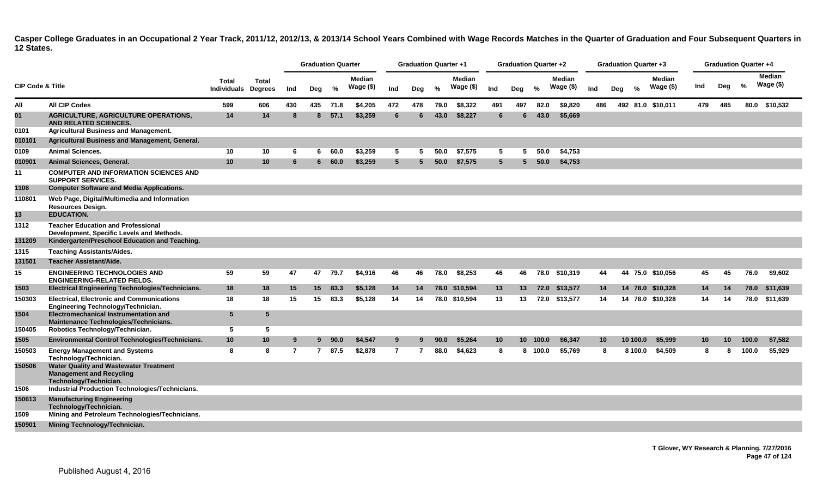|                             |                                                                                                                                          |                                            |                 |     | <b>Graduation Quarter</b> |          |                            |                | <b>Graduation Quarter +1</b> |      |                            |             | <b>Graduation Quarter +2</b> |         |                     |     |                 |          | <b>Graduation Quarter +3</b> |     | <b>Graduation Quarter +4</b> |       |                            |
|-----------------------------|------------------------------------------------------------------------------------------------------------------------------------------|--------------------------------------------|-----------------|-----|---------------------------|----------|----------------------------|----------------|------------------------------|------|----------------------------|-------------|------------------------------|---------|---------------------|-----|-----------------|----------|------------------------------|-----|------------------------------|-------|----------------------------|
| <b>CIP Code &amp; Title</b> |                                                                                                                                          | <b>Total</b><br><b>Individuals Degrees</b> | <b>Total</b>    | Ind | Deg                       | %        | <b>Median</b><br>Wage (\$) | Ind            | Deg                          | %    | <b>Median</b><br>Wage (\$) | Ind         | Deg                          | %       | Median<br>Wage (\$) | Ind | Deg             | %        | <b>Median</b><br>Wage (\$)   | Ind | Deg                          | %     | <b>Median</b><br>Wage (\$) |
| All                         | <b>All CIP Codes</b>                                                                                                                     | 599                                        | 606             | 430 |                           | 435 71.8 | \$4,205                    | 472            | 478                          | 79.0 | \$8,322                    | 491         | 497                          | 82.0    | \$9,820             | 486 |                 |          | 492 81.0 \$10,011            | 479 | 485                          |       | 80.0 \$10,532              |
| 01                          | <b>AGRICULTURE, AGRICULTURE OPERATIONS,</b><br><b>AND RELATED SCIENCES.</b>                                                              | 14                                         | 14              | -8  | 8                         | 57.1     | \$3,259                    | 6              | 6                            | 43.0 | \$8,227                    | 6           | 6.                           | 43.0    | \$5,669             |     |                 |          |                              |     |                              |       |                            |
| 0101                        | <b>Agricultural Business and Management.</b>                                                                                             |                                            |                 |     |                           |          |                            |                |                              |      |                            |             |                              |         |                     |     |                 |          |                              |     |                              |       |                            |
| 010101                      | Agricultural Business and Management, General.                                                                                           |                                            |                 |     |                           |          |                            |                |                              |      |                            |             |                              |         |                     |     |                 |          |                              |     |                              |       |                            |
| 0109                        | <b>Animal Sciences.</b>                                                                                                                  | 10                                         | 10              | -6  | 6.                        | 60.0     | \$3,259                    | 5              | 5                            | 50.0 | \$7,575                    | 5           | 5                            | 50.0    | \$4,753             |     |                 |          |                              |     |                              |       |                            |
| 010901                      | Animal Sciences, General.                                                                                                                | 10                                         | 10 <sup>°</sup> | 6   | 6                         | 60.0     | \$3,259                    | 5              | 5                            | 50.0 | \$7,575                    | $5^{\circ}$ | 5.                           | 50.0    | \$4,753             |     |                 |          |                              |     |                              |       |                            |
| 11                          | <b>COMPUTER AND INFORMATION SCIENCES AND</b><br><b>SUPPORT SERVICES.</b>                                                                 |                                            |                 |     |                           |          |                            |                |                              |      |                            |             |                              |         |                     |     |                 |          |                              |     |                              |       |                            |
| 1108                        | <b>Computer Software and Media Applications.</b>                                                                                         |                                            |                 |     |                           |          |                            |                |                              |      |                            |             |                              |         |                     |     |                 |          |                              |     |                              |       |                            |
| 110801                      | Web Page, Digital/Multimedia and Information<br><b>Resources Design.</b>                                                                 |                                            |                 |     |                           |          |                            |                |                              |      |                            |             |                              |         |                     |     |                 |          |                              |     |                              |       |                            |
| 13                          | <b>EDUCATION.</b>                                                                                                                        |                                            |                 |     |                           |          |                            |                |                              |      |                            |             |                              |         |                     |     |                 |          |                              |     |                              |       |                            |
| 1312                        | <b>Teacher Education and Professional</b><br>Development, Specific Levels and Methods.<br>Kindergarten/Preschool Education and Teaching. |                                            |                 |     |                           |          |                            |                |                              |      |                            |             |                              |         |                     |     |                 |          |                              |     |                              |       |                            |
| 131209                      |                                                                                                                                          |                                            |                 |     |                           |          |                            |                |                              |      |                            |             |                              |         |                     |     |                 |          |                              |     |                              |       |                            |
| 1315                        | <b>Teaching Assistants/Aides.</b><br><b>Teacher Assistant/Aide.</b>                                                                      |                                            |                 |     |                           |          |                            |                |                              |      |                            |             |                              |         |                     |     |                 |          |                              |     |                              |       |                            |
| 131501                      |                                                                                                                                          |                                            |                 |     |                           |          |                            |                |                              |      |                            |             |                              |         |                     |     |                 |          |                              |     |                              |       |                            |
| 15                          | <b>ENGINEERING TECHNOLOGIES AND</b><br><b>ENGINEERING-RELATED FIELDS.</b>                                                                | 59                                         | 59              | 47  | 47                        | 79.7     | \$4,916                    | 46             | 46                           | 78.0 | \$8,253                    | 46          | 46                           |         | 78.0 \$10,319       | 44  |                 |          | 44 75.0 \$10,056             | 45  | 45                           | 76.0  | \$9,602                    |
| 1503                        | <b>Electrical Engineering Technologies/Technicians.</b>                                                                                  | 18                                         | 18              | 15  | 15                        | 83.3     | \$5,128                    | 14             | 14                           |      | 78.0 \$10,594              | 13          | 13 <sup>7</sup>              |         | 72.0 \$13,577       | 14  |                 |          | 14 78.0 \$10,328             | 14  | 14                           | 78.0  | \$11,639                   |
| 150303                      | <b>Electrical, Electronic and Communications</b><br>Engineering Technology/Technician.                                                   | 18                                         | 18              | 15  | 15                        | 83.3     | \$5,128                    | 14             | 14                           |      | 78.0 \$10,594              | 13          | 13                           |         | 72.0 \$13,577       | 14  |                 |          | 14 78.0 \$10,328             | 14  | 14                           | 78.0  | \$11,639                   |
| 1504                        | <b>Electromechanical Instrumentation and</b><br>Maintenance Technologies/Technicians.                                                    | $5\phantom{.0}$                            | 5               |     |                           |          |                            |                |                              |      |                            |             |                              |         |                     |     |                 |          |                              |     |                              |       |                            |
| 150405                      | Robotics Technology/Technician.                                                                                                          | 5                                          | 5               |     |                           |          |                            |                |                              |      |                            |             |                              |         |                     |     |                 |          |                              |     |                              |       |                            |
| 1505                        | <b>Environmental Control Technologies/Technicians.</b>                                                                                   | 10                                         | 10 <sub>1</sub> | -9  | 9                         | 90.0     | \$4,547                    | 9              |                              | 90.0 | \$5,264                    | 10          | 10                           | 100.0   | \$6,347             |     | 10 <sup>1</sup> | 10 100.0 | \$5,999                      | 10  | 10                           | 100.0 | \$7,582                    |
| 150503                      | <b>Energy Management and Systems</b><br>Technology/Technician.                                                                           | 8                                          | 8               | 7   | $\mathbf{7}$              | 87.5     | \$2,878                    | $\overline{7}$ |                              | 88.0 | \$4,623                    | 8           |                              | 8 100.0 | \$5,769             |     | -8              | 8 100.0  | \$4,509                      | -8  |                              | 100.0 | \$5,929                    |
| 150506                      | <b>Water Quality and Wastewater Treatment</b><br><b>Management and Recycling</b><br>Technology/Technician.                               |                                            |                 |     |                           |          |                            |                |                              |      |                            |             |                              |         |                     |     |                 |          |                              |     |                              |       |                            |
| 1506                        | Industrial Production Technologies/Technicians.                                                                                          |                                            |                 |     |                           |          |                            |                |                              |      |                            |             |                              |         |                     |     |                 |          |                              |     |                              |       |                            |
| 150613                      | <b>Manufacturing Engineering</b><br>Technology/Technician.                                                                               |                                            |                 |     |                           |          |                            |                |                              |      |                            |             |                              |         |                     |     |                 |          |                              |     |                              |       |                            |
| 1509<br>150901              | Mining and Petroleum Technologies/Technicians.<br>Mining Technology/Technician.                                                          |                                            |                 |     |                           |          |                            |                |                              |      |                            |             |                              |         |                     |     |                 |          |                              |     |                              |       |                            |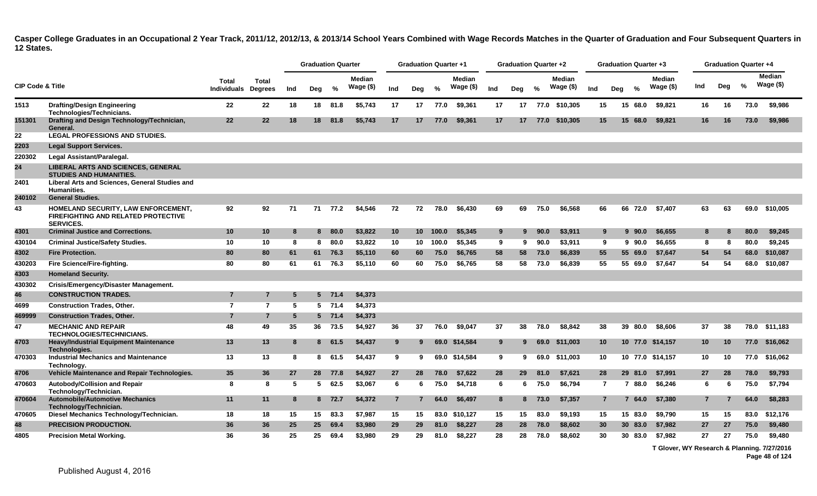|                             |                                                                                                       |                                     |                |     | <b>Graduation Quarter</b> |          |                            |                | <b>Graduation Quarter +1</b> |       |                            |     | <b>Graduation Quarter +2</b> |      |                            |                |     | <b>Graduation Quarter +3</b> |                      |     | <b>Graduation Quarter +4</b> |      |                            |
|-----------------------------|-------------------------------------------------------------------------------------------------------|-------------------------------------|----------------|-----|---------------------------|----------|----------------------------|----------------|------------------------------|-------|----------------------------|-----|------------------------------|------|----------------------------|----------------|-----|------------------------------|----------------------|-----|------------------------------|------|----------------------------|
| <b>CIP Code &amp; Title</b> |                                                                                                       | Total<br><b>Individuals Degrees</b> | <b>Total</b>   | Ind | Deg                       | %        | <b>Median</b><br>Wage (\$) | Ind            | Deg                          | $\%$  | <b>Median</b><br>Wage (\$) | Ind | Deg                          | $\%$ | <b>Median</b><br>Wage (\$) | Ind            | Deg | $\frac{0}{2}$                | Median<br>Wage $($)$ | Ind | Deg                          | $\%$ | <b>Median</b><br>Wage (\$) |
| 1513                        | <b>Drafting/Design Engineering</b><br>Technologies/Technicians.                                       | 22                                  | 22             | 18  | 18                        | 81.8     | \$5.743                    | 17             | 17                           | 77.0  | \$9.361                    | 17  | 17                           |      | 77.0 \$10.305              | 15             |     | 15 68.0                      | \$9.821              | 16  | 16                           | 73.0 | \$9,986                    |
| 151301                      | Drafting and Design Technology/Technician,<br>General.                                                | 22                                  | 22             | 18  | 18                        | 81.8     | \$5,743                    | 17             | 17                           | 77.0  | \$9,361                    | 17  | 17                           |      | 77.0 \$10,305              | 15             |     | 15 68.0                      | \$9,821              | 16  | 16                           | 73.0 | \$9,986                    |
| 22                          | <b>LEGAL PROFESSIONS AND STUDIES.</b>                                                                 |                                     |                |     |                           |          |                            |                |                              |       |                            |     |                              |      |                            |                |     |                              |                      |     |                              |      |                            |
| 2203                        | <b>Legal Support Services.</b>                                                                        |                                     |                |     |                           |          |                            |                |                              |       |                            |     |                              |      |                            |                |     |                              |                      |     |                              |      |                            |
| 220302                      | Legal Assistant/Paralegal.                                                                            |                                     |                |     |                           |          |                            |                |                              |       |                            |     |                              |      |                            |                |     |                              |                      |     |                              |      |                            |
| 24                          | <b>LIBERAL ARTS AND SCIENCES, GENERAL</b><br><b>STUDIES AND HUMANITIES.</b>                           |                                     |                |     |                           |          |                            |                |                              |       |                            |     |                              |      |                            |                |     |                              |                      |     |                              |      |                            |
| 2401                        | Liberal Arts and Sciences, General Studies and<br><b>Humanities.</b>                                  |                                     |                |     |                           |          |                            |                |                              |       |                            |     |                              |      |                            |                |     |                              |                      |     |                              |      |                            |
| 240102                      | <b>General Studies.</b>                                                                               |                                     |                |     |                           |          |                            |                |                              |       |                            |     |                              |      |                            |                |     |                              |                      |     |                              |      |                            |
| 43                          | HOMELAND SECURITY, LAW ENFORCEMENT,<br><b>FIREFIGHTING AND RELATED PROTECTIVE</b><br><b>SERVICES.</b> | 92                                  | 92             | 71  | 71                        | 77.2     | \$4,546                    | 72             | 72                           | 78.0  | \$6,430                    | 69  | 69                           | 75.0 | \$6,568                    | 66             |     | 66 72.0                      | \$7,407              | 63  | 63                           | 69.0 | \$10,005                   |
| 4301                        | <b>Criminal Justice and Corrections.</b>                                                              | 10                                  | 10             | 8   | 8                         | 80.0     | \$3,822                    | 10             | 10 <sup>1</sup>              | 100.0 | \$5,345                    | 9   | 9                            | 90.0 | \$3,911                    | 9              |     | $9\,90.0$                    | \$6,655              | 8   | 8                            | 80.0 | \$9,245                    |
| 430104                      | <b>Criminal Justice/Safety Studies.</b>                                                               | 10                                  | 10             | 8   | 8                         | 80.0     | \$3,822                    | 10             | 10                           | 100.0 | \$5,345                    | 9   | 9                            | 90.0 | \$3,911                    | 9              |     | $9\,90.0$                    | \$6,655              | 8   | -8                           | 80.0 | \$9,245                    |
| 4302                        | <b>Fire Protection.</b>                                                                               | 80                                  | 80             | 61  | 61                        | 76.3     | \$5,110                    | 60             | 60                           | 75.0  | \$6.765                    | 58  | 58                           | 73.0 | \$6,839                    | 55             |     | 55 69.0                      | \$7,647              | 54  | 54                           | 68.0 | \$10,087                   |
| 430203                      | Fire Science/Fire-fighting.                                                                           | 80                                  | 80             | 61  | 61                        | 76.3     | \$5,110                    | 60             | 60                           | 75.0  | \$6,765                    | 58  | 58                           | 73.0 | \$6,839                    | 55             |     | 55 69.0                      | \$7.647              | 54  | 54                           | 68.0 | \$10,087                   |
| 4303                        | <b>Homeland Security.</b>                                                                             |                                     |                |     |                           |          |                            |                |                              |       |                            |     |                              |      |                            |                |     |                              |                      |     |                              |      |                            |
| 430302                      | Crisis/Emergency/Disaster Management.                                                                 |                                     |                |     |                           |          |                            |                |                              |       |                            |     |                              |      |                            |                |     |                              |                      |     |                              |      |                            |
| 46                          | <b>CONSTRUCTION TRADES.</b>                                                                           | $\overline{7}$                      | 7              | -5  |                           | $5$ 71.4 | \$4,373                    |                |                              |       |                            |     |                              |      |                            |                |     |                              |                      |     |                              |      |                            |
| 4699                        | <b>Construction Trades, Other.</b>                                                                    | $\overline{7}$                      | $\overline{7}$ | 5   |                           | $5$ 71.4 | \$4,373                    |                |                              |       |                            |     |                              |      |                            |                |     |                              |                      |     |                              |      |                            |
| 469999                      | <b>Construction Trades, Other.</b>                                                                    | $\overline{7}$                      | $\overline{7}$ | 5   |                           | $5$ 71.4 | \$4,373                    |                |                              |       |                            |     |                              |      |                            |                |     |                              |                      |     |                              |      |                            |
| 47                          | <b>MECHANIC AND REPAIR</b><br><b>TECHNOLOGIES/TECHNICIANS.</b>                                        | 48                                  | 49             | 35  | 36                        | 73.5     | \$4,927                    | 36             | 37                           | 76.0  | \$9.047                    | 37  | 38                           | 78.0 | \$8.842                    | 38             |     | 39 80.0                      | \$8.606              | 37  | 38                           | 78.0 | \$11,183                   |
| 4703                        | <b>Heavy/Industrial Equipment Maintenance</b><br>Technologies.                                        | 13                                  | 13             | 8   |                           | 8 61.5   | \$4,437                    | 9              | 9                            |       | 69.0 \$14,584              | 9   | 9                            | 69.0 | \$11,003                   | 10             |     |                              | 10 77.0 \$14,157     | 10  | 10                           |      | 77.0 \$16,062              |
| 470303                      | <b>Industrial Mechanics and Maintenance</b><br>Technology.                                            | 13                                  | 13             | 8   | 8                         | 61.5     | \$4,437                    | 9              | 9                            |       | 69.0 \$14.584              | 9   | 9                            |      | 69.0 \$11.003              | 10             |     |                              | 10 77.0 \$14,157     | 10  | 10                           | 77.0 | \$16,062                   |
| 4706                        | <b>Vehicle Maintenance and Repair Technologies.</b>                                                   | 35                                  | 36             | 27  | 28                        | 77.8     | \$4,927                    | 27             | 28                           | 78.0  | \$7,622                    | 28  | 29                           | 81.0 | \$7,621                    | 28             |     | 29 81.0                      | \$7.991              | 27  | 28                           | 78.0 | \$9,793                    |
| 470603                      | Autobody/Collision and Repair<br>Technology/Technician.                                               | 8                                   | 8              | 5   | 5                         | 62.5     | \$3,067                    | 6              | 6                            | 75.0  | \$4,718                    | 6   | 6                            | 75.0 | \$6,794                    | $\overline{7}$ |     | 7 88.0                       | \$6,246              | 6   | 6                            | 75.0 | \$7,794                    |
| 470604                      | <b>Automobile/Automotive Mechanics</b><br>Technology/Technician.                                      | 11                                  | 11             | 8   |                           | 8 72.7   | \$4,372                    | $\overline{7}$ | 7                            | 64.0  | \$6.497                    | 8   | 8                            | 73.0 | \$7,357                    | $\overline{7}$ |     | 7 64.0                       | \$7,380              | 7   |                              | 64.0 | \$8,283                    |
| 470605                      | Diesel Mechanics Technology/Technician.                                                               | 18                                  | 18             | 15  | 15                        | 83.3     | \$7.987                    | 15             | 15                           | 83.0  | \$10.127                   | 15  | 15                           | 83.0 | \$9.193                    | 15             |     | 15 83.0                      | \$9,790              | 15  | 15                           | 83.0 | \$12,176                   |
| 48                          | <b>PRECISION PRODUCTION.</b>                                                                          | 36                                  | 36             | 25  | 25                        | 69.4     | \$3,980                    | 29             | 29                           | 81.0  | \$8,227                    | 28  | 28                           | 78.0 | \$8,602                    | 30             |     | 30 83.0                      | \$7,982              | 27  | 27                           | 75.0 | \$9,480                    |
| 4805                        | <b>Precision Metal Working.</b>                                                                       | 36                                  | 36             | 25  | 25                        | 69.4     | \$3,980                    | 29             | 29                           | 81.0  | \$8,227                    | 28  | 28                           | 78.0 | \$8,602                    | 30             |     | 30 83.0                      | \$7,982              | 27  | 27                           | 75.0 | \$9,480                    |

**T Glover, WY Research & Planning. 7/27/2016 Page 48 of 124**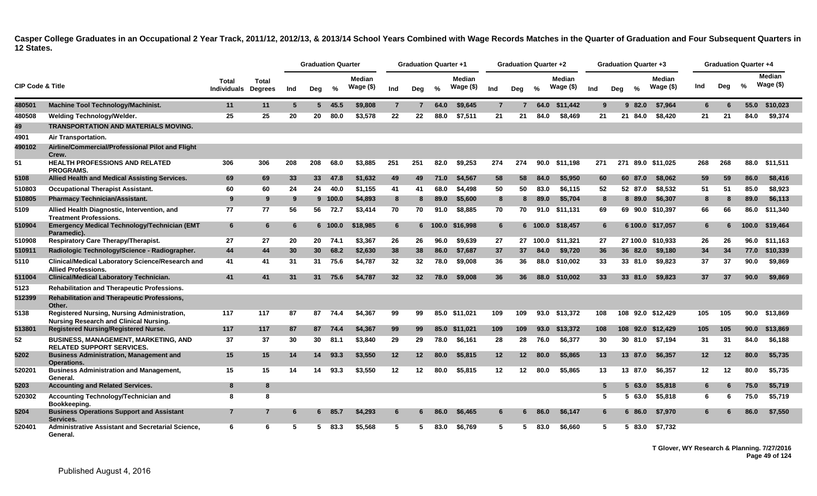|                             |                                                                                              |                             |                         |     |                 | <b>Graduation Quarter</b> |                     |                | <b>Graduation Quarter +1</b> |               |                      |                 | Graduation Quarter +2 |       |                            |     |     | <b>Graduation Quarter +3</b> |                             |     | <b>Graduation Quarter +4</b> |               |                            |
|-----------------------------|----------------------------------------------------------------------------------------------|-----------------------------|-------------------------|-----|-----------------|---------------------------|---------------------|----------------|------------------------------|---------------|----------------------|-----------------|-----------------------|-------|----------------------------|-----|-----|------------------------------|-----------------------------|-----|------------------------------|---------------|----------------------------|
| <b>CIP Code &amp; Title</b> |                                                                                              | Total<br><b>Individuals</b> | Total<br><b>Degrees</b> | Ind | Deg             | %                         | Median<br>Wage $(\$ | Ind            | Deg                          | $\frac{0}{n}$ | Median<br>Wage $($)$ | Ind             | Deg                   | %     | <b>Median</b><br>Wage (\$) | Ind | Dea | $\frac{0}{6}$                | <b>Median</b><br>Wage $($)$ | Ind | Deg                          | $\frac{0}{0}$ | <b>Median</b><br>Wage (\$) |
| 480501                      | Machine Tool Technology/Machinist.                                                           | 11                          | 11                      | 5   |                 | 545.5                     | \$9,808             | $\overline{7}$ |                              | 64.0          | \$9,645              | $\overline{7}$  |                       | 64.0  | \$11.442                   | 9   |     | 982.0                        | \$7.964                     | 6   |                              | 55.0          | \$10,023                   |
| 480508                      | Welding Technology/Welder.                                                                   | 25                          | 25                      | 20  | 20              | 80.0                      | \$3,578             | 22             | 22                           | 88.0          | \$7,511              | 21              | 21                    | 84.0  | \$8,469                    | 21  | 21  | 84.0                         | \$8,420                     | 21  | 21                           | 84.0          | \$9,374                    |
| 49                          | <b>TRANSPORTATION AND MATERIALS MOVING.</b>                                                  |                             |                         |     |                 |                           |                     |                |                              |               |                      |                 |                       |       |                            |     |     |                              |                             |     |                              |               |                            |
| 4901                        | Air Transportation.                                                                          |                             |                         |     |                 |                           |                     |                |                              |               |                      |                 |                       |       |                            |     |     |                              |                             |     |                              |               |                            |
| 490102                      | Airline/Commercial/Professional Pilot and Flight<br>Crew.                                    |                             |                         |     |                 |                           |                     |                |                              |               |                      |                 |                       |       |                            |     |     |                              |                             |     |                              |               |                            |
| 51                          | <b>HEALTH PROFESSIONS AND RELATED</b><br><b>PROGRAMS.</b>                                    | 306                         | 306                     | 208 | 208             | 68.0                      | \$3.885             | 251            | 251                          | 82.0          | \$9.253              | 274             | 274                   | 90.0  | \$11.198                   | 271 | 271 |                              | 89.0 \$11.025               | 268 | 268                          | 88.0          | \$11.511                   |
| 5108                        | Allied Health and Medical Assisting Services.                                                | 69                          | 69                      | 33  | 33 <sup>°</sup> | 47.8                      | \$1.632             | 49             | 49                           | 71.0          | \$4.567              | 58              | 58                    | 84.0  | \$5.950                    | 60  |     | 60 87.0                      | \$8,062                     | 59  | 59                           | 86.0          | \$8,416                    |
| 510803                      | <b>Occupational Therapist Assistant.</b>                                                     | 60                          | 60                      | 24  | 24              | 40.0                      | \$1,155             | 41             | 41                           | 68.0          | \$4,498              | 50              | 50                    | 83.0  | \$6,115                    | 52  |     | 52 87.0                      | \$8,532                     | 51  | 51                           | 85.0          | \$8,923                    |
| 510805                      | <b>Pharmacy Technician/Assistant.</b>                                                        | 9                           | 9                       | -9  |                 | 9 100.0                   | \$4,893             | 8              | 8                            | 89.0          | \$5,600              | 8               | 8                     | 89.0  | \$5,704                    | 8   |     | 8 89.0                       | \$6,307                     | 8   | 8                            | 89.0          | \$6,113                    |
| 5109                        | Allied Health Diagnostic, Intervention, and<br><b>Treatment Professions.</b>                 | 77                          | 77                      | 56  | 56              | 72.7                      | \$3,414             | 70             | 70                           | 91.0          | \$8,885              | 70              | 70                    | 91.0  | \$11.131                   | 69  |     |                              | 69 90.0 \$10,397            | 66  | 66                           | 86.0          | \$11,340                   |
| 510904                      | <b>Emergency Medical Technology/Technician (EMT</b><br>Paramedic).                           | 6                           | 6                       | -6  |                 | 6 100.0                   | \$18,985            | 6              |                              |               | 6 100.0 \$16,998     | $6\phantom{1}6$ |                       |       | 6 100.0 \$18.457           | 6   |     |                              | 6 100.0 \$17,057            | 6   | 6                            | 100.0         | \$19,464                   |
| 510908                      | <b>Respiratory Care Therapy/Therapist.</b>                                                   | 27                          | 27                      | 20  | 20              | 74.1                      | \$3,367             | 26             | 26                           | 96.0          | \$9,639              | 27              | 27                    | 100.0 | \$11,321                   | 27  |     |                              | 27 100.0 \$10,933           | 26  | 26                           | 96.0          | \$11,163                   |
| 510911                      | Radiologic Technology/Science - Radiographer.                                                | 44                          | 44                      | 30  | 30 <sup>°</sup> | 68.2                      | \$2,630             | 38             | 38                           | 86.0          | \$7,687              | 37              | 37                    | 84.0  | \$9,720                    | 36  |     | 36 82.0                      | \$9,180                     | 34  | 34                           | 77.0          | \$10,339                   |
| 5110                        | <b>Clinical/Medical Laboratory Science/Research and</b><br><b>Allied Professions.</b>        | 41                          | 41                      | 31  | 31              | 75.6                      | \$4,787             | 32             | 32                           | 78.0          | \$9,008              | 36              | 36                    | 88.0  | \$10,002                   | 33  |     | 33 81.0                      | \$9,823                     | 37  | 37                           | 90.0          | \$9,869                    |
| 511004                      | <b>Clinical/Medical Laboratory Technician.</b>                                               | 41                          | 41                      | 31  |                 | 31 75.6                   | \$4,787             | 32             | 32                           | 78.0          | \$9,008              | 36              | 36                    |       | 88.0 \$10.002              | 33  |     | 33 81.0                      | \$9,823                     | 37  | 37                           | 90.0          | \$9.869                    |
| 5123                        | <b>Rehabilitation and Therapeutic Professions.</b>                                           |                             |                         |     |                 |                           |                     |                |                              |               |                      |                 |                       |       |                            |     |     |                              |                             |     |                              |               |                            |
| 512399                      | Rehabilitation and Therapeutic Professions,<br>Other.                                        |                             |                         |     |                 |                           |                     |                |                              |               |                      |                 |                       |       |                            |     |     |                              |                             |     |                              |               |                            |
| 5138                        | Registered Nursing, Nursing Administration,<br><b>Nursing Research and Clinical Nursing.</b> | 117                         | 117                     | 87  | 87              | 74.4                      | \$4,367             | 99             | 99                           |               | 85.0 \$11,021        | 109             | 109                   |       | 93.0 \$13,372              | 108 |     |                              | 108 92.0 \$12.429           | 105 | 105                          | 90.0          | \$13,869                   |
| 513801                      | <b>Registered Nursing/Registered Nurse.</b>                                                  | 117                         | 117                     | 87  | 87              | 74.4                      | \$4,367             | 99             | 99                           |               | 85.0 \$11,021        | 109             | 109                   | 93.0  | \$13,372                   | 108 |     |                              | 108 92.0 \$12,429           | 105 | 105                          | 90.0          | \$13,869                   |
| 52                          | <b>BUSINESS, MANAGEMENT, MARKETING, AND</b><br><b>RELATED SUPPORT SERVICES.</b>              | 37                          | 37                      | 30  | 30              | 81.1                      | \$3,840             | 29             | 29                           | 78.0          | \$6,161              | 28              | 28                    | 76.0  | \$6,377                    | 30  |     | 30 81.0                      | \$7,194                     | 31  | 31                           | 84.0          | \$6,188                    |
| 5202                        | <b>Business Administration, Management and</b><br><b>Operations.</b>                         | 15                          | 15                      | 14  | 14              | 93.3                      | \$3,550             | 12             | $12$                         | 80.0          | \$5,815              | 12              | 12 <sup>2</sup>       | 80.0  | \$5,865                    | 13  |     | 13 87.0                      | \$6,357                     | 12  | 12                           | 80.0          | \$5,735                    |
| 520201                      | <b>Business Administration and Management,</b><br>General.                                   | 15                          | 15                      | 14  | 14              | 93.3                      | \$3,550             | 12             | 12                           | 80.0          | \$5,815              | 12              | 12                    | 80.0  | \$5,865                    | 13  |     | 13 87.0                      | \$6,357                     | 12  | 12                           | 80.0          | \$5,735                    |
| 5203                        | <b>Accounting and Related Services.</b>                                                      | 8                           | 8                       |     |                 |                           |                     |                |                              |               |                      |                 |                       |       |                            | 5   |     | 563.0                        | \$5,818                     | 6   | 6                            | 75.0          | \$5,719                    |
| 520302                      | Accounting Technology/Technician and<br>Bookkeeping.                                         | 8                           | 8                       |     |                 |                           |                     |                |                              |               |                      |                 |                       |       |                            | 5   |     | 563.0                        | \$5,818                     | 6   | 6                            | 75.0          | \$5,719                    |
| 5204                        | <b>Business Operations Support and Assistant</b><br>Services.                                | $\overline{7}$              | $\overline{7}$          | 6   | 6.              | 85.7                      | \$4,293             | 6              |                              | 86.0          | \$6,465              | 6               |                       | 86.0  | \$6,147                    | 6   |     | 6 86.0                       | \$7,970                     |     |                              | 86.0          | \$7,550                    |
| 520401                      | Administrative Assistant and Secretarial Science,<br>General.                                | 6                           | 6                       | 5   | 5.              | 83.3                      | \$5,568             | 5              | 5                            | 83.0          | \$6,769              | 5               | 5                     | 83.0  | \$6,660                    | 5   |     | 5 83.0                       | \$7,732                     |     |                              |               |                            |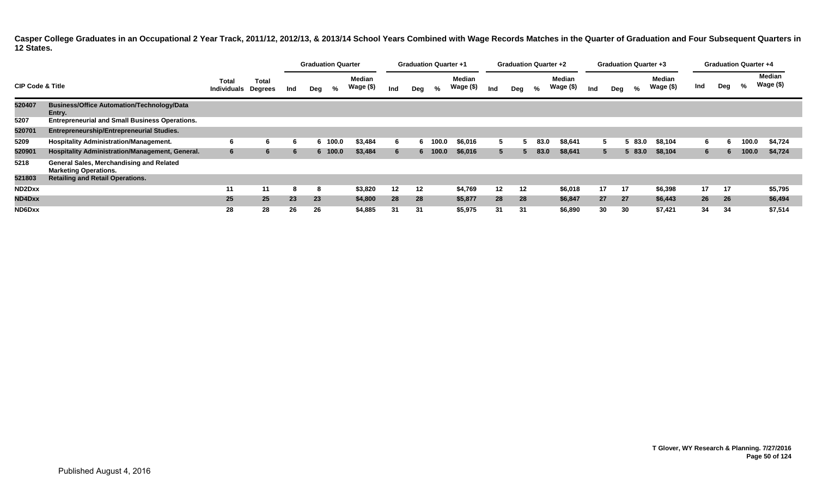|                             |                                                                          |                                    |                         | <b>Graduation Quarter</b> |     |         |                            | <b>Graduation Quarter +1</b> |     |         |                            | <b>Graduation Quarter +2</b> |              |      |                     |     | <b>Graduation Quarter +3</b> |      |                     | <b>Graduation Quarter +4</b> |     |       |                            |
|-----------------------------|--------------------------------------------------------------------------|------------------------------------|-------------------------|---------------------------|-----|---------|----------------------------|------------------------------|-----|---------|----------------------------|------------------------------|--------------|------|---------------------|-----|------------------------------|------|---------------------|------------------------------|-----|-------|----------------------------|
| <b>CIP Code &amp; Title</b> |                                                                          | <b>Total</b><br><b>Individuals</b> | Total<br><b>Degrees</b> | Ind                       | Deg | %       | <b>Median</b><br>Wage (\$) | Ind                          | Deg | %       | <b>Median</b><br>Wage (\$) | Ind                          | Deg          | %    | Median<br>Wage (\$) | Ind | Deg                          | %    | Median<br>Wage (\$) | Ind                          | Deg | %     | <b>Median</b><br>Wage (\$) |
| 520407                      | <b>Business/Office Automation/Technology/Data</b><br>Entry.              |                                    |                         |                           |     |         |                            |                              |     |         |                            |                              |              |      |                     |     |                              |      |                     |                              |     |       |                            |
| 5207                        | <b>Entrepreneurial and Small Business Operations.</b>                    |                                    |                         |                           |     |         |                            |                              |     |         |                            |                              |              |      |                     |     |                              |      |                     |                              |     |       |                            |
| 520701                      | <b>Entrepreneurship/Entrepreneurial Studies.</b>                         |                                    |                         |                           |     |         |                            |                              |     |         |                            |                              |              |      |                     |     |                              |      |                     |                              |     |       |                            |
| 5209                        | <b>Hospitality Administration/Management.</b>                            | 6                                  | 6                       | 'n                        |     | 6 100.0 | \$3,484                    | 6                            |     | 100.0   | \$6,016                    | 5.                           |              | 83.0 | \$8,641             | b.  |                              | 83.0 | \$8,104             | 6.                           | n   | 100.0 | \$4,724                    |
| 520901                      | Hospitality Administration/Management, General.                          | 6                                  | 6                       | -6                        |     | 6 100.0 | \$3,484                    | 6                            |     | 6 100.0 | \$6,016                    | 5 <sup>5</sup>               | $\mathbf{b}$ | 83.0 | \$8,641             |     | 5 <sup>5</sup>               | 83.0 | \$8,104             | 6                            | 6   | 100.0 | \$4,724                    |
| 5218                        | General Sales, Merchandising and Related<br><b>Marketing Operations.</b> |                                    |                         |                           |     |         |                            |                              |     |         |                            |                              |              |      |                     |     |                              |      |                     |                              |     |       |                            |
| 521803                      | <b>Retailing and Retail Operations.</b>                                  |                                    |                         |                           |     |         |                            |                              |     |         |                            |                              |              |      |                     |     |                              |      |                     |                              |     |       |                            |
| ND2Dxx                      |                                                                          | 11                                 | 11                      | -8                        | 8   |         | \$3,820                    | 12                           | 12  |         | \$4,769                    | $12 \,$                      | $12 \,$      |      | \$6,018             | 17  | 17                           |      | \$6,398             | 17                           | 17  |       | \$5,795                    |
| ND4Dxx                      |                                                                          | 25                                 | 25 <sup>1</sup>         | 23                        | 23  |         | \$4,800                    | 28                           | 28  |         | \$5,877                    | 28                           | 28           |      | \$6,847             | 27  | 27                           |      | \$6,443             | 26                           | 26  |       | \$6,494                    |
| ND6Dxx                      |                                                                          | 28                                 | 28                      | 26                        | 26  |         | \$4,885                    | 31                           | 31  |         | \$5,975                    | 31                           | 31           |      | \$6,890             | 30  | 30                           |      | \$7,421             | 34                           | 34  |       | \$7,514                    |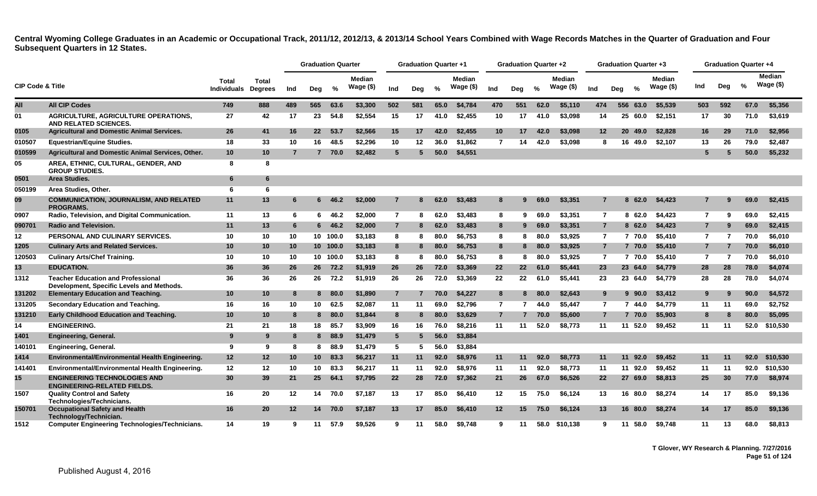|                             |                                                                                        |                                     |                 |                 | <b>Graduation Quarter</b> |          |                            |                 | <b>Graduation Quarter +1</b> |      |                            |                 | <b>Graduation Quarter +2</b> |      |                             |                | <b>Graduation Quarter +3</b> |           |                            |                | <b>Graduation Quarter +4</b> |      |                            |
|-----------------------------|----------------------------------------------------------------------------------------|-------------------------------------|-----------------|-----------------|---------------------------|----------|----------------------------|-----------------|------------------------------|------|----------------------------|-----------------|------------------------------|------|-----------------------------|----------------|------------------------------|-----------|----------------------------|----------------|------------------------------|------|----------------------------|
| <b>CIP Code &amp; Title</b> |                                                                                        | Total<br><b>Individuals Degrees</b> | <b>Total</b>    | Ind             | Deg                       | %        | <b>Median</b><br>Wage (\$) | Ind             | Deg                          | %    | <b>Median</b><br>Wage (\$) | Ind             | Deg                          | $\%$ | <b>Median</b><br>Wage $($)$ | Ind            | Deg                          | $\%$      | <b>Median</b><br>Wage (\$) | Ind            | Deg                          | %    | <b>Median</b><br>Wage (\$) |
| All                         | <b>All CIP Codes</b>                                                                   | 749                                 | 888             | 489             | 565                       | 63.6     | \$3,300                    | 502             | 581                          | 65.0 | \$4,784                    | 470             | 551                          | 62.0 | \$5,110                     | 474            | 556                          | 63.0      | \$5,539                    | 503            | 592                          | 67.0 | \$5,356                    |
| 01                          | <b>AGRICULTURE, AGRICULTURE OPERATIONS,</b><br>AND RELATED SCIENCES.                   | 27                                  | 42              | 17              | 23                        | 54.8     | \$2,554                    | 15              | 17                           | 41.0 | \$2,455                    | 10              | 17                           | 41.0 | \$3,098                     | 14             | 25                           | 60.0      | \$2,151                    | 17             | 30                           | 71.0 | \$3,619                    |
| 0105                        | <b>Agricultural and Domestic Animal Services.</b>                                      | 26                                  | 41              | 16              | 22                        | 53.7     | \$2,566                    | 15              | 17                           | 42.0 | \$2,455                    | 10 <sup>°</sup> | 17                           | 42.0 | \$3,098                     | 12             |                              | 20 49.0   | \$2,828                    | 16             | 29                           | 71.0 | \$2,956                    |
| 010507                      | <b>Equestrian/Equine Studies.</b>                                                      | 18                                  | 33              | 10              | 16                        | 48.5     | \$2,296                    | 10              | 12                           | 36.0 | \$1,862                    | $\overline{7}$  | 14                           | 42.0 | \$3.098                     | 8              | 16                           | 49.0      | \$2,107                    | 13             | 26                           | 79.0 | \$2,487                    |
| 010599                      | Agricultural and Domestic Animal Services, Other.                                      | 10                                  | 10 <sub>1</sub> | $\overline{7}$  | $7^{\circ}$               | 70.0     | \$2,482                    | $5\phantom{.0}$ | -5                           | 50.0 | \$4,551                    |                 |                              |      |                             |                |                              |           |                            | 5              |                              | 50.0 | \$5,232                    |
| 05                          | AREA, ETHNIC, CULTURAL, GENDER, AND<br><b>GROUP STUDIES.</b>                           | 8                                   | 8               |                 |                           |          |                            |                 |                              |      |                            |                 |                              |      |                             |                |                              |           |                            |                |                              |      |                            |
| 0501                        | Area Studies.                                                                          | 6                                   | 6               |                 |                           |          |                            |                 |                              |      |                            |                 |                              |      |                             |                |                              |           |                            |                |                              |      |                            |
| 050199                      | Area Studies, Other.                                                                   | 6                                   | 6               |                 |                           |          |                            |                 |                              |      |                            |                 |                              |      |                             |                |                              |           |                            |                |                              |      |                            |
| 09                          | <b>COMMUNICATION, JOURNALISM, AND RELATED</b><br><b>PROGRAMS.</b>                      | 11                                  | 13              | 6               | 6                         | 46.2     | \$2,000                    | 7               | 8                            | 62.0 | \$3,483                    | 8               | 9                            | 69.0 | \$3,351                     | 7              |                              | 8<br>62.0 | \$4,423                    |                |                              | 69.0 | \$2,415                    |
| 0907                        | Radio, Television, and Digital Communication.                                          | 11                                  | 13              | 6               | 6.                        | 46.2     | \$2,000                    | $\overline{7}$  | я                            | 62.0 | \$3,483                    | 8               | 9                            | 69.0 | \$3.351                     | $\overline{7}$ |                              | 862.0     | \$4,423                    | $\overline{7}$ | 9                            | 69.0 | \$2,415                    |
| 090701                      | <b>Radio and Television.</b>                                                           | 11                                  | 13              | 6               | 6                         | 46.2     | \$2,000                    | $\overline{7}$  | 8                            | 62.0 | \$3,483                    | 8               | 9                            | 69.0 | \$3,351                     | $\overline{7}$ |                              | 862.0     | \$4,423                    | $\overline{7}$ | 9                            | 69.0 | \$2,415                    |
| 12                          | PERSONAL AND CULINARY SERVICES.                                                        | 10                                  | 10              | 10              |                           | 10 100.0 | \$3.183                    | 8               | 8                            | 80.0 | \$6.753                    | 8               | 8                            | 80.0 | \$3.925                     | $\overline{7}$ |                              | 7 70.0    | \$5,410                    | $\overline{7}$ | 7                            | 70.0 | \$6,010                    |
| 1205                        | <b>Culinary Arts and Related Services.</b>                                             | 10                                  | 10              | 10              |                           | 10 100.0 | \$3,183                    | 8               | 8                            | 80.0 | \$6,753                    | 8               | 8                            | 80.0 | \$3,925                     | $\overline{7}$ |                              | 7 70.0    | \$5,410                    | $\overline{7}$ | $\overline{7}$               | 70.0 | \$6,010                    |
| 120503                      | <b>Culinary Arts/Chef Training.</b>                                                    | 10                                  | 10              | 10              |                           | 10 100.0 | \$3,183                    | 8               | -8                           | 80.0 | \$6,753                    | 8               | 8                            | 80.0 | \$3.925                     | $\overline{7}$ |                              | 7 70.0    | \$5,410                    | $\overline{7}$ | -7                           | 70.0 | \$6.010                    |
| 13                          | <b>EDUCATION.</b>                                                                      | 36                                  | 36              | 26              | 26                        | 72.2     | \$1,919                    | 26              | 26                           | 72.0 | \$3,369                    | 22              | 22                           | 61.0 | \$5,441                     | 23             |                              | 23 64.0   | \$4,779                    | 28             | 28                           | 78.0 | \$4,074                    |
| 1312                        | <b>Teacher Education and Professional</b><br>Development, Specific Levels and Methods. | 36                                  | 36              | 26              | 26                        | 72.2     | \$1,919                    | 26              | 26                           | 72.0 | \$3,369                    | 22              | 22                           | 61.0 | \$5.441                     | 23             |                              | 23 64.0   | \$4,779                    | 28             | 28                           | 78.0 | \$4,074                    |
| 131202                      | <b>Elementary Education and Teaching.</b>                                              | 10                                  | 10              | 8               | 8.                        | 80.0     | \$1,890                    | $\overline{7}$  |                              | 70.0 | \$4.227                    | 8               | 8                            | 80.0 | \$2.643                     | 9              |                              | $9\,90.0$ | \$3,412                    | -9             | 9                            | 90.0 | \$4,572                    |
| 131205                      | Secondary Education and Teaching.                                                      | 16                                  | 16              | 10              | 10                        | 62.5     | \$2,087                    | 11              | 11                           | 69.0 | \$2,796                    | $\overline{7}$  |                              | 44.0 | \$5,447                     | $\overline{7}$ |                              | 7 44.0    | \$4,779                    | 11             | -11                          | 69.0 | \$2,752                    |
| 131210                      | Early Childhood Education and Teaching.                                                | 10                                  | 10              | 8               | 8                         | 80.0     | \$1,844                    | 8               | 8                            | 80.0 | \$3,629                    | $\overline{7}$  | 7                            | 70.0 | \$5,600                     | $\overline{7}$ |                              | 7 70.0    | \$5,903                    | 8              | 8                            | 80.0 | \$5,095                    |
| 14                          | <b>ENGINEERING.</b>                                                                    | 21                                  | 21              | 18              | 18                        | 85.7     | \$3,909                    | 16              | 16                           | 76.0 | \$8,216                    | 11              | 11                           | 52.0 | \$8.773                     | 11             |                              | 11 52.0   | \$9,452                    | 11             | -11                          | 52.0 | \$10,530                   |
| 1401                        | <b>Engineering, General.</b>                                                           | 9                                   | 9               | 8               | 8                         | 88.9     | \$1,479                    | $5\phantom{.0}$ | 5                            | 56.0 | \$3,884                    |                 |                              |      |                             |                |                              |           |                            |                |                              |      |                            |
| 140101                      | Engineering, General.                                                                  | 9                                   | 9               | 8               | 8                         | 88.9     | \$1,479                    | 5               | 5                            | 56.0 | \$3,884                    |                 |                              |      |                             |                |                              |           |                            |                |                              |      |                            |
| 1414                        | Environmental/Environmental Health Engineering.                                        | 12                                  | 12 <sub>2</sub> | 10              | 10 <sup>°</sup>           | 83.3     | \$6,217                    | 11              | 11                           | 92.0 | \$8,976                    | 11              | 11                           | 92.0 | \$8,773                     | 11             | 11                           | 92.0      | \$9,452                    | 11             | -11                          | 92.0 | \$10,530                   |
| 141401                      | Environmental/Environmental Health Engineering.                                        | 12                                  | 12              | 10              | 10                        | 83.3     | \$6,217                    | 11              | 11                           | 92.0 | \$8,976                    | 11              | 11                           | 92.0 | \$8,773                     | 11             |                              | 11 92.0   | \$9.452                    | 11             | 11                           | 92.0 | \$10,530                   |
| 15                          | <b>ENGINEERING TECHNOLOGIES AND</b><br><b>ENGINEERING-RELATED FIELDS.</b>              | 30                                  | 39              | 21              | 25                        | 64.1     | \$7,795                    | 22              | 28                           | 72.0 | \$7,362                    | 21              | 26                           | 67.0 | \$6,526                     | 22             |                              | 27 69.0   | \$8,813                    | 25             | 30                           | 77.0 | \$8,974                    |
| 1507                        | <b>Quality Control and Safety</b><br>Technologies/Technicians.                         | 16                                  | 20              | 12              | 14                        | 70.0     | \$7,187                    | 13              | 17                           | 85.0 | \$6,410                    | 12              | 15                           | 75.0 | \$6,124                     | 13             |                              | 16 80.0   | \$8,274                    | 14             | 17                           | 85.0 | \$9,136                    |
| 150701                      | <b>Occupational Safety and Health</b><br>Technology/Technician.                        | 16                                  | 20              | 12 <sup>2</sup> | 14                        | 70.0     | \$7.187                    | 13              | 17                           | 85.0 | \$6.410                    | 12              | 15                           | 75.0 | \$6.124                     | 13             |                              | 16 80.0   | \$8,274                    | 14             | -17                          | 85.0 | \$9,136                    |
| 1512                        | <b>Computer Engineering Technologies/Technicians.</b>                                  | 14                                  | 19              | -9              | 11                        | 57.9     | \$9,526                    | 9               | 11                           | 58.0 | \$9.748                    | 9               | 11                           | 58.0 | \$10.138                    | 9              | 11                           | 58.0      | \$9.748                    | 11             | 13                           | 68.0 | \$8,813                    |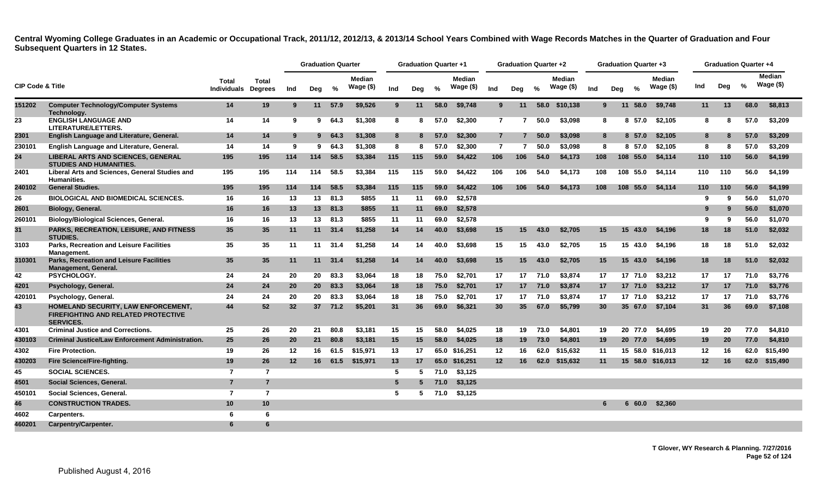|                             |                                                                                                              |                      |                                |     | <b>Graduation Quarter</b> |                 |                            |                 | <b>Graduation Quarter +1</b> |      |                            |                 | <b>Graduation Quarter +2</b> |      |                            |     |     | <b>Graduation Quarter +3</b> |                               |         |     | <b>Graduation Quarter +4</b> |                            |
|-----------------------------|--------------------------------------------------------------------------------------------------------------|----------------------|--------------------------------|-----|---------------------------|-----------------|----------------------------|-----------------|------------------------------|------|----------------------------|-----------------|------------------------------|------|----------------------------|-----|-----|------------------------------|-------------------------------|---------|-----|------------------------------|----------------------------|
| <b>CIP Code &amp; Title</b> |                                                                                                              | Total<br>Individuals | <b>Total</b><br><b>Degrees</b> | Ind | Deg                       | %               | <b>Median</b><br>Wage (\$) | Ind             | Deg                          | %    | <b>Median</b><br>Wage (\$) | Ind             | Deg                          | $\%$ | <b>Median</b><br>Wage (\$) | Ind | Deg | $\frac{0}{6}$                | <b>Median</b><br>Wage $($ \$) | Ind     | Deg | $\%$                         | <b>Median</b><br>Wage (\$) |
| 151202                      | <b>Computer Technology/Computer Systems</b><br>Technology.                                                   | 14                   | 19                             | 9   |                           | 11 57.9         | \$9.526                    | 9               | 11                           | 58.0 | \$9.748                    | 9 <sup>°</sup>  | 11                           |      | 58.0 \$10.138              |     | 9   | 11<br>58.0                   | \$9.748                       | 11      | 13  | 68.0                         | \$8,813                    |
| 23                          | <b>ENGLISH LANGUAGE AND</b><br>LITERATURE/LETTERS.                                                           | 14                   | 14                             | 9   | 9                         | 64.3            | \$1,308                    | 8               | 8                            | 57.0 | \$2,300                    | $\overline{7}$  | 7                            | 50.0 | \$3,098                    |     | 8   | 8 57.0                       | \$2,105                       | 8       | 8   | 57.0                         | \$3,209                    |
| 2301                        | English Language and Literature, General.                                                                    | 14                   | 14                             | 9   |                           | 964.3           | \$1,308                    | 8               |                              | 57.0 | \$2,300                    | $\overline{7}$  | $\overline{7}$               | 50.0 | \$3,098                    |     | 8   | 8 57.0                       | \$2.105                       | 8       | 8   | 57.0                         | \$3.209                    |
| 230101                      | English Language and Literature, General.                                                                    | 14                   | 14                             | 9   | 9                         | 64.3            | \$1,308                    | 8               | 8                            | 57.0 | \$2,300                    | $\overline{7}$  | 7                            | 50.0 | \$3,098                    | 8   |     | 8 57.0                       | \$2,105                       | 8       | 8   | 57.0                         | \$3,209                    |
| 24                          | <b>LIBERAL ARTS AND SCIENCES, GENERAL</b><br><b>STUDIES AND HUMANITIES.</b>                                  | 195                  | 195                            | 114 | 114                       | 58.5            | \$3,384                    | 115             | 115                          | 59.0 | \$4,422                    | 106             | 106                          | 54.0 | \$4,173                    | 108 |     | 108 55.0                     | \$4,114                       | 110     | 110 | 56.0                         | \$4,199                    |
| 2401                        | Liberal Arts and Sciences, General Studies and<br><b>Humanities.</b>                                         | 195                  | 195                            | 114 | 114                       | 58.5            | \$3,384                    | 115             | 115                          | 59.0 | \$4,422                    | 106             | 106                          | 54.0 | \$4,173                    | 108 |     | 108 55.0                     | \$4.114                       | 110     | 110 | 56.0                         | \$4,199                    |
| 240102                      | <b>General Studies.</b>                                                                                      | 195                  | 195                            | 114 | 114                       | 58.5            | \$3,384                    | 115             | 115                          | 59.0 | \$4,422                    | 106             | 106                          | 54.0 | \$4,173                    | 108 |     | 108 55.0                     | \$4,114                       | 110     | 110 | 56.0                         | \$4,199                    |
| 26                          | <b>BIOLOGICAL AND BIOMEDICAL SCIENCES.</b>                                                                   | 16                   | 16                             | 13  | 13                        | 81.3            | \$855                      | 11              | 11                           | 69.0 | \$2,578                    |                 |                              |      |                            |     |     |                              |                               | ۰Q      | 9   | 56.0                         | \$1,070                    |
| 2601                        | Biology, General.                                                                                            | 16                   | 16                             | 13  | 13                        | 81.3            | \$855                      | 11              | 11                           | 69.0 | \$2,578                    |                 |                              |      |                            |     |     |                              |                               |         | 9   | 56.0                         | \$1,070                    |
| 260101                      | <b>Biology/Biological Sciences, General.</b>                                                                 | 16                   | 16                             | 13  | 13                        | 81.3            | \$855                      | 11              | 11                           | 69.0 | \$2,578                    |                 |                              |      |                            |     |     |                              |                               | 9       | 9   | 56.0                         | \$1,070                    |
| 31                          | PARKS, RECREATION, LEISURE, AND FITNESS<br><b>STUDIES.</b>                                                   | 35                   | 35                             | 11  | 11                        | 31.4            | \$1,258                    | 14              | 14                           | 40.0 | \$3,698                    | 15              | 15 <sub>1</sub>              | 43.0 | \$2.705                    | 15  |     | 15 <sub>1</sub><br>43.0      | \$4,196                       | 18      | 18  | 51.0                         | \$2,032                    |
| 3103                        | <b>Parks, Recreation and Leisure Facilities</b><br>Management.                                               | 35                   | 35                             | 11  | 11                        | 31.4            | \$1,258                    | 14              | 14                           | 40.0 | \$3,698                    | 15              | 15                           | 43.0 | \$2,705                    | 15  |     | 15 43.0                      | \$4,196                       | 18      | 18  | 51.0                         | \$2,032                    |
| 310301                      | <b>Parks, Recreation and Leisure Facilities</b><br><b>Management, General.</b>                               | 35                   | 35 <sub>5</sub>                | 11  |                           | $11 \quad 31.4$ | \$1.258                    | 14              | 14                           | 40.0 | \$3,698                    | 15              | 15                           | 43.0 | \$2.705                    | 15  |     | 15, 43.0                     | \$4,196                       | 18      | 18  | 51.0                         | \$2,032                    |
| 42                          | <b>PSYCHOLOGY.</b>                                                                                           | 24                   | 24                             | 20  | 20                        | 83.3            | \$3.064                    | 18              | 18                           | 75.0 | \$2,701                    | 17              | 17 <sup>2</sup>              | 71.0 | \$3,874                    | 17  |     | 17 71.0                      | \$3,212                       | 17      | 17  | 71.0                         | \$3.776                    |
| 4201                        | Psychology, General.                                                                                         | 24                   | 24                             | 20  | 20 <sub>2</sub>           | 83.3            | \$3,064                    | 18              | 18                           | 75.0 | \$2,701                    | 17              | 17                           | 71.0 | \$3,874                    | 17  |     | 17 71.0                      | \$3,212                       | 17      | 17  | 71.0                         | \$3,776                    |
| 420101                      | Psychology, General.                                                                                         | 24                   | 24                             | 20  | 20                        | 83.3            | \$3,064                    | 18              | 18                           | 75.0 | \$2,701                    | 17              | 17                           | 71.0 | \$3,874                    | 17  |     | 17 71.0                      | \$3,212                       | 17      | 17  | 71.0                         | \$3,776                    |
| 43                          | <b>HOMELAND SECURITY, LAW ENFORCEMENT,</b><br><b>FIREFIGHTING AND RELATED PROTECTIVE</b><br><b>SERVICES.</b> | 44                   | 52                             | 32  | 37 <sup>2</sup>           | 71.2            | \$5,201                    | 31              | 36                           | 69.0 | \$6,321                    | 30              | 35 <sub>1</sub>              | 67.0 | \$5,799                    | 30  |     | 35 67.0                      | \$7,104                       | 31      | 36  | 69.0                         | \$7,108                    |
| 4301                        | <b>Criminal Justice and Corrections.</b>                                                                     | 25                   | 26                             | 20  | 21                        | 80.8            | \$3,181                    | 15              | 15                           | 58.0 | \$4,025                    | 18              | 19                           | 73.0 | \$4,801                    | 19  |     | 20 77.0                      | \$4,695                       | 19      | 20  | 77.0                         | \$4,810                    |
| 430103                      | <b>Criminal Justice/Law Enforcement Administration.</b>                                                      | 25                   | 26                             | 20  | 21                        | 80.8            | \$3,181                    | 15              | 15                           | 58.0 | \$4,025                    | 18              | 19                           | 73.0 | \$4,801                    | 19  |     | 20 77.0                      | \$4,695                       | 19      | 20  | 77.0                         | \$4,810                    |
| 4302                        | <b>Fire Protection.</b>                                                                                      | 19                   | 26                             | 12  | 16                        | 61.5            | \$15,971                   | 13              | 17                           |      | 65.0 \$16,251              | 12              | 16                           | 62.0 | \$15,632                   | 11  |     |                              | 15 58.0 \$16,013              | 12      | 16  | 62.0                         | \$15,490                   |
| 430203                      | Fire Science/Fire-fighting.                                                                                  | 19                   | 26                             | 12  | 16                        | 61.5            | \$15,971                   | 13              | 17                           |      | 65.0 \$16,251              | 12 <sub>2</sub> | 16                           | 62.0 | \$15,632                   | 11  |     |                              | 15 58.0 \$16,013              | $12 \,$ | -16 |                              | 62.0 \$15,490              |
| 45                          | <b>SOCIAL SCIENCES.</b>                                                                                      | $\overline{7}$       | $\overline{7}$                 |     |                           |                 |                            | 5               | 5                            | 71.0 | \$3,125                    |                 |                              |      |                            |     |     |                              |                               |         |     |                              |                            |
| 4501                        | Social Sciences, General.                                                                                    | $\overline{7}$       | $\overline{7}$                 |     |                           |                 |                            | $5\phantom{.0}$ | 5                            | 71.0 | \$3,125                    |                 |                              |      |                            |     |     |                              |                               |         |     |                              |                            |
| 450101                      | Social Sciences, General.                                                                                    | $\overline{7}$       | $\overline{7}$                 |     |                           |                 |                            | -5              | 5                            | 71.0 | \$3,125                    |                 |                              |      |                            |     |     |                              |                               |         |     |                              |                            |
| 46                          | <b>CONSTRUCTION TRADES.</b>                                                                                  | 10                   | 10                             |     |                           |                 |                            |                 |                              |      |                            |                 |                              |      |                            |     |     | 60.0<br>6                    | \$2,360                       |         |     |                              |                            |
| 4602                        | Carpenters.                                                                                                  | 6                    | 6                              |     |                           |                 |                            |                 |                              |      |                            |                 |                              |      |                            |     |     |                              |                               |         |     |                              |                            |
| 460201                      | Carpentry/Carpenter.                                                                                         | 6                    | 6                              |     |                           |                 |                            |                 |                              |      |                            |                 |                              |      |                            |     |     |                              |                               |         |     |                              |                            |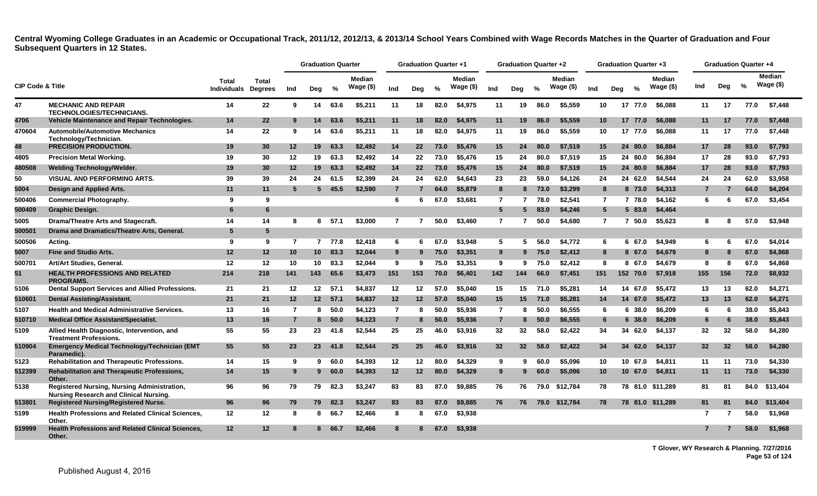|                             |                                                                                       |                                            |                 |                | <b>Graduation Quarter</b> |          |                            |                | <b>Graduation Quarter +1</b> |               |                            |                 | <b>Graduation Quarter +2</b> |      |                            |                 | <b>Graduation Quarter +3</b> |          |                             |     | <b>Graduation Quarter +4</b> |               |                             |
|-----------------------------|---------------------------------------------------------------------------------------|--------------------------------------------|-----------------|----------------|---------------------------|----------|----------------------------|----------------|------------------------------|---------------|----------------------------|-----------------|------------------------------|------|----------------------------|-----------------|------------------------------|----------|-----------------------------|-----|------------------------------|---------------|-----------------------------|
| <b>CIP Code &amp; Title</b> |                                                                                       | <b>Total</b><br><b>Individuals Degrees</b> | <b>Total</b>    | Ind            | Deg                       | %        | <b>Median</b><br>Wage (\$) | Ind            | Deg                          | $\frac{1}{2}$ | <b>Median</b><br>Wage (\$) | Ind             | Deg                          | $\%$ | <b>Median</b><br>Wage (\$) | Ind             | Deg                          | $\%$     | <b>Median</b><br>Wage $($)$ | Ind | Deg                          | $\frac{9}{6}$ | <b>Median</b><br>Wage $($)$ |
| 47                          | <b>MECHANIC AND REPAIR</b><br><b>TECHNOLOGIES/TECHNICIANS.</b>                        | 14                                         | 22              | 9              | 14                        | 63.6     | \$5,211                    | 11             | 18                           | 82.0          | \$4,975                    | 11              | 19                           | 86.0 | \$5,559                    | 10              |                              | 17 77.0  | \$6.088                     | 11  | 17                           | 77.0          | \$7,448                     |
| 4706                        | <b>Vehicle Maintenance and Repair Technologies.</b>                                   | 14                                         | 22              | 9              | 14                        | 63.6     | \$5,211                    | 11             | 18                           | 82.0          | \$4,975                    | 11              | 19                           | 86.0 | \$5,559                    | 10 <sup>°</sup> |                              | 17 77.0  | \$6,088                     | 11  | 17                           | 77.0          | \$7,448                     |
| 470604                      | <b>Automobile/Automotive Mechanics</b><br>Technology/Technician.                      | 14                                         | 22              | 9              | 14                        | 63.6     | \$5,211                    | 11             | 18                           | 82.0          | \$4,975                    | 11              | 19                           | 86.0 | \$5,559                    | 10              |                              | 17 77.0  | \$6.088                     | 11  | 17                           | 77.0          | \$7.448                     |
| 48                          | <b>PRECISION PRODUCTION.</b>                                                          | 19                                         | 30              | 12             | 19                        | 63.3     | \$2.492                    | 14             | $22 \,$                      | 73.0          | \$5.476                    | 15              | 24                           | 80.0 | \$7,519                    | 15              |                              | 24 80.0  | \$6,884                     | 17  | 28                           | 93.0          | \$7,793                     |
| 4805                        | <b>Precision Metal Working.</b>                                                       | 19                                         | 30              | 12             | 19                        | 63.3     | \$2,492                    | 14             | 22                           | 73.0          | \$5,476                    | 15              | 24                           | 80.0 | \$7.519                    | 15              |                              | 24 80.0  | \$6.884                     | 17  | 28                           | 93.0          | \$7,793                     |
| 480508                      | <b>Welding Technology/Welder.</b>                                                     | 19                                         | 30              | 12             | 19                        | 63.3     | \$2,492                    | 14             | $22 \overline{ }$            | 73.0          | \$5,476                    | 15              | 24                           | 80.0 | \$7,519                    | 15              |                              | 24 80.0  | \$6,884                     | 17  | 28                           | 93.0          | \$7,793                     |
| 50                          | <b>VISUAL AND PERFORMING ARTS.</b>                                                    | 39                                         | 39              | 24             | 24                        | 61.5     | \$2,399                    | 24             | 24                           | 62.0          | \$4,643                    | 23              | 23                           | 59.0 | \$4,126                    | 24              |                              | 24 62.0  | \$4,544                     | 24  | 24                           | 62.0          | \$3,958                     |
| 5004                        | Design and Applied Arts.                                                              | 11                                         | 11              | 5              | 5 <sub>5</sub>            | 45.5     | \$2,590                    | $\overline{7}$ |                              | 64.0          | \$5,879                    | 8               | 8                            | 73.0 | \$3,299                    | 8               |                              | 8 73.0   | \$4,313                     |     |                              | 64.0          | \$4,204                     |
| 500406                      | <b>Commercial Photography.</b>                                                        | 9                                          | 9               |                |                           |          |                            | 6              | 6                            | 67.0          | \$3.681                    | $\overline{7}$  | 7                            | 78.0 | \$2.541                    | $\overline{7}$  |                              | 7 78.0   | \$4.162                     | 6   | 6                            | 67.0          | \$3,454                     |
| 500409                      | Graphic Design.                                                                       | 6                                          | 6               |                |                           |          |                            |                |                              |               |                            | $5\overline{5}$ | 5                            | 83.0 | \$4,246                    | $5^{\circ}$     |                              | 583.0    | \$4,464                     |     |                              |               |                             |
| 5005                        | <b>Drama/Theatre Arts and Stagecraft.</b>                                             | 14                                         | 14              | 8              | 8                         | 57.1     | \$3,000                    | $\mathbf{7}$   | 7                            | 50.0          | \$3.460                    | $\overline{7}$  | $\overline{7}$               | 50.0 | \$4,680                    | $\overline{7}$  |                              | 7,50.0   | \$5.623                     | 8   | 8                            | 57.0          | \$3,948                     |
| 500501                      | Drama and Dramatics/Theatre Arts, General.                                            | 5                                          | 5               |                |                           |          |                            |                |                              |               |                            |                 |                              |      |                            |                 |                              |          |                             |     |                              |               |                             |
| 500506                      | Acting.                                                                               | 9                                          | 9               | $\overline{7}$ |                           | $7$ 77.8 | \$2,418                    | 6              | 6                            | 67.0          | \$3,948                    | 5               | 5                            | 56.0 | \$4,772                    | 6               |                              | 6 67.0   | \$4.949                     | 6   | 6                            | 67.0          | \$4,014                     |
| 5007                        | <b>Fine and Studio Arts.</b>                                                          | 12                                         | 12              | 10             | 10 <sup>1</sup>           | 83.3     | \$2,044                    | 9              | 9                            | 75.0          | \$3,351                    | 9               | 9                            | 75.0 | \$2,412                    | 8               |                              | 8 67.0   | \$4,679                     | 8   | 8                            | 67.0          | \$4,868                     |
| 500701                      | Art/Art Studies, General.                                                             | 12                                         | 12              | 10             | 10                        | 83.3     | \$2,044                    | 9              | 9                            | 75.0          | \$3,351                    | 9               | 9                            | 75.0 | \$2,412                    | 8               |                              | 8 67.0   | \$4,679                     | 8   | 8                            | 67.0          | \$4,868                     |
| 51                          | <b>HEALTH PROFESSIONS AND RELATED</b><br><b>PROGRAMS.</b>                             | 214                                        | 218             | 141            | 143                       | 65.6     | \$3,473                    | 151            | 153                          | 70.0          | \$6,401                    | 142             | 144                          | 66.0 | \$7,451                    | 151             |                              | 152 70.0 | \$7,918                     | 155 | 156                          | 72.0          | \$8,932                     |
| 5106                        | Dental Support Services and Allied Professions.                                       | 21                                         | -21             | 12             | 12                        | 57.1     | \$4,837                    | 12             | 12                           | 57.0          | \$5.040                    | 15              | 15                           | 71.0 | \$5,281                    | 14              |                              | 14 67.0  | \$5.472                     | 13  | 13                           | 62.0          | \$4,271                     |
| 510601                      | <b>Dental Assisting/Assistant.</b>                                                    | 21                                         | 21              | 12             | 12 <sup>12</sup>          | 57.1     | \$4,837                    | 12             | $12 \,$                      | 57.0          | \$5.040                    | 15              | 15                           | 71.0 | \$5.281                    | 14              |                              | 14 67.0  | \$5,472                     | 13  | 13                           | 62.0          | \$4,271                     |
| 5107                        | <b>Health and Medical Administrative Services.</b>                                    | 13                                         | 16              | 7              | 8                         | 50.0     | \$4,123                    | $\overline{7}$ | 8                            | 50.0          | \$5,936                    | $\overline{7}$  | 8                            | 50.0 | \$6.555                    | 6               |                              | 6 38.0   | \$6,209                     | 6   | 6                            | 38.0          | \$5,843                     |
| 510710                      | <b>Medical Office Assistant/Specialist.</b>                                           | 13                                         | 16              | $\overline{7}$ | 8.                        | 50.0     | \$4,123                    | $\overline{7}$ | 8                            | 50.0          | \$5.936                    | $\overline{7}$  | 8                            | 50.0 | \$6,555                    | 6               |                              | 6 38.0   | \$6,209                     | -6  |                              | 38.0          | \$5,843                     |
| 5109                        | Allied Health Diagnostic, Intervention, and<br><b>Treatment Professions.</b>          | 55                                         | 55              | 23             | 23                        | 41.8     | \$2,544                    | 25             | 25                           | 46.0          | \$3,916                    | 32              | 32 <sub>2</sub>              | 58.0 | \$2,422                    | 34              |                              | 34 62.0  | \$4,137                     | 32  | 32                           | 58.0          | \$4,280                     |
| 510904                      | Emergency Medical Technology/Technician (EMT<br>Paramedic).                           | 55                                         | 55              | 23             | 23                        | 41.8     | \$2,544                    | 25             | 25                           | 46.0          | \$3,916                    | 32              | 32 <sub>2</sub>              | 58.0 | \$2,422                    | 34              |                              | 34 62.0  | \$4,137                     | 32  | 32                           | 58.0          | \$4,280                     |
| 5123                        | Rehabilitation and Therapeutic Professions.                                           | 14                                         | 15              | 9              | 9.                        | 60.0     | \$4,393                    | 12             | 12                           | 80.0          | \$4,329                    | 9               | 9                            | 60.0 | \$5,096                    | 10              |                              | 10 67.0  | \$4,811                     | 11  | 11                           | 73.0          | \$4,330                     |
| 512399                      | Rehabilitation and Therapeutic Professions,<br>Other.                                 | 14                                         | 15              | 9              | $9^{\circ}$               | 60.0     | \$4,393                    | 12             | 12                           | 80.0          | \$4,329                    | 9               | 9                            | 60.0 | \$5,096                    | 10              |                              | 10 67.0  | \$4,811                     | 11  | 11                           | 73.0          | \$4,330                     |
| 5138                        | Registered Nursing, Nursing Administration,<br>Nursing Research and Clinical Nursing. | 96                                         | 96              | 79             | 79                        | 82.3     | \$3,247                    | 83             | 83                           | 87.0          | \$9,885                    | 76              | 76                           | 79.0 | \$12,784                   | 78              |                              |          | 78 81.0 \$11,289            | 81  | 81                           | 84.0          | \$13,404                    |
| 513801                      | <b>Registered Nursing/Registered Nurse.</b>                                           | 96                                         | 96              | 79             | 79                        | 82.3     | \$3,247                    | 83             | 83                           | 87.0          | \$9,885                    | 76              | 76                           | 79.0 | \$12,784                   | 78              |                              |          | 78 81.0 \$11,289            | 81  | 81                           | 84.0          | \$13,404                    |
| 5199                        | <b>Health Professions and Related Clinical Sciences,</b><br>Other.                    | 12                                         | 12              | 8              | 8                         | 66.7     | \$2,466                    | 8              | 8                            | 67.0          | \$3,938                    |                 |                              |      |                            |                 |                              |          |                             | 7   | -7                           | 58.0          | \$1,968                     |
| 519999                      | <b>Health Professions and Related Clinical Sciences.</b><br>Other.                    | 12                                         | 12 <sup>2</sup> |                | 8                         | 66.7     | \$2,466                    | 8              | 8                            | 67.0          | \$3,938                    |                 |                              |      |                            |                 |                              |          |                             |     |                              | 58.0          | \$1,968                     |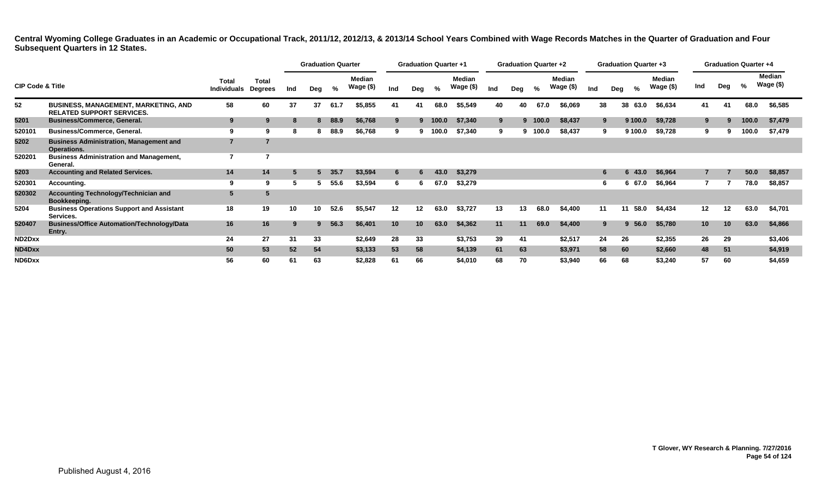|                             |                                                                                 |                                    |                  |     | <b>Graduation Quarter</b> |      |                            |                 | <b>Graduation Quarter +1</b> |       |                            |     | <b>Graduation Quarter +2</b> |         |                     |     | <b>Graduation Quarter +3</b> |         |                     |         |     | <b>Graduation Quarter +4</b> |                     |
|-----------------------------|---------------------------------------------------------------------------------|------------------------------------|------------------|-----|---------------------------|------|----------------------------|-----------------|------------------------------|-------|----------------------------|-----|------------------------------|---------|---------------------|-----|------------------------------|---------|---------------------|---------|-----|------------------------------|---------------------|
| <b>CIP Code &amp; Title</b> |                                                                                 | <b>Total</b><br><b>Individuals</b> | Total<br>Degrees | Ind | Dea                       | %    | <b>Median</b><br>Wage (\$) | Ind             | Deg                          | %     | <b>Median</b><br>Wage (\$) | Ind | Dea                          | %       | Median<br>Wage (\$) | Ind | Deg                          | %       | Median<br>Wage (\$) | Ind     | Deg | %                            | Median<br>Wage (\$) |
| 52                          | <b>BUSINESS, MANAGEMENT, MARKETING, AND</b><br><b>RELATED SUPPORT SERVICES.</b> | 58                                 | 60               | 37  | 37                        | 61.7 | \$5,855                    | 41              | -41                          | 68.0  | \$5,549                    | 40  | 40                           | 67.0    | \$6,069             | 38  | 38                           | 63.0    | \$6,634             | 41      |     | 68.0                         | \$6,585             |
| 5201                        | <b>Business/Commerce, General.</b>                                              | 9                                  | 9                | 8   | 8                         | 88.9 | \$6,768                    | 9               | 9                            | 100.0 | \$7,340                    | 9   |                              | 9 100.0 | \$8,437             | 9.  |                              | 9 100.0 | \$9,728             | 9       |     | 100.0                        | \$7,479             |
| 520101                      | <b>Business/Commerce, General.</b>                                              | 9                                  |                  | 8   |                           | 88.9 | \$6,768                    | 9               |                              | 100.0 | \$7,340                    | 9   |                              | 100.0   | \$8,437             | 9   |                              | 9 100.0 | \$9,728             | 9       |     | 100.0                        | \$7,479             |
| 5202                        | <b>Business Administration, Management and</b><br>Operations.                   | $\overline{7}$                     |                  |     |                           |      |                            |                 |                              |       |                            |     |                              |         |                     |     |                              |         |                     |         |     |                              |                     |
| 520201                      | <b>Business Administration and Management,</b><br>General.                      | 7                                  |                  |     |                           |      |                            |                 |                              |       |                            |     |                              |         |                     |     |                              |         |                     |         |     |                              |                     |
| 5203                        | <b>Accounting and Related Services.</b>                                         | 14                                 | 14               | 5   |                           | 35.7 | \$3,594                    | 6               | 6.                           | 43.0  | \$3,279                    |     |                              |         |                     |     |                              | 6 43.0  | \$6,964             |         |     | 50.0                         | \$8,857             |
| 520301                      | Accounting.                                                                     | 9                                  |                  | 5   |                           | 55.6 | \$3,594                    | 6               | 6                            | 67.0  | \$3,279                    |     |                              |         |                     |     |                              | 6 67.0  | \$6,964             |         |     | 78.0                         | \$8,857             |
| 520302                      | <b>Accounting Technology/Technician and</b><br>Bookkeeping.                     | 5                                  |                  |     |                           |      |                            |                 |                              |       |                            |     |                              |         |                     |     |                              |         |                     |         |     |                              |                     |
| 5204                        | <b>Business Operations Support and Assistant</b><br>Services.                   | 18                                 | 19               | 10  | 10                        | 52.6 | \$5,547                    | 12              | 12                           | 63.0  | \$3,727                    | 13  | 13                           | 68.0    | \$4,400             | 11  |                              | 58.0    | \$4,434             | $12 \,$ | 12  | 63.0                         | \$4,701             |
| 520407                      | <b>Business/Office Automation/Technology/Data</b><br>Entry.                     | 16                                 | 16               | 9   | 9.                        | 56.3 | \$6,401                    | 10 <sup>°</sup> | 10                           | 63.0  | \$4,362                    | 11  | 11                           | 69.0    | \$4,400             | 9.  |                              | 9, 56.0 | \$5,780             | 10      | 10  | 63.0                         | \$4,866             |
| ND2Dxx                      |                                                                                 | 24                                 | 27               | 31  | 33                        |      | \$2,649                    | 28              | 33                           |       | \$3,753                    | 39  | 41                           |         | \$2,517             | 24  | 26                           |         | \$2,355             | 26      | 29  |                              | \$3,406             |
| ND4Dxx                      |                                                                                 | 50                                 | 53               | 52  | 54                        |      | \$3,133                    | 53              | 58                           |       | \$4,139                    | 61  | 63                           |         | \$3,971             | 58  | 60                           |         | \$2,660             | 48      | 51  |                              | \$4,919             |
| ND6Dxx                      |                                                                                 | 56                                 | 60               | 61  | 63                        |      | \$2,828                    | 61              | 66                           |       | \$4,010                    | 68  | 70                           |         | \$3,940             | 66  | 68                           |         | \$3,240             | 57      | 60  |                              | \$4,659             |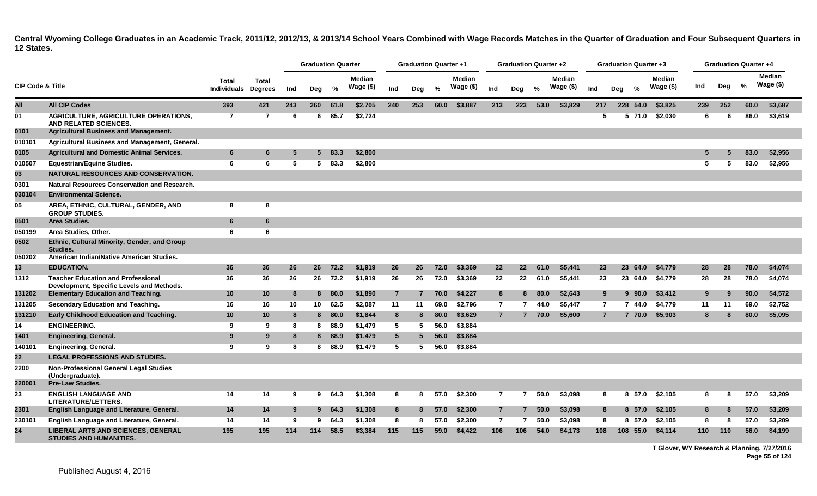|                             |                                                                                              |                                    |                                |     | <b>Graduation Quarter</b> |        |                            |                 | <b>Graduation Quarter +1</b> |      |                     |                | Graduation Quarter +2 |      |                     |                |     | Graduation Quarter +3 |                     |     |     | Graduation Quarter +4 |                             |
|-----------------------------|----------------------------------------------------------------------------------------------|------------------------------------|--------------------------------|-----|---------------------------|--------|----------------------------|-----------------|------------------------------|------|---------------------|----------------|-----------------------|------|---------------------|----------------|-----|-----------------------|---------------------|-----|-----|-----------------------|-----------------------------|
| <b>CIP Code &amp; Title</b> |                                                                                              | <b>Total</b><br><b>Individuals</b> | <b>Total</b><br><b>Degrees</b> | Ind | Deg                       | %      | <b>Median</b><br>Wage (\$) | Ind             | Deg                          | $\%$ | Median<br>Wage (\$) | Ind            | Deg                   | $\%$ | Median<br>Wage (\$) | Ind            | Deg | $\frac{0}{2}$         | Median<br>Wage (\$) | Ind | Deg | %                     | <b>Median</b><br>Wage $($)$ |
| All                         | <b>All CIP Codes</b>                                                                         | 393                                | 421                            | 243 | 260                       | 61.8   | \$2,705                    | 240             | 253                          | 60.0 | \$3,887             | 213            | 223                   | 53.0 | \$3,829             | 217            |     | 228 54.0              | \$3,825             | 239 | 252 | 60.0                  | \$3,687                     |
| 01                          | <b>AGRICULTURE, AGRICULTURE OPERATIONS,</b><br>AND RELATED SCIENCES.                         | $\overline{7}$                     | 7                              | -6  | 6                         | 85.7   | \$2,724                    |                 |                              |      |                     |                |                       |      |                     | 5              |     | 5 71.0                | \$2,030             | 6   | 6   | 86.0                  | \$3,619                     |
| 0101                        | <b>Agricultural Business and Management.</b>                                                 |                                    |                                |     |                           |        |                            |                 |                              |      |                     |                |                       |      |                     |                |     |                       |                     |     |     |                       |                             |
| 010101                      | Agricultural Business and Management, General.                                               |                                    |                                |     |                           |        |                            |                 |                              |      |                     |                |                       |      |                     |                |     |                       |                     |     |     |                       |                             |
| 0105                        | <b>Agricultural and Domestic Animal Services.</b>                                            | $6\phantom{1}6$                    | 6                              | 5   | 5.                        | 83.3   | \$2,800                    |                 |                              |      |                     |                |                       |      |                     |                |     |                       |                     | 5   |     | 83.0                  | \$2,956                     |
| 010507                      | <b>Equestrian/Equine Studies.</b>                                                            | 6                                  | 6                              | -5  | 5                         | 83.3   | \$2,800                    |                 |                              |      |                     |                |                       |      |                     |                |     |                       |                     | 5   | 5   | 83.0                  | \$2,956                     |
| 03                          | NATURAL RESOURCES AND CONSERVATION.                                                          |                                    |                                |     |                           |        |                            |                 |                              |      |                     |                |                       |      |                     |                |     |                       |                     |     |     |                       |                             |
| 0301                        | Natural Resources Conservation and Research.                                                 |                                    |                                |     |                           |        |                            |                 |                              |      |                     |                |                       |      |                     |                |     |                       |                     |     |     |                       |                             |
| 030104                      | <b>Environmental Science.</b>                                                                |                                    |                                |     |                           |        |                            |                 |                              |      |                     |                |                       |      |                     |                |     |                       |                     |     |     |                       |                             |
| 05                          | AREA, ETHNIC, CULTURAL, GENDER, AND<br><b>GROUP STUDIES.</b>                                 | 8                                  | 8                              |     |                           |        |                            |                 |                              |      |                     |                |                       |      |                     |                |     |                       |                     |     |     |                       |                             |
| 0501                        | Area Studies.                                                                                | $6\phantom{1}6$                    | 6                              |     |                           |        |                            |                 |                              |      |                     |                |                       |      |                     |                |     |                       |                     |     |     |                       |                             |
| 050199                      | Area Studies, Other.                                                                         | 6                                  | 6                              |     |                           |        |                            |                 |                              |      |                     |                |                       |      |                     |                |     |                       |                     |     |     |                       |                             |
| 0502                        | Ethnic, Cultural Minority, Gender, and Group<br>Studies.                                     |                                    |                                |     |                           |        |                            |                 |                              |      |                     |                |                       |      |                     |                |     |                       |                     |     |     |                       |                             |
| 050202                      | American Indian/Native American Studies.                                                     |                                    |                                |     |                           |        |                            |                 |                              |      |                     |                |                       |      |                     |                |     |                       |                     |     |     |                       |                             |
| 13                          | <b>EDUCATION.</b>                                                                            | 36                                 | 36                             | 26  | 26                        | 72.2   | \$1,919                    | 26              | 26                           | 72.0 | \$3,369             | 22             | 22                    | 61.0 | \$5,441             | 23             |     | 23 64.0               | \$4,779             | 28  | 28  | 78.0                  | \$4,074                     |
| 1312                        | <b>Teacher Education and Professional</b><br>Development, Specific Levels and Methods.       | 36                                 | 36                             | 26  | 26                        | 72.2   | \$1,919                    | 26              | 26                           | 72.0 | \$3,369             | 22             | 22                    | 61.0 | \$5,441             | 23             |     | 23 64.0               | \$4,779             | 28  | 28  | 78.0                  | \$4,074                     |
| 131202                      | <b>Elementary Education and Teaching.</b>                                                    | 10                                 | 10                             | 8   |                           | 8 80.0 | \$1,890                    | $\overline{7}$  | $\overline{7}$               | 70.0 | \$4,227             | 8              | 8                     | 80.0 | \$2,643             | 9              |     | $9\,90.0$             | \$3,412             | 9   | 9   | 90.0                  | \$4,572                     |
| 131205                      | Secondary Education and Teaching.                                                            | 16                                 | 16                             | 10  | 10                        | 62.5   | \$2,087                    | 11              | 11                           | 69.0 | \$2,796             | $\overline{7}$ | 7                     | 44.0 | \$5.447             | $\overline{7}$ |     | 7 44.0                | \$4,779             | 11  | 11  | 69.0                  | \$2,752                     |
| 131210                      | Early Childhood Education and Teaching.                                                      | 10                                 | 10                             | 8   |                           | 8 80.0 | \$1,844                    | 8               | 8                            | 80.0 | \$3,629             | $\overline{7}$ |                       | 70.0 | \$5,600             | $\overline{7}$ |     | 7 70.0                | \$5,903             | 8   | 8   | 80.0                  | \$5,095                     |
| 14                          | <b>ENGINEERING.</b>                                                                          | 9                                  | 9                              | 8   | 8                         | 88.9   | \$1,479                    | 5               | -5                           | 56.0 | \$3,884             |                |                       |      |                     |                |     |                       |                     |     |     |                       |                             |
| 1401                        | <b>Engineering, General.</b>                                                                 | 9                                  | 9                              | 8   | 8                         | 88.9   | \$1,479                    | $5\overline{)}$ | -5                           | 56.0 | \$3,884             |                |                       |      |                     |                |     |                       |                     |     |     |                       |                             |
| 140101                      | <b>Engineering, General.</b>                                                                 | 9                                  | 9                              | -8  | 8                         | 88.9   | \$1,479                    | 5               | 5                            | 56.0 | \$3,884             |                |                       |      |                     |                |     |                       |                     |     |     |                       |                             |
| $22 \,$                     | <b>LEGAL PROFESSIONS AND STUDIES.</b>                                                        |                                    |                                |     |                           |        |                            |                 |                              |      |                     |                |                       |      |                     |                |     |                       |                     |     |     |                       |                             |
| 2200                        | <b>Non-Professional General Legal Studies</b><br>(Undergraduate).<br><b>Pre-Law Studies.</b> |                                    |                                |     |                           |        |                            |                 |                              |      |                     |                |                       |      |                     |                |     |                       |                     |     |     |                       |                             |
| 220001                      |                                                                                              |                                    |                                |     |                           |        |                            |                 |                              |      |                     |                |                       |      |                     |                |     |                       |                     |     |     |                       |                             |
| 23                          | <b>ENGLISH LANGUAGE AND</b><br>LITERATURE/LETTERS.                                           | 14                                 | 14                             | 9   | 9                         | 64.3   | \$1,308                    | 8               | 8                            | 57.0 | \$2,300             | $\overline{7}$ | 7                     | 50.0 | \$3,098             | 8              |     | 8 57.0                | \$2,105             | 8   | 8   | 57.0                  | \$3,209                     |
| 2301                        | English Language and Literature, General.                                                    | 14                                 | 14                             | -9  | 9                         | 64.3   | \$1,308                    | 8               |                              | 57.0 | \$2,300             | $\overline{7}$ |                       | 50.0 | \$3,098             | 8              |     | 8 57.0                | \$2,105             | 8   | 8   | 57.0                  | \$3,209                     |
| 230101                      | English Language and Literature, General.                                                    | 14                                 | 14                             | 9   | 9                         | 64.3   | \$1,308                    | 8               | -8                           | 57.0 | \$2,300             | $\overline{7}$ | 7                     | 50.0 | \$3,098             | 8              |     | 8 57.0                | \$2,105             | 8   | 8   | 57.0                  | \$3,209                     |
| 24                          | <b>LIBERAL ARTS AND SCIENCES, GENERAL</b><br><b>STUDIES AND HUMANITIES.</b>                  | 195                                | 195                            | 114 | 114                       | 58.5   | \$3,384                    | 115             | 115                          | 59.0 | \$4,422             | 106            | 106                   | 54.0 | \$4,173             | 108            |     | 108 55.0              | \$4,114             | 110 | 110 | 56.0                  | \$4,199                     |

**T Glover, WY Research & Planning. 7/27/2016 Page 55 of 124**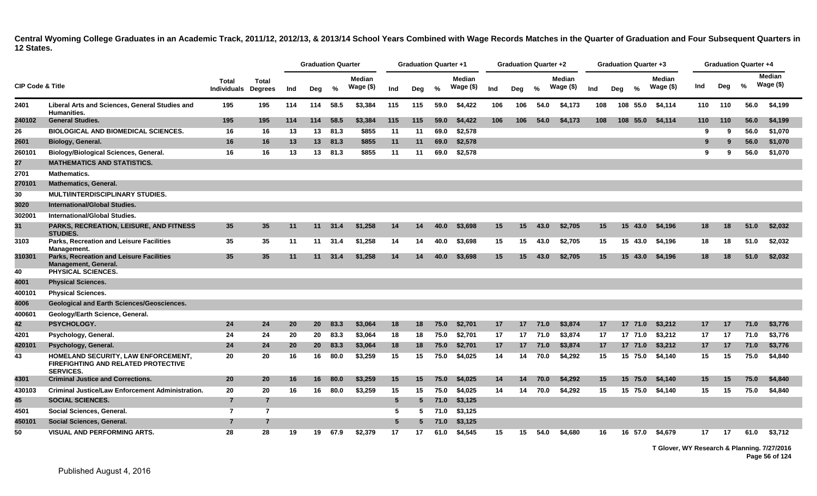|                             |                                                                                                              |                                            |                |     | <b>Graduation Quarter</b> |                 |                            |                 | <b>Graduation Quarter +1</b> |      |                            |     | <b>Graduation Quarter +2</b> |      |                            |     |     | <b>Graduation Quarter +3</b> |                            |     |     | <b>Graduation Quarter +4</b> |                            |
|-----------------------------|--------------------------------------------------------------------------------------------------------------|--------------------------------------------|----------------|-----|---------------------------|-----------------|----------------------------|-----------------|------------------------------|------|----------------------------|-----|------------------------------|------|----------------------------|-----|-----|------------------------------|----------------------------|-----|-----|------------------------------|----------------------------|
| <b>CIP Code &amp; Title</b> |                                                                                                              | <b>Total</b><br><b>Individuals Degrees</b> | <b>Total</b>   | Ind | Deg                       | %               | <b>Median</b><br>Wage (\$) | Ind             | Deg                          | %    | <b>Median</b><br>Wage (\$) | Ind | Deg                          | $\%$ | <b>Median</b><br>Wage (\$) | Ind | Deg | $\%$                         | <b>Median</b><br>Wage (\$) | Ind | Deg | %                            | <b>Median</b><br>Wage (\$) |
| 2401                        | Liberal Arts and Sciences, General Studies and<br><b>Humanities.</b>                                         | 195                                        | 195            | 114 | 114                       | 58.5            | \$3,384                    | 115             | 115                          | 59.0 | \$4,422                    | 106 | 106                          | 54.0 | \$4,173                    | 108 |     | 108 55.0                     | \$4,114                    | 110 | 110 | 56.0                         | \$4,199                    |
| 240102                      | <b>General Studies.</b>                                                                                      | 195                                        | 195            | 114 | 114                       | 58.5            | \$3,384                    | 115             | 115                          | 59.0 | \$4,422                    | 106 | 106                          | 54.0 | \$4,173                    | 108 |     | 108 55.0                     | \$4,114                    | 110 | 110 | 56.0                         | \$4,199                    |
| 26                          | <b>BIOLOGICAL AND BIOMEDICAL SCIENCES.</b>                                                                   | 16                                         | 16             | 13  | 13                        | 81.3            | \$855                      | 11              | 11                           | 69.0 | \$2,578                    |     |                              |      |                            |     |     |                              |                            | -9  | -9  | 56.0                         | \$1,070                    |
| 2601                        | Biology, General.                                                                                            | 16                                         | 16             | 13  |                           | 13 81.3         | \$855                      | 11              | 11                           | 69.0 | \$2,578                    |     |                              |      |                            |     |     |                              |                            | 9   | -9  | 56.0                         | \$1,070                    |
| 260101                      | <b>Biology/Biological Sciences, General.</b>                                                                 | 16                                         | 16             | 13  | 13                        | 81.3            | \$855                      | 11              | 11                           | 69.0 | \$2,578                    |     |                              |      |                            |     |     |                              |                            | 9   | -9  | 56.0                         | \$1,070                    |
| 27                          | <b>MATHEMATICS AND STATISTICS.</b>                                                                           |                                            |                |     |                           |                 |                            |                 |                              |      |                            |     |                              |      |                            |     |     |                              |                            |     |     |                              |                            |
| 2701                        | <b>Mathematics.</b>                                                                                          |                                            |                |     |                           |                 |                            |                 |                              |      |                            |     |                              |      |                            |     |     |                              |                            |     |     |                              |                            |
| 270101                      | <b>Mathematics, General.</b>                                                                                 |                                            |                |     |                           |                 |                            |                 |                              |      |                            |     |                              |      |                            |     |     |                              |                            |     |     |                              |                            |
| 30                          | <b>MULTI/INTERDISCIPLINARY STUDIES.</b>                                                                      |                                            |                |     |                           |                 |                            |                 |                              |      |                            |     |                              |      |                            |     |     |                              |                            |     |     |                              |                            |
| 3020                        | <b>International/Global Studies.</b>                                                                         |                                            |                |     |                           |                 |                            |                 |                              |      |                            |     |                              |      |                            |     |     |                              |                            |     |     |                              |                            |
| 302001                      | International/Global Studies.                                                                                |                                            |                |     |                           |                 |                            |                 |                              |      |                            |     |                              |      |                            |     |     |                              |                            |     |     |                              |                            |
| 31                          | PARKS, RECREATION, LEISURE, AND FITNESS<br><b>STUDIES.</b>                                                   | 35                                         | 35             | 11  | 11                        | 31.4            | \$1.258                    | 14              | 14                           | 40.0 | \$3,698                    | 15  | 15                           | 43.0 | \$2.705                    | 15  |     | 15 43.0                      | \$4.196                    | 18  | 18  | 51.0                         | \$2,032                    |
| 3103                        | <b>Parks, Recreation and Leisure Facilities</b><br>Management.                                               | 35                                         | 35             | 11  | 11                        | 31.4            | \$1,258                    | 14              | 14                           | 40.0 | \$3,698                    | 15  | 15                           | 43.0 | \$2,705                    | 15  |     | 15 43.0                      | \$4,196                    | 18  | 18  | 51.0                         | \$2,032                    |
| 310301                      | <b>Parks, Recreation and Leisure Facilities</b><br><b>Management, General.</b>                               | 35                                         | 35             | 11  |                           | $11 \quad 31.4$ | \$1,258                    | 14              | 14                           | 40.0 | \$3,698                    | 15  | 15                           | 43.0 | \$2,705                    | 15  |     | 15, 43.0                     | \$4,196                    | 18  | 18  | 51.0                         | \$2,032                    |
| 40                          | <b>PHYSICAL SCIENCES.</b>                                                                                    |                                            |                |     |                           |                 |                            |                 |                              |      |                            |     |                              |      |                            |     |     |                              |                            |     |     |                              |                            |
| 4001                        | <b>Physical Sciences.</b>                                                                                    |                                            |                |     |                           |                 |                            |                 |                              |      |                            |     |                              |      |                            |     |     |                              |                            |     |     |                              |                            |
| 400101                      | <b>Physical Sciences.</b>                                                                                    |                                            |                |     |                           |                 |                            |                 |                              |      |                            |     |                              |      |                            |     |     |                              |                            |     |     |                              |                            |
| 4006                        | <b>Geological and Earth Sciences/Geosciences.</b>                                                            |                                            |                |     |                           |                 |                            |                 |                              |      |                            |     |                              |      |                            |     |     |                              |                            |     |     |                              |                            |
| 400601                      | Geology/Earth Science, General.                                                                              |                                            |                |     |                           |                 |                            |                 |                              |      |                            |     |                              |      |                            |     |     |                              |                            |     |     |                              |                            |
| 42                          | PSYCHOLOGY.                                                                                                  | 24                                         | 24             | 20  | 20                        | 83.3            | \$3,064                    | 18              | 18                           | 75.0 | \$2,701                    | 17  | 17                           | 71.0 | \$3,874                    | 17  |     | 17 71.0                      | \$3,212                    | 17  | 17  | 71.0                         | \$3,776                    |
| 4201                        | Psychology, General.                                                                                         | 24                                         | 24             | 20  | 20                        | 83.3            | \$3,064                    | 18              | 18                           | 75.0 | \$2,701                    | 17  | 17 <sup>2</sup>              | 71.0 | \$3,874                    | 17  |     | 17 71.0                      | \$3,212                    | 17  | 17  | 71.0                         | \$3,776                    |
| 420101                      | Psychology, General.                                                                                         | 24                                         | 24             | 20  | 20                        | 83.3            | \$3,064                    | 18              | 18                           | 75.0 | \$2,701                    | 17  | 17                           | 71.0 | \$3,874                    | 17  |     | 17 71.0                      | \$3,212                    | 17  | 17  | 71.0                         | \$3,776                    |
| 43                          | <b>HOMELAND SECURITY, LAW ENFORCEMENT,</b><br><b>FIREFIGHTING AND RELATED PROTECTIVE</b><br><b>SERVICES.</b> | 20                                         | 20             | 16  | 16                        | 80.0            | \$3.259                    | 15              | 15                           | 75.0 | \$4,025                    | 14  | 14                           | 70.0 | \$4.292                    | 15  |     | 15 75.0                      | \$4.140                    | 15  | 15  | 75.0                         | \$4,840                    |
| 4301                        | <b>Criminal Justice and Corrections.</b>                                                                     | 20                                         | 20             | 16  | 16                        | 80.0            | \$3,259                    | 15              | 15                           | 75.0 | \$4,025                    | 14  | 14                           | 70.0 | \$4,292                    | 15  |     | 15 75.0                      | \$4,140                    | 15  | 15  | 75.0                         | \$4,840                    |
| 430103                      | <b>Criminal Justice/Law Enforcement Administration.</b>                                                      | 20                                         | 20             | 16  | 16                        | 80.0            | \$3,259                    | 15              | 15                           | 75.0 | \$4,025                    | 14  | 14                           | 70.0 | \$4,292                    | 15  |     | 15 75.0                      | \$4,140                    | 15  | 15  | 75.0                         | \$4,840                    |
| 45                          | <b>SOCIAL SCIENCES.</b>                                                                                      | $\overline{7}$                             | $\overline{7}$ |     |                           |                 |                            | $5\phantom{.0}$ | 5                            | 71.0 | \$3,125                    |     |                              |      |                            |     |     |                              |                            |     |     |                              |                            |
| 4501                        | Social Sciences, General.                                                                                    | $\overline{7}$                             | 7              |     |                           |                 |                            | 5               | 5.                           | 71.0 | \$3,125                    |     |                              |      |                            |     |     |                              |                            |     |     |                              |                            |
| 450101                      | Social Sciences, General.                                                                                    | $\overline{7}$                             | $\overline{7}$ |     |                           |                 |                            | 5               |                              | 71.0 | \$3,125                    |     |                              |      |                            |     |     |                              |                            |     |     |                              |                            |
| 50                          | <b>VISUAL AND PERFORMING ARTS.</b>                                                                           | 28                                         | 28             | 19  | 19                        | 67.9            | \$2.379                    | 17              | 17                           | 61.0 | \$4.545                    | 15  | 15                           | 54.0 | \$4.680                    | 16  |     | 16 57.0                      | \$4.679                    | 17  | 17  | 61.0                         | \$3.712                    |

**T Glover, WY Research & Planning. 7/27/2016 Page 56 of 124**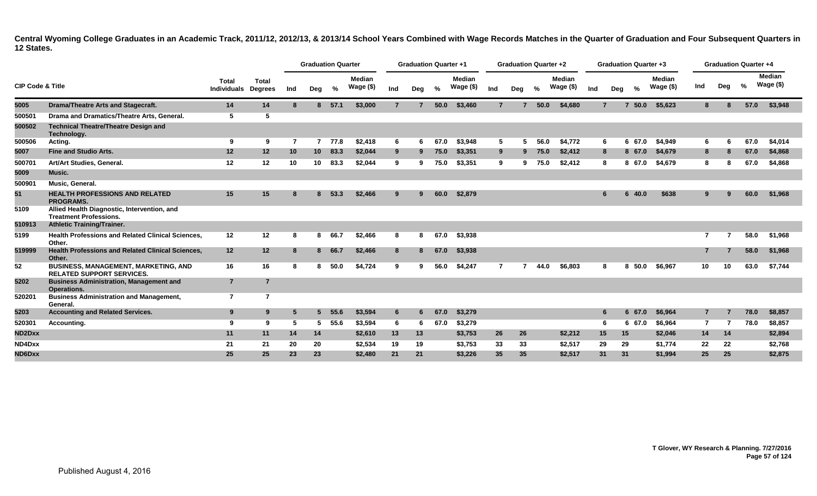|                             |                                                                                 |                                    |                                |     | <b>Graduation Quarter</b> |         |                            |                | <b>Graduation Quarter +1</b> |      |                            |                | <b>Graduation Quarter +2</b> |      |                             |     |                | <b>Graduation Quarter +3</b> |                             |     | <b>Graduation Quarter +4</b> |      |                     |  |
|-----------------------------|---------------------------------------------------------------------------------|------------------------------------|--------------------------------|-----|---------------------------|---------|----------------------------|----------------|------------------------------|------|----------------------------|----------------|------------------------------|------|-----------------------------|-----|----------------|------------------------------|-----------------------------|-----|------------------------------|------|---------------------|--|
| <b>CIP Code &amp; Title</b> |                                                                                 | <b>Total</b><br><b>Individuals</b> | <b>Total</b><br><b>Degrees</b> | Ind | Deg                       | $\%$    | <b>Median</b><br>Wage (\$) | Ind            | Deg                          | $\%$ | <b>Median</b><br>Wage (\$) | Ind            | Deg                          | $\%$ | <b>Median</b><br>Wage $($)$ | Ind | Deg            | $\%$                         | <b>Median</b><br>Wage $($)$ | Ind | Deg                          | $\%$ | Median<br>Wage (\$) |  |
| 5005                        | <b>Drama/Theatre Arts and Stagecraft.</b>                                       | 14                                 | 14                             | 8   |                           | 8, 57.1 | \$3,000                    | 7              |                              | 50.0 | \$3,460                    | $\overline{7}$ |                              | 50.0 | \$4,680                     |     | $\overline{7}$ | 50.0<br>$\overline{7}$       | \$5,623                     | 8   |                              | 57.0 | \$3,948             |  |
| 500501                      | Drama and Dramatics/Theatre Arts, General.                                      | 5                                  | 5                              |     |                           |         |                            |                |                              |      |                            |                |                              |      |                             |     |                |                              |                             |     |                              |      |                     |  |
| 500502                      | <b>Technical Theatre/Theatre Design and</b><br>Technology.                      |                                    |                                |     |                           |         |                            |                |                              |      |                            |                |                              |      |                             |     |                |                              |                             |     |                              |      |                     |  |
| 500506                      | Acting.                                                                         | 9                                  | 9                              | 7   | $\mathbf{7}$              | 77.8    | \$2,418                    | 6              | -6                           | 67.0 | \$3,948                    | 5              | 5                            | 56.0 | \$4,772                     |     | 6              | 67.0<br>6.                   | \$4,949                     | 6   |                              | 67.0 | \$4,014             |  |
| 5007                        | <b>Fine and Studio Arts.</b>                                                    | 12                                 | 12 <sub>2</sub>                | 10  | 10 <sup>°</sup>           | 83.3    | \$2,044                    | 9              | -9                           | 75.0 | \$3,351                    | 9              | 9                            | 75.0 | \$2,412                     |     | 8              | 8 67.0                       | \$4,679                     | 8   |                              | 67.0 | \$4,868             |  |
| 500701                      | Art/Art Studies, General.                                                       | 12                                 | 12                             | 10  | 10                        | 83.3    | \$2,044                    | 9              |                              | 75.0 | \$3,351                    | 9              | 9                            | 75.0 | \$2,412                     |     | 8              | 67.0<br>8.                   | \$4,679                     | 8   |                              | 67.0 | \$4,868             |  |
| 5009                        | Music.                                                                          |                                    |                                |     |                           |         |                            |                |                              |      |                            |                |                              |      |                             |     |                |                              |                             |     |                              |      |                     |  |
| 500901                      | Music, General.                                                                 |                                    |                                |     |                           |         |                            |                |                              |      |                            |                |                              |      |                             |     |                |                              |                             |     |                              |      |                     |  |
| 51                          | <b>HEALTH PROFESSIONS AND RELATED</b><br><b>PROGRAMS.</b>                       | 15                                 | 15                             | -8  | 8.                        | 53.3    | \$2,466                    | 9              | q                            | 60.0 | \$2,879                    |                |                              |      |                             |     | 6              | 40.0<br>6                    | \$638                       |     |                              | 60.0 | \$1,968             |  |
| 5109                        | Allied Health Diagnostic, Intervention, and<br><b>Treatment Professions.</b>    |                                    |                                |     |                           |         |                            |                |                              |      |                            |                |                              |      |                             |     |                |                              |                             |     |                              |      |                     |  |
| 510913                      | <b>Athletic Training/Trainer.</b>                                               |                                    |                                |     |                           |         |                            |                |                              |      |                            |                |                              |      |                             |     |                |                              |                             |     |                              |      |                     |  |
| 5199                        | <b>Health Professions and Related Clinical Sciences,</b><br>Other.              | 12                                 | 12                             | 8   | 8                         | 66.7    | \$2,466                    | 8              | 8                            | 67.0 | \$3,938                    |                |                              |      |                             |     |                |                              |                             | 7   |                              | 58.0 | \$1,968             |  |
| 519999                      | <b>Health Professions and Related Clinical Sciences,</b><br>Other.              | 12                                 | 12                             | 8   | 8                         | 66.7    | \$2,466                    | 8              | -8                           | 67.0 | \$3,938                    |                |                              |      |                             |     |                |                              |                             |     |                              | 58.0 | \$1,968             |  |
| 52                          | <b>BUSINESS, MANAGEMENT, MARKETING, AND</b><br><b>RELATED SUPPORT SERVICES.</b> | 16                                 | 16                             | 8   | 8                         | 50.0    | \$4,724                    | 9              |                              | 56.0 | \$4,247                    | 7              |                              | 44.0 | \$6,803                     |     | 8              | 50.0<br>8                    | \$6,967                     | 10  |                              | 63.0 | \$7,744             |  |
| 5202                        | <b>Business Administration, Management and</b><br>Operations.                   | $\overline{7}$                     | $\overline{7}$                 |     |                           |         |                            |                |                              |      |                            |                |                              |      |                             |     |                |                              |                             |     |                              |      |                     |  |
| 520201                      | <b>Business Administration and Management,</b><br>General.                      | $\overline{7}$                     | $\overline{7}$                 |     |                           |         |                            |                |                              |      |                            |                |                              |      |                             |     |                |                              |                             |     |                              |      |                     |  |
| 5203                        | <b>Accounting and Related Services.</b>                                         | 9                                  | 9                              | -5  | $5 -$                     | 55.6    | \$3,594                    | $6\phantom{1}$ | -6                           | 67.0 | \$3,279                    |                |                              |      |                             |     | 6              | 6 67.0                       | \$6,964                     |     |                              | 78.0 | \$8,857             |  |
| 520301                      | Accounting.                                                                     | 9                                  | 9                              | -5  | 5                         | 55.6    | \$3,594                    | 6              | -6                           | 67.0 | \$3,279                    |                |                              |      |                             |     | 6              | 6 67.0                       | \$6,964                     | 7   | 7                            | 78.0 | \$8,857             |  |
| ND2Dxx                      |                                                                                 | 11                                 | 11                             | 14  | 14                        |         | \$2,610                    | 13             | 13                           |      | \$3,753                    | 26             | 26                           |      | \$2,212                     |     | 15             | 15                           | \$2,046                     | 14  | 14                           |      | \$2,894             |  |
| ND4Dxx                      |                                                                                 | 21                                 | 21                             | 20  | 20                        |         | \$2,534                    | 19             | 19                           |      | \$3,753                    | 33             | 33                           |      | \$2,517                     |     | 29             | 29                           | \$1,774                     | 22  | 22                           |      | \$2,768             |  |
| ND6Dxx                      |                                                                                 | 25                                 | 25                             | 23  | 23                        |         | \$2,480                    | 21             | 21                           |      | \$3,226                    | 35             | 35 <sub>5</sub>              |      | \$2,517                     |     | 31             | 31                           | \$1,994                     | 25  | 25                           |      | \$2,875             |  |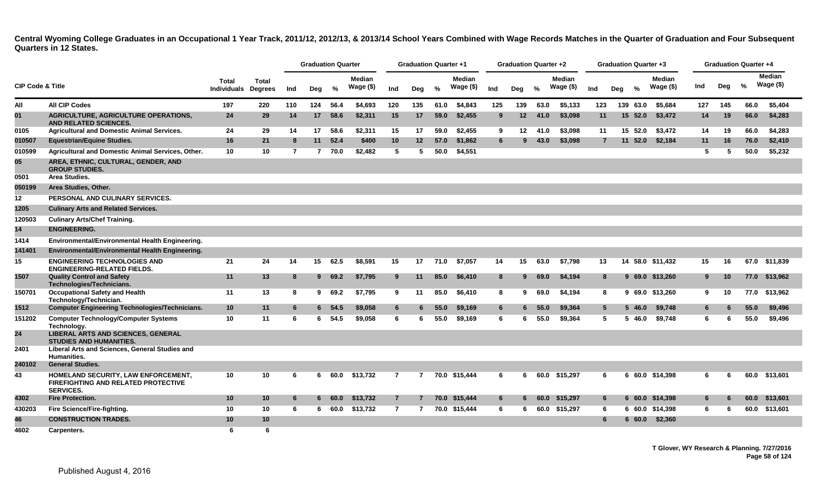|                             |                                                                                                       |                             |                                |                | <b>Graduation Quarter</b> |          |                            |                | <b>Graduation Quarter +1</b> |               |                            |     | <b>Graduation Quarter +2</b> |      |                             |                | <b>Graduation Quarter +3</b> |               |                             |             | Graduation Quarter +4 |      |                             |
|-----------------------------|-------------------------------------------------------------------------------------------------------|-----------------------------|--------------------------------|----------------|---------------------------|----------|----------------------------|----------------|------------------------------|---------------|----------------------------|-----|------------------------------|------|-----------------------------|----------------|------------------------------|---------------|-----------------------------|-------------|-----------------------|------|-----------------------------|
| <b>CIP Code &amp; Title</b> |                                                                                                       | Total<br><b>Individuals</b> | <b>Total</b><br><b>Degrees</b> | Ind            | Deg                       | %        | <b>Median</b><br>Wage (\$) | Ind            | Deg                          | $\frac{0}{2}$ | <b>Median</b><br>Wage (\$) | Ind | Deg                          | $\%$ | <b>Median</b><br>Wage $($)$ | Ind            | Dea                          | $\frac{0}{2}$ | <b>Median</b><br>Wage $($)$ | Ind         | Deg                   | $\%$ | <b>Median</b><br>Wage $($)$ |
| All                         | <b>All CIP Codes</b>                                                                                  | 197                         | 220                            | 110            | 124                       | 56.4     | \$4,693                    | 120            | 135                          | 61.0          | \$4,843                    | 125 | 139                          | 63.0 | \$5,133                     | 123            | 139 63.0                     |               | \$5,684                     | 127         | 145                   | 66.0 | \$5,404                     |
| 01                          | <b>AGRICULTURE, AGRICULTURE OPERATIONS,</b><br>AND RELATED SCIENCES.                                  | 24                          | 29                             | 14             | 17                        | 58.6     | \$2,311                    | 15             | 17                           | 59.0          | \$2,455                    | 9   | 12                           | 41.0 | \$3,098                     | 11             | 15 52.0                      |               | \$3,472                     | 14          | 19                    | 66.0 | \$4,283                     |
| 0105                        | <b>Agricultural and Domestic Animal Services.</b>                                                     | 24                          | 29                             | 14             | 17                        | 58.6     | \$2,311                    | 15             | 17                           | 59.0          | \$2,455                    | 9   | 12                           | 41.0 | \$3,098                     | 11             | 15 52.0                      |               | \$3,472                     | 14          | 19                    | 66.0 | \$4,283                     |
| 010507                      | <b>Equestrian/Equine Studies.</b>                                                                     | 16                          | 21                             | -8             | 11                        | 52.4     | \$400                      | 10             | 12                           | 57.0          | \$1,862                    | 6   | 9                            | 43.0 | \$3,098                     | $\overline{7}$ |                              | 11 52.0       | \$2,184                     | 11          | 16                    | 76.0 | \$2,410                     |
| 010599                      | Agricultural and Domestic Animal Services, Other.                                                     | 10                          | 10                             | $\overline{7}$ | $\overline{7}$            | 70.0     | \$2,482                    | 5              | 5                            | 50.0          | \$4,551                    |     |                              |      |                             |                |                              |               |                             | 5           | 5                     | 50.0 | \$5,232                     |
| 05                          | AREA, ETHNIC, CULTURAL, GENDER, AND<br><b>GROUP STUDIES.</b>                                          |                             |                                |                |                           |          |                            |                |                              |               |                            |     |                              |      |                             |                |                              |               |                             |             |                       |      |                             |
| 0501                        | Area Studies.                                                                                         |                             |                                |                |                           |          |                            |                |                              |               |                            |     |                              |      |                             |                |                              |               |                             |             |                       |      |                             |
| 050199                      | Area Studies, Other.                                                                                  |                             |                                |                |                           |          |                            |                |                              |               |                            |     |                              |      |                             |                |                              |               |                             |             |                       |      |                             |
| 12                          | PERSONAL AND CULINARY SERVICES.                                                                       |                             |                                |                |                           |          |                            |                |                              |               |                            |     |                              |      |                             |                |                              |               |                             |             |                       |      |                             |
| 1205                        | <b>Culinary Arts and Related Services.</b>                                                            |                             |                                |                |                           |          |                            |                |                              |               |                            |     |                              |      |                             |                |                              |               |                             |             |                       |      |                             |
| 120503                      | <b>Culinary Arts/Chef Training.</b>                                                                   |                             |                                |                |                           |          |                            |                |                              |               |                            |     |                              |      |                             |                |                              |               |                             |             |                       |      |                             |
| 14                          | <b>ENGINEERING.</b>                                                                                   |                             |                                |                |                           |          |                            |                |                              |               |                            |     |                              |      |                             |                |                              |               |                             |             |                       |      |                             |
| 1414                        | Environmental/Environmental Health Engineering.                                                       |                             |                                |                |                           |          |                            |                |                              |               |                            |     |                              |      |                             |                |                              |               |                             |             |                       |      |                             |
| 141401                      | Environmental/Environmental Health Engineering.                                                       |                             |                                |                |                           |          |                            |                |                              |               |                            |     |                              |      |                             |                |                              |               |                             |             |                       |      |                             |
| 15                          | <b>ENGINEERING TECHNOLOGIES AND</b><br><b>ENGINEERING-RELATED FIELDS.</b>                             | 21                          | 24                             | 14             | 15                        | 62.5     | \$8,591                    | 15             | 17                           | 71.0          | \$7,057                    | 14  | 15                           | 63.0 | \$7,798                     | 13             |                              |               | 14 58.0 \$11,432            | 15          | 16                    |      | 67.0 \$11,839               |
| 1507                        | <b>Quality Control and Safety</b><br>Technologies/Technicians.                                        | 11                          | 13                             | 8              |                           | 969.2    | \$7,795                    | 9              | 11                           | 85.0          | \$6,410                    | 8   | 9                            | 69.0 | \$4,194                     | 8              |                              |               | 9 69.0 \$13,260             | $9^{\circ}$ | 10                    |      | 77.0 \$13,962               |
| 150701                      | <b>Occupational Safety and Health</b><br>Technology/Technician.                                       | 11                          | 13                             | -8             | 9                         | 69.2     | \$7,795                    | 9              | 11                           | 85.0          | \$6,410                    | 8   | 9                            | 69.0 | \$4.194                     | 8              |                              |               | 9 69.0 \$13,260             | 9           | 10                    | 77.0 | \$13.962                    |
| 1512                        | <b>Computer Engineering Technologies/Technicians.</b>                                                 | 10                          | 11                             | 6              |                           | $6$ 54.5 | \$9,058                    | 6              | 6                            | 55.0          | \$9,169                    | 6   | 6                            | 55.0 | \$9,364                     | 5 <sup>5</sup> |                              | 546.0         | \$9,748                     | 6           | 6                     | 55.0 | \$9,496                     |
| 151202                      | <b>Computer Technology/Computer Systems</b><br>Technology.                                            | 10                          | 11                             | 6              | 6                         | 54.5     | \$9,058                    | 6              | 6                            | 55.0          | \$9,169                    | 6   | -6                           | 55.0 | \$9,364                     | 5              |                              | 5 46.0        | \$9,748                     | 6           | 6                     | 55.0 | \$9,496                     |
| 24                          | <b>LIBERAL ARTS AND SCIENCES, GENERAL</b><br><b>STUDIES AND HUMANITIES.</b>                           |                             |                                |                |                           |          |                            |                |                              |               |                            |     |                              |      |                             |                |                              |               |                             |             |                       |      |                             |
| 2401                        | Liberal Arts and Sciences, General Studies and<br>Humanities.                                         |                             |                                |                |                           |          |                            |                |                              |               |                            |     |                              |      |                             |                |                              |               |                             |             |                       |      |                             |
| 240102                      | <b>General Studies.</b>                                                                               |                             |                                |                |                           |          |                            |                |                              |               |                            |     |                              |      |                             |                |                              |               |                             |             |                       |      |                             |
| 43                          | HOMELAND SECURITY, LAW ENFORCEMENT,<br><b>FIREFIGHTING AND RELATED PROTECTIVE</b><br><b>SERVICES.</b> | 10                          | 10                             | 6              | 6                         | 60.0     | \$13,732                   | $\overline{7}$ | $\overline{7}$               |               | 70.0 \$15,444              | 6   | 6                            |      | 60.0 \$15,297               | 6              |                              |               | 6 60.0 \$14,398             | 6           | 6                     |      | 60.0 \$13,601               |
| 4302                        | <b>Fire Protection.</b>                                                                               | 10                          | 10                             | 6              | 6.                        | 60.0     | \$13,732                   | $\overline{7}$ |                              |               | 70.0 \$15,444              | 6   | 6                            | 60.0 | \$15,297                    | 6              |                              |               | 6 60.0 \$14,398             | 6           |                       | 60.0 | \$13,601                    |
| 430203                      | Fire Science/Fire-fighting.                                                                           | 10                          | 10                             | -6             | 6                         | 60.0     | \$13,732                   | $\overline{7}$ | $\overline{7}$               |               | 70.0 \$15,444              | 6   | 6                            |      | 60.0 \$15,297               | 6              |                              |               | 6 60.0 \$14,398             | 6           | 6                     | 60.0 | \$13,601                    |
| 46                          | <b>CONSTRUCTION TRADES.</b>                                                                           | 10                          | 10                             |                |                           |          |                            |                |                              |               |                            |     |                              |      |                             | 6              |                              | 60.0          | \$2,360                     |             |                       |      |                             |
| 4602                        | Carpenters.                                                                                           | 6                           | 6                              |                |                           |          |                            |                |                              |               |                            |     |                              |      |                             |                |                              |               |                             |             |                       |      |                             |

**T Glover, WY Research & Planning. 7/27/2016 Page 58 of 124**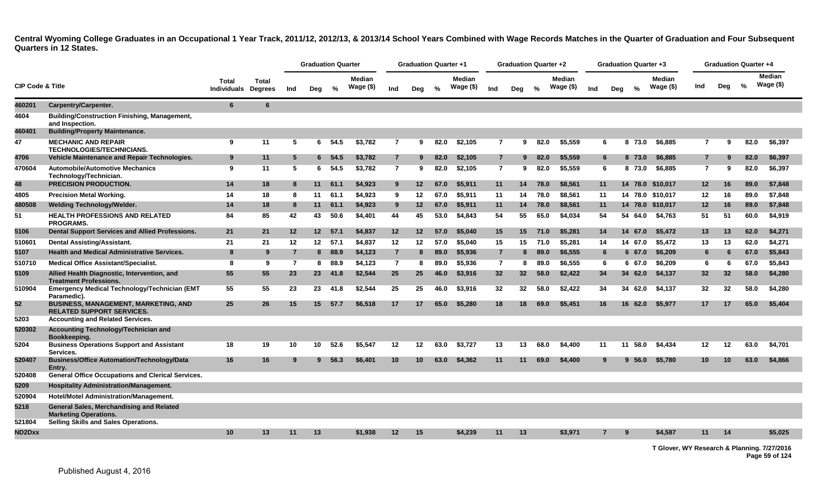|                             |                                                                                 |                      |                                |                | <b>Graduation Quarter</b> |         |                            |                | <b>Graduation Quarter +1</b> |      |                            |                | <b>Graduation Quarter +2</b> |      |                            |     |     | Graduation Quarter +3 |                             |                 | <b>Graduation Quarter +4</b> |               |                             |
|-----------------------------|---------------------------------------------------------------------------------|----------------------|--------------------------------|----------------|---------------------------|---------|----------------------------|----------------|------------------------------|------|----------------------------|----------------|------------------------------|------|----------------------------|-----|-----|-----------------------|-----------------------------|-----------------|------------------------------|---------------|-----------------------------|
| <b>CIP Code &amp; Title</b> |                                                                                 | Total<br>Individuals | <b>Total</b><br><b>Degrees</b> | Ind            | Deg                       | $\%$    | <b>Median</b><br>Wage (\$) | Ind            | Deg                          | $\%$ | <b>Median</b><br>Wage (\$) | Ind            | Deg                          | %    | <b>Median</b><br>Wage (\$) | Ind | Deg | $\frac{0}{2}$         | <b>Median</b><br>Wage $($)$ | Ind             | Dea                          | $\frac{9}{6}$ | <b>Median</b><br>Wage $($)$ |
| 460201                      | Carpentry/Carpenter.                                                            | $6\phantom{1}$       | 6                              |                |                           |         |                            |                |                              |      |                            |                |                              |      |                            |     |     |                       |                             |                 |                              |               |                             |
| 4604                        | <b>Building/Construction Finishing, Management,</b><br>and Inspection.          |                      |                                |                |                           |         |                            |                |                              |      |                            |                |                              |      |                            |     |     |                       |                             |                 |                              |               |                             |
| 460401                      | <b>Building/Property Maintenance.</b>                                           |                      |                                |                |                           |         |                            |                |                              |      |                            |                |                              |      |                            |     |     |                       |                             |                 |                              |               |                             |
| 47                          | <b>MECHANIC AND REPAIR</b><br><b>TECHNOLOGIES/TECHNICIANS.</b>                  | 9                    | 11                             | 5              |                           | 6 54.5  | \$3,782                    | $\overline{7}$ | 9                            | 82.0 | \$2,105                    | $\overline{7}$ | 9                            | 82.0 | \$5,559                    |     | 6   | 8 73.0                | \$6,885                     | $\overline{7}$  | 9                            | 82.0          | \$6,397                     |
| 4706                        | <b>Vehicle Maintenance and Repair Technologies.</b>                             | 9                    | 11                             | 5              |                           | 6, 54.5 | \$3,782                    | $\overline{7}$ | 9                            | 82.0 | \$2,105                    | $\overline{7}$ | 9                            | 82.0 | \$5,559                    |     | 6   | 8 73.0                | \$6,885                     | $\overline{7}$  | 9                            | 82.0          | \$6,397                     |
| 470604                      | <b>Automobile/Automotive Mechanics</b><br>Technology/Technician.                | 9                    | 11                             | -5             | 6                         | 54.5    | \$3,782                    | $\mathbf{7}$   | 9                            | 82.0 | \$2,105                    | $\overline{7}$ | 9                            | 82.0 | \$5,559                    |     | 6   | 8 73.0                | \$6,885                     | $\overline{7}$  | 9                            | 82.0          | \$6,397                     |
| 48                          | <b>PRECISION PRODUCTION.</b>                                                    | 14                   | 18                             | 8              | 11                        | 61.1    | \$4,923                    | 9              | 12                           | 67.0 | \$5,911                    | 11             | 14                           | 78.0 | \$8,561                    |     | 11  | 14 78.0               | \$10,017                    | 12              | 16                           | 89.0          | \$7,848                     |
| 4805                        | <b>Precision Metal Working.</b>                                                 | 14                   | 18                             | -8             | 11                        | 61.1    | \$4,923                    | 9              | $12 \,$                      | 67.0 | \$5,911                    | 11             | 14                           | 78.0 | \$8,561                    |     | 11  |                       | 14 78.0 \$10,017            | 12              | 16                           | 89.0          | \$7,848                     |
| 480508                      | <b>Welding Technology/Welder.</b>                                               | 14                   | 18                             | -8             | 11                        | 61.1    | \$4,923                    | 9              | $12 \,$                      | 67.0 | \$5,911                    | 11             | 14                           | 78.0 | \$8,561                    |     | 11  |                       | 14 78.0 \$10,017            | 12              | 16                           | 89.0          | \$7,848                     |
| 51                          | <b>HEALTH PROFESSIONS AND RELATED</b><br>PROGRAMS.                              | 84                   | 85                             | 42             | 43                        | 50.6    | \$4.401                    | 44             | 45                           | 53.0 | \$4,843                    | 54             | 55                           | 65.0 | \$4.034                    |     | 54  | 54 64.0               | \$4,763                     | 51              | 51                           | 60.0          | \$4,919                     |
| 5106                        | <b>Dental Support Services and Allied Professions.</b>                          | 21                   | 21                             | 12             | 12 <sup>7</sup>           | 57.1    | \$4,837                    | 12             | 12                           | 57.0 | \$5,040                    | 15             | 15 <sub>1</sub>              | 71.0 | \$5,281                    |     | 14  | 14 67.0               | \$5,472                     | 13              | 13                           | 62.0          | \$4,271                     |
| 510601                      | Dental Assisting/Assistant.                                                     | 21                   | 21                             | 12             | 12 <sup>12</sup>          | 57.1    | \$4.837                    | 12             | $12 \,$                      | 57.0 | \$5.040                    | 15             | 15                           | 71.0 | \$5.281                    |     | 14  | 14 67.0               | \$5.472                     | 13              | 13                           | 62.0          | \$4.271                     |
| 5107                        | <b>Health and Medical Administrative Services.</b>                              | 8                    | 9                              | $\overline{7}$ | 8                         | 88.9    | \$4,123                    | $\overline{7}$ | 8                            | 89.0 | \$5,936                    | $\overline{7}$ | 8                            | 89.0 | \$6,555                    |     | 6   | 6 67.0                | \$6,209                     | 6               | 6                            | 67.0          | \$5,843                     |
| 510710                      | <b>Medical Office Assistant/Specialist.</b>                                     | 8                    | 9                              | -7             | 8                         | 88.9    | \$4,123                    | $\overline{7}$ | 8                            | 89.0 | \$5,936                    | $\overline{7}$ | 8                            | 89.0 | \$6.555                    |     | -6  | 6 67.0                | \$6,209                     | 6               | 6                            | 67.0          | \$5,843                     |
| 5109                        | Allied Health Diagnostic, Intervention, and<br><b>Treatment Professions.</b>    | 55                   | 55                             | 23             | 23                        | 41.8    | \$2,544                    | 25             | 25                           | 46.0 | \$3,916                    | 32             | 32 <sub>2</sub>              | 58.0 | \$2,422                    |     | 34  | 34<br>62.0            | \$4,137                     | 32 <sub>2</sub> | 32                           | 58.0          | \$4,280                     |
| 510904                      | <b>Emergency Medical Technology/Technician (EMT</b><br>Paramedic).              | 55                   | 55                             | 23             | 23                        | 41.8    | \$2,544                    | 25             | 25                           | 46.0 | \$3,916                    | 32             | 32                           | 58.0 | \$2,422                    |     | 34  | 34 62.0               | \$4,137                     | 32              | 32                           | 58.0          | \$4,280                     |
| 52                          | <b>BUSINESS, MANAGEMENT, MARKETING, AND</b><br><b>RELATED SUPPORT SERVICES.</b> | 25                   | 26                             | 15             | 15 <sup>1</sup>           | 57.7    | \$6,518                    | 17             | 17                           | 65.0 | \$5,280                    | 18             | 18                           | 69.0 | \$5,451                    |     | 16  | 16<br>62.0            | \$5,977                     | 17              | 17                           | 65.0          | \$5,404                     |
| 5203                        | <b>Accounting and Related Services.</b>                                         |                      |                                |                |                           |         |                            |                |                              |      |                            |                |                              |      |                            |     |     |                       |                             |                 |                              |               |                             |
| 520302                      | Accounting Technology/Technician and<br>Bookkeeping.                            |                      |                                |                |                           |         |                            |                |                              |      |                            |                |                              |      |                            |     |     |                       |                             |                 |                              |               |                             |
| 5204                        | <b>Business Operations Support and Assistant</b><br>Services.                   | 18                   | 19                             | 10             | 10                        | 52.6    | \$5.547                    | 12             | 12                           | 63.0 | \$3,727                    | 13             | 13                           | 68.0 | \$4,400                    |     | 11  | 11 58.0               | \$4,434                     | 12              | 12                           | 63.0          | \$4,701                     |
| 520407                      | <b>Business/Office Automation/Technology/Data</b><br>Entry.                     | 16                   | 16                             |                | 9                         | 56.3    | \$6,401                    | 10             | 10                           | 63.0 | \$4.362                    | 11             | 11                           | 69.0 | \$4,400                    |     | 9   | 9,56.0                | \$5.780                     | 10 <sup>°</sup> | 10                           | 63.0          | \$4,866                     |
| 520408                      | <b>General Office Occupations and Clerical Services.</b>                        |                      |                                |                |                           |         |                            |                |                              |      |                            |                |                              |      |                            |     |     |                       |                             |                 |                              |               |                             |
| 5209                        | <b>Hospitality Administration/Management.</b>                                   |                      |                                |                |                           |         |                            |                |                              |      |                            |                |                              |      |                            |     |     |                       |                             |                 |                              |               |                             |
| 520904                      | Hotel/Motel Administration/Management.                                          |                      |                                |                |                           |         |                            |                |                              |      |                            |                |                              |      |                            |     |     |                       |                             |                 |                              |               |                             |
| 5218                        | General Sales, Merchandising and Related<br><b>Marketing Operations.</b>        |                      |                                |                |                           |         |                            |                |                              |      |                            |                |                              |      |                            |     |     |                       |                             |                 |                              |               |                             |
| 521804                      | Selling Skills and Sales Operations.                                            |                      |                                |                |                           |         |                            |                |                              |      |                            |                |                              |      |                            |     |     |                       |                             |                 |                              |               |                             |
| ND2Dxx                      |                                                                                 | 10                   | 13                             | 11             | 13                        |         | \$1,938                    | 12             | 15                           |      | \$4,239                    | 11             | 13                           |      | \$3,971                    |     |     | 9                     | \$4,587                     | 11              | 14                           |               | \$5,025                     |

**T Glover, WY Research & Planning. 7/27/2016 Page 59 of 124**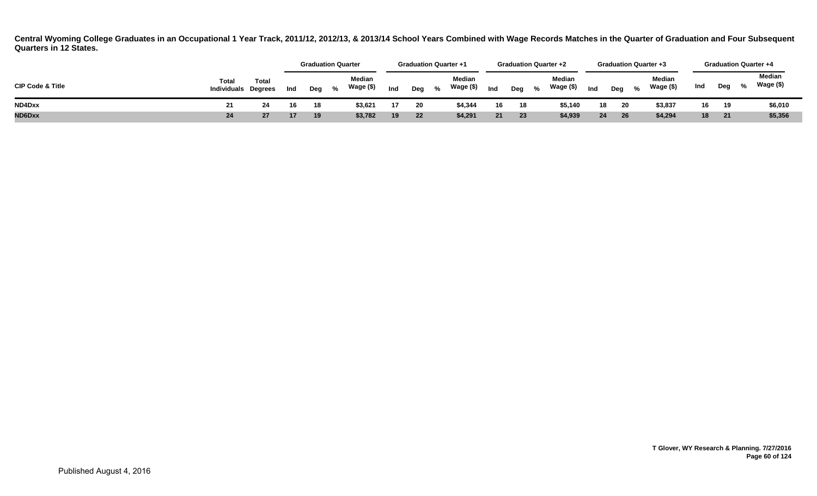|                             |                             |                         |     | <b>Graduation Quarter</b> |   |                     |     |     |      | <b>Graduation Quarter +1</b> |     | <b>Graduation Quarter +2</b> |                     |     | <b>Graduation Quarter +3</b> |                     |     |     |                             | <b>Graduation Quarter +4</b> |
|-----------------------------|-----------------------------|-------------------------|-----|---------------------------|---|---------------------|-----|-----|------|------------------------------|-----|------------------------------|---------------------|-----|------------------------------|---------------------|-----|-----|-----------------------------|------------------------------|
| <b>CIP Code &amp; Title</b> | Total<br><b>Individuals</b> | Total<br><b>Dearees</b> | Ind | Deg                       | % | Median<br>Wage (\$) | Ind | Deg | $\%$ | Median<br>Wage (\$)          | Ind | $\%$<br>Deg                  | Median<br>Wage (\$) | Ind | Dea %                        | Median<br>Wage (\$) | Ind | Deg | $\mathcal{L}_{\mathcal{L}}$ | Median<br>Wage (\$)          |
| ND4Dxx                      | 21                          | 24                      | 16  | 18                        |   | \$3,621             | 17  | 20  |      | \$4,344                      | 16  | 18                           | \$5,140             | 18  | 20                           | \$3,837             | 16  | 19  |                             | \$6,010                      |
| ND6Dxx                      | 24                          | 27                      |     | 19                        |   | \$3,782             | 19  | 22  |      | \$4,291                      |     | 23                           | \$4,939             | 24  | 26                           | \$4,294             | 18  | 21  |                             | \$5,356                      |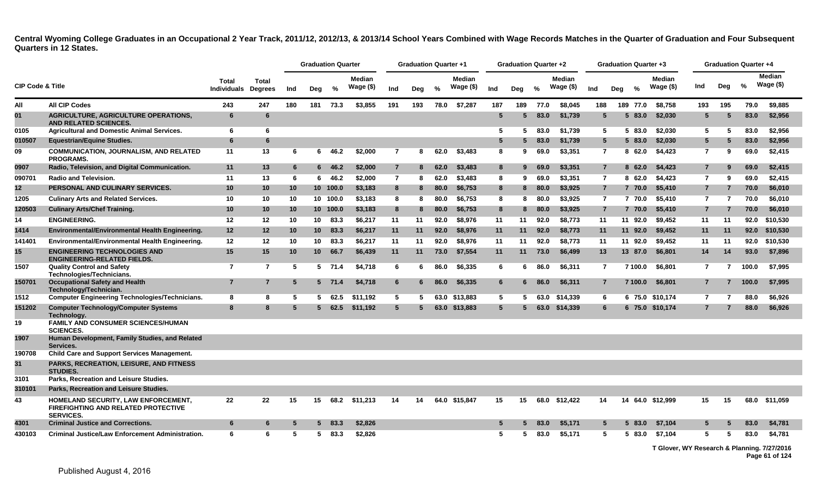|                             |                                                                                                       |                                     |                 |     |                 | <b>Graduation Quarter</b> |                            |                 | <b>Graduation Quarter +1</b> |      |                            |                 | <b>Graduation Quarter +2</b> |      |                            |                 |     |          | <b>Graduation Quarter +3</b> |                | <b>Graduation Quarter +4</b> |       |                            |
|-----------------------------|-------------------------------------------------------------------------------------------------------|-------------------------------------|-----------------|-----|-----------------|---------------------------|----------------------------|-----------------|------------------------------|------|----------------------------|-----------------|------------------------------|------|----------------------------|-----------------|-----|----------|------------------------------|----------------|------------------------------|-------|----------------------------|
| <b>CIP Code &amp; Title</b> |                                                                                                       | Total<br><b>Individuals Degrees</b> | <b>Total</b>    | Ind | Deg             | %                         | <b>Median</b><br>Wage (\$) | Ind             | Deg                          | %    | <b>Median</b><br>Wage (\$) | Ind             | Deg                          | %    | <b>Median</b><br>Wage (\$) | Ind             | Deg | %        | <b>Median</b><br>Wage (\$)   | Ind            | Deg                          | $\%$  | <b>Median</b><br>Wage (\$) |
| All                         | <b>All CIP Codes</b>                                                                                  | 243                                 | 247             | 180 | 181             | 73.3                      | \$3,855                    | 191             | 193                          |      | 78.0 \$7,287               | 187             | 189                          | 77.0 | \$8.045                    | 188             |     | 189 77.0 | \$8.758                      | 193            | 195                          | 79.0  | \$9.885                    |
| 01                          | <b>AGRICULTURE, AGRICULTURE OPERATIONS,</b><br><b>AND RELATED SCIENCES.</b>                           | 6                                   | 6               |     |                 |                           |                            |                 |                              |      |                            | -5              |                              | 83.0 | \$1,739                    | 5               |     | 5 83.0   | \$2,030                      | 5              | 5                            | 83.0  | \$2,956                    |
| 0105                        | <b>Agricultural and Domestic Animal Services.</b>                                                     | 6                                   | 6               |     |                 |                           |                            |                 |                              |      |                            | 5.              | 5                            | 83.0 | \$1.739                    | -5              |     | 5 83.0   | \$2.030                      | -5             | -5                           | 83.0  | \$2.956                    |
| 010507                      | <b>Equestrian/Equine Studies.</b>                                                                     | 6                                   | 6               |     |                 |                           |                            |                 |                              |      |                            | $5\overline{5}$ | 5                            | 83.0 | \$1,739                    | $5\overline{)}$ |     | 5 83.0   | \$2,030                      | 5              | -5                           | 83.0  | \$2,956                    |
| 09                          | <b>COMMUNICATION, JOURNALISM, AND RELATED</b><br><b>PROGRAMS.</b>                                     | 11                                  | 13              | 6   | 6               | 46.2                      | \$2,000                    | $\overline{7}$  | 8                            | 62.0 | \$3,483                    | 8               | 9                            | 69.0 | \$3,351                    | $\overline{7}$  |     | 862.0    | \$4,423                      | 7              | 9                            | 69.0  | \$2,415                    |
| 0907                        | Radio, Television, and Digital Communication.                                                         | 11                                  | 13              | 6   |                 | 646.2                     | \$2,000                    | $\overline{7}$  | 8                            | 62.0 | \$3,483                    | 8               | 9                            | 69.0 | \$3,351                    | $\overline{7}$  |     | 8 62.0   | \$4,423                      | 7              |                              | 69.0  | \$2,415                    |
| 090701                      | <b>Radio and Television.</b>                                                                          | 11                                  | 13              | 6   | 6               | 46.2                      | \$2,000                    | $\overline{7}$  | 8                            | 62.0 | \$3,483                    | 8               | 9                            | 69.0 | \$3,351                    | $\overline{7}$  |     | 862.0    | \$4,423                      | 7              | 9                            | 69.0  | \$2,415                    |
| 12                          | PERSONAL AND CULINARY SERVICES.                                                                       | 10                                  | 10              | 10  |                 | 10 100.0                  | \$3,183                    | 8               | 8                            | 80.0 | \$6,753                    | 8               | 8                            | 80.0 | \$3,925                    | $\overline{7}$  |     | 7 70.0   | \$5,410                      | 7              |                              | 70.0  | \$6,010                    |
| 1205                        | <b>Culinary Arts and Related Services.</b>                                                            | 10                                  | 10              | 10  |                 | 10 100.0                  | \$3.183                    | 8               | 8                            | 80.0 | \$6.753                    | 8               | 8                            | 80.0 | \$3,925                    | $\overline{7}$  |     | 7 70.0   | \$5.410                      | $\overline{7}$ | -7                           | 70.0  | \$6,010                    |
| 120503                      | <b>Culinary Arts/Chef Training.</b>                                                                   | 10                                  | 10              | 10  |                 | 10 100.0                  | \$3,183                    | 8               | 8                            | 80.0 | \$6,753                    | 8               | 8                            | 80.0 | \$3,925                    | $\overline{7}$  |     | 7 70.0   | \$5,410                      | $\overline{7}$ |                              | 70.0  | \$6,010                    |
| 14                          | <b>ENGINEERING.</b>                                                                                   | 12                                  | 12              | 10  | 10              | 83.3                      | \$6,217                    | 11              | 11                           | 92.0 | \$8,976                    | 11              | 11                           | 92.0 | \$8,773                    | 11              |     | 11 92.0  | \$9,452                      | 11             | 11                           | 92.0  | \$10,530                   |
| 1414                        | Environmental/Environmental Health Engineering.                                                       | 12                                  | 12 <sup>2</sup> | 10  | 10 <sup>1</sup> | 83.3                      | \$6,217                    | 11              | 11                           | 92.0 | \$8,976                    | 11              | 11                           | 92.0 | \$8,773                    | 11              |     | 11 92.0  | \$9,452                      | 11             | 11                           | 92.0  | \$10,530                   |
| 141401                      | Environmental/Environmental Health Engineering.                                                       | 12                                  | 12              | 10  | 10              | 83.3                      | \$6,217                    | 11              | 11                           | 92.0 | \$8,976                    | 11              | 11                           | 92.0 | \$8,773                    | 11              |     | 11 92.0  | \$9,452                      | 11             | 11                           | 92.0  | \$10,530                   |
| 15                          | <b>ENGINEERING TECHNOLOGIES AND</b><br><b>ENGINEERING-RELATED FIELDS.</b>                             | 15                                  | 15              | 10  | 10 <sup>°</sup> | 66.7                      | \$6,439                    | 11              | 11                           | 73.0 | \$7,554                    | 11              | 11                           | 73.0 | \$6,499                    | 13              |     | 13 87.0  | \$6,801                      | 14             | 14                           | 93.0  | \$7,896                    |
| 1507                        | <b>Quality Control and Safety</b><br>Technologies/Technicians.                                        | $\overline{7}$                      | $\overline{7}$  | 5   |                 | 5 71.4                    | \$4,718                    | 6               | 6                            | 86.0 | \$6,335                    | 6               | 6                            | 86.0 | \$6,311                    | $\overline{7}$  |     | 7 100.0  | \$6,801                      | $\overline{7}$ | $\overline{7}$               | 100.0 | \$7,995                    |
| 150701                      | <b>Occupational Safety and Health</b><br>Technology/Technician.                                       | $\overline{7}$                      | $\overline{7}$  | 5   |                 | $5$ 71.4                  | \$4,718                    | 6               | 6                            | 86.0 | \$6,335                    | 6               | 6                            | 86.0 | \$6.311                    | $\overline{7}$  |     | 7 100.0  | \$6.801                      | 7              |                              | 100.0 | \$7,995                    |
| 1512                        | <b>Computer Engineering Technologies/Technicians.</b>                                                 | 8                                   | 8               | 5   | 5               | 62.5                      | \$11.192                   | 5               | 5                            |      | 63.0 \$13,883              | $5^{\circ}$     | 5                            | 63.0 | \$14,339                   | 6               |     |          | 6 75.0 \$10,174              | $\overline{7}$ | 7                            | 88.0  | \$6,926                    |
| 151202                      | <b>Computer Technology/Computer Systems</b><br>Technology.                                            | 8                                   | 8               | 5   | $5 -$           | 62.5                      | \$11,192                   | $5\phantom{.0}$ | 5                            | 63.0 | \$13,883                   | $5^{\circ}$     | 5                            | 63.0 | \$14,339                   | 6               |     |          | 6 75.0 \$10,174              | 7              |                              | 88.0  | \$6,926                    |
| 19                          | <b>FAMILY AND CONSUMER SCIENCES/HUMAN</b><br><b>SCIENCES.</b>                                         |                                     |                 |     |                 |                           |                            |                 |                              |      |                            |                 |                              |      |                            |                 |     |          |                              |                |                              |       |                            |
| 1907                        | Human Development, Family Studies, and Related<br>Services.                                           |                                     |                 |     |                 |                           |                            |                 |                              |      |                            |                 |                              |      |                            |                 |     |          |                              |                |                              |       |                            |
| 190708                      | <b>Child Care and Support Services Management.</b>                                                    |                                     |                 |     |                 |                           |                            |                 |                              |      |                            |                 |                              |      |                            |                 |     |          |                              |                |                              |       |                            |
| 31                          | <b>PARKS, RECREATION, LEISURE, AND FITNESS</b><br><b>STUDIES.</b>                                     |                                     |                 |     |                 |                           |                            |                 |                              |      |                            |                 |                              |      |                            |                 |     |          |                              |                |                              |       |                            |
| 3101                        | Parks, Recreation and Leisure Studies.                                                                |                                     |                 |     |                 |                           |                            |                 |                              |      |                            |                 |                              |      |                            |                 |     |          |                              |                |                              |       |                            |
| 310101                      | Parks, Recreation and Leisure Studies.                                                                |                                     |                 |     |                 |                           |                            |                 |                              |      |                            |                 |                              |      |                            |                 |     |          |                              |                |                              |       |                            |
| 43                          | HOMELAND SECURITY, LAW ENFORCEMENT,<br><b>FIREFIGHTING AND RELATED PROTECTIVE</b><br><b>SERVICES.</b> | 22                                  | 22              | 15  | 15              | 68.2                      | \$11.213                   | 14              | 14                           |      | 64.0 \$15,847              | 15              | 15                           | 68.0 | \$12.422                   | 14              |     |          | 14 64.0 \$12.999             | 15             | 15                           | 68.0  | \$11,059                   |
| 4301                        | <b>Criminal Justice and Corrections.</b>                                                              | 6                                   | 6               | 5   | 5.              | 83.3                      | \$2,826                    |                 |                              |      |                            |                 |                              | 83.0 | \$5,171                    | 5               |     | 5 83.0   | \$7,104                      |                |                              | 83.0  | \$4,781                    |
| 430103                      | Criminal Justice/Law Enforcement Administration.                                                      | 6                                   | 6               | 5   | 5               | 83.3                      | \$2,826                    |                 |                              |      |                            | 5               | -5                           | 83.0 | \$5,171                    | 5               |     | 5 83.0   | \$7,104                      | -5             | 5                            | 83.0  | \$4,781                    |

**T Glover, WY Research & Planning. 7/27/2016 Page 61 of 124**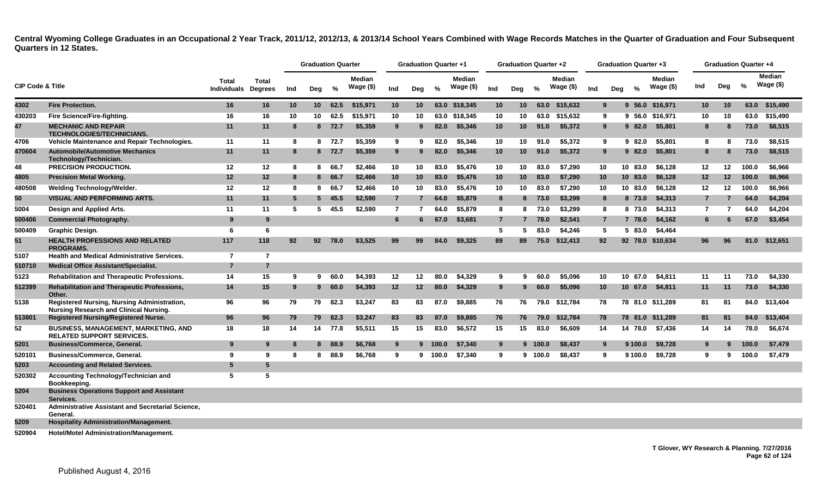|                             |                                                                                              |                                            |                |     | <b>Graduation Quarter</b> |        |                            |                | <b>Graduation Quarter +1</b> |               |                     |                 | <b>Graduation Quarter +2</b> |         |                            |     |                | <b>Graduation Quarter +3</b> |                             |                |                  | <b>Graduation Quarter +4</b> |                            |
|-----------------------------|----------------------------------------------------------------------------------------------|--------------------------------------------|----------------|-----|---------------------------|--------|----------------------------|----------------|------------------------------|---------------|---------------------|-----------------|------------------------------|---------|----------------------------|-----|----------------|------------------------------|-----------------------------|----------------|------------------|------------------------------|----------------------------|
| <b>CIP Code &amp; Title</b> |                                                                                              | <b>Total</b><br><b>Individuals Degrees</b> | <b>Total</b>   | Ind | Deg                       | %      | <b>Median</b><br>Wage (\$) | Ind            | Deg                          | $\frac{9}{6}$ | Median<br>Wage (\$) | Ind             | Deg                          | $\%$    | <b>Median</b><br>Wage (\$) | Ind | Deg            | $\frac{6}{6}$                | <b>Median</b><br>Wage $($)$ | Ind            | Deg              | %                            | <b>Median</b><br>Wage (\$) |
| 4302                        | <b>Fire Protection.</b>                                                                      | 16                                         | 16             | 10  | 10 <sup>1</sup>           | 62.5   | \$15,971                   | 10             | 10                           |               | 63.0 \$18,345       | 10 <sup>°</sup> | 10 <sup>°</sup>              | 63.0    | \$15,632                   |     | 9              | $9\,56.0$                    | \$16,971                    | 10             | 10               | 63.0                         | \$15,490                   |
| 430203                      | Fire Science/Fire-fighting.                                                                  | 16                                         | 16             | 10  | 10                        | 62.5   | \$15.971                   | 10             | 10                           |               | 63.0 \$18,345       | 10              | 10                           | 63.0    | \$15,632                   | 9   |                |                              | 9 56.0 \$16,971             | 10             | 10               | 63.0                         | \$15,490                   |
| 47                          | <b>MECHANIC AND REPAIR</b><br><b>TECHNOLOGIES/TECHNICIANS.</b>                               | 11                                         | 11             | -8  |                           | 8 72.7 | \$5,359                    | 9              | 9                            | 82.0          | \$5,346             | 10 <sup>°</sup> | 10 <sup>°</sup>              | 91.0    | \$5,372                    | 9   |                | 982.0                        | \$5,801                     | 8              | 8                | 73.0                         | \$8,515                    |
| 4706                        | Vehicle Maintenance and Repair Technologies.                                                 | 11                                         | 11             | 8   |                           | 8 72.7 | \$5,359                    | 9              | 9                            | 82.0          | \$5,346             | 10              | 10                           | 91.0    | \$5,372                    | 9   |                | 982.0                        | \$5,801                     | 8              | 8                | 73.0                         | \$8,515                    |
| 470604                      | <b>Automobile/Automotive Mechanics</b><br>Technology/Technician.                             | 11                                         | 11             | -8  |                           | 8 72.7 | \$5,359                    | 9              |                              | 82.0          | \$5,346             | 10 <sup>1</sup> | 10 <sup>°</sup>              | 91.0    | \$5,372                    |     | 9              | 982.0                        | \$5,801                     | 8              | 8                | 73.0                         | \$8,515                    |
| 48                          | <b>PRECISION PRODUCTION.</b>                                                                 | 12                                         | 12             | -8  |                           | 8 66.7 | \$2,466                    | 10             | 10                           | 83.0          | \$5.476             | 10              | 10                           | 83.0    | \$7.290                    | 10  |                | 10 83.0                      | \$6.128                     | $12 \,$        | 12 <sup>12</sup> | 100.0                        | \$6.966                    |
| 4805                        | <b>Precision Metal Working.</b>                                                              | 12                                         | 12             | 8   |                           | 8 66.7 | \$2,466                    | 10             | 10                           | 83.0          | \$5,476             | 10 <sub>1</sub> | 10 <sup>1</sup>              | 83.0    | \$7,290                    | 10  |                | 10 83.0                      | \$6,128                     | 12             | 12               | 100.0                        | \$6,966                    |
| 480508                      | <b>Welding Technology/Welder.</b>                                                            | 12                                         | 12             | 8   | 8                         | 66.7   | \$2,466                    | 10             | 10                           | 83.0          | \$5,476             | 10              | 10                           | 83.0    | \$7,290                    | 10  |                | 10 83.0                      | \$6,128                     | 12             | 12               | 100.0                        | \$6,966                    |
| 50                          | <b>VISUAL AND PERFORMING ARTS.</b>                                                           | 11                                         | 11             | 5   | 5 <sub>5</sub>            | 45.5   | \$2,590                    | $\overline{7}$ | 7                            | 64.0          | \$5,879             | 8               | 8                            | 73.0    | \$3,299                    | 8   |                | 8 73.0                       | \$4,313                     | $\overline{7}$ | 7                | 64.0                         | \$4,204                    |
| 5004                        | Design and Applied Arts.                                                                     | 11                                         | 11             | 5   | 5                         | 45.5   | \$2,590                    | 7              | 7                            | 64.0          | \$5,879             | 8               | 8                            | 73.0    | \$3,299                    | 8   |                | 8 73.0                       | \$4,313                     | 7              | 7                | 64.0                         | \$4,204                    |
| 500406                      | <b>Commercial Photography.</b>                                                               | -9                                         | 9              |     |                           |        |                            | 6              | 6                            | 67.0          | \$3,681             | $\overline{7}$  | 7                            | 78.0    | \$2,541                    |     | $\overline{7}$ | 7 78.0                       | \$4,162                     | 6              | 6                | 67.0                         | \$3,454                    |
| 500409                      | Graphic Design.                                                                              | -6                                         | 6              |     |                           |        |                            |                |                              |               |                     | 5               | 5.                           | 83.0    | \$4,246                    | -5  |                | 5 83.0                       | \$4,464                     |                |                  |                              |                            |
| 51                          | <b>HEALTH PROFESSIONS AND RELATED</b><br><b>PROGRAMS.</b>                                    | 117                                        | 118            | 92  | 92 <sub>2</sub>           | 78.0   | \$3,525                    | 99             | 99                           | 84.0          | \$9,325             | 89              | 89                           | 75.0    | \$12,413                   | 92  |                |                              | 92 78.0 \$10,634            | 96             | 96               | 81.0                         | \$12,651                   |
| 5107                        | Health and Medical Administrative Services.                                                  | $\overline{7}$                             | $\overline{7}$ |     |                           |        |                            |                |                              |               |                     |                 |                              |         |                            |     |                |                              |                             |                |                  |                              |                            |
| 510710                      | <b>Medical Office Assistant/Specialist.</b>                                                  | $\overline{7}$                             | $\overline{7}$ |     |                           |        |                            |                |                              |               |                     |                 |                              |         |                            |     |                |                              |                             |                |                  |                              |                            |
| 5123                        | <b>Rehabilitation and Therapeutic Professions.</b>                                           | 14                                         | 15             | 9   | 9                         | 60.0   | \$4.393                    | 12             | 12                           | 80.0          | \$4.329             | 9               | 9                            | 60.0    | \$5,096                    | 10  |                | 10 67.0                      | \$4.811                     | 11             | 11               | 73.0                         | \$4.330                    |
| 512399                      | Rehabilitation and Therapeutic Professions,<br>Other.                                        | 14                                         | 15             | 9   | 9                         | 60.0   | \$4,393                    | 12             | 12 <sup>2</sup>              | 80.0          | \$4,329             | 9               | 9                            | 60.0    | \$5,096                    | 10  |                | 10, 67.0                     | \$4,811                     | 11             | 11               | 73.0                         | \$4,330                    |
| 5138                        | Registered Nursing, Nursing Administration,<br><b>Nursing Research and Clinical Nursing.</b> | 96                                         | 96             | 79  | 79                        | 82.3   | \$3,247                    | 83             | 83                           | 87.0          | \$9.885             | 76              | 76                           | 79.0    | \$12.784                   | 78  |                |                              | 78 81.0 \$11.289            | 81             | -81              | 84.0                         | \$13,404                   |
| 513801                      | <b>Registered Nursing/Registered Nurse.</b>                                                  | 96                                         | 96             | 79  | 79                        | 82.3   | \$3,247                    | 83             | 83                           | 87.0          | \$9,885             | 76              | 76                           | 79.0    | \$12,784                   | 78  |                |                              | 78 81.0 \$11,289            | 81             | 81               | 84.0                         | \$13,404                   |
| 52                          | <b>BUSINESS, MANAGEMENT, MARKETING, AND</b><br><b>RELATED SUPPORT SERVICES.</b>              | 18                                         | 18             | 14  | 14                        | 77.8   | \$5,511                    | 15             | 15                           | 83.0          | \$6,572             | 15              | 15                           | 83.0    | \$6,609                    | 14  |                | 14 78.0                      | \$7,436                     | 14             | 14               | 78.0                         | \$6,674                    |
| 5201                        | <b>Business/Commerce, General.</b>                                                           | 9                                          | 9              | 8   |                           | 8 88.9 | \$6,768                    | 9              |                              | 9 100.0       | \$7,340             | 9               |                              | 9 100.0 | \$8,437                    |     | 9              | 9 100.0                      | \$9,728                     | 9              | 9                | 100.0                        | \$7,479                    |
| 520101                      | Business/Commerce, General.                                                                  | 9                                          | 9              | -8  | 8                         | 88.9   | \$6,768                    | 9              | 9                            | 100.0         | \$7,340             | 9               |                              | 9 100.0 | \$8,437                    | 9   |                | 9 100.0                      | \$9,728                     | 9              | 9                | 100.0                        | \$7,479                    |
| 5203                        | <b>Accounting and Related Services.</b>                                                      | -5                                         | 5              |     |                           |        |                            |                |                              |               |                     |                 |                              |         |                            |     |                |                              |                             |                |                  |                              |                            |
| 520302                      | Accounting Technology/Technician and<br>Bookkeeping.                                         | -5                                         | 5              |     |                           |        |                            |                |                              |               |                     |                 |                              |         |                            |     |                |                              |                             |                |                  |                              |                            |
| 5204                        | <b>Business Operations Support and Assistant</b><br>Services.                                |                                            |                |     |                           |        |                            |                |                              |               |                     |                 |                              |         |                            |     |                |                              |                             |                |                  |                              |                            |
| 520401                      | Administrative Assistant and Secretarial Science,<br>General.                                |                                            |                |     |                           |        |                            |                |                              |               |                     |                 |                              |         |                            |     |                |                              |                             |                |                  |                              |                            |
| 5209                        | <b>Hospitality Administration/Management.</b>                                                |                                            |                |     |                           |        |                            |                |                              |               |                     |                 |                              |         |                            |     |                |                              |                             |                |                  |                              |                            |
| 520904                      | <b>Hotel/Motel Administration/Management.</b>                                                |                                            |                |     |                           |        |                            |                |                              |               |                     |                 |                              |         |                            |     |                |                              |                             |                |                  |                              |                            |

**T Glover, WY Research & Planning. 7/27/2016 Page 62 of 124**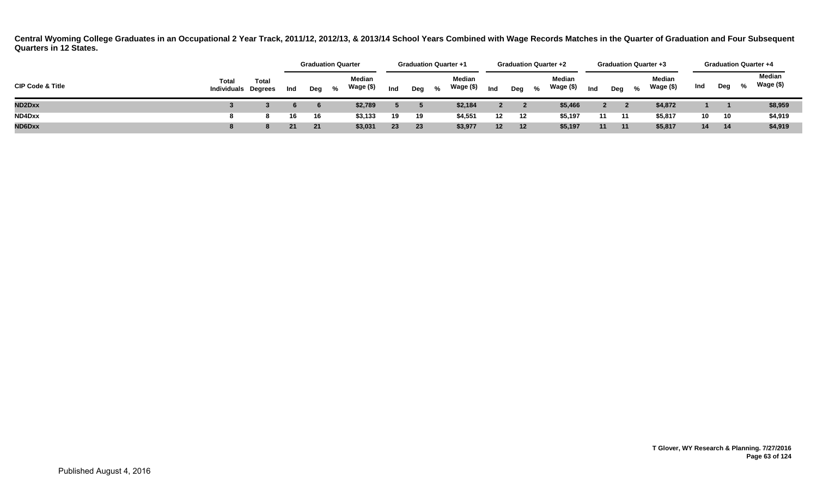|                             |                                            |       |     |       | <b>Graduation Quarter</b><br><b>Median</b> |     |     |   | <b>Graduation Quarter +1</b> |                 |       | <b>Graduation Quarter +2</b> |     |     |   | <b>Graduation Quarter +3</b> |                 |     |   | <b>Graduation Quarter +4</b> |
|-----------------------------|--------------------------------------------|-------|-----|-------|--------------------------------------------|-----|-----|---|------------------------------|-----------------|-------|------------------------------|-----|-----|---|------------------------------|-----------------|-----|---|------------------------------|
| <b>CIP Code &amp; Title</b> | <b>Total</b><br><b>Individuals Degrees</b> | Total | Ind | Deg % | Wage (\$)                                  | Ind | Dea | % | Median<br>Wage (\$)          | Ind             | Deg % | Median<br>Wage (\$)          | Ind | Dea | % | Median<br>Wage (\$)          | Ind             | Deg | % | Median<br>Wage (\$)          |
| <b>ND2Dxx</b>               |                                            |       |     |       | \$2,789                                    |     |     |   | \$2,184                      |                 |       | \$5,466                      |     |     |   | \$4,872                      |                 |     |   | \$8,959                      |
| ND4Dxx                      |                                            |       | 16  | 16    | \$3,133                                    | 19  | 19  |   | \$4,551                      | 12              | 12    | \$5,197                      | 11  | 11  |   | \$5,817                      | 10 <sup>1</sup> | 10  |   | \$4,919                      |
| ND6Dxx                      |                                            |       | 21  | 21    | \$3,031                                    | 23  | 23  |   | \$3,977                      | 12 <sup>2</sup> | 12    | \$5,197                      | 11  | 11  |   | \$5,817                      | 14              | 14  |   | \$4,919                      |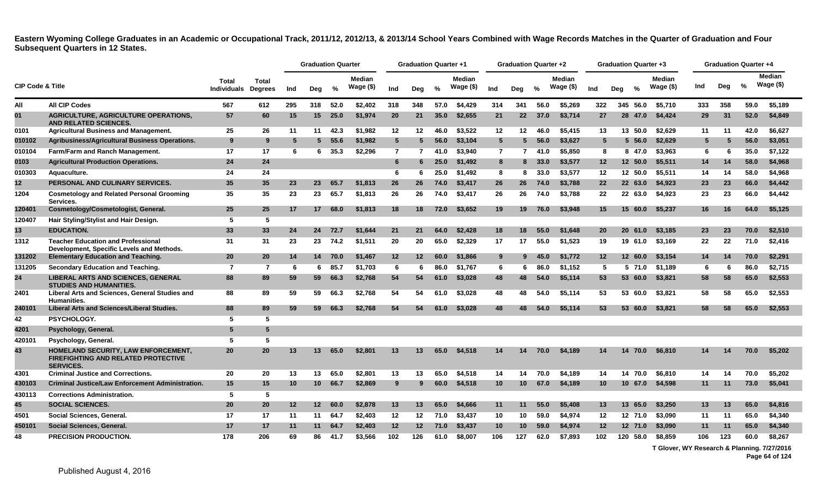|                             |                                                                                                       |                             |                         |     | <b>Graduation Quarter</b> |               |                            |                | <b>Graduation Quarter +1</b> |               |                            |                 | <b>Graduation Quarter +2</b> |               |                             |                 | <b>Graduation Quarter +3</b> |               |                             |     |     | <b>Graduation Quarter +4</b> |                            |
|-----------------------------|-------------------------------------------------------------------------------------------------------|-----------------------------|-------------------------|-----|---------------------------|---------------|----------------------------|----------------|------------------------------|---------------|----------------------------|-----------------|------------------------------|---------------|-----------------------------|-----------------|------------------------------|---------------|-----------------------------|-----|-----|------------------------------|----------------------------|
| <b>CIP Code &amp; Title</b> |                                                                                                       | <b>Total</b><br>Individuals | Total<br><b>Degrees</b> | Ind | Deg                       | %             | <b>Median</b><br>Wage (\$) | Ind            | Deg                          | $\frac{0}{2}$ | <b>Median</b><br>Wage (\$) | Ind             | Deg                          | $\frac{0}{0}$ | <b>Median</b><br>Wage $($)$ | Ind             | Dea                          | $\frac{0}{2}$ | <b>Median</b><br>Wage $($)$ | Ind | Deg | %                            | <b>Median</b><br>Wage (\$) |
| All                         | <b>All CIP Codes</b>                                                                                  | 567                         | 612                     | 295 | 318                       | 52.0          | \$2,402                    | 318            | 348                          | 57.0          | \$4,429                    | 314             | 341                          | 56.0          | \$5,269                     | 322             |                              | 345 56.0      | \$5,710                     | 333 | 358 | 59.0                         | \$5,189                    |
| 01                          | <b>AGRICULTURE, AGRICULTURE OPERATIONS,</b><br><b>AND RELATED SCIENCES.</b>                           | 57                          | 60                      | 15  | 15                        | 25.0          | \$1,974                    | 20             | 21                           | 35.0          | \$2,655                    | 21              | 22                           | 37.0          | \$3,714                     | 27              |                              | 28 47.0       | \$4,424                     | 29  | 31  | 52.0                         | \$4,849                    |
| 0101                        | <b>Agricultural Business and Management.</b>                                                          | 25                          | 26                      | 11  | 11                        | 42.3          | \$1,982                    | 12             | 12                           | 46.0          | \$3,522                    | 12              | 12                           | 46.0          | \$5,415                     | 13              |                              | 13 50.0       | \$2,629                     | 11  | 11  | 42.0                         | \$6,627                    |
| 010102                      | Agribusiness/Agricultural Business Operations.                                                        | 9                           | 9                       | 5   | $5 -$                     | 55.6          | \$1.982                    | 5 <sup>5</sup> | 5                            | 56.0          | \$3.104                    | $5\overline{5}$ | 5                            | 56.0          | \$3.627                     | 5               |                              | 5, 56.0       | \$2,629                     | 5   | -5  | 56.0                         | \$3.051                    |
| 010104                      | Farm/Farm and Ranch Management.                                                                       | 17                          | 17                      | 6   |                           | $6\quad 35.3$ | \$2,296                    | $\overline{7}$ | 7                            | 41.0          | \$3,940                    | $\mathbf{7}$    | 7                            | 41.0          | \$5,850                     | 8               |                              | 8 47.0        | \$3,963                     | 6   | 6   | 35.0                         | \$7,122                    |
| 0103                        | <b>Agricultural Production Operations.</b>                                                            | 24                          | 24                      |     |                           |               |                            | 6              | 6                            | 25.0          | \$1,492                    | 8               | 8                            | 33.0          | \$3,577                     | 12 <sup>2</sup> |                              | 12 50.0       | \$5,511                     | 14  | 14  | 58.0                         | \$4,968                    |
| 010303                      | Aquaculture.                                                                                          | 24                          | 24                      |     |                           |               |                            | 6              | 6                            | 25.0          | \$1,492                    | 8               | 8                            | 33.0          | \$3,577                     | 12              |                              | 12 50.0       | \$5,511                     | 14  | 14  | 58.0                         | \$4,968                    |
| 12                          | PERSONAL AND CULINARY SERVICES.                                                                       | 35                          | 35                      | 23  | 23                        | 65.7          | \$1,813                    | 26             | 26                           | 74.0          | \$3,417                    | 26              | 26                           | 74.0          | \$3,788                     | 22              |                              | 22 63.0       | \$4,923                     | 23  | 23  | 66.0                         | \$4,442                    |
| 1204                        | <b>Cosmetology and Related Personal Grooming</b><br>Services.                                         | 35                          | 35                      | 23  | 23                        | 65.7          | \$1,813                    | 26             | 26                           | 74.0          | \$3,417                    | 26              | 26                           | 74.0          | \$3,788                     | 22              |                              | 22 63.0       | \$4,923                     | 23  | 23  | 66.0                         | \$4,442                    |
| 120401                      | Cosmetology/Cosmetologist, General.                                                                   | 25                          | 25                      | 17  | 17 <sup>2</sup>           | 68.0          | \$1,813                    | 18             | 18                           | 72.0          | \$3,652                    | 19              | 19                           | 76.0          | \$3,948                     | 15              |                              | 15 60.0       | \$5,237                     | 16  | 16  | 64.0                         | \$5,125                    |
| 120407                      | Hair Styling/Stylist and Hair Design.                                                                 | 5                           | 5                       |     |                           |               |                            |                |                              |               |                            |                 |                              |               |                             |                 |                              |               |                             |     |     |                              |                            |
| 13                          | <b>EDUCATION.</b>                                                                                     | 33                          | 33                      | 24  | 24                        | 72.7          | \$1,644                    | 21             | 21                           | 64.0          | \$2,428                    | 18              | 18                           | 55.0          | \$1,648                     | 20              |                              | 20 61.0       | \$3,185                     | 23  | 23  | 70.0                         | \$2,510                    |
| 1312                        | <b>Teacher Education and Professional</b><br>Development, Specific Levels and Methods.                | 31                          | 31                      | 23  | 23                        | 74.2          | \$1,511                    | 20             | 20                           | 65.0          | \$2,329                    | 17              | 17                           | 55.0          | \$1,523                     | 19              |                              | 19 61.0       | \$3,169                     | 22  | 22  | 71.0                         | \$2,416                    |
| 131202                      | <b>Elementary Education and Teaching.</b>                                                             | 20                          | 20                      | 14  | 14                        | 70.0          | \$1,467                    | 12             | $12 \,$                      | 60.0          | \$1,866                    | 9               | Q                            | 45.0          | \$1,772                     | 12 <sup>2</sup> |                              | 12 60.0       | \$3,154                     | 14  | 14  | 70.0                         | \$2,291                    |
| 131205                      | Secondary Education and Teaching.                                                                     | $\overline{7}$              | 7                       | 6   | 6                         | 85.7          | \$1,703                    | 6              | 6                            | 86.0          | \$1,767                    | 6               | 6                            | 86.0          | \$1,152                     | 5               |                              | 5 71.0        | \$1,189                     | 6   | 6   | 86.0                         | \$2,715                    |
| 24                          | <b>LIBERAL ARTS AND SCIENCES, GENERAL</b><br><b>STUDIES AND HUMANITIES.</b>                           | 88                          | 89                      | 59  | 59                        | 66.3          | \$2,768                    | 54             | 54                           | 61.0          | \$3,028                    | 48              | 48                           | 54.0          | \$5,114                     | 53              |                              | 53 60.0       | \$3,821                     | 58  | 58  | 65.0                         | \$2,553                    |
| 2401                        | Liberal Arts and Sciences, General Studies and<br><b>Humanities.</b>                                  | 88                          | 89                      | 59  | 59                        | 66.3          | \$2,768                    | 54             | 54                           | 61.0          | \$3,028                    | 48              | 48                           | 54.0          | \$5,114                     | 53              |                              | 53 60.0       | \$3.821                     | 58  | 58  | 65.0                         | \$2,553                    |
| 240101                      | Liberal Arts and Sciences/Liberal Studies.                                                            | 88                          | 89                      | 59  | 59                        | 66.3          | \$2,768                    | 54             | 54                           | 61.0          | \$3,028                    | 48              | 48                           | 54.0          | \$5,114                     | 53              |                              | 53 60.0       | \$3,821                     | 58  | 58  | 65.0                         | \$2,553                    |
| 42                          | PSYCHOLOGY.                                                                                           | -5                          | 5                       |     |                           |               |                            |                |                              |               |                            |                 |                              |               |                             |                 |                              |               |                             |     |     |                              |                            |
| 4201                        | Psychology, General.                                                                                  | 5                           | 5                       |     |                           |               |                            |                |                              |               |                            |                 |                              |               |                             |                 |                              |               |                             |     |     |                              |                            |
| 420101                      | Psychology, General.                                                                                  | -5                          | 5                       |     |                           |               |                            |                |                              |               |                            |                 |                              |               |                             |                 |                              |               |                             |     |     |                              |                            |
| 43                          | HOMELAND SECURITY, LAW ENFORCEMENT,<br><b>FIREFIGHTING AND RELATED PROTECTIVE</b><br><b>SERVICES.</b> | 20                          | 20                      | 13  | 13                        | 65.0          | \$2,801                    | 13             | 13                           | 65.0          | \$4,518                    | 14              | 14                           | 70.0          | \$4,189                     | 14              | 14                           | 70.0          | \$6,810                     | 14. | 14  | 70.0                         | \$5,202                    |
| 4301                        | <b>Criminal Justice and Corrections.</b>                                                              | 20                          | 20                      | 13  | 13                        | 65.0          | \$2,801                    | 13             | 13                           | 65.0          | \$4,518                    | 14              | 14                           | 70.0          | \$4,189                     | 14              |                              | 14 70.0       | \$6,810                     | 14  | 14  | 70.0                         | \$5,202                    |
| 430103                      | <b>Criminal Justice/Law Enforcement Administration.</b>                                               | 15                          | 15                      | 10  | 10                        | 66.7          | \$2,869                    | 9              | 9                            | 60.0          | \$4,518                    | 10              | 10                           | 67.0          | \$4,189                     | 10 <sup>°</sup> |                              | 10, 67.0      | \$4,598                     | 11  | 11  | 73.0                         | \$5,041                    |
| 430113                      | <b>Corrections Administration.</b>                                                                    | 5                           | 5                       |     |                           |               |                            |                |                              |               |                            |                 |                              |               |                             |                 |                              |               |                             |     |     |                              |                            |
| 45                          | <b>SOCIAL SCIENCES.</b>                                                                               | 20                          | 20                      | 12  | 12 <sup>7</sup>           | 60.0          | \$2,878                    | 13             | 13                           | 65.0          | \$4,666                    | 11              | 11                           | 55.0          | \$5,408                     | 13              |                              | 13 65.0       | \$3,250                     | 13  | 13  | 65.0                         | \$4,816                    |
| 4501                        | Social Sciences, General.                                                                             | 17                          | 17                      | 11  | 11                        | 64.7          | \$2,403                    | 12             | 12                           | 71.0          | \$3,437                    | 10              | 10                           | 59.0          | \$4,974                     | $12 \,$         |                              | 12 71.0       | \$3,090                     | 11  | -11 | 65.0                         | \$4,340                    |
| 450101                      | Social Sciences, General.                                                                             | 17                          | 17                      | 11  | 11                        | 64.7          | \$2,403                    | 12             | $12 \,$                      | 71.0          | \$3,437                    | 10              | 10                           | 59.0          | \$4,974                     | 12 <sup>2</sup> |                              | 12 71.0       | \$3,090                     | 11  | 11  | 65.0                         | \$4,340                    |
| 48                          | <b>PRECISION PRODUCTION.</b>                                                                          | 178                         | 206                     | 69  | 86                        | 41.7          | \$3,566                    | 102            | 126                          | 61.0          | \$8.007                    | 106             | 127                          | 62.0          | \$7.893                     | 102             |                              | 120 58.0      | \$8.859                     | 106 | 123 | 60.0                         | \$8,267                    |
|                             |                                                                                                       |                             |                         |     |                           |               |                            |                |                              |               |                            |                 |                              |               |                             |                 |                              |               |                             |     |     |                              |                            |

**T Glover, WY Research & Planning. 7/27/2016**

**Page 64 of 124**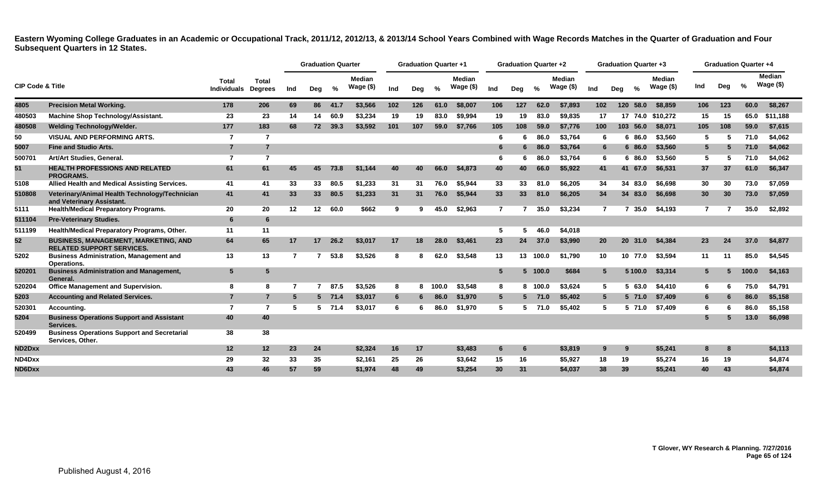|                             |                                                                                 |                             |                                |                | <b>Graduation Quarter</b> |          |                      |     | <b>Graduation Quarter +1</b> |               |                            |                | <b>Graduation Quarter +2</b> |               |                        |                | <b>Graduation Quarter +3</b> |               |                      |     | <b>Graduation Quarter +4</b> |               |                            |
|-----------------------------|---------------------------------------------------------------------------------|-----------------------------|--------------------------------|----------------|---------------------------|----------|----------------------|-----|------------------------------|---------------|----------------------------|----------------|------------------------------|---------------|------------------------|----------------|------------------------------|---------------|----------------------|-----|------------------------------|---------------|----------------------------|
| <b>CIP Code &amp; Title</b> |                                                                                 | Total<br><b>Individuals</b> | <b>Total</b><br><b>Degrees</b> | Ind            | Deg                       | %        | Median<br>Wage $($)$ | Ind | Deg                          | $\frac{0}{2}$ | <b>Median</b><br>Wage (\$) | Ind            | Deg                          | $\frac{0}{0}$ | Median<br>Wage $($ \$) | Ind            | Deg                          | $\frac{9}{6}$ | Median<br>Wage $($)$ | Ind | Dea                          | $\frac{0}{0}$ | <b>Median</b><br>Wage (\$) |
| 4805                        | <b>Precision Metal Working.</b>                                                 | 178                         | 206                            | 69             | 86                        | 41.7     | \$3,566              | 102 | 126                          | 61.0          | \$8,007                    | 106            | 127                          | 62.0          | \$7.893                | 102            | 120                          | 58.0          | \$8,859              | 106 | 123                          | 60.0          | \$8,267                    |
| 480503                      | <b>Machine Shop Technology/Assistant.</b>                                       | 23                          | 23                             | 14             | 14                        | 60.9     | \$3.234              | 19  | 19                           | 83.0          | \$9.994                    | 19             | 19                           | 83.0          | \$9.835                | 17             |                              |               | 17 74.0 \$10,272     | 15  | 15                           | 65.0          | \$11.188                   |
| 480508                      | <b>Welding Technology/Welder.</b>                                               | 177                         | 183                            | 68             | 72                        | 39.3     | \$3,592              | 101 | 107                          | 59.0          | \$7.766                    | 105            | 108                          | 59.0          | \$7.776                | 100            |                              | 103 56.0      | \$8,071              | 105 | 108                          | 59.0          | \$7,615                    |
| 50                          | <b>VISUAL AND PERFORMING ARTS.</b>                                              | 7                           | $\overline{7}$                 |                |                           |          |                      |     |                              |               |                            | 6              | 6                            | 86.0          | \$3,764                | 6              |                              | 6 86.0        | \$3,560              | -5  | 5                            | 71.0          | \$4,062                    |
| 5007                        | <b>Fine and Studio Arts.</b>                                                    | $\overline{7}$              | $\overline{7}$                 |                |                           |          |                      |     |                              |               |                            | 6              |                              | 86.0          | \$3.764                | 6              |                              | 686.0         | \$3,560              | 5   |                              | 71.0          | \$4,062                    |
| 500701                      | Art/Art Studies, General.                                                       | 7                           | $\overline{7}$                 |                |                           |          |                      |     |                              |               |                            | 6              |                              | 86.0          | \$3.764                | 6              |                              | 6 86.0        | \$3,560              | 5   |                              | 71.0          | \$4,062                    |
| 51                          | <b>HEALTH PROFESSIONS AND RELATED</b><br><b>PROGRAMS.</b>                       | 61                          | 61                             | 45             | 45                        | 73.8     | \$1.144              | 40  | 40                           | 66.0          | \$4,873                    | 40             | 40                           | 66.0          | \$5,922                | 41             |                              | 41 67.0       | \$6,531              | 37  | 37                           | 61.0          | \$6,347                    |
| 5108                        | Allied Health and Medical Assisting Services.                                   | 41                          | 41                             | 33             | 33                        | 80.5     | \$1,233              | 31  | 31                           | 76.0          | \$5,944                    | 33             | 33                           | 81.0          | \$6,205                | 34             |                              | 34 83.0       | \$6,698              | 30  | 30                           | 73.0          | \$7,059                    |
| 510808                      | Veterinary/Animal Health Technology/Technician<br>and Veterinary Assistant.     | 41                          | 41                             | 33             | 33 <sup>°</sup>           | 80.5     | \$1,233              | 31  | 31                           | 76.0          | \$5,944                    | 33             | 33                           | 81.0          | \$6,205                | 34             |                              | 34 83.0       | \$6,698              | 30  | 30                           | 73.0          | \$7,059                    |
| 5111                        | <b>Health/Medical Preparatory Programs.</b>                                     | 20                          | 20                             | 12             | $12 \,$                   | 60.0     | \$662                | 9   | 9                            | 45.0          | \$2,963                    | $\overline{7}$ |                              | 35.0          | \$3,234                | $\overline{7}$ |                              | 35.0          | \$4,193              | 7   |                              | 35.0          | \$2,892                    |
| 511104                      | <b>Pre-Veterinary Studies.</b>                                                  | 6                           | 6                              |                |                           |          |                      |     |                              |               |                            |                |                              |               |                        |                |                              |               |                      |     |                              |               |                            |
| 511199                      | Health/Medical Preparatory Programs, Other.                                     | 11                          | 11                             |                |                           |          |                      |     |                              |               |                            | 5              | 5                            | 46.0          | \$4,018                |                |                              |               |                      |     |                              |               |                            |
| 52                          | <b>BUSINESS, MANAGEMENT, MARKETING, AND</b><br><b>RELATED SUPPORT SERVICES.</b> | 64                          | 65                             | 17             | 17                        | 26.2     | \$3,017              | 17  | 18                           | 28.0          | \$3,461                    | 23             | 24                           | 37.0          | \$3,990                | 20             |                              | 20 31.0       | \$4,384              | 23  | 24                           | 37.0          | \$4,877                    |
| 5202                        | <b>Business Administration, Management and</b><br>Operations.                   | 13                          | 13                             | $\overline{7}$ |                           | 53.8     | \$3,526              | 8   | 8                            | 62.0          | \$3,548                    | 13             | 13                           | 100.0         | \$1.790                | 10             |                              | 10 77.0       | \$3,594              | 11  | 11                           | 85.0          | \$4,545                    |
| 520201                      | <b>Business Administration and Management,</b><br>General.                      | 5                           | 5                              |                |                           |          |                      |     |                              |               |                            | 5              |                              | 5 100.0       | \$684                  | $5^{\circ}$    |                              | 5 100.0       | \$3,314              | 5   | 5.                           | 100.0         | \$4,163                    |
| 520204                      | <b>Office Management and Supervision.</b>                                       | 8                           | 8                              | -7             |                           | 87.5     | \$3,526              | 8   | 8                            | 100.0         | \$3,548                    | 8              | 8                            | 100.0         | \$3,624                | 5              | 5.                           | 63.0          | \$4,410              | 6   | 6                            | 75.0          | \$4,791                    |
| 5203                        | <b>Accounting and Related Services.</b>                                         | $\overline{7}$              | $\overline{7}$                 | -5             |                           | 5 71.4   | \$3,017              | 6   |                              | 86.0          | \$1,970                    | $5^{\circ}$    | 5.                           | - 71.0        | \$5,402                | 5              |                              | 5 71.0        | \$7.409              | 6   |                              | 86.0          | \$5,158                    |
| 520301                      | Accounting.                                                                     | $\overline{7}$              | $\overline{7}$                 | 5              |                           | $5$ 71.4 | \$3,017              | 6   | 6                            | 86.0          | \$1,970                    | 5              | 5.                           | 71.0          | \$5,402                | 5              |                              | 5 71.0        | \$7,409              | -6  |                              | 86.0          | \$5,158                    |
| 5204                        | <b>Business Operations Support and Assistant</b><br>Services.                   | 40                          | 40                             |                |                           |          |                      |     |                              |               |                            |                |                              |               |                        |                |                              |               |                      |     |                              | 13.0          | \$6,098                    |
| 520499                      | <b>Business Operations Support and Secretarial</b><br>Services, Other.          | 38                          | 38                             |                |                           |          |                      |     |                              |               |                            |                |                              |               |                        |                |                              |               |                      |     |                              |               |                            |
| ND2Dxx                      |                                                                                 | 12                          | 12                             | 23             | 24                        |          | \$2,324              | 16  | 17                           |               | \$3,483                    | 6              | 6                            |               | \$3,819                | 9              | 9                            |               | \$5,241              |     | 8                            |               | \$4,113                    |
| ND4Dxx                      |                                                                                 | 29                          | 32                             | 33             | 35                        |          | \$2,161              | 25  | 26                           |               | \$3,642                    | 15             | 16                           |               | \$5,927                | 18             | 19                           |               | \$5,274              | 16  | 19                           |               | \$4,874                    |
| ND6Dxx                      |                                                                                 | 43                          | 46                             | 57             | 59                        |          | \$1,974              | 48  | 49                           |               | \$3,254                    | 30             | 31                           |               | \$4,037                | 38             | 39                           |               | \$5,241              | 40  | 43                           |               | \$4,874                    |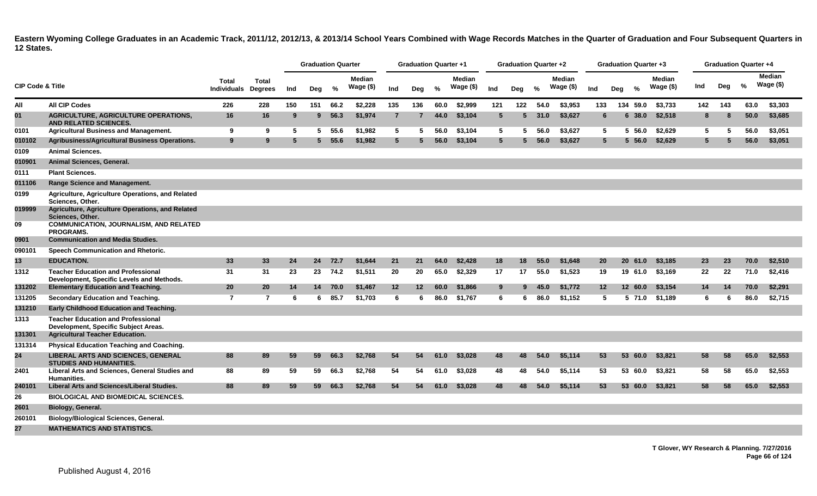|                             |                                                                                        |                             |                                |     | <b>Graduation Quarter</b> |      |                     |                | <b>Graduation Quarter +1</b> |               |                            |                 | <b>Graduation Quarter +2</b> |      |                     |                 |     | <b>Graduation Quarter +3</b> |                             |     |     | <b>Graduation Quarter +4</b> |                             |
|-----------------------------|----------------------------------------------------------------------------------------|-----------------------------|--------------------------------|-----|---------------------------|------|---------------------|----------------|------------------------------|---------------|----------------------------|-----------------|------------------------------|------|---------------------|-----------------|-----|------------------------------|-----------------------------|-----|-----|------------------------------|-----------------------------|
| <b>CIP Code &amp; Title</b> |                                                                                        | <b>Total</b><br>Individuals | <b>Total</b><br><b>Degrees</b> | Ind | Deg                       | %    | Median<br>Wage (\$) | Ind            | Deg                          | $\frac{0}{2}$ | <b>Median</b><br>Wage (\$) | Ind             | Deg                          | %    | Median<br>Wage (\$) | Ind             | Dea | $\frac{0}{2}$                | <b>Median</b><br>Wage $($)$ | Ind | Deg | $\%$                         | <b>Median</b><br>Wage $($)$ |
| All                         | <b>All CIP Codes</b>                                                                   | 226                         | 228                            | 150 | 151                       | 66.2 | \$2,228             | 135            | 136                          | 60.0          | \$2,999                    | 121             | 122                          | 54.0 | \$3,953             | 133             |     | 134 59.0                     | \$3,733                     | 142 | 143 | 63.0                         | \$3,303                     |
| 01                          | <b>AGRICULTURE, AGRICULTURE OPERATIONS,</b><br><b>AND RELATED SCIENCES.</b>            | 16                          | 16                             | 9   | $9^{\circ}$               | 56.3 | \$1,974             | $\overline{7}$ |                              | 44.0          | \$3,104                    | 5               | 5                            | 31.0 | \$3,627             | 6               |     | 6 38.0                       | \$2,518                     | 8   | 8   | 50.0                         | \$3,685                     |
| 0101                        | <b>Agricultural Business and Management.</b>                                           | 9                           | 9                              | 5   | 5                         | 55.6 | \$1,982             | 5              | 5                            | 56.0          | \$3.104                    | 5               | 5.                           | 56.0 | \$3.627             | 5               |     | 5, 56.0                      | \$2.629                     | 5   | 5   | 56.0                         | \$3.051                     |
| 010102                      | Agribusiness/Agricultural Business Operations.                                         | 9                           | 9                              | 5   | 5                         | 55.6 | \$1,982             | 5              | 5.                           | 56.0          | \$3,104                    | $5\overline{5}$ | 5                            | 56.0 | \$3,627             | $5^{\circ}$     |     | 5, 56.0                      | \$2,629                     | 5   | 5   | 56.0                         | \$3,051                     |
| 0109                        | <b>Animal Sciences.</b>                                                                |                             |                                |     |                           |      |                     |                |                              |               |                            |                 |                              |      |                     |                 |     |                              |                             |     |     |                              |                             |
| 010901                      | Animal Sciences, General.                                                              |                             |                                |     |                           |      |                     |                |                              |               |                            |                 |                              |      |                     |                 |     |                              |                             |     |     |                              |                             |
| 0111                        | <b>Plant Sciences.</b>                                                                 |                             |                                |     |                           |      |                     |                |                              |               |                            |                 |                              |      |                     |                 |     |                              |                             |     |     |                              |                             |
| 011106                      | Range Science and Management.                                                          |                             |                                |     |                           |      |                     |                |                              |               |                            |                 |                              |      |                     |                 |     |                              |                             |     |     |                              |                             |
| 0199                        | Agriculture, Agriculture Operations, and Related<br>Sciences, Other.                   |                             |                                |     |                           |      |                     |                |                              |               |                            |                 |                              |      |                     |                 |     |                              |                             |     |     |                              |                             |
| 019999                      | Agriculture, Agriculture Operations, and Related<br><b>Sciences. Other.</b>            |                             |                                |     |                           |      |                     |                |                              |               |                            |                 |                              |      |                     |                 |     |                              |                             |     |     |                              |                             |
| 09                          | <b>COMMUNICATION, JOURNALISM, AND RELATED</b><br><b>PROGRAMS.</b>                      |                             |                                |     |                           |      |                     |                |                              |               |                            |                 |                              |      |                     |                 |     |                              |                             |     |     |                              |                             |
| 0901                        | <b>Communication and Media Studies.</b>                                                |                             |                                |     |                           |      |                     |                |                              |               |                            |                 |                              |      |                     |                 |     |                              |                             |     |     |                              |                             |
| 090101                      | Speech Communication and Rhetoric.                                                     |                             |                                |     |                           |      |                     |                |                              |               |                            |                 |                              |      |                     |                 |     |                              |                             |     |     |                              |                             |
| 13                          | <b>EDUCATION.</b>                                                                      | 33                          | 33                             | 24  | 24                        | 72.7 | \$1,644             | 21             | 21                           | 64.0          | \$2,428                    | 18              | 18                           | 55.0 | \$1,648             | 20              |     | 20 61.0                      | \$3,185                     | 23  | 23  | 70.0                         | \$2,510                     |
| 1312                        | <b>Teacher Education and Professional</b><br>Development, Specific Levels and Methods. | 31                          | 31                             | 23  | 23                        | 74.2 | \$1,511             | 20             | 20                           | 65.0          | \$2,329                    | 17              | 17                           | 55.0 | \$1,523             | 19              |     | 19 61.0                      | \$3,169                     | 22  | 22  | 71.0                         | \$2,416                     |
| 131202                      | <b>Elementary Education and Teaching.</b>                                              | 20                          | 20                             | 14  | 14                        | 70.0 | \$1,467             | 12             | $12 \,$                      | 60.0          | \$1,866                    | 9               | 9                            | 45.0 | \$1,772             | 12 <sup>2</sup> |     | 12 60.0                      | \$3.154                     | 14  | 14  | 70.0                         | \$2,291                     |
| 131205                      | Secondary Education and Teaching.                                                      | $\overline{7}$              | $\overline{7}$                 | 6   | 6                         | 85.7 | \$1.703             | 6              | 6                            | 86.0          | \$1,767                    | 6               | 6                            | 86.0 | \$1.152             | 5               |     | 5 71.0                       | \$1,189                     | 6   | -6  | 86.0                         | \$2,715                     |
| 131210                      | <b>Early Childhood Education and Teaching.</b>                                         |                             |                                |     |                           |      |                     |                |                              |               |                            |                 |                              |      |                     |                 |     |                              |                             |     |     |                              |                             |
| 1313                        | <b>Teacher Education and Professional</b><br>Development, Specific Subject Areas.      |                             |                                |     |                           |      |                     |                |                              |               |                            |                 |                              |      |                     |                 |     |                              |                             |     |     |                              |                             |
| 131301                      | <b>Agricultural Teacher Education.</b>                                                 |                             |                                |     |                           |      |                     |                |                              |               |                            |                 |                              |      |                     |                 |     |                              |                             |     |     |                              |                             |
| 131314                      | <b>Physical Education Teaching and Coaching.</b>                                       |                             |                                |     |                           |      |                     |                |                              |               |                            |                 |                              |      |                     |                 |     |                              |                             |     |     |                              |                             |
| 24                          | <b>LIBERAL ARTS AND SCIENCES, GENERAL</b><br><b>STUDIES AND HUMANITIES.</b>            | 88                          | 89                             | 59  | 59                        | 66.3 | \$2,768             | 54             | 54                           | 61.0          | \$3,028                    | 48              | 48                           | 54.0 | \$5,114             | 53              |     | 53 60.0                      | \$3,821                     | 58  | 58  | 65.0                         | \$2,553                     |
| 2401                        | Liberal Arts and Sciences, General Studies and<br>Humanities.                          | 88                          | 89                             | 59  | 59                        | 66.3 | \$2,768             | 54             | 54                           | 61.0          | \$3,028                    | 48              | 48                           | 54.0 | \$5,114             | 53              |     | 53 60.0                      | \$3,821                     | 58  | 58  | 65.0                         | \$2,553                     |
| 240101                      | Liberal Arts and Sciences/Liberal Studies.                                             | 88                          | 89                             | 59  | 59                        | 66.3 | \$2,768             | 54             | 54                           | 61.0          | \$3,028                    | 48              | 48                           | 54.0 | \$5,114             | 53              |     | 53 60.0                      | \$3,821                     | 58  | 58  | 65.0                         | \$2,553                     |
| 26                          | <b>BIOLOGICAL AND BIOMEDICAL SCIENCES.</b>                                             |                             |                                |     |                           |      |                     |                |                              |               |                            |                 |                              |      |                     |                 |     |                              |                             |     |     |                              |                             |
| 2601                        | Biology, General.                                                                      |                             |                                |     |                           |      |                     |                |                              |               |                            |                 |                              |      |                     |                 |     |                              |                             |     |     |                              |                             |
| 260101                      | <b>Biology/Biological Sciences, General.</b>                                           |                             |                                |     |                           |      |                     |                |                              |               |                            |                 |                              |      |                     |                 |     |                              |                             |     |     |                              |                             |
| 27                          | <b>MATHEMATICS AND STATISTICS.</b>                                                     |                             |                                |     |                           |      |                     |                |                              |               |                            |                 |                              |      |                     |                 |     |                              |                             |     |     |                              |                             |

**T Glover, WY Research & Planning. 7/27/2016 Page 66 of 124**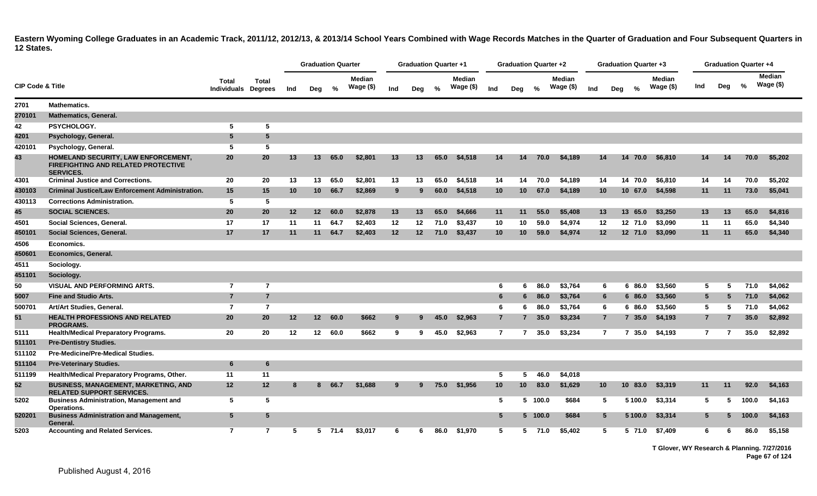|                             |                                                                                                       |                              |                |         | <b>Graduation Quarter</b> |         |                            |                 | <b>Graduation Quarter +1</b> |               |                            |                 | Graduation Quarter +2 |         |                            |                 | <b>Graduation Quarter +3</b> |         |                            |                | <b>Graduation Quarter +4</b> |       |                            |  |
|-----------------------------|-------------------------------------------------------------------------------------------------------|------------------------------|----------------|---------|---------------------------|---------|----------------------------|-----------------|------------------------------|---------------|----------------------------|-----------------|-----------------------|---------|----------------------------|-----------------|------------------------------|---------|----------------------------|----------------|------------------------------|-------|----------------------------|--|
| <b>CIP Code &amp; Title</b> |                                                                                                       | Total<br>Individuals Degrees | Total          | Ind     | Deg                       | %       | <b>Median</b><br>Wage (\$) | Ind             | Deg                          | $\frac{0}{2}$ | <b>Median</b><br>Wage (\$) | Ind             | Deg                   | %       | <b>Median</b><br>Wage (\$) | Ind             | Deg                          | %       | <b>Median</b><br>Wage (\$) | Ind            | Deg                          | $\%$  | <b>Median</b><br>Wage (\$) |  |
| 2701                        | <b>Mathematics.</b>                                                                                   |                              |                |         |                           |         |                            |                 |                              |               |                            |                 |                       |         |                            |                 |                              |         |                            |                |                              |       |                            |  |
| 270101                      | <b>Mathematics, General.</b>                                                                          |                              |                |         |                           |         |                            |                 |                              |               |                            |                 |                       |         |                            |                 |                              |         |                            |                |                              |       |                            |  |
| 42                          | PSYCHOLOGY.                                                                                           | 5                            | 5              |         |                           |         |                            |                 |                              |               |                            |                 |                       |         |                            |                 |                              |         |                            |                |                              |       |                            |  |
| 4201                        | Psychology, General.                                                                                  | $5\phantom{.0}$              | 5              |         |                           |         |                            |                 |                              |               |                            |                 |                       |         |                            |                 |                              |         |                            |                |                              |       |                            |  |
| 420101                      | Psychology, General.                                                                                  | 5                            | 5              |         |                           |         |                            |                 |                              |               |                            |                 |                       |         |                            |                 |                              |         |                            |                |                              |       |                            |  |
| 43                          | HOMELAND SECURITY, LAW ENFORCEMENT,<br><b>FIREFIGHTING AND RELATED PROTECTIVE</b><br><b>SERVICES.</b> | 20                           | 20             | 13      | 13 <sup>1</sup>           | 65.0    | \$2,801                    | 13              | 13                           | 65.0          | \$4,518                    | 14              | 14                    | 70.0    | \$4,189                    | 14              |                              | 14 70.0 | \$6,810                    | 14             | 14                           | 70.0  | \$5,202                    |  |
| 4301                        | <b>Criminal Justice and Corrections.</b>                                                              | 20                           | 20             | 13      | 13                        | 65.0    | \$2,801                    | 13              | 13                           | 65.0          | \$4,518                    | 14              | 14                    | 70.0    | \$4,189                    | 14              |                              | 14 70.0 | \$6,810                    | 14             | 14                           | 70.0  | \$5,202                    |  |
| 430103                      | <b>Criminal Justice/Law Enforcement Administration.</b>                                               | 15                           | 15             | 10      | 10 <sup>1</sup>           | 66.7    | \$2,869                    | 9               |                              | 60.0          | \$4,518                    | 10              | 10                    | 67.0    | \$4,189                    | 10 <sup>1</sup> |                              |         | 10 67.0 \$4,598            | 11             | 11                           | 73.0  | \$5,041                    |  |
| 430113                      | <b>Corrections Administration.</b>                                                                    | 5                            | 5              |         |                           |         |                            |                 |                              |               |                            |                 |                       |         |                            |                 |                              |         |                            |                |                              |       |                            |  |
| 45                          | <b>SOCIAL SCIENCES.</b>                                                                               | 20                           | 20             | $12 \,$ |                           | 12 60.0 | \$2,878                    | 13              | 13                           | 65.0          | \$4,666                    | 11              | 11                    | 55.0    | \$5,408                    | 13              |                              | 13 65.0 | \$3,250                    | 13             | 13                           | 65.0  | \$4,816                    |  |
| 4501                        | Social Sciences, General.                                                                             | 17                           | 17             | 11      | 11                        | 64.7    | \$2,403                    | 12              | 12                           | 71.0          | \$3,437                    | 10              | 10                    | 59.0    | \$4,974                    | 12              |                              | 12 71.0 | \$3,090                    | 11             | 11                           | 65.0  | \$4,340                    |  |
| 450101                      | Social Sciences, General.                                                                             | 17                           | 17             | 11      | 11                        | 64.7    | \$2,403                    | 12 <sup>2</sup> | $12 \overline{ }$            | 71.0          | \$3,437                    | 10 <sup>°</sup> | 10                    | 59.0    | \$4,974                    | $12 \,$         |                              | 12 71.0 | \$3,090                    | 11             | 11                           | 65.0  | \$4,340                    |  |
| 4506                        | Economics.                                                                                            |                              |                |         |                           |         |                            |                 |                              |               |                            |                 |                       |         |                            |                 |                              |         |                            |                |                              |       |                            |  |
| 450601                      | Economics, General.                                                                                   |                              |                |         |                           |         |                            |                 |                              |               |                            |                 |                       |         |                            |                 |                              |         |                            |                |                              |       |                            |  |
| 4511                        | Sociology.                                                                                            |                              |                |         |                           |         |                            |                 |                              |               |                            |                 |                       |         |                            |                 |                              |         |                            |                |                              |       |                            |  |
| 451101                      | Sociology.                                                                                            |                              |                |         |                           |         |                            |                 |                              |               |                            |                 |                       |         |                            |                 |                              |         |                            |                |                              |       |                            |  |
| 50                          | <b>VISUAL AND PERFORMING ARTS.</b>                                                                    | $\overline{7}$               | $\overline{7}$ |         |                           |         |                            |                 |                              |               |                            | 6               | 6                     | 86.0    | \$3,764                    |                 | 6                            | 6 86.0  | \$3,560                    | 5              | 5                            | 71.0  | \$4,062                    |  |
| 5007                        | <b>Fine and Studio Arts.</b>                                                                          | $\overline{7}$               | $\overline{7}$ |         |                           |         |                            |                 |                              |               |                            | 6               | 6                     | 86.0    | \$3,764                    |                 | 6                            | 6 86.0  | \$3,560                    | $5^{\circ}$    | -5                           | 71.0  | \$4,062                    |  |
| 500701                      | Art/Art Studies, General.                                                                             | $\overline{7}$               | $\overline{7}$ |         |                           |         |                            |                 |                              |               |                            | 6               | 6                     | 86.0    | \$3,764                    |                 | 6                            | 6 86.0  | \$3,560                    | 5              | -5                           | 71.0  | \$4,062                    |  |
| 51                          | <b>HEALTH PROFESSIONS AND RELATED</b><br><b>PROGRAMS.</b>                                             | 20                           | 20             | $12 \,$ |                           | 12 60.0 | \$662                      | 9               |                              | 45.0          | \$2,963                    | $\overline{7}$  |                       | 35.0    | \$3,234                    |                 | $\overline{7}$               | 735.0   | \$4,193                    | 7 <sup>7</sup> |                              | 35.0  | \$2,892                    |  |
| 5111                        | <b>Health/Medical Preparatory Programs.</b>                                                           | 20                           | 20             | 12      | 12 <sub>2</sub>           | 60.0    | \$662                      | 9               | 9                            | 45.0          | \$2,963                    | $\overline{7}$  |                       | 35.0    | \$3,234                    |                 | $\overline{7}$               | 7 35.0  | \$4,193                    | $7^{\circ}$    | $\overline{7}$               | 35.0  | \$2,892                    |  |
| 511101                      | <b>Pre-Dentistry Studies.</b>                                                                         |                              |                |         |                           |         |                            |                 |                              |               |                            |                 |                       |         |                            |                 |                              |         |                            |                |                              |       |                            |  |
| 511102                      | <b>Pre-Medicine/Pre-Medical Studies.</b>                                                              |                              |                |         |                           |         |                            |                 |                              |               |                            |                 |                       |         |                            |                 |                              |         |                            |                |                              |       |                            |  |
| 511104                      | <b>Pre-Veterinary Studies.</b>                                                                        | 6                            | 6              |         |                           |         |                            |                 |                              |               |                            |                 |                       |         |                            |                 |                              |         |                            |                |                              |       |                            |  |
| 511199                      | Health/Medical Preparatory Programs, Other.                                                           | 11                           | 11             |         |                           |         |                            |                 |                              |               |                            | 5               | 5                     | 46.0    | \$4,018                    |                 |                              |         |                            |                |                              |       |                            |  |
| 52                          | <b>BUSINESS, MANAGEMENT, MARKETING, AND</b><br><b>RELATED SUPPORT SERVICES.</b>                       | 12                           | 12             | -8      | 8                         | 66.7    | \$1,688                    | 9               | 9                            | 75.0          | \$1,956                    | 10 <sup>°</sup> | 10                    | 83.0    | \$1,629                    | 10 <sup>°</sup> |                              | 10 83.0 | \$3,319                    | 11             | 11                           | 92.0  | \$4,163                    |  |
| 5202                        | <b>Business Administration, Management and</b><br>Operations.                                         | 5                            | 5              |         |                           |         |                            |                 |                              |               |                            | 5               |                       | 5 100.0 | \$684                      |                 | 5                            | 5 100.0 | \$3,314                    | 5              | -5                           | 100.0 | \$4,163                    |  |
| 520201                      | <b>Business Administration and Management,</b><br>General.                                            | $5\phantom{.0}$              | 5              |         |                           |         |                            |                 |                              |               |                            | $5^{\circ}$     |                       | 5 100.0 | \$684                      |                 | $5^{\circ}$                  | 5 100.0 | \$3,314                    | 5              |                              | 100.0 | \$4,163                    |  |
| 5203                        | <b>Accounting and Related Services.</b>                                                               | $\overline{7}$               | 7              | -5      | 5                         | 71.4    | \$3.017                    | 6               | 6                            | 86.0          | \$1.970                    | 5               |                       | 5 71.0  | \$5.402                    |                 | 5                            | 5 71.0  | \$7.409                    | 6.             | 6                            | 86.0  | \$5.158                    |  |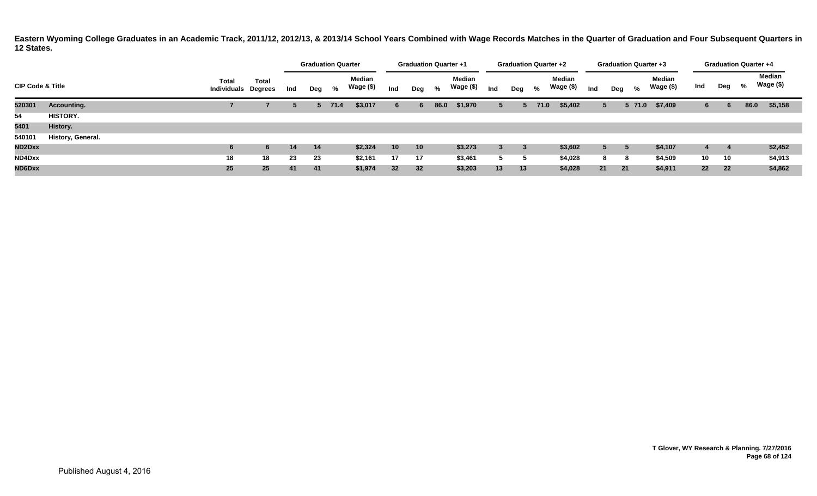|                             |                   |                             |                         |     |     | <b>Graduation Quarter</b> |                            |                 | <b>Graduation Quarter +1</b> |      |                     |     | <b>Graduation Quarter +2</b> |      |                     |     |             |           | <b>Graduation Quarter +3</b> |     |     |      | <b>Graduation Quarter +4</b> |  |
|-----------------------------|-------------------|-----------------------------|-------------------------|-----|-----|---------------------------|----------------------------|-----------------|------------------------------|------|---------------------|-----|------------------------------|------|---------------------|-----|-------------|-----------|------------------------------|-----|-----|------|------------------------------|--|
| <b>CIP Code &amp; Title</b> |                   | Total<br><b>Individuals</b> | Total<br><b>Degrees</b> | Ind | Deg | %                         | <b>Median</b><br>Wage (\$) | Ind             | Deg                          | %    | Median<br>Wage (\$) | Ind | Deg                          | %    | Median<br>Wage (\$) | Ind | Deg         | %         | Median<br>Wage (\$)          | Ind | Deg | %    | <b>Median</b><br>Wage (\$)   |  |
| 520301                      | Accounting.       |                             |                         |     |     | $5$ 71.4                  | \$3,017                    | 6               |                              | 86.0 | \$1,970             | 5   |                              | 71.0 | \$5,402             |     | 5           | $5\,71.0$ | \$7,409                      | 6   | 6   | 86.0 | \$5,158                      |  |
| 54                          | <b>HISTORY.</b>   |                             |                         |     |     |                           |                            |                 |                              |      |                     |     |                              |      |                     |     |             |           |                              |     |     |      |                              |  |
| 5401                        | History.          |                             |                         |     |     |                           |                            |                 |                              |      |                     |     |                              |      |                     |     |             |           |                              |     |     |      |                              |  |
| 540101                      | History, General. |                             |                         |     |     |                           |                            |                 |                              |      |                     |     |                              |      |                     |     |             |           |                              |     |     |      |                              |  |
| ND2Dxx                      |                   |                             | 6                       | 14  | 14  |                           | \$2,324                    | 10 <sup>°</sup> | 10 <sup>1</sup>              |      | \$3,273             | 3   | 3                            |      | \$3,602             |     | $5^{\circ}$ |           | \$4,107                      |     |     |      | \$2,452                      |  |
| ND4Dxx                      |                   | 18                          | 18                      | 23  | 23  |                           | \$2,161                    | 17              | 17                           |      | \$3,461             | -5  | 5                            |      | \$4,028             |     | 8           | 8         | \$4,509                      | 10  | 10  |      | \$4,913                      |  |
| ND6Dxx                      |                   | 25                          | 25                      | 41  | 41  |                           | \$1,974                    | 32 <sub>2</sub> | 32                           |      | \$3,203             | 13  | 13                           |      | \$4,028             |     | 21          | 21        | \$4,911                      | 22  | 22  |      | \$4,862                      |  |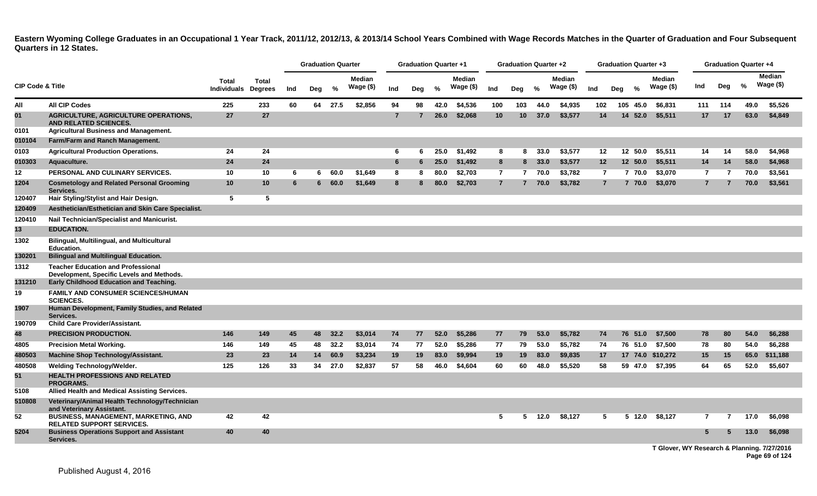|                             |                                                                                        |                                            |              |     | <b>Graduation Quarter</b> |         |                            |                | <b>Graduation Quarter +1</b> |      |                            |                | <b>Graduation Quarter +2</b> |      |                            |                | <b>Graduation Quarter +3</b> |               |                      |                |     | <b>Graduation Quarter +4</b> |                             |
|-----------------------------|----------------------------------------------------------------------------------------|--------------------------------------------|--------------|-----|---------------------------|---------|----------------------------|----------------|------------------------------|------|----------------------------|----------------|------------------------------|------|----------------------------|----------------|------------------------------|---------------|----------------------|----------------|-----|------------------------------|-----------------------------|
| <b>CIP Code &amp; Title</b> |                                                                                        | <b>Total</b><br><b>Individuals Degrees</b> | <b>Total</b> | Ind | Dea                       | $\%$    | <b>Median</b><br>Wage (\$) | Ind            | Deg                          | %    | <b>Median</b><br>Wage (\$) | Ind            | Deg                          | $\%$ | <b>Median</b><br>Wage (\$) | Ind            | Dea                          | $\frac{6}{6}$ | Median<br>Wage $($)$ | Ind            | Deg | %                            | <b>Median</b><br>Wage $($)$ |
| All                         | <b>All CIP Codes</b>                                                                   | 225                                        | 233          | 60  |                           | 64 27.5 | \$2,856                    | 94             | 98                           | 42.0 | \$4,536                    | 100            | 103                          | 44.0 | \$4,935                    | 102            |                              | 105 45.0      | \$6.831              | 111            | 114 | 49.0                         | \$5.526                     |
| 01                          | <b>AGRICULTURE, AGRICULTURE OPERATIONS,</b><br><b>AND RELATED SCIENCES.</b>            | 27                                         | 27           |     |                           |         |                            | $\overline{7}$ |                              | 26.0 | \$2.068                    | 10             | 10 <sup>1</sup>              | 37.0 | \$3,577                    | 14             |                              | 14 52.0       | \$5,511              | 17             | 17  | 63.0                         | \$4,849                     |
| 0101                        | <b>Agricultural Business and Management.</b>                                           |                                            |              |     |                           |         |                            |                |                              |      |                            |                |                              |      |                            |                |                              |               |                      |                |     |                              |                             |
| 010104                      | Farm/Farm and Ranch Management.                                                        |                                            |              |     |                           |         |                            |                |                              |      |                            |                |                              |      |                            |                |                              |               |                      |                |     |                              |                             |
| 0103                        | <b>Agricultural Production Operations.</b>                                             | 24                                         | 24           |     |                           |         |                            | 6              | 6                            | 25.0 | \$1,492                    | 8              | 8                            | 33.0 | \$3,577                    | 12             |                              | 12 50.0       | \$5,511              | 14             | 14  | 58.0                         | \$4,968                     |
| 010303                      | Aquaculture.                                                                           | 24                                         | 24           |     |                           |         |                            | 6              | 6                            | 25.0 | \$1,492                    | 8              | 8                            | 33.0 | \$3,577                    | 12             |                              | 12 50.0       | \$5,511              | 14             | 14  | 58.0                         | \$4,968                     |
| 12                          | PERSONAL AND CULINARY SERVICES.                                                        | 10                                         | 10           | 6   | 6.                        | 60.0    | \$1.649                    | 8              | 8                            | 80.0 | \$2,703                    | $\overline{7}$ | $\overline{7}$               | 70.0 | \$3,782                    | $\overline{7}$ |                              | 7 70.0        | \$3,070              | 7              | 7   | 70.0                         | \$3,561                     |
| 1204                        | <b>Cosmetology and Related Personal Grooming</b><br>Services.                          | 10                                         | 10           | 6   | 6                         | 60.0    | \$1,649                    | 8              | 8                            | 80.0 | \$2,703                    | $\overline{7}$ | $\overline{7}$               | 70.0 | \$3,782                    | $\overline{7}$ |                              | 7 70.0        | \$3,070              | $\overline{7}$ | 7   | 70.0                         | \$3,561                     |
| 120407                      | Hair Styling/Stylist and Hair Design.                                                  | 5                                          | 5            |     |                           |         |                            |                |                              |      |                            |                |                              |      |                            |                |                              |               |                      |                |     |                              |                             |
| 120409                      | Aesthetician/Esthetician and Skin Care Specialist.                                     |                                            |              |     |                           |         |                            |                |                              |      |                            |                |                              |      |                            |                |                              |               |                      |                |     |                              |                             |
| 120410                      | Nail Technician/Specialist and Manicurist.                                             |                                            |              |     |                           |         |                            |                |                              |      |                            |                |                              |      |                            |                |                              |               |                      |                |     |                              |                             |
| 13                          | <b>EDUCATION.</b>                                                                      |                                            |              |     |                           |         |                            |                |                              |      |                            |                |                              |      |                            |                |                              |               |                      |                |     |                              |                             |
| 1302                        | <b>Bilingual, Multilingual, and Multicultural</b><br><b>Education.</b>                 |                                            |              |     |                           |         |                            |                |                              |      |                            |                |                              |      |                            |                |                              |               |                      |                |     |                              |                             |
| 130201                      | <b>Bilingual and Multilingual Education.</b>                                           |                                            |              |     |                           |         |                            |                |                              |      |                            |                |                              |      |                            |                |                              |               |                      |                |     |                              |                             |
| 1312                        | <b>Teacher Education and Professional</b><br>Development, Specific Levels and Methods. |                                            |              |     |                           |         |                            |                |                              |      |                            |                |                              |      |                            |                |                              |               |                      |                |     |                              |                             |
| 131210                      | Early Childhood Education and Teaching.                                                |                                            |              |     |                           |         |                            |                |                              |      |                            |                |                              |      |                            |                |                              |               |                      |                |     |                              |                             |
| 19                          | FAMILY AND CONSUMER SCIENCES/HUMAN<br><b>SCIENCES.</b>                                 |                                            |              |     |                           |         |                            |                |                              |      |                            |                |                              |      |                            |                |                              |               |                      |                |     |                              |                             |
| 1907                        | Human Development, Family Studies, and Related<br>Services.                            |                                            |              |     |                           |         |                            |                |                              |      |                            |                |                              |      |                            |                |                              |               |                      |                |     |                              |                             |
| 190709                      | <b>Child Care Provider/Assistant.</b>                                                  |                                            |              |     |                           |         |                            |                |                              |      |                            |                |                              |      |                            |                |                              |               |                      |                |     |                              |                             |
| 48                          | <b>PRECISION PRODUCTION.</b>                                                           | 146                                        | 149          | 45  | 48                        | 32.2    | \$3,014                    | 74             | 77                           | 52.0 | \$5,286                    | 77             | 79                           | 53.0 | \$5,782                    | 74             |                              | 76 51.0       | \$7,500              | 78             | 80  | 54.0                         | \$6,288                     |
| 4805                        | <b>Precision Metal Working.</b>                                                        | 146                                        | 149          | 45  | 48                        | 32.2    | \$3,014                    | 74             | 77                           | 52.0 | \$5,286                    | 77             | 79                           | 53.0 | \$5,782                    | 74             |                              |               | 76 51.0 \$7,500      | 78             | 80  | 54.0                         | \$6,288                     |
| 480503                      | <b>Machine Shop Technology/Assistant.</b>                                              | 23                                         | 23           | 14  | 14                        | 60.9    | \$3,234                    | 19             | 19                           | 83.0 | \$9,994                    | 19             | 19                           | 83.0 | \$9,835                    | 17             |                              |               | 17 74.0 \$10,272     | 15             | 15  |                              | 65.0 \$11,188               |
| 480508                      | <b>Welding Technology/Welder.</b>                                                      | 125                                        | 126          | 33  | 34                        | 27.0    | \$2,837                    | 57             | 58                           | 46.0 | \$4,604                    | 60             | 60                           | 48.0 | \$5,520                    | 58             |                              |               | 59 47.0 \$7,395      | 64             | 65  | 52.0                         | \$5,607                     |
| 51                          | <b>HEALTH PROFESSIONS AND RELATED</b><br><b>PROGRAMS.</b>                              |                                            |              |     |                           |         |                            |                |                              |      |                            |                |                              |      |                            |                |                              |               |                      |                |     |                              |                             |
| 5108                        | Allied Health and Medical Assisting Services.                                          |                                            |              |     |                           |         |                            |                |                              |      |                            |                |                              |      |                            |                |                              |               |                      |                |     |                              |                             |
| 510808                      | Veterinary/Animal Health Technology/Technician<br>and Veterinary Assistant.            |                                            |              |     |                           |         |                            |                |                              |      |                            |                |                              |      |                            |                |                              |               |                      |                |     |                              |                             |
| 52                          | BUSINESS, MANAGEMENT, MARKETING, AND<br><b>RELATED SUPPORT SERVICES.</b>               | 42                                         | 42           |     |                           |         |                            |                |                              |      |                            | 5              | 5.                           | 12.0 | \$8,127                    | 5              |                              |               | 5 12.0 \$8,127       | 7              |     | 17.0                         | \$6,098                     |
| 5204                        | <b>Business Operations Support and Assistant</b><br>Services.                          | 40                                         | 40           |     |                           |         |                            |                |                              |      |                            |                |                              |      |                            |                |                              |               |                      | 5              |     | 13.0                         | \$6,098                     |

**T Glover, WY Research & Planning. 7/27/2016 Page 69 of 124**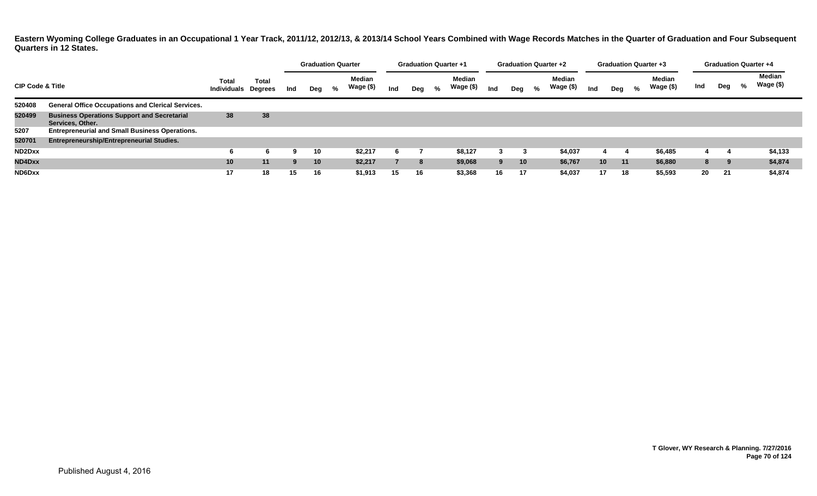|                             |                                                                        |                                     |              |     |                 | <b>Graduation Quarter</b> |                            |     |     |   | <b>Graduation Quarter +1</b> |     | <b>Graduation Quarter +2</b> |   |                            |                 | <b>Graduation Quarter +3</b> |   |                     |     | <b>Graduation Quarter +4</b> |   |                     |
|-----------------------------|------------------------------------------------------------------------|-------------------------------------|--------------|-----|-----------------|---------------------------|----------------------------|-----|-----|---|------------------------------|-----|------------------------------|---|----------------------------|-----------------|------------------------------|---|---------------------|-----|------------------------------|---|---------------------|
| <b>CIP Code &amp; Title</b> |                                                                        | Total<br><b>Individuals Degrees</b> | <b>Total</b> | Ind | Deg             | %                         | <b>Median</b><br>Wage (\$) | Ind | Deg | % | <b>Median</b><br>Wage (\$)   | Ind | Deg                          | % | <b>Median</b><br>Wage (\$) | Ind             | Deg                          | % | Median<br>Wage (\$) | Ind | Deg                          | % | Median<br>Wage (\$) |
| 520408                      | <b>General Office Occupations and Clerical Services.</b>               |                                     |              |     |                 |                           |                            |     |     |   |                              |     |                              |   |                            |                 |                              |   |                     |     |                              |   |                     |
| 520499                      | <b>Business Operations Support and Secretarial</b><br>Services, Other. | 38                                  | 38           |     |                 |                           |                            |     |     |   |                              |     |                              |   |                            |                 |                              |   |                     |     |                              |   |                     |
| 5207                        | <b>Entrepreneurial and Small Business Operations.</b>                  |                                     |              |     |                 |                           |                            |     |     |   |                              |     |                              |   |                            |                 |                              |   |                     |     |                              |   |                     |
| 520701                      | Entrepreneurship/Entrepreneurial Studies.                              |                                     |              |     |                 |                           |                            |     |     |   |                              |     |                              |   |                            |                 |                              |   |                     |     |                              |   |                     |
| ND2Dxx                      |                                                                        | 6                                   |              | 9   | 10              |                           | \$2,217                    | 6   |     |   | \$8,127                      |     |                              |   | \$4,037                    |                 |                              |   | \$6,485             |     |                              |   | \$4,133             |
| ND4Dxx                      |                                                                        | 10                                  | 11           | 9   | 10 <sup>1</sup> |                           | \$2,217                    |     | 8   |   | \$9,068                      | 9   | 10 <sup>1</sup>              |   | \$6,767                    | 10 <sup>1</sup> | 11                           |   | \$6,880             | 8   | 9                            |   | \$4,874             |
| ND6Dxx                      |                                                                        | 17                                  | 18           | 15  | 16              |                           | \$1,913                    | 15  | 16  |   | \$3,368                      | 16  | 17                           |   | \$4,037                    | 17              | 18                           |   | \$5,593             | 20  | 21                           |   | \$4,874             |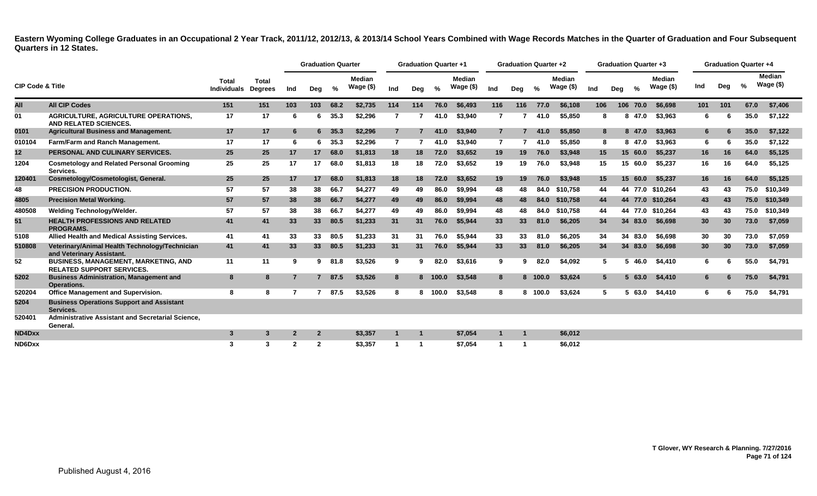|                             |                                                                                 |                             |                                |                | <b>Graduation Quarter</b> |      |                            |                | <b>Graduation Quarter +1</b> |         |                            |                | <b>Graduation Quarter +2</b> |         |                            |     |             |            | <b>Graduation Quarter +3</b> |     | <b>Graduation Quarter +4</b> |               |                             |
|-----------------------------|---------------------------------------------------------------------------------|-----------------------------|--------------------------------|----------------|---------------------------|------|----------------------------|----------------|------------------------------|---------|----------------------------|----------------|------------------------------|---------|----------------------------|-----|-------------|------------|------------------------------|-----|------------------------------|---------------|-----------------------------|
| <b>CIP Code &amp; Title</b> |                                                                                 | Total<br><b>Individuals</b> | <b>Total</b><br><b>Degrees</b> | Ind            | Deg                       | %    | <b>Median</b><br>Wage (\$) | Ind            | Deg                          | %       | <b>Median</b><br>Wage (\$) | Ind            | Deg                          | $\%$    | <b>Median</b><br>Wage (\$) | Ind | Deg         | %          | <b>Median</b><br>Wage $($)$  | Ind | Deg                          | $\frac{0}{2}$ | <b>Median</b><br>Wage $($)$ |
| All                         | <b>All CIP Codes</b>                                                            | 151                         | 151                            | 103            | 103                       | 68.2 | \$2,735                    | 114            | 114                          | 76.0    | \$6,493                    | 116            | 116                          | 77.0    | \$6,108                    | 106 |             | 106 70.0   | \$6,698                      | 101 | 101                          | 67.0          | \$7,406                     |
| 01                          | <b>AGRICULTURE, AGRICULTURE OPERATIONS,</b><br>AND RELATED SCIENCES.            | 17                          | 17                             | -6             | 6.                        | 35.3 | \$2.296                    | 7              |                              | 41.0    | \$3,940                    | $\overline{7}$ |                              | 41.0    | \$5.850                    |     | 8           | 47.0<br>8  | \$3.963                      | 6   |                              | 35.0          | \$7,122                     |
| 0101                        | <b>Agricultural Business and Management.</b>                                    | 17                          | 17                             | -6             | 6.                        | 35.3 | \$2,296                    | $\overline{7}$ |                              | 41.0    | \$3,940                    | $\overline{7}$ |                              | 41.0    | \$5,850                    |     | 8           | 8 47.0     | \$3,963                      | 6   |                              | 35.0          | \$7,122                     |
| 010104                      | Farm/Farm and Ranch Management.                                                 | 17                          | 17                             | -6             | 6.                        | 35.3 | \$2.296                    | 7              |                              | 41.0    | \$3.940                    | $\overline{7}$ |                              | 41.0    | \$5.850                    |     | 8           | 8 47.0     | \$3.963                      | 6   |                              | 35.0          | \$7.122                     |
| 12                          | PERSONAL AND CULINARY SERVICES.                                                 | 25                          | 25                             | 17             | 17                        | 68.0 | \$1,813                    | 18             | 18                           | 72.0    | \$3,652                    | 19             | 19                           | 76.0    | \$3,948                    | 15  |             | 15 60.0    | \$5,237                      | 16  | 16                           | 64.0          | \$5,125                     |
| 1204                        | <b>Cosmetology and Related Personal Grooming</b><br>Services.                   | 25                          | 25                             | 17             | 17                        | 68.0 | \$1,813                    | 18             | 18                           | 72.0    | \$3.652                    | 19             | 19                           | 76.0    | \$3.948                    | 15  |             | 15<br>60.0 | \$5.237                      | 16  | 16                           | 64.0          | \$5.125                     |
| 120401                      | Cosmetology/Cosmetologist, General.                                             | 25                          | 25                             | 17             | 17                        | 68.0 | \$1,813                    | 18             | 18                           | 72.0    | \$3,652                    | 19             | 19                           | 76.0    | \$3,948                    | 15  |             | 15 60.0    | \$5.237                      | 16  | 16                           | 64.0          | \$5,125                     |
| 48                          | <b>PRECISION PRODUCTION.</b>                                                    | 57                          | 57                             | 38             | 38                        | 66.7 | \$4,277                    | 49             | 49                           | 86.0    | \$9,994                    | 48             | 48                           | 84.0    | \$10,758                   | 44  |             |            | 44 77.0 \$10.264             | 43  | 43                           | 75.0          | \$10.349                    |
| 4805                        | <b>Precision Metal Working.</b>                                                 | 57                          | 57                             | 38             | 38                        | 66.7 | \$4,277                    | 49             | 49                           | 86.0    | \$9,994                    | 48             | 48                           | 84.0    | \$10,758                   | 44  |             |            | 44 77.0 \$10.264             | 43  | 43                           | 75.0          | \$10,349                    |
| 480508                      | Welding Technology/Welder.                                                      | 57                          | 57                             | 38             | 38                        | 66.7 | \$4.277                    | 49             | 49                           | 86.0    | \$9.994                    | 48             | 48                           | 84.0    | \$10.758                   | 44  |             |            | 44 77.0 \$10.264             | 43  | 43                           | 75.0          | \$10.349                    |
| 51                          | <b>HEALTH PROFESSIONS AND RELATED</b><br><b>PROGRAMS.</b>                       | 41                          | 41                             | 33             | 33 <sup>°</sup>           | 80.5 | \$1,233                    | 31             | 31                           | 76.0    | \$5,944                    | 33             | 33                           | 81.0    | \$6.205                    | 34  |             | 34 83.0    | \$6,698                      | 30  | 30                           | 73.0          | \$7,059                     |
| 5108                        | Allied Health and Medical Assisting Services.                                   | 41                          | 41                             | 33             | 33                        | 80.5 | \$1,233                    | 31             | 31                           | 76.0    | \$5,944                    | 33             | 33                           | 81.0    | \$6.205                    | 34  |             | 34 83.0    | \$6.698                      | 30  | 30                           | 73.0          | \$7.059                     |
| 510808                      | Veterinary/Animal Health Technology/Technician<br>and Veterinary Assistant.     | 41                          | 41                             | 33             | 33                        | 80.5 | \$1,233                    | 31             | 31                           | 76.0    | \$5,944                    | 33             | 33                           | 81.0    | \$6,205                    | 34  |             | 34 83.0    | \$6,698                      | 30  | 30                           | 73.0          | \$7,059                     |
| 52                          | <b>BUSINESS, MANAGEMENT, MARKETING, AND</b><br><b>RELATED SUPPORT SERVICES.</b> | 11                          | 11                             | -9             | 9                         | 81.8 | \$3,526                    | 9              | 9                            | 82.0    | \$3,616                    | 9              | 9                            | 82.0    | \$4,092                    |     | 5           | 46.0<br>5. | \$4,410                      | 6   |                              | 55.0          | \$4,791                     |
| 5202                        | <b>Business Administration, Management and</b><br><b>Operations.</b>            | 8                           | 8                              |                | $7^{\circ}$               | 87.5 | \$3,526                    | 8              |                              | 8 100.0 | \$3,548                    | 8              |                              | 8 100.0 | \$3,624                    |     | $5^{\circ}$ | 63.0<br>5. | \$4,410                      | 6   |                              | 75.0          | \$4,791                     |
| 520204                      | <b>Office Management and Supervision.</b>                                       | 8                           | 8                              |                |                           | 87.5 | \$3,526                    | 8              |                              | 8 100.0 | \$3,548                    | 8              | 8                            | 100.0   | \$3,624                    |     | 5           | 63.0<br>5  | \$4,410                      | 6   |                              | 75.0          | \$4,791                     |
| 5204                        | <b>Business Operations Support and Assistant</b><br>Services.                   |                             |                                |                |                           |      |                            |                |                              |         |                            |                |                              |         |                            |     |             |            |                              |     |                              |               |                             |
| 520401                      | Administrative Assistant and Secretarial Science,<br>General.                   |                             |                                |                |                           |      |                            |                |                              |         |                            |                |                              |         |                            |     |             |            |                              |     |                              |               |                             |
| ND4Dxx                      |                                                                                 | $\mathbf{3}$                | 3                              |                | $\mathbf{2}$              |      | \$3,357                    |                |                              |         | \$7,054                    |                |                              |         | \$6,012                    |     |             |            |                              |     |                              |               |                             |
| ND6Dxx                      |                                                                                 | 3                           | 3                              | $\overline{2}$ | $\overline{2}$            |      | \$3,357                    |                |                              |         | \$7.054                    |                |                              |         | \$6.012                    |     |             |            |                              |     |                              |               |                             |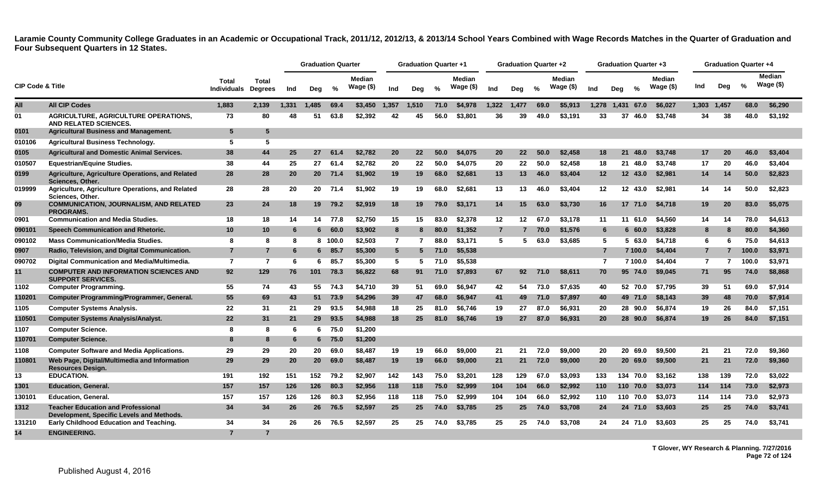|                             |                                                                                        |                             |                         |       | <b>Graduation Quarter</b> |         |                            |                | <b>Graduation Quarter +1</b> |               |                            |                 | <b>Graduation Quarter +2</b> |      |                        |                 | Graduation Quarter +3 |               |                            |                |                | <b>Graduation Quarter +4</b> |                            |
|-----------------------------|----------------------------------------------------------------------------------------|-----------------------------|-------------------------|-------|---------------------------|---------|----------------------------|----------------|------------------------------|---------------|----------------------------|-----------------|------------------------------|------|------------------------|-----------------|-----------------------|---------------|----------------------------|----------------|----------------|------------------------------|----------------------------|
| <b>CIP Code &amp; Title</b> |                                                                                        | Total<br><b>Individuals</b> | Total<br><b>Degrees</b> | Ind   | Deg                       | %       | <b>Median</b><br>Wage (\$) | Ind            | Deg                          | $\frac{9}{6}$ | <b>Median</b><br>Wage (\$) | Ind             | Deg                          | $\%$ | Median<br>Wage $($ \$) | Ind             | Deg                   | $\frac{6}{6}$ | <b>Median</b><br>Wage (\$) | Ind            | Dea            | %                            | <b>Median</b><br>Wage (\$) |
| All                         | <b>All CIP Codes</b>                                                                   | 1,883                       | 2,139                   | 1,331 | 1,485                     | 69.4    | \$3,450                    | 1,357          | 1,510                        | 71.0          | \$4,978                    | 1,322           | 1,477                        | 69.0 | \$5,913                | 1,278           | 1,431                 | 67.0          | \$6,027                    | 1,303          | 1,457          | 68.0                         | \$6,290                    |
| 01                          | <b>AGRICULTURE, AGRICULTURE OPERATIONS,</b><br>AND RELATED SCIENCES.                   | 73                          | 80                      | 48    | 51                        | 63.8    | \$2,392                    | 42             | 45                           | 56.0          | \$3,801                    | 36              | 39                           | 49.0 | \$3.191                | 33              | 37                    | 46.0          | \$3,748                    | 34             | 38             | 48.0                         | \$3,192                    |
| 0101                        | <b>Agricultural Business and Management.</b>                                           | -5                          | 5                       |       |                           |         |                            |                |                              |               |                            |                 |                              |      |                        |                 |                       |               |                            |                |                |                              |                            |
| 010106                      | <b>Agricultural Business Technology.</b>                                               | 5                           | 5                       |       |                           |         |                            |                |                              |               |                            |                 |                              |      |                        |                 |                       |               |                            |                |                |                              |                            |
| 0105                        | <b>Agricultural and Domestic Animal Services.</b>                                      | 38                          | 44                      | 25    | 27                        | 61.4    | \$2,782                    | 20             | 22                           | 50.0          | \$4,075                    | 20              | 22                           | 50.0 | \$2,458                | 18              | 21                    | 48.0          | \$3,748                    | 17             | 20             | 46.0                         | \$3,404                    |
| 010507                      | <b>Equestrian/Equine Studies.</b>                                                      | 38                          | 44                      | 25    | 27                        | 61.4    | \$2,782                    | 20             | 22                           | 50.0          | \$4,075                    | 20              | 22                           | 50.0 | \$2,458                | 18              |                       | 21 48.0       | \$3,748                    | 17             | 20             | 46.0                         | \$3,404                    |
| 0199                        | Agriculture, Agriculture Operations, and Related<br>Sciences, Other.                   | 28                          | 28                      | 20    | <b>20</b>                 | 71.4    | \$1,902                    | 19             | 19                           | 68.0          | \$2,681                    | 13              | 13                           | 46.0 | \$3,404                | 12 <sub>2</sub> |                       | 12 43.0       | \$2,981                    | 14             | 14             | 50.0                         | \$2,823                    |
| 019999                      | Agriculture, Agriculture Operations, and Related<br>Sciences, Other.                   | 28                          | 28                      | 20    | 20                        | 71.4    | \$1,902                    | 19             | 19                           | 68.0          | \$2,681                    | 13              | 13                           | 46.0 | \$3,404                | $12 \,$         |                       | 12 43.0       | \$2,981                    | 14             | 14             | 50.0                         | \$2,823                    |
| 09                          | <b>COMMUNICATION, JOURNALISM, AND RELATED</b><br><b>PROGRAMS.</b>                      | 23                          | 24                      | 18    | 19                        | 79.2    | \$2.919                    | 18             | 19                           | 79.0          | \$3,171                    | 14              | 15                           | 63.0 | \$3.730                | 16              |                       | 17 71.0       | \$4.718                    | 19             | <b>20</b>      | 83.0                         | \$5,075                    |
| 0901                        | <b>Communication and Media Studies.</b>                                                | 18                          | 18                      | 14    |                           | 14 77.8 | \$2,750                    | 15             | 15                           | 83.0          | \$2.378                    | 12 <sub>2</sub> | 12                           | 67.0 | \$3.178                | 11              |                       | 11 61.0       | \$4.560                    | 14             | 14             | 78.0                         | \$4,613                    |
| 090101                      | Speech Communication and Rhetoric.                                                     | 10                          | 10                      | 6     | 6                         | 60.0    | \$3,902                    | 8              | 8                            | 80.0          | \$1,352                    | $\overline{7}$  |                              | 70.0 | \$1,576                | 6               |                       | 660.0         | \$3,828                    | 8              | 8              | 80.0                         | \$4,360                    |
| 090102                      | <b>Mass Communication/Media Studies.</b>                                               | 8                           | 8                       | -8    |                           | 8 100.0 | \$2,503                    | $\overline{7}$ |                              | 88.0          | \$3,171                    | 5               | 5                            | 63.0 | \$3,685                | -5              |                       | 5 63.0        | \$4,718                    | 6              | 6              | 75.0                         | \$4,613                    |
| 0907                        | Radio, Television, and Digital Communication.                                          | $\overline{7}$              | $\overline{7}$          | -6    | 6.                        | 85.7    | \$5,300                    | $5^{\circ}$    | 5                            | 71.0          | \$5,538                    |                 |                              |      |                        | $\overline{7}$  |                       | 7 100.0       | \$4,404                    | $7^{\circ}$    | $\overline{7}$ | 100.0                        | \$3,971                    |
| 090702                      | Digital Communication and Media/Multimedia.                                            | $\overline{7}$              | 7                       | -6    | 6.                        | 85.7    | \$5,300                    | 5              | 5                            | 71.0          | \$5,538                    |                 |                              |      |                        | $\overline{7}$  |                       | 7 100.0       | \$4,404                    | $\overline{7}$ |                | 100.0                        | \$3,971                    |
| 11                          | <b>COMPUTER AND INFORMATION SCIENCES AND</b><br><b>SUPPORT SERVICES.</b>               | 92                          | 129                     | 76    | 101                       | 78.3    | \$6,822                    | 68             | 91                           | 71.0          | \$7,893                    | 67              | 92                           | 71.0 | \$8.611                | 70              |                       | 95 74.0       | \$9,045                    | 71             | 95             | 74.0                         | \$8,868                    |
| 1102                        | <b>Computer Programming.</b>                                                           | 55                          | 74                      | 43    | 55                        | 74.3    | \$4.710                    | 39             | 51                           | 69.0          | \$6.947                    | 42              | 54                           | 73.0 | \$7.635                | 40              |                       | 52 70.0       | \$7.795                    | 39             | 51             | 69.0                         | \$7,914                    |
| 110201                      | Computer Programming/Programmer, General.                                              | 55                          | 69                      | 43    |                           | 51 73.9 | \$4,296                    | 39             | 47                           | 68.0          | \$6,947                    | 41              | 49                           | 71.0 | \$7,897                | 40              |                       | 49 71.0       | \$8,143                    | 39             | 48             | 70.0                         | \$7,914                    |
| 1105                        | <b>Computer Systems Analysis.</b>                                                      | 22                          | 31                      | 21    | 29                        | 93.5    | \$4.988                    | 18             | -25                          | 81.0          | \$6.746                    | 19              | 27                           | 87.0 | \$6.931                | 20              |                       | 28 90.0       | \$6.874                    | 19             | 26             | 84.0                         | \$7,151                    |
| 110501                      | <b>Computer Systems Analysis/Analyst.</b>                                              | 22                          | 31                      | 21    | 29 <sup>°</sup>           | 93.5    | \$4,988                    | 18             | 25                           | 81.0          | \$6.746                    | 19              | 27                           | 87.0 | \$6.931                | 20              |                       | 28 90.0       | \$6,874                    | 19             | 26             | 84.0                         | \$7,151                    |
| 1107                        | <b>Computer Science.</b>                                                               | -8                          | 8                       | -6    | 6.                        | 75.0    | \$1,200                    |                |                              |               |                            |                 |                              |      |                        |                 |                       |               |                            |                |                |                              |                            |
| 110701                      | <b>Computer Science.</b>                                                               | -8                          | 8                       | 6     |                           | 675.0   | \$1,200                    |                |                              |               |                            |                 |                              |      |                        |                 |                       |               |                            |                |                |                              |                            |
| 1108                        | <b>Computer Software and Media Applications.</b>                                       | 29                          | 29                      | 20    | 20                        | 69.0    | \$8,487                    | 19             | 19                           | 66.0          | \$9,000                    | 21              | 21                           | 72.0 | \$9,000                | 20              |                       | 20 69.0       | \$9,500                    | 21             | 21             | 72.0                         | \$9,360                    |
| 110801                      | Web Page, Digital/Multimedia and Information<br><b>Resources Design.</b>               | 29                          | 29                      | 20    | 20                        | 69.0    | \$8,487                    | 19             | 19                           | 66.0          | \$9,000                    | 21              | 21                           | 72.0 | \$9,000                | 20              |                       | 20 69.0       | \$9,500                    | 21             | 21             | 72.0                         | \$9,360                    |
| 13                          | <b>EDUCATION.</b>                                                                      | 191                         | 192                     | 151   | 152                       | 79.2    | \$2.907                    | 142            | 143                          | 75.0          | \$3.201                    | 128             | 129                          | 67.0 | \$3.093                | 133             |                       | 134 70.0      | \$3.162                    | 138            | 139            | 72.0                         | \$3.022                    |
| 1301                        | <b>Education, General.</b>                                                             | 157                         | 157                     | 126   | 126                       | 80.3    | \$2,956                    | 118            | 118                          | 75.0          | \$2,999                    | 104             | 104                          | 66.0 | \$2,992                | 110             |                       | 110 70.0      | \$3,073                    | 114            | 114            | 73.0                         | \$2,973                    |
| 130101                      | <b>Education, General.</b>                                                             | 157                         | 157                     | 126   | 126                       | 80.3    | \$2,956                    | 118            | 118                          | 75.0          | \$2,999                    | 104             | 104                          | 66.0 | \$2,992                | 110             |                       | 110 70.0      | \$3,073                    | 114            | 114            | 73.0                         | \$2,973                    |
| 1312                        | <b>Teacher Education and Professional</b><br>Development, Specific Levels and Methods. | 34                          | 34                      | 26    | 26                        | 76.5    | \$2,597                    | 25             | 25                           | 74.0          | \$3,785                    | 25              | 25                           | 74.0 | \$3,708                | 24              |                       | 24 71.0       | \$3,603                    | 25             | 25             | 74.0                         | \$3,741                    |
| 131210                      | Early Childhood Education and Teaching.                                                | 34                          | 34                      | 26    | 26                        | 76.5    | \$2.597                    | 25             | 25                           | 74.0          | \$3.785                    | 25              | 25                           | 74.0 | \$3.708                | 24              |                       | 24 71.0       | \$3.603                    | 25             | 25             | 74.0                         | \$3.741                    |
| 14                          | <b>ENGINEERING.</b>                                                                    |                             |                         |       |                           |         |                            |                |                              |               |                            |                 |                              |      |                        |                 |                       |               |                            |                |                |                              |                            |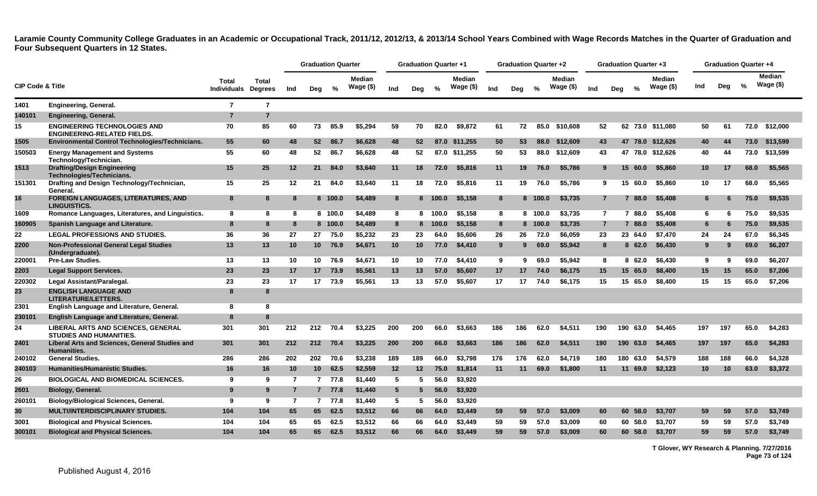|                             |                                                                             |                             |                         |                | <b>Graduation Quarter</b> |         |                             |                 | <b>Graduation Quarter +1</b> |               |                      |     | <b>Graduation Quarter +2</b> |         |                      |                |     | <b>Graduation Quarter +3</b> |                            |                 | <b>Graduation Quarter +4</b> |      |                      |
|-----------------------------|-----------------------------------------------------------------------------|-----------------------------|-------------------------|----------------|---------------------------|---------|-----------------------------|-----------------|------------------------------|---------------|----------------------|-----|------------------------------|---------|----------------------|----------------|-----|------------------------------|----------------------------|-----------------|------------------------------|------|----------------------|
| <b>CIP Code &amp; Title</b> |                                                                             | Total<br><b>Individuals</b> | Total<br><b>Degrees</b> | Ind            | Deg                       | %       | <b>Median</b><br>Wage $($)$ | Ind             | Deg                          | $\frac{0}{2}$ | Median<br>Wage $($)$ | Ind | Deg                          | %       | Median<br>Wage $($)$ | Ind            | Deg | $\%$                         | <b>Median</b><br>Wage (\$) | Ind             | Deg                          | %    | Median<br>Wage $($)$ |
| 1401                        | Engineering, General.                                                       | $\overline{7}$              | $\overline{7}$          |                |                           |         |                             |                 |                              |               |                      |     |                              |         |                      |                |     |                              |                            |                 |                              |      |                      |
| 140101                      | <b>Engineering, General.</b>                                                | $\overline{7}$              | $\overline{7}$          |                |                           |         |                             |                 |                              |               |                      |     |                              |         |                      |                |     |                              |                            |                 |                              |      |                      |
| 15                          | <b>ENGINEERING TECHNOLOGIES AND</b><br><b>ENGINEERING-RELATED FIELDS.</b>   | 70                          | 85                      | 60             | 73                        | 85.9    | \$5.294                     | 59              | 70                           | 82.0          | \$9.872              | 61  | 72                           | 85.0    | \$10,608             | 52             |     |                              | 62 73.0 \$11.080           | 50              | 61                           |      | 72.0 \$12,000        |
| 1505                        | Environmental Control Technologies/Technicians.                             | 55                          | 60                      | 48             | $52-$                     | 86.7    | \$6,628                     | 48              | 52                           |               | 87.0 \$11,255        | 50  | 53                           | 88.0    | \$12,609             | 43             |     |                              | 47 78.0 \$12.626           | 40              | 44                           | 73.0 | \$13,599             |
| 150503                      | <b>Energy Management and Systems</b><br>Technology/Technician.              | 55                          | 60                      | 48             | 52                        | 86.7    | \$6,628                     | 48              | 52                           |               | 87.0 \$11,255        | 50  | 53                           |         | 88.0 \$12,609        | 43             |     |                              | 47 78.0 \$12,626           | 40              | 44                           | 73.0 | \$13,599             |
| 1513                        | <b>Drafting/Design Engineering</b><br>Technologies/Technicians.             | 15                          | 25                      | 12             | 21                        | 84.0    | \$3,640                     | 11              | 18                           | 72.0          | \$5,816              | 11  | 19                           | 76.0    | \$5,786              | 9              |     | 15 60.0                      | \$5,860                    | 10 <sup>°</sup> | 17                           | 68.0 | \$5,565              |
| 151301                      | Drafting and Design Technology/Technician,<br>General.                      | 15                          | 25                      | 12             | 21                        | 84.0    | \$3,640                     | 11              | 18                           | 72.0          | \$5,816              | 11  | 19                           | 76.0    | \$5.786              | 9              |     | 15 60.0                      | \$5.860                    | 10              | 17                           | 68.0 | \$5.565              |
| 16                          | <b>FOREIGN LANGUAGES, LITERATURES, AND</b><br><b>LINGUISTICS.</b>           | 8                           | 8                       |                |                           | 8 100.0 | \$4,489                     | 8               |                              | 8 100.0       | \$5,158              | 8   |                              | 8 100.0 | \$3.735              | $\overline{7}$ |     | 7 88.0                       | \$5,408                    | 6               | 6                            | 75.0 | \$9.535              |
| 1609                        | Romance Languages, Literatures, and Linguistics.                            | -8                          | 8                       | 8              |                           | 8 100.0 | \$4,489                     | 8               |                              | 8 100.0       | \$5.158              | 8   |                              | 8 100.0 | \$3,735              | $\mathbf{7}$   |     | 7 88.0                       | \$5.408                    | 6               | -6                           | 75.0 | \$9.535              |
| 160905                      | Spanish Language and Literature.                                            | 8                           | 8                       | 8              |                           | 8 100.0 | \$4,489                     | 8               |                              | 8 100.0       | \$5,158              | 8   |                              | 8 100.0 | \$3,735              | $\overline{7}$ |     | 7 88.0                       | \$5,408                    | 6               | 6                            | 75.0 | \$9,535              |
| 22                          | <b>LEGAL PROFESSIONS AND STUDIES.</b>                                       | 36                          | 36                      | 27             | 27                        | 75.0    | \$5,232                     | 23              | 23                           | 64.0          | \$5,606              | 26  | 26                           | 72.0    | \$6,059              | 23             |     | 23 64.0                      | \$7,470                    | 24              | 24                           | 67.0 | \$6,345              |
| 2200                        | <b>Non-Professional General Legal Studies</b><br>(Undergraduate).           | 13                          | 13                      | 10             | 10 <sup>1</sup>           | 76.9    | \$4,671                     | 10              | 10                           | 77.0          | \$4,410              | 9   | 9.                           | 69.0    | \$5,942              | 8              |     | 8 62.0                       | \$6,430                    | 9               | 9                            | 69.0 | \$6,207              |
| 220001                      | <b>Pre-Law Studies.</b>                                                     | 13                          | 13                      | 10             | 10                        | 76.9    | \$4.671                     | 10              | 10                           | 77.0          | \$4,410              | 9   | 9                            | 69.0    | \$5.942              | 8              |     | 862.0                        | \$6.430                    | 9               | 9                            | 69.0 | \$6.207              |
| 2203                        | <b>Legal Support Services.</b>                                              | 23                          | 23                      | 17             |                           | 17 73.9 | \$5,561                     | 13              | 13                           | 57.0          | \$5,607              | 17  | 17                           | 74.0    | \$6,175              | 15             |     | 15 65.0                      | \$8,400                    | 15              | 15                           | 65.0 | \$7,206              |
| 220302                      | Legal Assistant/Paralegal.                                                  | 23                          | 23                      | 17             | 17 <sup>2</sup>           | 73.9    | \$5,561                     | 13              | 13                           | 57.0          | \$5,607              | 17  | 17                           | 74.0    | \$6,175              | 15             |     | 15 65.0                      | \$8,400                    | 15              | 15                           | 65.0 | \$7,206              |
| 23                          | <b>ENGLISH LANGUAGE AND</b><br><b>LITERATURE/LETTERS.</b>                   | 8                           | 8                       |                |                           |         |                             |                 |                              |               |                      |     |                              |         |                      |                |     |                              |                            |                 |                              |      |                      |
| 2301                        | English Language and Literature, General.                                   | 8                           | 8                       |                |                           |         |                             |                 |                              |               |                      |     |                              |         |                      |                |     |                              |                            |                 |                              |      |                      |
| 230101                      | English Language and Literature, General.                                   | 8                           | 8                       |                |                           |         |                             |                 |                              |               |                      |     |                              |         |                      |                |     |                              |                            |                 |                              |      |                      |
| 24                          | <b>LIBERAL ARTS AND SCIENCES, GENERAL</b><br><b>STUDIES AND HUMANITIES.</b> | 301                         | 301                     | 212            | 212                       | 70.4    | \$3.225                     | 200             | 200                          | 66.0          | \$3,663              | 186 | 186                          | 62.0    | \$4,511              | 190            | 190 | 63.0                         | \$4,465                    | 197             | 197                          | 65.0 | \$4,283              |
| 2401                        | Liberal Arts and Sciences, General Studies and<br><b>Humanities.</b>        | 301                         | 301                     | 212            | 212                       | 70.4    | \$3,225                     | 200             | 200                          | 66.0          | \$3,663              | 186 | 186                          | 62.0    | \$4,511              | 190            |     | 190 63.0                     | \$4,465                    | 197             | 197                          | 65.0 | \$4,283              |
| 240102                      | <b>General Studies.</b>                                                     | 286                         | 286                     | 202            | 202                       | 70.6    | \$3,238                     | 189             | 189                          | 66.0          | \$3,798              | 176 | 176                          | 62.0    | \$4,719              | 180            |     | 180 63.0                     | \$4,579                    | 188             | 188                          | 66.0 | \$4,328              |
| 240103                      | <b>Humanities/Humanistic Studies.</b>                                       | 16                          | 16                      | 10             | 10 <sup>°</sup>           | 62.5    | \$2,559                     | 12              | 12                           | 75.0          | \$1,814              | 11  | 11                           | 69.0    | \$1,800              | 11             |     | 11 69.0                      | \$2,123                    | 10 <sup>1</sup> | 10                           | 63.0 | \$3,372              |
| 26                          | <b>BIOLOGICAL AND BIOMEDICAL SCIENCES.</b>                                  | 9                           | 9                       | 7              |                           | 7 77.8  | \$1,440                     | -5              | 5                            | 56.0          | \$3.920              |     |                              |         |                      |                |     |                              |                            |                 |                              |      |                      |
| 2601                        | Biology, General.                                                           | 9                           | 9                       |                |                           | 7 77.8  | \$1,440                     | $5\phantom{.0}$ | 5                            | 56.0          | \$3,920              |     |                              |         |                      |                |     |                              |                            |                 |                              |      |                      |
| 260101                      | <b>Biology/Biological Sciences, General.</b>                                | 9                           | 9                       | $\overline{7}$ |                           | 7 77.8  | \$1,440                     | 5               | 5                            | 56.0          | \$3,920              |     |                              |         |                      |                |     |                              |                            |                 |                              |      |                      |
| 30                          | <b>MULTI/INTERDISCIPLINARY STUDIES.</b>                                     | 104                         | 104                     | 65             |                           | 65 62.5 | \$3,512                     | 66              | 66                           | 64.0          | \$3,449              | 59  | 59                           | 57.0    | \$3,009              | 60             |     | 60 58.0                      | \$3,707                    | 59              | 59                           | 57.0 | \$3,749              |
| 3001                        | <b>Biological and Physical Sciences.</b>                                    | 104                         | 104                     | 65             | 65                        | 62.5    | \$3,512                     | 66              | 66                           | 64.0          | \$3,449              | 59  | 59                           | 57.0    | \$3,009              | 60             |     | 60 58.0                      | \$3,707                    | 59              | 59                           | 57.0 | \$3,749              |
| 300101                      | <b>Biological and Physical Sciences.</b>                                    | 104                         | 104                     | 65             | 65                        | 62.5    | \$3,512                     | 66              | 66                           | 64.0          | \$3,449              | 59  | 59                           | 57.0    | \$3,009              | 60             |     | 60 58.0                      | \$3,707                    | 59              | 59                           | 57.0 | \$3,749              |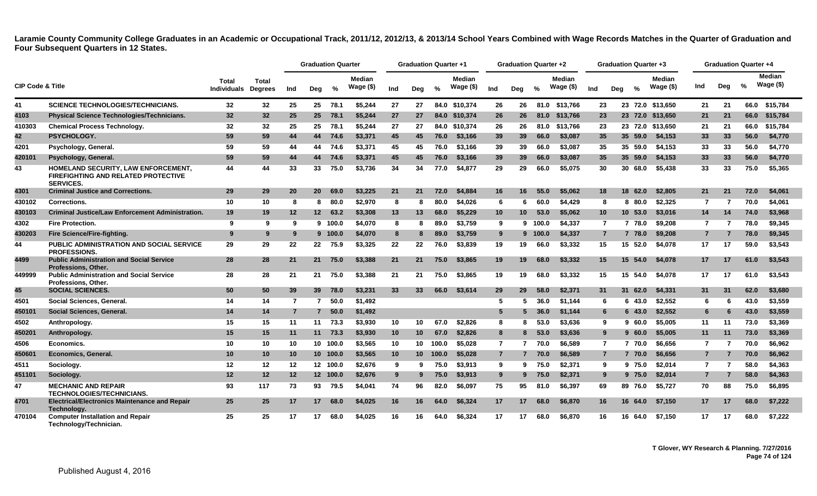|                             |                                                                                                       |                                            |                 |                | <b>Graduation Quarter</b> |          |                             |                 | <b>Graduation Quarter +1</b> |               |                             |                 | <b>Graduation Quarter +2</b> |               |                            |                | <b>Graduation Quarter +3</b> |               |                               |     | <b>Graduation Quarter +4</b> |               |                     |
|-----------------------------|-------------------------------------------------------------------------------------------------------|--------------------------------------------|-----------------|----------------|---------------------------|----------|-----------------------------|-----------------|------------------------------|---------------|-----------------------------|-----------------|------------------------------|---------------|----------------------------|----------------|------------------------------|---------------|-------------------------------|-----|------------------------------|---------------|---------------------|
| <b>CIP Code &amp; Title</b> |                                                                                                       | <b>Total</b><br><b>Individuals Degrees</b> | Total           | Ind            | Deg                       | $\%$     | <b>Median</b><br>Wage $($)$ | Ind             | Dea                          | $\frac{0}{2}$ | <b>Median</b><br>Wage $($)$ | Ind             | Dea                          | $\frac{9}{6}$ | <b>Median</b><br>Wage (\$) | Ind            | Dea                          | $\frac{0}{n}$ | <b>Median</b><br>Wage $($ \$) | Ind | Deg                          | $\frac{0}{0}$ | Median<br>Wage (\$) |
| 41                          | <b>SCIENCE TECHNOLOGIES/TECHNICIANS.</b>                                                              | 32                                         | 32              | 25             | 25                        | 78.1     | \$5.244                     | 27              | 27                           |               | 84.0 \$10,374               | 26              | 26                           |               | 81.0 \$13,766              | 23             |                              |               | 23 72.0 \$13.650              | 21  | 21                           |               | 66.0 \$15,784       |
| 4103                        | <b>Physical Science Technologies/Technicians.</b>                                                     | 32 <sub>2</sub>                            | 32 <sub>2</sub> | 25             | 25                        | 78.1     | \$5.244                     | 27              | 27                           |               | 84.0 \$10,374               | 26              | 26                           | 81.0          | \$13.766                   | 23             |                              |               | 23 72.0 \$13,650              | 21  | 21                           | 66.0          | \$15,784            |
| 410303                      | <b>Chemical Process Technology.</b>                                                                   | 32                                         | 32              | 25             | 25                        | 78.1     | \$5.244                     | 27              | 27                           |               | 84.0 \$10,374               | 26              | 26                           | 81.0          | \$13,766                   | 23             |                              |               | 23 72.0 \$13,650              | 21  | 21                           | 66.0          | \$15,784            |
| 42                          | <b>PSYCHOLOGY.</b>                                                                                    | 59                                         | 59              | 44             | 44                        | 74.6     | \$3,371                     | 45              | 45                           | 76.0          | \$3,166                     | 39              | 39                           | 66.0          | \$3,087                    | 35             |                              | 35 59.0       | \$4,153                       | 33  | 33                           | 56.0          | \$4,770             |
| 4201                        | Psychology, General.                                                                                  | 59                                         | 59              | 44             | 44                        | 74.6     | \$3,371                     | 45              | 45                           | 76.0          | \$3.166                     | 39              | 39                           | 66.0          | \$3,087                    | 35             |                              | 35 59.0       | \$4.153                       | 33  | 33                           | 56.0          | \$4,770             |
| 420101                      | Psychology, General.                                                                                  | 59                                         | 59              | 44             | 44                        | 74.6     | \$3,371                     | 45              | 45                           | 76.0          | \$3.166                     | 39              | 39                           | 66.0          | \$3,087                    | 35             |                              | 35 59.0       | \$4,153                       | 33  | 33                           | 56.0          | \$4,770             |
| 43                          | HOMELAND SECURITY, LAW ENFORCEMENT,<br><b>FIREFIGHTING AND RELATED PROTECTIVE</b><br><b>SERVICES.</b> | 44                                         | 44              | 33             | 33                        | 75.0     | \$3,736                     | 34              | 34                           | 77.0          | \$4,877                     | 29              | 29                           | 66.0          | \$5,075                    | 30             |                              | 30 68.0       | \$5,438                       | 33  | 33                           | 75.0          | \$5,365             |
| 4301                        | <b>Criminal Justice and Corrections.</b>                                                              | 29                                         | 29              | 20             | 20                        | 69.0     | \$3,225                     | 21              | 21                           | 72.0          | \$4,884                     | 16              | 16                           | 55.0          | \$5,062                    | 18             |                              | 18 62.0       | \$2,805                       | 21  | 21                           | 72.0          | \$4,061             |
| 430102                      | <b>Corrections.</b>                                                                                   | 10                                         | 10              | 8              | 8                         | 80.0     | \$2.970                     | 8               | 8                            | 80.0          | \$4,026                     | 6               | 6                            | 60.0          | \$4,429                    | 8              |                              | 8 80.0        | \$2,325                       | 7   | -7                           | 70.0          | \$4,061             |
| 430103                      | <b>Criminal Justice/Law Enforcement Administration.</b>                                               | 19                                         | 19              | 12             | 12 <sup>12</sup>          | 63.2     | \$3,308                     | 13              | 13                           | 68.0          | \$5.229                     | 10 <sup>°</sup> | 10 <sup>°</sup>              | 53.0          | \$5,062                    | 10             |                              | 10 53.0       | \$3,016                       | 14  | 14                           | 74.0          | \$3,968             |
| 4302                        | <b>Fire Protection.</b>                                                                               | 9                                          | 9               | 9              |                           | 9 100.0  | \$4,070                     | 8               | 8                            | 89.0          | \$3.759                     | 9               |                              | 9 100.0       | \$4.337                    | $\overline{7}$ |                              | 7 78.0        | \$9.208                       | 7   |                              | 78.0          | \$9,345             |
| 430203                      | Fire Science/Fire-fighting.                                                                           | 9                                          | 9               | 9              |                           | 9 100.0  | \$4,070                     | 8               | 8                            | 89.0          | \$3,759                     | 9               |                              | 9 100.0       | \$4,337                    | $\overline{7}$ |                              | 7 78.0        | \$9,208                       | 7   |                              | 78.0          | \$9,345             |
| 44                          | <b>PUBLIC ADMINISTRATION AND SOCIAL SERVICE</b><br><b>PROFESSIONS.</b>                                | 29                                         | 29              | 22             | 22                        | 75.9     | \$3,325                     | 22              | 22                           | 76.0          | \$3,839                     | 19              | 19                           | 66.0          | \$3,332                    | 15             |                              | 15 52.0       | \$4,078                       | 17  | 17                           | 59.0          | \$3,543             |
| 4499                        | <b>Public Administration and Social Service</b><br><b>Professions, Other.</b>                         | 28                                         | 28              | 21             | 21                        | 75.0     | \$3,388                     | 21              | 21                           | 75.0          | \$3,865                     | 19              | 19                           | 68.0          | \$3,332                    | 15             |                              | 15 54.0       | \$4,078                       | 17  | 17                           | 61.0          | \$3,543             |
| 449999                      | <b>Public Administration and Social Service</b><br>Professions, Other.                                | 28                                         | 28              | 21             | 21                        | 75.0     | \$3,388                     | 21              | 21                           | 75.0          | \$3.865                     | 19              | 19                           | 68.0          | \$3,332                    | 15             |                              | 15 54.0       | \$4.078                       | 17  | 17                           | 61.0          | \$3,543             |
| 45                          | <b>SOCIAL SCIENCES.</b>                                                                               | 50                                         | 50              | 39             | 39                        | 78.0     | \$3.231                     | 33 <sup>°</sup> | 33                           | 66.0          | \$3.614                     | 29              | 29                           | 58.0          | \$2.371                    | 31             |                              | 31 62.0       | \$4.331                       | 31  | 31                           | 62.0          | \$3,680             |
| 4501                        | Social Sciences, General.                                                                             | 14                                         | 14              | $\overline{7}$ | $\mathbf{7}$              | 50.0     | \$1,492                     |                 |                              |               |                             | -5              |                              | 36.0          | \$1.144                    | 6              |                              | 6 43.0        | \$2,552                       | 6   |                              | 43.0          | \$3,559             |
| 450101                      | Social Sciences, General.                                                                             | 14                                         | 14              | $\overline{7}$ | $7^{\circ}$               | 50.0     | \$1,492                     |                 |                              |               |                             | 5               |                              | 36.0          | \$1,144                    | 6              |                              | 643.0         | \$2,552                       | -6  |                              | 43.0          | \$3,559             |
| 4502                        | Anthropology.                                                                                         | 15                                         | 15              | 11             | 11                        | 73.3     | \$3.930                     | 10              | 10                           | 67.0          | \$2.826                     | 8               |                              | 53.0          | \$3.636                    | 9              |                              | 960.0         | \$5.005                       | 11  | 11                           | 73.0          | \$3,369             |
| 450201                      | Anthropology.                                                                                         | 15                                         | 15              | 11             | 11                        | 73.3     | \$3,930                     | 10              | 10 <sup>°</sup>              | 67.0          | \$2,826                     | 8               | 8                            | 53.0          | \$3,636                    | 9              |                              | 960.0         | \$5,005                       | 11  | 11                           | 73.0          | \$3,369             |
| 4506                        | Economics.                                                                                            | 10                                         | 10              | 10             |                           | 10 100.0 | \$3.565                     | 10              | 10                           | 100.0         | \$5.028                     | $\overline{7}$  | $\overline{7}$               | 70.0          | \$6.589                    | 7              |                              | 7 70.0        | \$6.656                       | 7   | -7                           | 70.0          | \$6.962             |
| 450601                      | <b>Economics, General.</b>                                                                            | 10                                         | 10              | 10             |                           | 10 100.0 | \$3,565                     | 10              | 10 <sup>°</sup>              | 100.0         | \$5,028                     | $\overline{7}$  | $\overline{7}$               | 70.0          | \$6,589                    | $\overline{7}$ |                              | 7 70.0        | \$6,656                       | 7   | 7                            | 70.0          | \$6,962             |
| 4511                        | Sociology.                                                                                            | 12                                         | 12              | 12             |                           | 12 100.0 | \$2,676                     | 9               | 9                            | 75.0          | \$3,913                     | 9               | 9                            | 75.0          | \$2,371                    | 9              |                              | 9 75.0        | \$2,014                       | 7   | -7                           | 58.0          | \$4,363             |
| 451101                      | Sociology.                                                                                            | 12                                         | 12              | 12             |                           | 12 100.0 | \$2,676                     | 9               | 9                            | 75.0          | \$3,913                     | 9               |                              | 75.0          | \$2,371                    | 9              |                              | 9 75.0        | \$2,014                       | 7   |                              | 58.0          | \$4,363             |
| 47                          | <b>MECHANIC AND REPAIR</b><br><b>TECHNOLOGIES/TECHNICIANS.</b>                                        | 93                                         | 117             | 73             | 93                        | 79.5     | \$4,041                     | 74              | 96                           | 82.0          | \$6.097                     | 75              | 95                           | 81.0          | \$6,397                    | 69             |                              | 89 76.0       | \$5,727                       | 70  | 88                           | 75.0          | \$6,895             |
| 4701                        | <b>Electrical/Electronics Maintenance and Repair</b><br>Technology.                                   | 25                                         | 25              | 17             | 17                        | 68.0     | \$4,025                     | 16              | 16                           | 64.0          | \$6,324                     | 17              | 17                           | 68.0          | \$6,870                    | 16             |                              | 16 64.0       | \$7,150                       | 17  | 17                           | 68.0          | \$7,222             |
| 470104                      | <b>Computer Installation and Repair</b><br>Technology/Technician.                                     | 25                                         | 25              | 17             | 17                        | 68.0     | \$4.025                     | 16              | 16                           | 64.0          | \$6.324                     | 17              | 17                           | 68.0          | \$6.870                    | 16             |                              | 16 64.0       | \$7.150                       | 17  | 17                           | 68.0          | \$7,222             |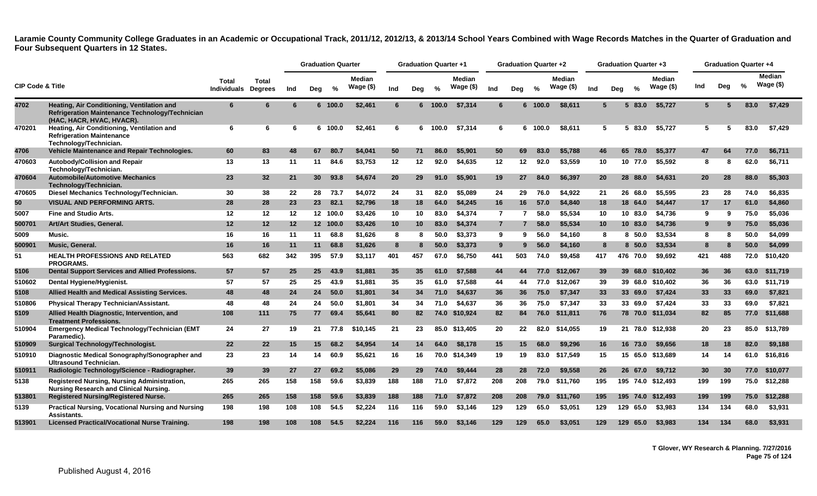|                             |                                                                                                                            |                                    |                                |     | <b>Graduation Quarter</b> |          |                            |           | <b>Graduation Quarter +1</b> |         |                            |                | <b>Graduation Quarter +2</b> |         |                            |                 |     | <b>Graduation Quarter +3</b> |                      |     | <b>Graduation Quarter +4</b> |      |                             |
|-----------------------------|----------------------------------------------------------------------------------------------------------------------------|------------------------------------|--------------------------------|-----|---------------------------|----------|----------------------------|-----------|------------------------------|---------|----------------------------|----------------|------------------------------|---------|----------------------------|-----------------|-----|------------------------------|----------------------|-----|------------------------------|------|-----------------------------|
| <b>CIP Code &amp; Title</b> |                                                                                                                            | <b>Total</b><br><b>Individuals</b> | <b>Total</b><br><b>Degrees</b> | Ind | Deg                       | %        | <b>Median</b><br>Wage (\$) | Ind       | Deg                          | %       | <b>Median</b><br>Wage (\$) | Ind            | Deg                          | %       | <b>Median</b><br>Wage (\$) | Ind             | Dea | $\%$                         | Median<br>Wage $($)$ | Ind | Deg                          | $\%$ | <b>Median</b><br>Wage $($)$ |
| 4702                        | Heating, Air Conditioning, Ventilation and<br>Refrigeration Maintenance Technology/Technician<br>(HAC, HACR, HVAC, HVACR). | 6                                  | 6                              |     |                           | 6 100.0  | \$2,461                    | 6         |                              | 6 100.0 | \$7,314                    | 6              |                              | 6 100.0 | \$8,611                    | $5\overline{5}$ |     | 83.0<br>5.                   | \$5,727              | 5   |                              | 83.0 | \$7,429                     |
| 470201                      | Heating, Air Conditioning, Ventilation and<br><b>Refrigeration Maintenance</b><br>Technology/Technician.                   | 6                                  | 6                              | 6   |                           | 6 100.0  | \$2,461                    | 6         | 6.                           | 100.0   | \$7,314                    | 6              |                              | 6 100.0 | \$8,611                    | 5               |     | 83.0<br>5.                   | \$5,727              | 5   | 5                            | 83.0 | \$7,429                     |
| 4706                        | Vehicle Maintenance and Repair Technologies.                                                                               | 60                                 | 83                             | 48  | 67                        | 80.7     | \$4,041                    | 50        | 71                           | 86.0    | \$5,901                    | 50             | 69                           | 83.0    | \$5,788                    | 46              |     | 65<br>78.0                   | \$5,377              | 47  | 64                           | 77.0 | \$6,711                     |
| 470603                      | <b>Autobody/Collision and Repair</b><br>Technology/Technician.                                                             | 13                                 | 13                             | 11  | 11                        | 84.6     | \$3,753                    | 12        | 12                           | 92.0    | \$4.635                    | 12             | $12 \,$                      | 92.0    | \$3.559                    | 10              |     | 10 77.0                      | \$5,592              | 8   | 8                            | 62.0 | \$6,711                     |
| 470604                      | <b>Automobile/Automotive Mechanics</b><br>Technology/Technician.                                                           | 23                                 | 32                             | 21  | 30 <sup>°</sup>           | 93.8     | \$4,674                    | <b>20</b> | 29                           | 91.0    | \$5.901                    | 19             | 27                           | 84.0    | \$6,397                    | 20              |     | 28<br>88.0                   | \$4,631              | 20  | 28                           | 88.0 | \$5,303                     |
| 470605                      | Diesel Mechanics Technology/Technician.                                                                                    | 30                                 | 38                             | 22  | 28                        | 73.7     | \$4,072                    | 24        | 31                           | 82.0    | \$5.089                    | 24             | 29                           | 76.0    | \$4,922                    | 21              |     | 26 68.0                      | \$5,595              | 23  | 28                           | 74.0 | \$6,835                     |
| 50                          | <b>VISUAL AND PERFORMING ARTS.</b>                                                                                         | 28                                 | 28                             | 23  | 23 <sub>2</sub>           | 82.1     | \$2,796                    | 18        | 18                           | 64.0    | \$4,245                    | 16             | 16                           | 57.0    | \$4,840                    | 18              |     | 18<br>64.0                   | \$4,447              | 17  | 17                           | 61.0 | \$4,860                     |
| 5007                        | <b>Fine and Studio Arts.</b>                                                                                               | 12                                 | 12                             | 12  |                           | 12 100.0 | \$3,426                    | 10        | 10                           | 83.0    | \$4,374                    | $\overline{7}$ |                              | 58.0    | \$5,534                    | 10              |     | 10 83.0                      | \$4,736              | 9   | 9                            | 75.0 | \$5,036                     |
| 500701                      | Art/Art Studies, General.                                                                                                  | 12                                 | 12                             | 12  |                           | 12 100.0 | \$3,426                    | 10        | 10                           | 83.0    | \$4,374                    | $\overline{7}$ |                              | 58.0    | \$5,534                    | 10              |     | 10 83.0                      | \$4,736              | 9   |                              | 75.0 | \$5,036                     |
| 5009                        | Music.                                                                                                                     | 16                                 | 16                             | 11  | 11                        | 68.8     | \$1,626                    | 8         | 8                            | 50.0    | \$3,373                    | 9              | 9                            | 56.0    | \$4,160                    | 8               |     | 8, 50.0                      | \$3,534              | 8   |                              | 50.0 | \$4,099                     |
| 500901                      | Music, General.                                                                                                            | 16                                 | 16                             | 11  | 11                        | 68.8     | \$1,626                    | 8         |                              | 50.0    | \$3,373                    | 9              | 9                            | 56.0    | \$4,160                    | 8               |     | 8 50.0                       | \$3,534              | 8   |                              | 50.0 | \$4,099                     |
| 51                          | <b>HEALTH PROFESSIONS AND RELATED</b><br><b>PROGRAMS.</b>                                                                  | 563                                | 682                            | 342 | 395                       | 57.9     | \$3,117                    | 401       | 457                          | 67.0    | \$6,750                    | 441            | 503                          | 74.0    | \$9,458                    | 417             | 476 | 70.0                         | \$9,692              | 421 | 488                          | 72.0 | \$10,420                    |
| 5106                        | Dental Support Services and Allied Professions.                                                                            | 57                                 | 57                             | 25  | 25 <sub>2</sub>           | 43.9     | \$1,881                    | 35        | 35                           | 61.0    | \$7.588                    | 44             | 44                           | 77.0    | \$12.067                   | 39              |     | 39<br>68.0                   | \$10,402             | 36  | 36                           | 63.0 | \$11,719                    |
| 510602                      | Dental Hygiene/Hygienist.                                                                                                  | 57                                 | 57                             | 25  | 25                        | 43.9     | \$1,881                    | 35        | 35                           | 61.0    | \$7,588                    | 44             | 44                           | 77.0    | \$12,067                   | 39              |     |                              | 39 68.0 \$10,402     | 36  | 36                           | 63.0 | \$11,719                    |
| 5108                        | Allied Health and Medical Assisting Services.                                                                              | 48                                 | 48                             | 24  | 24                        | 50.0     | \$1,801                    | 34        | 34                           | 71.0    | \$4,637                    | 36             | 36                           | 75.0    | \$7,347                    | 33              |     | 69.0<br>33                   | \$7,424              | 33  | 33                           | 69.0 | \$7,821                     |
| 510806                      | <b>Physical Therapy Technician/Assistant.</b>                                                                              | 48                                 | 48                             | 24  | 24                        | 50.0     | \$1,801                    | 34        | 34                           | 71.0    | \$4,637                    | 36             | 36                           | 75.0    | \$7,347                    | 33              |     | 33 69.0                      | \$7,424              | 33  | 33                           | 69.0 | \$7.821                     |
| 5109                        | Allied Health Diagnostic, Intervention, and<br><b>Treatment Professions.</b>                                               | 108                                | 111                            | 75  | 77                        | 69.4     | \$5,641                    | 80        | 82                           |         | 74.0 \$10.924              | 82             | 84                           | 76.0    | \$11,811                   | 76              |     |                              | 78 70.0 \$11.034     | 82  | 85                           | 77.0 | \$11,688                    |
| 510904                      | <b>Emergency Medical Technology/Technician (EMT</b><br>Paramedic).                                                         | 24                                 | 27                             | 19  | 21                        | 77.8     | \$10,145                   | 21        | 23                           |         | 85.0 \$13,405              | 20             | 22                           | 82.0    | \$14,055                   | 19              |     | 21 78.0                      | \$12,938             | 20  | 23                           | 85.0 | \$13,789                    |
| 510909                      | <b>Surgical Technology/Technologist.</b>                                                                                   | 22                                 | 22                             | 15  | 15                        | 68.2     | \$4,954                    | 14        | 14                           | 64.0    | \$8,178                    | 15             | 15                           | 68.0    | \$9,296                    | 16              |     | 16<br>73.0                   | \$9,656              | 18  | 18                           | 82.0 | \$9,188                     |
| 510910                      | Diagnostic Medical Sonography/Sonographer and<br><b>Ultrasound Technician.</b>                                             | 23                                 | 23                             | 14  | 14                        | 60.9     | \$5,621                    | 16        | 16                           |         | 70.0 \$14.349              | 19             | 19                           | 83.0    | \$17.549                   | 15              |     | 15                           | 65.0 \$13.689        | 14  | 14                           | 61.0 | \$16,816                    |
| 510911                      | Radiologic Technology/Science - Radiographer.                                                                              | 39                                 | 39                             | 27  | 27                        | 69.2     | \$5,086                    | 29        | 29                           | 74.0    | \$9,444                    | 28             | 28                           | 72.0    | \$9,558                    | 26              |     | 26<br>67.0                   | \$9,712              | 30  | 30                           | 77.0 | \$10.077                    |
| 5138                        | Registered Nursing, Nursing Administration,<br><b>Nursing Research and Clinical Nursing.</b>                               | 265                                | 265                            | 158 | 158                       | 59.6     | \$3,839                    | 188       | 188                          | 71.0    | \$7,872                    | 208            | 208                          | 79.0    | \$11,760                   | 195             |     |                              | 195 74.0 \$12,493    | 199 | 199                          | 75.0 | \$12,288                    |
| 513801                      | <b>Registered Nursing/Registered Nurse.</b>                                                                                | 265                                | 265                            | 158 | 158                       | 59.6     | \$3,839                    | 188       | 188                          | 71.0    | \$7,872                    | 208            | 208                          | 79.0    | \$11,760                   | 195             |     | 195 74.0                     | \$12,493             | 199 | 199                          | 75.0 | \$12,288                    |
| 5139                        | <b>Practical Nursing, Vocational Nursing and Nursing</b><br><b>Assistants</b>                                              | 198                                | 198                            | 108 | 108                       | 54.5     | \$2,224                    | 116       | 116                          | 59.0    | \$3,146                    | 129            | 129                          | 65.0    | \$3,051                    | 129             |     | 129 65.0                     | \$3,983              | 134 | 134                          | 68.0 | \$3,931                     |
| 513901                      | <b>Licensed Practical/Vocational Nurse Training.</b>                                                                       | 198                                | 198                            | 108 | 108                       | 54.5     | \$2,224                    | 116       | 116                          | 59.0    | \$3.146                    | 129            | 129                          | 65.0    | \$3,051                    | 129             | 129 | 65.0                         | \$3,983              | 134 | 134                          | 68.0 | \$3,931                     |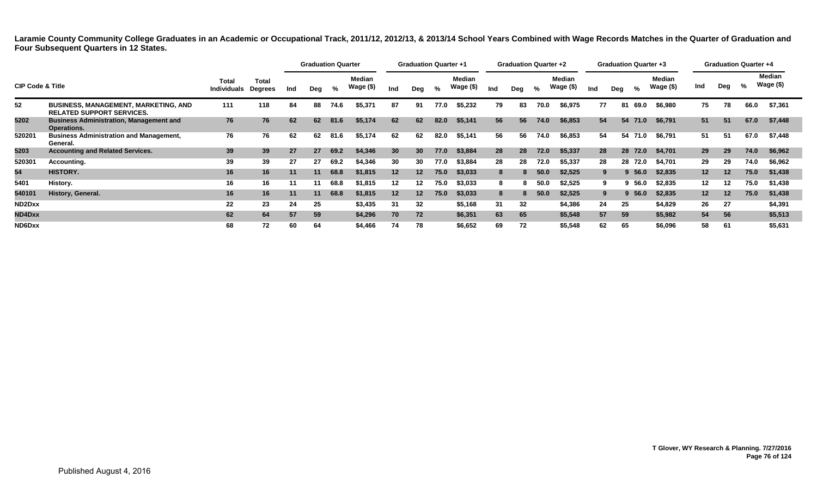|                                 |                                                                                 |                             |                  |     | <b>Graduation Quarter</b> |      |                     |                 | <b>Graduation Quarter +1</b> |      |                            |     | <b>Graduation Quarter +2</b> |      |                            |     | <b>Graduation Quarter +3</b> |         |                     |     | <b>Graduation Quarter +4</b> |      |                     |
|---------------------------------|---------------------------------------------------------------------------------|-----------------------------|------------------|-----|---------------------------|------|---------------------|-----------------|------------------------------|------|----------------------------|-----|------------------------------|------|----------------------------|-----|------------------------------|---------|---------------------|-----|------------------------------|------|---------------------|
| <b>CIP Code &amp; Title</b>     |                                                                                 | Total<br><b>Individuals</b> | Total<br>Degrees | Ind | Dea                       | %    | Median<br>Wage (\$) | Ind             | Deg                          | %    | <b>Median</b><br>Wage (\$) | Ind | Dea                          | %    | <b>Median</b><br>Wage (\$) | Ind | Deg                          | %       | Median<br>Wage (\$) | Ind | Deg                          | %    | Median<br>Wage (\$) |
| 52                              | <b>BUSINESS, MANAGEMENT, MARKETING, AND</b><br><b>RELATED SUPPORT SERVICES.</b> | 111                         | 118              | 84  | 88                        | 74.6 | \$5,371             | 87              | 91                           | 77.0 | \$5,232                    | 79  | 83                           | 70.0 | \$6,975                    | 77  |                              | 81 69.0 | \$6,980             | 75  | 78                           | 66.0 | \$7,361             |
| 5202                            | <b>Business Administration, Management and</b><br>Operations.                   | 76                          | 76               | 62  | 62                        | 81.6 | \$5,174             | 62              | 62                           | 82.0 | \$5,141                    | 56  | 56                           | 74.0 | \$6,853                    | 54  |                              | 54 71.0 | \$6,791             | 51  | 51                           | 67.0 | \$7,448             |
| 520201                          | <b>Business Administration and Management,</b><br>General.                      | 76                          | 76               | 62  | 62                        | 81.6 | \$5,174             | 62              | 62                           | 82.0 | \$5,141                    | 56  | 56                           | 74.0 | \$6,853                    | 54  |                              | 54 71.0 | \$6,791             | 51  | 51                           | 67.0 | \$7,448             |
| 5203                            | <b>Accounting and Related Services.</b>                                         | 39                          | 39               | 27  | 27                        | 69.2 | \$4,346             | 30              | 30                           | 77.0 | \$3,884                    | 28  | 28                           | 72.0 | \$5,337                    | 28  |                              | 28 72.0 | \$4,701             | 29  | 29                           | 74.0 | \$6,962             |
| 520301                          | Accounting.                                                                     | 39                          | 39               | 27  | 27                        | 69.2 | \$4,346             | 30              | 30                           | 77.0 | \$3,884                    | 28  | 28                           | 72.0 | \$5,337                    | 28  |                              | 28 72.0 | \$4,701             | 29  | 29                           | 74.0 | \$6,962             |
| 54                              | HISTORY.                                                                        | 16                          | 16               | 11  | 11                        | 68.8 | \$1,815             | 12 <sup>2</sup> | 12 <sup>2</sup>              | 75.0 | \$3,033                    | 8   |                              | 50.0 | \$2,525                    |     |                              | 9,56.0  | \$2,835             | 12  | 12                           | 75.0 | \$1,438             |
| 5401                            | History.                                                                        | 16                          | 16               | 11  |                           | 68.8 | \$1,815             | 12              | 12                           | 75.0 | \$3,033                    | 8   | 8                            | 50.0 | \$2,525                    |     |                              | 9,56.0  | \$2,835             | 12  | 12                           | 75.0 | \$1,438             |
| 540101                          | History, General.                                                               | 16                          | 16               | 11  | 11                        | 68.8 | \$1,815             | 12 <sup>2</sup> | 12                           | 75.0 | \$3,033                    | 8   |                              | 50.0 | \$2,525                    | 9.  |                              | 9,56.0  | \$2,835             | 12  | 12                           | 75.0 | \$1,438             |
| ND <sub>2</sub> D <sub>xx</sub> |                                                                                 | 22                          | 23               | 24  | 25                        |      | \$3,435             | 31              | 32                           |      | \$5,168                    | 31  | 32                           |      | \$4,386                    | 24  | 25                           |         | \$4,829             | 26  | 27                           |      | \$4,391             |
| ND4Dxx                          |                                                                                 | 62                          | 64               | 57  | 59                        |      | \$4,296             | 70              | 72                           |      | \$6,351                    | 63  | 65                           |      | \$5,548                    | 57  | 59                           |         | \$5,982             | 54  | 56                           |      | \$5,513             |
| ND6Dxx                          |                                                                                 | 68                          | 72               | 60  | 64                        |      | \$4,466             | 74              | 78                           |      | \$6,652                    | 69  | 72                           |      | \$5,548                    | 62  | 65                           |         | \$6,096             | 58  | 61                           |      | \$5,631             |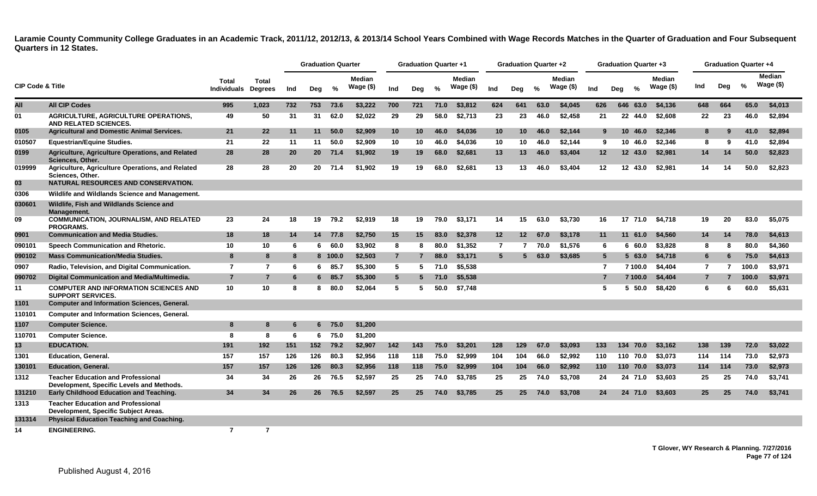|                             |                                                                                        |                             |                                |     | <b>Graduation Quarter</b> |         |                            |                 | <b>Graduation Quarter +1</b> |      |                            |                 | <b>Graduation Quarter +2</b> |      |                            |                |     | <b>Graduation Quarter +3</b> |                            |                |     | <b>Graduation Quarter +4</b> |                             |
|-----------------------------|----------------------------------------------------------------------------------------|-----------------------------|--------------------------------|-----|---------------------------|---------|----------------------------|-----------------|------------------------------|------|----------------------------|-----------------|------------------------------|------|----------------------------|----------------|-----|------------------------------|----------------------------|----------------|-----|------------------------------|-----------------------------|
| <b>CIP Code &amp; Title</b> |                                                                                        | Total<br><b>Individuals</b> | <b>Total</b><br><b>Degrees</b> | Ind | Deg                       | %       | <b>Median</b><br>Wage (\$) | Ind             | Deg                          | $\%$ | <b>Median</b><br>Wage (\$) | Ind             | Deg                          | $\%$ | <b>Median</b><br>Wage (\$) | Ind            | Deg | $\%$                         | <b>Median</b><br>Wage (\$) | Ind            | Dea | %                            | <b>Median</b><br>Wage $($)$ |
| All                         | <b>All CIP Codes</b>                                                                   | 995                         | 1.023                          | 732 | 753                       | 73.6    | \$3.222                    | 700             | 721                          | 71.0 | \$3,812                    | 624             | 641                          | 63.0 | \$4,045                    | 626            | 646 | 63.0                         | \$4,136                    | 648            | 664 | 65.0                         | \$4,013                     |
| 01                          | <b>AGRICULTURE, AGRICULTURE OPERATIONS,</b><br><b>AND RELATED SCIENCES.</b>            | 49                          | 50                             | 31  | 31                        | 62.0    | \$2,022                    | 29              | 29                           | 58.0 | \$2,713                    | 23              | 23                           | 46.0 | \$2.458                    | 21             |     | 22 44.0                      | \$2.608                    | 22             | 23  | 46.0                         | \$2.894                     |
| 0105                        | <b>Agricultural and Domestic Animal Services.</b>                                      | 21                          | 22                             | 11  | 11                        | 50.0    | \$2,909                    | 10 <sup>°</sup> | 10                           | 46.0 | \$4,036                    | 10 <sup>°</sup> | 10 <sup>°</sup>              | 46.0 | \$2,144                    | 9              |     | 10 <sup>°</sup><br>46.0      | \$2,346                    | 8              | 9   | 41.0                         | \$2,894                     |
| 010507                      | <b>Equestrian/Equine Studies.</b>                                                      | 21                          | 22                             | 11  | 11                        | 50.0    | \$2,909                    | 10              | 10                           | 46.0 | \$4,036                    | 10              | 10                           | 46.0 | \$2,144                    | 9              |     | 10 46.0                      | \$2,346                    | 8              | 9   | 41.0                         | \$2,894                     |
| 0199                        | Agriculture, Agriculture Operations, and Related<br>Sciences, Other.                   | 28                          | 28                             | 20  | 20 <sub>2</sub>           | 71.4    | \$1,902                    | 19              | 19                           | 68.0 | \$2,681                    | 13              | 13                           | 46.0 | \$3,404                    | 12             |     | 12 43.0                      | \$2,981                    | 14             | 14  | 50.0                         | \$2,823                     |
| 019999                      | Agriculture, Agriculture Operations, and Related<br>Sciences, Other.                   | 28                          | 28                             | 20  | 20                        | 71.4    | \$1.902                    | 19              | 19                           | 68.0 | \$2.681                    | 13              | 13                           | 46.0 | \$3,404                    | $12 \,$        |     | 12 43.0                      | \$2.981                    | 14             | 14  | 50.0                         | \$2,823                     |
| 03                          | <b>NATURAL RESOURCES AND CONSERVATION.</b>                                             |                             |                                |     |                           |         |                            |                 |                              |      |                            |                 |                              |      |                            |                |     |                              |                            |                |     |                              |                             |
| 0306                        | Wildlife and Wildlands Science and Management.                                         |                             |                                |     |                           |         |                            |                 |                              |      |                            |                 |                              |      |                            |                |     |                              |                            |                |     |                              |                             |
| 030601                      | Wildlife, Fish and Wildlands Science and<br>Management.                                |                             |                                |     |                           |         |                            |                 |                              |      |                            |                 |                              |      |                            |                |     |                              |                            |                |     |                              |                             |
| 09                          | <b>COMMUNICATION, JOURNALISM, AND RELATED</b><br><b>PROGRAMS.</b>                      | 23                          | 24                             | 18  | 19                        | 79.2    | \$2,919                    | 18              | 19                           | 79.0 | \$3,171                    | 14              | 15                           | 63.0 | \$3,730                    | 16             |     | 17 71.0                      | \$4,718                    | 19             | 20  | 83.0                         | \$5,075                     |
| 0901                        | <b>Communication and Media Studies.</b>                                                | 18                          | 18                             | 14  |                           | 14 77.8 | \$2,750                    | 15              | 15                           | 83.0 | \$2,378                    | 12 <sub>2</sub> | 12 <sup>2</sup>              | 67.0 | \$3,178                    | 11             |     | 11 61.0                      | \$4,560                    | 14             | 14  | 78.0                         | \$4,613                     |
| 090101                      | Speech Communication and Rhetoric.                                                     | 10                          | 10                             | -6  | 6                         | 60.0    | \$3,902                    | 8               | -8                           | 80.0 | \$1,352                    | $\overline{7}$  |                              | 70.0 | \$1.576                    | 6              |     | 660.0                        | \$3,828                    | 8              | 8   | 80.0                         | \$4,360                     |
| 090102                      | <b>Mass Communication/Media Studies.</b>                                               | 8                           | 8                              | -8  |                           | 8 100.0 | \$2,503                    | $\overline{7}$  |                              | 88.0 | \$3,171                    | $5^{\circ}$     | 5                            | 63.0 | \$3,685                    | 5              |     | 5 63.0                       | \$4,718                    | 6              |     | 75.0                         | \$4,613                     |
| 0907                        | Radio, Television, and Digital Communication.                                          | $\overline{7}$              | 7                              | -6  |                           | 6 85.7  | \$5,300                    | 5               | 5                            | 71.0 | \$5.538                    |                 |                              |      |                            | $\overline{7}$ |     | 7 100.0                      | \$4,404                    | $\overline{7}$ |     | 100.0                        | \$3.971                     |
| 090702                      | Digital Communication and Media/Multimedia.                                            | $\overline{7}$              | $\overline{7}$                 | -6  | 6.                        | 85.7    | \$5,300                    | 5               | 5                            | 71.0 | \$5.538                    |                 |                              |      |                            | $\overline{7}$ |     | 7 100.0                      | \$4,404                    |                |     | 100.0                        | \$3,971                     |
| 11                          | <b>COMPUTER AND INFORMATION SCIENCES AND</b><br><b>SUPPORT SERVICES.</b>               | 10                          | 10                             | -8  | 8                         | 80.0    | \$2,064                    | 5               | 5                            | 50.0 | \$7,748                    |                 |                              |      |                            | 5              |     | 5 50.0                       | \$8,420                    | 6              | 6   | 60.0                         | \$5,631                     |
| 1101                        | <b>Computer and Information Sciences, General.</b>                                     |                             |                                |     |                           |         |                            |                 |                              |      |                            |                 |                              |      |                            |                |     |                              |                            |                |     |                              |                             |
| 110101                      | <b>Computer and Information Sciences, General.</b>                                     |                             |                                |     |                           |         |                            |                 |                              |      |                            |                 |                              |      |                            |                |     |                              |                            |                |     |                              |                             |
| 1107                        | <b>Computer Science.</b>                                                               | 8                           | 8                              | -6  | 6.                        | 75.0    | \$1,200                    |                 |                              |      |                            |                 |                              |      |                            |                |     |                              |                            |                |     |                              |                             |
| 110701                      | <b>Computer Science.</b>                                                               | 8                           | 8                              | 6   | 6                         | 75.0    | \$1,200                    |                 |                              |      |                            |                 |                              |      |                            |                |     |                              |                            |                |     |                              |                             |
| 13                          | <b>EDUCATION.</b>                                                                      | 191                         | 192                            | 151 | 152                       | 79.2    | \$2,907                    | 142             | 143                          | 75.0 | \$3,201                    | 128             | 129                          | 67.0 | \$3,093                    | 133            | 134 | 70.0                         | \$3,162                    | 138            | 139 | 72.0                         | \$3,022                     |
| 1301                        | <b>Education, General.</b>                                                             | 157                         | 157                            | 126 | 126                       | 80.3    | \$2,956                    | 118             | 118                          | 75.0 | \$2.999                    | 104             | 104                          | 66.0 | \$2,992                    | 110            |     | 110 70.0                     | \$3,073                    | 114            | 114 | 73.0                         | \$2,973                     |
| 130101                      | <b>Education, General.</b>                                                             | 157                         | 157                            | 126 | 126                       | 80.3    | \$2,956                    | 118             | 118                          | 75.0 | \$2,999                    | 104             | 104                          | 66.0 | \$2,992                    | 110            |     | 110 70.0                     | \$3,073                    | 114            | 114 | 73.0                         | \$2,973                     |
| 1312                        | <b>Teacher Education and Professional</b><br>Development, Specific Levels and Methods. | 34                          | 34                             | 26  | 26                        | 76.5    | \$2,597                    | 25              | 25                           | 74.0 | \$3,785                    | 25              | 25                           | 74.0 | \$3,708                    | 24             |     | 24 71.0                      | \$3,603                    | 25             | 25  | 74.0                         | \$3,741                     |
| 131210                      | <b>Early Childhood Education and Teaching.</b>                                         | 34                          | 34                             | 26  | 26                        | 76.5    | \$2,597                    | 25              | 25                           | 74.0 | \$3,785                    | 25              | 25                           | 74.0 | \$3,708                    | 24             |     | 24 71.0                      | \$3,603                    | 25             | 25  | 74.0                         | \$3,741                     |
| 1313                        | <b>Teacher Education and Professional</b><br>Development, Specific Subject Areas.      |                             |                                |     |                           |         |                            |                 |                              |      |                            |                 |                              |      |                            |                |     |                              |                            |                |     |                              |                             |
| 131314                      | <b>Physical Education Teaching and Coaching.</b>                                       |                             |                                |     |                           |         |                            |                 |                              |      |                            |                 |                              |      |                            |                |     |                              |                            |                |     |                              |                             |
| 14                          | <b>ENGINEERING.</b>                                                                    | $\overline{7}$              | 7                              |     |                           |         |                            |                 |                              |      |                            |                 |                              |      |                            |                |     |                              |                            |                |     |                              |                             |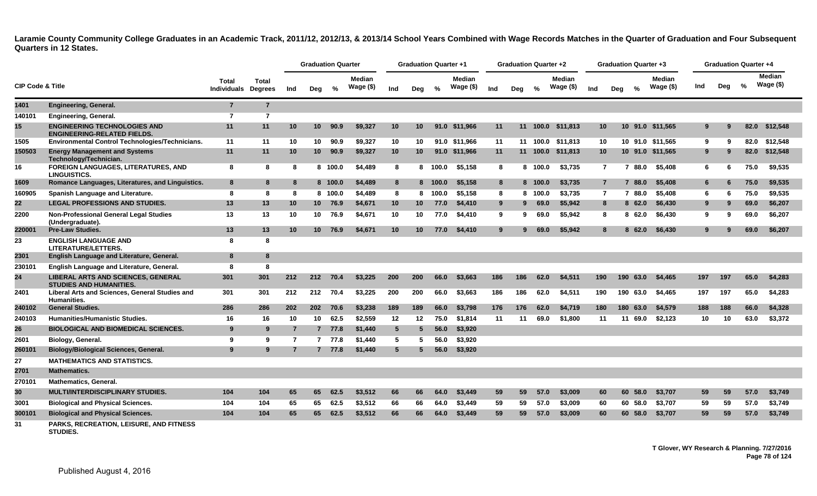|                             |                                                                           |                                    |                                |                | <b>Graduation Quarter</b> |         |                               |                 |                 | <b>Graduation Quarter +1</b> |                            |             | <b>Graduation Quarter +2</b> |          |                            |                 |     | <b>Graduation Quarter +3</b> |                      |     | <b>Graduation Quarter +4</b> |               |                             |
|-----------------------------|---------------------------------------------------------------------------|------------------------------------|--------------------------------|----------------|---------------------------|---------|-------------------------------|-----------------|-----------------|------------------------------|----------------------------|-------------|------------------------------|----------|----------------------------|-----------------|-----|------------------------------|----------------------|-----|------------------------------|---------------|-----------------------------|
| <b>CIP Code &amp; Title</b> |                                                                           | <b>Total</b><br><b>Individuals</b> | <b>Total</b><br><b>Degrees</b> | Ind            | Deg                       | %       | <b>Median</b><br>Wage $($ \$) | Ind             | Deg             | %                            | <b>Median</b><br>Wage (\$) | Ind         | Deg                          | $\%$     | <b>Median</b><br>Wage (\$) | Ind             | Deg | $\frac{6}{6}$                | Median<br>Wage $($)$ | Ind | Deg                          | $\frac{6}{6}$ | <b>Median</b><br>Wage $($)$ |
| 1401                        | <b>Engineering, General.</b>                                              | $\overline{7}$                     | $\overline{7}$                 |                |                           |         |                               |                 |                 |                              |                            |             |                              |          |                            |                 |     |                              |                      |     |                              |               |                             |
| 140101                      | <b>Engineering, General.</b>                                              | $\overline{7}$                     | $\overline{7}$                 |                |                           |         |                               |                 |                 |                              |                            |             |                              |          |                            |                 |     |                              |                      |     |                              |               |                             |
| 15                          | <b>ENGINEERING TECHNOLOGIES AND</b><br><b>ENGINEERING-RELATED FIELDS.</b> | 11                                 | 11                             | 10             | 10 <sup>1</sup>           | 90.9    | \$9,327                       | 10 <sup>°</sup> | 10              |                              | 91.0 \$11,966              | 11          |                              |          | 11 100.0 \$11,813          | 10 <sup>°</sup> |     |                              | 10 91.0 \$11,565     | 9   |                              | 82.0          | \$12,548                    |
| 1505                        | <b>Environmental Control Technologies/Technicians.</b>                    | 11                                 | 11                             | 10             | 10                        | 90.9    | \$9,327                       | 10              | 10              |                              | 91.0 \$11.966              | 11          |                              | 11 100.0 | \$11.813                   | 10              |     |                              | 10 91.0 \$11.565     | 9   | 9                            | 82.0          | \$12,548                    |
| 150503                      | <b>Energy Management and Systems</b><br>Technology/Technician.            | 11                                 | 11                             | 10             | 10                        | 90.9    | \$9,327                       | 10 <sup>1</sup> | 10              |                              | 91.0 \$11,966              | 11          |                              | 11 100.0 | \$11,813                   | 10 <sup>°</sup> |     |                              | 10 91.0 \$11,565     | 9   | 9                            | 82.0          | \$12,548                    |
| 16                          | <b>FOREIGN LANGUAGES, LITERATURES, AND</b><br><b>LINGUISTICS.</b>         | 8                                  | 8                              | 8              |                           | 8 100.0 | \$4.489                       | 8               |                 | 8 100.0                      | \$5.158                    | 8           | 8.                           | 100.0    | \$3.735                    | $\overline{7}$  |     | 7 88.0                       | \$5.408              | 6   | 6.                           | 75.0          | \$9.535                     |
| 1609                        | Romance Languages, Literatures, and Linguistics.                          | 8                                  | 8                              | 8              |                           | 8 100.0 | \$4,489                       | 8               |                 | 8 100.0                      | \$5,158                    | 8           |                              | 8 100.0  | \$3,735                    | $\overline{7}$  |     | 7 88.0                       | \$5,408              | 6   | 6                            | 75.0          | \$9,535                     |
| 160905                      | Spanish Language and Literature.                                          | 8                                  | 8                              | 8              |                           | 8 100.0 | \$4.489                       | 8               | 8               | 100.0                        | \$5,158                    | 8           | 8                            | 100.0    | \$3.735                    | $\overline{7}$  |     | 7 88.0                       | \$5.408              | 6   |                              | 75.0          | \$9,535                     |
| 22                          | <b>LEGAL PROFESSIONS AND STUDIES.</b>                                     | 13                                 | 13                             | 10             |                           | 10 76.9 | \$4,671                       | 10              | 10 <sup>°</sup> | 77.0                         | \$4,410                    | 9           | 9                            | 69.0     | \$5,942                    | 8               |     | 862.0                        | \$6,430              | 9   |                              | 69.0          | \$6,207                     |
| 2200                        | <b>Non-Professional General Legal Studies</b><br>(Undergraduate).         | 13                                 | 13                             | 10             |                           | 10 76.9 | \$4,671                       | 10              | 10              | 77.0                         | \$4,410                    | 9           | 9                            | 69.0     | \$5,942                    | 8               |     | 862.0                        | \$6,430              | 9   | 9                            | 69.0          | \$6,207                     |
| 220001                      | <b>Pre-Law Studies.</b>                                                   | 13                                 | 13                             | 10             | 10 <sup>1</sup>           | 76.9    | \$4,671                       | 10 <sup>1</sup> | 10              | 77.0                         | \$4,410                    | $9^{\circ}$ | 9                            | 69.0     | \$5,942                    | 8               |     | 862.0                        | \$6,430              | 9   |                              | 69.0          | \$6,207                     |
| 23                          | <b>ENGLISH LANGUAGE AND</b><br>LITERATURE/LETTERS.                        | 8                                  | 8                              |                |                           |         |                               |                 |                 |                              |                            |             |                              |          |                            |                 |     |                              |                      |     |                              |               |                             |
| 2301                        | English Language and Literature, General.                                 | 8                                  | 8                              |                |                           |         |                               |                 |                 |                              |                            |             |                              |          |                            |                 |     |                              |                      |     |                              |               |                             |
| 230101                      | English Language and Literature, General.                                 | 8                                  | 8                              |                |                           |         |                               |                 |                 |                              |                            |             |                              |          |                            |                 |     |                              |                      |     |                              |               |                             |
| 24                          | LIBERAL ARTS AND SCIENCES, GENERAL<br><b>STUDIES AND HUMANITIES.</b>      | 301                                | 301                            | 212            | 212                       | 70.4    | \$3.225                       | 200             | 200             | 66.0                         | \$3,663                    | 186         | 186                          | 62.0     | \$4,511                    | 190             | 190 | 63.0                         | \$4,465              | 197 | 197                          | 65.0          | \$4,283                     |
| 2401                        | Liberal Arts and Sciences, General Studies and<br><b>Humanities.</b>      | 301                                | 301                            | 212            | 212                       | 70.4    | \$3,225                       | 200             | 200             | 66.0                         | \$3.663                    | 186         | 186                          | 62.0     | \$4,511                    | 190             |     | 190 63.0                     | \$4.465              | 197 | 197                          | 65.0          | \$4,283                     |
| 240102                      | <b>General Studies.</b>                                                   | 286                                | 286                            | 202            | 202                       | 70.6    | \$3,238                       | 189             | 189             | 66.0                         | \$3,798                    | 176         | 176                          | 62.0     | \$4,719                    | 180             |     | 180 63.0                     | \$4,579              | 188 | 188                          | 66.0          | \$4,328                     |
| 240103                      | <b>Humanities/Humanistic Studies.</b>                                     | 16                                 | 16                             | 10             | 10                        | 62.5    | \$2,559                       | 12              | 12              | 75.0                         | \$1,814                    | 11          | 11                           | 69.0     | \$1.800                    | 11              |     | 11 69.0                      | \$2,123              | 10  | 10                           | 63.0          | \$3,372                     |
| 26                          | <b>BIOLOGICAL AND BIOMEDICAL SCIENCES.</b>                                | 9                                  | 9                              | $\overline{7}$ |                           | 7 77.8  | \$1,440                       | $5^{\circ}$     | 5               | 56.0                         | \$3,920                    |             |                              |          |                            |                 |     |                              |                      |     |                              |               |                             |
| 2601                        | Biology, General.                                                         | 9                                  | 9                              | 7              |                           | 7 77.8  | \$1,440                       | 5               | -5.             | 56.0                         | \$3,920                    |             |                              |          |                            |                 |     |                              |                      |     |                              |               |                             |
| 260101                      | <b>Biology/Biological Sciences, General.</b>                              | 9                                  | 9                              | 7              |                           | 7 77.8  | \$1,440                       | $5^{\circ}$     |                 | 56.0                         | \$3,920                    |             |                              |          |                            |                 |     |                              |                      |     |                              |               |                             |
| 27                          | <b>MATHEMATICS AND STATISTICS.</b>                                        |                                    |                                |                |                           |         |                               |                 |                 |                              |                            |             |                              |          |                            |                 |     |                              |                      |     |                              |               |                             |
| 2701                        | <b>Mathematics.</b>                                                       |                                    |                                |                |                           |         |                               |                 |                 |                              |                            |             |                              |          |                            |                 |     |                              |                      |     |                              |               |                             |
| 270101                      | <b>Mathematics, General.</b>                                              |                                    |                                |                |                           |         |                               |                 |                 |                              |                            |             |                              |          |                            |                 |     |                              |                      |     |                              |               |                             |
| 30                          | <b>MULTI/INTERDISCIPLINARY STUDIES.</b>                                   | 104                                | 104                            | 65             | 65                        | 62.5    | \$3,512                       | 66              | 66              | 64.0                         | \$3,449                    | 59          | 59                           | 57.0     | \$3,009                    | 60              |     | 60 58.0                      | \$3,707              | 59  | 59                           | 57.0          | \$3,749                     |
| 3001                        | <b>Biological and Physical Sciences.</b>                                  | 104                                | 104                            | 65             | 65                        | 62.5    | \$3,512                       | 66              | 66              | 64.0                         | \$3,449                    | 59          | 59                           | 57.0     | \$3,009                    | 60              |     | 60 58.0                      | \$3,707              | 59  | 59                           | 57.0          | \$3,749                     |
| 300101                      | <b>Biological and Physical Sciences.</b>                                  | 104                                | 104                            | 65             | 65                        | 62.5    | \$3,512                       | 66              | 66              | 64.0                         | \$3,449                    | 59          | 59                           | 57.0     | \$3,009                    | 60              |     | 60 58.0                      | \$3,707              | 59  | 59                           | 57.0          | \$3,749                     |
| 31                          | PARKS, RECREATION, LEISURE, AND FITNESS                                   |                                    |                                |                |                           |         |                               |                 |                 |                              |                            |             |                              |          |                            |                 |     |                              |                      |     |                              |               |                             |

**PARKS, RECREATION, LEISURE, AND FITNESS STUDIES.**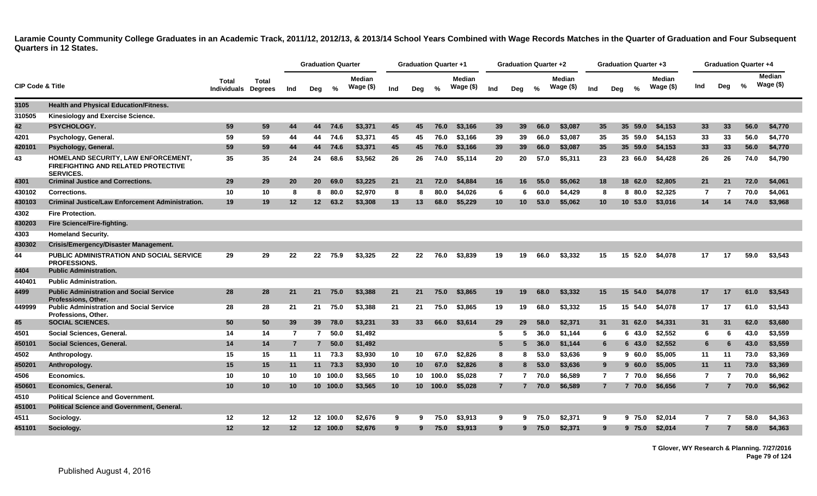|                             |                                                                                                       |                                     |                 |                | <b>Graduation Quarter</b> |                 |                            |     |                 | <b>Graduation Quarter +1</b> |                            |                 | <b>Graduation Quarter +2</b> |               |                             |                 |                | <b>Graduation Quarter +3</b> |                             |                | <b>Graduation Quarter +4</b> |      |                             |
|-----------------------------|-------------------------------------------------------------------------------------------------------|-------------------------------------|-----------------|----------------|---------------------------|-----------------|----------------------------|-----|-----------------|------------------------------|----------------------------|-----------------|------------------------------|---------------|-----------------------------|-----------------|----------------|------------------------------|-----------------------------|----------------|------------------------------|------|-----------------------------|
| <b>CIP Code &amp; Title</b> |                                                                                                       | Total<br><b>Individuals Degrees</b> | <b>Total</b>    | Ind            | Dea                       | %               | <b>Median</b><br>Wage (\$) | Ind | Deg             | $\%$                         | <b>Median</b><br>Wage (\$) | Ind             | Deg                          | $\frac{1}{2}$ | <b>Median</b><br>Wage $($)$ | Ind             | Deg            | %                            | <b>Median</b><br>Wage $($)$ | Ind            | Deg                          | %    | <b>Median</b><br>Wage $($)$ |
| 3105                        | Health and Physical Education/Fitness.                                                                |                                     |                 |                |                           |                 |                            |     |                 |                              |                            |                 |                              |               |                             |                 |                |                              |                             |                |                              |      |                             |
| 310505                      | Kinesiology and Exercise Science.                                                                     |                                     |                 |                |                           |                 |                            |     |                 |                              |                            |                 |                              |               |                             |                 |                |                              |                             |                |                              |      |                             |
| 42                          | PSYCHOLOGY.                                                                                           | 59                                  | 59              | 44             | 44                        | 74.6            | \$3,371                    | 45  | 45              | 76.0                         | \$3,166                    | 39              | 39                           | 66.0          | \$3,087                     | 35              |                | 35 <sub>2</sub><br>59.0      | \$4,153                     | 33             | 33                           | 56.0 | \$4,770                     |
| 4201                        | Psychology, General.                                                                                  | 59                                  | 59              | 44             | 44                        | 74.6            | \$3,371                    | 45  | 45              | 76.0                         | \$3,166                    | 39              | 39                           | 66.0          | \$3,087                     | 35              |                | 35 59.0                      | \$4,153                     | 33             | 33                           | 56.0 | \$4,770                     |
| 420101                      | Psychology, General.                                                                                  | 59                                  | 59              | 44             | 44                        | 74.6            | \$3,371                    | 45  | 45              | 76.0                         | \$3,166                    | 39              | 39 <sup>°</sup>              | 66.0          | \$3,087                     | 35              |                | 35 59.0                      | \$4,153                     | 33             | 33                           | 56.0 | \$4,770                     |
| 43                          | HOMELAND SECURITY, LAW ENFORCEMENT,<br><b>FIREFIGHTING AND RELATED PROTECTIVE</b><br><b>SERVICES.</b> | 35                                  | 35              | 24             | 24                        | 68.6            | \$3,562                    | 26  | 26              | 74.0                         | \$5,114                    | 20              | 20                           | 57.0          | \$5,311                     | 23              |                | 23 66.0                      | \$4,428                     | 26             | 26                           | 74.0 | \$4,790                     |
| 4301                        | <b>Criminal Justice and Corrections.</b>                                                              | 29                                  | 29              | <b>20</b>      | <b>20</b>                 | 69.0            | \$3,225                    | 21  | 21              | 72.0                         | \$4,884                    | 16              | 16                           | 55.0          | \$5,062                     | 18              |                | 18<br>62.0                   | \$2,805                     | 21             | 21                           | 72.0 | \$4,061                     |
| 430102                      | <b>Corrections.</b>                                                                                   | 10                                  | 10              | 8              | 8                         | 80.0            | \$2,970                    | 8   | 8               | 80.0                         | \$4,026                    | 6               | 6                            | 60.0          | \$4,429                     | 8               |                | 8 80.0                       | \$2,325                     | 7              |                              | 70.0 | \$4,061                     |
| 430103                      | <b>Criminal Justice/Law Enforcement Administration.</b>                                               | 19                                  | 19              | $12 \,$        | 12 <sup>12</sup>          | 63.2            | \$3,308                    | 13  | 13              | 68.0                         | \$5,229                    | 10 <sup>°</sup> | 10                           | 53.0          | \$5,062                     | 10 <sup>°</sup> |                | 10, 53.0                     | \$3,016                     | 14             | 14                           | 74.0 | \$3,968                     |
| 4302                        | <b>Fire Protection.</b>                                                                               |                                     |                 |                |                           |                 |                            |     |                 |                              |                            |                 |                              |               |                             |                 |                |                              |                             |                |                              |      |                             |
| 430203                      | Fire Science/Fire-fighting.                                                                           |                                     |                 |                |                           |                 |                            |     |                 |                              |                            |                 |                              |               |                             |                 |                |                              |                             |                |                              |      |                             |
| 4303                        | <b>Homeland Security.</b>                                                                             |                                     |                 |                |                           |                 |                            |     |                 |                              |                            |                 |                              |               |                             |                 |                |                              |                             |                |                              |      |                             |
| 430302                      | <b>Crisis/Emergency/Disaster Management.</b>                                                          |                                     |                 |                |                           |                 |                            |     |                 |                              |                            |                 |                              |               |                             |                 |                |                              |                             |                |                              |      |                             |
| 44                          | <b>PUBLIC ADMINISTRATION AND SOCIAL SERVICE</b><br>PROFESSIONS.                                       | 29                                  | 29              | 22             | 22                        | 75.9            | \$3,325                    | 22  | 22              | 76.0                         | \$3,839                    | 19              | 19                           | 66.0          | \$3,332                     | 15              |                | 15 52.0                      | \$4,078                     | 17             | 17                           | 59.0 | \$3,543                     |
| 4404                        | <b>Public Administration.</b>                                                                         |                                     |                 |                |                           |                 |                            |     |                 |                              |                            |                 |                              |               |                             |                 |                |                              |                             |                |                              |      |                             |
| 440401                      | <b>Public Administration.</b>                                                                         |                                     |                 |                |                           |                 |                            |     |                 |                              |                            |                 |                              |               |                             |                 |                |                              |                             |                |                              |      |                             |
| 4499                        | <b>Public Administration and Social Service</b><br>Professions, Other.                                | 28                                  | 28              | 21             | 21                        | 75.0            | \$3,388                    | 21  | 21              | 75.0                         | \$3,865                    | 19              | 19                           | 68.0          | \$3,332                     | 15              |                | 15 <sup>15</sup><br>54.0     | \$4,078                     | 17             | -17                          | 61.0 | \$3,543                     |
| 449999                      | <b>Public Administration and Social Service</b><br>Professions, Other.                                | 28                                  | 28              | 21             |                           | 21 75.0         | \$3,388                    | 21  | 21              | 75.0                         | \$3,865                    | 19              | 19                           | 68.0          | \$3,332                     | 15              |                | 15 54.0                      | \$4,078                     | 17             | 17                           | 61.0 | \$3,543                     |
| 45                          | <b>SOCIAL SCIENCES.</b>                                                                               | 50                                  | 50              | 39             | 39 <sup>°</sup>           | 78.0            | \$3,231                    | 33  | 33              | 66.0                         | \$3,614                    | 29              | 29                           | 58.0          | \$2.371                     | 31              |                | 31 62.0                      | \$4,331                     | 31             | 31                           | 62.0 | \$3,680                     |
| 4501                        | Social Sciences, General.                                                                             | 14                                  | 14              | $\overline{7}$ | $\overline{7}$            | 50.0            | \$1,492                    |     |                 |                              |                            | 5               | 5.                           | 36.0          | \$1.144                     |                 | 6              | 6 43.0                       | \$2,552                     | 6              | 6                            | 43.0 | \$3,559                     |
| 450101                      | Social Sciences, General.                                                                             | 14                                  | 14              | $\overline{7}$ | $7^{\circ}$               | 50.0            | \$1,492                    |     |                 |                              |                            | 5 <sup>5</sup>  | 5.                           | 36.0          | \$1,144                     |                 | 6              | 6 43.0                       | \$2,552                     | 6              | 6                            | 43.0 | \$3,559                     |
| 4502                        | Anthropology.                                                                                         | 15                                  | 15              | 11             | 11                        | 73.3            | \$3,930                    | 10  | 10              | 67.0                         | \$2,826                    | 8               | 8                            | 53.0          | \$3.636                     |                 | 9              | 960.0                        | \$5.005                     | 11             | 11                           | 73.0 | \$3,369                     |
| 450201                      | Anthropology.                                                                                         | 15                                  | 15              | 11             |                           | $11 \quad 73.3$ | \$3,930                    | 10  | 10              | 67.0                         | \$2,826                    | 8               | 8                            | 53.0          | \$3,636                     |                 | 9              | 960.0                        | \$5,005                     | 11             | 11                           | 73.0 | \$3,369                     |
| 4506                        | Economics.                                                                                            | 10                                  | 10              | 10             |                           | 10 100.0        | \$3,565                    | 10  | 10              | 100.0                        | \$5,028                    | $\overline{7}$  | 7                            | 70.0          | \$6,589                     |                 | $\overline{7}$ | 7 70.0                       | \$6,656                     | $\overline{7}$ | -7                           | 70.0 | \$6,962                     |
| 450601                      | Economics, General.                                                                                   | 10                                  | 10 <sup>°</sup> | 10             |                           | 10 100.0        | \$3,565                    | 10  | 10 <sup>1</sup> | 100.0                        | \$5,028                    | $\overline{7}$  |                              | 70.0          | \$6,589                     |                 | 7              | 7 70.0                       | \$6,656                     |                |                              | 70.0 | \$6,962                     |
| 4510                        | <b>Political Science and Government.</b>                                                              |                                     |                 |                |                           |                 |                            |     |                 |                              |                            |                 |                              |               |                             |                 |                |                              |                             |                |                              |      |                             |
| 451001                      | <b>Political Science and Government, General.</b>                                                     |                                     |                 |                |                           |                 |                            |     |                 |                              |                            |                 |                              |               |                             |                 |                |                              |                             |                |                              |      |                             |
| 4511                        | Sociology.                                                                                            | 12                                  | 12              | 12             |                           | 12 100.0        | \$2,676                    | 9   | 9               | 75.0                         | \$3,913                    | 9               | 9.                           | 75.0          | \$2.371                     | 9               |                | 9 75.0                       | \$2.014                     | 7              |                              | 58.0 | \$4,363                     |
| 451101                      | Sociology.                                                                                            | 12                                  | 12 <sub>2</sub> | 12             |                           | 12 100.0        | \$2,676                    | 9   | 9               | 75.0                         | \$3,913                    | 9               | 9                            | 75.0          | \$2,371                     | 9               |                | 9 75.0                       | \$2,014                     |                |                              | 58.0 | \$4,363                     |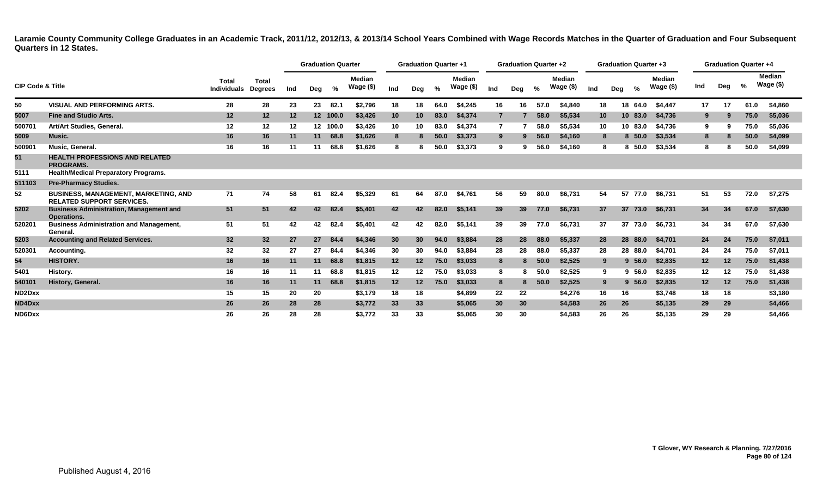|                             |                                                                                 |                             |                                |         | <b>Graduation Quarter</b> |               |                      |                 | <b>Graduation Quarter +1</b> |      |                            |     | <b>Graduation Quarter +2</b> |      |                            |     | <b>Graduation Quarter +3</b> |         |                            |         | <b>Graduation Quarter +4</b> |      |                            |
|-----------------------------|---------------------------------------------------------------------------------|-----------------------------|--------------------------------|---------|---------------------------|---------------|----------------------|-----------------|------------------------------|------|----------------------------|-----|------------------------------|------|----------------------------|-----|------------------------------|---------|----------------------------|---------|------------------------------|------|----------------------------|
| <b>CIP Code &amp; Title</b> |                                                                                 | Total<br><b>Individuals</b> | <b>Total</b><br><b>Degrees</b> | Ind     | Deg                       | $\frac{9}{6}$ | Median<br>Wage $($)$ | Ind             | Deg                          | %    | <b>Median</b><br>Wage (\$) | Ind | Deg                          | %    | <b>Median</b><br>Wage (\$) | Ind | Deg                          |         | <b>Median</b><br>Wage (\$) | Ind     | Deg                          | %    | <b>Median</b><br>Wage (\$) |
| 50                          | <b>VISUAL AND PERFORMING ARTS.</b>                                              | 28                          | 28                             | 23      | 23                        | 82.1          | \$2,796              | 18              | 18                           | 64.0 | \$4,245                    | 16  | 16                           | 57.0 | \$4,840                    | 18  |                              | 18 64.0 | \$4,447                    | 17      | 17                           | 61.0 | \$4,860                    |
| 5007                        | <b>Fine and Studio Arts.</b>                                                    | 12                          | $12 \,$                        | $12 \,$ |                           | 12 100.0      | \$3,426              | 10              | 10                           | 83.0 | \$4,374                    |     |                              | 58.0 | \$5,534                    | 10  |                              | 10 83.0 | \$4,736                    | 9       | 9                            | 75.0 | \$5,036                    |
| 500701                      | Art/Art Studies, General.                                                       | 12                          | 12                             | 12      |                           | 12 100.0      | \$3,426              | 10              | 10                           | 83.0 | \$4,374                    |     |                              | 58.0 | \$5,534                    | 10  |                              | 10 83.0 | \$4,736                    | 9       | 9                            | 75.0 | \$5,036                    |
| 5009                        | Music.                                                                          | 16                          | 16                             | 11      | 11                        | 68.8          | \$1,626              | 8               |                              | 50.0 | \$3,373                    | 9   | 9                            | 56.0 | \$4,160                    |     | 8                            | 8, 50.0 | \$3,534                    | 8       | 8                            | 50.0 | \$4,099                    |
| 500901                      | <b>Music, General</b>                                                           | 16                          | 16                             | 11      | 11                        | 68.8          | \$1,626              | 8               |                              | 50.0 | \$3,373                    | 9   |                              | 56.0 | \$4,160                    |     |                              | 8, 50.0 | \$3,534                    | 8       |                              | 50.0 | \$4,099                    |
| 51                          | <b>HEALTH PROFESSIONS AND RELATED</b><br><b>PROGRAMS.</b>                       |                             |                                |         |                           |               |                      |                 |                              |      |                            |     |                              |      |                            |     |                              |         |                            |         |                              |      |                            |
| 5111                        | <b>Health/Medical Preparatory Programs.</b>                                     |                             |                                |         |                           |               |                      |                 |                              |      |                            |     |                              |      |                            |     |                              |         |                            |         |                              |      |                            |
| 511103                      | <b>Pre-Pharmacy Studies.</b>                                                    |                             |                                |         |                           |               |                      |                 |                              |      |                            |     |                              |      |                            |     |                              |         |                            |         |                              |      |                            |
| 52                          | <b>BUSINESS, MANAGEMENT, MARKETING, AND</b><br><b>RELATED SUPPORT SERVICES.</b> | 71                          | 74                             | 58      | 61                        | 82.4          | \$5.329              | 61              | 64                           | 87.0 | \$4,761                    | 56  | 59                           | 80.0 | \$6,731                    | 54  |                              | 57 77.0 | \$6,731                    | 51      | 53                           | 72.0 | \$7,275                    |
| 5202                        | <b>Business Administration, Management and</b><br>Operations.                   | 51                          | 51                             | 42      | 42                        | 82.4          | \$5,401              | 42              | 42                           | 82.0 | \$5,141                    | 39  | 39                           | 77.0 | \$6,731                    | 37  |                              | 37 73.0 | \$6,731                    | 34      | 34                           | 67.0 | \$7,630                    |
| 520201                      | <b>Business Administration and Management,</b><br>General.                      | 51                          | 51                             | 42      | 42                        | 82.4          | \$5,401              | 42              | 42                           | 82.0 | \$5,141                    | 39  | 39                           | 77.0 | \$6,731                    | 37  |                              | 37 73.0 | \$6,731                    | 34      | 34                           | 67.0 | \$7,630                    |
| 5203                        | <b>Accounting and Related Services.</b>                                         | 32                          | 32 <sub>2</sub>                | 27      | 27                        | 84.4          | \$4,346              | 30 <sup>°</sup> | 30 <sup>°</sup>              | 94.0 | \$3,884                    | 28  | 28                           | 88.0 | \$5,337                    | 28  |                              | 28 88.0 | \$4,701                    | 24      | 24                           | 75.0 | \$7,011                    |
| 520301                      | Accounting.                                                                     | 32                          | 32                             | 27      | 27                        | 84.4          | \$4,346              | 30              | 30                           | 94.0 | \$3,884                    | 28  | 28                           | 88.0 | \$5,337                    | 28  |                              | 28 88.0 | \$4,701                    | 24      | 24                           | 75.0 | \$7,011                    |
| 54                          | <b>HISTORY.</b>                                                                 | 16                          | 16                             | 11      | 11                        | 68.8          | \$1,815              | 12              | 12                           | 75.0 | \$3,033                    | 8   | 8.                           | 50.0 | \$2,525                    |     | 9                            | 9,56.0  | \$2,835                    | 12      | 12                           | 75.0 | \$1,438                    |
| 5401                        | History.                                                                        | 16                          | 16                             | 11      | 11                        | 68.8          | \$1,815              | 12              | $12 \,$                      | 75.0 | \$3,033                    |     | 8                            | 50.0 | \$2,525                    |     | 9                            | 9,56.0  | \$2,835                    | $12 \,$ | 12                           | 75.0 | \$1,438                    |
| 540101                      | History, General.                                                               | 16                          | 16                             | 11      | 11                        | 68.8          | \$1,815              | 12              | 12                           | 75.0 | \$3,033                    | 8   | 8.                           | 50.0 | \$2,525                    |     | 9                            | 9, 56.0 | \$2,835                    | 12      | 12                           | 75.0 | \$1,438                    |
| ND2Dxx                      |                                                                                 | 15                          | 15                             | 20      | 20                        |               | \$3.179              | 18              | 18                           |      | \$4,899                    | 22  | 22                           |      | \$4,276                    | 16  | 16                           |         | \$3,748                    | 18      | 18                           |      | \$3,180                    |
| ND4Dxx                      |                                                                                 | 26                          | 26                             | 28      | 28                        |               | \$3,772              | 33              | 33                           |      | \$5,065                    | 30  | 30                           |      | \$4,583                    | 26  | 26                           |         | \$5,135                    | 29      | 29                           |      | \$4,466                    |
| ND6Dxx                      |                                                                                 | 26                          | 26                             | 28      | 28                        |               | \$3,772              | 33              | 33                           |      | \$5,065                    | 30  | 30                           |      | \$4,583                    | 26  | 26                           |         | \$5,135                    | 29      | 29                           |      | \$4,466                    |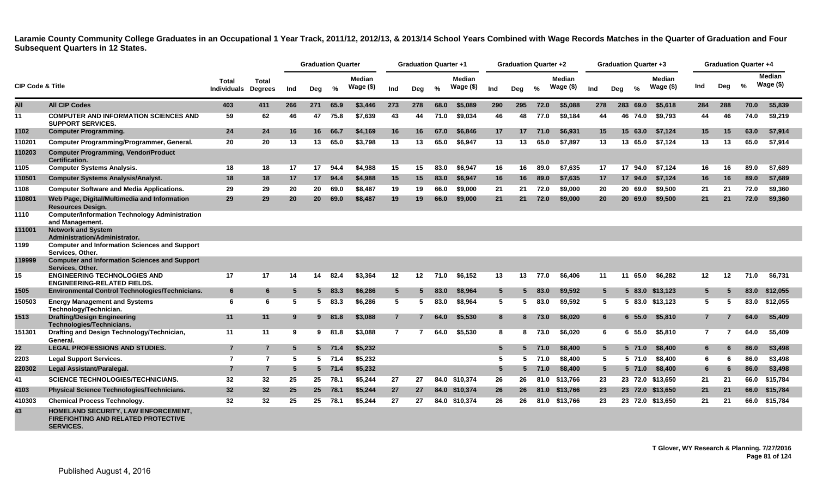|                             |                                                                                                       |                                    |                                |     | <b>Graduation Quarter</b> |               |                            |                | <b>Graduation Quarter +1</b> |               |                            |                 | <b>Graduation Quarter +2</b> |       |                     |                 | <b>Graduation Quarter +3</b> |               |                             |              | <b>Graduation Quarter +4</b> |      |                             |
|-----------------------------|-------------------------------------------------------------------------------------------------------|------------------------------------|--------------------------------|-----|---------------------------|---------------|----------------------------|----------------|------------------------------|---------------|----------------------------|-----------------|------------------------------|-------|---------------------|-----------------|------------------------------|---------------|-----------------------------|--------------|------------------------------|------|-----------------------------|
| <b>CIP Code &amp; Title</b> |                                                                                                       | <b>Total</b><br><b>Individuals</b> | <b>Total</b><br><b>Degrees</b> | Ind | Deg                       | %             | <b>Median</b><br>Wage (\$) | Ind            | Deg                          | $\frac{0}{2}$ | <b>Median</b><br>Wage (\$) | Ind             | Deg                          | $\%$  | Median<br>Wage (\$) | Ind             | Deg                          | $\frac{0}{2}$ | <b>Median</b><br>Wage $($)$ | Ind          | Deg                          | $\%$ | <b>Median</b><br>Wage $($)$ |
| All                         | <b>All CIP Codes</b>                                                                                  | 403                                | 411                            | 266 | 271                       | 65.9          | \$3,446                    | 273            | 278                          | 68.0          | \$5,089                    | 290             | 295                          | 72.0  | \$5,088             | 278             | 283                          | 69.0          | \$5,618                     | 284          | 288                          | 70.0 | \$5,839                     |
| 11                          | <b>COMPUTER AND INFORMATION SCIENCES AND</b><br><b>SUPPORT SERVICES.</b>                              | 59                                 | 62                             | 46  | 47                        | 75.8          | \$7.639                    | 43             | 44                           | 71.0          | \$9.034                    | 46              | 48                           | 77.0  | \$9.184             | 44              | 46 74.0                      |               | \$9.793                     | 44           | 46                           | 74.0 | \$9,219                     |
| 1102                        | <b>Computer Programming.</b>                                                                          | 24                                 | 24                             | 16  | 16                        | 66.7          | \$4,169                    | 16             | 16                           | 67.0          | \$6,846                    | 17              | 17                           | 71.0  | \$6,931             | 15              | 15 63.0                      |               | \$7.124                     | 15           | 15                           | 63.0 | \$7,914                     |
| 110201                      | Computer Programming/Programmer, General.                                                             | 20                                 | 20                             | 13  | 13                        | 65.0          | \$3,798                    | 13             | 13                           | 65.0          | \$6,947                    | 13              | 13                           | 65.0  | \$7,897             | 13              | 13 65.0                      |               | \$7,124                     | 13           | 13                           | 65.0 | \$7,914                     |
| 110203                      | <b>Computer Programming, Vendor/Product</b><br>Certification.                                         |                                    |                                |     |                           |               |                            |                |                              |               |                            |                 |                              |       |                     |                 |                              |               |                             |              |                              |      |                             |
| 1105                        | <b>Computer Systems Analysis.</b>                                                                     | 18                                 | 18                             | 17  | 17                        | 94.4          | \$4,988                    | 15             | 15                           | 83.0          | \$6,947                    | 16              | 16                           | 89.0  | \$7,635             | 17              | 17 94.0                      |               | \$7,124                     | 16           | 16                           | 89.0 | \$7,689                     |
| 110501                      | <b>Computer Systems Analysis/Analyst.</b>                                                             | 18                                 | 18                             | 17  | 17                        | 94.4          | \$4,988                    | 15             | 15                           | 83.0          | \$6,947                    | 16              | 16                           | 89.0  | \$7,635             | 17              | 17 94.0                      |               | \$7,124                     | 16           | 16                           | 89.0 | \$7,689                     |
| 1108                        | <b>Computer Software and Media Applications.</b>                                                      | 29                                 | 29                             | 20  | 20                        | 69.0          | \$8,487                    | 19             | 19                           | 66.0          | \$9,000                    | 21              | 21                           | 72.0  | \$9,000             | 20              | 20 69.0                      |               | \$9,500                     | 21           | 21                           | 72.0 | \$9,360                     |
| 110801                      | Web Page, Digital/Multimedia and Information<br><b>Resources Design.</b>                              | 29                                 | 29                             | 20  | 20 <sup>°</sup>           | 69.0          | \$8,487                    | 19             | 19                           | 66.0          | \$9,000                    | 21              | 21                           | 72.0  | \$9,000             | 20 <sub>2</sub> | 20 69.0                      |               | \$9,500                     | 21           | 21                           | 72.0 | \$9,360                     |
| 1110                        | <b>Computer/Information Technology Administration</b><br>and Management.                              |                                    |                                |     |                           |               |                            |                |                              |               |                            |                 |                              |       |                     |                 |                              |               |                             |              |                              |      |                             |
| 111001                      | <b>Network and System</b><br>Administration/Administrator.                                            |                                    |                                |     |                           |               |                            |                |                              |               |                            |                 |                              |       |                     |                 |                              |               |                             |              |                              |      |                             |
| 1199                        | <b>Computer and Information Sciences and Support</b><br>Services. Other.                              |                                    |                                |     |                           |               |                            |                |                              |               |                            |                 |                              |       |                     |                 |                              |               |                             |              |                              |      |                             |
| 119999                      | <b>Computer and Information Sciences and Support</b><br>Services, Other.                              |                                    |                                |     |                           |               |                            |                |                              |               |                            |                 |                              |       |                     |                 |                              |               |                             |              |                              |      |                             |
| 15                          | <b>ENGINEERING TECHNOLOGIES AND</b><br><b>ENGINEERING-RELATED FIELDS.</b>                             | 17                                 | 17                             | 14  | 14                        | 82.4          | \$3.364                    | 12             | $12 \,$                      | 71.0          | \$6.152                    | 13              | 13                           | 77.0  | \$6.406             | 11              | 11                           | 65.0          | \$6.282                     | $12 \,$      | $12 \,$                      | 71.0 | \$6.731                     |
| 1505                        | <b>Environmental Control Technologies/Technicians.</b>                                                | 6                                  | 6                              | 5   |                           | $5\quad 83.3$ | \$6,286                    | $5^{\circ}$    | 5.                           | 83.0          | \$8,964                    | $5\overline{)}$ | 5                            | 83.0  | \$9,592             | $5^{\circ}$     |                              | 583.0         | \$13,123                    | $5^{\circ}$  | 5                            | 83.0 | \$12,055                    |
| 150503                      | <b>Energy Management and Systems</b><br>Technology/Technician.                                        | 6                                  | 6                              | -5  | 5                         | 83.3          | \$6.286                    | 5              | -5.                          | 83.0          | \$8.964                    | 5               | -5.                          | 83.0  | \$9.592             | 5               |                              |               | 5 83.0 \$13.123             | 5            | -5                           | 83.0 | \$12.055                    |
| 1513                        | <b>Drafting/Design Engineering</b><br>Technologies/Technicians.                                       | 11                                 | 11                             | 9   |                           | 9 81.8        | \$3,088                    | $\overline{7}$ |                              | 64.0          | \$5,530                    | 8               | 8                            | 73.0  | \$6,020             | 6               |                              | 55.0          | \$5,810                     | $7^{\circ}$  | 7                            | 64.0 | \$5,409                     |
| 151301                      | Drafting and Design Technology/Technician,<br>General.                                                | 11                                 | 11                             | 9   |                           | 9 81.8        | \$3,088                    | $\overline{7}$ |                              | 64.0          | \$5.530                    | 8               | 8                            | 73.0  | \$6,020             | 6               |                              | $6\,55.0$     | \$5,810                     | $\mathbf{7}$ |                              | 64.0 | \$5,409                     |
| 22                          | <b>LEGAL PROFESSIONS AND STUDIES.</b>                                                                 | $\overline{7}$                     | $\overline{7}$                 | -5  |                           | $5$ 71.4      | \$5,232                    |                |                              |               |                            | $5\overline{)}$ | 5.                           | 71.0  | \$8,400             | $5^{\circ}$     |                              | 571.0         | \$8,400                     | 6            |                              | 86.0 | \$3,498                     |
| 2203                        | <b>Legal Support Services.</b>                                                                        | $\overline{7}$                     | $\overline{7}$                 | 5   |                           | $5$ 71.4      | \$5,232                    |                |                              |               |                            | 5               |                              | 571.0 | \$8,400             | 5               |                              | 5 71.0        | \$8,400                     | 6            | 6                            | 86.0 | \$3,498                     |
| 220302                      | Legal Assistant/Paralegal.                                                                            | $\overline{7}$                     | $\overline{7}$                 | 5   |                           | $5$ 71.4      | \$5,232                    |                |                              |               |                            | 5 <sup>5</sup>  | $5^{\circ}$                  | 71.0  | \$8,400             | $5\overline{5}$ |                              | 5 71.0        | \$8,400                     | 6            | 6                            | 86.0 | \$3,498                     |
| 41                          | <b>SCIENCE TECHNOLOGIES/TECHNICIANS.</b>                                                              | 32                                 | 32                             | 25  | 25                        | 78.1          | \$5,244                    | 27             | 27                           |               | 84.0 \$10,374              | 26              | 26                           | 81.0  | \$13,766            | 23              |                              |               | 23 72.0 \$13,650            | 21           | 21                           | 66.0 | \$15,784                    |
| 4103                        | <b>Physical Science Technologies/Technicians.</b>                                                     | 32                                 | 32                             | 25  | 25                        | 78.1          | \$5,244                    | 27             | 27                           |               | 84.0 \$10,374              | 26              | 26                           | 81.0  | \$13,766            | 23              |                              |               | 23 72.0 \$13,650            | 21           | 21                           | 66.0 | \$15,784                    |
| 410303                      | <b>Chemical Process Technology.</b>                                                                   | 32                                 | 32                             | 25  | 25                        | 78.1          | \$5,244                    | 27             | 27                           |               | 84.0 \$10,374              | 26              | 26                           |       | 81.0 \$13,766       | 23              |                              |               | 23 72.0 \$13,650            | 21           | 21                           |      | 66.0 \$15,784               |
| 43                          | HOMELAND SECURITY, LAW ENFORCEMENT,<br><b>FIREFIGHTING AND RELATED PROTECTIVE</b><br><b>SERVICES.</b> |                                    |                                |     |                           |               |                            |                |                              |               |                            |                 |                              |       |                     |                 |                              |               |                             |              |                              |      |                             |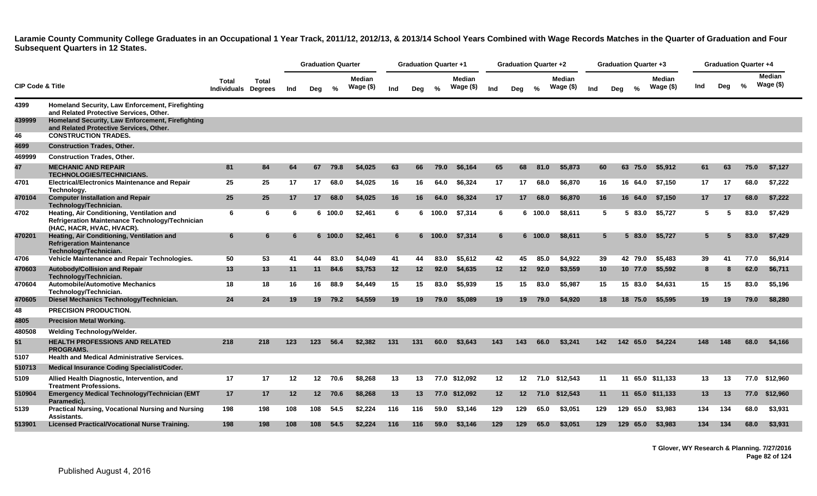|                             |                                                                                                                            |                                     |       |                 | <b>Graduation Quarter</b> |               |                             |     | <b>Graduation Quarter +1</b> |         |                     |      | <b>Graduation Quarter +2</b> |               |                            |                 | <b>Graduation Quarter +3</b> |               |                      |                 | <b>Graduation Quarter +4</b> |               |                            |
|-----------------------------|----------------------------------------------------------------------------------------------------------------------------|-------------------------------------|-------|-----------------|---------------------------|---------------|-----------------------------|-----|------------------------------|---------|---------------------|------|------------------------------|---------------|----------------------------|-----------------|------------------------------|---------------|----------------------|-----------------|------------------------------|---------------|----------------------------|
| <b>CIP Code &amp; Title</b> |                                                                                                                            | Total<br><b>Individuals Degrees</b> | Total | Ind             | Deg                       | $\frac{0}{2}$ | <b>Median</b><br>Wage $($)$ | Ind | Deg                          | $\%$    | Median<br>Wage (\$) | Ind  | Deg                          | $\frac{0}{0}$ | <b>Median</b><br>Wage (\$) | Ind             | Deg                          | $\frac{9}{6}$ | Median<br>Wage $($)$ | Ind             | Dea                          | $\frac{6}{6}$ | <b>Median</b><br>Wage (\$) |
| 4399                        | Homeland Security, Law Enforcement, Firefighting<br>and Related Protective Services, Other.                                |                                     |       |                 |                           |               |                             |     |                              |         |                     |      |                              |               |                            |                 |                              |               |                      |                 |                              |               |                            |
| 439999                      | Homeland Security, Law Enforcement, Firefighting<br>and Related Protective Services, Other.                                |                                     |       |                 |                           |               |                             |     |                              |         |                     |      |                              |               |                            |                 |                              |               |                      |                 |                              |               |                            |
| 46                          | <b>CONSTRUCTION TRADES.</b>                                                                                                |                                     |       |                 |                           |               |                             |     |                              |         |                     |      |                              |               |                            |                 |                              |               |                      |                 |                              |               |                            |
| 4699                        | <b>Construction Trades, Other.</b>                                                                                         |                                     |       |                 |                           |               |                             |     |                              |         |                     |      |                              |               |                            |                 |                              |               |                      |                 |                              |               |                            |
| 469999                      | <b>Construction Trades, Other.</b>                                                                                         |                                     |       |                 |                           |               |                             |     |                              |         |                     |      |                              |               |                            |                 |                              |               |                      |                 |                              |               |                            |
| 47                          | <b>MECHANIC AND REPAIR</b><br><b>TECHNOLOGIES/TECHNICIANS.</b>                                                             | 81                                  | 84    | 64              | 67                        | 79.8          | \$4,025                     | 63  | 66                           | 79.0    | \$6.164             | 65   | 68                           | 81.0          | \$5,873                    | 60              | 63                           | 75.0          | \$5.912              | 61              | 63                           | 75.0          | \$7,127                    |
| 4701                        | <b>Electrical/Electronics Maintenance and Repair</b><br>Technology.                                                        | 25                                  | 25    | 17              | 17 <sup>2</sup>           | 68.0          | \$4,025                     | 16  | 16                           | 64.0    | \$6,324             | 17   | 17                           | 68.0          | \$6,870                    | 16              |                              | 16 64.0       | \$7,150              | 17              | 17                           | 68.0          | \$7,222                    |
| 470104                      | <b>Computer Installation and Repair</b><br>Technology/Technician.                                                          | 25                                  | 25    | 17              | 17                        | 68.0          | \$4,025                     | 16  | 16                           | 64.0    | \$6,324             | 17   | 17                           | 68.0          | \$6,870                    | 16              | 16                           | 64.0          | \$7,150              | 17 <sub>2</sub> | 17                           | 68.0          | \$7,222                    |
| 4702                        | Heating, Air Conditioning, Ventilation and<br>Refrigeration Maintenance Technology/Technician<br>(HAC, HACR, HVAC, HVACR). | 6                                   | 6     | 6               |                           | 6 100.0       | \$2,461                     | 6   |                              | 6 100.0 | \$7,314             | -6   |                              | 6 100.0       | \$8,611                    | 5               |                              | 5 83.0        | \$5.727              | 5               | -5                           | 83.0          | \$7,429                    |
| 470201                      | Heating, Air Conditioning, Ventilation and<br><b>Refrigeration Maintenance</b><br>Technology/Technician.                   | 6                                   | 6     | 6               |                           | 6 100.0       | \$2,461                     | 6   |                              | 6 100.0 | \$7,314             | 6    |                              | 6 100.0       | \$8,611                    | $5\overline{5}$ |                              | 583.0         | \$5,727              | $5^{\circ}$     |                              | 83.0          | \$7,429                    |
| 4706                        | Vehicle Maintenance and Repair Technologies.                                                                               | 50                                  | 53    | 41              | 44                        | 83.0          | \$4,049                     | 41  | 44                           | 83.0    | \$5,612             | 42   | 45                           | 85.0          | \$4,922                    | 39              |                              | 42 79.0       | \$5,483              | 39              | 41                           | 77.0          | \$6,914                    |
| 470603                      | <b>Autobody/Collision and Repair</b><br>Technology/Technician.                                                             | 13                                  | 13    | 11              | 11                        | 84.6          | \$3,753                     | 12  | $12 \,$                      | 92.0    | \$4,635             | 12   | 12 <sup>2</sup>              | 92.0          | \$3,559                    | 10 <sup>1</sup> |                              | 10 77.0       | \$5,592              | 8               |                              | 62.0          | \$6,711                    |
| 470604                      | <b>Automobile/Automotive Mechanics</b><br>Technology/Technician.                                                           | 18                                  | 18    | 16              | 16                        | 88.9          | \$4,449                     | 15  | 15                           | 83.0    | \$5,939             | 15   | 15                           | 83.0          | \$5,987                    | 15              |                              | 15 83.0       | \$4.631              | 15              | 15                           | 83.0          | \$5,196                    |
| 470605                      | Diesel Mechanics Technology/Technician.                                                                                    | 24                                  | 24    | 19              | 19                        | 79.2          | \$4,559                     | 19  | 19                           | 79.0    | \$5,089             | 19   | 19                           | 79.0          | \$4,920                    | 18              |                              | 18 75.0       | \$5,595              | 19 <sup>°</sup> | 19                           | 79.0          | \$8,280                    |
| 48                          | <b>PRECISION PRODUCTION.</b>                                                                                               |                                     |       |                 |                           |               |                             |     |                              |         |                     |      |                              |               |                            |                 |                              |               |                      |                 |                              |               |                            |
| 4805                        | <b>Precision Metal Working.</b>                                                                                            |                                     |       |                 |                           |               |                             |     |                              |         |                     |      |                              |               |                            |                 |                              |               |                      |                 |                              |               |                            |
| 480508                      | Welding Technology/Welder.                                                                                                 |                                     |       |                 |                           |               |                             |     |                              |         |                     |      |                              |               |                            |                 |                              |               |                      |                 |                              |               |                            |
| 51                          | <b>HEALTH PROFESSIONS AND RELATED</b><br><b>PROGRAMS.</b>                                                                  | 218                                 | 218   | 123             | 123                       | 56.4          | \$2.382                     | 131 | 131                          | 60.0    | \$3.643             | 143. | 143                          | 66.0          | \$3.241                    | 142             | 142                          | 65.0          | \$4.224              | 148.            | 148                          | 68.0          | \$4.166                    |
| 5107                        | <b>Health and Medical Administrative Services.</b>                                                                         |                                     |       |                 |                           |               |                             |     |                              |         |                     |      |                              |               |                            |                 |                              |               |                      |                 |                              |               |                            |
| 510713                      | <b>Medical Insurance Coding Specialist/Coder.</b>                                                                          |                                     |       |                 |                           |               |                             |     |                              |         |                     |      |                              |               |                            |                 |                              |               |                      |                 |                              |               |                            |
| 5109                        | Allied Health Diagnostic, Intervention, and<br><b>Treatment Professions.</b>                                               | 17                                  | 17    | 12              | 12 <sub>2</sub>           | 70.6          | \$8,268                     | 13  | 13                           |         | 77.0 \$12,092       | 12   | 12 <sup>12</sup>             |               | 71.0 \$12,543              | 11              | 11                           |               | 65.0 \$11,133        | 13              | 13                           |               | 77.0 \$12,960              |
| 510904                      | Emergency Medical Technology/Technician (EMT<br>Paramedic).                                                                | 17                                  | 17    | 12 <sup>2</sup> | 12 <sup>7</sup>           | 70.6          | \$8,268                     | 13  | 13                           |         | 77.0 \$12.092       | 12   | 12 <sup>12</sup>             | 71.0          | \$12,543                   | 11              |                              |               | 11 65.0 \$11.133     | 13              | 13                           | 77.0          | \$12.960                   |
| 5139                        | <b>Practical Nursing, Vocational Nursing and Nursing</b><br>Assistants.                                                    | 198                                 | 198   | 108             | 108                       | 54.5          | \$2.224                     | 116 | 116                          | 59.0    | \$3.146             | 129  | 129                          | 65.0          | \$3,051                    | 129             | 129                          | 65.0          | \$3.983              | 134             | 134                          | 68.0          | \$3,931                    |
| 513901                      | <b>Licensed Practical/Vocational Nurse Training.</b>                                                                       | 198                                 | 198   | 108             | 108                       | 54.5          | \$2.224                     | 116 | 116                          | 59.0    | \$3.146             | 129  | 129                          | 65.0          | \$3,051                    | 129             | 129                          | 65.0          | \$3.983              | 134             | 134                          | 68.0          | \$3,931                    |

**T Glover, WY Research & Planning. 7/27/2016 Page 82 of 124**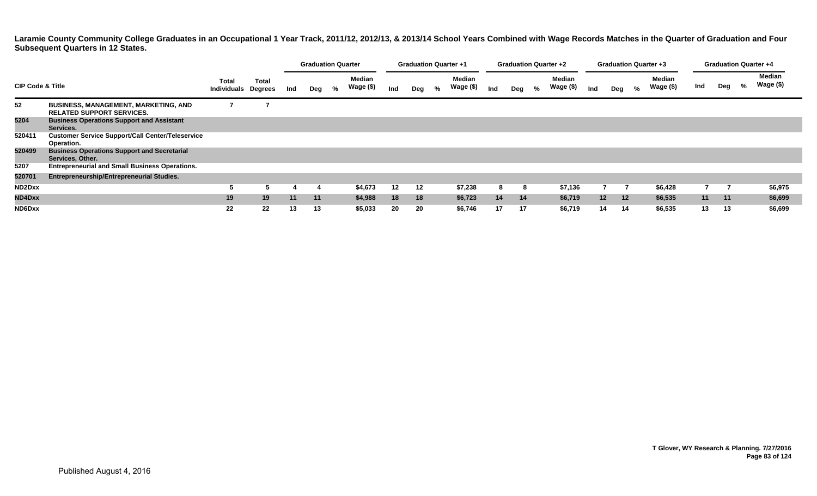|                                                                                  |                                                                        |                                            |              |     | <b>Graduation Quarter</b> |   |                            |     | <b>Graduation Quarter +1</b> |   |                     |     | <b>Graduation Quarter +2</b> |   |                            |                 | <b>Graduation Quarter +3</b> |   |                            |     | <b>Graduation Quarter +4</b> |   |                     |
|----------------------------------------------------------------------------------|------------------------------------------------------------------------|--------------------------------------------|--------------|-----|---------------------------|---|----------------------------|-----|------------------------------|---|---------------------|-----|------------------------------|---|----------------------------|-----------------|------------------------------|---|----------------------------|-----|------------------------------|---|---------------------|
| <b>CIP Code &amp; Title</b><br>52<br><b>BUSINESS, MANAGEMENT, MARKETING, AND</b> |                                                                        | <b>Total</b><br><b>Individuals Degrees</b> | <b>Total</b> | Ind | Deg                       | % | <b>Median</b><br>Wage (\$) | Ind | Deg                          | % | Median<br>Wage (\$) | Ind | Deg                          | % | <b>Median</b><br>Wage (\$) | Ind             | Deg                          | % | <b>Median</b><br>Wage (\$) | Ind | Deg                          | % | Median<br>Wage (\$) |
|                                                                                  | <b>RELATED SUPPORT SERVICES.</b>                                       |                                            |              |     |                           |   |                            |     |                              |   |                     |     |                              |   |                            |                 |                              |   |                            |     |                              |   |                     |
| 5204                                                                             | <b>Business Operations Support and Assistant</b><br>Services.          |                                            |              |     |                           |   |                            |     |                              |   |                     |     |                              |   |                            |                 |                              |   |                            |     |                              |   |                     |
| 520411                                                                           | <b>Customer Service Support/Call Center/Teleservice</b><br>Operation.  |                                            |              |     |                           |   |                            |     |                              |   |                     |     |                              |   |                            |                 |                              |   |                            |     |                              |   |                     |
| 520499                                                                           | <b>Business Operations Support and Secretarial</b><br>Services, Other. |                                            |              |     |                           |   |                            |     |                              |   |                     |     |                              |   |                            |                 |                              |   |                            |     |                              |   |                     |
| 5207                                                                             | <b>Entrepreneurial and Small Business Operations.</b>                  |                                            |              |     |                           |   |                            |     |                              |   |                     |     |                              |   |                            |                 |                              |   |                            |     |                              |   |                     |
| 520701                                                                           | <b>Entrepreneurship/Entrepreneurial Studies.</b>                       |                                            |              |     |                           |   |                            |     |                              |   |                     |     |                              |   |                            |                 |                              |   |                            |     |                              |   |                     |
| ND2Dxx                                                                           |                                                                        |                                            |              |     |                           |   | \$4,673                    | 12  | 12                           |   | \$7,238             | 8   | 8                            |   | \$7,136                    |                 |                              |   | \$6,428                    |     |                              |   | \$6,975             |
| ND4Dxx                                                                           |                                                                        | 19                                         | 19           | 11  | 11                        |   | \$4,988                    | 18  | 18                           |   | \$6,723             | 14  | 14                           |   | \$6,719                    | 12 <sup>2</sup> | $12 \overline{ }$            |   | \$6,535                    | 11  | 11                           |   | \$6,699             |
| ND6Dxx                                                                           |                                                                        | 22                                         | 22           | 13  | 13                        |   | \$5,033                    | 20  | 20                           |   | \$6,746             | 17  | 17                           |   | \$6,719                    |                 | 14<br>14                     |   | \$6,535                    | 13  | 13                           |   | \$6,699             |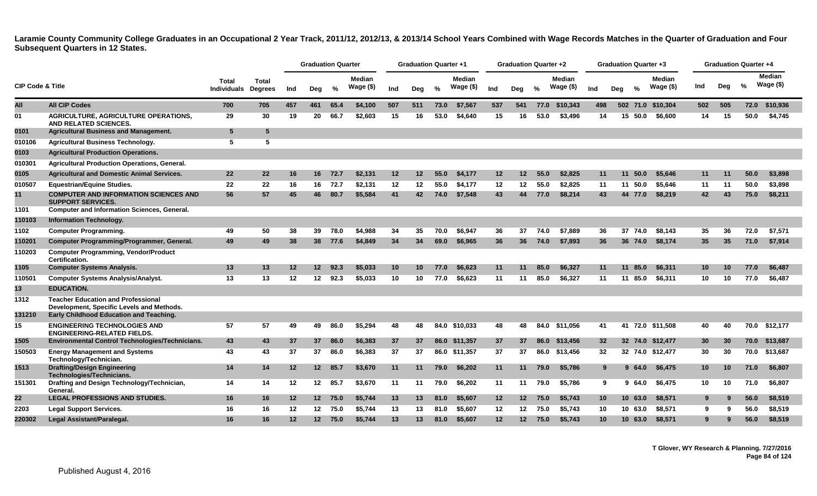|                             |                                                                                        |                             |                         |     | <b>Graduation Quarter</b> |         |                            |     | <b>Graduation Quarter +1</b> |      |                     |                   | <b>Graduation Quarter +2</b> |      |                            |                 | <b>Graduation Quarter +3</b> |                             |                 | <b>Graduation Quarter +4</b> |      |                             |
|-----------------------------|----------------------------------------------------------------------------------------|-----------------------------|-------------------------|-----|---------------------------|---------|----------------------------|-----|------------------------------|------|---------------------|-------------------|------------------------------|------|----------------------------|-----------------|------------------------------|-----------------------------|-----------------|------------------------------|------|-----------------------------|
| <b>CIP Code &amp; Title</b> |                                                                                        | Total<br><b>Individuals</b> | Total<br><b>Degrees</b> | Ind | Deg                       | %       | <b>Median</b><br>Wage (\$) | Ind | Deg                          | $\%$ | Median<br>Wage (\$) | Ind               | Deg                          | $\%$ | <b>Median</b><br>Wage (\$) | Ind             | $\frac{0}{0}$<br>Deg         | <b>Median</b><br>Wage $($)$ | Ind             | Deg                          | $\%$ | <b>Median</b><br>Wage $($)$ |
| All                         | <b>All CIP Codes</b>                                                                   | 700                         | 705                     | 457 | 461                       | 65.4    | \$4,100                    | 507 | 511                          | 73.0 | \$7,567             | 537               | 541                          | 77.0 | \$10,343                   | 498             |                              | 502 71.0 \$10,304           | 502             | 505                          | 72.0 | \$10,936                    |
| 01                          | <b>AGRICULTURE, AGRICULTURE OPERATIONS,</b><br><b>AND RELATED SCIENCES.</b>            | 29                          | 30                      | 19  | 20                        | 66.7    | \$2,603                    | 15  | 16                           | 53.0 | \$4,640             | 15                | 16                           | 53.0 | \$3.496                    | 14              | 15 50.0                      | \$6.600                     | 14              | 15                           | 50.0 | \$4,745                     |
| 0101                        | <b>Agricultural Business and Management.</b>                                           | $5\phantom{1}$              | 5                       |     |                           |         |                            |     |                              |      |                     |                   |                              |      |                            |                 |                              |                             |                 |                              |      |                             |
| 010106                      | <b>Agricultural Business Technology.</b>                                               | 5                           | 5                       |     |                           |         |                            |     |                              |      |                     |                   |                              |      |                            |                 |                              |                             |                 |                              |      |                             |
| 0103                        | <b>Agricultural Production Operations.</b>                                             |                             |                         |     |                           |         |                            |     |                              |      |                     |                   |                              |      |                            |                 |                              |                             |                 |                              |      |                             |
| 010301                      | <b>Agricultural Production Operations, General.</b>                                    |                             |                         |     |                           |         |                            |     |                              |      |                     |                   |                              |      |                            |                 |                              |                             |                 |                              |      |                             |
| 0105                        | <b>Agricultural and Domestic Animal Services.</b>                                      | 22                          | 22                      | 16  | 16                        | 72.7    | \$2,131                    | 12  | 12                           | 55.0 | \$4,177             | 12 <sup>2</sup>   | 12.                          | 55.0 | \$2,825                    | 11              | 11<br>50.0                   | \$5,646                     | 11              | 11                           | 50.0 | \$3,898                     |
| 010507                      | <b>Equestrian/Equine Studies.</b>                                                      | 22                          | 22                      | 16  | 16                        | 72.7    | \$2,131                    | 12  | 12                           | 55.0 | \$4,177             | 12                | 12                           | 55.0 | \$2,825                    | 11              | 11 50.0                      | \$5,646                     | 11              | 11                           | 50.0 | \$3,898                     |
| 11                          | <b>COMPUTER AND INFORMATION SCIENCES AND</b><br><b>SUPPORT SERVICES.</b>               | 56                          | 57                      | 45  | 46                        | 80.7    | \$5,584                    | 41  | 42                           | 74.0 | \$7,548             | 43                | 44                           | 77.0 | \$8,214                    | 43              | 44 77.0                      | \$8,219                     | 42              | 43                           | 75.0 | \$8,211                     |
| 1101                        | <b>Computer and Information Sciences, General.</b>                                     |                             |                         |     |                           |         |                            |     |                              |      |                     |                   |                              |      |                            |                 |                              |                             |                 |                              |      |                             |
| 110103                      | <b>Information Technology.</b>                                                         |                             |                         |     |                           |         |                            |     |                              |      |                     |                   |                              |      |                            |                 |                              |                             |                 |                              |      |                             |
| 1102                        | <b>Computer Programming.</b>                                                           | 49                          | 50                      | 38  | 39                        | 78.0    | \$4.988                    | 34  | 35                           | 70.0 | \$6,947             | 36                | 37                           | 74.0 | \$7,889                    | 36              | 37 74.0                      | \$8.143                     | 35              | 36                           | 72.0 | \$7,571                     |
| 110201                      | Computer Programming/Programmer, General.                                              | 49                          | 49                      | 38  |                           | 38 77.6 | \$4,849                    | 34  | 34                           | 69.0 | \$6,965             | 36                | 36                           | 74.0 | \$7,893                    | 36              | 36 74.0                      | \$8,174                     | 35              | 35 <sub>5</sub>              | 71.0 | \$7,914                     |
| 110203                      | <b>Computer Programming, Vendor/Product</b><br>Certification.                          |                             |                         |     |                           |         |                            |     |                              |      |                     |                   |                              |      |                            |                 |                              |                             |                 |                              |      |                             |
| 1105                        | <b>Computer Systems Analysis.</b>                                                      | 13                          | 13                      | 12  | 12                        | 92.3    | \$5,033                    | 10  | 10                           | 77.0 | \$6,623             | 11                | 11                           | 85.0 | \$6,327                    | 11              | 85.0<br>11                   | \$6,311                     | 10              | 10                           | 77.0 | \$6,487                     |
| 110501                      | <b>Computer Systems Analysis/Analyst.</b>                                              | 13                          | 13                      | 12  | 12 <sup>°</sup>           | 92.3    | \$5,033                    | 10  | 10                           | 77.0 | \$6,623             | 11                | 11                           | 85.0 | \$6,327                    | 11              | 11 85.0                      | \$6,311                     | 10              | 10                           | 77.0 | \$6,487                     |
| 13                          | <b>EDUCATION.</b>                                                                      |                             |                         |     |                           |         |                            |     |                              |      |                     |                   |                              |      |                            |                 |                              |                             |                 |                              |      |                             |
| 1312                        | <b>Teacher Education and Professional</b><br>Development, Specific Levels and Methods. |                             |                         |     |                           |         |                            |     |                              |      |                     |                   |                              |      |                            |                 |                              |                             |                 |                              |      |                             |
| 131210                      | Early Childhood Education and Teaching.                                                |                             |                         |     |                           |         |                            |     |                              |      |                     |                   |                              |      |                            |                 |                              |                             |                 |                              |      |                             |
| 15                          | <b>ENGINEERING TECHNOLOGIES AND</b><br><b>ENGINEERING-RELATED FIELDS.</b>              | 57                          | 57                      | 49  | 49                        | 86.0    | \$5,294                    | 48  | 48                           |      | 84.0 \$10.033       | 48                | 48                           | 84.0 | \$11.056                   | 41              |                              | 41 72.0 \$11.508            | 40              | 40                           |      | 70.0 \$12,177               |
| 1505                        | Environmental Control Technologies/Technicians.                                        | 43                          | 43                      | 37  | 37                        | 86.0    | \$6,383                    | 37  | 37                           |      | 86.0 \$11,357       | 37                | 37                           | 86.0 | \$13,456                   | 32              |                              | 32 74.0 \$12,477            | 30              | 30                           | 70.0 | \$13,687                    |
| 150503                      | <b>Energy Management and Systems</b><br>Technology/Technician.                         | 43                          | 43                      | 37  | 37                        | 86.0    | \$6,383                    | 37  | 37                           |      | 86.0 \$11,357       | 37                | 37                           | 86.0 | \$13,456                   | 32              |                              | 32 74.0 \$12,477            | 30              | 30                           | 70.0 | \$13,687                    |
| 1513                        | <b>Drafting/Design Engineering</b><br>Technologies/Technicians.                        | 14                          | 14                      | 12  | 12 <sup>2</sup>           | 85.7    | \$3,670                    | 11  | 11                           | 79.0 | \$6,202             | 11                | 11                           | 79.0 | \$5,786                    | 9               | 964.0                        | \$6,475                     | 10 <sup>1</sup> | 10                           | 71.0 | \$6,807                     |
| 151301                      | Drafting and Design Technology/Technician,<br>General.                                 | 14                          | 14                      | 12  | 12 <sub>2</sub>           | 85.7    | \$3,670                    | 11  | 11                           | 79.0 | \$6,202             | 11                | 11                           | 79.0 | \$5.786                    | 9               | 64.0<br>9.                   | \$6,475                     | 10              | 10                           | 71.0 | \$6,807                     |
| 22                          | <b>LEGAL PROFESSIONS AND STUDIES.</b>                                                  | 16                          | 16                      | 12  |                           | 12 75.0 | \$5,744                    | 13  | 13                           | 81.0 | \$5,607             | $12 \,$           | 12 <sup>2</sup>              | 75.0 | \$5.743                    | 10 <sup>°</sup> | 10, 63.0                     | \$8,571                     | 9               | 9                            | 56.0 | \$8,519                     |
| 2203                        | <b>Legal Support Services.</b>                                                         | 16                          | 16                      | 12  | 12 <sup>12</sup>          | 75.0    | \$5.744                    | 13  | 13                           | 81.0 | \$5,607             | 12                | 12                           | 75.0 | \$5.743                    | 10              | 10, 63.0                     | \$8,571                     | 9               | 9                            | 56.0 | \$8,519                     |
| 220302                      | Legal Assistant/Paralegal.                                                             | 16                          | 16                      | 12  | 12                        | 75.0    | \$5,744                    | 13  | 13                           | 81.0 | \$5,607             | $12 \overline{ }$ | 12 <sup>2</sup>              | 75.0 | \$5,743                    | 10 <sup>°</sup> | 10, 63.0                     | \$8,571                     | 9               | 9                            | 56.0 | \$8,519                     |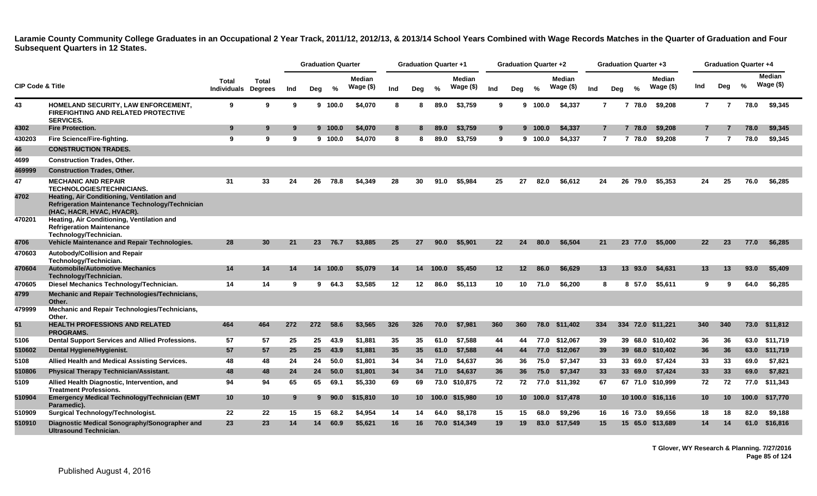|                             |                                                                                                                                                                                                              |                                     |                 |     |     | <b>Graduation Quarter</b> |                     |                 | <b>Graduation Quarter +1</b> |       |                     |         | <b>Graduation Quarter +2</b> |         |                            |                |     | <b>Graduation Quarter +3</b> |                     |                |     | <b>Graduation Quarter +4</b> |                            |
|-----------------------------|--------------------------------------------------------------------------------------------------------------------------------------------------------------------------------------------------------------|-------------------------------------|-----------------|-----|-----|---------------------------|---------------------|-----------------|------------------------------|-------|---------------------|---------|------------------------------|---------|----------------------------|----------------|-----|------------------------------|---------------------|----------------|-----|------------------------------|----------------------------|
| <b>CIP Code &amp; Title</b> |                                                                                                                                                                                                              | Total<br><b>Individuals Degrees</b> | <b>Total</b>    | Ind | Deg | %                         | Median<br>Wage (\$) | Ind             | Deg                          | %     | Median<br>Wage (\$) | Ind     | Deg                          | %       | <b>Median</b><br>Wage (\$) | Ind            | Deg | %                            | Median<br>Wage (\$) | Ind            | Deg | %                            | <b>Median</b><br>Wage (\$) |
| 43                          | HOMELAND SECURITY, LAW ENFORCEMENT,<br><b>FIREFIGHTING AND RELATED PROTECTIVE</b><br><b>SERVICES.</b>                                                                                                        | 9                                   | 9               | 9   |     | 9 100.0                   | \$4,070             | 8               | 8                            | 89.0  | \$3,759             | 9       | 9                            | 100.0   | \$4,337                    | $\mathbf{7}$   |     | 7 78.0                       | \$9,208             | $\overline{7}$ | 7   | 78.0                         | \$9,345                    |
| 4302                        | <b>Fire Protection.</b>                                                                                                                                                                                      | 9                                   | 9               | 9   |     | 9 100.0                   | \$4,070             | 8               | 8                            | 89.0  | \$3,759             | 9       |                              | 9 100.0 | \$4,337                    | $\overline{7}$ |     | 7 78.0                       | \$9,208             | 7              |     | 78.0                         | \$9,345                    |
| 430203                      | Fire Science/Fire-fighting.                                                                                                                                                                                  | 9                                   | 9               | 9   |     | 9 100.0                   | \$4,070             | 8               | 8                            | 89.0  | \$3.759             | 9       | 9                            | 100.0   | \$4,337                    | $\overline{7}$ |     | 7 78.0                       | \$9,208             | 7              | 7   | 78.0                         | \$9,345                    |
| 46                          | <b>CONSTRUCTION TRADES.</b>                                                                                                                                                                                  |                                     |                 |     |     |                           |                     |                 |                              |       |                     |         |                              |         |                            |                |     |                              |                     |                |     |                              |                            |
| 4699                        | <b>Construction Trades, Other.</b>                                                                                                                                                                           |                                     |                 |     |     |                           |                     |                 |                              |       |                     |         |                              |         |                            |                |     |                              |                     |                |     |                              |                            |
| 469999                      | <b>Construction Trades, Other.</b>                                                                                                                                                                           |                                     |                 |     |     |                           |                     |                 |                              |       |                     |         |                              |         |                            |                |     |                              |                     |                |     |                              |                            |
| 47                          | <b>MECHANIC AND REPAIR</b><br><b>TECHNOLOGIES/TECHNICIANS.</b>                                                                                                                                               | 31                                  | 33              | 24  | 26  | 78.8                      | \$4,349             | 28              | 30                           | 91.0  | \$5,984             | 25      | 27                           | 82.0    | \$6,612                    | 24             |     | 26 79.0                      | \$5.353             | 24             | 25  | 76.0                         | \$6,285                    |
| 4702<br>470201              | Heating, Air Conditioning, Ventilation and<br>Refrigeration Maintenance Technology/Technician<br>(HAC, HACR, HVAC, HVACR).<br>Heating, Air Conditioning, Ventilation and<br><b>Refrigeration Maintenance</b> |                                     |                 |     |     |                           |                     |                 |                              |       |                     |         |                              |         |                            |                |     |                              |                     |                |     |                              |                            |
| 4706                        | Technology/Technician.<br>Vehicle Maintenance and Repair Technologies.                                                                                                                                       | 28                                  | 30              | 21  | 23  | 76.7                      | \$3,885             | 25              | 27                           | 90.0  | \$5,901             | 22      | 24                           | 80.0    | \$6,504                    | 21             |     | 23 77.0                      | \$5.000             | 22             | 23  | 77.0                         | \$6,285                    |
| 470603                      | Autobody/Collision and Repair                                                                                                                                                                                |                                     |                 |     |     |                           |                     |                 |                              |       |                     |         |                              |         |                            |                |     |                              |                     |                |     |                              |                            |
|                             | Technology/Technician.                                                                                                                                                                                       |                                     |                 |     |     |                           |                     |                 |                              |       |                     |         |                              |         |                            |                |     |                              |                     |                |     |                              |                            |
| 470604                      | <b>Automobile/Automotive Mechanics</b><br>Technology/Technician.                                                                                                                                             | 14                                  | 14              | 14  |     | 14 100.0                  | \$5,079             | 14              | 14                           | 100.0 | \$5,450             | $12 \,$ | 12 <sup>2</sup>              | 86.0    | \$6,629                    | 13             |     | 13 93.0                      | \$4,631             | 13             | 13  | 93.0                         | \$5,409                    |
| 470605                      | Diesel Mechanics Technology/Technician.                                                                                                                                                                      | 14                                  | 14              | 9   | 9   | 64.3                      | \$3,585             | 12              | $12 \,$                      | 86.0  | \$5.113             | 10      | 10                           | 71.0    | \$6.200                    | 8              |     | 8 57.0                       | \$5.611             | 9              | 9   | 64.0                         | \$6,285                    |
| 4799                        | <b>Mechanic and Repair Technologies/Technicians,</b><br>Other.                                                                                                                                               |                                     |                 |     |     |                           |                     |                 |                              |       |                     |         |                              |         |                            |                |     |                              |                     |                |     |                              |                            |
| 479999                      | Mechanic and Repair Technologies/Technicians,<br>Other.                                                                                                                                                      |                                     |                 |     |     |                           |                     |                 |                              |       |                     |         |                              |         |                            |                |     |                              |                     |                |     |                              |                            |
| 51                          | <b>HEALTH PROFESSIONS AND RELATED</b><br><b>PROGRAMS.</b>                                                                                                                                                    | 464                                 | 464             | 272 | 272 | 58.6                      | \$3,565             | 326             | 326                          | 70.0  | \$7.981             | 360     | 360                          | 78.0    | \$11.402                   | 334            |     |                              | 334 72.0 \$11.221   | 340            | 340 |                              | 73.0 \$11,812              |
| 5106                        | Dental Support Services and Allied Professions.                                                                                                                                                              | 57                                  | 57              | 25  | 25  | 43.9                      | \$1,881             | 35              | 35                           | 61.0  | \$7,588             | 44      | 44                           |         | 77.0 \$12,067              | 39             |     |                              | 39 68.0 \$10,402    | 36             | 36  |                              | 63.0 \$11,719              |
| 510602                      | Dental Hygiene/Hygienist.                                                                                                                                                                                    | 57                                  | 57              | 25  | 25  | 43.9                      | \$1,881             | 35              | 35                           | 61.0  | \$7,588             | 44      | 44                           | 77.0    | \$12,067                   | 39             |     |                              | 39 68.0 \$10,402    | 36             | 36  |                              | 63.0 \$11,719              |
| 5108                        | Allied Health and Medical Assisting Services.                                                                                                                                                                | 48                                  | 48              | 24  | 24  | 50.0                      | \$1.801             | 34              | 34                           | 71.0  | \$4.637             | 36      | 36                           | 75.0    | \$7.347                    | 33             |     | 33 69.0                      | \$7.424             | 33             | 33  | 69.0                         | \$7,821                    |
| 510806                      | <b>Physical Therapy Technician/Assistant.</b>                                                                                                                                                                | 48                                  | 48              | 24  | 24  | 50.0                      | \$1,801             | 34              | 34                           | 71.0  | \$4,637             | 36      | 36                           | 75.0    | \$7,347                    | 33             |     | 33 69.0                      | \$7,424             | 33             | 33  | 69.0                         | \$7,821                    |
| 5109                        | Allied Health Diagnostic, Intervention, and<br><b>Treatment Professions.</b>                                                                                                                                 | 94                                  | 94              | 65  | 65  | 69.1                      | \$5,330             | 69              | 69                           |       | 73.0 \$10,875       | 72      | 72                           |         | 77.0 \$11,392              | 67             |     |                              | 67 71.0 \$10,999    | 72             | 72  | 77.0                         | \$11,343                   |
| 510904                      | <b>Emergency Medical Technology/Technician (EMT</b><br>Paramedic).                                                                                                                                           | 10                                  | 10 <sup>°</sup> | 9   | 9   | 90.0                      | \$15,810            | 10 <sub>1</sub> | 10                           |       | 100.0 \$15,980      | 10      | 10 <sup>1</sup>              | 100.0   | \$17,478                   | 10             |     |                              | 10 100.0 \$16,116   | 10             | 10  | 100.0                        | \$17,770                   |
| 510909                      | Surgical Technology/Technologist.                                                                                                                                                                            | 22                                  | 22              | 15  | 15  | 68.2                      | \$4,954             | 14              | 14                           | 64.0  | \$8,178             | 15      | 15                           | 68.0    | \$9,296                    | 16             |     | 16 73.0                      | \$9,656             | 18             | 18  | 82.0                         | \$9,188                    |
| 510910                      | Diagnostic Medical Sonography/Sonographer and<br>Ultrasound Technician.                                                                                                                                      | 23                                  | 23              | 14  | 14  | 60.9                      | \$5,621             | 16              | 16                           |       | 70.0 \$14,349       | 19      | 19                           |         | 83.0 \$17,549              | 15             |     |                              | 15 65.0 \$13,689    | 14             | 14  | 61.0                         | \$16,816                   |

**T Glover, WY Research & Planning. 7/27/2016 Page 85 of 124**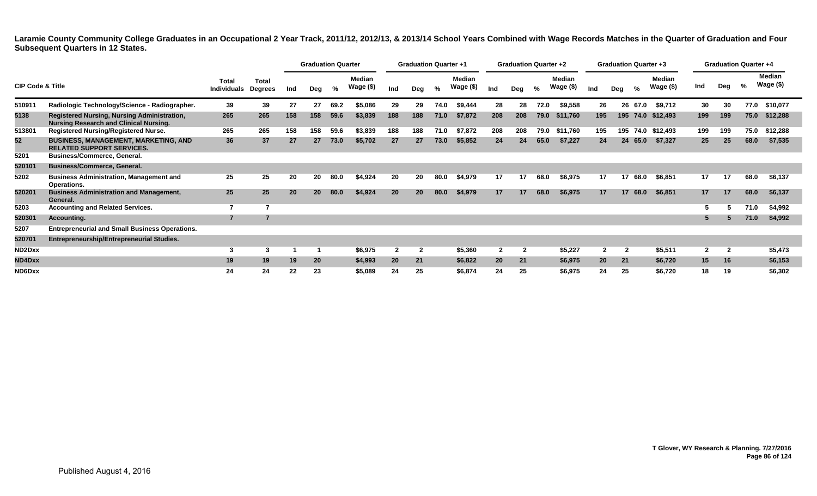|                             |                                                                                                     |                             |                         |     | <b>Graduation Quarter</b> |      |                      |              | <b>Graduation Quarter +1</b> |      |                            |              | <b>Graduation Quarter +2</b> |      |                     |                | <b>Graduation Quarter +3</b> |          |                            |              |     | <b>Graduation Quarter +4</b> |                     |
|-----------------------------|-----------------------------------------------------------------------------------------------------|-----------------------------|-------------------------|-----|---------------------------|------|----------------------|--------------|------------------------------|------|----------------------------|--------------|------------------------------|------|---------------------|----------------|------------------------------|----------|----------------------------|--------------|-----|------------------------------|---------------------|
| <b>CIP Code &amp; Title</b> |                                                                                                     | Total<br><b>Individuals</b> | <b>Total</b><br>Degrees | Ind | Deg                       | %    | Median<br>Wage $($)$ | Ind          | Deg                          | %    | <b>Median</b><br>Wage (\$) | Ind          | Deg                          | %    | Median<br>Wage (\$) | Ind            | Deg                          | %        | <b>Median</b><br>Wage (\$) | Ind          | Deg | %                            | Median<br>Wage (\$) |
| 510911                      | Radiologic Technology/Science - Radiographer.                                                       | 39                          | 39                      | 27  | 27                        | 69.2 | \$5.086              | 29           | 29                           | 74.0 | \$9.444                    | 28           | 28                           | 72.0 | \$9,558             | 26             |                              | 26 67.0  | \$9,712                    | 30           | 30  | 77.0                         | \$10,077            |
| 5138                        | <b>Registered Nursing, Nursing Administration,</b><br><b>Nursing Research and Clinical Nursing.</b> | 265                         | 265                     | 158 | 158                       | 59.6 | \$3,839              | 188          | 188                          | 71.0 | \$7,872                    | 208          | 208                          | 79.0 | \$11,760            | 195            |                              | 195 74.0 | \$12,493                   | 199          | 199 | 75.0                         | \$12,288            |
| 513801                      | Registered Nursing/Registered Nurse.                                                                | 265                         | 265                     | 158 | 158                       | 59.6 | \$3,839              | 188          | 188                          | 71.0 | \$7,872                    | 208          | 208                          | 79.0 | \$11,760            | 195            |                              |          | 195 74.0 \$12,493          | 199          | 199 | 75.0                         | \$12,288            |
| 52                          | <b>BUSINESS, MANAGEMENT, MARKETING, AND</b><br><b>RELATED SUPPORT SERVICES.</b>                     | 36                          | 37                      | 27  | 27                        | 73.0 | \$5,702              | 27           | 27                           | 73.0 | \$5,852                    | 24           | 24                           | 65.0 | \$7,227             | 24             |                              | 24 65.0  | \$7,327                    | 25           | 25  | 68.0                         | \$7,535             |
| 5201                        | Business/Commerce, General.                                                                         |                             |                         |     |                           |      |                      |              |                              |      |                            |              |                              |      |                     |                |                              |          |                            |              |     |                              |                     |
| 520101                      | <b>Business/Commerce, General.</b>                                                                  |                             |                         |     |                           |      |                      |              |                              |      |                            |              |                              |      |                     |                |                              |          |                            |              |     |                              |                     |
| 5202                        | <b>Business Administration, Management and</b><br>Operations.                                       | 25                          | 25                      | 20  | 20                        | 80.0 | \$4,924              | 20           | 20                           | 80.0 | \$4,979                    | 17           | 17                           | 68.0 | \$6,975             | 17             |                              | 17 68.0  | \$6,851                    | 17           | 17  | 68.0                         | \$6,137             |
| 520201                      | <b>Business Administration and Management,</b><br>General.                                          | 25                          | 25                      | 20  | 20                        | 80.0 | \$4,924              | 20           | 20                           | 80.0 | \$4,979                    | 17           | 17                           | 68.0 | \$6,975             | 17             |                              | 17 68.0  | \$6,851                    | 17           | 17  | 68.0                         | \$6,137             |
| 5203                        | <b>Accounting and Related Services.</b>                                                             | 7                           |                         |     |                           |      |                      |              |                              |      |                            |              |                              |      |                     |                |                              |          |                            | 5            |     | 71.0                         | \$4,992             |
| 520301                      | Accounting.                                                                                         | $\overline{7}$              |                         |     |                           |      |                      |              |                              |      |                            |              |                              |      |                     |                |                              |          |                            | 5            |     | 71.0                         | \$4,992             |
| 5207                        | <b>Entrepreneurial and Small Business Operations.</b>                                               |                             |                         |     |                           |      |                      |              |                              |      |                            |              |                              |      |                     |                |                              |          |                            |              |     |                              |                     |
| 520701                      | <b>Entrepreneurship/Entrepreneurial Studies.</b>                                                    |                             |                         |     |                           |      |                      |              |                              |      |                            |              |                              |      |                     |                |                              |          |                            |              |     |                              |                     |
| ND2Dxx                      |                                                                                                     | 3                           | 3                       |     |                           |      | \$6,975              | $\mathbf{2}$ | $\mathbf{2}$                 |      | \$5,360                    | $\mathbf{2}$ | $\mathbf{2}$                 |      | \$5,227             | $\overline{2}$ |                              |          | \$5,511                    | $\mathbf{2}$ | -2  |                              | \$5,473             |
| ND4Dxx                      |                                                                                                     | 19                          | 19                      | 19  | 20                        |      | \$4,993              | 20           | 21                           |      | \$6,822                    | <b>20</b>    | 21                           |      | \$6,975             | 20             | 21                           |          | \$6,720                    | 15           | 16  |                              | \$6,153             |
| ND6Dxx                      |                                                                                                     | 24                          | 24                      | 22  | 23                        |      | \$5,089              | 24           | 25                           |      | \$6,874                    | 24           | 25                           |      | \$6,975             | 24             | 25                           |          | \$6,720                    | 18           | 19  |                              | \$6,302             |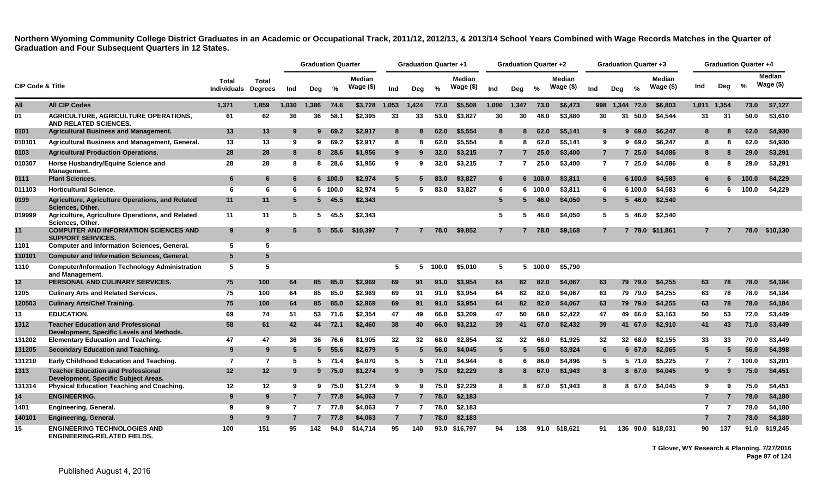|                             |                                                                                        |                      |                                |                | <b>Graduation Quarter</b> |         |                            |                 | <b>Graduation Quarter +1</b> |       |                     |                | <b>Graduation Quarter +2</b> |         |                            |                 |     | <b>Graduation Quarter +3</b> |                      |                | <b>Graduation Quarter +4</b> |               |                             |
|-----------------------------|----------------------------------------------------------------------------------------|----------------------|--------------------------------|----------------|---------------------------|---------|----------------------------|-----------------|------------------------------|-------|---------------------|----------------|------------------------------|---------|----------------------------|-----------------|-----|------------------------------|----------------------|----------------|------------------------------|---------------|-----------------------------|
| <b>CIP Code &amp; Title</b> |                                                                                        | Total<br>Individuals | <b>Total</b><br><b>Degrees</b> | Ind            | Deg                       | %       | <b>Median</b><br>Wage (\$) | Ind             | Deg                          | %     | Median<br>Wage (\$) | Ind            | Deg                          | $\%$    | <b>Median</b><br>Wage (\$) | Ind             | Deg | $\frac{0}{0}$                | Median<br>Wage $($)$ | Ind            | Deg                          | $\frac{9}{6}$ | <b>Median</b><br>Wage $($)$ |
| All                         | <b>All CIP Codes</b>                                                                   | 1,371                | 1,859                          | 1,030          | 1,386                     | 74.6    | \$3,728                    | 1,053           | 1,424                        | 77.0  | \$5,508             | 1,000          | 1,347                        | 73.0    | \$6,473                    |                 |     | 998 1,344 72.0               | \$6,803              | 1,011          | 1,354                        | 73.0          | \$7,127                     |
| 01                          | AGRICULTURE, AGRICULTURE OPERATIONS.<br>AND RELATED SCIENCES.                          | 61                   | 62                             | 36             | 36                        | 58.1    | \$2.395                    | 33              | 33                           | 53.0  | \$3,827             | 30             | 30                           | 48.0    | \$3,880                    | 30              |     | 31<br>50.0                   | \$4,544              | 31             | -31                          | 50.0          | \$3.610                     |
| 0101                        | <b>Agricultural Business and Management.</b>                                           | 13                   | 13                             | 9              | 9                         | 69.2    | \$2,917                    | 8               |                              | 62.0  | \$5.554             | 8              | 8                            | 62.0    | \$5.141                    | 9               |     | 9<br>69.0                    | \$6.247              | 8              | 8                            | 62.0          | \$4,930                     |
| 010101                      | Agricultural Business and Management, General.                                         | 13                   | 13                             | -9             | 9                         | 69.2    | \$2,917                    | 8               | 8                            | 62.0  | \$5,554             | 8              | 8                            | 62.0    | \$5,141                    | 9               |     | 969.0                        | \$6,247              | 8              | 8                            | 62.0          | \$4,930                     |
| 0103                        | <b>Agricultural Production Operations.</b>                                             | 28                   | 28                             | 8              |                           | 8 28.6  | \$1,956                    | 9               |                              | 32.0  | \$3,215             | $\overline{7}$ |                              | 25.0    | \$3,400                    | $\overline{7}$  |     | 725.0                        | \$4,086              | 8              | 8                            | 29.0          | \$3,291                     |
| 010307                      | Horse Husbandry/Equine Science and<br>Management.                                      | 28                   | 28                             | 8              | 8                         | 28.6    | \$1,956                    | 9               | 9                            | 32.0  | \$3,215             | $\mathbf{7}$   | 7                            | 25.0    | \$3,400                    | $\mathbf{7}$    |     | 25.0<br>7                    | \$4,086              | 8              | 8                            | 29.0          | \$3,291                     |
| 0111                        | <b>Plant Sciences.</b>                                                                 | 6                    | 6                              | 6              |                           | 6 100.0 | \$2,974                    | $5\overline{5}$ | 5                            | 83.0  | \$3,827             | 6              |                              | 6 100.0 | \$3,811                    | 6               |     | 6 100.0                      | \$4,583              | 6              | 6                            | 100.0         | \$4,229                     |
| 011103                      | <b>Horticultural Science.</b>                                                          | 6                    | 6                              | 6              |                           | 6 100.0 | \$2.974                    | 5               | 5                            | 83.0  | \$3,827             | 6              | 6.                           | 100.0   | \$3,811                    | 6               |     | 6 100.0                      | \$4,583              | 6              | 6                            | 100.0         | \$4,229                     |
| 0199                        | Agriculture, Agriculture Operations, and Related<br><b>Sciences. Other.</b>            | 11                   | 11                             | 5              |                           | 5, 45.5 | \$2,343                    |                 |                              |       |                     | 5 <sup>5</sup> | 5.                           | 46.0    | \$4,050                    | $5\overline{5}$ |     | $5\,46.0$                    | \$2,540              |                |                              |               |                             |
| 019999                      | Agriculture, Agriculture Operations, and Related<br>Sciences, Other.                   | 11                   | 11                             | 5              | 5                         | 45.5    | \$2,343                    |                 |                              |       |                     | 5              | 5.                           | 46.0    | \$4,050                    | 5               |     | 46.0<br>5.                   | \$2.540              |                |                              |               |                             |
| 11                          | <b>COMPUTER AND INFORMATION SCIENCES AND</b><br><b>SUPPORT SERVICES.</b>               | 9                    | 9                              | 5              |                           | 5, 55.6 | \$10,397                   | $\overline{7}$  |                              | 78.0  | \$9,852             | $\overline{7}$ |                              | 78.0    | \$9.168                    | $\overline{7}$  |     | 7 78.0                       | \$11.861             | $\overline{7}$ |                              | 78.0          | \$10,130                    |
| 1101                        | <b>Computer and Information Sciences, General.</b>                                     | 5                    | 5                              |                |                           |         |                            |                 |                              |       |                     |                |                              |         |                            |                 |     |                              |                      |                |                              |               |                             |
| 110101                      | <b>Computer and Information Sciences, General.</b>                                     | $5\phantom{1}$       | 5                              |                |                           |         |                            |                 |                              |       |                     |                |                              |         |                            |                 |     |                              |                      |                |                              |               |                             |
| 1110                        | <b>Computer/Information Technology Administration</b><br>and Management.               | 5                    | 5                              |                |                           |         |                            | 5               | 5.                           | 100.0 | \$5,010             | 5              | 5.                           | 100.0   | \$5.790                    |                 |     |                              |                      |                |                              |               |                             |
| 12 <sub>2</sub>             | PERSONAL AND CULINARY SERVICES.                                                        | 75                   | 100                            | 64             | 85                        | 85.0    | \$2,969                    | 69              | 91                           | 91.0  | \$3,954             | 64             | 82                           | 82.0    | \$4.067                    | 63              |     | 79 79.0                      | \$4.255              | 63             | 78                           | 78.0          | \$4,184                     |
| 1205                        | <b>Culinary Arts and Related Services.</b>                                             | 75                   | 100                            | 64             | 85                        | 85.0    | \$2,969                    | 69              | 91                           | 91.0  | \$3,954             | 64             | 82                           | 82.0    | \$4,067                    | 63              |     | 79 79.0                      | \$4,255              | 63             | 78                           | 78.0          | \$4,184                     |
| 120503                      | <b>Culinary Arts/Chef Training.</b>                                                    | 75                   | 100                            | 64             | 85                        | 85.0    | \$2,969                    | 69              | 91                           | 91.0  | \$3,954             | 64             | 82                           | 82.0    | \$4,067                    | 63              |     | 79 79.0                      | \$4,255              | 63             | 78                           | 78.0          | \$4,184                     |
| 13                          | <b>EDUCATION.</b>                                                                      | 69                   | 74                             | 51             | 53                        | 71.6    | \$2,354                    | 47              | 49                           | 66.0  | \$3,209             | 47             | 50                           | 68.0    | \$2.422                    | 47              |     | 49 66.0                      | \$3,163              | 50             | 53                           | 72.0          | \$3,449                     |
| 1312                        | <b>Teacher Education and Professional</b><br>Development, Specific Levels and Methods. | 58                   | 61                             | 42             | 44                        | 72.1    | \$2,460                    | 38              | 40                           | 66.0  | \$3,212             | 39             | 41                           | 67.0    | \$2,432                    | 39              |     | 41 67.0                      | \$2,910              | 41             | 43                           | 71.0          | \$3,449                     |
| 131202                      | <b>Elementary Education and Teaching.</b>                                              | 47                   | 47                             | 36             | 36                        | 76.6    | \$1,905                    | 32              | 32                           | 68.0  | \$2.854             | 32             | 32                           | 68.0    | \$1,925                    | 32              |     | 32 68.0                      | \$2.155              | 33             | 33                           | 70.0          | \$3,449                     |
| 131205                      | <b>Secondary Education and Teaching.</b>                                               | 9                    | 9                              | -5             | $5^{\circ}$               | 55.6    | \$2,679                    | $5\phantom{1}$  | 5                            | 56.0  | \$4,045             | $5^{\circ}$    | 5                            | 56.0    | \$3,924                    | 6               |     | 6, 67.0                      | \$2,065              | 5              | 5                            | 56.0          | \$4,398                     |
| 131210                      | Early Childhood Education and Teaching.                                                | $\overline{7}$       | $\overline{7}$                 | -5             |                           | 5 71.4  | \$4,070                    | 5               | 5                            | 71.0  | \$4.944             | 6              | 6.                           | 86.0    | \$4.896                    | 5               |     | 5 71.0                       | \$5.225              | $\overline{7}$ |                              | 100.0         | \$3.201                     |
| 1313                        | <b>Teacher Education and Professional</b><br>Development, Specific Subject Areas.      | 12                   | 12 <sup>2</sup>                | 9              |                           | 975.0   | \$1,274                    | 9               | 9                            | 75.0  | \$2,229             | 8              | 8                            | 67.0    | \$1,943                    | 8               |     | 8 67.0                       | \$4,045              | 9              | 9                            | 75.0          | \$4,451                     |
| 131314                      | <b>Physical Education Teaching and Coaching.</b>                                       | 12                   | 12                             | 9              |                           | 975.0   | \$1,274                    | 9               | 9                            | 75.0  | \$2,229             | 8              | 8                            | 67.0    | \$1,943                    | 8               |     | 8 67.0                       | \$4,045              | 9              | 9                            | 75.0          | \$4,451                     |
| 14                          | <b>ENGINEERING.</b>                                                                    | 9                    | 9                              | -7             |                           | 7 77.8  | \$4,063                    | $\overline{7}$  | 7                            | 78.0  | \$2,183             |                |                              |         |                            |                 |     |                              |                      |                |                              | 78.0          | \$4,180                     |
| 1401                        | <b>Engineering, General.</b>                                                           | 9                    | 9                              | 7              | $7^{\circ}$               | 77.8    | \$4,063                    | $\overline{7}$  | -7                           | 78.0  | \$2,183             |                |                              |         |                            |                 |     |                              |                      | 7              | 7                            | 78.0          | \$4,180                     |
| 140101                      | Engineering, General.                                                                  | 9                    | 9                              | $\overline{7}$ |                           | 7 77.8  | \$4,063                    | $\overline{7}$  | 7                            | 78.0  | \$2,183             |                |                              |         |                            |                 |     |                              |                      |                |                              | 78.0          | \$4,180                     |
| 15                          | <b>ENGINEERING TECHNOLOGIES AND</b><br><b>ENGINEERING-RELATED FIELDS.</b>              | 100                  | 151                            | 95             | 142                       | 94.0    | \$14.714                   | 95              | 140                          |       | 93.0 \$16.797       | 94             | 138                          | 91.0    | \$18.621                   | 91              | 136 |                              | 90.0 \$18.031        | 90             | 137                          | 91.0          | \$19.245                    |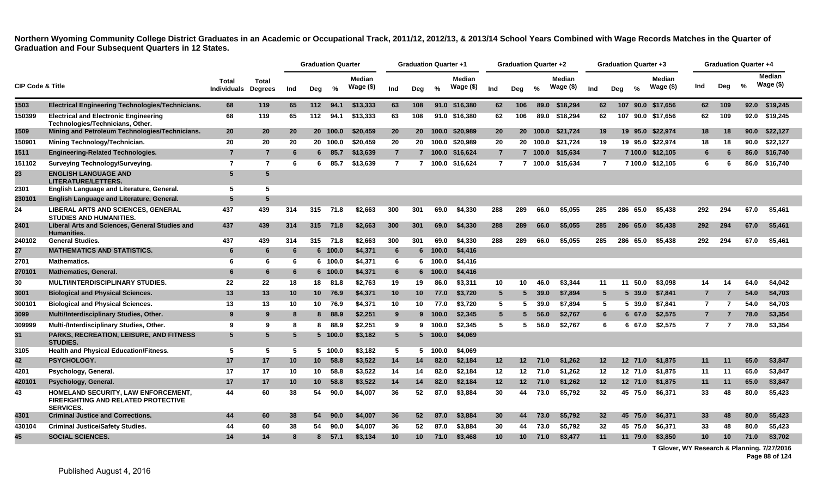|                             |                                                                                                       |                                     |                |     |                 | <b>Graduation Quarter</b> |                            |                 | <b>Graduation Quarter +1</b> |                 |                            |                 | <b>Graduation Quarter +2</b> |         |                            |                 |     | <b>Graduation Quarter +3</b> |                            |                | <b>Graduation Quarter +4</b> |      |                             |
|-----------------------------|-------------------------------------------------------------------------------------------------------|-------------------------------------|----------------|-----|-----------------|---------------------------|----------------------------|-----------------|------------------------------|-----------------|----------------------------|-----------------|------------------------------|---------|----------------------------|-----------------|-----|------------------------------|----------------------------|----------------|------------------------------|------|-----------------------------|
| <b>CIP Code &amp; Title</b> |                                                                                                       | Total<br><b>Individuals Degrees</b> | <b>Total</b>   | Ind | Deg             | %                         | <b>Median</b><br>Wage (\$) | Ind             | Deg                          | %               | <b>Median</b><br>Wage (\$) | Ind             | Deg                          | $\%$    | <b>Median</b><br>Wage (\$) | Ind             | Deg | $\frac{0}{2}$                | <b>Median</b><br>Wage (\$) | Ind            | Deg                          | %    | <b>Median</b><br>Wage $($)$ |
| 1503                        | <b>Electrical Engineering Technologies/Technicians.</b>                                               | 68                                  | 119            | 65  | 112             | 94.1                      | \$13,333                   | 63              | 108                          |                 | 91.0 \$16,380              | 62              | 106                          | 89.0    | \$18,294                   | 62              |     |                              | 107 90.0 \$17,656          | 62             | 109                          | 92.0 | \$19,245                    |
| 150399                      | <b>Electrical and Electronic Engineering</b><br>Technologies/Technicians, Other.                      | 68                                  | 119            | 65  | 112             | 94.1                      | \$13,333                   | 63              | 108                          |                 | 91.0 \$16,380              | 62              | 106                          | 89.0    | \$18,294                   | 62              | 107 |                              | 90.0 \$17,656              | 62             | 109                          |      | 92.0 \$19,245               |
| 1509                        | Mining and Petroleum Technologies/Technicians.                                                        | 20                                  | 20             | 20  |                 | 20 100.0                  | \$20,459                   | 20              | 20                           | 100.0           | \$20,989                   | 20              | 20 <sub>2</sub>              | 100.0   | \$21,724                   | 19              |     | 19 95.0                      | \$22,974                   | 18             | 18                           | 90.0 | \$22,127                    |
| 150901                      | Mining Technology/Technician.                                                                         | 20                                  | 20             | 20  |                 | 20 100.0                  | \$20,459                   | 20              | 20                           | 100.0           | \$20.989                   | 20              | 20                           | 100.0   | \$21,724                   | 19              |     |                              | 19 95.0 \$22,974           | 18             | 18                           | 90.0 | \$22,127                    |
| 1511                        | <b>Engineering-Related Technologies.</b>                                                              | $\overline{7}$                      | $\overline{7}$ | 6   | 6.              | 85.7                      | \$13,639                   | $\overline{7}$  |                              | 7 100.0         | \$16,624                   | $\overline{7}$  |                              | 7 100.0 | \$15,634                   | $\overline{7}$  |     |                              | 7 100.0 \$12,105           | 6              | 6                            | 86.0 | \$16,740                    |
| 151102                      | <b>Surveying Technology/Surveying.</b>                                                                | $\overline{7}$                      | $\overline{7}$ | 6   | 6.              | 85.7                      | \$13,639                   | $\overline{7}$  |                              |                 | 7 100.0 \$16,624           | $\overline{7}$  |                              | 7 100.0 | \$15.634                   | $\overline{7}$  |     |                              | 7 100.0 \$12,105           | 6              | 6                            | 86.0 | \$16,740                    |
| 23                          | <b>ENGLISH LANGUAGE AND</b><br>LITERATURE/LETTERS.                                                    | $5\overline{5}$                     | 5              |     |                 |                           |                            |                 |                              |                 |                            |                 |                              |         |                            |                 |     |                              |                            |                |                              |      |                             |
| 2301                        | English Language and Literature, General.                                                             | 5                                   | 5              |     |                 |                           |                            |                 |                              |                 |                            |                 |                              |         |                            |                 |     |                              |                            |                |                              |      |                             |
| 230101                      | English Language and Literature, General.                                                             | 5                                   | 5              |     |                 |                           |                            |                 |                              |                 |                            |                 |                              |         |                            |                 |     |                              |                            |                |                              |      |                             |
| 24                          | <b>LIBERAL ARTS AND SCIENCES, GENERAL</b><br><b>STUDIES AND HUMANITIES.</b>                           | 437                                 | 439            | 314 | 315             | 71.8                      | \$2,663                    | 300             | 301                          | 69.0            | \$4,330                    | 288             | 289                          | 66.0    | \$5.055                    | 285             | 286 | 65.0                         | \$5,438                    | 292            | 294                          | 67.0 | \$5,461                     |
| 2401                        | Liberal Arts and Sciences, General Studies and<br><b>Humanities.</b>                                  | 437                                 | 439            | 314 | 315             | 71.8                      | \$2,663                    | 300             | 301                          | 69.0            | \$4,330                    | 288             | 289                          | 66.0    | \$5,055                    | 285             |     | 286 65.0                     | \$5,438                    | 292            | 294                          | 67.0 | \$5,461                     |
| 240102                      | <b>General Studies.</b>                                                                               | 437                                 | 439            | 314 | 315             | 71.8                      | \$2,663                    | 300             | 301                          | 69.0            | \$4,330                    | 288             | 289                          | 66.0    | \$5.055                    | 285             |     | 286 65.0                     | \$5.438                    | 292            | 294                          | 67.0 | \$5.461                     |
| 27                          | <b>MATHEMATICS AND STATISTICS.</b>                                                                    | 6                                   | 6              | 6   |                 | 6 100.0                   | \$4,371                    | 6               | $6 -$                        | 100.0           | \$4,416                    |                 |                              |         |                            |                 |     |                              |                            |                |                              |      |                             |
| 2701                        | <b>Mathematics.</b>                                                                                   | 6                                   | 6              | 6   |                 | 6 100.0                   | \$4,371                    | 6               | -6                           | 100.0           | \$4,416                    |                 |                              |         |                            |                 |     |                              |                            |                |                              |      |                             |
| 270101                      | <b>Mathematics, General.</b>                                                                          | 6                                   | 6              | 6   |                 | 6 100.0                   | \$4,371                    | 6               | 6                            | 100.0           | \$4,416                    |                 |                              |         |                            |                 |     |                              |                            |                |                              |      |                             |
| 30                          | <b>MULTI/INTERDISCIPLINARY STUDIES.</b>                                                               | 22                                  | 22             | 18  | 18              | 81.8                      | \$2,763                    | 19              | 19                           | 86.0            | \$3,311                    | 10              | 10                           | 46.0    | \$3,344                    | 11              |     | 50.0<br>11                   | \$3,098                    | 14             | 14                           | 64.0 | \$4,042                     |
| 3001                        | <b>Biological and Physical Sciences.</b>                                                              | 13                                  | 13             | 10  | 10 <sup>1</sup> | 76.9                      | \$4,371                    | 10 <sup>°</sup> | 10                           | 77.0            | \$3,720                    | $5^{\circ}$     | 5                            | 39.0    | \$7,894                    | 5               |     | $5\,39.0$                    | \$7,841                    |                | $\overline{7}$               | 54.0 | \$4,703                     |
| 300101                      | <b>Biological and Physical Sciences.</b>                                                              | 13                                  | 13             | 10  | 10              | 76.9                      | \$4,371                    | 10              | 10                           | 77.0            | \$3,720                    | $5^{\circ}$     | 5.                           | 39.0    | \$7.894                    | 5               |     | 5 39.0                       | \$7,841                    | $\overline{7}$ | -7                           | 54.0 | \$4,703                     |
| 3099                        | Multi/Interdisciplinary Studies, Other.                                                               | 9                                   | 9              | 8   | 8               | 88.9                      | \$2,251                    | 9               |                              | 9 100.0         | \$2,345                    | 5 <sup>5</sup>  | 5                            | 56.0    | \$2,767                    | 6               |     | 6 67.0                       | \$2,575                    |                |                              | 78.0 | \$3,354                     |
| 309999                      | Multi-/Interdisciplinary Studies, Other.                                                              | 9                                   | 9              | -8  | 8               | 88.9                      | \$2,251                    | 9               | 9                            | 100.0           | \$2,345                    | 5               | 5.                           | 56.0    | \$2,767                    | 6               |     | 6 67.0                       | \$2,575                    | $\overline{7}$ | 7                            | 78.0 | \$3,354                     |
| 31                          | <b>PARKS, RECREATION, LEISURE, AND FITNESS</b><br><b>STUDIES.</b>                                     | 5                                   | 5              | 5   |                 | 5 100.0                   | \$3,182                    | $5\phantom{.0}$ |                              | 5 100.0         | \$4,069                    |                 |                              |         |                            |                 |     |                              |                            |                |                              |      |                             |
| 3105                        | <b>Health and Physical Education/Fitness.</b>                                                         | 5                                   | 5              | 5   |                 | 5 100.0                   | \$3,182                    | 5               |                              | $5 \quad 100.0$ | \$4,069                    |                 |                              |         |                            |                 |     |                              |                            |                |                              |      |                             |
| 42                          | PSYCHOLOGY.                                                                                           | 17                                  | 17             | 10  | 10 <sup>1</sup> | 58.8                      | \$3,522                    | 14              | 14                           | 82.0            | \$2,184                    | 12 <sub>2</sub> | 12 <sub>2</sub>              | 71.0    | \$1,262                    | 12              |     | 12 <sup>2</sup><br>71.0      | \$1,875                    | 11             | -11                          | 65.0 | \$3,847                     |
| 4201                        | Psychology, General.                                                                                  | 17                                  | 17             | 10  | 10              | 58.8                      | \$3,522                    | 14              | 14                           | 82.0            | \$2,184                    | 12              | 12                           | 71.0    | \$1.262                    | 12              |     | 12 71.0                      | \$1,875                    | 11             | 11                           | 65.0 | \$3,847                     |
| 420101                      | Psychology, General.                                                                                  | 17                                  | 17             | 10  | 10 <sup>1</sup> | 58.8                      | \$3,522                    | 14              | 14                           | 82.0            | \$2,184                    | 12              | 12 <sub>2</sub>              | 71.0    | \$1,262                    | 12              |     | 12 71.0                      | \$1,875                    | 11             | 11                           | 65.0 | \$3,847                     |
| 43                          | HOMELAND SECURITY, LAW ENFORCEMENT,<br><b>FIREFIGHTING AND RELATED PROTECTIVE</b><br><b>SERVICES.</b> | 44                                  | 60             | 38  | 54              | 90.0                      | \$4,007                    | 36              | 52                           | 87.0            | \$3,884                    | 30              | 44                           | 73.0    | \$5,792                    | 32              |     | 45 75.0                      | \$6,371                    | 33             | 48                           | 80.0 | \$5,423                     |
| 4301                        | <b>Criminal Justice and Corrections.</b>                                                              | 44                                  | 60             | 38  | 54              | 90.0                      | \$4,007                    | 36              | 52                           | 87.0            | \$3,884                    | 30              | 44                           | 73.0    | \$5.792                    | 32 <sub>2</sub> |     | 45 75.0                      | \$6,371                    | 33             | 48                           | 80.0 | \$5,423                     |
| 430104                      | <b>Criminal Justice/Safety Studies.</b>                                                               | 44                                  | 60             | 38  | 54              | 90.0                      | \$4,007                    | 36              | 52                           | 87.0            | \$3,884                    | 30              | 44                           | 73.0    | \$5,792                    | 32              |     | 45 75.0                      | \$6,371                    | 33             | 48                           | 80.0 | \$5,423                     |
| 45                          | <b>SOCIAL SCIENCES.</b>                                                                               | 14                                  | 14             |     | 8.              | 57.1                      | \$3,134                    | 10              | 10                           | 71.0            | \$3,468                    | 10              | 10                           | 71.0    | \$3,477                    | 11              |     | 11 79.0                      | \$3,850                    | 10             | 10                           | 71.0 | \$3,702                     |

**T Glover, WY Research & Planning. 7/27/2016 Page 88 of 124**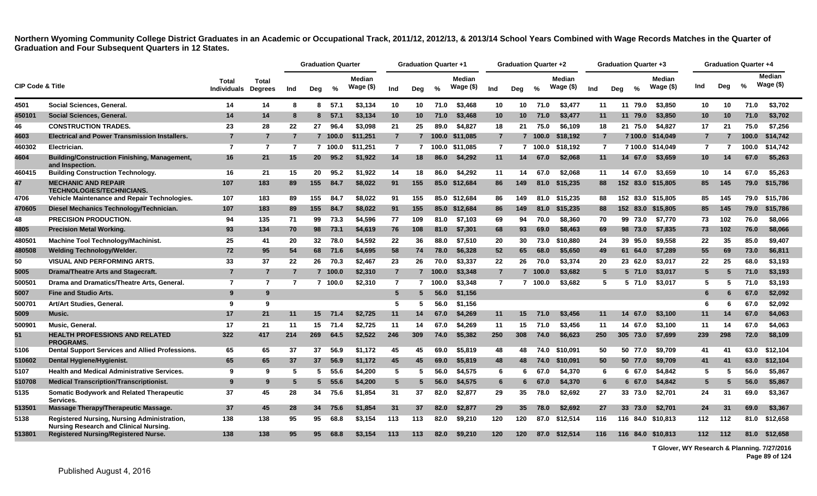|                             |                                                                                                     |                                    |                                |                | <b>Graduation Quarter</b> |         |                            |                | <b>Graduation Quarter +1</b> |         |                            |                | Graduation Quarter +2 |         |                            |                | Graduation Quarter +3 |               |                            |                 | Graduation Quarter +4 |       |                            |
|-----------------------------|-----------------------------------------------------------------------------------------------------|------------------------------------|--------------------------------|----------------|---------------------------|---------|----------------------------|----------------|------------------------------|---------|----------------------------|----------------|-----------------------|---------|----------------------------|----------------|-----------------------|---------------|----------------------------|-----------------|-----------------------|-------|----------------------------|
| <b>CIP Code &amp; Title</b> |                                                                                                     | <b>Total</b><br><b>Individuals</b> | <b>Total</b><br><b>Degrees</b> | Ind            | Deg                       | %       | <b>Median</b><br>Wage (\$) | Ind            | Dea                          | $\%$    | <b>Median</b><br>Wage (\$) | Ind            | Dea                   | $\%$    | <b>Median</b><br>Wage (\$) | Ind            | Deg                   | $\frac{0}{0}$ | <b>Median</b><br>Wage (\$) | Ind             | Deg                   | %     | <b>Median</b><br>Wage (\$) |
| 4501                        | Social Sciences, General.                                                                           | 14                                 | 14                             | 8              | 8                         | 57.1    | \$3,134                    | 10             | 10                           | 71.0    | \$3,468                    | 10             | 10                    | 71.0    | \$3,477                    | 11             |                       | 11 79.0       | \$3,850                    | 10              | 10                    | 71.0  | \$3,702                    |
| 450101                      | Social Sciences, General.                                                                           | 14                                 | 14                             | 8              | 8                         | 57.1    | \$3,134                    | 10             | 10                           | 71.0    | \$3,468                    | 10             | 10                    | 71.0    | \$3,477                    | 11             |                       | 11 79.0       | \$3,850                    | 10 <sup>°</sup> | 10                    | 71.0  | \$3,702                    |
| 46                          | <b>CONSTRUCTION TRADES.</b>                                                                         | 23                                 | 28                             | 22             | 27                        | 96.4    | \$3,098                    | 21             | 25                           | 89.0    | \$4,827                    | 18             | 21                    | 75.0    | \$6,109                    | 18             |                       | 21 75.0       | \$4,827                    | 17              | 21                    | 75.0  | \$7,256                    |
| 4603                        | <b>Electrical and Power Transmission Installers.</b>                                                | $\overline{7}$                     | $\overline{7}$                 | $\overline{7}$ |                           | 7 100.0 | \$11,251                   | $\overline{7}$ |                              |         | 7 100.0 \$11,085           | $\overline{7}$ |                       | 7 100.0 | \$18,192                   | $\overline{7}$ |                       |               | 7 100.0 \$14,049           | $\overline{7}$  |                       | 100.0 | \$14,742                   |
| 460302                      | Electrician.                                                                                        | $\overline{7}$                     | $\overline{7}$                 | $\overline{7}$ |                           | 7 100.0 | \$11,251                   | $\overline{7}$ | 7                            |         | 100.0 \$11,085             | $\overline{7}$ |                       | 7 100.0 | \$18,192                   | $\overline{7}$ |                       |               | 7 100.0 \$14,049           | $\overline{7}$  |                       | 100.0 | \$14,742                   |
| 4604                        | <b>Building/Construction Finishing, Management,</b><br>and Inspection.                              | 16                                 | 21                             | 15             | 20 <sub>2</sub>           | 95.2    | \$1,922                    | 14             | 18                           | 86.0    | \$4,292                    | 11             | 14                    | 67.0    | \$2,068                    | 11             |                       | 14 67.0       | \$3,659                    | 10 <sup>1</sup> | 14                    | 67.0  | \$5,263                    |
| 460415                      | <b>Building Construction Technology.</b>                                                            | 16                                 | 21                             | 15             | 20                        | 95.2    | \$1.922                    | 14             | 18                           | 86.0    | \$4.292                    | 11             | 14                    | 67.0    | \$2.068                    | 11             |                       | 14 67.0       | \$3.659                    | 10              | 14                    | 67.0  | \$5.263                    |
| 47                          | <b>MECHANIC AND REPAIR</b><br>TECHNOLOGIES/TECHNICIANS.                                             | 107                                | 183                            | 89             | 155                       | 84.7    | \$8,022                    | 91             | 155                          |         | 85.0 \$12,684              | 86             | 149                   | 81.0    | \$15,235                   | 88             |                       |               | 152 83.0 \$15,805          | 85              | 145                   | 79.0  | \$15,786                   |
| 4706                        | Vehicle Maintenance and Repair Technologies.                                                        | 107                                | 183                            | 89             | 155                       | 84.7    | \$8,022                    | 91             | 155                          |         | 85.0 \$12,684              | 86             | 149                   | 81.0    | \$15,235                   | 88             |                       |               | 152 83.0 \$15.805          | 85              | 145                   | 79.0  | \$15.786                   |
| 470605                      | Diesel Mechanics Technology/Technician.                                                             | 107                                | 183                            | 89             | 155                       | 84.7    | \$8,022                    | 91             | 155                          |         | 85.0 \$12,684              | 86             | 149                   | 81.0    | \$15,235                   | 88             |                       |               | 152 83.0 \$15,805          | 85              | 145                   | 79.0  | \$15,786                   |
| 48                          | <b>PRECISION PRODUCTION.</b>                                                                        | 94                                 | 135                            | 71             | 99                        | 73.3    | \$4,596                    | 77             | 109                          | 81.0    | \$7.103                    | 69             | 94                    | 70.0    | \$8.360                    | 70             |                       | 99 73.0       | \$7.770                    | 73              | 102                   | 76.0  | \$8,066                    |
| 4805                        | <b>Precision Metal Working.</b>                                                                     | 93                                 | 134                            | 70             | 98                        | 73.1    | \$4,619                    | 76             | 108                          | 81.0    | \$7,301                    | 68             | 93                    | 69.0    | \$8,463                    | 69             |                       | 98 73.0       | \$7,835                    | 73              | 102                   | 76.0  | \$8,066                    |
| 480501                      | Machine Tool Technology/Machinist.                                                                  | 25                                 | 41                             | 20             |                           | 32 78.0 | \$4.592                    | 22             | 36                           | 88.0    | \$7.510                    | 20             | 30                    | 73.0    | \$10,880                   | 24             |                       | 39 95.0       | \$9,558                    | 22              | 35                    | 85.0  | \$9.407                    |
| 480508                      | <b>Welding Technology/Welder.</b>                                                                   | 72                                 | 95                             | 54             |                           | 68 71.6 | \$4,695                    | 58             | 74                           | 78.0    | \$6,328                    | 52             | 65                    | 68.0    | \$5,650                    | 49             |                       | 61 64.0       | \$7,289                    | 55              | 69                    | 73.0  | \$6,811                    |
| 50                          | <b>VISUAL AND PERFORMING ARTS.</b>                                                                  | 33                                 | 37                             | 22             | 26                        | 70.3    | \$2,467                    | 23             | 26                           | 70.0    | \$3,337                    | 22             | 26                    | 70.0    | \$3,374                    | 20             |                       | 23 62.0       | \$3,017                    | 22              | 25                    | 68.0  | \$3,193                    |
| 5005                        | <b>Drama/Theatre Arts and Stagecraft.</b>                                                           | $\overline{7}$                     | $\overline{7}$                 | 7              |                           | 7 100.0 | \$2,310                    | $\overline{7}$ |                              | 7 100.0 | \$3,348                    | $\overline{7}$ |                       | 7 100.0 | \$3,682                    | $5^{\circ}$    |                       | 5 71.0        | \$3,017                    | 5               | 5                     | 71.0  | \$3,193                    |
| 500501                      | Drama and Dramatics/Theatre Arts, General.                                                          | $\overline{7}$                     | $\overline{7}$                 | 7              |                           | 7 100.0 | \$2,310                    | $\overline{7}$ | $\mathbf{7}$                 | 100.0   | \$3,348                    | $\overline{7}$ |                       | 7 100.0 | \$3,682                    | 5              |                       | 571.0         | \$3,017                    | 5               | 5                     | 71.0  | \$3,193                    |
| 5007                        | <b>Fine and Studio Arts.</b>                                                                        | 9                                  | 9                              |                |                           |         |                            | $5^{\circ}$    | 5                            | 56.0    | \$1,156                    |                |                       |         |                            |                |                       |               |                            | 6               | 6                     | 67.0  | \$2,092                    |
| 500701                      | Art/Art Studies, General.                                                                           | 9                                  | 9                              |                |                           |         |                            | 5              | 5                            | 56.0    | \$1,156                    |                |                       |         |                            |                |                       |               |                            | 6               | -6                    | 67.0  | \$2,092                    |
| 5009                        | Music.                                                                                              | 17                                 | 21                             | 11             | 15                        | 71.4    | \$2,725                    | 11             | 14                           | 67.0    | \$4,269                    | 11             | 15                    | 71.0    | \$3,456                    | 11             | 14                    | 67.0          | \$3,100                    | 11              | 14                    | 67.0  | \$4,063                    |
| 500901                      | Music, General.                                                                                     | 17                                 | 21                             | 11             | 15                        | 71.4    | \$2,725                    | 11             | 14                           | 67.0    | \$4,269                    | 11             | 15                    | 71.0    | \$3,456                    | 11             |                       | 14 67.0       | \$3,100                    | 11              | 14                    | 67.0  | \$4,063                    |
| 51                          | <b>HEALTH PROFESSIONS AND RELATED</b><br><b>PROGRAMS.</b>                                           | 322                                | 417                            | 214            | 269                       | 64.5    | \$2,522                    | 246            | 309                          | 74.0    | \$5,382                    | 250            | 308                   | 74.0    | \$6,623                    | 250            | 305 73.0              |               | \$7,699                    | 239             | 298                   | 72.0  | \$8,109                    |
| 5106                        | <b>Dental Support Services and Allied Professions.</b>                                              | 65                                 | 65                             | 37             | 37                        | 56.9    | \$1,172                    | 45             | 45                           | 69.0    | \$5,819                    | 48             | 48                    | 74.0    | \$10,091                   | 50             |                       | 50 77.0       | \$9,709                    | 41              | 41                    | 63.0  | \$12,104                   |
| 510602                      | Dental Hygiene/Hygienist.                                                                           | 65                                 | 65                             | 37             | 37                        | 56.9    | \$1,172                    | 45             | 45                           | 69.0    | \$5,819                    | 48             | 48                    | 74.0    | \$10,091                   | 50             |                       | 50 77.0       | \$9,709                    | 41              | 41                    | 63.0  | \$12,104                   |
| 5107                        | <b>Health and Medical Administrative Services.</b>                                                  | 9                                  | 9                              | 5              |                           | 5, 55.6 | \$4,200                    | 5              | 5                            | 56.0    | \$4,575                    | 6              | 6                     | 67.0    | \$4,370                    | 6              |                       | 6 67.0        | \$4,842                    | 5               | 5                     | 56.0  | \$5,867                    |
| 510708                      | <b>Medical Transcription/Transcriptionist.</b>                                                      | 9                                  | 9                              | 5              | 5 <sup>5</sup>            | 55.6    | \$4,200                    | 5              |                              | 56.0    | \$4,575                    | 6              |                       | 67.0    | \$4,370                    | 6              |                       | 6 67.0        | \$4,842                    | 5               |                       | 56.0  | \$5,867                    |
| 5135                        | <b>Somatic Bodywork and Related Therapeutic</b><br>Services.                                        | 37                                 | 45                             | 28             | 34                        | 75.6    | \$1,854                    | 31             | 37                           | 82.0    | \$2,877                    | 29             | 35                    | 78.0    | \$2,692                    | 27             |                       | 33 73.0       | \$2,701                    | 24              | 31                    | 69.0  | \$3,367                    |
| 513501                      | Massage Therapy/Therapeutic Massage.                                                                | 37                                 | 45                             | 28             | 34                        | 75.6    | \$1,854                    | 31             | 37                           | 82.0    | \$2,877                    | 29             | 35                    | 78.0    | \$2,692                    | 27             |                       | 33 73.0       | \$2,701                    | 24              | 31                    | 69.0  | \$3,367                    |
| 5138                        | <b>Registered Nursing, Nursing Administration,</b><br><b>Nursing Research and Clinical Nursing.</b> | 138                                | 138                            | 95             | 95                        | 68.8    | \$3,154                    | 113            | 113                          | 82.0    | \$9,210                    | 120            | 120                   | 87.0    | \$12,514                   | 116            |                       |               | 116 84.0 \$10,813          | 112             | 112                   | 81.0  | \$12,658                   |
| 513801                      | <b>Registered Nursing/Registered Nurse.</b>                                                         | 138                                | 138                            | 95             | 95                        | 68.8    | \$3,154                    | 113            | 113                          | 82.0    | \$9,210                    | 120            | 120                   | 87.0    | \$12,514                   | 116            |                       |               | 116 84.0 \$10,813          | 112             | 112                   | 81.0  | \$12,658                   |

**T Glover, WY Research & Planning. 7/27/2016 Page 89 of 124**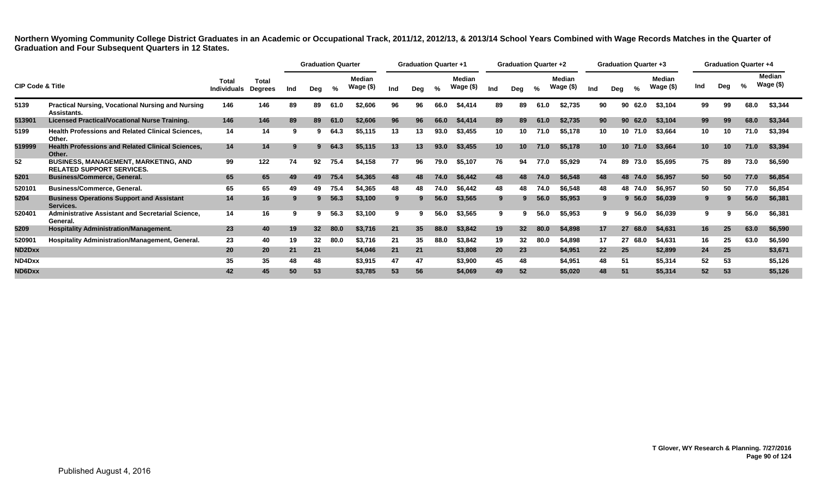|                             |                                                                                 |                             |                                |     | <b>Graduation Quarter</b> |      |                     |     | <b>Graduation Quarter +1</b> |      |                     |                 | <b>Graduation Quarter +2</b> |      |                            |                 |     | <b>Graduation Quarter +3</b> |                            |     |     | <b>Graduation Quarter +4</b> |                        |
|-----------------------------|---------------------------------------------------------------------------------|-----------------------------|--------------------------------|-----|---------------------------|------|---------------------|-----|------------------------------|------|---------------------|-----------------|------------------------------|------|----------------------------|-----------------|-----|------------------------------|----------------------------|-----|-----|------------------------------|------------------------|
| <b>CIP Code &amp; Title</b> |                                                                                 | Total<br><b>Individuals</b> | <b>Total</b><br><b>Degrees</b> | Ind | Dea                       | %    | Median<br>Wage (\$) | Ind | Deg                          | %    | Median<br>Wage (\$) | Ind             | Deg                          | %    | <b>Median</b><br>Wage (\$) | Ind             | Deg | %                            | <b>Median</b><br>Wage (\$) | Ind | Deg | $\frac{9}{6}$                | Median<br>Wage $($ \$) |
| 5139                        | <b>Practical Nursing, Vocational Nursing and Nursing</b><br>Assistants.         | 146                         | 146                            | 89  | 89                        | 61.0 | \$2,606             | 96  | 96                           | 66.0 | \$4,414             | 89              | 89                           | 61.0 | \$2,735                    | 90              |     | 90 62.0                      | \$3,104                    | 99  | 99  | 68.0                         | \$3,344                |
| 513901                      | <b>Licensed Practical/Vocational Nurse Training.</b>                            | 146                         | 146                            | 89  | 89                        | 61.0 | \$2,606             | 96  | 96                           | 66.0 | \$4,414             | 89              | 89                           | 61.0 | \$2,735                    | 90              |     | 90 62.0                      | \$3,104                    | 99  | 99  | 68.0                         | \$3,344                |
| 5199                        | <b>Health Professions and Related Clinical Sciences,</b><br>Other.              | 14                          | 14                             | 9   |                           | 64.3 | \$5,115             | 13  | 13                           | 93.0 | \$3,455             | 10              | 10                           | 71.0 | \$5,178                    | 10              |     | 10 71.0                      | \$3,664                    | 10  | 10  | 71.0                         | \$3,394                |
| 519999                      | <b>Health Professions and Related Clinical Sciences,</b><br>Other.              | 14                          | 14                             | -9  |                           | 64.3 | \$5,115             | 13  | 13                           | 93.0 | \$3,455             | 10 <sup>°</sup> | 10 <sup>°</sup>              | 71.0 | \$5,178                    | 10 <sup>1</sup> |     | 10 71.0                      | \$3,664                    | 10  | 10  | 71.0                         | \$3,394                |
| 52                          | <b>BUSINESS, MANAGEMENT, MARKETING, AND</b><br><b>RELATED SUPPORT SERVICES.</b> | 99                          | 122                            | 74  | 92                        | 75.4 | \$4,158             | 77  | 96                           | 79.0 | \$5,107             | 76              | 94                           | 77.0 | \$5,929                    | 74              |     | 89 73.0                      | \$5,695                    | 75  | 89  | 73.0                         | \$6,590                |
| 5201                        | <b>Business/Commerce, General.</b>                                              | 65                          | 65                             | 49  | 49                        | 75.4 | \$4.365             | 48  | 48                           | 74.0 | \$6,442             | 48              | 48                           | 74.0 | \$6,548                    | 48              |     | 48 74.0                      | \$6,957                    | 50  | 50  | 77.0                         | \$6,854                |
| 520101                      | <b>Business/Commerce, General.</b>                                              | 65                          | 65                             | 49  | 49                        | 75.4 | \$4,365             | 48  | 48                           | 74.0 | \$6,442             | 48              | 48                           | 74.0 | \$6,548                    | 48              |     | 48 74.0                      | \$6,957                    | 50  | 50  | 77.0                         | \$6,854                |
| 5204                        | <b>Business Operations Support and Assistant</b><br>Services.                   | 14                          | 16                             | 9   |                           | 56.3 | \$3,100             | 9   |                              | 56.0 | \$3,565             | 9               |                              | 56.0 | \$5,953                    |                 |     | 9, 56.0                      | \$6,039                    | 9   |     | 56.0                         | \$6,381                |
| 520401                      | Administrative Assistant and Secretarial Science,<br>General.                   | 14                          | 16                             | 9   |                           | 56.3 | \$3,100             | 9   |                              | 56.0 | \$3,565             | 9               |                              | 56.0 | \$5,953                    |                 |     | $9\,56.0$                    | \$6,039                    | 9   |     | 56.0                         | \$6,381                |
| 5209                        | <b>Hospitality Administration/Management.</b>                                   | 23                          | 40                             | 19  | 32 <sup>2</sup>           | 80.0 | \$3,716             | 21  | 35 <sub>5</sub>              | 88.0 | \$3,842             | 19              | 32 <sup>2</sup>              | 80.0 | \$4,898                    | 17              |     | 27 68.0                      | \$4,631                    | 16  | 25  | 63.0                         | \$6,590                |
| 520901                      | <b>Hospitality Administration/Management, General.</b>                          | 23                          | 40                             | 19  | 32                        | 80.0 | \$3,716             | 21  | 35                           | 88.0 | \$3,842             | 19              | $32\phantom{a}$              | 80.0 | \$4,898                    | 17              |     | 27 68.0                      | \$4,631                    | 16  | 25  | 63.0                         | \$6,590                |
| ND2Dxx                      |                                                                                 | 20                          | 20                             | 21  | 21                        |      | \$4,046             | 21  | 21                           |      | \$3,808             | 20              | 23                           |      | \$4,951                    | 22              | 25  |                              | \$2,899                    | 24  | 25  |                              | \$3,671                |
| ND4Dxx                      |                                                                                 | 35                          | 35                             | 48  | 48                        |      | \$3,915             | 47  | 47                           |      | \$3,900             | 45              | 48                           |      | \$4,951                    | 48              | -51 |                              | \$5,314                    | 52  | 53  |                              | \$5,126                |
| ND6Dxx                      |                                                                                 | 42                          | 45.                            | 50  | 53                        |      | \$3,785             | 53  | 56                           |      | \$4,069             | 49              | 52                           |      | \$5,020                    | 48              | -51 |                              | \$5,314                    | 52  | 53  |                              | \$5,126                |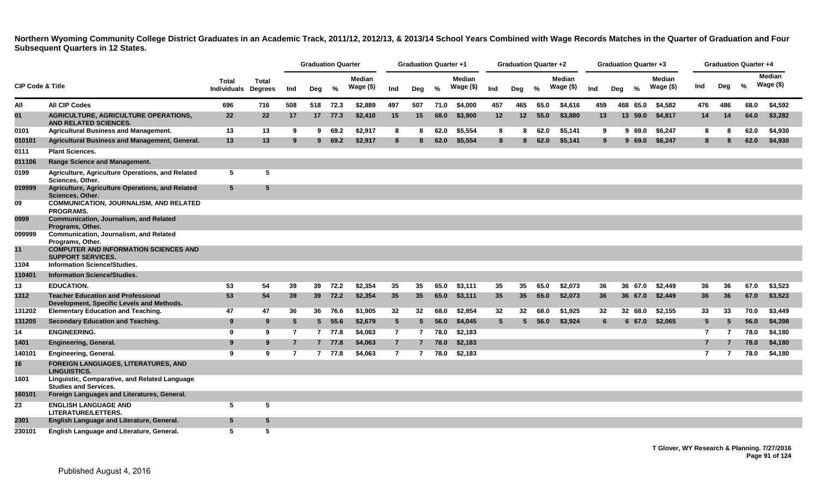|                             |                                                                                        |                                    |                                |                | <b>Graduation Quarter</b> |          |                            |                | <b>Graduation Quarter +1</b> |      |                            |                 | <b>Graduation Quarter +2</b> |      |                            |     | <b>Graduation Quarter +3</b> |                             |                |          | Graduation Quarter +4 |                             |
|-----------------------------|----------------------------------------------------------------------------------------|------------------------------------|--------------------------------|----------------|---------------------------|----------|----------------------------|----------------|------------------------------|------|----------------------------|-----------------|------------------------------|------|----------------------------|-----|------------------------------|-----------------------------|----------------|----------|-----------------------|-----------------------------|
| <b>CIP Code &amp; Title</b> |                                                                                        | <b>Total</b><br><b>Individuals</b> | <b>Total</b><br><b>Degrees</b> | Ind            | Deg                       | %        | <b>Median</b><br>Wage (\$) | Ind            | Deg                          | $\%$ | <b>Median</b><br>Wage (\$) | Ind             | Deg                          | %    | <b>Median</b><br>Wage (\$) | Ind | %<br>Deg                     | <b>Median</b><br>Wage $($)$ | Ind            | Deg      | %                     | <b>Median</b><br>Wage $($)$ |
| All                         | <b>All CIP Codes</b>                                                                   | 696                                | 716                            | 508            |                           | 518 72.3 | \$2,889                    | 497            | 507                          | 71.0 | \$4,000                    | 457             | 465                          | 65.0 | \$4,616                    | 459 | 468 65.0                     | \$4,582                     | 476            | 486      | 68.0                  | \$4,592                     |
| 01                          | <b>AGRICULTURE, AGRICULTURE OPERATIONS,</b><br><b>AND RELATED SCIENCES.</b>            | 22                                 | 22                             | 17             |                           | 17 77.3  | \$2,410                    | 15             | 15                           | 68.0 | \$3,900                    | $12 \,$         | $12 \,$                      | 55.0 | \$3,880                    | 13  | 13 59.0                      | \$4,817                     | 14             | 14       | 64.0                  | \$3,282                     |
| 0101                        | <b>Agricultural Business and Management.</b>                                           | 13                                 | 13                             | 9              | 9                         | 69.2     | \$2,917                    | 8              |                              | 62.0 | \$5,554                    | 8               | 8                            | 62.0 | \$5,141                    | 9   | 969.0                        | \$6,247                     | 8              | 8        | 62.0                  | \$4,930                     |
| 010101                      | Agricultural Business and Management, General.                                         | 13                                 | 13                             | 9              | $9^{\circ}$               | 69.2     | \$2,917                    | 8              | 8                            | 62.0 | \$5,554                    | 8               | 8                            | 62.0 | \$5,141                    | 9   | 969.0                        | \$6,247                     | 8              | <b>R</b> | 62.0                  | \$4,930                     |
| 0111                        | <b>Plant Sciences.</b>                                                                 |                                    |                                |                |                           |          |                            |                |                              |      |                            |                 |                              |      |                            |     |                              |                             |                |          |                       |                             |
| 011106                      | <b>Range Science and Management.</b>                                                   |                                    |                                |                |                           |          |                            |                |                              |      |                            |                 |                              |      |                            |     |                              |                             |                |          |                       |                             |
| 0199                        | Agriculture, Agriculture Operations, and Related<br>Sciences, Other.                   | 5                                  | 5                              |                |                           |          |                            |                |                              |      |                            |                 |                              |      |                            |     |                              |                             |                |          |                       |                             |
| 019999                      | Agriculture, Agriculture Operations, and Related<br>Sciences, Other.                   | 5                                  | 5                              |                |                           |          |                            |                |                              |      |                            |                 |                              |      |                            |     |                              |                             |                |          |                       |                             |
| 09                          | <b>COMMUNICATION, JOURNALISM, AND RELATED</b><br><b>PROGRAMS.</b>                      |                                    |                                |                |                           |          |                            |                |                              |      |                            |                 |                              |      |                            |     |                              |                             |                |          |                       |                             |
| 0999                        | Communication, Journalism, and Related<br>Programs, Other.                             |                                    |                                |                |                           |          |                            |                |                              |      |                            |                 |                              |      |                            |     |                              |                             |                |          |                       |                             |
| 099999                      | <b>Communication, Journalism, and Related</b><br>Programs, Other.                      |                                    |                                |                |                           |          |                            |                |                              |      |                            |                 |                              |      |                            |     |                              |                             |                |          |                       |                             |
| 11                          | <b>COMPUTER AND INFORMATION SCIENCES AND</b><br><b>SUPPORT SERVICES.</b>               |                                    |                                |                |                           |          |                            |                |                              |      |                            |                 |                              |      |                            |     |                              |                             |                |          |                       |                             |
| 1104                        | <b>Information Science/Studies.</b>                                                    |                                    |                                |                |                           |          |                            |                |                              |      |                            |                 |                              |      |                            |     |                              |                             |                |          |                       |                             |
| 110401                      | <b>Information Science/Studies.</b>                                                    |                                    |                                |                |                           |          |                            |                |                              |      |                            |                 |                              |      |                            |     |                              |                             |                |          |                       |                             |
| 13                          | <b>EDUCATION.</b>                                                                      | 53                                 | 54                             | 39             | 39                        | 72.2     | \$2,354                    | 35             | 35                           | 65.0 | \$3,111                    | 35              | 35                           | 65.0 | \$2,073                    | 36  | 36 67.0                      | \$2.449                     | 36             | 36       | 67.0                  | \$3,523                     |
| 1312                        | <b>Teacher Education and Professional</b><br>Development, Specific Levels and Methods. | 53                                 | 54                             | 39             |                           | 39 72.2  | \$2,354                    | 35             | 35                           | 65.0 | \$3,111                    | 35              | 35                           | 65.0 | \$2,073                    | 36  | 36 67.0                      | \$2,449                     | 36             | 36       | 67.0                  | \$3,523                     |
| 131202                      | <b>Elementary Education and Teaching.</b>                                              | 47                                 | 47                             | 36             | 36                        | 76.6     | \$1,905                    | 32             | 32                           | 68.0 | \$2,854                    | 32              | 32                           | 68.0 | \$1,925                    | 32  | 32 68.0                      | \$2,155                     | 33             | 33       | 70.0                  | \$3,449                     |
| 131205                      | <b>Secondary Education and Teaching.</b>                                               | 9                                  | 9                              | 5              |                           | 5, 55.6  | \$2,679                    | $5^{\circ}$    | 5                            | 56.0 | \$4,045                    | $5\phantom{.0}$ |                              | 56.0 | \$3,924                    | 6   | 667.0                        | \$2,065                     | $5^{\circ}$    | 5        | 56.0                  | \$4,398                     |
| 14                          | <b>ENGINEERING.</b>                                                                    | 9                                  | 9                              | 7              |                           | 7 77.8   | \$4,063                    | $\overline{7}$ | $\overline{7}$               | 78.0 | \$2,183                    |                 |                              |      |                            |     |                              |                             | $\overline{7}$ | 7        | 78.0                  | \$4,180                     |
| 1401                        | <b>Engineering, General.</b>                                                           | 9                                  | 9                              |                |                           | 7 77.8   | \$4,063                    | $\overline{7}$ |                              | 78.0 | \$2,183                    |                 |                              |      |                            |     |                              |                             | $\overline{7}$ |          | 78.0                  | \$4,180                     |
| 140101                      | <b>Engineering, General.</b>                                                           | 9                                  | 9                              | $\overline{7}$ | $\overline{7}$            | 77.8     | \$4,063                    | $\overline{7}$ | $\overline{7}$               | 78.0 | \$2,183                    |                 |                              |      |                            |     |                              |                             | $\overline{7}$ | 7        | 78.0                  | \$4,180                     |
| 16                          | <b>FOREIGN LANGUAGES, LITERATURES, AND</b><br><b>LINGUISTICS.</b>                      |                                    |                                |                |                           |          |                            |                |                              |      |                            |                 |                              |      |                            |     |                              |                             |                |          |                       |                             |
| 1601                        | Linguistic, Comparative, and Related Language<br><b>Studies and Services.</b>          |                                    |                                |                |                           |          |                            |                |                              |      |                            |                 |                              |      |                            |     |                              |                             |                |          |                       |                             |
| 160101                      | Foreign Languages and Literatures, General.                                            |                                    |                                |                |                           |          |                            |                |                              |      |                            |                 |                              |      |                            |     |                              |                             |                |          |                       |                             |
| 23                          | <b>ENGLISH LANGUAGE AND</b><br><b>LITERATURE/LETTERS.</b>                              | 5                                  | 5                              |                |                           |          |                            |                |                              |      |                            |                 |                              |      |                            |     |                              |                             |                |          |                       |                             |
| 2301                        | English Language and Literature, General.                                              | 5                                  | $5\phantom{.0}$                |                |                           |          |                            |                |                              |      |                            |                 |                              |      |                            |     |                              |                             |                |          |                       |                             |
| 230101                      | English Language and Literature, General.                                              | 5                                  | 5                              |                |                           |          |                            |                |                              |      |                            |                 |                              |      |                            |     |                              |                             |                |          |                       |                             |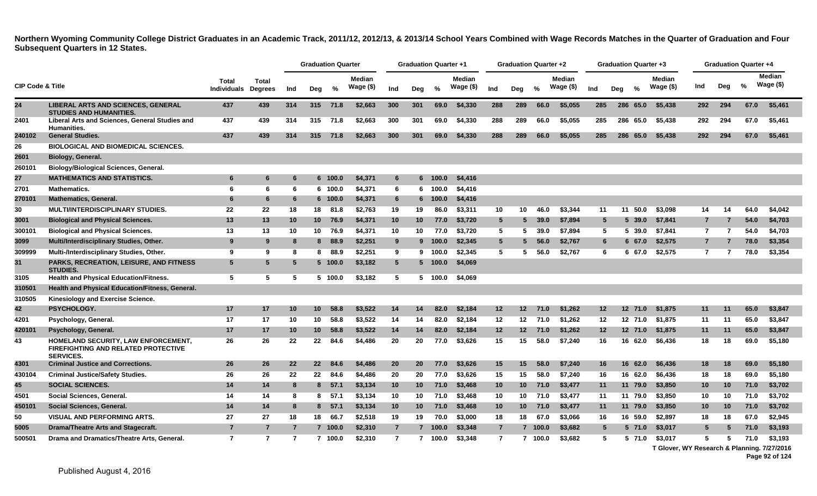|                             |                                                                                                |                                    |                                |                | <b>Graduation Quarter</b> |          |                             |                | <b>Graduation Quarter +1</b> |                 |                             |                 | Graduation Quarter +2 |               |                             |                 | <b>Graduation Quarter +3</b> |               |                     |                 |                          | <b>Graduation Quarter +4</b> |                               |
|-----------------------------|------------------------------------------------------------------------------------------------|------------------------------------|--------------------------------|----------------|---------------------------|----------|-----------------------------|----------------|------------------------------|-----------------|-----------------------------|-----------------|-----------------------|---------------|-----------------------------|-----------------|------------------------------|---------------|---------------------|-----------------|--------------------------|------------------------------|-------------------------------|
| <b>CIP Code &amp; Title</b> |                                                                                                | <b>Total</b><br><b>Individuals</b> | <b>Total</b><br><b>Degrees</b> | Ind            | Deg                       | $\%$     | <b>Median</b><br>Wage $($)$ | Ind            | Dea                          | $\frac{9}{6}$   | <b>Median</b><br>Wage $($)$ | Ind             | Dea                   | $\frac{9}{6}$ | <b>Median</b><br>Wage $($)$ | Ind             | Dea                          | $\frac{0}{0}$ | Median<br>Wage (\$) | Ind             | Deg                      | %                            | <b>Median</b><br>Wage $($ \$) |
| 24                          | <b>LIBERAL ARTS AND SCIENCES, GENERAL</b><br><b>STUDIES AND HUMANITIES.</b>                    | 437                                | 439                            | 314            |                           | 315 71.8 | \$2,663                     | 300            | 301                          | 69.0            | \$4,330                     | 288             | 289                   | 66.0          | \$5,055                     | 285             |                              | 286 65.0      | \$5,438             | 292             | 294                      | 67.0                         | \$5,461                       |
| 2401                        | Liberal Arts and Sciences, General Studies and<br>Humanities.                                  | 437                                | 439                            | 314            | 315                       | 71.8     | \$2,663                     | 300            | 301                          | 69.0            | \$4,330                     | 288             | 289                   | 66.0          | \$5,055                     | 285             |                              | 286 65.0      | \$5.438             | 292             | 294                      | 67.0                         | \$5.461                       |
| 240102                      | <b>General Studies.</b>                                                                        | 437                                | 439                            | 314            | 315                       | 71.8     | \$2,663                     | 300            | 301                          | 69.0            | \$4,330                     | 288             | 289                   | 66.0          | \$5,055                     | 285             |                              | 286 65.0      | \$5,438             | 292             | 294                      | 67.0                         | \$5,461                       |
| 26                          | <b>BIOLOGICAL AND BIOMEDICAL SCIENCES.</b>                                                     |                                    |                                |                |                           |          |                             |                |                              |                 |                             |                 |                       |               |                             |                 |                              |               |                     |                 |                          |                              |                               |
| 2601                        | Biology, General.                                                                              |                                    |                                |                |                           |          |                             |                |                              |                 |                             |                 |                       |               |                             |                 |                              |               |                     |                 |                          |                              |                               |
| 260101                      | <b>Biology/Biological Sciences, General.</b>                                                   |                                    |                                |                |                           |          |                             |                |                              |                 |                             |                 |                       |               |                             |                 |                              |               |                     |                 |                          |                              |                               |
| 27                          | <b>MATHEMATICS AND STATISTICS.</b>                                                             | 6                                  | 6                              | 6              |                           | 6 100.0  | \$4,371                     | 6              |                              | 6 100.0         | \$4,416                     |                 |                       |               |                             |                 |                              |               |                     |                 |                          |                              |                               |
| 2701                        | <b>Mathematics.</b>                                                                            | 6                                  | 6                              | 6              |                           | 6 100.0  | \$4,371                     | 6              |                              | 6 100.0         | \$4,416                     |                 |                       |               |                             |                 |                              |               |                     |                 |                          |                              |                               |
| 270101                      | <b>Mathematics, General.</b>                                                                   | -6                                 | 6                              | 6              |                           | 6 100.0  | \$4,371                     | 6              |                              | 6 100.0         | \$4,416                     |                 |                       |               |                             |                 |                              |               |                     |                 |                          |                              |                               |
| 30                          | <b>MULTI/INTERDISCIPLINARY STUDIES.</b>                                                        | 22                                 | 22                             | 18             | 18                        | 81.8     | \$2,763                     | 19             | 19                           | 86.0            | \$3,311                     | 10              | 10                    | 46.0          | \$3,344                     | 11              | 11                           | 50.0          | \$3,098             | 14              | 14                       | 64.0                         | \$4,042                       |
| 3001                        | <b>Biological and Physical Sciences.</b>                                                       | 13                                 | 13                             | 10             | 10                        | 76.9     | \$4,371                     | 10             | 10 <sup>°</sup>              | 77.0            | \$3,720                     | $5\overline{5}$ | 5.                    | 39.0          | \$7,894                     | $5^{\circ}$     |                              | $5\,39.0$     | \$7,841             | $\overline{7}$  |                          | 54.0                         | \$4,703                       |
| 300101                      | <b>Biological and Physical Sciences.</b>                                                       | 13                                 | 13                             | 10             | 10                        | 76.9     | \$4,371                     | 10             | 10                           | 77.0            | \$3.720                     | 5               | 5                     | 39.0          | \$7.894                     | 5               |                              | 5 39.0        | \$7.841             | $\overline{7}$  | $\overline{\phantom{a}}$ | 54.0                         | \$4.703                       |
| 3099                        | Multi/Interdisciplinary Studies, Other.                                                        | 9                                  | 9                              | 8              | 8                         | 88.9     | \$2,251                     | 9              |                              | 9 100.0         | \$2,345                     | $5\overline{5}$ |                       | 56.0          | \$2,767                     | 6               |                              | 667.0         | \$2,575             | $\overline{7}$  |                          | 78.0                         | \$3,354                       |
| 309999                      | Multi-/Interdisciplinary Studies, Other.                                                       | -9                                 | 9                              | 8              | 8                         | 88.9     | \$2,251                     | 9              |                              | 9 100.0         | \$2.345                     | 5               | 5                     | 56.0          | \$2,767                     | 6               |                              | 6 67.0        | \$2,575             | $\overline{7}$  |                          | 78.0                         | \$3,354                       |
| 31                          | <b>PARKS, RECREATION, LEISURE, AND FITNESS</b><br><b>STUDIES.</b>                              | 5                                  | 5                              | 5              |                           | 5 100.0  | \$3,182                     | 5              |                              | $5 \quad 100.0$ | \$4,069                     |                 |                       |               |                             |                 |                              |               |                     |                 |                          |                              |                               |
| 3105                        | <b>Health and Physical Education/Fitness.</b>                                                  | 5                                  | 5                              | 5              |                           | 5 100.0  | \$3,182                     | 5              |                              | 5 100.0         | \$4,069                     |                 |                       |               |                             |                 |                              |               |                     |                 |                          |                              |                               |
| 310501                      | Health and Physical Education/Fitness, General.                                                |                                    |                                |                |                           |          |                             |                |                              |                 |                             |                 |                       |               |                             |                 |                              |               |                     |                 |                          |                              |                               |
| 310505                      | <b>Kinesiology and Exercise Science.</b>                                                       |                                    |                                |                |                           |          |                             |                |                              |                 |                             |                 |                       |               |                             |                 |                              |               |                     |                 |                          |                              |                               |
| 42                          | <b>PSYCHOLOGY.</b>                                                                             | 17                                 | 17                             | 10             | $10-1$                    | 58.8     | \$3,522                     | 14             | 14                           | 82.0            | \$2,184                     | 12              | 12 <sub>2</sub>       | 71.0          | \$1,262                     | 12 <sub>2</sub> |                              | 12 71.0       | \$1,875             | 11              | 11                       | 65.0                         | \$3,847                       |
| 4201                        | Psychology, General.                                                                           | 17                                 | 17                             | 10             | 10                        | 58.8     | \$3,522                     | 14             | 14                           | 82.0            | \$2,184                     | 12              | 12 <sub>1</sub>       | 71.0          | \$1,262                     | 12              |                              |               | 12 71.0 \$1,875     | 11              | 11                       | 65.0                         | \$3,847                       |
| 420101                      | Psychology, General.                                                                           | 17                                 | 17                             | 10             | 10                        | 58.8     | \$3,522                     | 14             | 14                           | 82.0            | \$2,184                     | 12              | 12 <sup>2</sup>       | 71.0          | \$1,262                     | 12 <sub>2</sub> |                              | 12 71.0       | \$1,875             | 11              | 11                       | 65.0                         | \$3,847                       |
| 43                          | HOMELAND SECURITY, LAW ENFORCEMENT,<br>FIREFIGHTING AND RELATED PROTECTIVE<br><b>SERVICES.</b> | 26                                 | 26                             | 22             | 22                        | 84.6     | \$4,486                     | 20             | 20                           | 77.0            | \$3,626                     | 15              | 15                    | 58.0          | \$7,240                     | 16              |                              | 16 62.0       | \$6,436             | 18              | 18                       | 69.0                         | \$5,180                       |
| 4301                        | <b>Criminal Justice and Corrections.</b>                                                       | 26                                 | 26                             | 22             | 22                        | 84.6     | \$4,486                     | 20             | 20 <sub>2</sub>              | 77.0            | \$3,626                     | 15              | 15                    | 58.0          | \$7,240                     | 16              | 16                           | 62.0          | \$6,436             | 18              | 18                       | 69.0                         | \$5,180                       |
| 430104                      | <b>Criminal Justice/Safety Studies.</b>                                                        | 26                                 | 26                             | 22             |                           | 22 84.6  | \$4,486                     | 20             | 20                           | 77.0            | \$3,626                     | 15              | 15                    | 58.0          | \$7,240                     | 16              |                              | 16 62.0       | \$6,436             | 18              | 18                       | 69.0                         | \$5,180                       |
| 45                          | <b>SOCIAL SCIENCES.</b>                                                                        | 14                                 | 14                             | 8              | 8                         | 57.1     | \$3,134                     | 10             | 10 <sup>°</sup>              | 71.0            | \$3,468                     | 10 <sup>1</sup> | 10 <sup>1</sup>       | 71.0          | \$3,477                     | 11              |                              | 11 79.0       | \$3,850             | 10 <sub>1</sub> | 10                       | 71.0                         | \$3,702                       |
| 4501                        | Social Sciences, General.                                                                      | 14                                 | 14                             | -8             | 8                         | 57.1     | \$3,134                     | 10             | 10                           | 71.0            | \$3,468                     | 10              | 10                    | 71.0          | \$3,477                     | 11              |                              | 11 79.0       | \$3,850             | 10              | 10                       | 71.0                         | \$3,702                       |
| 450101                      | Social Sciences, General.                                                                      | 14                                 | 14                             | 8              |                           | 8, 57.1  | \$3,134                     | 10             | 10                           | 71.0            | \$3,468                     | 10              | 10 <sup>°</sup>       | 71.0          | \$3,477                     | 11              |                              | 11 79.0       | \$3,850             | 10 <sup>°</sup> | 10                       | 71.0                         | \$3,702                       |
| 50                          | <b>VISUAL AND PERFORMING ARTS.</b>                                                             | 27                                 | 27                             | 18             |                           | 18 66.7  | \$2,518                     | 19             | 19                           | 70.0            | \$3,000                     | 18              | 18                    | 67.0          | \$3,066                     | 16              |                              | 16 59.0       | \$2,897             | 18              | 18                       | 67.0                         | \$2,945                       |
| 5005                        | Drama/Theatre Arts and Stagecraft.                                                             | $\overline{7}$                     | $\overline{7}$                 |                |                           | 7 100.0  | \$2,310                     | $\overline{7}$ |                              | 7 100.0         | \$3,348                     | $\overline{7}$  |                       | 7 100.0       | \$3,682                     | $5^{\circ}$     |                              | 5 71.0        | \$3,017             | 5               |                          | 71.0                         | \$3,193                       |
| 500501                      | Drama and Dramatics/Theatre Arts. General.                                                     | $\overline{7}$                     | $\overline{7}$                 | $\overline{7}$ |                           | 7 100.0  | \$2,310                     | 7              |                              | 7 100.0         | \$3,348                     | $\overline{7}$  |                       | 7 100.0       | \$3,682                     | 5               |                              | 5 71.0        | \$3.017             | 5               | 5                        | 71.0                         | \$3.193                       |

**T Glover, WY Research & Planning. 7/27/2016**

**Page 92 of 124**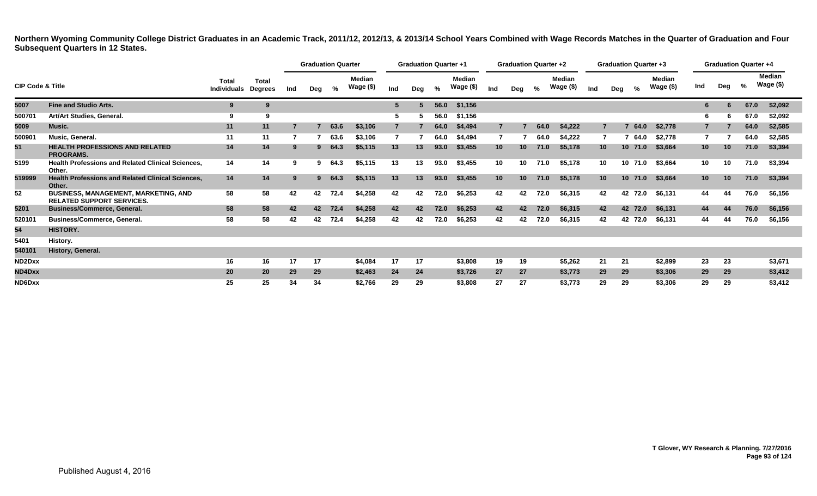|                             |                                                                                 |                             |                                |     | <b>Graduation Quarter</b> |      |                            |                 | <b>Graduation Quarter +1</b> |      |                            |                 | <b>Graduation Quarter +2</b> |      |                     |                 | <b>Graduation Quarter +3</b> |             |                     |                 | <b>Graduation Quarter +4</b> |               |                            |
|-----------------------------|---------------------------------------------------------------------------------|-----------------------------|--------------------------------|-----|---------------------------|------|----------------------------|-----------------|------------------------------|------|----------------------------|-----------------|------------------------------|------|---------------------|-----------------|------------------------------|-------------|---------------------|-----------------|------------------------------|---------------|----------------------------|
| <b>CIP Code &amp; Title</b> |                                                                                 | Total<br><b>Individuals</b> | <b>Total</b><br><b>Degrees</b> | Ind | Deg                       | %    | <b>Median</b><br>Wage (\$) | Ind             | Deg                          | %    | <b>Median</b><br>Wage (\$) | Ind             | Deg                          | %    | Median<br>Wage (\$) | Ind             | Deg                          | %           | Median<br>Wage (\$) | Ind             | Deg                          | $\frac{0}{0}$ | <b>Median</b><br>Wage (\$) |
| 5007                        | <b>Fine and Studio Arts.</b>                                                    | 9                           | 9                              |     |                           |      |                            | $5\phantom{.0}$ |                              | 56.0 | \$1,156                    |                 |                              |      |                     |                 |                              |             |                     |                 |                              | 67.0          | \$2,092                    |
| 500701                      | Art/Art Studies, General.                                                       | -9                          | 9                              |     |                           |      |                            | -5              |                              | 56.0 | \$1,156                    |                 |                              |      |                     |                 |                              |             |                     | 6               |                              | 67.0          | \$2,092                    |
| 5009                        | Music.                                                                          | 11                          | 11                             |     |                           | 63.6 | \$3,106                    |                 |                              | 64.0 | \$4,494                    | $\overline{7}$  |                              | 64.0 | \$4,222             |                 |                              | 64.0        | \$2,778             |                 |                              | 64.0          | \$2,585                    |
| 500901                      | Music, General.                                                                 | 11                          | 11                             |     |                           | 63.6 | \$3.106                    |                 |                              | 64.0 | \$4.494                    | 7               |                              | 64.0 | \$4,222             |                 |                              | 64.0        | \$2,778             |                 |                              | 64.0          | \$2,585                    |
| 51                          | <b>HEALTH PROFESSIONS AND RELATED</b><br><b>PROGRAMS.</b>                       | 14                          | 14                             | -9  |                           | 64.3 | \$5,115                    | 13              | 13                           | 93.0 | \$3,455                    | 10 <sup>1</sup> | 10                           | 71.0 | \$5,178             | 10 <sup>°</sup> |                              | $10$ $71.0$ | \$3,664             | 10 <sup>1</sup> | 10                           | 71.0          | \$3,394                    |
| 5199                        | <b>Health Professions and Related Clinical Sciences,</b><br>Other.              | 14                          | 14                             | 9   | 9                         | 64.3 | \$5,115                    | 13              | 13                           | 93.0 | \$3,455                    | 10              | 10                           | 71.0 | \$5,178             | 10              |                              | 10 71.0     | \$3,664             | 10              | 10                           | 71.0          | \$3,394                    |
| 519999                      | <b>Health Professions and Related Clinical Sciences,</b><br>Other.              | 14                          | 14                             | 9   | 9.                        | 64.3 | \$5,115                    | 13              | 13                           | 93.0 | \$3,455                    | 10 <sup>°</sup> | 10 <sup>1</sup>              | 71.0 | \$5,178             | 10 <sup>1</sup> |                              | 10 71.0     | \$3,664             | 10 <sup>1</sup> | 10 <sup>°</sup>              | 71.0          | \$3,394                    |
| 52                          | <b>BUSINESS, MANAGEMENT, MARKETING, AND</b><br><b>RELATED SUPPORT SERVICES.</b> | 58                          | 58                             | 42  | 42                        | 72.4 | \$4,258                    | 42              | 42                           | 72.0 | \$6,253                    | 42              | 42                           | 72.0 | \$6,315             | 42              |                              | 42 72.0     | \$6,131             | 44              | 44                           | 76.0          | \$6,156                    |
| 5201                        | <b>Business/Commerce, General.</b>                                              | 58                          | 58                             | 42  | 42                        | 72.4 | \$4,258                    | 42              | 42                           | 72.0 | \$6,253                    | 42              | 42                           | 72.0 | \$6,315             | 42              |                              | 42 72.0     | \$6,131             | 44              | 44                           | 76.0          | \$6,156                    |
| 520101                      | Business/Commerce, General.                                                     | 58                          | 58                             | 42  | 42                        | 72.4 | \$4,258                    | 42              | 42                           | 72.0 | \$6,253                    | 42              | 42                           | 72.0 | \$6,315             | 42              |                              | 42 72.0     | \$6,131             | 44              | 44                           | 76.0          | \$6,156                    |
| 54                          | <b>HISTORY.</b>                                                                 |                             |                                |     |                           |      |                            |                 |                              |      |                            |                 |                              |      |                     |                 |                              |             |                     |                 |                              |               |                            |
| 5401                        | History.                                                                        |                             |                                |     |                           |      |                            |                 |                              |      |                            |                 |                              |      |                     |                 |                              |             |                     |                 |                              |               |                            |
| 540101                      | History, General.                                                               |                             |                                |     |                           |      |                            |                 |                              |      |                            |                 |                              |      |                     |                 |                              |             |                     |                 |                              |               |                            |
| ND2Dxx                      |                                                                                 | 16                          | 16                             | 17  | 17                        |      | \$4,084                    | 17              | 17                           |      | \$3,808                    | 19              | 19                           |      | \$5,262             | 21              | 21                           |             | \$2,899             | 23              | 23                           |               | \$3,671                    |
| ND4Dxx                      |                                                                                 | 20                          | 20                             | 29  | 29                        |      | \$2,463                    | 24              | 24                           |      | \$3,726                    | 27              | 27                           |      | \$3,773             | 29              | 29                           |             | \$3,306             | 29              | 29                           |               | \$3,412                    |
| ND6Dxx                      |                                                                                 | 25                          | 25                             | 34  | 34                        |      | \$2,766                    | 29              | 29                           |      | \$3,808                    | 27              | 27                           |      | \$3,773             | 29              | 29                           |             | \$3,306             | 29              | 29                           |               | \$3,412                    |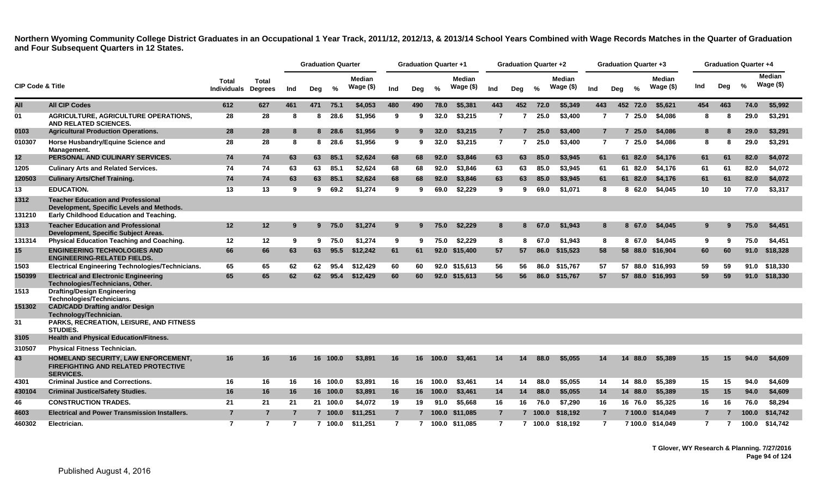|                             |                                                                                                                                   |                                    |                         |     | <b>Graduation Quarter</b> |          |                            |                | <b>Graduation Quarter +1</b> |          |                            |                | <b>Graduation Quarter +2</b> |       |                            |                |     | <b>Graduation Quarter +3</b> |                            |     |     | <b>Graduation Quarter +4</b> |                             |  |
|-----------------------------|-----------------------------------------------------------------------------------------------------------------------------------|------------------------------------|-------------------------|-----|---------------------------|----------|----------------------------|----------------|------------------------------|----------|----------------------------|----------------|------------------------------|-------|----------------------------|----------------|-----|------------------------------|----------------------------|-----|-----|------------------------------|-----------------------------|--|
| <b>CIP Code &amp; Title</b> |                                                                                                                                   | <b>Total</b><br><b>Individuals</b> | Total<br><b>Degrees</b> | Ind | Deg                       | %        | <b>Median</b><br>Wage (\$) | Ind            | Deg                          | %        | <b>Median</b><br>Wage (\$) | Ind            | Deg                          | $\%$  | <b>Median</b><br>Wage (\$) | Ind            | Deg | $\%$                         | <b>Median</b><br>Wage (\$) | Ind | Deg | %                            | <b>Median</b><br>Wage $($)$ |  |
| All                         | <b>All CIP Codes</b>                                                                                                              | 612                                | 627                     | 461 | 471                       | 75.1     | \$4,053                    | 480            | 490                          | 78.0     | \$5,381                    | 443            | 452                          | 72.0  | \$5,349                    | 443            |     | 452 72.0                     | \$5,621                    | 454 | 463 | 74.0                         | \$5,992                     |  |
| 01                          | AGRICULTURE, AGRICULTURE OPERATIONS,<br>AND RELATED SCIENCES.                                                                     | 28                                 | 28                      | 8   | 8                         | 28.6     | \$1,956                    | 9              | 9                            | 32.0     | \$3,215                    | $\overline{7}$ | 7                            | 25.0  | \$3,400                    | $\overline{7}$ |     | 25.0<br>$\overline{7}$       | \$4,086                    | 8   | 8   | 29.0                         | \$3,291                     |  |
| 0103                        | <b>Agricultural Production Operations.</b>                                                                                        | 28                                 | 28                      | 8   |                           | 8 28.6   | \$1,956                    | 9              | 9                            | 32.0     | \$3,215                    | $\overline{7}$ | 7                            | 25.0  | \$3,400                    | $\overline{7}$ |     | 725.0                        | \$4,086                    | 8   | 8   | 29.0                         | \$3,291                     |  |
| 010307                      | Horse Husbandry/Equine Science and<br>Management.                                                                                 | 28                                 | 28                      | 8   | 8                         | 28.6     | \$1,956                    | 9              | ്യ                           | 32.0     | \$3,215                    | $\overline{7}$ | 7                            | 25.0  | \$3,400                    | $\overline{7}$ |     | 7 25.0                       | \$4,086                    | 8   | 8   | 29.0                         | \$3,291                     |  |
| 12                          | PERSONAL AND CULINARY SERVICES.                                                                                                   | 74                                 | 74                      | 63  | 63                        | 85.1     | \$2,624                    | 68             | 68                           | 92.0     | \$3,846                    | 63             | 63                           | 85.0  | \$3,945                    | 61             |     | 61 82.0                      | \$4,176                    | 61  | 61  | 82.0                         | \$4,072                     |  |
| 1205                        | <b>Culinary Arts and Related Services.</b>                                                                                        | 74                                 | 74                      | 63  | 63                        | 85.1     | \$2,624                    | 68             | 68                           | 92.0     | \$3.846                    | 63             | 63                           | 85.0  | \$3.945                    | 61             |     | 61 82.0                      | \$4,176                    | 61  | 61  | 82.0                         | \$4,072                     |  |
| 120503                      | <b>Culinary Arts/Chef Training.</b>                                                                                               | 74                                 | 74                      | 63  | 63                        | 85.1     | \$2,624                    | 68             | 68                           | 92.0     | \$3,846                    | 63             | 63                           | 85.0  | \$3,945                    | 61             |     | 61 82.0                      | \$4,176                    | 61  | 61  | 82.0                         | \$4,072                     |  |
| 13                          | <b>EDUCATION.</b>                                                                                                                 | 13                                 | 13                      | 9   | 9                         | 69.2     | \$1,274                    | 9              | ്യ                           | 69.0     | \$2,229                    | 9              | 9                            | 69.0  | \$1,071                    | 8              |     | 862.0                        | \$4,045                    | 10  | 10  | 77.0                         | \$3,317                     |  |
| 1312<br>131210              | <b>Teacher Education and Professional</b><br>Development, Specific Levels and Methods.<br>Early Childhood Education and Teaching. |                                    |                         |     |                           |          |                            |                |                              |          |                            |                |                              |       |                            |                |     |                              |                            |     |     |                              |                             |  |
| 1313                        | <b>Teacher Education and Professional</b><br>Development, Specific Subject Areas.                                                 | 12                                 | 12                      | 9   |                           | 975.0    | \$1,274                    | 9              | 9                            | 75.0     | \$2.229                    | 8              | 8                            | 67.0  | \$1.943                    | 8              |     | 67.0<br>8.                   | \$4.045                    | 9   | 9   | 75.0                         | \$4,451                     |  |
| 131314                      | <b>Physical Education Teaching and Coaching.</b>                                                                                  | 12                                 | 12                      | 9   | 9                         | 75.0     | \$1,274                    | 9              | 9                            | 75.0     | \$2,229                    | 8              | 8                            | 67.0  | \$1.943                    | 8              |     | 8 67.0                       | \$4,045                    | 9   | 9   | 75.0                         | \$4,451                     |  |
| 15                          | <b>ENGINEERING TECHNOLOGIES AND</b><br><b>ENGINEERING-RELATED FIELDS.</b>                                                         | 66                                 | 66                      | 63  | 63                        | 95.5     | \$12,242                   | 61             | 61                           | 92.0     | \$15,400                   | 57             | 57                           | 86.0  | \$15,523                   | 58             |     |                              | 58 88.0 \$16,904           | 60  | 60  | 91.0                         | \$18,328                    |  |
| 1503                        | Electrical Engineering Technologies/Technicians.                                                                                  | 65                                 | 65                      | 62  | 62                        | 95.4     | \$12,429                   | 60             | 60                           |          | 92.0 \$15,613              | 56             | 56                           | 86.0  | \$15,767                   | 57             |     |                              | 57 88.0 \$16,993           | 59  | -59 | 91.0                         | \$18,330                    |  |
| 150399                      | <b>Electrical and Electronic Engineering</b><br>Technologies/Technicians, Other.                                                  | 65                                 | 65                      | 62  | 62                        | 95.4     | \$12,429                   | 60             | 60                           | 92.0     | \$15,613                   | 56             | 56                           | 86.0  | \$15,767                   | 57             |     |                              | 57 88.0 \$16,993           | 59  | 59  | 91.0                         | \$18,330                    |  |
| 1513                        | <b>Drafting/Design Engineering</b><br>Technologies/Technicians.                                                                   |                                    |                         |     |                           |          |                            |                |                              |          |                            |                |                              |       |                            |                |     |                              |                            |     |     |                              |                             |  |
| 151302                      | <b>CAD/CADD Drafting and/or Design</b><br>Technology/Technician.                                                                  |                                    |                         |     |                           |          |                            |                |                              |          |                            |                |                              |       |                            |                |     |                              |                            |     |     |                              |                             |  |
| 31                          | <b>PARKS, RECREATION, LEISURE, AND FITNESS</b><br><b>STUDIES.</b>                                                                 |                                    |                         |     |                           |          |                            |                |                              |          |                            |                |                              |       |                            |                |     |                              |                            |     |     |                              |                             |  |
| 3105                        | <b>Health and Physical Education/Fitness.</b>                                                                                     |                                    |                         |     |                           |          |                            |                |                              |          |                            |                |                              |       |                            |                |     |                              |                            |     |     |                              |                             |  |
| 310507                      | <b>Physical Fitness Technician.</b>                                                                                               |                                    |                         |     |                           |          |                            |                |                              |          |                            |                |                              |       |                            |                |     |                              |                            |     |     |                              |                             |  |
| 43                          | HOMELAND SECURITY, LAW ENFORCEMENT,<br><b>FIREFIGHTING AND RELATED PROTECTIVE</b><br><b>SERVICES.</b>                             | 16                                 | 16                      | 16  |                           | 16 100.0 | \$3,891                    | 16             | 16                           | 100.0    | \$3,461                    | 14             | 14                           | 88.0  | \$5,055                    | 14             |     | 14 88.0                      | \$5,389                    | 15  | 15  | 94.0                         | \$4,609                     |  |
| 4301                        | <b>Criminal Justice and Corrections.</b>                                                                                          | 16                                 | 16                      | 16  |                           | 16 100.0 | \$3,891                    | 16             | 16                           | 100.0    | \$3,461                    | 14             | 14                           | 88.0  | \$5.055                    | 14             |     | 14 88.0                      | \$5,389                    | 15  | 15  | 94.0                         | \$4,609                     |  |
| 430104                      | <b>Criminal Justice/Safety Studies.</b>                                                                                           | 16                                 | 16                      | 16  |                           | 16 100.0 | \$3,891                    | 16             |                              | 16 100.0 | \$3,461                    | 14             | 14                           | 88.0  | \$5,055                    | 14             |     | 14 88.0                      | \$5,389                    | 15  | 15  | 94.0                         | \$4,609                     |  |
| 46                          | <b>CONSTRUCTION TRADES.</b>                                                                                                       | 21                                 | 21                      | 21  | 21                        | 100.0    | \$4,072                    | 19             | 19                           | 91.0     | \$5,668                    | 16             | 16                           | 76.0  | \$7,290                    | 16             |     | 16 76.0                      | \$5,325                    | 16  | 16  | 76.0                         | \$8,294                     |  |
| 4603                        | <b>Electrical and Power Transmission Installers.</b>                                                                              | $\overline{7}$                     | 7                       | 7   |                           | 7 100.0  | \$11,251                   | $\overline{7}$ |                              | 100.0    | \$11,085                   | $\overline{7}$ | 7                            | 100.0 | \$18,192                   | $\overline{7}$ |     | 7 100.0                      | \$14,049                   | 7   |     | 100.0                        | \$14,742                    |  |
| 460302                      | Electrician.                                                                                                                      | $\overline{7}$                     | $\overline{7}$          | 7   |                           | 7, 100.0 | \$11.251                   | $\overline{7}$ | $\overline{7}$               |          | 100.0 \$11.085             | $\overline{7}$ | $\overline{7}$               | 100.0 | \$18.192                   | $\overline{7}$ |     |                              | 7 100.0 \$14,049           | 7   | 7   | 100.0                        | \$14,742                    |  |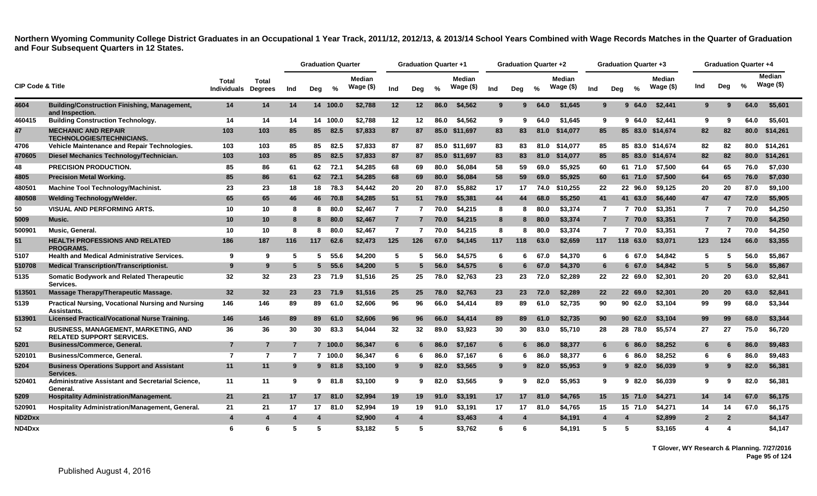|                             |                                                                                 |                             |                                |     | <b>Graduation Quarter</b> |          |                             |                 | <b>Graduation Quarter +1</b> |               |                     |                | Graduation Quarter +2 |               |                             |                |     | <b>Graduation Quarter +3</b> |                     |                | <b>Graduation Quarter +4</b> |      |                               |
|-----------------------------|---------------------------------------------------------------------------------|-----------------------------|--------------------------------|-----|---------------------------|----------|-----------------------------|-----------------|------------------------------|---------------|---------------------|----------------|-----------------------|---------------|-----------------------------|----------------|-----|------------------------------|---------------------|----------------|------------------------------|------|-------------------------------|
| <b>CIP Code &amp; Title</b> |                                                                                 | Total<br><b>Individuals</b> | <b>Total</b><br><b>Degrees</b> | Ind | Deg                       | %        | <b>Median</b><br>Wage $($)$ | Ind             | Dea                          | $\frac{0}{0}$ | Median<br>Wage (\$) | Ind            | Deg                   | $\frac{0}{2}$ | <b>Median</b><br>Wage $($)$ | Ind            | Dea | $\frac{1}{2}$                | Median<br>Wage (\$) | Ind            | Dea                          | $\%$ | <b>Median</b><br>Wage $($ \$) |
| 4604                        | <b>Building/Construction Finishing, Management,</b><br>and Inspection.          | 14                          | 14                             | 14  |                           | 14 100.0 | \$2,788                     | 12              | 12                           | 86.0          | \$4,562             | 9              | 9                     | 64.0          | \$1,645                     | 9              |     | 64.0<br>$\mathbf{Q}$         | \$2,441             | 9              | 9                            | 64.0 | \$5,601                       |
| 460415                      | <b>Building Construction Technology.</b>                                        | 14                          | 14                             | 14  |                           | 14 100.0 | \$2,788                     | 12              | 12                           | 86.0          | \$4,562             | 9              | 9                     | 64.0          | \$1.645                     | 9              |     | 64.0<br>9                    | \$2,441             | 9              | 9                            | 64.0 | \$5.601                       |
| 47                          | <b>MECHANIC AND REPAIR</b><br><b>TECHNOLOGIES/TECHNICIANS.</b>                  | 103                         | 103                            | 85  | 85                        | 82.5     | \$7,833                     | 87              | 87                           |               | 85.0 \$11,697       | 83             | 83                    | 81.0          | \$14,077                    | 85             |     |                              | 85 83.0 \$14,674    | 82             | 82                           | 80.0 | \$14,261                      |
| 4706                        | <b>Vehicle Maintenance and Repair Technologies.</b>                             | 103                         | 103                            | 85  | 85                        | 82.5     | \$7,833                     | 87              | 87                           |               | 85.0 \$11.697       | 83             | 83                    | 81.0          | \$14.077                    | 85             |     |                              | 85 83.0 \$14.674    | 82             | 82                           | 80.0 | \$14.261                      |
| 470605                      | Diesel Mechanics Technology/Technician.                                         | 103                         | 103                            | 85  | 85                        | 82.5     | \$7,833                     | 87              | 87                           |               | 85.0 \$11,697       | 83             | 83                    | 81.0          | \$14,077                    | 85             |     |                              | 85 83.0 \$14,674    | 82             | 82                           | 80.0 | \$14,261                      |
| 48                          | <b>PRECISION PRODUCTION.</b>                                                    | 85                          | 86                             | 61  | 62                        | 72.1     | \$4,285                     | 68              | 69                           | 80.0          | \$6.084             | 58             | 59                    | 69.0          | \$5.925                     | 60             |     | 61 71.0                      | \$7,500             | 64             | 65                           | 76.0 | \$7,030                       |
| 4805                        | <b>Precision Metal Working.</b>                                                 | 85                          | 86                             | 61  |                           | 62 72.1  | \$4,285                     | 68              | 69                           | 80.0          | \$6,084             | 58             | 59                    | 69.0          | \$5,925                     | 60             |     | 61 71.0                      | \$7,500             | 64             | 65                           | 76.0 | \$7,030                       |
| 480501                      | <b>Machine Tool Technology/Machinist.</b>                                       | 23                          | 23                             | 18  | 18                        | 78.3     | \$4,442                     | 20              | 20                           | 87.0          | \$5,882             | 17             | 17                    | 74.0          | \$10,255                    | 22             |     | 22 96.0                      | \$9,125             | 20             | 20                           | 87.0 | \$9,100                       |
| 480508                      | <b>Welding Technology/Welder.</b>                                               | 65                          | 65                             | 46  | 46                        | 70.8     | \$4,285                     | 51              | 51                           | 79.0          | \$5,381             | 44             | 44                    | 68.0          | \$5,250                     | 41             |     | 41 63.0                      | \$6,440             | 47             | 47                           | 72.0 | \$5,905                       |
| 50                          | <b>VISUAL AND PERFORMING ARTS.</b>                                              | 10                          | 10                             | -8  | 8                         | 80.0     | \$2,467                     | $\overline{7}$  | 7                            | 70.0          | \$4,215             | 8              | 8                     | 80.0          | \$3,374                     | $\overline{7}$ |     | 7 70.0                       | \$3,351             | 7              | -7                           | 70.0 | \$4,250                       |
| 5009                        | Music.                                                                          | 10                          | 10                             | -8  | 8                         | 80.0     | \$2,467                     | $\overline{7}$  |                              | 70.0          | \$4,215             | 8              | 8                     | 80.0          | \$3,374                     | $\overline{7}$ |     | 7 70.0                       | \$3,351             | $\overline{7}$ |                              | 70.0 | \$4,250                       |
| 50090 <sup>-</sup>          | Music. General.                                                                 | 10                          | 10                             | -8  | 8                         | 80.0     | \$2,467                     | $\overline{7}$  |                              | 70.0          | \$4,215             | 8              | 8                     | 80.0          | \$3,374                     | $\overline{7}$ |     | 7 70.0                       | \$3,351             | $\overline{7}$ | 7                            | 70.0 | \$4,250                       |
| 51                          | <b>HEALTH PROFESSIONS AND RELATED</b><br><b>PROGRAMS.</b>                       | 186                         | 187                            | 116 | 117                       | 62.6     | \$2,473                     | 125             | 126                          | 67.0          | \$4,145             | 117            | 118                   | 63.0          | \$2,659                     | 117            | 118 | 63.0                         | \$3,071             | 123            | 124                          | 66.0 | \$3,355                       |
| 5107                        | <b>Health and Medical Administrative Services.</b>                              | 9                           | 9                              | 5   | 5.                        | 55.6     | \$4,200                     | 5               | 5                            | 56.0          | \$4,575             | 6              | 6                     | 67.0          | \$4,370                     | 6              |     | 67.0<br>6.                   | \$4,842             | 5              | 5                            | 56.0 | \$5,867                       |
| 510708                      | <b>Medical Transcription/Transcriptionist.</b>                                  | 9                           | 9                              | -5  | 5.                        | 55.6     | \$4,200                     | $5\overline{5}$ |                              | 56.0          | \$4,575             | 6              | 6                     | 67.0          | \$4,370                     | 6              |     | 6 67.0                       | \$4,842             | 5              | 5                            | 56.0 | \$5,867                       |
| 5135                        | <b>Somatic Bodywork and Related Therapeutic</b><br>Services.                    | 32                          | 32                             | 23  |                           | 23 71.9  | \$1,516                     | 25              | 25                           | 78.0          | \$2,763             | 23             | 23                    | 72.0          | \$2,289                     | $22\,$         |     | 22 69.0                      | \$2,301             | 20             | 20                           | 63.0 | \$2,841                       |
| 513501                      | Massage Therapy/Therapeutic Massage.                                            | 32                          | 32                             | 23  | 23 <sub>2</sub>           | 71.9     | \$1,516                     | 25              | 25                           | 78.0          | \$2,763             | 23             | 23                    | 72.0          | \$2,289                     | 22             |     | 22 69.0                      | \$2,301             | 20             | 20                           | 63.0 | \$2,841                       |
| 5139                        | <b>Practical Nursing, Vocational Nursing and Nursing</b><br>Assistants.         | 146                         | 146                            | 89  | 89                        | 61.0     | \$2,606                     | 96              | 96                           | 66.0          | \$4,414             | 89             | 89                    | 61.0          | \$2,735                     | 90             |     | 90 62.0                      | \$3,104             | 99             | 99                           | 68.0 | \$3,344                       |
| 513901                      | <b>Licensed Practical/Vocational Nurse Training.</b>                            | 146                         | 146                            | 89  | 89                        | 61.0     | \$2,606                     | 96              | 96                           | 66.0          | \$4,414             | 89             | 89                    | 61.0          | \$2,735                     | 90             |     | 9062.0                       | \$3,104             | 99             | 99                           | 68.0 | \$3,344                       |
| 52                          | <b>BUSINESS, MANAGEMENT, MARKETING, AND</b><br><b>RELATED SUPPORT SERVICES.</b> | 36                          | 36                             | 30  | 30                        | 83.3     | \$4,044                     | 32              | 32                           | 89.0          | \$3,923             | 30             | 30                    | 83.0          | \$5,710                     | 28             |     | 28 78.0                      | \$5,574             | 27             | 27                           | 75.0 | \$6,720                       |
| 5201                        | <b>Business/Commerce, General.</b>                                              | $\overline{7}$              | $\overline{7}$                 |     |                           | 7 100.0  | \$6,347                     | 6               |                              | 86.0          | \$7.167             | 6              |                       | 86.0          | \$8,377                     | 6              |     | 86.0<br>6                    | \$8,252             | 6              | 6                            | 86.0 | \$9,483                       |
| 520101                      | <b>Business/Commerce, General.</b>                                              | $\overline{7}$              | $\overline{7}$                 | -7  |                           | 7 100.0  | \$6,347                     | 6               |                              | 86.0          | \$7.167             | 6              | 6                     | 86.0          | \$8,377                     | 6              |     | 86.0<br>6                    | \$8,252             | 6              | 6                            | 86.0 | \$9,483                       |
| 5204                        | <b>Business Operations Support and Assistant</b><br>Services.                   | 11                          | 11                             | -9  |                           | 9 81.8   | \$3,100                     | 9               | 9                            | 82.0          | \$3,565             | 9              | 9                     | 82.0          | \$5,953                     | 9              |     | 982.0                        | \$6,039             | 9              | 9                            | 82.0 | \$6,381                       |
| 520401                      | Administrative Assistant and Secretarial Science.<br>General.                   | 11                          | 11                             | 9   |                           | $9$ 81.8 | \$3,100                     | 9               | 9                            | 82.0          | \$3.565             | 9              | 9                     | 82.0          | \$5.953                     | 9              |     | 982.0                        | \$6.039             | 9              | 9                            | 82.0 | \$6,381                       |
| 5209                        | <b>Hospitality Administration/Management.</b>                                   | 21                          | 21                             | 17  | 17                        | 81.0     | \$2,994                     | 19              | 19                           | 91.0          | \$3,191             | 17             | 17                    | 81.0          | \$4,765                     | 15             |     | 15 71.0                      | \$4,271             | 14             | 14                           | 67.0 | \$6,175                       |
| 520901                      | <b>Hospitality Administration/Management, General.</b>                          | 21                          | 21                             | 17  | 17                        | 81.0     | \$2,994                     | 19              | 19                           | 91.0          | \$3,191             | 17             | 17                    | 81.0          | \$4,765                     | 15             |     | 15 71.0                      | \$4,271             | 14             | 14                           | 67.0 | \$6.175                       |
| <b>ND2Dxx</b>               |                                                                                 |                             | 4                              |     | 4                         |          | \$2,900                     | 4               | 4                            |               | \$3,463             | $\overline{4}$ | 4                     |               | \$4,191                     | 4              |     | 4                            | \$2,899             | $\overline{2}$ | $\overline{2}$               |      | \$4,147                       |
| ND4Dxx                      |                                                                                 | 6                           | 6                              | 5   | 5                         |          | \$3.182                     | 5               | 5                            |               | \$3.762             | 6              | 6                     |               | \$4.191                     | 5              |     | 5                            | \$3.165             | 4              | Δ                            |      | \$4.147                       |

**T Glover, WY Research & Planning. 7/27/2016 Page 95 of 124**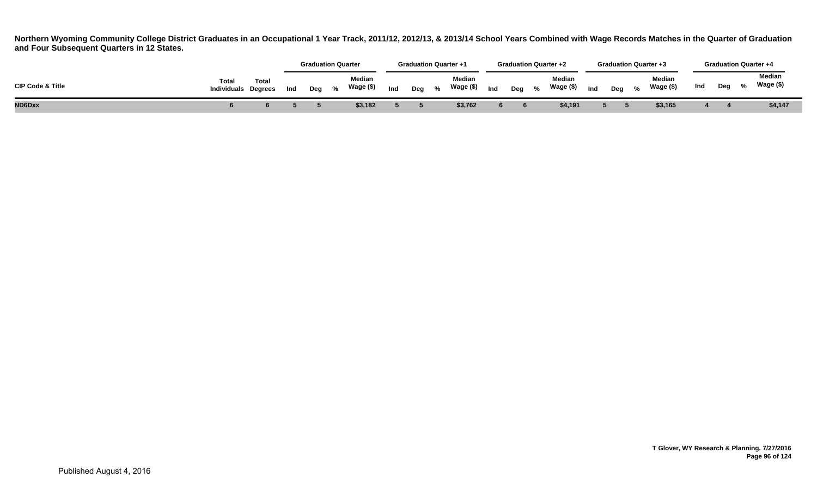|                             |                                     |       |     | <b>Graduation Quarter</b> |                     |     | <b>Graduation Quarter +1</b> |   |                            |     | <b>Graduation Quarter +2</b> |                     |     |     |   | <b>Graduation Quarter +3</b> |     |     | <b>Graduation Quarter +4</b> |  |
|-----------------------------|-------------------------------------|-------|-----|---------------------------|---------------------|-----|------------------------------|---|----------------------------|-----|------------------------------|---------------------|-----|-----|---|------------------------------|-----|-----|------------------------------|--|
| <b>CIP Code &amp; Title</b> | Total<br><b>Individuals Degrees</b> | Total | Ind | Deg %                     | Median<br>Wage (\$) | Ind | Deg                          | % | <b>Median</b><br>Wage (\$) | Ind | Deg $\%$                     | Median<br>Wage (\$) | Ind | Dea | % | Median<br>Wage (\$)          | Ind | Deg | Median<br>Wage (\$)          |  |
| ND6Dxx                      |                                     |       |     |                           | \$3,182             |     |                              |   | \$3,762                    |     |                              | \$4,191             |     |     |   | \$3,165                      |     |     | \$4,147                      |  |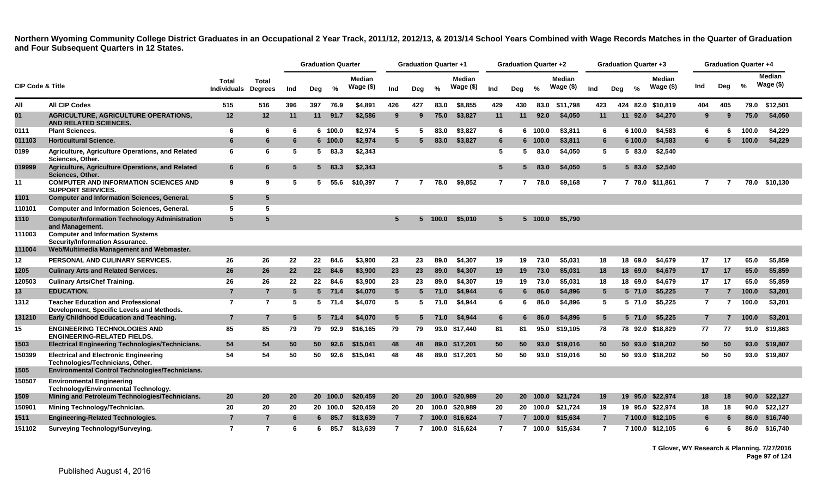|        |                                                                                        |                 |                                               |     | <b>Graduation Quarter</b> |               |                            |                 | <b>Graduation Quarter +1</b> |               |                            |                | <b>Graduation Quarter +2</b> |          |                            |                |     |          | <b>Graduation Quarter +3</b> |                |     | <b>Graduation Quarter +4</b> |                            |
|--------|----------------------------------------------------------------------------------------|-----------------|-----------------------------------------------|-----|---------------------------|---------------|----------------------------|-----------------|------------------------------|---------------|----------------------------|----------------|------------------------------|----------|----------------------------|----------------|-----|----------|------------------------------|----------------|-----|------------------------------|----------------------------|
|        | <b>CIP Code &amp; Title</b>                                                            |                 | Total<br><b>Individuals</b><br><b>Degrees</b> | Ind | Deg                       | $\frac{9}{6}$ | <b>Median</b><br>Wage (\$) | Ind             | Deg                          | $\frac{9}{6}$ | <b>Median</b><br>Wage (\$) | Ind            | Deg                          | $\%$     | <b>Median</b><br>Wage (\$) | Ind            | Deg | %        | Median<br>Wage (\$)          | Ind            | Deg | $\frac{9}{6}$                | <b>Median</b><br>Wage (\$) |
| All    | <b>All CIP Codes</b>                                                                   | 515             | 516                                           | 396 | 397                       | 76.9          | \$4,891                    | 426             | 427                          | 83.0          | \$8,855                    | 429            | 430                          | 83.0     | \$11,798                   | 423            |     | 424 82.0 | \$10,819                     | 404            | 405 | 79.0                         | \$12,501                   |
| 01     | <b>AGRICULTURE, AGRICULTURE OPERATIONS,</b><br><b>AND RELATED SCIENCES.</b>            | 12              | 12                                            | 11  | 11                        | 91.7          | \$2,586                    | 9               | 9                            | 75.0          | \$3,827                    | 11             | 11                           | 92.0     | \$4,050                    | 11             |     | 11 92.0  | \$4,270                      | 9              | g   | 75.0                         | \$4,050                    |
| 0111   | <b>Plant Sciences.</b>                                                                 | 6               | 6                                             | 6   |                           | 6 100.0       | \$2,974                    | 5               | 5                            | 83.0          | \$3,827                    | 6              | 6                            | 100.0    | \$3,811                    | 6              |     | 6 100.0  | \$4,583                      | 6              |     | 100.0                        | \$4,229                    |
| 011103 | <b>Horticultural Science.</b>                                                          | 6               | 6                                             | 6   |                           | 6 100.0       | \$2,974                    | $5^{\circ}$     |                              | 83.0          | \$3,827                    | 6              |                              | 6 100.0  | \$3,811                    | 6              |     | 6 100.0  | \$4,583                      |                |     | 100.0                        | \$4,229                    |
| 0199   | Agriculture, Agriculture Operations, and Related<br>Sciences, Other.                   | 6               | 6                                             | 5   | 5.                        | 83.3          | \$2,343                    |                 |                              |               |                            | 5              | 5.                           | 83.0     | \$4,050                    | 5              |     | 5 83.0   | \$2,540                      |                |     |                              |                            |
| 019999 | Agriculture, Agriculture Operations, and Related<br>Sciences, Other.                   | 6               | 6.                                            | 5   |                           | 583.3         | \$2,343                    |                 |                              |               |                            | 5              | 5                            | 83.0     | \$4,050                    | 5.             |     | 5 83.0   | \$2,540                      |                |     |                              |                            |
| 11     | <b>COMPUTER AND INFORMATION SCIENCES AND</b><br><b>SUPPORT SERVICES.</b>               | 9               | 9                                             | 5   |                           | 55.6          | \$10,397                   | $\overline{7}$  |                              | 78.0          | \$9.852                    | $\overline{7}$ |                              | 78.0     | \$9,168                    | $\overline{7}$ |     |          | 7 78.0 \$11.861              | 7              |     | 78.0                         | \$10,130                   |
| 1101   | <b>Computer and Information Sciences, General.</b>                                     | $5\phantom{.0}$ | 5                                             |     |                           |               |                            |                 |                              |               |                            |                |                              |          |                            |                |     |          |                              |                |     |                              |                            |
| 110101 | <b>Computer and Information Sciences, General.</b>                                     | 5               | 5                                             |     |                           |               |                            |                 |                              |               |                            |                |                              |          |                            |                |     |          |                              |                |     |                              |                            |
| 1110   | <b>Computer/Information Technology Administration</b><br>and Management.               | 5               | 5                                             |     |                           |               |                            | 5               |                              | 100.0         | \$5,010                    | 5              | 5                            | 100.0    | \$5,790                    |                |     |          |                              |                |     |                              |                            |
| 111003 | <b>Computer and Information Systems</b><br>Security/Information Assurance.             |                 |                                               |     |                           |               |                            |                 |                              |               |                            |                |                              |          |                            |                |     |          |                              |                |     |                              |                            |
| 111004 | Web/Multimedia Management and Webmaster.                                               |                 |                                               |     |                           |               |                            |                 |                              |               |                            |                |                              |          |                            |                |     |          |                              |                |     |                              |                            |
| 12     | PERSONAL AND CULINARY SERVICES.                                                        | 26              | 26                                            | 22  | 22                        | 84.6          | \$3,900                    | 23              | 23                           | 89.0          | \$4,307                    | 19             | 19                           | 73.0     | \$5,031                    | 18             |     | 18 69.0  | \$4,679                      | 17             | 17  | 65.0                         | \$5,859                    |
| 1205   | <b>Culinary Arts and Related Services.</b>                                             | 26              | 26                                            | 22  | $22 \,$                   | 84.6          | \$3,900                    | 23              | 23                           | 89.0          | \$4,307                    | 19             | 19                           | 73.0     | \$5,031                    | 18             |     | 18 69.0  | \$4,679                      | 17             | 17  | 65.0                         | \$5,859                    |
| 120503 | <b>Culinary Arts/Chef Training.</b>                                                    | 26              | 26                                            | 22  | 22                        | 84.6          | \$3,900                    | 23              | 23                           | 89.0          | \$4,307                    | 19             | 19                           | 73.0     | \$5,031                    | 18             |     | 18 69.0  | \$4,679                      | 17             | 17  | 65.0                         | \$5,859                    |
| 13     | <b>EDUCATION.</b>                                                                      | $\overline{7}$  | $\overline{7}$                                | 5   |                           | $5$ 71.4      | \$4,070                    | $5\overline{)}$ | 5.                           | 71.0          | \$4,944                    | 6              | 6                            | 86.0     | \$4,896                    | 5              |     | 5 71.0   | \$5,225                      | $\overline{7}$ |     | 100.0                        | \$3,201                    |
| 1312   | <b>Teacher Education and Professional</b><br>Development, Specific Levels and Methods. | $\overline{7}$  | $\overline{7}$                                | 5   |                           | $5$ 71.4      | \$4,070                    | 5               | 5                            | 71.0          | \$4,944                    | 6              | 6                            | 86.0     | \$4,896                    | 5              |     | 5 71.0   | \$5,225                      | 7              | 7   | 100.0                        | \$3,201                    |
| 131210 | Early Childhood Education and Teaching.                                                | $\overline{7}$  | $\overline{7}$                                | 5   |                           | $5$ 71.4      | \$4,070                    | $5\phantom{.0}$ | 5                            | 71.0          | \$4,944                    | 6              |                              | 86.0     | \$4,896                    | 5              |     | 5 71.0   | \$5,225                      | 7              |     | 100.0                        | \$3,201                    |
| 15     | <b>ENGINEERING TECHNOLOGIES AND</b><br><b>ENGINEERING-RELATED FIELDS.</b>              | 85              | 85                                            | 79  | 79                        | 92.9          | \$16,165                   | 79              | 79                           | 93.0          | \$17,440                   | 81             | 81                           | 95.0     | \$19,105                   | 78             |     | 78 92.0  | \$18,829                     | 77             | 77  | 91.0                         | \$19,863                   |
| 1503   | Electrical Engineering Technologies/Technicians.                                       | 54              | 54                                            | 50  | 50                        | 92.6          | \$15,041                   | 48              | 48                           | 89.0          | \$17.201                   | 50             | 50                           | 93.0     | \$19.016                   | 50             |     | 50 93.0  | \$18,202                     | 50             | 50  | 93.0                         | \$19,807                   |
| 150399 | <b>Electrical and Electronic Engineering</b><br>Technologies/Technicians, Other.       | 54              | 54                                            | 50  | 50                        | 92.6          | \$15,041                   | 48              | 48                           |               | 89.0 \$17,201              | 50             | 50                           |          | 93.0 \$19,016              | 50             |     |          | 50 93.0 \$18,202             | 50             | 50  |                              | 93.0 \$19,807              |
| 1505   | Environmental Control Technologies/Technicians.                                        |                 |                                               |     |                           |               |                            |                 |                              |               |                            |                |                              |          |                            |                |     |          |                              |                |     |                              |                            |
| 150507 | <b>Environmental Engineering</b><br>Technology/Environmental Technology.               |                 |                                               |     |                           |               |                            |                 |                              |               |                            |                |                              |          |                            |                |     |          |                              |                |     |                              |                            |
| 1509   | Mining and Petroleum Technologies/Technicians.                                         | <b>20</b>       | 20                                            | 20  |                           | 20 100.0      | \$20,459                   | 20              | 20                           | 100.0         | \$20,989                   | 20             |                              | 20 100.0 | \$21,724                   | 19             |     | 19 95.0  | \$22,974                     | 18             | 18  | 90.0                         | \$22,127                   |
| 150901 | Mining Technology/Technician.                                                          | 20              | 20                                            | 20  |                           | 20 100.0      | \$20,459                   | 20              | 20                           | 100.0         | \$20,989                   | 20             |                              | 20 100.0 | \$21,724                   | 19             |     |          | 19 95.0 \$22,974             | 18             | 18  | 90.0                         | \$22,127                   |
| 1511   | <b>Engineering-Related Technologies.</b>                                               | $\overline{7}$  |                                               | 6   |                           | 85.7          | \$13,639                   | $\overline{7}$  |                              | 100.0         | \$16,624                   | $\overline{7}$ |                              | 100.0    | \$15,634                   |                |     |          | 7 100.0 \$12,105             | 6              |     | 86.0                         | \$16,740                   |
| 151102 | Surveying Technology/Surveying.                                                        | $\overline{7}$  | 7                                             | 6   | 6                         | 85.7          | \$13,639                   | $\overline{7}$  | $\overline{7}$               |               | 100.0 \$16.624             | $\overline{7}$ | 7                            |          | 100.0 \$15.634             | 7              |     |          | 7 100.0 \$12.105             | 6              | 6   | 86.0                         | \$16,740                   |

**T Glover, WY Research & Planning. 7/27/2016 Page 97 of 124**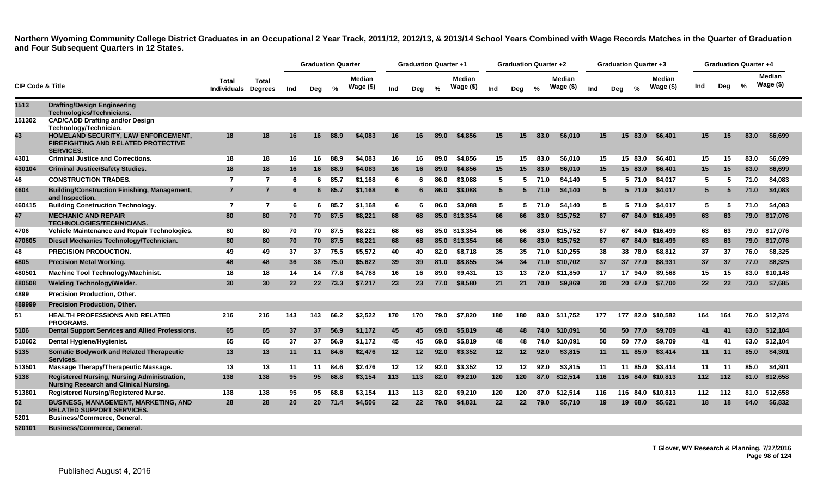|                             |                                                                                                       |                                     |                 |           | <b>Graduation Quarter</b> |         |                     |     | <b>Graduation Quarter +1</b> |      |                            |                   | <b>Graduation Quarter +2</b> |               |                            |     |     | <b>Graduation Quarter +3</b> |                      |                 | <b>Graduation Quarter +4</b> |               |                            |
|-----------------------------|-------------------------------------------------------------------------------------------------------|-------------------------------------|-----------------|-----------|---------------------------|---------|---------------------|-----|------------------------------|------|----------------------------|-------------------|------------------------------|---------------|----------------------------|-----|-----|------------------------------|----------------------|-----------------|------------------------------|---------------|----------------------------|
| <b>CIP Code &amp; Title</b> |                                                                                                       | Total<br><b>Individuals Degrees</b> | Total           | Ind       | Deg                       | %       | Median<br>Wage (\$) | Ind | Deg                          | $\%$ | <b>Median</b><br>Wage (\$) | Ind               | Deg                          | $\frac{9}{6}$ | <b>Median</b><br>Wage (\$) | Ind | Dea | $\frac{9}{6}$                | Median<br>Wage $($)$ | Ind             | Deg                          | $\frac{6}{6}$ | <b>Median</b><br>Wage (\$) |
| 1513                        | <b>Drafting/Design Engineering</b><br>Technologies/Technicians.                                       |                                     |                 |           |                           |         |                     |     |                              |      |                            |                   |                              |               |                            |     |     |                              |                      |                 |                              |               |                            |
| 151302                      | <b>CAD/CADD Drafting and/or Design</b><br>Technology/Technician.                                      |                                     |                 |           |                           |         |                     |     |                              |      |                            |                   |                              |               |                            |     |     |                              |                      |                 |                              |               |                            |
| 43                          | HOMELAND SECURITY, LAW ENFORCEMENT,<br><b>FIREFIGHTING AND RELATED PROTECTIVE</b><br><b>SERVICES.</b> | 18                                  | 18              | 16        | 16                        | 88.9    | \$4,083             | 16  | 16                           | 89.0 | \$4,856                    | 15                | 15                           | 83.0          | \$6,010                    | 15  |     | 15 <sup>1</sup><br>83.0      | \$6.401              | 15              | 15                           | 83.0          | \$6.699                    |
| 4301                        | <b>Criminal Justice and Corrections.</b>                                                              | 18                                  | 18              | 16        | 16                        | 88.9    | \$4,083             | 16  | 16                           | 89.0 | \$4,856                    | 15                | 15                           | 83.0          | \$6,010                    | 15  |     | 83.0<br>15                   | \$6.401              | 15              | 15                           | 83.0          | \$6,699                    |
| 430104                      | <b>Criminal Justice/Safety Studies.</b>                                                               | 18                                  | 18              | 16        | 16                        | 88.9    | \$4,083             | 16  | 16                           | 89.0 | \$4,856                    | 15                | 15                           | 83.0          | \$6,010                    | 15  |     | 15<br>83.0                   | \$6,401              | 15 <sub>1</sub> | 15                           | 83.0          | \$6,699                    |
| 46                          | <b>CONSTRUCTION TRADES.</b>                                                                           | $\overline{7}$                      | $\overline{7}$  | 6         | 6                         | 85.7    | \$1,168             | 6   |                              | 86.0 | \$3,088                    | 5                 | 5.                           | 71.0          | \$4,140                    | 5   |     | 5 71.0                       | \$4,017              | 5               | 5                            | 71.0          | \$4,083                    |
| 4604                        | <b>Building/Construction Finishing, Management,</b><br>and Inspection.                                | $\overline{7}$                      | $\overline{7}$  | 6         | 6                         | 85.7    | \$1,168             | 6   |                              | 86.0 | \$3,088                    | 5                 |                              | 5 71.0        | \$4,140                    | 5   |     | 5 71.0                       | \$4,017              | $5^{\circ}$     |                              | 71.0          | \$4,083                    |
| 460415                      | <b>Building Construction Technology.</b>                                                              | $\overline{7}$                      | $\overline{7}$  | 6         | 6                         | 85.7    | \$1.168             | 6   | -6                           | 86.0 | \$3.088                    | 5                 |                              | 5, 71.0       | \$4.140                    | 5   |     | 5 71.0                       | \$4.017              | 5               | -5                           | 71.0          | \$4.083                    |
| 47                          | <b>MECHANIC AND REPAIR</b><br><b>TECHNOLOGIES/TECHNICIANS.</b>                                        | 80                                  | 80              | 70        | 70                        | 87.5    | \$8,221             | 68  | 68                           |      | 85.0 \$13.354              | 66                | 66                           | 83.0          | \$15,752                   | 67  |     |                              | 67 84.0 \$16.499     | 63              | 63                           | 79.0          | \$17.076                   |
| 4706                        | Vehicle Maintenance and Repair Technologies.                                                          | 80                                  | 80              | 70        |                           | 70 87.5 | \$8.221             | 68  | 68                           |      | 85.0 \$13.354              | 66                | 66                           | 83.0          | \$15.752                   | 67  |     |                              | 67 84.0 \$16.499     | 63              | 63                           | 79.0          | \$17.076                   |
| 470605                      | Diesel Mechanics Technology/Technician.                                                               | 80                                  | 80              | 70        | 70                        | 87.5    | \$8,221             | 68  | 68                           |      | 85.0 \$13,354              | 66                | 66                           | 83.0          | \$15,752                   | 67  |     |                              | 67 84.0 \$16,499     | 63              | 63                           | 79.0          | \$17,076                   |
| 48                          | <b>PRECISION PRODUCTION.</b>                                                                          | 49                                  | 49              | 37        | 37                        | 75.5    | \$5.572             | 40  | 40                           | 82.0 | \$8.718                    | 35                | 35                           | 71.0          | \$10,255                   | 38  |     | 38 78.0                      | \$8.812              | 37              | 37                           | 76.0          | \$8,325                    |
| 4805                        | <b>Precision Metal Working.</b>                                                                       | 48                                  | 48              | 36        | 36 <sup>2</sup>           | 75.0    | \$5,622             | 39  | 39                           | 81.0 | \$8,855                    | 34                | 34                           | 71.0          | \$10,702                   | 37  |     | 37 77.0                      | \$8,931              | 37              | 37                           | 77.0          | \$8,325                    |
| 480501                      | Machine Tool Technology/Machinist.                                                                    | 18                                  | 18              | -14       |                           | 14 77.8 | \$4,768             | 16  | 16                           | 89.0 | \$9.431                    | 13                | 13                           | 72.0          | \$11.850                   | 17  |     | 17 94.0                      | \$9.568              | 15              | 15                           | 83.0          | \$10,148                   |
| 480508                      | <b>Welding Technology/Welder.</b>                                                                     | 30                                  | 30 <sup>°</sup> | 22        | 22                        | 73.3    | \$7,217             | 23  | 23                           | 77.0 | \$8,580                    | 21                | 21                           | 70.0          | \$9,869                    | 20  |     | 20 67.0                      | \$7,700              | $22 \,$         | 22                           | 73.0          | \$7,685                    |
| 4899                        | Precision Production, Other.                                                                          |                                     |                 |           |                           |         |                     |     |                              |      |                            |                   |                              |               |                            |     |     |                              |                      |                 |                              |               |                            |
| 489999                      | <b>Precision Production, Other.</b>                                                                   |                                     |                 |           |                           |         |                     |     |                              |      |                            |                   |                              |               |                            |     |     |                              |                      |                 |                              |               |                            |
| 51                          | <b>HEALTH PROFESSIONS AND RELATED</b><br><b>PROGRAMS.</b>                                             | 216                                 | 216             | 143       | 143                       | 66.2    | \$2,522             | 170 | 170                          | 79.0 | \$7,820                    | 180               | 180                          |               | 83.0 \$11,752              | 177 |     | 177                          | 82.0 \$10,582        | 164             | 164                          |               | 76.0 \$12,374              |
| 5106                        | Dental Support Services and Allied Professions.                                                       | 65                                  | 65              | 37        | 37                        | 56.9    | \$1,172             | 45  | 45                           | 69.0 | \$5,819                    | 48                | 48                           | 74.0          | \$10,091                   | 50  |     | 50 77.0                      | \$9,709              | 41              | 41                           | 63.0          | \$12,104                   |
| 510602                      | Dental Hygiene/Hygienist.                                                                             | 65                                  | 65              | 37        | 37                        | 56.9    | \$1,172             | 45  | 45                           | 69.0 | \$5,819                    | 48                | 48                           | 74.0          | \$10,091                   | 50  |     | 50 77.0                      | \$9,709              | 41              | 41                           | 63.0          | \$12,104                   |
| 5135                        | <b>Somatic Bodywork and Related Therapeutic</b><br>Services.                                          | 13                                  | 13              | 11        | 11                        | 84.6    | \$2,476             | 12  | 12 <sub>2</sub>              | 92.0 | \$3,352                    | 12                | 12                           | 92.0          | \$3,815                    | 11  |     | 11 85.0                      | \$3,414              | 11              | 11                           | 85.0          | \$4,301                    |
| 513501                      | Massage Therapy/Therapeutic Massage.                                                                  | 13                                  | 13              | 11        | 11                        | 84.6    | \$2,476             | 12  | 12                           | 92.0 | \$3,352                    | 12                | $12 \,$                      | 92.0          | \$3,815                    | 11  |     | 11 85.0                      | \$3.414              | 11              | 11                           | 85.0          | \$4,301                    |
| 5138                        | Registered Nursing, Nursing Administration,<br><b>Nursing Research and Clinical Nursing.</b>          | 138                                 | 138             | 95        | 95                        | 68.8    | \$3,154             | 113 | 113                          | 82.0 | \$9,210                    | 120               | 120                          | 87.0          | \$12,514                   | 116 |     | 116                          | 84.0 \$10,813        | 112             | 112                          | 81.0          | \$12,658                   |
| 513801                      | <b>Registered Nursing/Registered Nurse.</b>                                                           | 138                                 | 138             | 95        | 95                        | 68.8    | \$3,154             | 113 | 113                          | 82.0 | \$9,210                    | 120               | 120                          | 87.0          | \$12,514                   | 116 |     |                              | 116 84.0 \$10.813    | 112             | 112                          | 81.0          | \$12,658                   |
| 52                          | <b>BUSINESS, MANAGEMENT, MARKETING, AND</b><br><b>RELATED SUPPORT SERVICES.</b>                       | 28                                  | 28              | <b>20</b> | 20 <sub>2</sub>           | 71.4    | \$4,506             | 22  | 22                           | 79.0 | \$4,831                    | $22 \overline{ }$ | 22 <sub>2</sub>              | 79.0          | \$5,710                    | 19  |     | 68.0<br>19                   | \$5,621              | 18              | 18                           | 64.0          | \$6,832                    |
| 5201                        | <b>Business/Commerce, General.</b>                                                                    |                                     |                 |           |                           |         |                     |     |                              |      |                            |                   |                              |               |                            |     |     |                              |                      |                 |                              |               |                            |
| 520101                      | <b>Business/Commerce, General,</b>                                                                    |                                     |                 |           |                           |         |                     |     |                              |      |                            |                   |                              |               |                            |     |     |                              |                      |                 |                              |               |                            |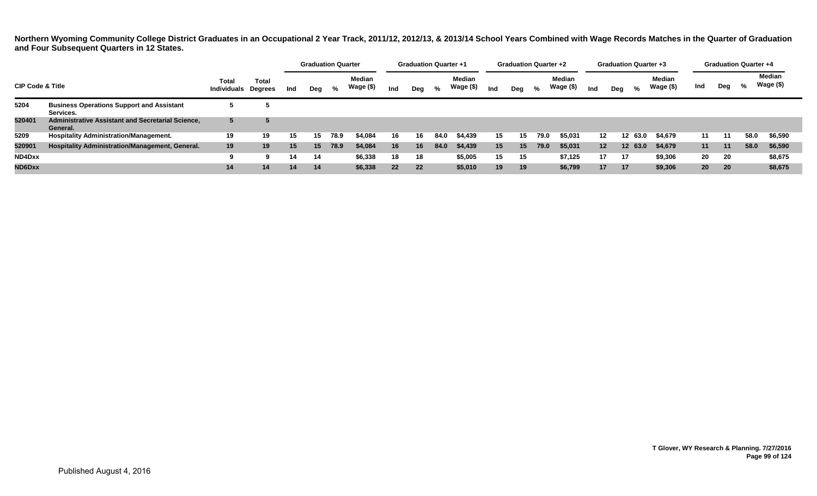|                             |                                                                      |                                     |              |     |     | <b>Graduation Quarter</b> |                     |     |     | <b>Graduation Quarter +1</b> |                            |     | <b>Graduation Quarter +2</b> |      |                     |                 | <b>Graduation Quarter +3</b> |         |                            |                 | <b>Graduation Quarter +4</b> |      |                     |
|-----------------------------|----------------------------------------------------------------------|-------------------------------------|--------------|-----|-----|---------------------------|---------------------|-----|-----|------------------------------|----------------------------|-----|------------------------------|------|---------------------|-----------------|------------------------------|---------|----------------------------|-----------------|------------------------------|------|---------------------|
| <b>CIP Code &amp; Title</b> |                                                                      | Total<br><b>Individuals Degrees</b> | <b>Total</b> | Ind | Deg | %                         | Median<br>Wage (\$) | Ind | Deg | %                            | <b>Median</b><br>Wage (\$) | Ind | Deg                          | %    | Median<br>Wage (\$) | Ind             | Deg                          | %       | <b>Median</b><br>Wage (\$) | Ind             | Deg                          | %    | Median<br>Wage (\$) |
| 5204                        | <b>Business Operations Support and Assistant</b><br>Services.        |                                     |              |     |     |                           |                     |     |     |                              |                            |     |                              |      |                     |                 |                              |         |                            |                 |                              |      |                     |
| 520401                      | <b>Administrative Assistant and Secretarial Science,</b><br>General. | 5                                   |              |     |     |                           |                     |     |     |                              |                            |     |                              |      |                     |                 |                              |         |                            |                 |                              |      |                     |
| 5209                        | <b>Hospitality Administration/Management.</b>                        | 19                                  | 19           | 15  | 15  | 78.9                      | \$4.084             | 16  | 16  | 84.0                         | \$4,439                    | 15  | 15                           | 79.0 | \$5,031             | 12              |                              | 12 63.0 | \$4,679                    | 11              |                              | 58.0 | \$6,590             |
| 520901                      | <b>Hospitality Administration/Management, General.</b>               | 19                                  | 19           | 15  | 15  | 78.9                      | \$4,084             | 16  | 16  | 84.0                         | \$4,439                    | 15  | 15                           | 79.0 | \$5,031             | 12 <sup>7</sup> |                              | 12 63.0 | \$4,679                    | 11              | 11                           | 58.0 | \$6,590             |
| ND4Dxx                      |                                                                      |                                     | 9            | 14  | 14  |                           | \$6,338             | 18  | 18  |                              | \$5,005                    | 15  | 15                           |      | \$7,125             | 17              | -17                          |         | \$9,306                    | 20              | 20                           |      | \$8,675             |
| ND6Dxx                      |                                                                      | 14                                  | 14           | 14  | 14  |                           | \$6,338             | 22  | 22  |                              | \$5,010                    | 19  | 19                           |      | \$6,799             | 17              | 17                           |         | \$9,306                    | 20 <sup>°</sup> | 20                           |      | \$8,675             |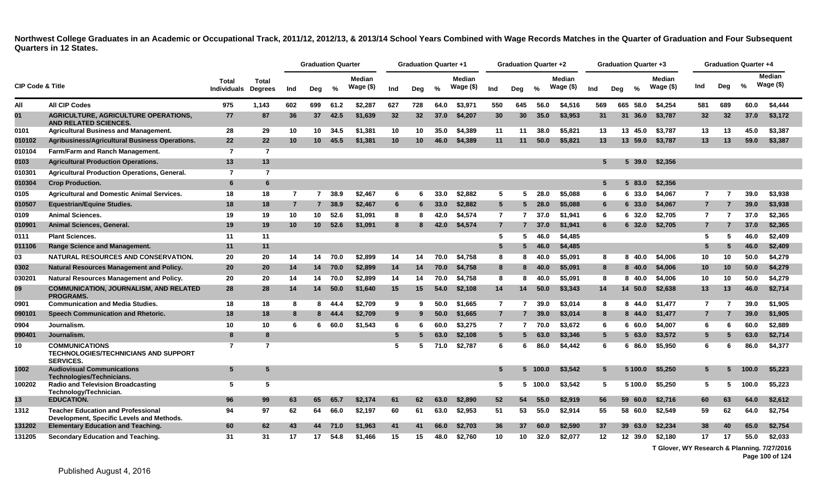|                             |                                                                                          |                             |                                |                | <b>Graduation Quarter</b> |               |                     |                 | <b>Graduation Quarter +1</b> |      |                     |                 | <b>Graduation Quarter +2</b> |               |                     |     | <b>Graduation Quarter +3</b> |           |                     |                |                 | <b>Graduation Quarter +4</b> |                      |
|-----------------------------|------------------------------------------------------------------------------------------|-----------------------------|--------------------------------|----------------|---------------------------|---------------|---------------------|-----------------|------------------------------|------|---------------------|-----------------|------------------------------|---------------|---------------------|-----|------------------------------|-----------|---------------------|----------------|-----------------|------------------------------|----------------------|
| <b>CIP Code &amp; Title</b> |                                                                                          | Total<br><b>Individuals</b> | <b>Total</b><br><b>Degrees</b> | Ind            | Deg                       | $\frac{9}{6}$ | Median<br>Wage (\$) | Ind             | Deg                          | %    | Median<br>Wage (\$) | Ind             | Deg                          | $\frac{0}{2}$ | Median<br>Wage (\$) | Ind | Deg                          | $\%$      | Median<br>Wage (\$) | Ind            | Deg             | %                            | Median<br>Wage $($)$ |
| All                         | <b>All CIP Codes</b>                                                                     | 975                         | 1,143                          | 602            | 699                       | 61.2          | \$2.287             | 627             | 728                          | 64.0 | \$3.971             | 550             | 645                          | 56.0          | \$4,516             | 569 |                              | 665 58.0  | \$4.254             | 581            | 689             | 60.0                         | \$4,444              |
| 01                          | <b>AGRICULTURE, AGRICULTURE OPERATIONS,</b><br><b>AND RELATED SCIENCES.</b>              | 77                          | 87                             | 36             | 37                        | 42.5          | \$1.639             | 32              | 32                           | 37.0 | \$4,207             | 30              | 30 <sup>°</sup>              | 35.0          | \$3,953             | 31  | 31                           | 36.0      | \$3,787             | 32             | 32 <sup>2</sup> | 37.0                         | \$3,172              |
| 0101                        | <b>Agricultural Business and Management.</b>                                             | 28                          | 29                             | 10             | 10                        | 34.5          | \$1,381             | 10              | 10                           | 35.0 | \$4,389             | 11              | 11                           | 38.0          | \$5,821             | 13  |                              | 13 45.0   | \$3,787             | 13             | 13              | 45.0                         | \$3,387              |
| 010102                      | <b>Agribusiness/Agricultural Business Operations.</b>                                    | 22                          | 22                             | 10             | 10 <sup>°</sup>           | 45.5          | \$1,381             | 10              | 10                           | 46.0 | \$4,389             | 11              | 11                           | 50.0          | \$5,821             | 13  |                              | 13 59.0   | \$3,787             | 13             | 13              | 59.0                         | \$3,387              |
| 010104                      | Farm/Farm and Ranch Management.                                                          | $\overline{7}$              | $\overline{7}$                 |                |                           |               |                     |                 |                              |      |                     |                 |                              |               |                     |     |                              |           |                     |                |                 |                              |                      |
| 0103                        | <b>Agricultural Production Operations.</b>                                               | 13                          | 13                             |                |                           |               |                     |                 |                              |      |                     |                 |                              |               |                     | 5   |                              | $5\,39.0$ | \$2,356             |                |                 |                              |                      |
| 010301                      | <b>Agricultural Production Operations, General.</b>                                      | $\overline{7}$              | $\overline{7}$                 |                |                           |               |                     |                 |                              |      |                     |                 |                              |               |                     |     |                              |           |                     |                |                 |                              |                      |
| 010304                      | <b>Crop Production.</b>                                                                  | 6                           | 6                              |                |                           |               |                     |                 |                              |      |                     |                 |                              |               |                     | 5   |                              | 583.0     | \$2,356             |                |                 |                              |                      |
| 0105                        | <b>Agricultural and Domestic Animal Services.</b>                                        | 18                          | 18                             | $\overline{7}$ | $\overline{7}$            | 38.9          | \$2.467             | 6               | 6                            | 33.0 | \$2.882             | 5               | 5                            | 28.0          | \$5.088             | -6  |                              | 6 33.0    | \$4.067             | $\overline{7}$ | 7               | 39.0                         | \$3,938              |
| 010507                      | <b>Equestrian/Equine Studies.</b>                                                        | 18                          | 18                             | $\overline{7}$ |                           | 38.9          | \$2,467             | $6\phantom{.}6$ | 6                            | 33.0 | \$2,882             | 5 <sup>5</sup>  | 5                            | 28.0          | \$5,088             | 6   |                              | 6 33.0    | \$4,067             | 7              |                 | 39.0                         | \$3,938              |
| 0109                        | <b>Animal Sciences.</b>                                                                  | 19                          | 19                             | 10             | 10                        | 52.6          | \$1,091             | 8               | 8                            | 42.0 | \$4,574             | $\overline{7}$  | 7                            | 37.0          | \$1,941             | -6  |                              | 6 32.0    | \$2,705             | $\overline{7}$ | 7               | 37.0                         | \$2,365              |
| 010901                      | Animal Sciences, General.                                                                | 19                          | 19                             | 10             | 10 <sup>1</sup>           | 52.6          | \$1,091             | 8               |                              | 42.0 | \$4,574             | $\overline{7}$  |                              | 37.0          | \$1,941             |     |                              | 632.0     | \$2,705             | $\overline{7}$ |                 | 37.0                         | \$2,365              |
| 0111                        | <b>Plant Sciences.</b>                                                                   | 11                          | 11                             |                |                           |               |                     |                 |                              |      |                     | 5               | 5                            | 46.0          | \$4,485             |     |                              |           |                     | 5              | 5               | 46.0                         | \$2,409              |
| 011106                      | <b>Range Science and Management.</b>                                                     | 11                          | 11                             |                |                           |               |                     |                 |                              |      |                     | 5               |                              | 46.0          | \$4,485             |     |                              |           |                     | 5              | 5               | 46.0                         | \$2,409              |
| 03                          | <b>NATURAL RESOURCES AND CONSERVATION.</b>                                               | 20                          | 20                             | 14             | 14                        | 70.0          | \$2,899             | 14              | 14                           | 70.0 | \$4,758             | 8               | 8                            | 40.0          | \$5,091             | -8  |                              | 8 40.0    | \$4,006             | 10             | 10              | 50.0                         | \$4,279              |
| 0302                        | Natural Resources Management and Policy.                                                 | 20                          | 20                             | 14             | 14                        | 70.0          | \$2,899             | 14              | 14                           | 70.0 | \$4,758             | 8               | 8                            | 40.0          | \$5,091             | -8  |                              | $8\,40.0$ | \$4,006             | 10             | 10              | 50.0                         | \$4,279              |
| 030201                      | Natural Resources Management and Policy.                                                 | 20                          | 20                             | 14             | 14                        | 70.0          | \$2,899             | 14              | 14                           | 70.0 | \$4,758             | 8               | 8                            | 40.0          | \$5,091             | -8  |                              | 8 40.0    | \$4,006             | 10             | 10              | 50.0                         | \$4,279              |
| 09                          | <b>COMMUNICATION, JOURNALISM, AND RELATED</b><br><b>PROGRAMS.</b>                        | 28                          | 28                             | 14             | 14                        | 50.0          | \$1,640             | 15              | 15                           | 54.0 | \$2,108             | 14              | 14                           | 50.0          | \$3,343             | 14  |                              | 14 50.0   | \$2,638             | 13             | 13              | 46.0                         | \$2,714              |
| 0901                        | <b>Communication and Media Studies.</b>                                                  | 18                          | 18                             | 8              | 8                         | 44.4          | \$2.709             | 9               | 9                            | 50.0 | \$1.665             | $\overline{7}$  | $\overline{7}$               | 39.0          | \$3.014             | 8   |                              | 8 44.0    | \$1.477             | $\overline{7}$ | 7               | 39.0                         | \$1,905              |
| 090101                      | Speech Communication and Rhetoric.                                                       | 18                          | 18                             | 8              |                           | 8 44.4        | \$2,709             | 9               | 9                            | 50.0 | \$1,665             | $\overline{7}$  | $\overline{7}$               | 39.0          | \$3,014             | 8   |                              | 8 44.0    | \$1,477             | $\overline{7}$ | 7               | 39.0                         | \$1,905              |
| 0904                        | Journalism.                                                                              | 10                          | 10                             | 6              | 6                         | 60.0          | \$1.543             | 6               | 6                            | 60.0 | \$3,275             | $\overline{7}$  | 7                            | 70.0          | \$3,672             | 6   |                              | 660.0     | \$4,007             | 6              | 6               | 60.0                         | \$2,889              |
| 090401                      | Journalism.                                                                              | 8                           | 8                              |                |                           |               |                     | $5\phantom{.0}$ | 5                            | 63.0 | \$2,108             | $5\phantom{.0}$ | 5                            | 63.0          | \$3,346             | 5   |                              | 563.0     | \$3,572             | 5              | 5               | 63.0                         | \$2,714              |
| 10                          | <b>COMMUNICATIONS</b><br><b>TECHNOLOGIES/TECHNICIANS AND SUPPORT</b><br><b>SERVICES.</b> | $\overline{7}$              | $\overline{7}$                 |                |                           |               |                     | 5               |                              | 71.0 | \$2,787             | 6               | 6                            | 86.0          | \$4,442             | 6   |                              | 6 86.0    | \$5,950             | 6              | 6               | 86.0                         | \$4,377              |
| 1002                        | <b>Audiovisual Communications</b><br>Technologies/Technicians.                           | 5 <sup>5</sup>              | 5                              |                |                           |               |                     |                 |                              |      |                     | 5               | 5.                           | 100.0         | \$3,542             | 5   |                              | 5 100.0   | \$5,250             | 5              | 5               | 100.0                        | \$5,223              |
| 100202                      | <b>Radio and Television Broadcasting</b><br>Technology/Technician.                       | 5                           | 5                              |                |                           |               |                     |                 |                              |      |                     | 5               |                              | 5 100.0       | \$3,542             | -5  |                              | 5 100.0   | \$5,250             | -5             | 5               | 100.0                        | \$5,223              |
| 13                          | <b>EDUCATION.</b>                                                                        | 96                          | 99                             | 63             | 65                        | 65.7          | \$2,174             | 61              | 62                           | 63.0 | \$2,890             | 52              | 54                           | 55.0          | \$2,919             | 56  |                              | 59 60.0   | \$2,716             | 60             | 63              | 64.0                         | \$2,612              |
| 1312                        | <b>Teacher Education and Professional</b><br>Development, Specific Levels and Methods.   | 94                          | 97                             | 62             | 64                        | 66.0          | \$2,197             | 60              | 61                           | 63.0 | \$2,953             | 51              | 53                           | 55.0          | \$2,914             | 55  |                              | 58 60.0   | \$2,549             | 59             | 62              | 64.0                         | \$2,754              |
| 131202                      | <b>Elementary Education and Teaching.</b>                                                | 60                          | 62                             | 43             | 44                        | 71.0          | \$1.963             | 41              | 41                           | 66.0 | \$2.703             | 36              | 37                           | 60.0          | \$2,590             | 37  |                              | 39 63.0   | \$2.234             | 38             | 40              | 65.0                         | \$2,754              |
| 131205                      | Secondary Education and Teaching.                                                        | 31                          | 31                             | 17             | 17                        | 54.8          | \$1.466             | 15              | 15                           | 48.0 | \$2.760             | 10              | 10                           | 32.0          | \$2,077             | 12  |                              | 12 39.0   | \$2,180             | 17             | 17              | 55.0                         | \$2,033              |

**T Glover, WY Research & Planning. 7/27/2016**

**Page 100 of 124**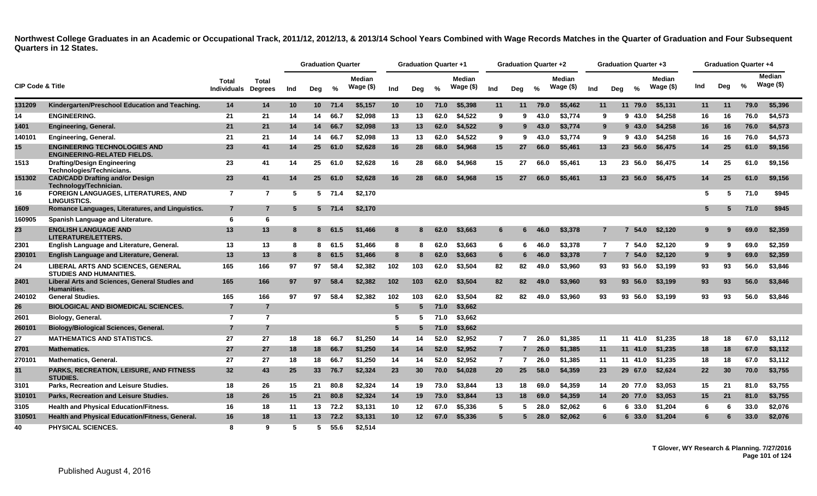|                             |                                                                           |                                     |                |     | <b>Graduation Quarter</b> |          |                            |                 | <b>Graduation Quarter +1</b> |               |                            |                | <b>Graduation Quarter +2</b> |      |                               |                |     | <b>Graduation Quarter +3</b> |                             |     |     | <b>Graduation Quarter +4</b> |                            |
|-----------------------------|---------------------------------------------------------------------------|-------------------------------------|----------------|-----|---------------------------|----------|----------------------------|-----------------|------------------------------|---------------|----------------------------|----------------|------------------------------|------|-------------------------------|----------------|-----|------------------------------|-----------------------------|-----|-----|------------------------------|----------------------------|
| <b>CIP Code &amp; Title</b> |                                                                           | Total<br><b>Individuals Degrees</b> | Total          | Ind | Deg                       | $\%$     | <b>Median</b><br>Wage (\$) | Ind             | Deg                          | $\frac{0}{2}$ | <b>Median</b><br>Wage (\$) | Ind            | Deg                          | $\%$ | <b>Median</b><br>Wage $($ \$) | Ind            | Deg | $\frac{0}{2}$                | <b>Median</b><br>Wage $($)$ | Ind | Deg | $\%$                         | <b>Median</b><br>Wage (\$) |
| 131209                      | Kindergarten/Preschool Education and Teaching.                            | 14                                  | 14             | 10  |                           | 10 71.4  | \$5,157                    | 10              | 10                           | 71.0          | \$5,398                    | 11             | 11                           | 79.0 | \$5,462                       | 11             |     | 11 79.0                      | \$5,131                     | 11  | 11  | 79.0                         | \$5,396                    |
| 14                          | <b>ENGINEERING.</b>                                                       | 21                                  | 21             | 14  | 14                        | 66.7     | \$2,098                    | 13              | 13                           | 62.0          | \$4.522                    | 9              | 9                            | 43.0 | \$3.774                       | 9              |     | 9 43.0                       | \$4,258                     | 16  | 16  | 76.0                         | \$4,573                    |
| 1401                        | <b>Engineering, General.</b>                                              | 21                                  | 21             | 14  | 14                        | 66.7     | \$2,098                    | 13              | 13                           | 62.0          | \$4,522                    | 9              | 9                            | 43.0 | \$3,774                       | 9              |     | 943.0                        | \$4,258                     | 16  | 16  | 76.0                         | \$4,573                    |
| 140101                      | <b>Engineering, General.</b>                                              | 21                                  | 21             | 14  | 14                        | 66.7     | \$2.098                    | 13              | 13                           | 62.0          | \$4.522                    | 9              | 9                            | 43.0 | \$3.774                       | 9              |     | 943.0                        | \$4.258                     | 16  | 16  | 76.0                         | \$4,573                    |
| 15 <sup>15</sup>            | <b>ENGINEERING TECHNOLOGIES AND</b><br><b>ENGINEERING-RELATED FIELDS.</b> | 23                                  | 41             | 14  | 25                        | 61.0     | \$2,628                    | 16              | 28                           | 68.0          | \$4,968                    | 15             | 27                           | 66.0 | \$5,461                       | 13             |     | 23 56.0                      | \$6,475                     | 14  | 25  | 61.0                         | \$9,156                    |
| 1513                        | <b>Drafting/Design Engineering</b><br>Technologies/Technicians.           | 23                                  | 41             | 14  | 25                        | 61.0     | \$2,628                    | 16              | 28                           | 68.0          | \$4,968                    | 15             | 27                           | 66.0 | \$5,461                       | 13             |     | 23 56.0                      | \$6,475                     | 14  | 25  | 61.0                         | \$9,156                    |
| 151302                      | <b>CAD/CADD Drafting and/or Design</b><br>Technology/Technician.          | 23                                  | 41             | 14  | 25                        | 61.0     | \$2.628                    | 16              | 28                           | 68.0          | \$4.968                    | 15             | 27                           | 66.0 | \$5,461                       | 13             |     | 23 56.0                      | \$6.475                     | 14  | 25  | 61.0                         | \$9,156                    |
| 16                          | <b>FOREIGN LANGUAGES, LITERATURES, AND</b><br><b>LINGUISTICS.</b>         | $\overline{7}$                      | $\overline{7}$ | 5   |                           | $5$ 71.4 | \$2,170                    |                 |                              |               |                            |                |                              |      |                               |                |     |                              |                             | -5  | 5   | 71.0                         | \$945                      |
| 1609                        | Romance Languages, Literatures, and Linguistics.                          | $\overline{7}$                      | $\overline{7}$ | -5  |                           | $5$ 71.4 | \$2,170                    |                 |                              |               |                            |                |                              |      |                               |                |     |                              |                             |     | 5.  | 71.0                         | \$945                      |
| 160905                      | Spanish Language and Literature.                                          | 6                                   | 6              |     |                           |          |                            |                 |                              |               |                            |                |                              |      |                               |                |     |                              |                             |     |     |                              |                            |
| 23                          | <b>ENGLISH LANGUAGE AND</b><br>LITERATURE/LETTERS.                        | 13                                  | 13             | -8  |                           | 8 61.5   | \$1,466                    | 8               |                              | 62.0          | \$3,663                    | 6              | 6                            | 46.0 | \$3,378                       | 7              |     | 54.0<br>7                    | \$2,120                     |     |     | 69.0                         | \$2,359                    |
| 2301                        | English Language and Literature, General.                                 | 13                                  | 13             | -8  | 8                         | 61.5     | \$1,466                    | 8               | 8                            | 62.0          | \$3.663                    | 6              | 6.                           | 46.0 | \$3,378                       | $\overline{7}$ |     | $\overline{7}$<br>54.0       | \$2.120                     | -9  | q   | 69.0                         | \$2.359                    |
| 230101                      | English Language and Literature, General.                                 | 13                                  | 13             | -8  | 8                         | 61.5     | \$1,466                    | 8               |                              | 62.0          | \$3,663                    | 6              | 6                            | 46.0 | \$3,378                       | 7              |     | 54.0                         | \$2,120                     | 9   | 9   | 69.0                         | \$2,359                    |
| 24                          | LIBERAL ARTS AND SCIENCES, GENERAL<br><b>STUDIES AND HUMANITIES.</b>      | 165                                 | 166            | 97  | 97                        | 58.4     | \$2,382                    | 102             | 103                          | 62.0          | \$3,504                    | 82             | 82                           | 49.0 | \$3,960                       | 93             |     | 93 56.0                      | \$3,199                     | 93  | 93  | 56.0                         | \$3,846                    |
| 2401                        | Liberal Arts and Sciences, General Studies and<br><b>Humanities.</b>      | 165                                 | 166            | 97  | 97                        | 58.4     | \$2,382                    | 102             | 103                          | 62.0          | \$3,504                    | 82             | 82                           | 49.0 | \$3,960                       | 93             |     | 93 56.0                      | \$3,199                     | 93  | 93  | 56.0                         | \$3,846                    |
| 240102                      | <b>General Studies.</b>                                                   | 165                                 | 166            | 97  | 97                        | 58.4     | \$2,382                    | 102             | 103                          | 62.0          | \$3.504                    | 82             | 82                           | 49.0 | \$3,960                       | 93             |     | 93 56.0                      | \$3,199                     | 93  | 93  | 56.0                         | \$3,846                    |
| 26                          | <b>BIOLOGICAL AND BIOMEDICAL SCIENCES.</b>                                | $\overline{7}$                      | $\overline{7}$ |     |                           |          |                            | $5\phantom{.0}$ | -5                           | 71.0          | \$3,662                    |                |                              |      |                               |                |     |                              |                             |     |     |                              |                            |
| 2601                        | Biology, General.                                                         | $\overline{7}$                      | $\overline{7}$ |     |                           |          |                            | 5               | -5                           | 71.0          | \$3,662                    |                |                              |      |                               |                |     |                              |                             |     |     |                              |                            |
| 260101                      | Biology/Biological Sciences, General.                                     | $\overline{7}$                      | $\overline{7}$ |     |                           |          |                            | $5\phantom{.0}$ | 5                            | 71.0          | \$3,662                    |                |                              |      |                               |                |     |                              |                             |     |     |                              |                            |
| 27                          | <b>MATHEMATICS AND STATISTICS.</b>                                        | 27                                  | 27             | 18  | 18                        | 66.7     | \$1,250                    | 14              | 14                           | 52.0          | \$2,952                    | $\overline{7}$ | 7                            | 26.0 | \$1,385                       | 11             |     | 11<br>41.0                   | \$1,235                     | 18  | 18  | 67.0                         | \$3,112                    |
| 2701                        | <b>Mathematics.</b>                                                       | 27                                  | 27             | 18  | 18                        | 66.7     | \$1,250                    | 14              | 14                           | 52.0          | \$2,952                    | $\overline{7}$ |                              | 26.0 | \$1,385                       | 11             |     | 11 41.0                      | \$1,235                     | 18  | 18  | 67.0                         | \$3,112                    |
| 270101                      | <b>Mathematics, General,</b>                                              | 27                                  | 27             | 18  | 18                        | 66.7     | \$1,250                    | 14              | 14                           | 52.0          | \$2.952                    | $\overline{7}$ | 7                            | 26.0 | \$1,385                       | 11             |     | $11 \t 41.0$                 | \$1,235                     | 18  | 18  | 67.0                         | \$3,112                    |
| 31                          | <b>PARKS, RECREATION, LEISURE, AND FITNESS</b><br><b>STUDIES.</b>         | 32 <sub>2</sub>                     | 43             | 25  | 33 <sup>°</sup>           | 76.7     | \$2,324                    | 23              | 30 <sup>°</sup>              | 70.0          | \$4,028                    | 20             | 25 <sub>2</sub>              | 58.0 | \$4,359                       | 23             |     | 29 67.0                      | \$2,624                     | 22  | 30  | 70.0                         | \$3,755                    |
| 3101                        | Parks. Recreation and Leisure Studies.                                    | 18                                  | 26             | 15  | 21                        | 80.8     | \$2.324                    | 14              | 19                           | 73.0          | \$3.844                    | 13             | 18                           | 69.0 | \$4.359                       | 14             |     | 20 77.0                      | \$3.053                     | 15  | 21  | 81.0                         | \$3,755                    |
| 310101                      | Parks, Recreation and Leisure Studies.                                    | 18                                  | 26             | 15  | 21                        | 80.8     | \$2,324                    | 14              | 19                           | 73.0          | \$3,844                    | 13             | 18                           | 69.0 | \$4,359                       | 14             |     | 20 77.0                      | \$3,053                     | 15  | 21  | 81.0                         | \$3,755                    |
| 3105                        | <b>Health and Physical Education/Fitness.</b>                             | 16                                  | 18             | 11  | 13                        | 72.2     | \$3,131                    | 10              | 12                           | 67.0          | \$5,336                    | 5              | 5                            | 28.0 | \$2,062                       | 6              |     | 6 33.0                       | \$1,204                     | -6  | 6   | 33.0                         | \$2,076                    |
| 310501                      | <b>Health and Physical Education/Fitness, General.</b>                    | 16                                  | 18             | 11  | 13                        | 72.2     | \$3,131                    | 10 <sup>°</sup> | 12                           | 67.0          | \$5,336                    | $5^{\circ}$    | 5                            | 28.0 | \$2,062                       | 6              |     | 6 33.0                       | \$1,204                     | 6   |     | 33.0                         | \$2,076                    |
| 40                          | <b>PHYSICAL SCIENCES.</b>                                                 | 8                                   | Q              | 5   | 5                         | 55.6     | \$2.514                    |                 |                              |               |                            |                |                              |      |                               |                |     |                              |                             |     |     |                              |                            |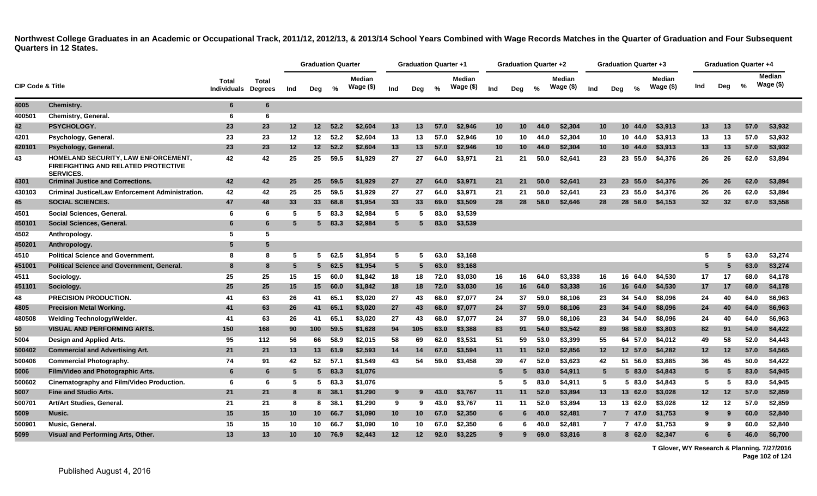|                             |                                                                                                       |                             |                                |                 | <b>Graduation Quarter</b> |          |                     |                 | <b>Graduation Quarter +1</b> |      |                            |     | <b>Graduation Quarter +2</b> |      |                            |                |     | <b>Graduation Quarter +3</b> |                     |     | Graduation Quarter +4 |               |                     |  |
|-----------------------------|-------------------------------------------------------------------------------------------------------|-----------------------------|--------------------------------|-----------------|---------------------------|----------|---------------------|-----------------|------------------------------|------|----------------------------|-----|------------------------------|------|----------------------------|----------------|-----|------------------------------|---------------------|-----|-----------------------|---------------|---------------------|--|
| <b>CIP Code &amp; Title</b> |                                                                                                       | Total<br><b>Individuals</b> | <b>Total</b><br><b>Degrees</b> | Ind             | Deg                       | %        | Median<br>Wage (\$) | Ind             | Deg                          | %    | <b>Median</b><br>Wage (\$) | Ind | Deg                          | %    | <b>Median</b><br>Wage (\$) | Ind            | Deg | %                            | Median<br>Wage (\$) | Ind | Deg                   | $\frac{9}{6}$ | Median<br>Wage (\$) |  |
| 4005                        | Chemistry.                                                                                            | 6                           | 6                              |                 |                           |          |                     |                 |                              |      |                            |     |                              |      |                            |                |     |                              |                     |     |                       |               |                     |  |
| 400501                      | <b>Chemistry, General.</b>                                                                            | 6                           | 6                              |                 |                           |          |                     |                 |                              |      |                            |     |                              |      |                            |                |     |                              |                     |     |                       |               |                     |  |
| 42                          | PSYCHOLOGY.                                                                                           | 23                          | 23                             | 12              | 12                        | 52.2     | \$2.604             | 13              | 13                           | 57.0 | \$2,946                    | 10  | 10                           | 44.0 | \$2,304                    | 10             |     | 10 44.0                      | \$3.913             | 13  | 13                    | 57.0          | \$3,932             |  |
| 4201                        | Psychology, General.                                                                                  | 23                          | 23                             | 12              | 12                        | 52.2     | \$2,604             | 13              | 13                           | 57.0 | \$2,946                    | 10  | 10                           | 44.0 | \$2,304                    | 10             |     | 10 44.0                      | \$3,913             | 13  | 13                    | 57.0          | \$3,932             |  |
| 420101                      | Psychology, General.                                                                                  | 23                          | 23                             | 12              | $12 \,$                   | 52.2     | \$2,604             | 13              | 13                           | 57.0 | \$2,946                    | 10  | 10 <sup>°</sup>              | 44.0 | \$2,304                    | 10             |     | 10 44.0                      | \$3,913             | 13  | 13                    | 57.0          | \$3,932             |  |
| 43                          | HOMELAND SECURITY, LAW ENFORCEMENT,<br><b>FIREFIGHTING AND RELATED PROTECTIVE</b><br><b>SERVICES.</b> | 42                          | 42                             | 25              | 25                        | 59.5     | \$1,929             | 27              | 27                           | 64.0 | \$3,971                    | 21  | 21                           | 50.0 | \$2,641                    | 23             |     | 23 55.0                      | \$4,376             | 26  | 26                    | 62.0          | \$3,894             |  |
| 4301                        | <b>Criminal Justice and Corrections.</b>                                                              | 42                          | 42                             | 25              | 25                        | 59.5     | \$1,929             | 27              | 27                           | 64.0 | \$3,971                    | 21  | 21                           | 50.0 | \$2,641                    | 23             |     | 23 55.0                      | \$4,376             | 26  | 26                    | 62.0          | \$3,894             |  |
| 430103                      | <b>Criminal Justice/Law Enforcement Administration.</b>                                               | 42                          | 42                             | 25              | 25                        | 59.5     | \$1.929             | 27              | 27                           | 64.0 | \$3.971                    | 21  | 21                           | 50.0 | \$2,641                    | 23             |     | 23 55.0                      | \$4,376             | 26  | 26                    | 62.0          | \$3,894             |  |
| 45                          | <b>SOCIAL SCIENCES.</b>                                                                               | 47                          | 48                             | 33              | 33                        | 68.8     | \$1,954             | 33              | 33                           | 69.0 | \$3,509                    | 28  | 28                           | 58.0 | \$2,646                    | 28             |     | 28 58.0                      | \$4,153             | 32  | 32                    | 67.0          | \$3,558             |  |
| 4501                        | Social Sciences, General.                                                                             | 6                           | 6                              | 5               | 5                         | 83.3     | \$2,984             | 5               | -5                           | 83.0 | \$3,539                    |     |                              |      |                            |                |     |                              |                     |     |                       |               |                     |  |
| 450101                      | Social Sciences, General.                                                                             | 6                           | 6                              | 5               | 5.                        | 83.3     | \$2,984             | 5               |                              | 83.0 | \$3,539                    |     |                              |      |                            |                |     |                              |                     |     |                       |               |                     |  |
| 4502                        | Anthropology.                                                                                         | 5                           | 5                              |                 |                           |          |                     |                 |                              |      |                            |     |                              |      |                            |                |     |                              |                     |     |                       |               |                     |  |
| 450201                      | Anthropology.                                                                                         | 5                           | 5                              |                 |                           |          |                     |                 |                              |      |                            |     |                              |      |                            |                |     |                              |                     |     |                       |               |                     |  |
| 4510                        | <b>Political Science and Government.</b>                                                              | 8                           | 8                              | 5               | 5                         | 62.5     | \$1.954             | 5               | 5                            | 63.0 | \$3,168                    |     |                              |      |                            |                |     |                              |                     | 5   | -5                    | 63.0          | \$3,274             |  |
| 451001                      | <b>Political Science and Government, General.</b>                                                     | 8                           | 8                              | 5               | 5 <sup>5</sup>            | 62.5     | \$1,954             | $5^{\circ}$     | 5                            | 63.0 | \$3,168                    |     |                              |      |                            |                |     |                              |                     | 5   |                       | 63.0          | \$3,274             |  |
| 4511                        | Sociology.                                                                                            | 25                          | 25                             | 15              | 15                        | 60.0     | \$1,842             | 18              | 18                           | 72.0 | \$3,030                    | 16  | 16                           | 64.0 | \$3,338                    | 16             |     | 16 64.0                      | \$4,530             | 17  | 17                    | 68.0          | \$4,178             |  |
| 451101                      | Sociology.                                                                                            | 25                          | 25                             | 15              | 15                        | 60.0     | \$1,842             | 18              | 18                           | 72.0 | \$3,030                    | 16  | 16                           | 64.0 | \$3,338                    | 16             |     | 16 64.0                      | \$4,530             | 17  | 17                    | 68.0          | \$4,178             |  |
| 48                          | <b>PRECISION PRODUCTION.</b>                                                                          | 41                          | 63                             | 26              | 41                        | 65.1     | \$3,020             | 27              | 43                           | 68.0 | \$7.077                    | 24  | 37                           | 59.0 | \$8,106                    | 23             |     | 34 54.0                      | \$8,096             | 24  | 40                    | 64.0          | \$6,963             |  |
| 4805                        | <b>Precision Metal Working.</b>                                                                       | 41                          | 63                             | 26              | 41                        | 65.1     | \$3,020             | 27              | 43                           | 68.0 | \$7,077                    | 24  | 37                           | 59.0 | \$8,106                    | 23             |     | 34 54.0                      | \$8,096             | 24  | 40                    | 64.0          | \$6,963             |  |
| 480508                      | Welding Technology/Welder.                                                                            | 41                          | 63                             | 26              | 41                        | 65.1     | \$3,020             | 27              | 43                           | 68.0 | \$7,077                    | 24  | 37                           | 59.0 | \$8,106                    | 23             |     | 34 54.0                      | \$8,096             | 24  | 40                    | 64.0          | \$6,963             |  |
| 50                          | <b>VISUAL AND PERFORMING ARTS.</b>                                                                    | 150                         | 168                            | 90              | 100                       | 59.5     | \$1.628             | 94              | 105                          | 63.0 | \$3,388                    | 83  | 91                           | 54.0 | \$3,542                    | 89             |     | 98 58.0                      | \$3,803             | 82  | 91                    | 54.0          | \$4,422             |  |
| 5004                        | Design and Applied Arts.                                                                              | 95                          | 112                            | 56              | 66                        | 58.9     | \$2,015             | 58              | 69                           | 62.0 | \$3,531                    | 51  | 59                           | 53.0 | \$3,399                    | 55             |     | 64 57.0                      | \$4,012             | 49  | 58                    | 52.0          | \$4,443             |  |
| 500402                      | <b>Commercial and Advertising Art.</b>                                                                | 21                          | 21                             | 13              | 13                        | 61.9     | \$2,593             | 14              | 14                           | 67.0 | \$3,594                    | 11  | 11                           | 52.0 | \$2,856                    | $12 \,$        |     | 12 57.0                      | \$4,282             | 12  | $12 \,$               | 57.0          | \$4,565             |  |
| 500406                      | <b>Commercial Photography.</b>                                                                        | 74                          | 91                             | 42              | 52                        | 57.1     | \$1,549             | 43              | 54                           | 59.0 | \$3,458                    | 39  | 47                           | 52.0 | \$3,623                    | 42             |     | 51 56.0                      | \$3,885             | 36  | 45                    | 50.0          | \$4,422             |  |
| 5006                        | Film/Video and Photographic Arts.                                                                     | 6                           | 6                              | 5               | 5.                        | 83.3     | \$1,076             |                 |                              |      |                            | 5   | 5                            | 83.0 | \$4,911                    | 5              |     | 583.0                        | \$4,843             | 5   |                       | 83.0          | \$4,945             |  |
| 500602                      | Cinematography and Film/Video Production.                                                             | 6                           | 6                              | 5               |                           | $5$ 83.3 | \$1,076             |                 |                              |      |                            | 5   | 5                            | 83.0 | \$4,911                    | 5              |     | 583.0                        | \$4,843             | 5   | -5                    | 83.0          | \$4,945             |  |
| 5007                        | <b>Fine and Studio Arts.</b>                                                                          | 21                          | 21                             | 8               |                           | 8 38.1   | \$1,290             | 9               | 9                            | 43.0 | \$3,767                    | 11  | 11                           | 52.0 | \$3,894                    | 13             |     | 13 62.0                      | \$3,028             | 12  | 12                    | 57.0          | \$2,859             |  |
| 500701                      | Art/Art Studies, General.                                                                             | 21                          | 21                             | 8               | 8                         | 38.7     | \$1,290             | 9               | 9                            | 43.0 | \$3,767                    | 11  | 11                           | 52.0 | \$3,894                    | 13             |     | 13 62.0                      | \$3,028             | 12  | 12                    | 57.0          | \$2,859             |  |
| 5009                        | Music.                                                                                                | 15                          | 15                             | 10              | 10 <sup>1</sup>           | 66.7     | \$1,090             | 10 <sup>°</sup> | 10                           | 67.0 | \$2,350                    | 6   | 6                            | 40.0 | \$2,481                    | $\overline{7}$ |     | 7 47.0                       | \$1,753             | 9   | 9                     | 60.0          | \$2,840             |  |
| 500901                      | Music, General.                                                                                       | 15                          | 15                             | 10              | 10                        | 66.7     | \$1,090             | 10              | 10                           | 67.0 | \$2,350                    | 6   | 6                            | 40.0 | \$2,481                    | $\mathbf{7}$   |     | 7 47.0                       | \$1,753             | 9   | 9                     | 60.0          | \$2,840             |  |
| 5099                        | Visual and Performing Arts, Other.                                                                    | 13                          | 13                             | 10 <sup>1</sup> | 10                        | 76.9     | \$2.443             | 12              | $12 \,$                      | 92.0 | \$3.225                    | 9   | 9                            | 69.0 | \$3,816                    | 8              |     | 8 62.0                       | \$2.347             |     |                       | 46.0          | \$6.700             |  |

**T Glover, WY Research & Planning. 7/27/2016 Page 102 of 124**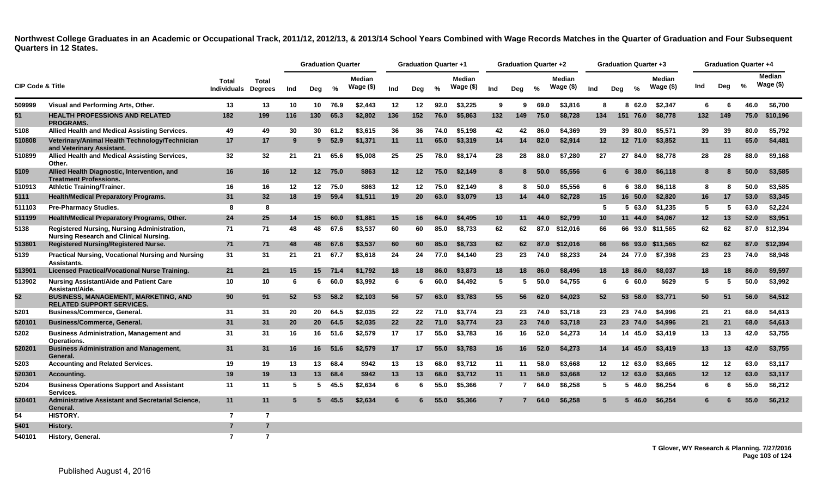|                             |                                                                                              |                             |                                |     | <b>Graduation Quarter</b> |         |                            |     | <b>Graduation Quarter +1</b> |               |                            |                | <b>Graduation Quarter +2</b> |      |                     |                 |     |               | <b>Graduation Quarter +3</b> |                  |     | <b>Graduation Quarter +4</b> |                            |
|-----------------------------|----------------------------------------------------------------------------------------------|-----------------------------|--------------------------------|-----|---------------------------|---------|----------------------------|-----|------------------------------|---------------|----------------------------|----------------|------------------------------|------|---------------------|-----------------|-----|---------------|------------------------------|------------------|-----|------------------------------|----------------------------|
| <b>CIP Code &amp; Title</b> |                                                                                              | Total<br><b>Individuals</b> | <b>Total</b><br><b>Degrees</b> | Ind | Deg                       | %       | <b>Median</b><br>Wage (\$) | Ind | Deg                          | $\frac{0}{0}$ | <b>Median</b><br>Wage (\$) | Ind            | Deg                          | $\%$ | Median<br>Wage (\$) | Ind             | Deg | $\frac{0}{0}$ | <b>Median</b><br>Wage (\$)   | Ind              | Dea | $\frac{9}{6}$                | <b>Median</b><br>Wage (\$) |
| 509999                      | Visual and Performing Arts, Other.                                                           | 13                          | 13                             | 10  | 10 <sup>1</sup>           | 76.9    | \$2,443                    | 12  | 12                           | 92.0          | \$3,225                    | 9              | 9                            | 69.0 | \$3,816             | 8               |     | 62.0<br>8     | \$2,347                      | 6                | 6   | 46.0                         | \$6,700                    |
| 51                          | <b>HEALTH PROFESSIONS AND RELATED</b><br><b>PROGRAMS.</b>                                    | 182                         | 199                            | 116 | 130                       | 65.3    | \$2.802                    | 136 | 152                          | 76.0          | \$5,863                    | 132            | 149                          | 75.0 | \$8.728             | 134             | 151 | 76.0          | \$8.778                      | 132              | 149 | 75.0                         | \$10.196                   |
| 5108                        | Allied Health and Medical Assisting Services.                                                | 49                          | 49                             | 30  | 30                        | 61.2    | \$3,615                    | 36  | 36                           | 74.0          | \$5,198                    | 42             | 42                           | 86.0 | \$4,369             | 39              |     | 39 80.0       | \$5,571                      | 39               | 39  | 80.0                         | \$5,792                    |
| 510808                      | Veterinary/Animal Health Technology/Technician<br>and Veterinary Assistant.                  | 17                          | 17                             | -9  | 9                         | 52.9    | \$1,371                    | 11  | 11                           | 65.0          | \$3,319                    | 14             | 14                           | 82.0 | \$2,914             | 12              |     | 12 71.0       | \$3,852                      | 11               | 11  | 65.0                         | \$4,481                    |
| 510899                      | Allied Health and Medical Assisting Services,<br>Other.                                      | 32                          | 32                             | 21  | 21                        | 65.6    | \$5,008                    | 25  | 25                           | 78.0          | \$8.174                    | 28             | 28                           | 88.0 | \$7,280             | 27              |     | 27 84.0       | \$8.778                      | 28               | 28  | 88.0                         | \$9,168                    |
| 5109                        | Allied Health Diagnostic, Intervention, and<br><b>Treatment Professions.</b>                 | 16                          | 16                             | 12  | 12 <sup>2</sup>           | 75.0    | \$863                      | 12  | 12                           | 75.0          | \$2,149                    | 8              | 8                            | 50.0 | \$5,556             | 6               |     | 638.0         | \$6,118                      | 8                | 8   | 50.0                         | \$3,585                    |
| 510913                      | <b>Athletic Training/Trainer.</b>                                                            | 16                          | 16                             | 12  | 12 <sup>12</sup>          | 75.0    | \$863                      | 12  | 12                           | 75.0          | \$2,149                    | 8              | 8                            | 50.0 | \$5,556             | 6               |     | 6 38.0        | \$6.118                      | 8                | 8   | 50.0                         | \$3,585                    |
| 5111                        | <b>Health/Medical Preparatory Programs.</b>                                                  | 31                          | 32                             | 18  | 19 <sup>°</sup>           | 59.4    | \$1,511                    | 19  | <b>20</b>                    | 63.0          | \$3,079                    | 13             | 14                           | 44.0 | \$2,728             | 15              |     | 16 50.0       | \$2,820                      | 16               | 17  | 53.0                         | \$3,345                    |
| 511103                      | <b>Pre-Pharmacy Studies.</b>                                                                 | 8                           | 8                              |     |                           |         |                            |     |                              |               |                            |                |                              |      |                     | 5               |     | 563.0         | \$1,235                      | 5                | 5   | 63.0                         | \$2,224                    |
| 511199                      | Health/Medical Preparatory Programs, Other.                                                  | 24                          | 25                             | 14  | 15                        | 60.0    | \$1.881                    | 15  | 16                           | 64.0          | \$4,495                    | 10             | 11                           | 44.0 | \$2.799             | 10              | 11  | 44.0          | \$4,067                      | 12               | 13  | 52.0                         | \$3,951                    |
| 5138                        | Registered Nursing, Nursing Administration,<br><b>Nursing Research and Clinical Nursing.</b> | 71                          | 71                             | 48  | 48                        | 67.6    | \$3,537                    | 60  | 60                           | 85.0          | \$8,733                    | 62             | 62                           |      | 87.0 \$12,016       | 66              |     |               | 66 93.0 \$11,565             | 62               | 62  | 87.0                         | \$12,394                   |
| 513801                      | <b>Registered Nursing/Registered Nurse.</b>                                                  | 71                          | 71                             | 48  | 48                        | 67.6    | \$3,537                    | 60  | 60                           | 85.0          | \$8,733                    | 62             | 62                           | 87.0 | \$12,016            | 66              |     |               | 66 93.0 \$11,565             | 62               | 62  | 87.0                         | \$12,394                   |
| 5139                        | <b>Practical Nursing, Vocational Nursing and Nursing</b><br>Assistants.                      | 31                          | 31                             | 21  | 21                        | 67.7    | \$3,618                    | 24  | 24                           | 77.0          | \$4,140                    | 23             | 23                           | 74.0 | \$8,233             | 24              |     | 24 77.0       | \$7,398                      | 23               | 23  | 74.0                         | \$8,948                    |
| 513901                      | <b>Licensed Practical/Vocational Nurse Training.</b>                                         | 21                          | 21                             | 15  |                           | 15 71.4 | \$1,792                    | 18  | 18                           | 86.0          | \$3,873                    | 18             | 18                           | 86.0 | \$8,496             | 18              |     | 18 86.0       | \$8,037                      | 18               | 18  | 86.0                         | \$9,597                    |
| 513902                      | <b>Nursing Assistant/Aide and Patient Care</b><br>Assistant/Aide.                            | 10                          | 10                             | 6   | 6                         | 60.0    | \$3,992                    | 6   | -6                           | 60.0          | \$4,492                    | 5              | -5                           | 50.0 | \$4.755             | 6               |     | 660.0         | \$629                        | 5                | 5   | 50.0                         | \$3,992                    |
| 52                          | BUSINESS, MANAGEMENT, MARKETING, AND<br><b>RELATED SUPPORT SERVICES.</b>                     | 90                          | 91                             | 52  | 53                        | 58.2    | \$2,103                    | 56  | 57                           | 63.0          | \$3.783                    | 55             | 56                           | 62.0 | \$4,023             | 52 <sub>2</sub> |     | 53 58.0       | \$3,771                      | 50               | 51  | 56.0                         | \$4,512                    |
| 5201                        | <b>Business/Commerce, General.</b>                                                           | 31                          | 31                             | 20  | 20                        | 64.5    | \$2.035                    | 22  | 22                           | 71.0          | \$3,774                    | 23             | 23                           | 74.0 | \$3.718             | 23              |     | 23 74.0       | \$4.996                      | 21               | 21  | 68.0                         | \$4,613                    |
| 520101                      | <b>Business/Commerce, General.</b>                                                           | 31                          | 31                             | 20  | 20                        | 64.5    | \$2,035                    | 22  | 22                           | 71.0          | \$3,774                    | 23             | 23                           | 74.0 | \$3,718             | 23              |     | 23 74.0       | \$4,996                      | 21               | 21  | 68.0                         | \$4,613                    |
| 5202                        | <b>Business Administration, Management and</b><br>Operations.                                | 31                          | 31                             | 16  | 16                        | 51.6    | \$2,579                    | 17  | 17                           | 55.0          | \$3,783                    | 16             | 16                           | 52.0 | \$4,273             | 14              |     | 14 45.0       | \$3.419                      | 13               | 13  | 42.0                         | \$3,755                    |
| 520201                      | <b>Business Administration and Management,</b><br>General.                                   | 31                          | 31                             | 16  | 16                        | 51.6    | \$2,579                    | 17  | 17                           | 55.0          | \$3,783                    | 16             | 16                           | 52.0 | \$4.273             | 14              |     | 14 45.0       | \$3,419                      | 13               | 13  | 42.0                         | \$3.755                    |
| 5203                        | <b>Accounting and Related Services.</b>                                                      | 19                          | 19                             | 13  | 13                        | 68.4    | \$942                      | 13  | 13                           | 68.0          | \$3.712                    | 11             | 11                           | 58.0 | \$3,668             | $12 \,$         |     | 12 63.0       | \$3.665                      | 12 <sup>12</sup> | 12  | 63.0                         | \$3.117                    |
| 520301                      | Accounting.                                                                                  | 19                          | 19                             | 13  | 13                        | 68.4    | \$942                      | 13  | 13                           | 68.0          | \$3,712                    | 11             | 11                           | 58.0 | \$3,668             | 12              |     | 12 63.0       | \$3,665                      | 12               | 12  | 63.0                         | \$3,117                    |
| 5204                        | <b>Business Operations Support and Assistant</b><br>Services.                                | 11                          | 11                             | -5  | 5.                        | 45.5    | \$2,634                    | 6   | 6                            | 55.0          | \$5,366                    | $\overline{7}$ | 7                            | 64.0 | \$6,258             | 5.              |     | 46.0<br>5.    | \$6,254                      | 6                | 6   | 55.0                         | \$6,212                    |
| 520401                      | Administrative Assistant and Secretarial Science,<br>General.                                | 11                          | 11                             | 5   | 5                         | 45.5    | \$2.634                    | 6   |                              | 55.0          | \$5,366                    | $\overline{7}$ |                              | 64.0 | \$6.258             | 5.              |     | 5 46.0        | \$6.254                      | 6.               |     | 55.0                         | \$6,212                    |
| 54                          | <b>HISTORY.</b>                                                                              | $\overline{7}$              | $\overline{7}$                 |     |                           |         |                            |     |                              |               |                            |                |                              |      |                     |                 |     |               |                              |                  |     |                              |                            |
| 5401                        | History.                                                                                     | $\overline{7}$              | $\overline{7}$                 |     |                           |         |                            |     |                              |               |                            |                |                              |      |                     |                 |     |               |                              |                  |     |                              |                            |
| 540101                      | History, General.                                                                            | 7                           | $\overline{7}$                 |     |                           |         |                            |     |                              |               |                            |                |                              |      |                     |                 |     |               |                              |                  |     |                              |                            |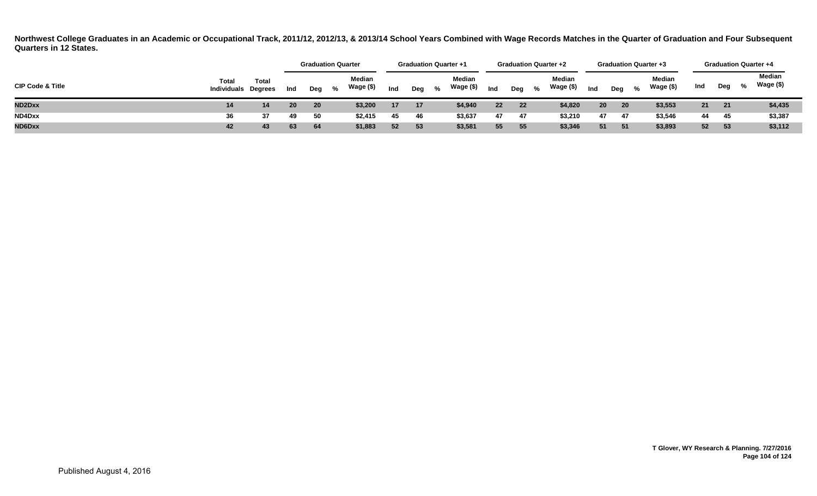|                             |                                            |              |     |       | <b>Graduation Quarter</b> | <b>Graduation Quarter +1</b> |     |   |                     | <b>Graduation Quarter +2</b> |     |      |                     |                 |                 | <b>Graduation Quarter +3</b> |                     |     |       | <b>Graduation Quarter +4</b> |                     |
|-----------------------------|--------------------------------------------|--------------|-----|-------|---------------------------|------------------------------|-----|---|---------------------|------------------------------|-----|------|---------------------|-----------------|-----------------|------------------------------|---------------------|-----|-------|------------------------------|---------------------|
| <b>CIP Code &amp; Title</b> | <b>Total</b><br><b>Individuals Degrees</b> | <b>Total</b> | Ind | Deg % | Median<br>Wage (\$)       | Ind                          | Deg | % | Median<br>Wage (\$) | Ind                          | Deg | $\%$ | Median<br>Wage (\$) | Ind             | Dea             | %                            | Median<br>Wage (\$) | Ind | Deg   | %                            | Median<br>Wage (\$) |
| ND2Dxx                      | 14                                         |              | 20  | 20    | \$3,200                   | 17 <sup>2</sup>              | 17  |   | \$4,940             | 22                           | 22  |      | \$4,820             | 20 <sub>2</sub> | 20 <sub>2</sub> |                              | \$3,553             | 21  | 21    |                              | \$4,435             |
| ND4Dxx                      | 36                                         | 37           | 49  | 50    | \$2,415                   | 45                           | 46  |   | \$3,637             | 47                           | 47  |      | \$3,210             | 47              | 47              |                              | \$3,546             | 44  | - 45  |                              | \$3,387             |
| ND6Dxx                      | 42                                         | 43           | 63  | - 64  | \$1,883                   | 52                           | 53  |   | \$3,581             | 55                           | 55  |      | \$3,346             | 51              | 51              |                              | \$3,893             | 52  | $-53$ |                              | \$3,112             |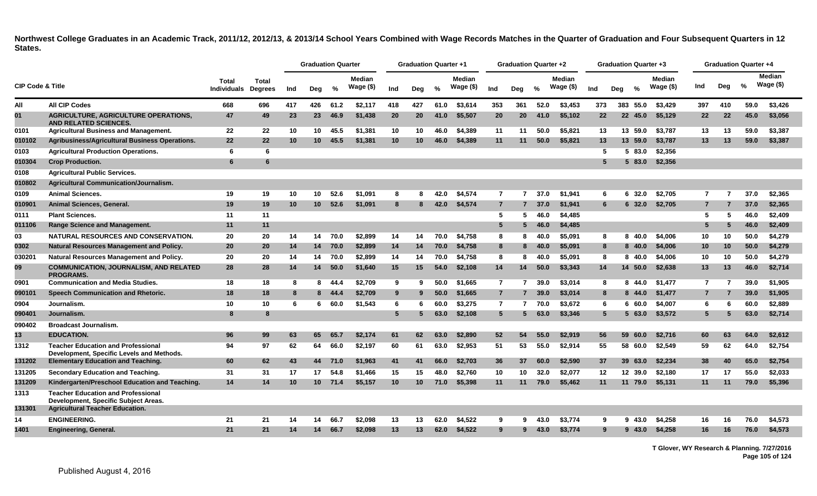|                             |                                                                                        |                             |                         |     | <b>Graduation Quarter</b> |      |                            |                 | <b>Graduation Quarter +1</b> |      |                            |                 | <b>Graduation Quarter +2</b> |      |                            |     |     |          | <b>Graduation Quarter +3</b> |                |     | <b>Graduation Quarter +4</b> |                            |
|-----------------------------|----------------------------------------------------------------------------------------|-----------------------------|-------------------------|-----|---------------------------|------|----------------------------|-----------------|------------------------------|------|----------------------------|-----------------|------------------------------|------|----------------------------|-----|-----|----------|------------------------------|----------------|-----|------------------------------|----------------------------|
| <b>CIP Code &amp; Title</b> |                                                                                        | Total<br><b>Individuals</b> | Total<br><b>Degrees</b> | Ind | Deg                       | %    | <b>Median</b><br>Wage (\$) | Ind             | Deg                          | %    | <b>Median</b><br>Wage (\$) | Ind             | Dea                          | %    | <b>Median</b><br>Wage (\$) | Ind | Deg | %        | <b>Median</b><br>Wage $($)$  | Ind            | Deg | $\%$                         | <b>Median</b><br>Wage (\$) |
| All                         | <b>All CIP Codes</b>                                                                   | 668                         | 696                     | 417 | 426                       | 61.2 | \$2,117                    | 418             | 427                          | 61.0 | \$3.614                    | 353             | 361                          | 52.0 | \$3.453                    | 373 |     | 383 55.0 | \$3.429                      | 397            | 410 | 59.0                         | \$3,426                    |
| 01                          | <b>AGRICULTURE, AGRICULTURE OPERATIONS,</b><br><b>AND RELATED SCIENCES.</b>            | 47                          | 49                      | 23  | 23                        | 46.9 | \$1,438                    | 20              | <b>20</b>                    | 41.0 | \$5,507                    | 20              | <b>20</b>                    | 41.0 | \$5,102                    | 22  |     | 22 45.0  | \$5.129                      | 22             | 22  | 45.0                         | \$3,056                    |
| 0101                        | <b>Agricultural Business and Management.</b>                                           | 22                          | 22                      | 10  | 10                        | 45.5 | \$1,381                    | 10              | 10                           | 46.0 | \$4,389                    | 11              | 11                           | 50.0 | \$5.821                    | 13  |     | 13 59.0  | \$3,787                      | 13             | 13  | 59.0                         | \$3,387                    |
| 010102                      | Agribusiness/Agricultural Business Operations.                                         | 22                          | $22 \overline{ }$       | 10  | 10 <sup>1</sup>           | 45.5 | \$1,381                    | 10 <sup>°</sup> | 10                           | 46.0 | \$4,389                    | 11              | 11                           | 50.0 | \$5,821                    | 13  |     | 13 59.0  | \$3,787                      | 13             | 13  | 59.0                         | \$3,387                    |
| 0103                        | <b>Agricultural Production Operations.</b>                                             | 6                           | 6                       |     |                           |      |                            |                 |                              |      |                            |                 |                              |      |                            | 5   |     | 583.0    | \$2,356                      |                |     |                              |                            |
| 010304                      | <b>Crop Production.</b>                                                                | 6                           | 6                       |     |                           |      |                            |                 |                              |      |                            |                 |                              |      |                            | 5   |     | 5 83.0   | \$2,356                      |                |     |                              |                            |
| 0108                        | <b>Agricultural Public Services.</b>                                                   |                             |                         |     |                           |      |                            |                 |                              |      |                            |                 |                              |      |                            |     |     |          |                              |                |     |                              |                            |
| 010802                      | <b>Agricultural Communication/Journalism.</b>                                          |                             |                         |     |                           |      |                            |                 |                              |      |                            |                 |                              |      |                            |     |     |          |                              |                |     |                              |                            |
| 0109                        | <b>Animal Sciences.</b>                                                                | 19                          | 19                      | 10  | 10                        | 52.6 | \$1.091                    | 8               | я                            | 42.0 | \$4.574                    | $\overline{7}$  | 7                            | 37.0 | \$1.941                    | 6   |     | 6 32.0   | \$2.705                      | 7              |     | 37.0                         | \$2,365                    |
| 010901                      | Animal Sciences, General.                                                              | 19                          | 19                      | 10  | 10 <sup>1</sup>           | 52.6 | \$1,091                    | 8               | 8                            | 42.0 | \$4,574                    | $\overline{7}$  | 7                            | 37.0 | \$1,941                    | 6   |     | 6 32.0   | \$2,705                      | $\overline{7}$ |     | 37.0                         | \$2,365                    |
| 0111                        | <b>Plant Sciences.</b>                                                                 | 11                          | 11                      |     |                           |      |                            |                 |                              |      |                            | 5               | 5                            | 46.0 | \$4,485                    |     |     |          |                              | 5              | 5   | 46.0                         | \$2,409                    |
| 011106                      | <b>Range Science and Management.</b>                                                   | 11                          | 11                      |     |                           |      |                            |                 |                              |      |                            | $5\phantom{.0}$ | 5                            | 46.0 | \$4,485                    |     |     |          |                              | 5              | 5   | 46.0                         | \$2,409                    |
| 03                          | <b>NATURAL RESOURCES AND CONSERVATION.</b>                                             | 20                          | 20                      | 14  | 14                        | 70.0 | \$2,899                    | 14              | 14                           | 70.0 | \$4.758                    | 8               | 8                            | 40.0 | \$5.091                    | 8   |     | 8 40.0   | \$4,006                      | 10             | 10  | 50.0                         | \$4,279                    |
| 0302                        | <b>Natural Resources Management and Policy.</b>                                        | 20                          | 20                      | 14  | 14                        | 70.0 | \$2,899                    | 14              | 14                           | 70.0 | \$4,758                    | 8               | 8                            | 40.0 | \$5,091                    | 8   |     | 8 40.0   | \$4,006                      | 10             | 10  | 50.0                         | \$4,279                    |
| 030201                      | Natural Resources Management and Policy.                                               | 20                          | 20                      | 14  | 14                        | 70.0 | \$2,899                    | 14              | 14                           | 70.0 | \$4,758                    | 8               | 8                            | 40.0 | \$5.091                    | 8   |     | 8 40.0   | \$4,006                      | 10             | 10  | 50.0                         | \$4,279                    |
| 09                          | <b>COMMUNICATION, JOURNALISM, AND RELATED</b><br><b>PROGRAMS.</b>                      | 28                          | 28                      | 14  | 14                        | 50.0 | \$1,640                    | 15              | 15                           | 54.0 | \$2,108                    | 14              | 14                           | 50.0 | \$3,343                    | 14  |     | 14 50.0  | \$2,638                      | 13             | 13  | 46.0                         | \$2,714                    |
| 0901                        | <b>Communication and Media Studies.</b>                                                | 18                          | 18                      | 8   | 8                         | 44.4 | \$2,709                    | 9               | 9                            | 50.0 | \$1,665                    | $\overline{7}$  | 7                            | 39.0 | \$3,014                    | 8   |     | 8 44.0   | \$1,477                      | $\overline{7}$ |     | 39.0                         | \$1,905                    |
| 090101                      | <b>Speech Communication and Rhetoric.</b>                                              | 18                          | 18                      | 8   | 8                         | 44.4 | \$2,709                    | 9               |                              | 50.0 | \$1,665                    | $\overline{7}$  |                              | 39.0 | \$3,014                    | 8   |     | 8 44.0   | \$1,477                      |                |     | 39.0                         | \$1,905                    |
| 0904                        | Journalism.                                                                            | 10                          | 10                      | -6  | 6.                        | 60.0 | \$1,543                    | 6               | -6                           | 60.0 | \$3.275                    | $\overline{7}$  |                              | 70.0 | \$3,672                    | 6   |     | 660.0    | \$4.007                      | 6              |     | 60.0                         | \$2,889                    |
| 090401                      | Journalism.                                                                            | -8                          | 8                       |     |                           |      |                            | $5\phantom{.0}$ | 5                            | 63.0 | \$2,108                    | $5^{\circ}$     | 5.                           | 63.0 | \$3,346                    | 5   |     | 563.0    | \$3.572                      | 5              |     | 63.0                         | \$2,714                    |
| 090402                      | <b>Broadcast Journalism.</b>                                                           |                             |                         |     |                           |      |                            |                 |                              |      |                            |                 |                              |      |                            |     |     |          |                              |                |     |                              |                            |
| 13                          | <b>EDUCATION.</b>                                                                      | 96                          | 99                      | 63  | 65                        | 65.7 | \$2,174                    | 61              | 62                           | 63.0 | \$2,890                    | 52              | 54                           | 55.0 | \$2,919                    | 56  |     | 59 60.0  | \$2,716                      | 60             | 63  | 64.0                         | \$2,612                    |
| 1312                        | <b>Teacher Education and Professional</b><br>Development, Specific Levels and Methods. | 94                          | 97                      | 62  | 64                        | 66.0 | \$2,197                    | 60              | 61                           | 63.0 | \$2.953                    | 51              | 53                           | 55.0 | \$2.914                    | 55  |     | 58 60.0  | \$2.549                      | 59             | 62  | 64.0                         | \$2,754                    |
| 131202                      | <b>Elementary Education and Teaching.</b>                                              | 60                          | 62                      | 43  | 44                        | 71.0 | \$1,963                    | 41              | 41                           | 66.0 | \$2,703                    | 36              | 37                           | 60.0 | \$2,590                    | 37  |     | 39 63.0  | \$2,234                      | 38             | 40  | 65.0                         | \$2,754                    |
| 131205                      | Secondary Education and Teaching.                                                      | 31                          | 31                      | 17  | 17                        | 54.8 | \$1,466                    | 15              | 15                           | 48.0 | \$2,760                    | 10              | 10                           | 32.0 | \$2.077                    | 12  |     | 12 39.0  | \$2,180                      | 17             | 17  | 55.0                         | \$2,033                    |
| 131209                      | Kindergarten/Preschool Education and Teaching.                                         | 14                          | 14                      | 10  | 10 <sup>1</sup>           | 71.4 | \$5,157                    | 10 <sup>°</sup> | 10                           | 71.0 | \$5,398                    | 11              | 11                           | 79.0 | \$5,462                    | 11  |     | 11 79.0  | \$5,131                      | 11             | 11  | 79.0                         | \$5,396                    |
| 1313                        | <b>Teacher Education and Professional</b><br>Development, Specific Subject Areas.      |                             |                         |     |                           |      |                            |                 |                              |      |                            |                 |                              |      |                            |     |     |          |                              |                |     |                              |                            |
| 131301                      | <b>Agricultural Teacher Education.</b>                                                 |                             |                         |     |                           |      |                            |                 |                              |      |                            |                 |                              |      |                            |     |     |          |                              |                |     |                              |                            |
| 14                          | <b>ENGINEERING.</b>                                                                    | 21                          | 21                      | 14  | 14                        | 66.7 | \$2,098                    | 13              | 13                           | 62.0 | \$4.522                    | 9               | 9                            | 43.0 | \$3.774                    | 9   |     | 943.0    | \$4.258                      | 16             | 16  | 76.0                         | \$4,573                    |
| 1401                        | <b>Engineering, General.</b>                                                           | 21                          | 21                      | 14  | 14                        | 66.7 | \$2,098                    | 13              | 13                           | 62.0 | \$4,522                    | 9               |                              | 43.0 | \$3,774                    | 9   |     | 9,43.0   | \$4,258                      | 16             | 16  | 76.0                         | \$4,573                    |

**T Glover, WY Research & Planning. 7/27/2016 Page 105 of 124**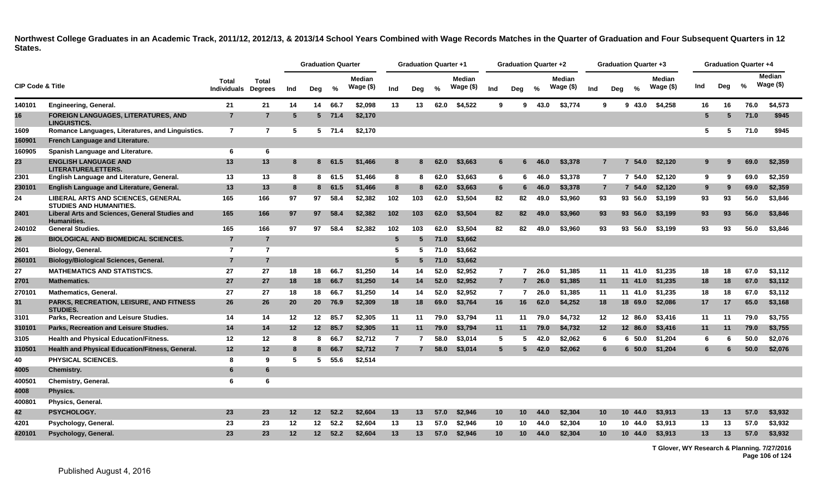|                             |                                                                             |                             |                                |     | <b>Graduation Quarter</b> |          |                            |                 | <b>Graduation Quarter +1</b> |      |                            |                 | Graduation Quarter +2 |       |                            |     |                 | <b>Graduation Quarter +3</b> |                            |                 |     | <b>Graduation Quarter +4</b> |                      |
|-----------------------------|-----------------------------------------------------------------------------|-----------------------------|--------------------------------|-----|---------------------------|----------|----------------------------|-----------------|------------------------------|------|----------------------------|-----------------|-----------------------|-------|----------------------------|-----|-----------------|------------------------------|----------------------------|-----------------|-----|------------------------------|----------------------|
| <b>CIP Code &amp; Title</b> |                                                                             | <b>Total</b><br>Individuals | <b>Total</b><br><b>Degrees</b> | Ind | Deg                       | %        | <b>Median</b><br>Wage (\$) | Ind             | Dea                          | $\%$ | <b>Median</b><br>Wage (\$) | Ind             | Deg                   | $\%$  | <b>Median</b><br>Wage (\$) | Ind | Deg             | $\%$                         | <b>Median</b><br>Wage (\$) | Ind             | Deg | %                            | Median<br>Wage $($)$ |
| 140101                      | Engineering, General.                                                       | 21                          | 21                             | 14  | 14                        | 66.7     | \$2,098                    | 13              | 13                           | 62.0 | \$4,522                    | 9               | 9                     | 43.0  | \$3,774                    |     | 9               | 9 43.0                       | \$4,258                    | 16              | 16  | 76.0                         | \$4,573              |
| 16                          | FOREIGN LANGUAGES, LITERATURES, AND<br><b>LINGUISTICS.</b>                  | $\overline{7}$              | $\overline{7}$                 | 5   |                           | $5$ 71.4 | \$2,170                    |                 |                              |      |                            |                 |                       |       |                            |     |                 |                              |                            | 5               | 5   | 71.0                         | \$945                |
| 1609                        | Romance Languages, Literatures, and Linguistics.                            | $\overline{7}$              | $\overline{7}$                 | 5   |                           | $5$ 71.4 | \$2,170                    |                 |                              |      |                            |                 |                       |       |                            |     |                 |                              |                            | 5               | 5   | 71.0                         | \$945                |
| 160901                      | French Language and Literature.                                             |                             |                                |     |                           |          |                            |                 |                              |      |                            |                 |                       |       |                            |     |                 |                              |                            |                 |     |                              |                      |
| 160905                      | Spanish Language and Literature.                                            | 6                           | 6                              |     |                           |          |                            |                 |                              |      |                            |                 |                       |       |                            |     |                 |                              |                            |                 |     |                              |                      |
| 23                          | <b>ENGLISH LANGUAGE AND</b><br><b>LITERATURE/LETTERS.</b>                   | 13                          | 13                             | 8   | 8                         | 61.5     | \$1,466                    | 8               |                              | 62.0 | \$3,663                    | 6               | 6                     | 46.0  | \$3,378                    |     | $\overline{7}$  | 54.0<br>7                    | \$2,120                    | 9               |     | 69.0                         | \$2,359              |
| 2301                        | English Language and Literature, General.                                   | 13                          | 13                             | 8   | 8                         | 61.5     | \$1,466                    | 8               | 8                            | 62.0 | \$3,663                    | 6               | 6                     | 46.0  | \$3,378                    |     | $\mathbf{7}$    | 7 54.0                       | \$2,120                    | 9               | -9  | 69.0                         | \$2,359              |
| 230101                      | English Language and Literature, General.                                   | 13                          | 13                             | 8   | 8                         | 61.5     | \$1,466                    | 8               |                              | 62.0 | \$3,663                    | 6               |                       | 46.0  | \$3,378                    |     | $\overline{7}$  | 54.0                         | \$2,120                    | 9               | -9  | 69.0                         | \$2,359              |
| 24                          | LIBERAL ARTS AND SCIENCES, GENERAL<br><b>STUDIES AND HUMANITIES.</b>        | 165                         | 166                            | 97  | 97                        | 58.4     | \$2,382                    | 102             | 103                          | 62.0 | \$3,504                    | 82              | 82                    | 49.0  | \$3,960                    | 93  |                 | 93 56.0                      | \$3,199                    | 93              | 93  | 56.0                         | \$3,846              |
| 2401                        | <b>Liberal Arts and Sciences, General Studies and</b><br><b>Humanities.</b> | 165                         | 166                            | 97  | 97                        | 58.4     | \$2,382                    | 102             | 103                          | 62.0 | \$3,504                    | 82              | 82                    | 49.0  | \$3,960                    |     | 93              | 93 56.0                      | \$3,199                    | 93              | 93  | 56.0                         | \$3,846              |
| 240102                      | <b>General Studies.</b>                                                     | 165                         | 166                            | 97  | 97                        | 58.4     | \$2,382                    | 102             | 103                          | 62.0 | \$3,504                    | 82              | 82                    | 49.0  | \$3,960                    |     | 93              | 93 56.0                      | \$3.199                    | 93              | 93  | 56.0                         | \$3,846              |
| 26                          | <b>BIOLOGICAL AND BIOMEDICAL SCIENCES.</b>                                  | $\overline{7}$              | $\overline{7}$                 |     |                           |          |                            | 5               | 5                            | 71.0 | \$3,662                    |                 |                       |       |                            |     |                 |                              |                            |                 |     |                              |                      |
| 2601                        | Biology, General.                                                           | $\overline{7}$              | $\overline{7}$                 |     |                           |          |                            | 5               | 5                            | 71.0 | \$3,662                    |                 |                       |       |                            |     |                 |                              |                            |                 |     |                              |                      |
| 260101                      | <b>Biology/Biological Sciences, General.</b>                                | $\overline{7}$              | $\overline{7}$                 |     |                           |          |                            | $5\phantom{.0}$ | 5                            | 71.0 | \$3,662                    |                 |                       |       |                            |     |                 |                              |                            |                 |     |                              |                      |
| 27                          | <b>MATHEMATICS AND STATISTICS.</b>                                          | 27                          | 27                             | 18  | 18                        | 66.7     | \$1,250                    | 14              | 14                           | 52.0 | \$2,952                    | $\overline{7}$  |                       | 726.0 | \$1,385                    | 11  |                 | 11 41.0                      | \$1,235                    | 18              | 18  | 67.0                         | \$3,112              |
| 2701                        | <b>Mathematics.</b>                                                         | 27                          | 27                             | 18  | 18                        | 66.7     | \$1,250                    | 14              | 14                           | 52.0 | \$2,952                    | $\overline{7}$  | $7^{\circ}$           | 26.0  | \$1,385                    | 11  |                 | 11 41.0                      | \$1,235                    | 18              | 18  | 67.0                         | \$3,112              |
| 270101                      | <b>Mathematics, General.</b>                                                | 27                          | 27                             | 18  | 18                        | 66.7     | \$1,250                    | 14              | 14                           | 52.0 | \$2,952                    | $\overline{7}$  | 7                     | 26.0  | \$1,385                    | 11  |                 | 11 41.0                      | \$1,235                    | 18              | 18  | 67.0                         | \$3,112              |
| 31                          | <b>PARKS, RECREATION, LEISURE, AND FITNESS</b><br><b>STUDIES.</b>           | 26                          | 26                             | 20  | 20 <sub>2</sub>           | 76.9     | \$2,309                    | 18              | 18                           | 69.0 | \$3,764                    | 16              | 16                    | 62.0  | \$4,252                    |     | 18              | 18 69.0                      | \$2,086                    | 17              | 17  | 65.0                         | \$3,168              |
| 3101                        | Parks, Recreation and Leisure Studies.                                      | 14                          | 14                             | 12  | 12 <sup>12</sup>          | 85.7     | \$2,305                    | 11              | 11                           | 79.0 | \$3.794                    | 11              | 11                    | 79.0  | \$4,732                    |     | $12 \,$         | 12 86.0                      | \$3.416                    | 11              | 11  | 79.0                         | \$3,755              |
| 310101                      | Parks, Recreation and Leisure Studies.                                      | 14                          | 14                             | 12  | 12                        | 85.7     | \$2,305                    | 11              | 11                           | 79.0 | \$3,794                    | 11              | 11                    | 79.0  | \$4,732                    |     | 12              | 12 86.0                      | \$3,416                    | 11              | 11  | 79.0                         | \$3,755              |
| 3105                        | <b>Health and Physical Education/Fitness.</b>                               | 12                          | 12                             | -8  | 8                         | 66.7     | \$2,712                    | $\overline{7}$  | 7                            | 58.0 | \$3,014                    | 5               | 5                     | 42.0  | \$2,062                    |     | 6               | $6\,50.0$                    | \$1,204                    | 6               | -6  | 50.0                         | \$2,076              |
| 310501                      | Health and Physical Education/Fitness, General.                             | 12                          | 12                             | 8   | 8                         | 66.7     | \$2,712                    | $\overline{7}$  |                              | 58.0 | \$3,014                    | $5\phantom{.0}$ |                       | 42.0  | \$2,062                    |     | 6               | $6\,50.0$                    | \$1,204                    | 6               |     | 50.0                         | \$2,076              |
| 40                          | <b>PHYSICAL SCIENCES.</b>                                                   | 8                           | 9                              | 5   | 5                         | 55.6     | \$2,514                    |                 |                              |      |                            |                 |                       |       |                            |     |                 |                              |                            |                 |     |                              |                      |
| 4005                        | <b>Chemistry.</b>                                                           | 6                           | 6                              |     |                           |          |                            |                 |                              |      |                            |                 |                       |       |                            |     |                 |                              |                            |                 |     |                              |                      |
| 400501                      | <b>Chemistry, General.</b>                                                  | 6                           | 6                              |     |                           |          |                            |                 |                              |      |                            |                 |                       |       |                            |     |                 |                              |                            |                 |     |                              |                      |
| 4008                        | Physics.                                                                    |                             |                                |     |                           |          |                            |                 |                              |      |                            |                 |                       |       |                            |     |                 |                              |                            |                 |     |                              |                      |
| 400801                      | Physics, General.                                                           |                             |                                |     |                           |          |                            |                 |                              |      |                            |                 |                       |       |                            |     |                 |                              |                            |                 |     |                              |                      |
| 42                          | PSYCHOLOGY.                                                                 | 23                          | 23                             | 12  | 12 <sup>7</sup>           | 52.2     | \$2,604                    | 13              | 13                           | 57.0 | \$2,946                    | 10              | 10                    | 44.0  | \$2,304                    |     | 10 <sup>1</sup> | 10 <sup>1</sup><br>44.0      | \$3,913                    | 13 <sup>°</sup> | 13  | 57.0                         | \$3,932              |
| 4201                        | Psychology, General.                                                        | 23                          | 23                             | 12  | 12 <sup>°</sup>           | 52.2     | \$2.604                    | 13              | 13                           | 57.0 | \$2.946                    | 10              | 10                    | 44.0  | \$2.304                    | 10  |                 | 10 44.0                      | \$3.913                    | 13              | 13  | 57.0                         | \$3,932              |
| 420101                      | Psychology, General.                                                        | 23                          | 23                             | 12  | 12 <sup>2</sup>           | 52.2     | \$2,604                    | 13              | 13                           | 57.0 | \$2,946                    | 10              | 10 <sup>°</sup>       | 44.0  | \$2,304                    |     | 10 <sup>1</sup> | 10 44.0                      | \$3,913                    | 13              | 13  | 57.0                         | \$3,932              |

**T Glover, WY Research & Planning. 7/27/2016 Page 106 of 124**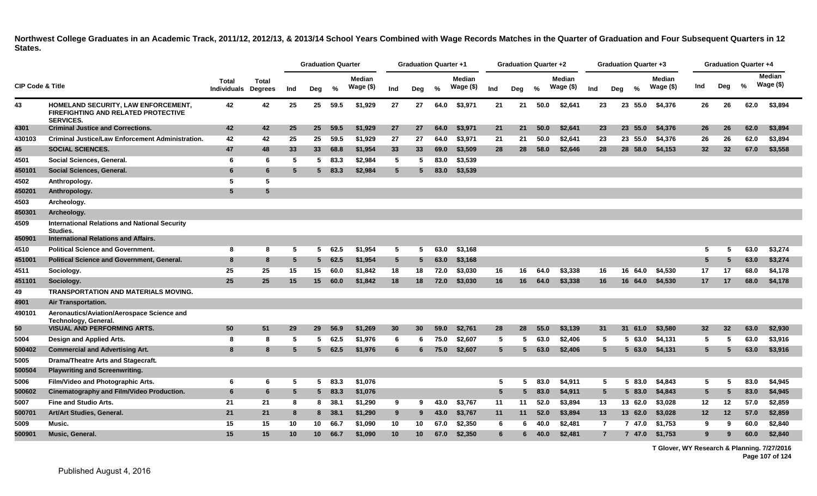|                             |                                                                                                       |                                    |                                |     | <b>Graduation Quarter</b> |         |                            |                 | <b>Graduation Quarter +1</b> |      |                            |                 | <b>Graduation Quarter +2</b> |      |                            |                 | <b>Graduation Quarter +3</b> |            |                             |                 | <b>Graduation Quarter +4</b> |      |                            |
|-----------------------------|-------------------------------------------------------------------------------------------------------|------------------------------------|--------------------------------|-----|---------------------------|---------|----------------------------|-----------------|------------------------------|------|----------------------------|-----------------|------------------------------|------|----------------------------|-----------------|------------------------------|------------|-----------------------------|-----------------|------------------------------|------|----------------------------|
| <b>CIP Code &amp; Title</b> |                                                                                                       | <b>Total</b><br><b>Individuals</b> | <b>Total</b><br><b>Degrees</b> | Ind | Deg                       | %       | <b>Median</b><br>Wage (\$) | Ind             | Deg                          | %    | <b>Median</b><br>Wage (\$) | Ind             | Deg                          | %    | <b>Median</b><br>Wage (\$) | Ind             | Deg                          | $\%$       | <b>Median</b><br>Wage $($)$ | Ind             | Deg                          | %    | <b>Median</b><br>Wage (\$) |
| 43                          | HOMELAND SECURITY, LAW ENFORCEMENT,<br><b>FIREFIGHTING AND RELATED PROTECTIVE</b><br><b>SERVICES.</b> | 42                                 | 42                             | 25  | 25                        | 59.5    | \$1,929                    | 27              | 27                           | 64.0 | \$3,971                    | 21              | 21                           | 50.0 | \$2,641                    | 23              | 23                           | 55.0       | \$4,376                     | 26              | 26                           | 62.0 | \$3,894                    |
| 4301                        | <b>Criminal Justice and Corrections.</b>                                                              | 42                                 | 42                             | 25  | 25                        | 59.5    | \$1,929                    | 27              | 27                           | 64.0 | \$3,971                    | 21              | 21                           | 50.0 | \$2,641                    | 23              |                              | 23 55.0    | \$4,376                     | 26              | 26                           | 62.0 | \$3,894                    |
| 430103                      | <b>Criminal Justice/Law Enforcement Administration.</b>                                               | 42                                 | 42                             | 25  |                           | 25 59.5 | \$1.929                    | 27              | 27                           | 64.0 | \$3,971                    | 21              | 21                           | 50.0 | \$2.641                    | 23              |                              | 23 55.0    | \$4,376                     | 26              | 26                           | 62.0 | \$3.894                    |
| 45                          | <b>SOCIAL SCIENCES.</b>                                                                               | 47                                 | 48                             | 33  | 33 <sup>1</sup>           | 68.8    | \$1,954                    | 33              | 33                           | 69.0 | \$3,509                    | 28              | 28                           | 58.0 | \$2,646                    | 28              |                              | 28 58.0    | \$4,153                     | 32 <sub>2</sub> | 32                           | 67.0 | \$3,558                    |
| 4501                        | Social Sciences, General.                                                                             | 6                                  | 6                              | 5   | 5                         | 83.3    | \$2.984                    | 5               | 5                            | 83.0 | \$3,539                    |                 |                              |      |                            |                 |                              |            |                             |                 |                              |      |                            |
| 450101                      | Social Sciences, General.                                                                             | 6                                  | 6                              | 5   | $5 -$                     | 83.3    | \$2,984                    | $5\phantom{.0}$ | 5                            | 83.0 | \$3,539                    |                 |                              |      |                            |                 |                              |            |                             |                 |                              |      |                            |
| 4502                        | Anthropology.                                                                                         | 5                                  | 5                              |     |                           |         |                            |                 |                              |      |                            |                 |                              |      |                            |                 |                              |            |                             |                 |                              |      |                            |
| 450201                      | Anthropology.                                                                                         | 5                                  | 5                              |     |                           |         |                            |                 |                              |      |                            |                 |                              |      |                            |                 |                              |            |                             |                 |                              |      |                            |
| 4503                        | Archeology.                                                                                           |                                    |                                |     |                           |         |                            |                 |                              |      |                            |                 |                              |      |                            |                 |                              |            |                             |                 |                              |      |                            |
| 450301                      | Archeology.                                                                                           |                                    |                                |     |                           |         |                            |                 |                              |      |                            |                 |                              |      |                            |                 |                              |            |                             |                 |                              |      |                            |
| 4509                        | <b>International Relations and National Security</b><br>Studies.                                      |                                    |                                |     |                           |         |                            |                 |                              |      |                            |                 |                              |      |                            |                 |                              |            |                             |                 |                              |      |                            |
| 450901                      | <b>International Relations and Affairs.</b>                                                           |                                    |                                |     |                           |         |                            |                 |                              |      |                            |                 |                              |      |                            |                 |                              |            |                             |                 |                              |      |                            |
| 4510                        | <b>Political Science and Government.</b>                                                              | 8                                  | 8                              | -5  | 5                         | 62.5    | \$1,954                    | 5               | 5                            | 63.0 | \$3,168                    |                 |                              |      |                            |                 |                              |            |                             | 5               | -5                           | 63.0 | \$3,274                    |
| 451001                      | <b>Political Science and Government, General.</b>                                                     | 8                                  | 8                              | 5   | 5 <sub>5</sub>            | 62.5    | \$1,954                    | $5\overline{)}$ | 5                            | 63.0 | \$3,168                    |                 |                              |      |                            |                 |                              |            |                             | $5^{\circ}$     | 5                            | 63.0 | \$3,274                    |
| 4511                        | Sociology.                                                                                            | 25                                 | 25                             | 15  | 15                        | 60.0    | \$1.842                    | 18              | 18                           | 72.0 | \$3,030                    | 16              | 16                           | 64.0 | \$3,338                    | 16              |                              | 16 64.0    | \$4,530                     | 17              | 17                           | 68.0 | \$4,178                    |
| 451101                      | Sociology.                                                                                            | 25                                 | 25                             | 15  | 15 <sup>1</sup>           | 60.0    | \$1,842                    | 18              | 18                           | 72.0 | \$3,030                    | 16              | 16                           | 64.0 | \$3,338                    | 16              |                              | 16 64.0    | \$4,530                     | 17              | 17                           | 68.0 | \$4,178                    |
| 49                          | <b>TRANSPORTATION AND MATERIALS MOVING.</b>                                                           |                                    |                                |     |                           |         |                            |                 |                              |      |                            |                 |                              |      |                            |                 |                              |            |                             |                 |                              |      |                            |
| 4901                        | Air Transportation.                                                                                   |                                    |                                |     |                           |         |                            |                 |                              |      |                            |                 |                              |      |                            |                 |                              |            |                             |                 |                              |      |                            |
| 490101                      | Aeronautics/Aviation/Aerospace Science and<br>Technology, General.                                    |                                    |                                |     |                           |         |                            |                 |                              |      |                            |                 |                              |      |                            |                 |                              |            |                             |                 |                              |      |                            |
| 50                          | <b>VISUAL AND PERFORMING ARTS.</b>                                                                    | 50                                 | 51                             | 29  | 29                        | 56.9    | \$1,269                    | 30 <sup>°</sup> | 30                           | 59.0 | \$2,761                    | 28              | 28                           | 55.0 | \$3,139                    | 31              | 31                           | 61.0       | \$3,580                     | 32 <sub>2</sub> | 32                           | 63.0 | \$2,930                    |
| 5004                        | Design and Applied Arts.                                                                              | 8                                  | 8                              | 5   | 5                         | 62.5    | \$1.976                    | -6              | 6                            | 75.0 | \$2.607                    | 5               | 5                            | 63.0 | \$2,406                    | -5              |                              | 63.0<br>5. | \$4,131                     | 5               | -5                           | 63.0 | \$3,916                    |
| 500402                      | <b>Commercial and Advertising Art.</b>                                                                | 8                                  | 8                              | 5   | 5 <sub>1</sub>            | 62.5    | \$1,976                    | 6               | 6                            | 75.0 | \$2,607                    | $5\overline{5}$ | 5                            | 63.0 | \$2,406                    | $5\phantom{.0}$ |                              | 563.0      | \$4,131                     | $5^{\circ}$     | 5                            | 63.0 | \$3,916                    |
| 5005                        | Drama/Theatre Arts and Stagecraft.                                                                    |                                    |                                |     |                           |         |                            |                 |                              |      |                            |                 |                              |      |                            |                 |                              |            |                             |                 |                              |      |                            |
| 500504                      | <b>Playwriting and Screenwriting.</b>                                                                 |                                    |                                |     |                           |         |                            |                 |                              |      |                            |                 |                              |      |                            |                 |                              |            |                             |                 |                              |      |                            |
| 5006                        | Film/Video and Photographic Arts.                                                                     | 6                                  | 6                              | 5   | 5 <sub>5</sub>            | 83.3    | \$1,076                    |                 |                              |      |                            | 5               | 5                            | 83.0 | \$4,911                    | 5               |                              | 5 83.0     | \$4,843                     | 5               | -5                           | 83.0 | \$4,945                    |
| 500602                      | Cinematography and Film/Video Production.                                                             | 6                                  | 6                              | 5   | $5 -$                     | 83.3    | \$1,076                    |                 |                              |      |                            | $5\overline{5}$ | 5                            | 83.0 | \$4.911                    | $5\phantom{.0}$ |                              | 5 83.0     | \$4,843                     | $5^{\circ}$     | 5                            | 83.0 | \$4,945                    |
| 5007                        | <b>Fine and Studio Arts.</b>                                                                          | 21                                 | 21                             | 8   | 8                         | 38.1    | \$1,290                    | 9               | 9                            | 43.0 | \$3,767                    | 11              | 11                           | 52.0 | \$3,894                    | 13              |                              | 13 62.0    | \$3,028                     | 12              | 12                           | 57.0 | \$2,859                    |
| 500701                      | Art/Art Studies, General.                                                                             | 21                                 | 21                             | 8   |                           | 8 38.1  | \$1,290                    | 9               | 9                            | 43.0 | \$3,767                    | 11              | 11                           | 52.0 | \$3,894                    | 13              |                              | 13 62.0    | \$3,028                     | 12              | 12                           | 57.0 | \$2,859                    |
| 5009                        | Music.                                                                                                | 15                                 | 15                             | 10  | 10                        | 66.7    | \$1,090                    | 10              | 10                           | 67.0 | \$2,350                    | 6               | 6                            | 40.0 | \$2,481                    | $\overline{7}$  |                              | 7 47.0     | \$1,753                     | 9               | 9                            | 60.0 | \$2,840                    |
| 500901                      | <b>Music, General.</b>                                                                                | 15                                 | 15                             | 10  | 10 <sup>1</sup>           | 66.7    | \$1,090                    | 10              | 10                           | 67.0 | \$2,350                    | 6               | 6                            | 40.0 | \$2,481                    | $\overline{7}$  |                              | 7 47.0     | \$1,753                     | 9               | 9                            | 60.0 | \$2,840                    |

**T Glover, WY Research & Planning. 7/27/2016 Page 107 of 124**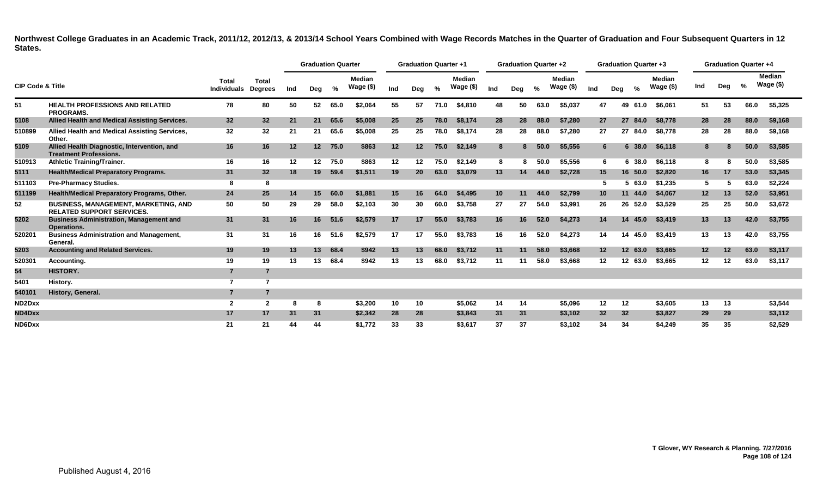|                                 |                                                                                 |                                    |                                |     | <b>Graduation Quarter</b> |      |                            |     | <b>Graduation Quarter +1</b> |      |                            |     | <b>Graduation Quarter +2</b> |      |                               |     | <b>Graduation Quarter +3</b> |         |                            |     | <b>Graduation Quarter +4</b> |      |                            |
|---------------------------------|---------------------------------------------------------------------------------|------------------------------------|--------------------------------|-----|---------------------------|------|----------------------------|-----|------------------------------|------|----------------------------|-----|------------------------------|------|-------------------------------|-----|------------------------------|---------|----------------------------|-----|------------------------------|------|----------------------------|
| <b>CIP Code &amp; Title</b>     |                                                                                 | <b>Total</b><br><b>Individuals</b> | <b>Total</b><br><b>Degrees</b> | Ind | Deg                       | %    | <b>Median</b><br>Wage (\$) | Ind | Deg                          | %    | <b>Median</b><br>Wage (\$) | Ind | Deg                          | %    | <b>Median</b><br>Wage $($ \$) | Ind | Deg                          | %       | <b>Median</b><br>Wage (\$) | Ind | Deg                          | %    | <b>Median</b><br>Wage (\$) |
| 51                              | <b>HEALTH PROFESSIONS AND RELATED</b><br><b>PROGRAMS.</b>                       | 78                                 | 80                             | 50  | 52                        | 65.0 | \$2,064                    | 55  | 57                           | 71.0 | \$4.810                    | 48  | 50                           | 63.0 | \$5,037                       | 47  |                              | 49 61.0 | \$6.061                    | 51  | 53                           | 66.0 | \$5,325                    |
| 5108                            | Allied Health and Medical Assisting Services.                                   | 32                                 | 32                             | 21  | 21                        | 65.6 | \$5,008                    | 25  | 25                           | 78.0 | \$8.174                    | 28  | 28                           | 88.0 | \$7,280                       | 27  |                              | 27 84.0 | \$8.778                    | 28  | 28                           | 88.0 | \$9,168                    |
| 510899                          | Allied Health and Medical Assisting Services,<br>Other.                         | 32                                 | 32                             | 21  | 21                        | 65.6 | \$5,008                    | 25  | 25                           | 78.0 | \$8,174                    | 28  | 28                           | 88.0 | \$7,280                       | 27  |                              | 27 84.0 | \$8,778                    | 28  | 28                           | 88.0 | \$9,168                    |
| 5109                            | Allied Health Diagnostic, Intervention, and<br><b>Treatment Professions.</b>    | 16                                 | 16                             | 12  | 12 <sup>7</sup>           | 75.0 | \$863                      | 12  | 12                           | 75.0 | \$2,149                    | 8   | 8                            | 50.0 | \$5,556                       |     |                              | 6 38.0  | \$6,118                    | 8   | -8                           | 50.0 | \$3,585                    |
| 510913                          | <b>Athletic Training/Trainer.</b>                                               | 16                                 | 16                             | 12  | 12                        | 75.0 | \$863                      | 12  | 12                           | 75.0 | \$2.149                    | 8   | 8                            | 50.0 | \$5,556                       | 6   |                              | 6 38.0  | \$6,118                    | 8   |                              | 50.0 | \$3,585                    |
| 5111                            | <b>Health/Medical Preparatory Programs.</b>                                     | 31                                 | 32                             | 18  | 19                        | 59.4 | \$1,511                    | 19  | <b>20</b>                    | 63.0 | \$3,079                    | 13  | 14                           | 44.0 | \$2,728                       | 15  |                              | 16 50.0 | \$2,820                    | 16  | 17                           | 53.0 | \$3,345                    |
| 511103                          | <b>Pre-Pharmacy Studies.</b>                                                    | 8                                  | 8                              |     |                           |      |                            |     |                              |      |                            |     |                              |      |                               |     |                              | 5 63.0  | \$1,235                    | 5   |                              | 63.0 | \$2,224                    |
| 511199                          | Health/Medical Preparatory Programs, Other.                                     | 24                                 | 25                             | 14  | 15                        | 60.0 | \$1,881                    | 15  | 16                           | 64.0 | \$4,495                    | 10  | 11                           | 44.0 | \$2,799                       | 10  |                              | 11 44.0 | \$4.067                    | 12  | 13                           | 52.0 | \$3,951                    |
| 52                              | <b>BUSINESS, MANAGEMENT, MARKETING, AND</b><br><b>RELATED SUPPORT SERVICES.</b> | 50                                 | 50                             | 29  | 29                        | 58.0 | \$2,103                    | 30  | 30                           | 60.0 | \$3,758                    | 27  | 27                           | 54.0 | \$3,991                       | 26  |                              | 26 52.0 | \$3,529                    | 25  | 25                           | 50.0 | \$3,672                    |
| 5202                            | <b>Business Administration, Management and</b><br>Operations.                   | 31                                 | 31                             | 16  | 16                        | 51.6 | \$2,579                    | 17  | 17                           | 55.0 | \$3,783                    | 16  | 16                           | 52.0 | \$4,273                       | 14  |                              | 14 45.0 | \$3,419                    | 13  | 13                           | 42.0 | \$3,755                    |
| 520201                          | <b>Business Administration and Management,</b><br>General.                      | 31                                 | 31                             | 16  | 16                        | 51.6 | \$2,579                    | 17  | 17                           | 55.0 | \$3.783                    | 16  | 16                           | 52.0 | \$4.273                       | 14  |                              | 14 45.0 | \$3.419                    | 13  | 13                           | 42.0 | \$3,755                    |
| 5203                            | <b>Accounting and Related Services.</b>                                         | 19                                 | 19                             | 13  | 13                        | 68.4 | \$942                      | 13  | 13                           | 68.0 | \$3.712                    | 11  | 11                           | 58.0 | \$3,668                       | 12  |                              | 12 63.0 | \$3,665                    | 12  | 12                           | 63.0 | \$3,117                    |
| 520301                          | Accounting.                                                                     | 19                                 | 19                             | 13  | 13                        | 68.4 | \$942                      | 13  | 13                           | 68.0 | \$3,712                    | 11  | 11                           | 58.0 | \$3,668                       | 12  | 12                           | 63.0    | \$3,665                    | 12  | 12                           | 63.0 | \$3,117                    |
| 54                              | <b>HISTORY.</b>                                                                 | $\overline{7}$                     |                                |     |                           |      |                            |     |                              |      |                            |     |                              |      |                               |     |                              |         |                            |     |                              |      |                            |
| 5401                            | History.                                                                        | 7                                  | 7                              |     |                           |      |                            |     |                              |      |                            |     |                              |      |                               |     |                              |         |                            |     |                              |      |                            |
| 540101                          | History, General.                                                               | $\overline{7}$                     |                                |     |                           |      |                            |     |                              |      |                            |     |                              |      |                               |     |                              |         |                            |     |                              |      |                            |
| ND <sub>2</sub> D <sub>xx</sub> |                                                                                 | $\overline{2}$                     | $\overline{\mathbf{2}}$        | 8   | 8                         |      | \$3,200                    | 10  | 10                           |      | \$5,062                    | 14  | 14                           |      | \$5,096                       | 12  | 12                           |         | \$3,605                    | 13  | 13                           |      | \$3,544                    |
| ND4Dxx                          |                                                                                 | 17                                 | 17                             | 31  | 31                        |      | \$2,342                    | 28  | 28                           |      | \$3,843                    | 31  | 31                           |      | \$3,102                       | 32  | 32                           |         | \$3,827                    | 29  | 29                           |      | \$3,112                    |
| ND6Dxx                          |                                                                                 | 21                                 | 21                             | 44  | 44                        |      | \$1,772                    | 33  | 33                           |      | \$3,617                    | 37  | 37                           |      | \$3,102                       | 34  | 34                           |         | \$4,249                    | 35  | 35                           |      | \$2,529                    |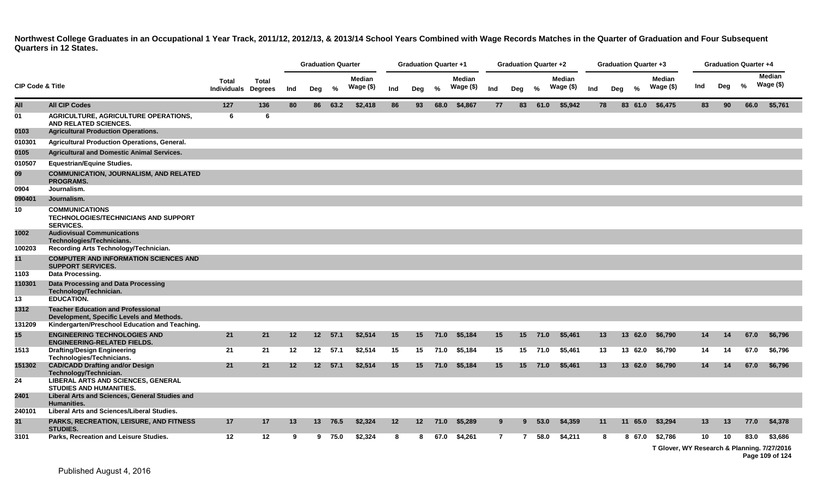**Northwest College Graduates in an Occupational 1 Year Track, 2011/12, 2012/13, & 2013/14 School Years Combined with Wage Records Matches in the Quarter of Graduation and Four Subsequent Quarters in 12 States.**

|                             |                                                                                          |                                            |       |     | <b>Graduation Quarter</b> |         |                            |     | <b>Graduation Quarter +1</b> |         |                            |                | Graduation Quarter +2 |         |                            |     |     | <b>Graduation Quarter +3</b> |                            |     |     | <b>Graduation Quarter +4</b> |                                                        |
|-----------------------------|------------------------------------------------------------------------------------------|--------------------------------------------|-------|-----|---------------------------|---------|----------------------------|-----|------------------------------|---------|----------------------------|----------------|-----------------------|---------|----------------------------|-----|-----|------------------------------|----------------------------|-----|-----|------------------------------|--------------------------------------------------------|
| <b>CIP Code &amp; Title</b> |                                                                                          | <b>Total</b><br><b>Individuals Degrees</b> | Total | Ind | Deg                       | %       | <b>Median</b><br>Wage (\$) | Ind | Deg                          | %       | <b>Median</b><br>Wage (\$) | Ind            | Deg                   | $\%$    | <b>Median</b><br>Wage (\$) | Ind | Deg | $\%$                         | <b>Median</b><br>Wage (\$) | Ind | Deg | %                            | Median<br>Wage $($)$                                   |
| All                         | <b>All CIP Codes</b>                                                                     | 127                                        | 136   | 80  |                           | 86 63.2 | \$2,418                    | 86  | 93                           | 68.0    | \$4,867                    | 77             | 83                    | 61.0    | \$5,942                    | 78  |     | 83 61.0                      | \$6,475                    | 83  | 90  | 66.0                         | \$5,761                                                |
| 01                          | AGRICULTURE, AGRICULTURE OPERATIONS,<br>AND RELATED SCIENCES.                            | 6                                          | 6     |     |                           |         |                            |     |                              |         |                            |                |                       |         |                            |     |     |                              |                            |     |     |                              |                                                        |
| 0103                        | <b>Agricultural Production Operations.</b>                                               |                                            |       |     |                           |         |                            |     |                              |         |                            |                |                       |         |                            |     |     |                              |                            |     |     |                              |                                                        |
| 010301                      | <b>Agricultural Production Operations, General.</b>                                      |                                            |       |     |                           |         |                            |     |                              |         |                            |                |                       |         |                            |     |     |                              |                            |     |     |                              |                                                        |
| 0105                        | <b>Agricultural and Domestic Animal Services.</b>                                        |                                            |       |     |                           |         |                            |     |                              |         |                            |                |                       |         |                            |     |     |                              |                            |     |     |                              |                                                        |
| 010507                      | <b>Equestrian/Equine Studies.</b>                                                        |                                            |       |     |                           |         |                            |     |                              |         |                            |                |                       |         |                            |     |     |                              |                            |     |     |                              |                                                        |
| 09                          | <b>COMMUNICATION, JOURNALISM, AND RELATED</b><br><b>PROGRAMS.</b>                        |                                            |       |     |                           |         |                            |     |                              |         |                            |                |                       |         |                            |     |     |                              |                            |     |     |                              |                                                        |
| 0904                        | Journalism.                                                                              |                                            |       |     |                           |         |                            |     |                              |         |                            |                |                       |         |                            |     |     |                              |                            |     |     |                              |                                                        |
| 090401                      | Journalism.                                                                              |                                            |       |     |                           |         |                            |     |                              |         |                            |                |                       |         |                            |     |     |                              |                            |     |     |                              |                                                        |
| 10                          | <b>COMMUNICATIONS</b><br><b>TECHNOLOGIES/TECHNICIANS AND SUPPORT</b><br><b>SERVICES.</b> |                                            |       |     |                           |         |                            |     |                              |         |                            |                |                       |         |                            |     |     |                              |                            |     |     |                              |                                                        |
| 1002                        | <b>Audiovisual Communications</b><br>Technologies/Technicians.                           |                                            |       |     |                           |         |                            |     |                              |         |                            |                |                       |         |                            |     |     |                              |                            |     |     |                              |                                                        |
| 100203                      | Recording Arts Technology/Technician.                                                    |                                            |       |     |                           |         |                            |     |                              |         |                            |                |                       |         |                            |     |     |                              |                            |     |     |                              |                                                        |
| 11                          | <b>COMPUTER AND INFORMATION SCIENCES AND</b><br><b>SUPPORT SERVICES.</b>                 |                                            |       |     |                           |         |                            |     |                              |         |                            |                |                       |         |                            |     |     |                              |                            |     |     |                              |                                                        |
| 1103                        | Data Processing.                                                                         |                                            |       |     |                           |         |                            |     |                              |         |                            |                |                       |         |                            |     |     |                              |                            |     |     |                              |                                                        |
| 110301                      | Data Processing and Data Processing<br>Technology/Technician.                            |                                            |       |     |                           |         |                            |     |                              |         |                            |                |                       |         |                            |     |     |                              |                            |     |     |                              |                                                        |
| 13                          | <b>EDUCATION.</b>                                                                        |                                            |       |     |                           |         |                            |     |                              |         |                            |                |                       |         |                            |     |     |                              |                            |     |     |                              |                                                        |
| 1312                        | <b>Teacher Education and Professional</b><br>Development, Specific Levels and Methods.   |                                            |       |     |                           |         |                            |     |                              |         |                            |                |                       |         |                            |     |     |                              |                            |     |     |                              |                                                        |
| 131209                      | Kindergarten/Preschool Education and Teaching.                                           |                                            |       |     |                           |         |                            |     |                              |         |                            |                |                       |         |                            |     |     |                              |                            |     |     |                              |                                                        |
| 15 <sub>1</sub>             | <b>ENGINEERING TECHNOLOGIES AND</b><br><b>ENGINEERING-RELATED FIELDS.</b>                | 21                                         | 21    | 12  | 12                        | 57.1    | \$2,514                    | 15  | 15                           | 71.0    | \$5,184                    | 15             | 15                    | 71.0    | \$5,461                    |     | 13  | 13 62.0                      | \$6,790                    | 14  | 14  | 67.0                         | \$6,796                                                |
| 1513                        | <b>Drafting/Design Engineering</b><br>Technologies/Technicians.                          | 21                                         | 21    | 12  |                           | 12 57.1 | \$2,514                    | 15  | 15                           | 71.0    | \$5,184                    | 15             | 15                    | 71.0    | \$5,461                    |     | 13  | 13 62.0                      | \$6.790                    | 14  | 14  | 67.0                         | \$6,796                                                |
| 151302                      | <b>CAD/CADD Drafting and/or Design</b><br>Technology/Technician.                         | 21                                         | 21    | 12  |                           | 12 57.1 | \$2,514                    | 15  | 15                           | 71.0    | \$5,184                    | 15             | 15                    | 71.0    | \$5,461                    |     | 13  | 13 62.0                      | \$6,790                    | 14  | 14  | 67.0                         | \$6,796                                                |
| 24                          | LIBERAL ARTS AND SCIENCES, GENERAL<br><b>STUDIES AND HUMANITIES.</b>                     |                                            |       |     |                           |         |                            |     |                              |         |                            |                |                       |         |                            |     |     |                              |                            |     |     |                              |                                                        |
| 2401                        | Liberal Arts and Sciences, General Studies and<br><b>Humanities.</b>                     |                                            |       |     |                           |         |                            |     |                              |         |                            |                |                       |         |                            |     |     |                              |                            |     |     |                              |                                                        |
| 240101                      | Liberal Arts and Sciences/Liberal Studies.                                               |                                            |       |     |                           |         |                            |     |                              |         |                            |                |                       |         |                            |     |     |                              |                            |     |     |                              |                                                        |
| 31                          | PARKS, RECREATION, LEISURE, AND FITNESS<br><b>STUDIES.</b>                               | 17                                         | 17    | 13  |                           | 13 76.5 | \$2,324                    | 12  |                              | 12 71.0 | \$5,289                    | 9              |                       | 9, 53.0 | \$4,359                    |     | 11  | 11 65.0                      | \$3,294                    | 13  | 13  | 77.0                         | \$4,378                                                |
| 3101                        | Parks, Recreation and Leisure Studies.                                                   | 12                                         | 12    | 9   |                           | 975.0   | \$2,324                    | 8   | 8                            | 67.0    | \$4,261                    | $\overline{7}$ |                       | 7 58.0  | \$4,211                    |     | 8   | 8 67.0                       | \$2,786                    | 10  | 10  | 83.0                         | \$3,686<br>T Glover, WY Research & Planning, 7/27/2016 |

**T Glover, WY Research & Planning. 7/27/2016**

**Page 109 of 124**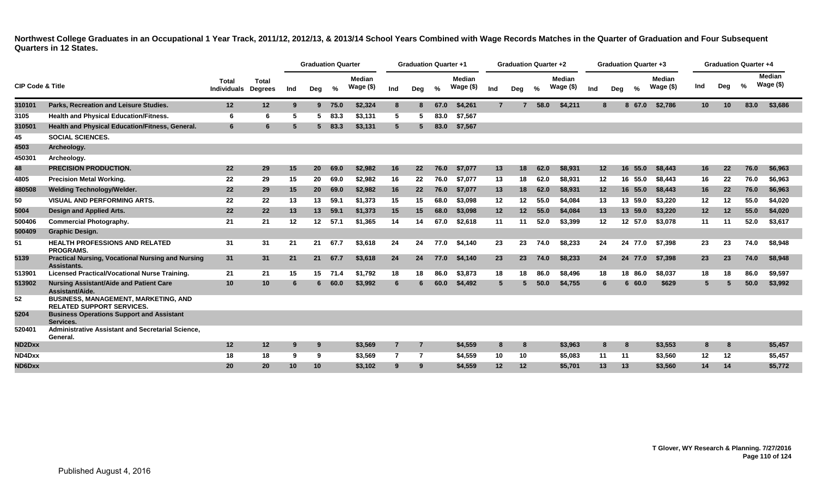**Northwest College Graduates in an Occupational 1 Year Track, 2011/12, 2012/13, & 2013/14 School Years Combined with Wage Records Matches in the Quarter of Graduation and Four Subsequent Quarters in 12 States.**

|                             |                                                                                 |                             |                                |     | <b>Graduation Quarter</b> |         |                            |                | <b>Graduation Quarter +1</b> |      |                             |                 | <b>Graduation Quarter +2</b> |      |                             |     |     | <b>Graduation Quarter +3</b> |                            |                 | <b>Graduation Quarter +4</b> |      |                             |
|-----------------------------|---------------------------------------------------------------------------------|-----------------------------|--------------------------------|-----|---------------------------|---------|----------------------------|----------------|------------------------------|------|-----------------------------|-----------------|------------------------------|------|-----------------------------|-----|-----|------------------------------|----------------------------|-----------------|------------------------------|------|-----------------------------|
| <b>CIP Code &amp; Title</b> |                                                                                 | Total<br><b>Individuals</b> | <b>Total</b><br><b>Degrees</b> | Ind | Deg                       | %       | <b>Median</b><br>Wage (\$) | Ind            | Deg                          | $\%$ | <b>Median</b><br>Wage $($)$ | Ind             | Deg                          | %    | <b>Median</b><br>Wage $($)$ | Ind | Deg | %                            | <b>Median</b><br>Wage (\$) | Ind             | Deg                          | %    | <b>Median</b><br>Wage $($)$ |
| 310101                      | Parks, Recreation and Leisure Studies.                                          | 12                          | 12                             | -9  |                           | 9 75.0  | \$2,324                    | 8              |                              | 67.0 | \$4,261                     | $\overline{7}$  |                              | 58.0 | \$4,211                     | 8   |     | 8 67.0                       | \$2,786                    | 10 <sup>°</sup> | 10 <sup>°</sup>              | 83.0 | \$3,686                     |
| 3105                        | <b>Health and Physical Education/Fitness.</b>                                   | 6                           | 6                              | -5  | 5.                        | 83.3    | \$3.131                    | 5              |                              | 83.0 | \$7,567                     |                 |                              |      |                             |     |     |                              |                            |                 |                              |      |                             |
| 310501                      | Health and Physical Education/Fitness, General.                                 | 6                           | 6                              | -5  | 5.                        | 83.3    | \$3,131                    | $5^{\circ}$    |                              | 83.0 | \$7,567                     |                 |                              |      |                             |     |     |                              |                            |                 |                              |      |                             |
| 45                          | <b>SOCIAL SCIENCES.</b>                                                         |                             |                                |     |                           |         |                            |                |                              |      |                             |                 |                              |      |                             |     |     |                              |                            |                 |                              |      |                             |
| 4503                        | Archeology.                                                                     |                             |                                |     |                           |         |                            |                |                              |      |                             |                 |                              |      |                             |     |     |                              |                            |                 |                              |      |                             |
| 450301                      | Archeology.                                                                     |                             |                                |     |                           |         |                            |                |                              |      |                             |                 |                              |      |                             |     |     |                              |                            |                 |                              |      |                             |
| 48                          | <b>PRECISION PRODUCTION.</b>                                                    | 22                          | 29                             | 15  | <b>20</b>                 | 69.0    | \$2,982                    | 16             | 22                           | 76.0 | \$7,077                     | 13              | 18                           | 62.0 | \$8,931                     | 12  |     | 16<br>55.0                   | \$8,443                    | 16              | 22                           | 76.0 | \$6,963                     |
| 4805                        | <b>Precision Metal Working.</b>                                                 | 22                          | 29                             | 15  | 20                        | 69.0    | \$2.982                    | 16             | 22                           | 76.0 | \$7.077                     | 13              | 18                           | 62.0 | \$8.931                     | 12  |     | 16 55.0                      | \$8.443                    | 16              | 22                           | 76.0 | \$6.963                     |
| 480508                      | <b>Welding Technology/Welder.</b>                                               | 22                          | 29                             | 15  | 20                        | 69.0    | \$2,982                    | 16             | 22                           | 76.0 | \$7.077                     | 13              | 18                           | 62.0 | \$8.931                     | 12  |     | 16 55.0                      | \$8,443                    | 16              | 22                           | 76.0 | \$6.963                     |
| 50                          | <b>VISUAL AND PERFORMING ARTS.</b>                                              | 22                          | 22                             | 13  | 13                        | 59.1    | \$1,373                    | 15             | 15                           | 68.0 | \$3,098                     | 12              | 12                           | 55.0 | \$4.084                     | 13  |     | 13 59.0                      | \$3,220                    | 12              | $12 \,$                      | 55.0 | \$4.020                     |
| 5004                        | Design and Applied Arts.                                                        | 22                          | 22                             | 13  | 13                        | 59.1    | \$1,373                    | 15             | 15 <sub>7</sub>              | 68.0 | \$3,098                     | 12 <sub>2</sub> | 12 <sup>2</sup>              | 55.0 | \$4,084                     | 13  |     | 13 59.0                      | \$3,220                    | 12              | 12                           | 55.0 | \$4,020                     |
| 500406                      | <b>Commercial Photography.</b>                                                  | 21                          | 21                             | 12  | $12 \,$                   | 57.1    | \$1,365                    | 14             | 14                           | 67.0 | \$2,618                     | 11              | 11                           | 52.0 | \$3,399                     | 12  |     | 12 57.0                      | \$3,078                    | 11              | 11                           | 52.0 | \$3,617                     |
| 500409                      | <b>Graphic Design.</b>                                                          |                             |                                |     |                           |         |                            |                |                              |      |                             |                 |                              |      |                             |     |     |                              |                            |                 |                              |      |                             |
| 51                          | <b>HEALTH PROFESSIONS AND RELATED</b><br><b>PROGRAMS.</b>                       | 31                          | 31                             | 21  | 21                        | 67.7    | \$3,618                    | 24             | 24                           | 77.0 | \$4,140                     | 23              | 23                           | 74.0 | \$8,233                     | 24  |     | 24 77.0                      | \$7,398                    | 23              | 23                           | 74.0 | \$8,948                     |
| 5139                        | <b>Practical Nursing, Vocational Nursing and Nursing</b><br>Assistants.         | 31                          | 31                             | 21  | 21                        | 67.7    | \$3,618                    | 24             | 24                           | 77.0 | \$4,140                     | 23              | 23                           | 74.0 | \$8,233                     | 24  |     | 24 77.0                      | \$7,398                    | 23              | 23                           | 74.0 | \$8,948                     |
| 513901                      | <b>Licensed Practical/Vocational Nurse Training.</b>                            | 21                          | 21                             | 15  |                           | 15 71.4 | \$1.792                    | 18             | 18                           | 86.0 | \$3,873                     | 18              | 18                           | 86.0 | \$8.496                     | 18  |     | 18 86.0                      | \$8,037                    | 18              | 18                           | 86.0 | \$9,597                     |
| 513902                      | Nursing Assistant/Aide and Patient Care<br>Assistant/Aide.                      | 10                          | 10 <sub>1</sub>                | 6   | 6.                        | 60.0    | \$3,992                    | 6              |                              | 60.0 | \$4,492                     | $5\phantom{.0}$ | -5                           | 50.0 | \$4,755                     | 6   |     | 660.0                        | \$629                      | 5               |                              | 50.0 | \$3,992                     |
| 52                          | <b>BUSINESS, MANAGEMENT, MARKETING, AND</b><br><b>RELATED SUPPORT SERVICES.</b> |                             |                                |     |                           |         |                            |                |                              |      |                             |                 |                              |      |                             |     |     |                              |                            |                 |                              |      |                             |
| 5204                        | <b>Business Operations Support and Assistant</b><br>Services.                   |                             |                                |     |                           |         |                            |                |                              |      |                             |                 |                              |      |                             |     |     |                              |                            |                 |                              |      |                             |
| 520401                      | <b>Administrative Assistant and Secretarial Science.</b><br>General.            |                             |                                |     |                           |         |                            |                |                              |      |                             |                 |                              |      |                             |     |     |                              |                            |                 |                              |      |                             |
| ND2Dxx                      |                                                                                 | 12                          | 12 <sub>2</sub>                | -9  | 9                         |         | \$3,569                    | $\overline{7}$ | -7                           |      | \$4,559                     | 8               | 8                            |      | \$3,963                     | 8   |     | 8                            | \$3,553                    | 8               | 8                            |      | \$5,457                     |
| ND4Dxx                      |                                                                                 | 18                          | 18                             | -9  | 9                         |         | \$3.569                    | $\overline{7}$ | -7                           |      | \$4.559                     | 10              | 10                           |      | \$5,083                     | 11  |     | 11                           | \$3,560                    | 12              | 12 <sup>12</sup>             |      | \$5,457                     |
| ND6Dxx                      |                                                                                 | 20                          | 20                             | 10  | 10 <sup>1</sup>           |         | \$3,102                    | 9              | 9                            |      | \$4,559                     | 12 <sub>2</sub> | 12                           |      | \$5,701                     | 13  |     | 13                           | \$3,560                    | 14              | 14                           |      | \$5,772                     |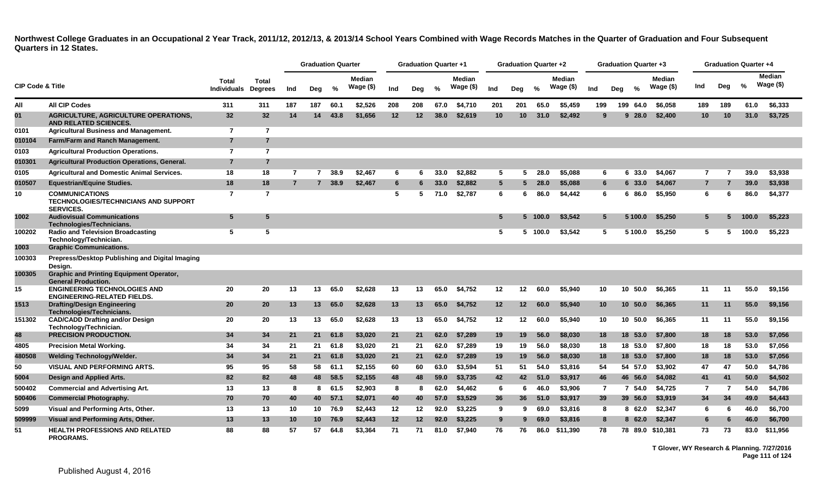**Northwest College Graduates in an Occupational 2 Year Track, 2011/12, 2012/13, & 2013/14 School Years Combined with Wage Records Matches in the Quarter of Graduation and Four Subsequent Quarters in 12 States.**

|                             |                                                                                          |                             |                                |     | <b>Graduation Quarter</b> |        |                            |     | <b>Graduation Quarter +1</b> |               |                             |                 | <b>Graduation Quarter +2</b> |         |                             |                 | <b>Graduation Quarter +3</b> |               |                            |                |     | <b>Graduation Quarter +4</b> |                      |
|-----------------------------|------------------------------------------------------------------------------------------|-----------------------------|--------------------------------|-----|---------------------------|--------|----------------------------|-----|------------------------------|---------------|-----------------------------|-----------------|------------------------------|---------|-----------------------------|-----------------|------------------------------|---------------|----------------------------|----------------|-----|------------------------------|----------------------|
| <b>CIP Code &amp; Title</b> |                                                                                          | <b>Total</b><br>Individuals | <b>Total</b><br><b>Degrees</b> | Ind | Deg                       | $\%$   | <b>Median</b><br>Wage (\$) | Ind | Deg                          | $\frac{6}{6}$ | <b>Median</b><br>Wage $($)$ | Ind             | Deg                          | $\%$    | <b>Median</b><br>Wage $($)$ | Ind             | Dea                          | $\frac{9}{6}$ | <b>Median</b><br>Wage (\$) | Ind            | Deg | %                            | Median<br>Wage $($)$ |
| All                         | <b>All CIP Codes</b>                                                                     | 311                         | 311                            | 187 | 187                       | 60.1   | \$2,526                    | 208 | 208                          | 67.0          | \$4,710                     | 201             | 201                          | 65.0    | \$5,459                     | 199             |                              | 199 64.0      | \$6,058                    | 189            | 189 | 61.0                         | \$6,333              |
| 01                          | <b>AGRICULTURE, AGRICULTURE OPERATIONS,</b><br><b>AND RELATED SCIENCES.</b>              | 32                          | 32 <sub>2</sub>                | 14  | 14                        | 43.8   | \$1.656                    | 12  | 12                           | 38.0          | \$2,619                     | 10              | 10                           | 31.0    | \$2,492                     | 9               |                              | 928.0         | \$2,400                    | 10             | 10  | 31.0                         | \$3,725              |
| 0101                        | <b>Agricultural Business and Management.</b>                                             | $\overline{7}$              | $\overline{7}$                 |     |                           |        |                            |     |                              |               |                             |                 |                              |         |                             |                 |                              |               |                            |                |     |                              |                      |
| 010104                      | Farm/Farm and Ranch Management.                                                          | $\overline{7}$              | $\overline{7}$                 |     |                           |        |                            |     |                              |               |                             |                 |                              |         |                             |                 |                              |               |                            |                |     |                              |                      |
| 0103                        | <b>Agricultural Production Operations.</b>                                               | $\overline{7}$              | $\overline{7}$                 |     |                           |        |                            |     |                              |               |                             |                 |                              |         |                             |                 |                              |               |                            |                |     |                              |                      |
| 010301                      | <b>Agricultural Production Operations, General.</b>                                      | $\overline{7}$              | $\overline{7}$                 |     |                           |        |                            |     |                              |               |                             |                 |                              |         |                             |                 |                              |               |                            |                |     |                              |                      |
| 0105                        | <b>Agricultural and Domestic Animal Services.</b>                                        | 18                          | 18                             | 7   | $\overline{7}$            | 38.9   | \$2.467                    | 6   | 6                            | 33.0          | \$2.882                     | 5               | 5                            | 28.0    | \$5.088                     | 6               |                              | 6 33.0        | \$4.067                    | $\overline{7}$ |     | 39.0                         | \$3,938              |
| 010507                      | <b>Equestrian/Equine Studies.</b>                                                        | 18                          | 18                             | 7   |                           | 7 38.9 | \$2,467                    | 6   |                              | 33.0          | \$2,882                     | $5\overline{5}$ |                              | 28.0    | \$5,088                     | 6               |                              | 6 33.0        | \$4,067                    | $\overline{7}$ |     | 39.0                         | \$3,938              |
| 10                          | <b>COMMUNICATIONS</b><br><b>TECHNOLOGIES/TECHNICIANS AND SUPPORT</b><br><b>SERVICES.</b> | $\overline{7}$              | $\overline{7}$                 |     |                           |        |                            | 5   | 5                            | 71.0          | \$2,787                     | 6               | 6                            | 86.0    | \$4,442                     | 6               |                              | 6 86.0        | \$5,950                    | 6              | 6   | 86.0                         | \$4,377              |
| 1002                        | <b>Audiovisual Communications</b><br>Technologies/Technicians.                           | 5                           | 5                              |     |                           |        |                            |     |                              |               |                             | $5\phantom{.0}$ |                              | 5 100.0 | \$3,542                     | 5               |                              | 5 100.0       | \$5.250                    | $5^{\circ}$    | 5   | 100.0                        | \$5,223              |
| 100202                      | <b>Radio and Television Broadcasting</b><br>Technology/Technician.                       | 5                           | 5                              |     |                           |        |                            |     |                              |               |                             | -5              |                              | 5 100.0 | \$3.542                     | 5               |                              | 5 100.0       | \$5.250                    | 5              | 5   | 100.0                        | \$5,223              |
| 1003                        | <b>Graphic Communications.</b>                                                           |                             |                                |     |                           |        |                            |     |                              |               |                             |                 |                              |         |                             |                 |                              |               |                            |                |     |                              |                      |
| 100303                      | Prepress/Desktop Publishing and Digital Imaging<br>Design.                               |                             |                                |     |                           |        |                            |     |                              |               |                             |                 |                              |         |                             |                 |                              |               |                            |                |     |                              |                      |
| 100305                      | <b>Graphic and Printing Equipment Operator,</b><br><b>General Production.</b>            |                             |                                |     |                           |        |                            |     |                              |               |                             |                 |                              |         |                             |                 |                              |               |                            |                |     |                              |                      |
| 15                          | <b>ENGINEERING TECHNOLOGIES AND</b><br><b>ENGINEERING-RELATED FIELDS.</b>                | 20                          | 20                             | 13  | 13                        | 65.0   | \$2,628                    | 13  | 13                           | 65.0          | \$4,752                     | 12              | 12                           | 60.0    | \$5,940                     | 10              | 10                           | 50.0          | \$6,365                    | 11             | 11  | 55.0                         | \$9,156              |
| 1513                        | <b>Drafting/Design Engineering</b><br>Technologies/Technicians.                          | 20                          | 20                             | 13  | 13                        | 65.0   | \$2,628                    | 13  | 13                           | 65.0          | \$4,752                     | 12              | 12 <sub>2</sub>              | 60.0    | \$5,940                     | 10 <sub>1</sub> | 10 <sup>1</sup>              | 50.0          | \$6,365                    | 11             | 11  | 55.0                         | \$9,156              |
| 151302                      | <b>CAD/CADD Drafting and/or Design</b><br>Technology/Technician.                         | 20                          | 20                             | 13  | 13                        | 65.0   | \$2,628                    | 13  | 13                           | 65.0          | \$4,752                     | 12 <sub>2</sub> | 12 <sup>12</sup>             | 60.0    | \$5.940                     | 10              |                              | 10 50.0       | \$6,365                    | 11             | 11  | 55.0                         | \$9,156              |
| 48                          | <b>PRECISION PRODUCTION.</b>                                                             | 34                          | 34                             | 21  | 21                        | 61.8   | \$3,020                    | 21  | 21                           | 62.0          | \$7.289                     | 19              | 19                           | 56.0    | \$8,030                     | 18              | 18                           | 53.0          | \$7,800                    | 18             | 18  | 53.0                         | \$7,056              |
| 4805                        | <b>Precision Metal Working.</b>                                                          | 34                          | 34                             | 21  | 21                        | 61.8   | \$3,020                    | 21  | 21                           | 62.0          | \$7,289                     | 19              | 19                           | 56.0    | \$8,030                     | 18              |                              | 18 53.0       | \$7,800                    | 18             | 18  | 53.0                         | \$7,056              |
| 480508                      | <b>Welding Technology/Welder.</b>                                                        | 34                          | 34                             | 21  | 21                        | 61.8   | \$3,020                    | 21  | 21                           | 62.0          | \$7,289                     | 19              | 19                           | 56.0    | \$8,030                     | 18              |                              | 18 53.0       | \$7,800                    | 18             | 18  | 53.0                         | \$7,056              |
| 50                          | <b>VISUAL AND PERFORMING ARTS.</b>                                                       | 95                          | 95                             | 58  | 58                        | 61.1   | \$2,155                    | 60  | 60                           | 63.0          | \$3,594                     | 51              | 51                           | 54.0    | \$3,816                     | 54              |                              | 54 57.0       | \$3,902                    | 47             | 47  | 50.0                         | \$4,786              |
| 5004                        | Design and Applied Arts.                                                                 | 82                          | 82                             | 48  | 48                        | 58.5   | \$2,155                    | 48  | 48                           | 59.0          | \$3,735                     | 42              | 42                           | 51.0    | \$3,917                     | 46              |                              | 46 56.0       | \$4,082                    | 41             | 41  | 50.0                         | \$4,502              |
| 500402                      | <b>Commercial and Advertising Art.</b>                                                   | 13                          | 13                             | -8  |                           | 8 61.5 | \$2,903                    | 8   | 8                            | 62.0          | \$4,462                     | 6               | 6                            | 46.0    | \$3.906                     | $\overline{7}$  |                              | 7 54.0        | \$4,725                    | 7              | 7   | 54.0                         | \$4,786              |
| 500406                      | <b>Commercial Photography.</b>                                                           | 70                          | 70                             | 40  | 40                        | 57.1   | \$2,071                    | 40  | 40                           | 57.0          | \$3,529                     | 36              | 36                           | 51.0    | \$3,917                     | 39              |                              | 39 56.0       | \$3,919                    | 34             | 34  | 49.0                         | \$4,443              |
| 5099                        | Visual and Performing Arts, Other.                                                       | 13                          | 13                             | 10  | 10 <sup>°</sup>           | 76.9   | \$2,443                    | 12  | 12                           | 92.0          | \$3,225                     | 9               | 9                            | 69.0    | \$3,816                     | 8               |                              | 8 62.0        | \$2,347                    | 6              | 6   | 46.0                         | \$6,700              |
| 509999                      | Visual and Performing Arts, Other.                                                       | 13                          | 13                             | 10  | 10 <sup>1</sup>           | 76.9   | \$2,443                    | 12  | 12                           | 92.0          | \$3,225                     | 9               | 9                            | 69.0    | \$3,816                     | 8               |                              | 8 62.0        | \$2,347                    | 6              | 6   | 46.0                         | \$6,700              |
| 51                          | <b>HEALTH PROFESSIONS AND RELATED</b><br><b>PROGRAMS.</b>                                | 88                          | 88                             | 57  | 57                        | 64.8   | \$3,364                    | 71  | 71                           | 81.0          | \$7.940                     | 76              | 76                           | 86.0    | \$11.390                    | 78              |                              |               | 78 89.0 \$10.381           | 73             | 73  | 83.0                         | \$11.956             |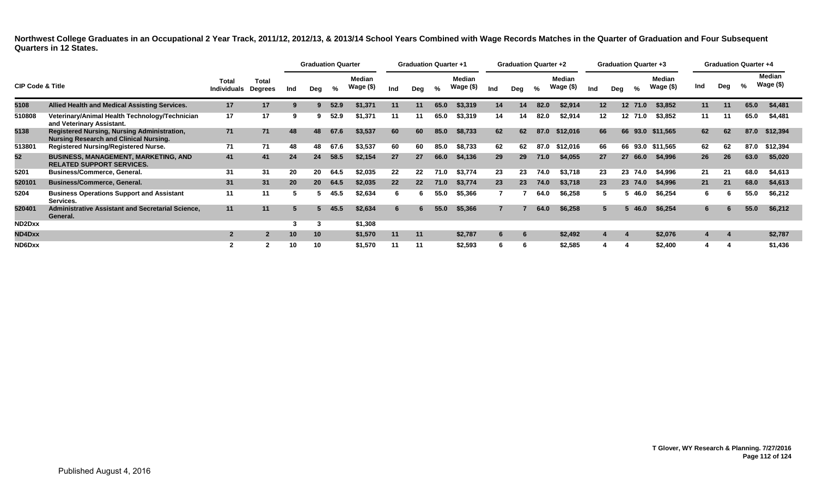**Northwest College Graduates in an Occupational 2 Year Track, 2011/12, 2012/13, & 2013/14 School Years Combined with Wage Records Matches in the Quarter of Graduation and Four Subsequent Quarters in 12 States.**

|                             |                                                                                                     |                             |                                |     | <b>Graduation Quarter</b> |      |                            |     | <b>Graduation Quarter +1</b> |      |                            |     | <b>Graduation Quarter +2</b> |      |                     |     |     |         | <b>Graduation Quarter +3</b> |     | <b>Graduation Quarter +4</b> |      |                     |
|-----------------------------|-----------------------------------------------------------------------------------------------------|-----------------------------|--------------------------------|-----|---------------------------|------|----------------------------|-----|------------------------------|------|----------------------------|-----|------------------------------|------|---------------------|-----|-----|---------|------------------------------|-----|------------------------------|------|---------------------|
| <b>CIP Code &amp; Title</b> |                                                                                                     | Total<br><b>Individuals</b> | <b>Total</b><br><b>Degrees</b> | Ind | Deg                       | %    | <b>Median</b><br>Wage (\$) | Ind | Deg                          | %    | <b>Median</b><br>Wage (\$) | Ind | Deg                          | %    | Median<br>Wage (\$) | Ind | Deg | %       | Median<br>Wage (\$)          | Ind | Deg                          | %    | Median<br>Wage (\$) |
| 5108                        | Allied Health and Medical Assisting Services.                                                       | 17                          | 17                             | -9  | 9.                        | 52.9 | \$1,371                    | 11  | 11                           | 65.0 | \$3,319                    | 14  | 14                           | 82.0 | \$2,914             | 12  |     | 12 71.0 | \$3,852                      | 11  | 11                           | 65.0 | \$4,481             |
| 510808                      | Veterinary/Animal Health Technology/Technician<br>and Veterinary Assistant.                         | 17                          | 17                             | 9   |                           | 52.9 | \$1,371                    | 11  | 11                           | 65.0 | \$3,319                    | 14  | 14                           | 82.0 | \$2,914             | 12  |     | 12 71.0 | \$3,852                      | 11  | -11                          | 65.0 | \$4,481             |
| 5138                        | <b>Registered Nursing, Nursing Administration,</b><br><b>Nursing Research and Clinical Nursing.</b> | 71                          | 71                             | 48  | 48                        | 67.6 | \$3,537                    | 60  | 60                           | 85.0 | \$8,733                    | 62  | 62                           | 87.0 | \$12,016            | 66  |     |         | 66 93.0 \$11,565             | 62  | 62                           | 87.0 | \$12,394            |
| 513801                      | <b>Registered Nursing/Registered Nurse.</b>                                                         | 71                          | 71                             | 48  | 48                        | 67.6 | \$3,537                    | 60  | 60                           | 85.0 | \$8,733                    | 62  | 62                           | 87.0 | \$12,016            | 66  |     | 66 93.0 | \$11,565                     | 62  | 62                           | 87.0 | \$12,394            |
| 52                          | <b>BUSINESS, MANAGEMENT, MARKETING, AND</b><br><b>RELATED SUPPORT SERVICES.</b>                     | 41                          | 41                             | 24  | 24                        | 58.5 | \$2,154                    | 27  | 27                           | 66.0 | \$4,136                    | 29  | 29                           | 71.0 | \$4,055             | 27  |     | 27 66.0 | \$4,996                      | 26  | 26                           | 63.0 | \$5,020             |
| 5201                        | <b>Business/Commerce, General.</b>                                                                  | 31                          | 31                             | 20  | 20                        | 64.5 | \$2,035                    | 22  | 22                           | 71.0 | \$3,774                    | 23  | 23                           | 74.0 | \$3,718             | 23  |     | 23 74.0 | \$4,996                      | 21  | -21                          | 68.0 | \$4,613             |
| 520101                      | <b>Business/Commerce, General.</b>                                                                  | 31                          | 31                             | 20  | 20 <sup>°</sup>           | 64.5 | \$2,035                    | 22  | 22                           | 71.0 | \$3,774                    | 23  | 23                           | 74.0 | \$3,718             | 23  |     | 23 74.0 | \$4,996                      | 21  | 21                           | 68.0 | \$4,613             |
| 5204                        | <b>Business Operations Support and Assistant</b><br>Services.                                       | 11                          | 11                             |     |                           | 45.5 | \$2,634                    | 6   |                              | 55.0 | \$5,366                    |     |                              | 64.0 | \$6,258             |     |     | 46.0    | \$6,254                      | 6.  |                              | 55.0 | \$6,212             |
| 520401                      | <b>Administrative Assistant and Secretarial Science,</b><br>General.                                | 11                          | 11                             |     |                           | 45.5 | \$2,634                    | 6   |                              | 55.0 | \$5,366                    |     |                              | 64.0 | \$6,258             | 5   |     | 46.0    | \$6,254                      |     |                              | 55.0 | \$6,212             |
| ND2Dxx                      |                                                                                                     |                             |                                | 3   |                           |      | \$1,308                    |     |                              |      |                            |     |                              |      |                     |     |     |         |                              |     |                              |      |                     |
| ND4Dxx                      |                                                                                                     | $\overline{2}$              | $\overline{2}$                 | 10  | 10                        |      | \$1,570                    | 11  | 11                           |      | \$2,787                    | 6   | 6                            |      | \$2,492             |     |     |         | \$2,076                      |     |                              |      | \$2,787             |
| ND6Dxx                      |                                                                                                     |                             |                                | 10  |                           |      | \$1,570                    | 11  | 11                           |      | \$2,593                    | 6   | 6                            |      | \$2,585             |     |     |         | \$2,400                      |     |                              |      | \$1,436             |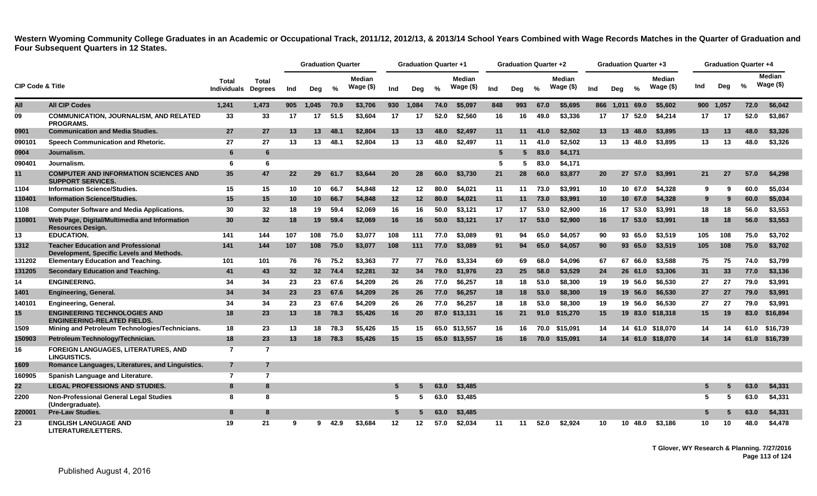|                             |                                                                                        |                             |                         |     | <b>Graduation Quarter</b> |         |                            |                 | <b>Graduation Quarter +1</b> |               |                            |                 | <b>Graduation Quarter +2</b> |      |                             |           | <b>Graduation Quarter +3</b> |               |                             |     | <b>Graduation Quarter +4</b> |      |                             |
|-----------------------------|----------------------------------------------------------------------------------------|-----------------------------|-------------------------|-----|---------------------------|---------|----------------------------|-----------------|------------------------------|---------------|----------------------------|-----------------|------------------------------|------|-----------------------------|-----------|------------------------------|---------------|-----------------------------|-----|------------------------------|------|-----------------------------|
| <b>CIP Code &amp; Title</b> |                                                                                        | Total<br><b>Individuals</b> | Total<br><b>Degrees</b> | Ind | Deg                       | %       | <b>Median</b><br>Wage (\$) | Ind             | Deg                          | $\frac{1}{2}$ | <b>Median</b><br>Wage (\$) | Ind             | Deg                          | $\%$ | <b>Median</b><br>Wage $($)$ | Ind       | Deg                          | $\frac{6}{6}$ | <b>Median</b><br>Wage $($)$ | Ind | Dea                          | %    | <b>Median</b><br>Wage $($)$ |
| All                         | <b>All CIP Codes</b>                                                                   | 1,241                       | 1,473                   | 905 | 1.045                     | 70.9    | \$3,706                    |                 | 930 1.084                    | 74.0          | \$5,097                    | 848             | 993                          | 67.0 | \$5.695                     |           | 866 1.011 69.0               |               | \$5.602                     |     | 900 1,057                    | 72.0 | \$6,042                     |
| 09                          | <b>COMMUNICATION, JOURNALISM, AND RELATED</b><br><b>PROGRAMS.</b>                      | 33                          | 33                      | 17  | 17                        | 51.5    | \$3,604                    | 17              | 17                           | 52.0          | \$2.560                    | 16              | 16                           | 49.0 | \$3,336                     | 17        | 17 <sup>2</sup>              | 52.0          | \$4,214                     | 17  | 17                           | 52.0 | \$3,867                     |
| 0901                        | <b>Communication and Media Studies.</b>                                                | 27                          | 27                      | 13  | 13                        | 48.1    | \$2,804                    | 13              | 13                           | 48.0          | \$2,497                    | 11              | 11                           | 41.0 | \$2,502                     | 13        |                              | 13 48.0       | \$3,895                     | 13  | 13                           | 48.0 | \$3,326                     |
| 090101                      | Speech Communication and Rhetoric.                                                     | 27                          | 27                      | 13  | 13                        | 48.1    | \$2.804                    | 13              | 13                           | 48.0          | \$2,497                    | 11              | 11                           | 41.0 | \$2.502                     | 13        |                              | 13 48.0       | \$3.895                     | 13  | 13                           | 48.0 | \$3,326                     |
| 0904                        | Journalism.                                                                            | 6                           | 6                       |     |                           |         |                            |                 |                              |               |                            | $5\overline{)}$ | 5                            | 83.0 | \$4,171                     |           |                              |               |                             |     |                              |      |                             |
| 090401                      | Journalism.                                                                            | 6                           | 6                       |     |                           |         |                            |                 |                              |               |                            | 5               | 5.                           | 83.0 | \$4,171                     |           |                              |               |                             |     |                              |      |                             |
| 11                          | <b>COMPUTER AND INFORMATION SCIENCES AND</b><br><b>SUPPORT SERVICES.</b>               | 35                          | 47                      | 22  | 29                        | 61.7    | \$3.644                    | <b>20</b>       | 28                           | 60.0          | \$3,730                    | 21              | 28                           | 60.0 | \$3,877                     | <b>20</b> |                              | 27 57.0       | \$3,991                     | 21  | 27                           | 57.0 | \$4,298                     |
| 1104                        | <b>Information Science/Studies.</b>                                                    | 15                          | 15                      | 10  | 10                        | 66.7    | \$4,848                    | 12              | 12                           | 80.0          | \$4,021                    | 11              | 11                           | 73.0 | \$3,991                     | 10        |                              | 10 67.0       | \$4,328                     | 9   | -9                           | 60.0 | \$5,034                     |
| 110401                      | <b>Information Science/Studies.</b>                                                    | 15                          | 15                      | 10  | 10 <sup>1</sup>           | 66.7    | \$4,848                    | 12              | 12                           | 80.0          | \$4,021                    | 11              | 11                           | 73.0 | \$3,991                     | 10        |                              | 10, 67.0      | \$4,328                     | 9   | 9                            | 60.0 | \$5,034                     |
| 1108                        | <b>Computer Software and Media Applications.</b>                                       | 30                          | 32                      | 18  | 19                        | 59.4    | \$2,069                    | 16              | 16                           | 50.0          | \$3,121                    | 17              | 17                           | 53.0 | \$2,900                     | 16        |                              | 17 53.0       | \$3,991                     | 18  | 18                           | 56.0 | \$3,553                     |
| 110801                      | Web Page, Digital/Multimedia and Information<br><b>Resources Design.</b>               | 30                          | 32                      | 18  | 19 <sup>°</sup>           | 59.4    | \$2,069                    | 16              | 16                           | 50.0          | \$3,121                    | 17              | 17                           | 53.0 | \$2,900                     | 16        |                              | 17 53.0       | \$3,991                     | 18  | 18                           | 56.0 | \$3,553                     |
| 13                          | <b>EDUCATION.</b>                                                                      | 141                         | 144                     | 107 | 108                       | 75.0    | \$3,077                    | 108             | 111                          | 77.0          | \$3,089                    | 91              | 94                           | 65.0 | \$4.057                     | 90        |                              | 93 65.0       | \$3.519                     | 105 | 108                          | 75.0 | \$3.702                     |
| 1312                        | <b>Teacher Education and Professional</b><br>Development, Specific Levels and Methods. | 141                         | 144                     | 107 | 108                       | 75.0    | \$3,077                    | 108             | 111                          | 77.0          | \$3,089                    | 91              | 94                           | 65.0 | \$4.057                     | 90        |                              | 93 65.0       | \$3,519                     | 105 | 108                          | 75.0 | \$3,702                     |
| 131202                      | <b>Elementary Education and Teaching.</b>                                              | 101                         | 101                     | 76  | 76                        | 75.2    | \$3,363                    | 77              | 77                           | 76.0          | \$3,334                    | 69              | 69                           | 68.0 | \$4,096                     | 67        |                              | 67 66.0       | \$3,588                     | 75  | 75                           | 74.0 | \$3,799                     |
| 131205                      | <b>Secondary Education and Teaching.</b>                                               | 41                          | 43                      | 32  |                           | 32 74.4 | \$2,281                    | 32              | 34                           | 79.0          | \$1,976                    | 23              | 25 <sub>2</sub>              | 58.0 | \$3,529                     | 24        |                              | 26 61.0       | \$3,306                     | 31  | 33                           | 77.0 | \$3,136                     |
| 14                          | <b>ENGINEERING.</b>                                                                    | 34                          | 34                      | 23  | 23                        | 67.6    | \$4,209                    | 26              | 26                           | 77.0          | \$6,257                    | 18              | 18                           | 53.0 | \$8,300                     | 19        |                              | 19 56.0       | \$6,530                     | 27  | 27                           | 79.0 | \$3,991                     |
| 1401                        | Engineering, General.                                                                  | 34                          | 34                      | 23  | 23                        | 67.6    | \$4,209                    | 26              | 26                           | 77.0          | \$6,257                    | 18              | 18                           | 53.0 | \$8,300                     | 19        |                              | 19 56.0       | \$6,530                     | 27  | 27                           | 79.0 | \$3,991                     |
| 140101                      | <b>Engineering, General.</b>                                                           | 34                          | 34                      | 23  | 23                        | 67.6    | \$4,209                    | 26              | 26                           | 77.0          | \$6,257                    | 18              | 18                           | 53.0 | \$8,300                     | 19        |                              | 19 56.0       | \$6,530                     | 27  | 27                           | 79.0 | \$3,991                     |
| 15                          | <b>ENGINEERING TECHNOLOGIES AND</b><br><b>ENGINEERING-RELATED FIELDS.</b>              | 18                          | 23                      | 13  | 18                        | 78.3    | \$5,426                    | 16              | <b>20</b>                    | 87.0          | \$13,131                   | 16              | 21                           | 91.0 | \$15,270                    | 15        |                              | 19 83.0       | \$18,318                    | 15  | 19                           | 83.0 | \$16,894                    |
| 1509                        | Mining and Petroleum Technologies/Technicians.                                         | 18                          | 23                      | 13  | 18                        | 78.3    | \$5.426                    | 15              | 15                           |               | 65.0 \$13.557              | 16              | 16                           | 70.0 | \$15.091                    | 14        |                              |               | 14 61.0 \$18.070            | 14  | -14                          | 61.0 | \$16,739                    |
| 150903                      | Petroleum Technology/Technician.                                                       | 18                          | 23                      | 13  | 18                        | 78.3    | \$5,426                    | 15              | 15                           | 65.0          | \$13,557                   | 16              | 16                           | 70.0 | \$15,091                    | 14        |                              | 14 61.0       | \$18.070                    | 14  | 14                           | 61.0 | \$16,739                    |
| 16                          | <b>FOREIGN LANGUAGES, LITERATURES, AND</b><br>LINGUISTICS.                             | $\overline{7}$              | $\overline{7}$          |     |                           |         |                            |                 |                              |               |                            |                 |                              |      |                             |           |                              |               |                             |     |                              |      |                             |
| 1609                        | Romance Languages, Literatures, and Linguistics.                                       | $\overline{7}$              | $\overline{7}$          |     |                           |         |                            |                 |                              |               |                            |                 |                              |      |                             |           |                              |               |                             |     |                              |      |                             |
| 160905                      | Spanish Language and Literature.                                                       | $\overline{7}$              | $\overline{7}$          |     |                           |         |                            |                 |                              |               |                            |                 |                              |      |                             |           |                              |               |                             |     |                              |      |                             |
| 22                          | <b>LEGAL PROFESSIONS AND STUDIES.</b>                                                  | 8                           | 8                       |     |                           |         |                            | 5               |                              | 63.0          | \$3,485                    |                 |                              |      |                             |           |                              |               |                             |     |                              | 63.0 | \$4,331                     |
| 2200                        | <b>Non-Professional General Legal Studies</b><br>(Undergraduate).                      | 8                           | 8                       |     |                           |         |                            | 5               | 5                            | 63.0          | \$3,485                    |                 |                              |      |                             |           |                              |               |                             | -5  | 5                            | 63.0 | \$4,331                     |
| 220001                      | <b>Pre-Law Studies.</b>                                                                | 8                           | 8                       |     |                           |         |                            | $5\phantom{.0}$ |                              | 63.0          | \$3,485                    |                 |                              |      |                             |           |                              |               |                             |     |                              | 63.0 | \$4,331                     |
| 23                          | <b>ENGLISH LANGUAGE AND</b><br><b>LITERATURE/LETTERS.</b>                              | 19                          | 21                      | 9   | 9                         | 42.9    | \$3,684                    | 12              | 12                           | 57.0          | \$2,034                    | 11              | 11                           | 52.0 | \$2,924                     | 10        | 10                           | 48.0          | \$3,186                     | 10  | 10                           | 48.0 | \$4,478                     |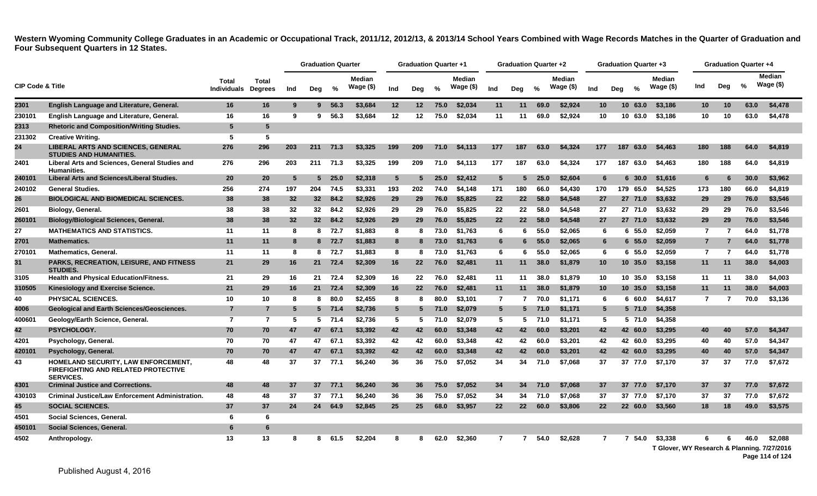|                             |                                                                                                |                             |                                |     | <b>Graduation Quarter</b> |          |                             |                 | <b>Graduation Quarter +1</b> |               |                            |                   | Graduation Quarter +2 |      |                      |                 | <b>Graduation Quarter +3</b> |                                                        |                |                | <b>Graduation Quarter +4</b> |                             |
|-----------------------------|------------------------------------------------------------------------------------------------|-----------------------------|--------------------------------|-----|---------------------------|----------|-----------------------------|-----------------|------------------------------|---------------|----------------------------|-------------------|-----------------------|------|----------------------|-----------------|------------------------------|--------------------------------------------------------|----------------|----------------|------------------------------|-----------------------------|
| <b>CIP Code &amp; Title</b> |                                                                                                | Total<br><b>Individuals</b> | <b>Total</b><br><b>Degrees</b> | Ind | Deg                       | %        | <b>Median</b><br>Wage $($)$ | Ind             | Deg                          | $\frac{0}{0}$ | <b>Median</b><br>Wage (\$) | Ind               | Dea                   | $\%$ | Median<br>Wage $($)$ | Ind             | Deg<br>$\frac{0}{2}$         | <b>Median</b><br>Wage (\$)                             | Ind            | Deg            | $\frac{0}{2}$                | <b>Median</b><br>Wage $($)$ |
| 2301                        | English Language and Literature, General.                                                      | 16                          | 16                             | 9   | 9                         | 56.3     | \$3,684                     | 12              | $12 \,$                      | 75.0          | \$2,034                    | 11                | 11                    | 69.0 | \$2,924              | 10 <sup>°</sup> | 10 <sup>1</sup><br>63.0      | \$3,186                                                | 10             | 10             | 63.0                         | \$4,478                     |
| 230101                      | English Language and Literature, General.                                                      | 16                          | 16                             | 9   | 9                         | 56.3     | \$3,684                     | 12              | 12                           | 75.0          | \$2,034                    | 11                | 11                    | 69.0 | \$2,924              | 10              | 10 63.0                      | \$3,186                                                | 10             | 10             | 63.0                         | \$4,478                     |
| 2313                        | <b>Rhetoric and Composition/Writing Studies.</b>                                               | 5                           | -5                             |     |                           |          |                             |                 |                              |               |                            |                   |                       |      |                      |                 |                              |                                                        |                |                |                              |                             |
| 231302                      | <b>Creative Writing.</b>                                                                       | 5                           | 5                              |     |                           |          |                             |                 |                              |               |                            |                   |                       |      |                      |                 |                              |                                                        |                |                |                              |                             |
| 24                          | <b>LIBERAL ARTS AND SCIENCES, GENERAL</b><br><b>STUDIES AND HUMANITIES.</b>                    | 276                         | 296                            | 203 | 211                       | 71.3     | \$3,325                     | 199             | 209                          | 71.0          | \$4,113                    | 177               | 187                   | 63.0 | \$4.324              | 177             | 187<br>63.0                  | \$4,463                                                | 180            | 188            | 64.0                         | \$4,819                     |
| 2401                        | Liberal Arts and Sciences, General Studies and<br><b>Humanities.</b>                           | 276                         | 296                            | 203 | 211                       | 71.3     | \$3,325                     | 199             | 209                          | 71.0          | \$4,113                    | 177               | 187                   | 63.0 | \$4,324              | 177             | 187<br>63.0                  | \$4,463                                                | 180            | 188            | 64.0                         | \$4,819                     |
| 240101                      | Liberal Arts and Sciences/Liberal Studies.                                                     | 20                          | 20                             | -5  | 5                         | 25.0     | \$2,318                     | $5\phantom{.0}$ |                              | 25.0          | \$2.412                    | $5^{\circ}$       | 5                     | 25.0 | \$2.604              | 6               | 30.0<br>6                    | \$1,616                                                | 6              | 6              | 30.0                         | \$3,962                     |
| 240102                      | <b>General Studies.</b>                                                                        | 256                         | 274                            | 197 | 204                       | 74.5     | \$3,331                     | 193             | 202                          | 74.0          | \$4,148                    | 171               | 180                   | 66.0 | \$4,430              | 170             | 179 65.0                     | \$4,525                                                | 173            | 180            | 66.0                         | \$4,819                     |
| 26                          | <b>BIOLOGICAL AND BIOMEDICAL SCIENCES.</b>                                                     | 38                          | 38                             | 32  | 32 <sup>2</sup>           | 84.2     | \$2,926                     | 29              | 29                           | 76.0          | \$5,825                    | $22 \overline{ }$ | 22                    | 58.0 | \$4,548              | 27              | 27 71.0                      | \$3,632                                                | 29             | 29             | 76.0                         | \$3,546                     |
| 2601                        | Biology, General.                                                                              | 38                          | 38                             | 32  | 32                        | 84.2     | \$2,926                     | 29              | 29                           | 76.0          | \$5,825                    | 22                | 22                    | 58.0 | \$4,548              | 27              | 27 71.0                      | \$3,632                                                | 29             | 29             | 76.0                         | \$3,546                     |
| 260101                      | <b>Biology/Biological Sciences, General.</b>                                                   | 38                          | 38                             | 32  |                           | 32 84.2  | \$2,926                     | 29              | 29                           | 76.0          | \$5,825                    | 22                | 22                    | 58.0 | \$4,548              | 27              | 27 71.0                      | \$3,632                                                | 29             | 29             | 76.0                         | \$3,546                     |
| 27                          | <b>MATHEMATICS AND STATISTICS.</b>                                                             | 11                          | 11                             | 8   | 8                         | 72.7     | \$1,883                     | 8               | 8                            | 73.0          | \$1,763                    | 6                 | 6                     | 55.0 | \$2.065              | 6               | 6 55.0                       | \$2,059                                                | 7              | 7              | 64.0                         | \$1,778                     |
| 2701                        | <b>Mathematics.</b>                                                                            | 11                          | 11                             | 8   |                           | 8 72.7   | \$1,883                     | 8               | 8                            | 73.0          | \$1,763                    | 6                 | 6                     | 55.0 | \$2.065              | 6               | 6 55.0                       | \$2,059                                                | $\overline{7}$ | $\overline{7}$ | 64.0                         | \$1,778                     |
| 270101                      | <b>Mathematics, General.</b>                                                                   | 11                          | 11                             | 8   |                           | 8 72.7   | \$1,883                     | 8               | 8                            | 73.0          | \$1,763                    | 6                 | 6                     | 55.0 | \$2.065              | 6               | 6 55.0                       | \$2,059                                                | $\overline{7}$ | $\overline{7}$ | 64.0                         | \$1,778                     |
| 31                          | <b>PARKS, RECREATION, LEISURE, AND FITNESS</b><br><b>STUDIES.</b>                              | 21                          | 29                             | 16  |                           | 21 72.4  | \$2,309                     | 16              | <b>22</b>                    | 76.0          | \$2,481                    | 11                | 11                    | 38.0 | \$1,879              | 10 <sup>°</sup> | 10, 35.0                     | \$3,158                                                | 11             | 11             | 38.0                         | \$4,003                     |
| 3105                        | <b>Health and Physical Education/Fitness.</b>                                                  | 21                          | 29                             | 16  | 21                        | 72.4     | \$2,309                     | 16              | 22                           | 76.0          | \$2.481                    | 11                | 11                    | 38.0 | \$1.879              | 10              | 10 35.0                      | \$3,158                                                | 11             | 11             | 38.0                         | \$4,003                     |
| 310505                      | Kinesiology and Exercise Science.                                                              | 21                          | 29                             | 16  |                           | 21 72.4  | \$2,309                     | 16              | 22                           | 76.0          | \$2,481                    | 11                | 11                    | 38.0 | \$1.879              | 10 <sup>°</sup> | 10, 35.0                     | \$3,158                                                | 11             | 11             | 38.0                         | \$4,003                     |
| 40                          | <b>PHYSICAL SCIENCES.</b>                                                                      | 10                          | 10                             | 8   | 8                         | 80.0     | \$2,455                     | 8               | 8                            | 80.0          | \$3,101                    | $\overline{7}$    |                       | 70.0 | \$1,171              | 6               | 6 60.0                       | \$4,617                                                | $\overline{7}$ | 7              | 70.0                         | \$3,136                     |
| 4006                        | <b>Geological and Earth Sciences/Geosciences.</b>                                              | $\overline{7}$              | $\overline{7}$                 | 5   |                           | $5$ 71.4 | \$2,736                     | $5\overline{5}$ | 5                            | 71.0          | \$2,079                    | $5\phantom{.0}$   | 5                     | 71.0 | \$1,171              | $5^{\circ}$     | $5\,71.0$                    | \$4,358                                                |                |                |                              |                             |
| 400601                      | Geology/Earth Science, General.                                                                | $\overline{7}$              | $\overline{7}$                 | -5  |                           | $5$ 71.4 | \$2,736                     | -5              | 5                            | 71.0          | \$2.079                    | 5                 | -5                    | 71.0 | \$1.171              | 5               | 5 71.0                       | \$4.358                                                |                |                |                              |                             |
| 42                          | PSYCHOLOGY.                                                                                    | 70                          | 70                             | 47  | 47                        | 67.1     | \$3,392                     | 42              | 42                           | 60.0          | \$3,348                    | 42                | 42                    | 60.0 | \$3.201              | 42              | 42 60.0                      | \$3,295                                                | 40             | 40             | 57.0                         | \$4,347                     |
| 4201                        | Psychology, General.                                                                           | 70                          | 70                             | 47  | 47                        | 67.1     | \$3,392                     | 42              | 42                           | 60.0          | \$3,348                    | 42                | 42                    | 60.0 | \$3.201              | 42              | 42 60.0                      | \$3,295                                                | 40             | 40             | 57.0                         | \$4,347                     |
| 420101                      | Psychology, General.                                                                           | 70                          | 70                             | 47  | 47                        | 67.1     | \$3,392                     | 42              | 42                           | 60.0          | \$3,348                    | 42                | 42                    | 60.0 | \$3,201              | 42              | 42 60.0                      | \$3,295                                                | 40             | 40             | 57.0                         | \$4,347                     |
| 43                          | HOMELAND SECURITY, LAW ENFORCEMENT,<br>FIREFIGHTING AND RELATED PROTECTIVE<br><b>SERVICES.</b> | 48                          | 48                             | 37  | 37                        | 77.1     | \$6,240                     | 36              | 36                           | 75.0          | \$7,052                    | 34                | 34                    | 71.0 | \$7,068              | 37              | 37 77.0                      | \$7,170                                                | 37             | 37             | 77.0                         | \$7,672                     |
| 4301                        | <b>Criminal Justice and Corrections.</b>                                                       | 48                          | 48                             | 37  | 37                        | 77.1     | \$6,240                     | 36              | 36                           | 75.0          | \$7,052                    | 34                | 34                    | 71.0 | \$7,068              | 37              | 37<br>77.0                   | \$7.170                                                | 37             | 37             | 77.0                         | \$7,672                     |
| 430103                      | <b>Criminal Justice/Law Enforcement Administration.</b>                                        | 48                          | 48                             | 37  | 37                        | 77.1     | \$6,240                     | 36              | 36                           | 75.0          | \$7,052                    | 34                | 34                    | 71.0 | \$7,068              | 37              | 37 77.0                      | \$7,170                                                | 37             | 37             | 77.0                         | \$7,672                     |
| 45                          | <b>SOCIAL SCIENCES.</b>                                                                        | 37                          | 37                             | 24  | 24                        | 64.9     | \$2,845                     | 25              | 25                           | 68.0          | \$3,957                    | $22 \,$           | $22 \overline{ }$     | 60.0 | \$3,806              | 22              | 22 60.0                      | \$3,560                                                | 18             | 18             | 49.0                         | \$3,575                     |
| 4501                        | Social Sciences, General.                                                                      | 6                           | 6                              |     |                           |          |                             |                 |                              |               |                            |                   |                       |      |                      |                 |                              |                                                        |                |                |                              |                             |
| 450101                      | Social Sciences, General.                                                                      | 6                           | 6                              |     |                           |          |                             |                 |                              |               |                            |                   |                       |      |                      |                 |                              |                                                        |                |                |                              |                             |
| 4502                        | Anthropology.                                                                                  | 13                          | 13                             | 8   | 8                         | 61.5     | \$2,204                     | 8               |                              | 62.0          | \$2,360                    | $\mathbf{7}$      |                       | 54.0 | \$2,628              | $\overline{7}$  | 54.0<br>7                    | \$3,338<br>T Glover, WY Research & Planning, 7/27/2016 |                |                | 46.0                         | \$2,088                     |

**Page 114 of 124**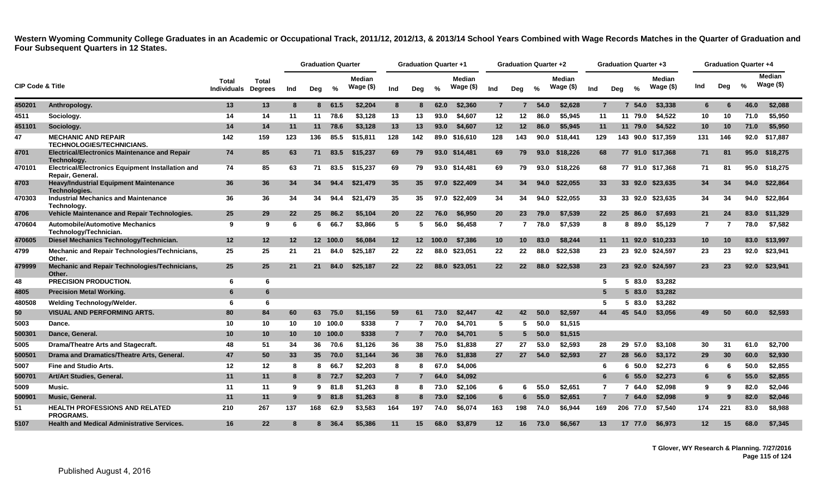|                             |                                                                              |                             |                         |     | <b>Graduation Quarter</b> |          |                            |                   | <b>Graduation Quarter +1</b> |               |                             |                 | <b>Graduation Quarter +2</b> |      |                             |                |     | <b>Graduation Quarter +3</b> |                             |                |     | <b>Graduation Quarter +4</b> |                            |
|-----------------------------|------------------------------------------------------------------------------|-----------------------------|-------------------------|-----|---------------------------|----------|----------------------------|-------------------|------------------------------|---------------|-----------------------------|-----------------|------------------------------|------|-----------------------------|----------------|-----|------------------------------|-----------------------------|----------------|-----|------------------------------|----------------------------|
| <b>CIP Code &amp; Title</b> |                                                                              | Total<br><b>Individuals</b> | Total<br><b>Degrees</b> | Ind | Deg                       | %        | <b>Median</b><br>Wage (\$) | Ind               | Deg                          | $\frac{0}{0}$ | <b>Median</b><br>Wage $($)$ | Ind             | Deg                          | $\%$ | <b>Median</b><br>Wage $($)$ | Ind            | Deg | $\frac{1}{2}$                | <b>Median</b><br>Wage $($)$ | Ind            | Deg | %                            | <b>Median</b><br>Wage (\$) |
| 450201                      | Anthropology.                                                                | 13                          | 13                      | 8   |                           | 8 61.5   | \$2,204                    | 8                 | 8                            | 62.0          | \$2,360                     | $\overline{7}$  | $\overline{7}$               | 54.0 | \$2,628                     | $\overline{7}$ |     | 54.0<br>7                    | \$3,338                     | 6              | 6   | 46.0                         | \$2,088                    |
| 4511                        | Sociology.                                                                   | 14                          | 14                      | 11  | 11                        | 78.6     | \$3,128                    | 13                | 13                           | 93.0          | \$4,607                     | 12              | 12                           | 86.0 | \$5,945                     | 11             |     | 11 79.0                      | \$4,522                     | 10             | 10  | 71.0                         | \$5,950                    |
| 451101                      | Sociology.                                                                   | 14                          | 14                      | 11  | 11                        | 78.6     | \$3,128                    | 13                | 13                           | 93.0          | \$4,607                     | 12              | 12 <sup>2</sup>              | 86.0 | \$5,945                     | 11             |     | 11 79.0                      | \$4,522                     | 10             | 10  | 71.0                         | \$5,950                    |
| 47                          | <b>MECHANIC AND REPAIR</b><br><b>TECHNOLOGIES/TECHNICIANS.</b>               | 142                         | 159                     | 123 | 136                       | 85.5     | \$15,811                   | 128               | 142                          | 89.0          | \$16,610                    | 128             | 143                          | 90.0 | \$18,441                    | 129            |     |                              | 143 90.0 \$17,359           | 131            | 146 | 92.0                         | \$17,887                   |
| 4701                        | <b>Electrical/Electronics Maintenance and Repair</b><br>Technology.          | 74                          | 85                      | 63  | 71                        | 83.5     | \$15,237                   | 69                | 79                           |               | 93.0 \$14,481               | 69              | 79                           | 93.0 | \$18,226                    | 68             |     |                              | 77 91.0 \$17.368            | 71             | 81  | 95.0                         | \$18,275                   |
| 470101                      | <b>Electrical/Electronics Equipment Installation and</b><br>Repair, General. | 74                          | 85                      | 63  | 71                        | 83.5     | \$15,237                   | 69                | 79                           |               | 93.0 \$14,481               | 69              | 79                           | 93.0 | \$18,226                    | 68             |     |                              | 77 91.0 \$17,368            | 71             | 81  | 95.0                         | \$18,275                   |
| 4703                        | <b>Heavy/Industrial Equipment Maintenance</b><br><b>Technologies.</b>        | 36                          | 36                      | 34  | 34                        | 94.4     | \$21,479                   | 35                | 35                           | 97.0          | \$22,409                    | 34              | 34                           | 94.0 | \$22.055                    | 33             |     | 33 92.0                      | \$23.635                    | 34             | 34  | 94.0                         | \$22,864                   |
| 470303                      | <b>Industrial Mechanics and Maintenance</b><br>Technology.                   | 36                          | 36                      | 34  | 34                        | 94.4     | \$21,479                   | 35                | 35                           | 97.0          | \$22,409                    | 34              | 34                           | 94.0 | \$22,055                    | 33             |     | 33 92.0                      | \$23,635                    | 34             | 34  | 94.0                         | \$22,864                   |
| 4706                        | Vehicle Maintenance and Repair Technologies.                                 | 25                          | 29                      | 22  | 25                        | 86.2     | \$5,104                    | 20                | $22 \overline{ }$            | 76.0          | \$6,950                     | 20              | 23                           | 79.0 | \$7,539                     | 22             |     | 25 86.0                      | \$7,693                     | 21             | -24 | 83.0                         | \$11,329                   |
| 470604                      | <b>Automobile/Automotive Mechanics</b><br>Technology/Technician.             | 9                           | 9                       | 6   | 6                         | 66.7     | \$3,866                    | 5                 | 5                            | 56.0          | \$6,458                     | $\overline{7}$  |                              | 78.0 | \$7,539                     | 8              |     | 8 89.0                       | \$5,129                     | $\overline{7}$ | -7  | 78.0                         | \$7,582                    |
| 470605                      | Diesel Mechanics Technology/Technician.                                      | 12                          | 12                      | 12  |                           | 12 100.0 | \$6.084                    | 12                | 12 <sup>7</sup>              | 100.0         | \$7,386                     | 10 <sup>°</sup> | 10 <sup>°</sup>              | 83.0 | \$8,244                     | 11             |     | 11 92.0                      | \$10,233                    | 10             | 10  | 83.0                         | \$13,997                   |
| 4799                        | Mechanic and Repair Technologies/Technicians,<br>Other.                      | 25                          | 25                      | 21  | 21                        | 84.0     | \$25,187                   | 22                | 22                           | 88.0          | \$23,051                    | 22              | 22                           | 88.0 | \$22,538                    | 23             |     | 23 92.0                      | \$24,597                    | 23             | 23  | 92.0                         | \$23,941                   |
| 479999                      | Mechanic and Repair Technologies/Technicians,<br>Other.                      | 25                          | 25                      | 21  | -21                       | 84.0     | \$25,187                   | $22 \overline{ }$ | 22                           | 88.0          | \$23,051                    | $22 \,$         | 22                           | 88.0 | \$22,538                    | 23             |     | 23 92.0                      | \$24.597                    | 23             | 23  | 92.0                         | \$23,941                   |
| 48                          | PRECISION PRODUCTION.                                                        | 6                           | 6                       |     |                           |          |                            |                   |                              |               |                             |                 |                              |      |                             | -5             |     | 5 83.0                       | \$3,282                     |                |     |                              |                            |
| 4805                        | <b>Precision Metal Working.</b>                                              | 6                           | 6                       |     |                           |          |                            |                   |                              |               |                             |                 |                              |      |                             | 5              |     | 5 83.0                       | \$3,282                     |                |     |                              |                            |
| 480508                      | Welding Technology/Welder.                                                   | 6                           | 6                       |     |                           |          |                            |                   |                              |               |                             |                 |                              |      |                             | 5              |     | 83.0<br>5.                   | \$3,282                     |                |     |                              |                            |
| 50                          | <b>VISUAL AND PERFORMING ARTS.</b>                                           | 80                          | 84                      | 60  | 63                        | 75.0     | \$1.156                    | 59                | 61                           | 73.0          | \$2,447                     | 42              | 42                           | 50.0 | \$2.597                     | 44             |     | 45 54.0                      | \$3.056                     | 49             | 50  | 60.0                         | \$2,593                    |
| 5003                        | Dance.                                                                       | 10                          | 10                      | 10  |                           | 10 100.0 | \$338                      | $\overline{7}$    |                              | 70.0          | \$4,701                     | 5               | 5.                           | 50.0 | \$1,515                     |                |     |                              |                             |                |     |                              |                            |
| 500301                      | Dance, General.                                                              | 10                          | 10 <sup>1</sup>         | 10  |                           | 10 100.0 | \$338                      | $\overline{7}$    | 7                            | 70.0          | \$4,701                     | 5 <sup>5</sup>  | 5                            | 50.0 | \$1,515                     |                |     |                              |                             |                |     |                              |                            |
| 5005                        | Drama/Theatre Arts and Stagecraft.                                           | 48                          | 51                      | 34  | 36                        | 70.6     | \$1,126                    | 36                | 38                           | 75.0          | \$1.838                     | 27              | 27                           | 53.0 | \$2.593                     | 28             |     | 29 57.0                      | \$3.108                     | 30             | -31 | 61.0                         | \$2,700                    |
| 500501                      | Drama and Dramatics/Theatre Arts, General.                                   | 47                          | 50                      | 33  | 35                        | 70.0     | \$1,144                    | 36                | 38                           | 76.0          | \$1,838                     | 27              | 27                           | 54.0 | \$2,593                     | 27             |     | 28 56.0                      | \$3,172                     | 29             | 30  | 60.0                         | \$2,930                    |
| 5007                        | <b>Fine and Studio Arts.</b>                                                 | 12                          | $12 \,$                 | 8   | 8                         | 66.7     | \$2,203                    | 8                 | 8                            | 67.0          | \$4,006                     |                 |                              |      |                             | -6             |     | $6\,50.0$                    | \$2,273                     | 6              | 6   | 50.0                         | \$2,855                    |
| 500701                      | Art/Art Studies, General.                                                    | 11                          | 11                      | -8  |                           | 8 72.7   | \$2,203                    | $\overline{7}$    |                              | 64.0          | \$4,092                     |                 |                              |      |                             | 6              |     | 55.0<br>6                    | \$2,273                     | 6              | 6   | 55.0                         | \$2,855                    |
| 5009                        | Music.                                                                       | 11                          | 11                      | ്യ  | 9                         | 81.8     | \$1,263                    | 8                 | 8                            | 73.0          | \$2,106                     | 6               | 6                            | 55.0 | \$2.651                     | $\overline{7}$ |     | 64.0<br>$\overline{7}$       | \$2,098                     | -9             | 9   | 82.0                         | \$2,046                    |
| 500901                      | Music, General.                                                              | 11                          | 11                      | 9   | 9                         | 81.8     | \$1,263                    | 8                 |                              | 73.0          | \$2,106                     | 6               | 6                            | 55.0 | \$2,651                     |                |     | 64.0<br>7                    | \$2,098                     | 9              |     | 82.0                         | \$2,046                    |
| 51                          | <b>HEALTH PROFESSIONS AND RELATED</b><br><b>PROGRAMS.</b>                    | 210                         | 267                     | 137 | 168                       | 62.9     | \$3,583                    | 164               | 197                          | 74.0          | \$6,074                     | 163             | 198                          | 74.0 | \$6.944                     | 169            |     | 206 77.0                     | \$7.540                     | 174            | 221 | 83.0                         | \$8,988                    |
| 5107                        | <b>Health and Medical Administrative Services.</b>                           | 16                          | 22                      | 8   | 8.                        | 36.4     | \$5,386                    | 11                | 15                           | 68.0          | \$3.879                     | $12 \,$         | 16                           | 73.0 | \$6,567                     | 13             |     | 17 77.0                      | \$6.973                     | $12 \,$        | 15  | 68.0                         | \$7,345                    |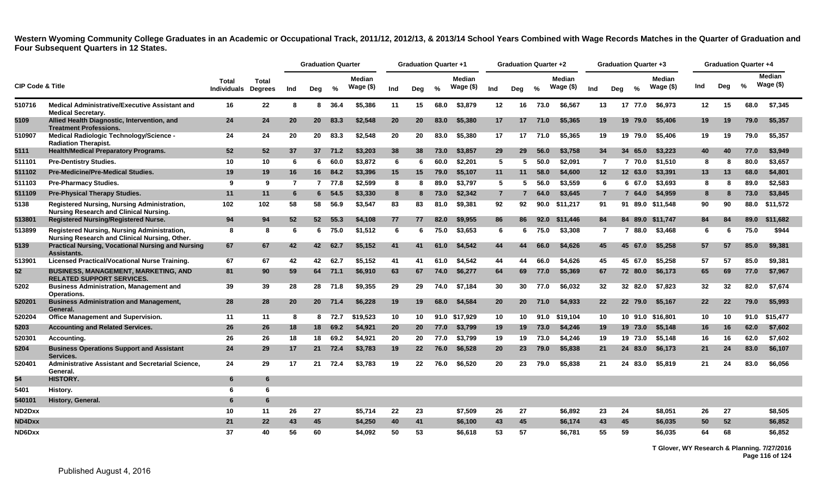|                             |                                                                                              |                             |                                |     | <b>Graduation Quarter</b> |               |                             |                 | <b>Graduation Quarter +1</b> |               |                      |                | <b>Graduation Quarter +2</b> |               |                            |                | Graduation Quarter +3 |               |                             |                   | <b>Graduation Quarter +4</b> |      |                            |
|-----------------------------|----------------------------------------------------------------------------------------------|-----------------------------|--------------------------------|-----|---------------------------|---------------|-----------------------------|-----------------|------------------------------|---------------|----------------------|----------------|------------------------------|---------------|----------------------------|----------------|-----------------------|---------------|-----------------------------|-------------------|------------------------------|------|----------------------------|
| <b>CIP Code &amp; Title</b> |                                                                                              | Total<br><b>Individuals</b> | <b>Total</b><br><b>Degrees</b> | Ind | Deg                       | $\frac{9}{6}$ | <b>Median</b><br>Wage $($)$ | Ind             | Deg                          | $\frac{0}{2}$ | Median<br>Wage $($)$ | Ind            | Deg                          | $\frac{0}{2}$ | <b>Median</b><br>Wage (\$) | Ind            | Deg                   | $\frac{9}{6}$ | <b>Median</b><br>Wage $($)$ | Ind               | Deg                          | %    | <b>Median</b><br>Wage (\$) |
| 510716                      | <b>Medical Administrative/Executive Assistant and</b><br><b>Medical Secretary.</b>           | 16                          | 22                             | 8   |                           | 8 36.4        | \$5,386                     | 11              | 15                           | 68.0          | \$3,879              | 12             | 16                           | 73.0          | \$6,567                    | 13             |                       | 17 77.0       | \$6.973                     | 12                | 15                           | 68.0 | \$7,345                    |
| 5109                        | Allied Health Diagnostic, Intervention, and<br><b>Treatment Professions.</b>                 | 24                          | 24                             | 20  | 20                        | 83.3          | \$2.548                     | 20              | <b>20</b>                    | 83.0          | \$5,380              | 17             | 17                           | 71.0          | \$5.365                    | 19             |                       | 19 79.0       | \$5,406                     | 19                | 19                           | 79.0 | \$5,357                    |
| 510907                      | Medical Radiologic Technology/Science -<br><b>Radiation Therapist.</b>                       | 24                          | 24                             | 20  | 20                        | 83.3          | \$2.548                     | 20              | 20                           | 83.0          | \$5.380              | 17             | 17                           | 71.0          | \$5.365                    | 19             |                       | 19 79.0       | \$5,406                     | 19                | 19                           | 79.0 | \$5,357                    |
| 5111                        | <b>Health/Medical Preparatory Programs.</b>                                                  | 52                          | 52                             | 37  | 37                        | 71.2          | \$3,203                     | 38              | 38                           | 73.0          | \$3,857              | 29             | 29                           | 56.0          | \$3,758                    | 34             |                       | 34 65.0       | \$3,223                     | 40                | 40                           | 77.0 | \$3,949                    |
| 511101                      | <b>Pre-Dentistry Studies.</b>                                                                | 10                          | 10                             | 6   | 6                         | 60.0          | \$3,872                     | 6               | 6                            | 60.0          | \$2,201              | 5              | -5                           | 50.0          | \$2,091                    | 7              |                       | 7 70.0        | \$1,510                     | 8                 | -8                           | 80.0 | \$3,657                    |
| 511102                      | <b>Pre-Medicine/Pre-Medical Studies.</b>                                                     | 19                          | 19                             | 16  | 16                        | 84.2          | \$3,396                     | 15 <sub>1</sub> | 15                           | 79.0          | \$5,107              | 11             | 11                           | 58.0          | \$4,600                    | 12             |                       | 12 63.0       | \$3,391                     | 13                | 13                           | 68.0 | \$4,801                    |
| 511103                      | <b>Pre-Pharmacy Studies.</b>                                                                 | 9                           | 9                              | 7   |                           | 7 77.8        | \$2,599                     | 8               | 8                            | 89.0          | \$3,797              | 5              | 5                            | 56.0          | \$3,559                    | 6              |                       | 6 67.0        | \$3,693                     | -8                | 8                            | 89.0 | \$2,583                    |
| 511109                      | <b>Pre-Physical Therapy Studies.</b>                                                         | 11                          | 11                             | 6   | 6                         | 54.5          | \$3,330                     | 8               | 8                            | 73.0          | \$2.342              | $\overline{7}$ |                              | 64.0          | \$3,645                    | $\overline{7}$ |                       | 7 64.0        | \$4,959                     | 8                 | -8                           | 73.0 | \$3,845                    |
| 5138                        | Registered Nursing, Nursing Administration,<br><b>Nursing Research and Clinical Nursing.</b> | 102                         | 102                            | 58  | 58                        | 56.9          | \$3,547                     | 83              | 83                           | 81.0          | \$9,381              | 92             | 92                           | 90.0          | \$11,217                   | 91             |                       | 91 89.0       | \$11.548                    | 90                | 90                           | 88.0 | \$11,572                   |
| 513801                      | <b>Registered Nursing/Registered Nurse.</b>                                                  | 94                          | 94                             | 52  | 52 <sub>2</sub>           | 55.3          | \$4,108                     | 77              | 77                           | 82.0          | \$9,955              | 86             | 86                           | 92.0          | \$11,446                   | 84             |                       | 84 89.0       | \$11,747                    | 84                | 84                           | 89.0 | \$11,682                   |
| 513899                      | Registered Nursing, Nursing Administration,<br>Nursing Research and Clinical Nursing, Other. | 8                           | 8                              | 6   | 6                         | 75.0          | \$1,512                     | 6               | 6                            | 75.0          | \$3,653              | 6              | 6                            | 75.0          | \$3,308                    | 7              |                       | 7 88.0        | \$3,468                     | 6                 | -6                           | 75.0 | \$944                      |
| 5139                        | <b>Practical Nursing, Vocational Nursing and Nursing</b><br>Assistants.                      | 67                          | 67                             | 42  | 42                        | 62.7          | \$5.152                     | 41              | 41                           | 61.0          | \$4,542              | 44             | 44                           | 66.0          | \$4,626                    | 45             |                       | 45 67.0       | \$5.258                     | 57                | 57                           | 85.0 | \$9,381                    |
| 513901                      | Licensed Practical/Vocational Nurse Training.                                                | 67                          | 67                             | 42  | 42                        | 62.7          | \$5,152                     | 41              | 41                           | 61.0          | \$4,542              | 44             | 44                           | 66.0          | \$4,626                    | 45             |                       | 45 67.0       | \$5,258                     | 57                | 57                           | 85.0 | \$9,381                    |
| 52                          | <b>BUSINESS, MANAGEMENT, MARKETING, AND</b><br><b>RELATED SUPPORT SERVICES.</b>              | 81                          | 90                             | 59  | 64                        | 71.1          | \$6,910                     | 63              | 67                           | 74.0          | \$6,277              | 64             | 69                           | 77.0          | \$5,369                    | 67             |                       | 72 80.0       | \$6,173                     | 65                | 69                           | 77.0 | \$7,967                    |
| 5202                        | <b>Business Administration, Management and</b><br>Operations.                                | 39                          | 39                             | 28  | 28                        | 71.8          | \$9.355                     | 29              | 29                           | 74.0          | \$7.184              | 30             | 30                           | 77.0          | \$6.032                    | 32             |                       | 32 82.0       | \$7.823                     | 32                | 32                           | 82.0 | \$7,674                    |
| 520201                      | <b>Business Administration and Management,</b><br>General.                                   | 28                          | 28                             | 20  | 20 <sub>2</sub>           | 71.4          | \$6,228                     | 19              | 19                           | 68.0          | \$4,584              | 20             | 20 <sub>2</sub>              | 71.0          | \$4,933                    | 22             |                       | 22 79.0       | \$5,167                     | $22 \overline{ }$ | 22                           | 79.0 | \$5,993                    |
| 520204                      | <b>Office Management and Supervision.</b>                                                    | 11                          | 11                             | 8   | 8                         | 72.7          | \$19,523                    | 10              | 10                           | 91.0          | \$17,929             | 10             | 10                           | 91.0          | \$19.104                   | 10             |                       |               | 10 91.0 \$16.801            | 10                | 10                           | 91.0 | \$15,477                   |
| 5203                        | <b>Accounting and Related Services.</b>                                                      | 26                          | 26                             | 18  | 18                        | 69.2          | \$4,921                     | 20              | 20                           | 77.0          | \$3,799              | 19             | 19                           | 73.0          | \$4,246                    | 19             |                       | 19 73.0       | \$5,148                     | 16                | 16                           | 62.0 | \$7,602                    |
| 520301                      | Accounting.                                                                                  | 26                          | 26                             | 18  | 18                        | 69.2          | \$4.921                     | 20              | 20                           | 77.0          | \$3.799              | 19             | 19                           | 73.0          | \$4.246                    | 19             |                       | 19 73.0       | \$5.148                     | 16                | 16                           | 62.0 | \$7,602                    |
| 5204                        | <b>Business Operations Support and Assistant</b><br>Services.                                | 24                          | 29                             | 17  | 21                        | 72.4          | \$3,783                     | 19              | 22 <sub>2</sub>              | 76.0          | \$6,528              | 20             | 23                           | 79.0          | \$5,838                    | 21             |                       | 24 83.0       | \$6,173                     | 21                | 24                           | 83.0 | \$6,107                    |
| 520401                      | Administrative Assistant and Secretarial Science,<br>General.                                | 24                          | 29                             | 17  | 21                        | 72.4          | \$3,783                     | 19              | 22                           | 76.0          | \$6,520              | 20             | 23                           | 79.0          | \$5,838                    | 21             |                       | 24 83.0       | \$5,819                     | 21                | 24                           | 83.0 | \$6,056                    |
| 54                          | HISTORY.                                                                                     | 6                           | 6                              |     |                           |               |                             |                 |                              |               |                      |                |                              |               |                            |                |                       |               |                             |                   |                              |      |                            |
| 5401                        | History.                                                                                     | 6                           | 6                              |     |                           |               |                             |                 |                              |               |                      |                |                              |               |                            |                |                       |               |                             |                   |                              |      |                            |
| 540101                      | History, General.                                                                            | 6                           | 6                              |     |                           |               |                             |                 |                              |               |                      |                |                              |               |                            |                |                       |               |                             |                   |                              |      |                            |
| ND2Dxx                      |                                                                                              | 10                          | 11                             | 26  | 27                        |               | \$5,714                     | 22              | 23                           |               | \$7,509              | 26             | 27                           |               | \$6,892                    | 23             | 24                    |               | \$8,051                     | 26                | 27                           |      | \$8,505                    |
| ND4Dxx                      |                                                                                              | 21                          | 22                             | 43  | 45                        |               | \$4,250                     | 40              | 41                           |               | \$6,100              | 43             | 45                           |               | \$6,174                    | 43             | 45                    |               | \$6,035                     | 50                | 52                           |      | \$6,852                    |
| ND6Dxx                      |                                                                                              | 37                          | 40                             | 56  | 60                        |               | \$4.092                     | 50              | 53                           |               | \$6,618              | 53             | 57                           |               | \$6.781                    | 55             | 59                    |               | \$6.035                     | 64                | 68                           |      | \$6.852                    |

**T Glover, WY Research & Planning. 7/27/2016 Page 116 of 124**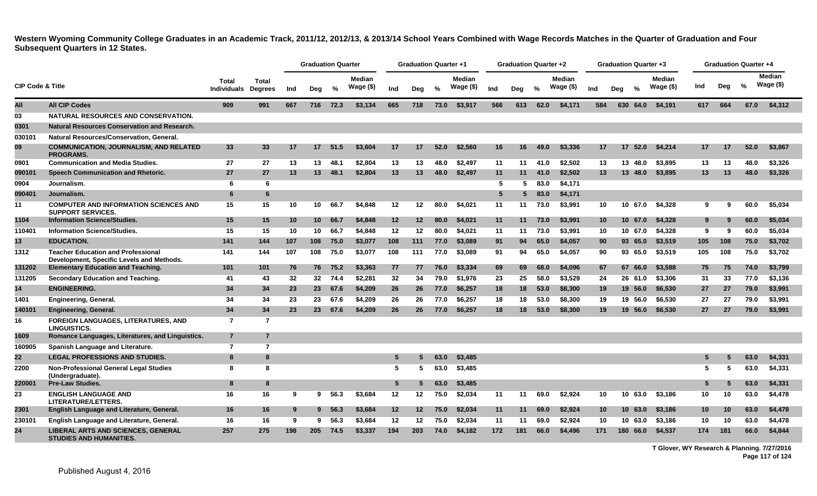|                             |                                                                                        |                      |                         |     | <b>Graduation Quarter</b> |         |                            |         | <b>Graduation Quarter +1</b> |      |                            |     | <b>Graduation Quarter +2</b> |               |                            |                 | <b>Graduation Quarter +3</b> |               |                            |                 |     | <b>Graduation Quarter +4</b> |                            |
|-----------------------------|----------------------------------------------------------------------------------------|----------------------|-------------------------|-----|---------------------------|---------|----------------------------|---------|------------------------------|------|----------------------------|-----|------------------------------|---------------|----------------------------|-----------------|------------------------------|---------------|----------------------------|-----------------|-----|------------------------------|----------------------------|
| <b>CIP Code &amp; Title</b> |                                                                                        | Total<br>Individuals | Total<br><b>Degrees</b> | Ind | Deg                       | %       | <b>Median</b><br>Wage (\$) | Ind     | Dea                          | $\%$ | <b>Median</b><br>Wage (\$) | Ind | Deg                          | $\frac{0}{2}$ | <b>Median</b><br>Wage (\$) | Ind             | Deg                          | $\frac{0}{2}$ | <b>Median</b><br>Wage (\$) | Ind             | Deg | $\%$                         | <b>Median</b><br>Wage (\$) |
| All                         | <b>All CIP Codes</b>                                                                   | 909                  | 991                     | 667 | 716                       | 72.3    | \$3,134                    | 665     | 718                          | 73.0 | \$3,917                    | 566 | 613                          | 62.0          | \$4,171                    | 584             | 630                          | 64.0          | \$4,191                    | 617             | 664 | 67.0                         | \$4,312                    |
| 03                          | NATURAL RESOURCES AND CONSERVATION.                                                    |                      |                         |     |                           |         |                            |         |                              |      |                            |     |                              |               |                            |                 |                              |               |                            |                 |     |                              |                            |
| 0301                        | <b>Natural Resources Conservation and Research.</b>                                    |                      |                         |     |                           |         |                            |         |                              |      |                            |     |                              |               |                            |                 |                              |               |                            |                 |     |                              |                            |
| 030101                      | Natural Resources/Conservation, General.                                               |                      |                         |     |                           |         |                            |         |                              |      |                            |     |                              |               |                            |                 |                              |               |                            |                 |     |                              |                            |
| 09                          | <b>COMMUNICATION, JOURNALISM, AND RELATED</b><br><b>PROGRAMS.</b>                      | 33                   | 33                      | 17  | 17 <sup>2</sup>           | 51.5    | \$3,604                    | 17      | 17                           | 52.0 | \$2,560                    | 16  | 16                           | 49.0          | \$3,336                    | 17              | 17 <sup>2</sup>              | 52.0          | \$4,214                    | 17              | -17 | 52.0                         | \$3,867                    |
| 0901                        | <b>Communication and Media Studies.</b>                                                | 27                   | 27                      | 13  | 13                        | 48.1    | \$2,804                    | 13      | 13                           | 48.0 | \$2,497                    | 11  | 11                           | 41.0          | \$2,502                    | 13              |                              | 13 48.0       | \$3,895                    | 13              | 13  | 48.0                         | \$3,326                    |
| 090101                      | Speech Communication and Rhetoric.                                                     | 27                   | 27                      | 13  | 13                        | 48.1    | \$2,804                    | 13      | 13                           | 48.0 | \$2,497                    | 11  | 11                           | 41.0          | \$2,502                    | 13              |                              | 13 48.0       | \$3,895                    | 13              | 13  | 48.0                         | \$3,326                    |
| 0904                        | Journalism.                                                                            | 6                    | 6                       |     |                           |         |                            |         |                              |      |                            | -5  | 5                            | 83.0          | \$4,171                    |                 |                              |               |                            |                 |     |                              |                            |
| 090401                      | Journalism.                                                                            | 6                    | 6                       |     |                           |         |                            |         |                              |      |                            | 5   |                              | 83.0          | \$4,171                    |                 |                              |               |                            |                 |     |                              |                            |
| 11                          | <b>COMPUTER AND INFORMATION SCIENCES AND</b><br><b>SUPPORT SERVICES.</b>               | 15                   | 15                      | 10  | 10                        | 66.7    | \$4,848                    | $12 \,$ | 12                           | 80.0 | \$4.021                    | 11  | 11                           | 73.0          | \$3,991                    | 10              |                              | 10 67.0       | \$4,328                    | 9               | -9  | 60.0                         | \$5,034                    |
| 1104                        | <b>Information Science/Studies.</b>                                                    | 15                   | 15                      | 10  | 10 <sup>1</sup>           | 66.7    | \$4,848                    | 12      | 12                           | 80.0 | \$4,021                    | 11  | 11                           | 73.0          | \$3,991                    | 10 <sub>1</sub> |                              | 10 67.0       | \$4,328                    | 9               | 9   | 60.0                         | \$5,034                    |
| 11040 <sup>-</sup>          | <b>Information Science/Studies.</b>                                                    | 15                   | 15                      | 10  | 10                        | 66.7    | \$4,848                    | $12 \,$ | 12                           | 80.0 | \$4.021                    | 11  | 11                           | 73.0          | \$3.991                    | 10              |                              | 10 67.0       | \$4.328                    | 9               | 9   | 60.0                         | \$5.034                    |
| 13                          | <b>EDUCATION.</b>                                                                      | 141                  | 144                     | 107 | 108                       | 75.0    | \$3,077                    | 108     | 111                          | 77.0 | \$3,089                    | 91  | 94                           | 65.0          | \$4,057                    | 90              |                              | 93 65.0       | \$3,519                    | 105             | 108 | 75.0                         | \$3,702                    |
| 1312                        | <b>Teacher Education and Professional</b><br>Development, Specific Levels and Methods. | 141                  | 144                     | 107 | 108                       | 75.0    | \$3,077                    | 108     | 111                          | 77.0 | \$3,089                    | 91  | 94                           | 65.0          | \$4,057                    | 90              |                              | 93 65.0       | \$3,519                    | 105             | 108 | 75.0                         | \$3,702                    |
| 131202                      | <b>Elementary Education and Teaching.</b>                                              | 101                  | 101                     | 76  | 76                        | 75.2    | \$3,363                    | 77      | 77                           | 76.0 | \$3,334                    | 69  | 69                           | 68.0          | \$4,096                    | 67              |                              | 67 66.0       | \$3,588                    | 75              | 75  | 74.0                         | \$3,799                    |
| 131205                      | Secondary Education and Teaching.                                                      | 41                   | 43                      | 32  | 32 <sub>2</sub>           | 74.4    | \$2,281                    | 32      | 34                           | 79.0 | \$1,976                    | 23  | 25                           | 58.0          | \$3,529                    | 24              |                              | 26 61.0       | \$3,306                    | 31              | 33  | 77.0                         | \$3,136                    |
| 14                          | <b>ENGINEERING.</b>                                                                    | 34                   | 34                      | 23  |                           | 23 67.6 | \$4,209                    | 26      | 26                           | 77.0 | \$6,257                    | 18  | 18                           | 53.0          | \$8,300                    | 19              |                              | 19 56.0       | \$6,530                    | 27              | 27  | 79.0                         | \$3,991                    |
| 1401                        | <b>Engineering, General.</b>                                                           | 34                   | 34                      | 23  | 23                        | 67.6    | \$4.209                    | 26      | 26                           | 77.0 | \$6,257                    | 18  | 18                           | 53.0          | \$8,300                    | 19              |                              | 19 56.0       | \$6,530                    | 27              | 27  | 79.0                         | \$3,991                    |
| 140101                      | Engineering, General.                                                                  | 34                   | 34                      | 23  | 23 <sup>2</sup>           | 67.6    | \$4,209                    | 26      | 26                           | 77.0 | \$6,257                    | 18  | 18                           | 53.0          | \$8,300                    | 19              |                              | 19 56.0       | \$6,530                    | 27              | 27  | 79.0                         | \$3,991                    |
| 16                          | <b>FOREIGN LANGUAGES, LITERATURES, AND</b><br>LINGUISTICS.                             | $\overline{7}$       | $\overline{7}$          |     |                           |         |                            |         |                              |      |                            |     |                              |               |                            |                 |                              |               |                            |                 |     |                              |                            |
| 1609                        | Romance Languages, Literatures, and Linguistics.                                       | $\overline{7}$       | $\overline{7}$          |     |                           |         |                            |         |                              |      |                            |     |                              |               |                            |                 |                              |               |                            |                 |     |                              |                            |
| 160905                      | Spanish Language and Literature.                                                       | $\overline{7}$       | $\overline{7}$          |     |                           |         |                            |         |                              |      |                            |     |                              |               |                            |                 |                              |               |                            |                 |     |                              |                            |
| 22                          | <b>LEGAL PROFESSIONS AND STUDIES.</b>                                                  | 8                    | 8                       |     |                           |         |                            | 5       |                              | 63.0 | \$3,485                    |     |                              |               |                            |                 |                              |               |                            | 5               |     | 63.0                         | \$4,331                    |
| 2200                        | <b>Non-Professional General Legal Studies</b><br>(Undergraduate).                      | -8                   | 8                       |     |                           |         |                            | 5       | 5.                           | 63.0 | \$3,485                    |     |                              |               |                            |                 |                              |               |                            | 5.              | -5  | 63.0                         | \$4,331                    |
| 220001                      | <b>Pre-Law Studies.</b>                                                                | 8                    | 8                       |     |                           |         |                            | 5       |                              | 63.0 | \$3,485                    |     |                              |               |                            |                 |                              |               |                            | 5               |     | 63.0                         | \$4,331                    |
| 23                          | <b>ENGLISH LANGUAGE AND</b><br>LITERATURE/LETTERS.                                     | 16                   | 16                      | 9   | 9                         | 56.3    | \$3,684                    | 12      | 12                           | 75.0 | \$2,034                    | 11  | 11                           | 69.0          | \$2,924                    | 10              |                              | 10 63.0       | \$3,186                    | 10              | 10  | 63.0                         | \$4,478                    |
| 2301                        | English Language and Literature, General.                                              | 16                   | 16                      | 9   | $9^{\circ}$               | 56.3    | \$3,684                    | 12      | $12 \,$                      | 75.0 | \$2,034                    | 11  | 11                           | 69.0          | \$2,924                    | 10 <sup>°</sup> |                              | 10 63.0       | \$3,186                    | 10 <sub>1</sub> | 10  | 63.0                         | \$4,478                    |
| 230101                      | English Language and Literature, General.                                              | 16                   | 16                      | -9  | 9                         | 56.3    | \$3,684                    | 12      | 12                           | 75.0 | \$2,034                    | 11  | 11                           | 69.0          | \$2,924                    | 10              |                              | 10 63.0       | \$3,186                    | 10              | 10  | 63.0                         | \$4,478                    |
| 24                          | <b>LIBERAL ARTS AND SCIENCES, GENERAL</b><br><b>STUDIES AND HUMANITIES.</b>            | 257                  | 275                     | 198 | 205                       | 74.5    | \$3,337                    | 194     | 203                          | 74.0 | \$4,182                    | 172 | 181                          | 66.0          | \$4,496                    | 171             | 180                          | 66.0          | \$4,537                    | 174             | 181 | 66.0                         | \$4,844                    |

**T Glover, WY Research & Planning. 7/27/2016 Page 117 of 124**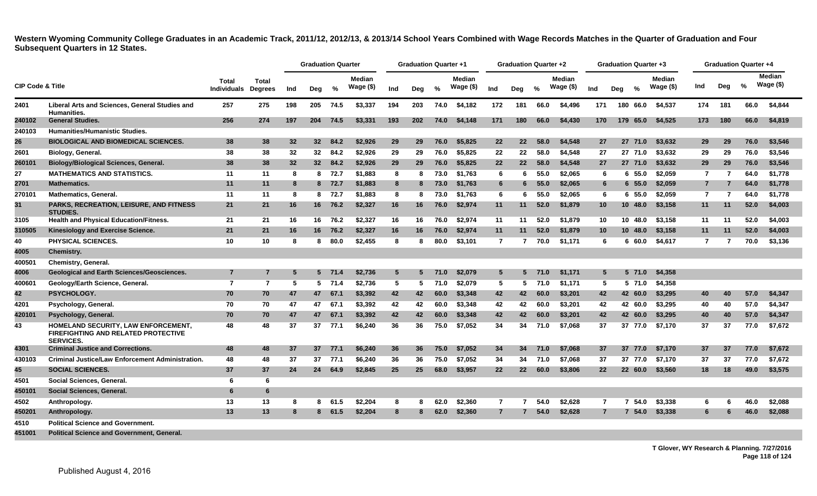|                             |                                                                                                       |                             |                         |     | <b>Graduation Quarter</b> |         |                            |     | <b>Graduation Quarter +1</b> |      |                            |                 | Graduation Quarter +2 |       |                            |                 | <b>Graduation Quarter +3</b> |               |                            |                |                | <b>Graduation Quarter +4</b> |                            |
|-----------------------------|-------------------------------------------------------------------------------------------------------|-----------------------------|-------------------------|-----|---------------------------|---------|----------------------------|-----|------------------------------|------|----------------------------|-----------------|-----------------------|-------|----------------------------|-----------------|------------------------------|---------------|----------------------------|----------------|----------------|------------------------------|----------------------------|
| <b>CIP Code &amp; Title</b> |                                                                                                       | Total<br><b>Individuals</b> | Total<br><b>Degrees</b> | Ind | Deg                       | $\%$    | <b>Median</b><br>Wage (\$) | Ind | Deg                          | $\%$ | <b>Median</b><br>Wage (\$) | Ind             | Deg                   | $\%$  | <b>Median</b><br>Wage (\$) | Ind             | Dea                          | $\frac{6}{6}$ | <b>Median</b><br>Wage (\$) | Ind            | Deg            | %                            | <b>Median</b><br>Wage (\$) |
| 2401                        | Liberal Arts and Sciences, General Studies and<br><b>Humanities.</b>                                  | 257                         | 275                     | 198 | 205                       | 74.5    | \$3,337                    | 194 | 203                          | 74.0 | \$4,182                    | 172             | 181                   | 66.0  | \$4,496                    | 171             |                              | 180 66.0      | \$4,537                    | 174            | 181            | 66.0                         | \$4,844                    |
| 240102                      | <b>General Studies.</b>                                                                               | 256                         | 274                     | 197 | 204                       | 74.5    | \$3,331                    | 193 | <b>202</b>                   | 74.0 | \$4,148                    | 171             | 180                   | 66.0  | \$4,430                    | 170             |                              | 179 65.0      | \$4,525                    | 173            | 180            | 66.0                         | \$4,819                    |
| 240103                      | <b>Humanities/Humanistic Studies.</b>                                                                 |                             |                         |     |                           |         |                            |     |                              |      |                            |                 |                       |       |                            |                 |                              |               |                            |                |                |                              |                            |
| 26                          | <b>BIOLOGICAL AND BIOMEDICAL SCIENCES.</b>                                                            | 38                          | 38                      | 32  | 32 <sup>2</sup>           | 84.2    | \$2,926                    | 29  | 29                           | 76.0 | \$5,825                    | $22 \,$         | 22                    | 58.0  | \$4,548                    | 27              |                              | 27 71.0       | \$3,632                    | 29             | 29             | 76.0                         | \$3,546                    |
| 2601                        | Biology, General.                                                                                     | 38                          | 38                      | 32  | 32 <sub>2</sub>           | 84.2    | \$2,926                    | 29  | 29                           | 76.0 | \$5,825                    | 22              | 22                    | 58.0  | \$4,548                    | 27              |                              | 27 71.0       | \$3,632                    | 29             | 29             | 76.0                         | \$3,546                    |
| 260101                      | <b>Biology/Biological Sciences, General.</b>                                                          | 38                          | 38                      | 32  |                           | 32 84.2 | \$2,926                    | 29  | 29                           | 76.0 | \$5,825                    | 22              | 22                    | 58.0  | \$4,548                    | 27              |                              | 27 71.0       | \$3,632                    | 29             | 29             | 76.0                         | \$3,546                    |
| 27                          | <b>MATHEMATICS AND STATISTICS.</b>                                                                    | 11                          | 11                      | 8   | 8                         | 72.7    | \$1,883                    | 8   | 8                            | 73.0 | \$1,763                    | 6               | -6                    | 55.0  | \$2.065                    | 6               |                              | 6, 55.0       | \$2,059                    | $\overline{7}$ | $\overline{7}$ | 64.0                         | \$1,778                    |
| 2701                        | <b>Mathematics.</b>                                                                                   | 11                          | 11                      | -8  |                           | 8 72.7  | \$1,883                    | 8   | 8                            | 73.0 | \$1,763                    | $6\phantom{1}6$ | 6                     | 55.0  | \$2,065                    | 6               |                              | 6 55.0        | \$2,059                    | $\overline{7}$ | $\overline{7}$ | 64.0                         | \$1,778                    |
| 270101                      | <b>Mathematics, General.</b>                                                                          | 11                          | 11                      | -8  |                           | 8 72.7  | \$1.883                    | 8   | 8                            | 73.0 | \$1,763                    | 6               | -6                    | 55.0  | \$2.065                    | 6               |                              | 6 55.0        | \$2.059                    | $\overline{7}$ | 7              | 64.0                         | \$1,778                    |
| 31                          | <b>PARKS, RECREATION, LEISURE, AND FITNESS</b><br><b>STUDIES.</b>                                     | 21                          | 21                      | 16  |                           | 16 76.2 | \$2,327                    | 16  | 16                           | 76.0 | \$2.974                    | 11              | 11                    | 52.0  | \$1,879                    | 10 <sup>°</sup> |                              | 10 48.0       | \$3.158                    | 11             | 11             | 52.0                         | \$4,003                    |
| 3105                        | Health and Physical Education/Fitness.                                                                | 21                          | 21                      | 16  |                           | 16 76.2 | \$2,327                    | 16  | 16                           | 76.0 | \$2,974                    | 11              | 11                    | 52.0  | \$1,879                    | 10              |                              | 10 48.0       | \$3,158                    | 11             | 11             | 52.0                         | \$4.003                    |
| 310505                      | Kinesiology and Exercise Science.                                                                     | 21                          | 21                      | 16  |                           | 16 76.2 | \$2,327                    | 16  | 16                           | 76.0 | \$2,974                    | 11              | 11                    | 52.0  | \$1,879                    | 10 <sup>°</sup> |                              | 10 48.0       | \$3,158                    | 11             | 11             | 52.0                         | \$4,003                    |
| 40                          | PHYSICAL SCIENCES.                                                                                    | 10                          | 10                      | -8  | 8                         | 80.0    | \$2,455                    | 8   | 8                            | 80.0 | \$3,101                    | $\overline{7}$  | 7                     | 70.0  | \$1,171                    | 6               |                              | 6 60.0        | \$4,617                    | $\overline{7}$ |                | 70.0                         | \$3,136                    |
| 4005                        | <b>Chemistry.</b>                                                                                     |                             |                         |     |                           |         |                            |     |                              |      |                            |                 |                       |       |                            |                 |                              |               |                            |                |                |                              |                            |
| 400501                      | <b>Chemistry, General.</b>                                                                            |                             |                         |     |                           |         |                            |     |                              |      |                            |                 |                       |       |                            |                 |                              |               |                            |                |                |                              |                            |
| 4006                        | <b>Geological and Earth Sciences/Geosciences.</b>                                                     | 7                           | 7                       | 5   |                           | 5 71.4  | \$2,736                    | 5   | 5                            | 71.0 | \$2,079                    | $5\overline{5}$ | 5                     | 71.0  | \$1.171                    | 5               |                              | 5 71.0        | \$4,358                    |                |                |                              |                            |
| 400601                      | Geology/Earth Science, General.                                                                       | $\overline{7}$              | $\overline{7}$          | 5   |                           | 571.4   | \$2,736                    | 5   | 5                            | 71.0 | \$2,079                    | 5               |                       | 571.0 | \$1,171                    | 5               |                              | 5 71.0        | \$4,358                    |                |                |                              |                            |
| 42                          | PSYCHOLOGY.                                                                                           | 70                          | 70                      | 47  | 47                        | 67.1    | \$3,392                    | 42  | 42                           | 60.0 | \$3,348                    | 42              | 42                    | 60.0  | \$3,201                    | 42              |                              | 42 60.0       | \$3,295                    | 40             | 40             | 57.0                         | \$4,347                    |
| 4201                        | Psychology, General.                                                                                  | 70                          | 70                      | 47  | 47                        | 67.1    | \$3,392                    | 42  | 42                           | 60.0 | \$3,348                    | 42              | 42                    | 60.0  | \$3,201                    | 42              |                              | 42 60.0       | \$3,295                    | 40             | 40             | 57.0                         | \$4,347                    |
| 420101                      | Psychology, General.                                                                                  | 70                          | 70                      | 47  | 47                        | 67.1    | \$3,392                    | 42  | 42                           | 60.0 | \$3,348                    | 42              | 42                    | 60.0  | \$3,201                    | 42              |                              | 42 60.0       | \$3,295                    | 40             | 40             | 57.0                         | \$4,347                    |
| 43                          | HOMELAND SECURITY, LAW ENFORCEMENT,<br><b>FIREFIGHTING AND RELATED PROTECTIVE</b><br><b>SERVICES.</b> | 48                          | 48                      | 37  | 37                        | 77.1    | \$6,240                    | 36  | 36                           | 75.0 | \$7.052                    | 34              | 34                    | 71.0  | \$7.068                    | 37              |                              |               | 37 77.0 \$7.170            | 37             | 37             | 77.0                         | \$7.672                    |
| 4301                        | <b>Criminal Justice and Corrections.</b>                                                              | 48                          | 48                      | 37  |                           | 37 77.1 | \$6,240                    | 36  | 36                           | 75.0 | \$7.052                    | 34              | 34                    | 71.0  | \$7,068                    | 37              |                              | 37 77.0       | \$7.170                    | 37             | 37             | 77.0                         | \$7.672                    |
| 430103                      | <b>Criminal Justice/Law Enforcement Administration.</b>                                               | 48                          | 48                      | 37  | 37                        | 77.1    | \$6,240                    | 36  | 36                           | 75.0 | \$7,052                    | 34              | 34                    | 71.0  | \$7,068                    | 37              |                              | 37 77.0       | \$7,170                    | 37             | 37             | 77.0                         | \$7,672                    |
| 45                          | <b>SOCIAL SCIENCES.</b>                                                                               | 37                          | 37                      | 24  | 24                        | 64.9    | \$2,845                    | 25  | 25                           | 68.0 | \$3,957                    | 22              | 22                    | 60.0  | \$3,806                    | 22              |                              | 22 60.0       | \$3,560                    | 18             | 18             | 49.0                         | \$3,575                    |
| 4501                        | Social Sciences, General.                                                                             | 6                           | 6                       |     |                           |         |                            |     |                              |      |                            |                 |                       |       |                            |                 |                              |               |                            |                |                |                              |                            |
| 450101                      | Social Sciences, General.                                                                             | 6                           | 6                       |     |                           |         |                            |     |                              |      |                            |                 |                       |       |                            |                 |                              |               |                            |                |                |                              |                            |
| 4502                        | Anthropology.                                                                                         | 13                          | 13                      | 8   | 8.                        | 61.5    | \$2,204                    | 8   | 8                            | 62.0 | \$2,360                    | 7               |                       | 54.0  | \$2,628                    | $\overline{7}$  |                              | 54.0          | \$3,338                    | 6              | 6              | 46.0                         | \$2,088                    |
| 450201                      | Anthropology.                                                                                         | 13                          | 13                      | 8   | 8                         | 61.5    | \$2,204                    | 8   |                              | 62.0 | \$2,360                    | $\overline{7}$  |                       | 54.0  | \$2,628                    | $\overline{7}$  |                              | 7 54.0        | \$3,338                    | 6              | 6              | 46.0                         | \$2,088                    |
| 4510                        | <b>Political Science and Government.</b>                                                              |                             |                         |     |                           |         |                            |     |                              |      |                            |                 |                       |       |                            |                 |                              |               |                            |                |                |                              |                            |
| 451001                      | <b>Political Science and Government. General.</b>                                                     |                             |                         |     |                           |         |                            |     |                              |      |                            |                 |                       |       |                            |                 |                              |               |                            |                |                |                              |                            |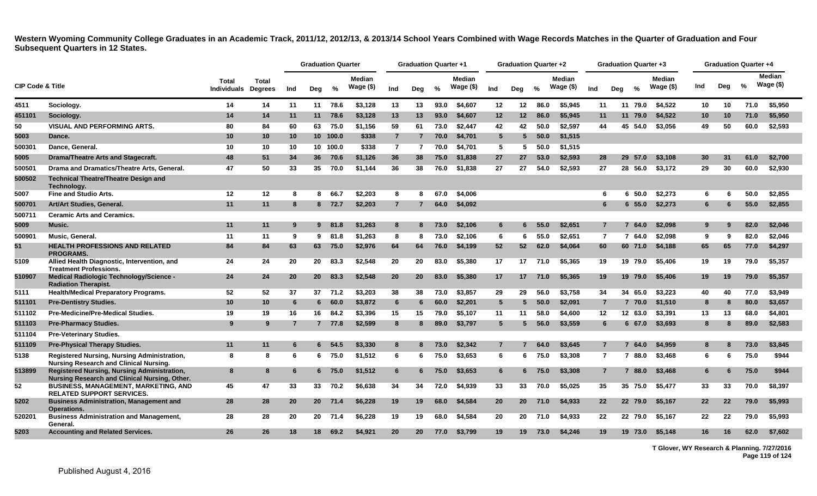|                             |                                                                                              |                      |                         |     | <b>Graduation Quarter</b> |          |                            |                | <b>Graduation Quarter +1</b> |               |                            |                 | <b>Graduation Quarter +2</b> |               |                            |                 |           | <b>Graduation Quarter +3</b> |                            |     |     | <b>Graduation Quarter +4</b> |                             |
|-----------------------------|----------------------------------------------------------------------------------------------|----------------------|-------------------------|-----|---------------------------|----------|----------------------------|----------------|------------------------------|---------------|----------------------------|-----------------|------------------------------|---------------|----------------------------|-----------------|-----------|------------------------------|----------------------------|-----|-----|------------------------------|-----------------------------|
| <b>CIP Code &amp; Title</b> |                                                                                              | Total<br>Individuals | Total<br><b>Degrees</b> | Ind | Deg                       | %        | <b>Median</b><br>Wage (\$) | Ind            | Dea                          | $\frac{0}{0}$ | <b>Median</b><br>Wage (\$) | Ind             | Dea                          | $\frac{0}{2}$ | <b>Median</b><br>Wage (\$) | Ind             | Deg       | $\frac{0}{2}$                | <b>Median</b><br>Wage (\$) | Ind | Deg | %                            | <b>Median</b><br>Wage $($)$ |
| 4511                        | Sociology.                                                                                   | 14                   | 14                      | 11  | 11                        | 78.6     | \$3,128                    | 13             | 13                           | 93.0          | \$4,607                    | 12              | 12                           | 86.0          | \$5,945                    | 11              |           | 11 79.0                      | \$4.522                    | 10  | 10  | 71.0                         | \$5,950                     |
| 451101                      | Sociology.                                                                                   | 14                   | 14                      | 11  | 11                        | 78.6     | \$3,128                    | 13             | 13                           | 93.0          | \$4,607                    | $12 \,$         | $12 \,$                      | 86.0          | \$5,945                    | 11              | 11        | 79.0                         | \$4,522                    | 10  | 10  | 71.0                         | \$5,950                     |
| 50                          | <b>VISUAL AND PERFORMING ARTS.</b>                                                           | 80                   | 84                      | 60  | 63                        | 75.0     | \$1.156                    | 59             | 61                           | 73.0          | \$2.447                    | 42              | 42                           | 50.0          | \$2.597                    | 44              |           | 45 54.0                      | \$3.056                    | 49  | 50  | 60.0                         | \$2.593                     |
| 5003                        | Dance.                                                                                       | 10                   | 10                      | 10  |                           | 10 100.0 | \$338                      | $\overline{7}$ | $\mathbf{7}$                 | 70.0          | \$4,701                    | $5\overline{5}$ | 5                            | 50.0          | \$1,515                    |                 |           |                              |                            |     |     |                              |                             |
| 500301                      | Dance, General.                                                                              | 10                   | 10                      | 10  |                           | 10 100.0 | \$338                      | $\overline{7}$ | 7                            | 70.0          | \$4,701                    | -5              | 5                            | 50.0          | \$1,515                    |                 |           |                              |                            |     |     |                              |                             |
| 5005                        | Drama/Theatre Arts and Stagecraft.                                                           | 48                   | 51                      | 34  |                           | 36 70.6  | \$1,126                    | 36             | 38                           | 75.0          | \$1,838                    | 27              | 27                           | 53.0          | \$2,593                    | 28              | <b>29</b> | 57.0                         | \$3.108                    | 30  | -31 | 61.0                         | \$2,700                     |
| 500501                      | Drama and Dramatics/Theatre Arts, General.                                                   | 47                   | 50                      | 33  | 35                        | 70.0     | \$1,144                    | 36             | 38                           | 76.0          | \$1,838                    | 27              | 27                           | 54.0          | \$2,593                    | 27              |           | 28 56.0                      | \$3,172                    | 29  | 30  | 60.0                         | \$2,930                     |
| 500502                      | <b>Technical Theatre/Theatre Design and</b><br>Technology.                                   |                      |                         |     |                           |          |                            |                |                              |               |                            |                 |                              |               |                            |                 |           |                              |                            |     |     |                              |                             |
| 5007                        | <b>Fine and Studio Arts.</b>                                                                 | 12                   | 12                      | 8   | 8                         | 66.7     | \$2.203                    | 8              | я                            | 67.0          | \$4,006                    |                 |                              |               |                            | 6               |           | 50.0<br>6                    | \$2,273                    | 6   | 6   | 50.0                         | \$2,855                     |
| 500701                      | Art/Art Studies, General.                                                                    | 11                   | 11                      | 8   |                           | 8 72.7   | \$2,203                    | $\overline{7}$ |                              | 64.0          | \$4,092                    |                 |                              |               |                            | 6               |           | 6 55.0                       | \$2,273                    | 6   | 6   | 55.0                         | \$2,855                     |
| 500711                      | <b>Ceramic Arts and Ceramics.</b>                                                            |                      |                         |     |                           |          |                            |                |                              |               |                            |                 |                              |               |                            |                 |           |                              |                            |     |     |                              |                             |
| 5009                        | Music.                                                                                       | 11                   | 11                      | -9  |                           | 9 81.8   | \$1,263                    | 8              | 8                            | 73.0          | \$2,106                    | 6               |                              | 55.0          | \$2,651                    | $\overline{7}$  |           | 64.0                         | \$2,098                    | 9   |     | 82.0                         | \$2,046                     |
| 500901                      | Music, General.                                                                              | 11                   | 11                      | 9   | 9                         | 81.8     | \$1,263                    | 8              | -8                           | 73.0          | \$2,106                    | -6              | -6                           | 55.0          | \$2,651                    | $\overline{7}$  |           | 764.0                        | \$2.098                    | 9   | 9   | 82.0                         | \$2,046                     |
| 51                          | <b>HEALTH PROFESSIONS AND RELATED</b><br><b>PROGRAMS.</b>                                    | 84                   | 84                      | 63  | 63                        | 75.0     | \$2,976                    | 64             | 64                           | 76.0          | \$4,199                    | 52              | 52                           | 62.0          | \$4,064                    | 60              |           | 60 71.0                      | \$4.188                    | 65  | 65  | 77.0                         | \$4.297                     |
| 5109                        | Allied Health Diagnostic, Intervention, and<br><b>Treatment Professions.</b>                 | 24                   | 24                      | 20  | 20                        | 83.3     | \$2,548                    | 20             | 20                           | 83.0          | \$5,380                    | 17              | 17                           | 71.0          | \$5.365                    | 19              |           | 19 79.0                      | \$5,406                    | 19  | 19  | 79.0                         | \$5,357                     |
| 510907                      | Medical Radiologic Technology/Science -<br><b>Radiation Therapist.</b>                       | 24                   | 24                      | 20  | 20 <sub>2</sub>           | 83.3     | \$2,548                    | 20             | 20                           | 83.0          | \$5,380                    | 17              | 17                           | 71.0          | \$5,365                    | 19              |           | 19 79.0                      | \$5,406                    | 19  | 19  | 79.0                         | \$5,357                     |
| 5111                        | <b>Health/Medical Preparatory Programs.</b>                                                  | 52                   | 52                      | 37  | 37                        | 71.2     | \$3,203                    | 38             | 38                           | 73.0          | \$3,857                    | 29              | 29                           | 56.0          | \$3,758                    | 34              | 34        | 65.0                         | \$3,223                    | 40  | 40  | 77.0                         | \$3,949                     |
| 511101                      | <b>Pre-Dentistry Studies.</b>                                                                | 10                   | 10                      | -6  | 6                         | 60.0     | \$3,872                    | $6\phantom{1}$ | 6                            | 60.0          | \$2,201                    | $\sqrt{5}$      | 5                            | 50.0          | \$2,091                    | $\overline{7}$  |           | 7 70.0                       | \$1,510                    | 8   | 8   | 80.0                         | \$3,657                     |
| 511102                      | <b>Pre-Medicine/Pre-Medical Studies.</b>                                                     | 19                   | 19                      | 16  | 16                        | 84.2     | \$3,396                    | 15             | 15                           | 79.0          | \$5,107                    | 11              | 11                           | 58.0          | \$4,600                    | 12              |           | 12 63.0                      | \$3,391                    | 13  | 13  | 68.0                         | \$4,801                     |
| 511103                      | <b>Pre-Pharmacy Studies.</b>                                                                 | 9                    | 9                       |     | $7^{\circ}$               | 77.8     | \$2,599                    | 8              |                              | 89.0          | \$3,797                    | 5               |                              | 56.0          | \$3,559                    | 6               |           | 6 67.0                       | \$3,693                    | 8   |     | 89.0                         | \$2,583                     |
| 511104                      | <b>Pre-Veterinary Studies.</b>                                                               |                      |                         |     |                           |          |                            |                |                              |               |                            |                 |                              |               |                            |                 |           |                              |                            |     |     |                              |                             |
| 511109                      | <b>Pre-Physical Therapy Studies.</b>                                                         | 11                   | 11                      | 6   | 6                         | 54.5     | \$3,330                    | 8              | 8                            | 73.0          | \$2,342                    | $\overline{7}$  |                              | 64.0          | \$3,645                    | $\overline{7}$  |           | 64.0                         | \$4,959                    | 8   |     | 73.0                         | \$3,845                     |
| 5138                        | <b>Registered Nursing, Nursing Administration,</b><br>Nursing Research and Clinical Nursing. | -8                   | 8                       | 6   | 6.                        | 75.0     | \$1,512                    | 6              | 6                            | 75.0          | \$3.653                    | 6               | 6                            | 75.0          | \$3,308                    | $\overline{7}$  |           | 7 88.0                       | \$3,468                    | 6   | 6   | 75.0                         | \$944                       |
| 513899                      | Registered Nursing, Nursing Administration,<br>Nursing Research and Clinical Nursing, Other. | 8                    | 8                       | 6   | 6                         | 75.0     | \$1,512                    | 6              | 6                            | 75.0          | \$3.653                    | 6               |                              | 6 75.0        | \$3,308                    | $\overline{7}$  |           | 7 88.0                       | \$3,468                    | 6   | 6   | 75.0                         | \$944                       |
| 52                          | <b>BUSINESS, MANAGEMENT, MARKETING, AND</b><br><b>RELATED SUPPORT SERVICES.</b>              | 45                   | 47                      | 33  | 33                        | 70.2     | \$6,638                    | 34             | 34                           | 72.0          | \$4,939                    | 33              | 33                           | 70.0          | \$5,025                    | 35              |           | 35 75.0                      | \$5,477                    | 33  | 33  | 70.0                         | \$8,397                     |
| 5202                        | <b>Business Administration, Management and</b><br><b>Operations.</b>                         | 28                   | 28                      | 20  | 20 <sub>2</sub>           | 71.4     | \$6,228                    | 19             | 19                           | 68.0          | \$4,584                    | 20              | <b>20</b>                    | 71.0          | \$4,933                    | 22 <sub>2</sub> |           | 22 79.0                      | \$5,167                    | 22  | 22  | 79.0                         | \$5,993                     |
| 520201                      | <b>Business Administration and Management,</b><br>General.                                   | 28                   | 28                      | 20  | 20                        | 71.4     | \$6,228                    | 19             | 19                           | 68.0          | \$4,584                    | 20              | 20                           | 71.0          | \$4,933                    | 22              |           | 22 79.0                      | \$5.167                    | 22  | 22  | 79.0                         | \$5.993                     |
| 5203                        | <b>Accounting and Related Services.</b>                                                      | 26                   | 26                      | 18  | 18                        | 69.2     | \$4,921                    | <b>20</b>      | 20                           | 77.0          | \$3,799                    | 19              | 19                           | 73.0          | \$4,246                    | 19              |           | 19 73.0                      | \$5,148                    | 16  | 16  | 62.0                         | \$7,602                     |

**T Glover, WY Research & Planning. 7/27/2016 Page 119 of 124**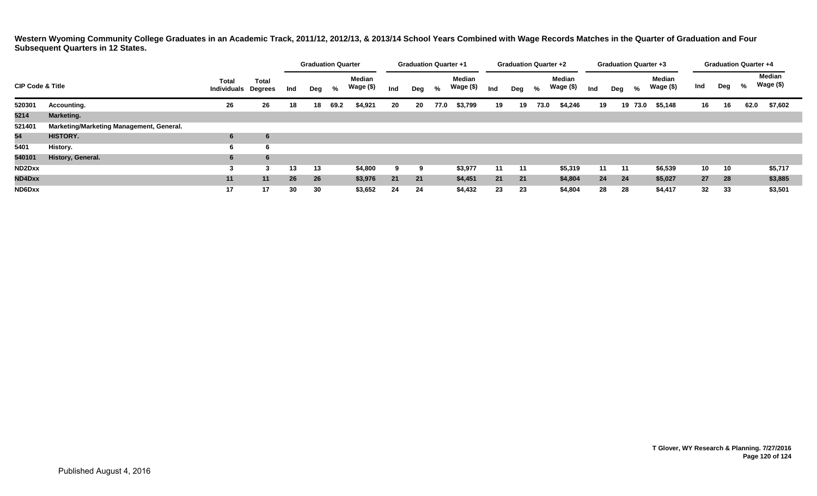|                             |                                          |                                    |                                |     | <b>Graduation Quarter</b> |      |                     |     | <b>Graduation Quarter +1</b> |      |                     |     | <b>Graduation Quarter +2</b> |      |                            |     |      | <b>Graduation Quarter +3</b> |                     |     |     | <b>Graduation Quarter +4</b> |                     |
|-----------------------------|------------------------------------------|------------------------------------|--------------------------------|-----|---------------------------|------|---------------------|-----|------------------------------|------|---------------------|-----|------------------------------|------|----------------------------|-----|------|------------------------------|---------------------|-----|-----|------------------------------|---------------------|
| <b>CIP Code &amp; Title</b> |                                          | <b>Total</b><br><b>Individuals</b> | <b>Total</b><br><b>Degrees</b> | Ind | Deg                       | %    | Median<br>Wage (\$) | Ind | Deg                          | %    | Median<br>Wage (\$) | Ind | Deg                          | %    | <b>Median</b><br>Wage (\$) | Ind | Deg  | %                            | Median<br>Wage (\$) | Ind | Deg | %                            | Median<br>Wage (\$) |
| 520301                      | <b>Accounting.</b>                       | 26                                 | 26                             | 18  | 18                        | 69.2 | \$4,921             | 20  | 20                           | 77.0 | \$3,799             | 19  | 19                           | 73.0 | \$4,246                    | 19  |      | 19 73.0                      | \$5,148             | 16  | 16  | 62.0                         | \$7,602             |
| 5214                        | <b>Marketing.</b>                        |                                    |                                |     |                           |      |                     |     |                              |      |                     |     |                              |      |                            |     |      |                              |                     |     |     |                              |                     |
| 521401                      | Marketing/Marketing Management, General. |                                    |                                |     |                           |      |                     |     |                              |      |                     |     |                              |      |                            |     |      |                              |                     |     |     |                              |                     |
| 54                          | <b>HISTORY.</b>                          | 6                                  | 6                              |     |                           |      |                     |     |                              |      |                     |     |                              |      |                            |     |      |                              |                     |     |     |                              |                     |
| 5401                        | History.                                 | 6                                  | b                              |     |                           |      |                     |     |                              |      |                     |     |                              |      |                            |     |      |                              |                     |     |     |                              |                     |
| 540101                      | History, General.                        | 6                                  | 6                              |     |                           |      |                     |     |                              |      |                     |     |                              |      |                            |     |      |                              |                     |     |     |                              |                     |
| ND2Dxx                      |                                          | -3                                 | 3                              | 13  | 13                        |      | \$4,800             | 9   | 9                            |      | \$3,977             | 11  | 11                           |      | \$5,319                    | 11  | - 11 |                              | \$6,539             | 10  | 10  |                              | \$5,717             |
| ND4Dxx                      |                                          | 11                                 | 11                             | 26  | 26                        |      | \$3,976             | 21  | 21                           |      | \$4,451             | 21  | 21                           |      | \$4,804                    | 24  | 24   |                              | \$5,027             | 27  | 28  |                              | \$3,885             |
| ND6Dxx                      |                                          | 17                                 | 17                             | 30  | 30                        |      | \$3,652             | 24  | 24                           |      | \$4,432             | 23  | 23                           |      | \$4,804                    | 28  | 28   |                              | \$4,417             | 32  | 33  |                              | \$3,501             |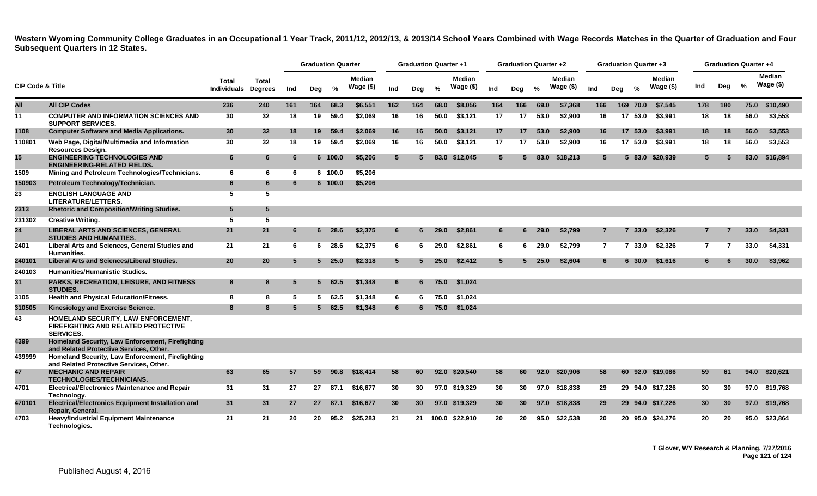|                             |                                                                                                |                                            |              |     | <b>Graduation Quarter</b> |               |                     |     | <b>Graduation Quarter +1</b> |               |                            |                 | <b>Graduation Quarter +2</b> |      |                             |                |     | <b>Graduation Quarter +3</b> |                             |                | <b>Graduation Quarter +4</b> |      |                            |
|-----------------------------|------------------------------------------------------------------------------------------------|--------------------------------------------|--------------|-----|---------------------------|---------------|---------------------|-----|------------------------------|---------------|----------------------------|-----------------|------------------------------|------|-----------------------------|----------------|-----|------------------------------|-----------------------------|----------------|------------------------------|------|----------------------------|
| <b>CIP Code &amp; Title</b> |                                                                                                | <b>Total</b><br><b>Individuals Degrees</b> | <b>Total</b> | Ind | Deg                       | %             | Median<br>Wage (\$) | Ind | Deg                          | $\frac{0}{2}$ | <b>Median</b><br>Wage (\$) | Ind             | Deg                          | $\%$ | <b>Median</b><br>Wage $($)$ | Ind            | Deg | $\frac{0}{2}$                | <b>Median</b><br>Wage $($)$ | Ind            | Deg                          | $\%$ | <b>Median</b><br>Wage (\$) |
| All                         | <b>All CIP Codes</b>                                                                           | 236                                        | 240          | 161 | 164                       | 68.3          | \$6,551             | 162 | 164                          | 68.0          | \$8,056                    | 164             | 166                          | 69.0 | \$7,368                     | 166            |     | 169 70.0                     | \$7,545                     | 178            | 180                          | 75.0 | \$10,490                   |
| 11                          | <b>COMPUTER AND INFORMATION SCIENCES AND</b><br><b>SUPPORT SERVICES.</b>                       | 30                                         | 32           | 18  | 19                        | 59.4          | \$2,069             | 16  | 16                           | 50.0          | \$3,121                    | 17              | 17                           | 53.0 | \$2,900                     | 16             |     | 17 53.0                      | \$3,991                     | 18             | 18                           | 56.0 | \$3,553                    |
| 1108                        | <b>Computer Software and Media Applications.</b>                                               | 30                                         | 32           | 18  | 19                        | 59.4          | \$2,069             | 16  | 16                           | 50.0          | \$3,121                    | 17              | 17                           | 53.0 | \$2,900                     | 16             |     | 17 53.0                      | \$3,991                     | 18             | 18                           | 56.0 | \$3,553                    |
| 110801                      | Web Page, Digital/Multimedia and Information<br><b>Resources Design.</b>                       | 30                                         | 32           | 18  | 19                        | 59.4          | \$2,069             | 16  | 16                           | 50.0          | \$3,121                    | 17              | 17                           | 53.0 | \$2.900                     | 16             |     | 17 53.0                      | \$3.991                     | 18             | 18                           | 56.0 | \$3,553                    |
| 15 <sub>1</sub>             | <b>ENGINEERING TECHNOLOGIES AND</b><br><b>ENGINEERING-RELATED FIELDS.</b>                      | 6                                          | 6            | -6  |                           | 6 100.0       | \$5.206             | 5   | 5                            | 83.0          | \$12,045                   | $5^{\circ}$     | 5.                           | 83.0 | \$18,213                    | $5^{\circ}$    |     | 583.0                        | \$20,939                    | 5              | 5                            | 83.0 | \$16,894                   |
| 1509                        | Mining and Petroleum Technologies/Technicians.                                                 | 6                                          | 6            | -6  |                           | 6 100.0       | \$5,206             |     |                              |               |                            |                 |                              |      |                             |                |     |                              |                             |                |                              |      |                            |
| 150903                      | Petroleum Technology/Technician.                                                               | 6                                          | 6            | 6   |                           | 6 100.0       | \$5,206             |     |                              |               |                            |                 |                              |      |                             |                |     |                              |                             |                |                              |      |                            |
| 23                          | <b>ENGLISH LANGUAGE AND</b><br><b>LITERATURE/LETTERS.</b>                                      | 5                                          | 5            |     |                           |               |                     |     |                              |               |                            |                 |                              |      |                             |                |     |                              |                             |                |                              |      |                            |
| 2313                        | <b>Rhetoric and Composition/Writing Studies.</b>                                               | $5\phantom{.0}$                            | 5            |     |                           |               |                     |     |                              |               |                            |                 |                              |      |                             |                |     |                              |                             |                |                              |      |                            |
| 231302                      | <b>Creative Writing.</b>                                                                       | 5                                          | 5            |     |                           |               |                     |     |                              |               |                            |                 |                              |      |                             |                |     |                              |                             |                |                              |      |                            |
| 24                          | <b>LIBERAL ARTS AND SCIENCES, GENERAL</b><br><b>STUDIES AND HUMANITIES.</b>                    | 21                                         | 21           | 6   |                           | $6\quad 28.6$ | \$2,375             | 6   | 6                            | 29.0          | \$2.861                    | 6               | 6                            | 29.0 | \$2.799                     | $\overline{7}$ |     | 7, 33.0                      | \$2.326                     |                |                              | 33.0 | \$4,331                    |
| 2401                        | Liberal Arts and Sciences, General Studies and<br><b>Humanities.</b>                           | 21                                         | 21           | 6   |                           | $6\quad 28.6$ | \$2,375             | 6   | -6                           | 29.0          | \$2,861                    | 6               | 6                            | 29.0 | \$2.799                     | $\overline{7}$ |     | 7 33.0                       | \$2,326                     | $\overline{7}$ | $\overline{7}$               | 33.0 | \$4,331                    |
| 240101                      | Liberal Arts and Sciences/Liberal Studies.                                                     | 20                                         | 20           | -5  |                           | $5\quad 25.0$ | \$2,318             | 5   | 5                            | 25.0          | \$2,412                    | $5^{\circ}$     | 5.                           | 25.0 | \$2,604                     | 6              |     | $6\,30.0$                    | \$1,616                     | 6              | 6                            | 30.0 | \$3,962                    |
| 240103                      | <b>Humanities/Humanistic Studies.</b>                                                          |                                            |              |     |                           |               |                     |     |                              |               |                            |                 |                              |      |                             |                |     |                              |                             |                |                              |      |                            |
| 31                          | <b>PARKS, RECREATION, LEISURE, AND FITNESS</b><br><b>STUDIES.</b>                              | 8                                          | 8            | -5  | 5                         | 62.5          | \$1,348             | 6   | 6                            | 75.0          | \$1,024                    |                 |                              |      |                             |                |     |                              |                             |                |                              |      |                            |
| 3105                        | Health and Physical Education/Fitness.                                                         | 8                                          | 8            | -5  | 5                         | 62.5          | \$1,348             | 6   | 6                            | 75.0          | \$1,024                    |                 |                              |      |                             |                |     |                              |                             |                |                              |      |                            |
| 310505                      | Kinesiology and Exercise Science.                                                              | 8                                          | 8            | -5  | 5 <sup>1</sup>            | 62.5          | \$1,348             | 6   | 6                            | 75.0          | \$1,024                    |                 |                              |      |                             |                |     |                              |                             |                |                              |      |                            |
| 43                          | HOMELAND SECURITY, LAW ENFORCEMENT,<br>FIREFIGHTING AND RELATED PROTECTIVE<br><b>SERVICES.</b> |                                            |              |     |                           |               |                     |     |                              |               |                            |                 |                              |      |                             |                |     |                              |                             |                |                              |      |                            |
| 4399                        | Homeland Security, Law Enforcement, Firefighting<br>and Related Protective Services, Other.    |                                            |              |     |                           |               |                     |     |                              |               |                            |                 |                              |      |                             |                |     |                              |                             |                |                              |      |                            |
| 439999                      | Homeland Security, Law Enforcement, Firefighting<br>and Related Protective Services, Other.    |                                            |              |     |                           |               |                     |     |                              |               |                            |                 |                              |      |                             |                |     |                              |                             |                |                              |      |                            |
| 47                          | <b>MECHANIC AND REPAIR</b><br><b>TECHNOLOGIES/TECHNICIANS.</b>                                 | 63                                         | 65           | 57  | 59                        | 90.8          | \$18,414            | 58  | 60                           |               | 92.0 \$20,540              | 58              | 60                           | 92.0 | \$20,906                    | 58             |     |                              | 60 92.0 \$19.086            | 59             | -61                          | 94.0 | \$20,621                   |
| 4701                        | <b>Electrical/Electronics Maintenance and Repair</b><br>Technology.                            | 31                                         | 31           | 27  | 27                        | 87.1          | \$16,677            | 30  | 30                           |               | 97.0 \$19,329              | 30              | 30                           |      | 97.0 \$18,838               | 29             |     |                              | 29 94.0 \$17,226            | 30             | 30                           |      | 97.0 \$19,768              |
| 470101                      | Electrical/Electronics Equipment Installation and<br>Repair, General.                          | 31                                         | 31           | 27  | 27                        | 87.1          | \$16,677            | 30  | 30                           |               | 97.0 \$19.329              | 30 <sub>o</sub> | 30 <sup>°</sup>              | 97.0 | \$18,838                    | 29             |     |                              | 29 94.0 \$17,226            | 30             | 30                           | 97.0 | \$19,768                   |
| 4703                        | <b>Heavy/Industrial Equipment Maintenance</b><br>Technologies.                                 | 21                                         | 21           | 20  | 20                        | 95.2          | \$25,283            | 21  | 21                           |               | 100.0 \$22,910             | 20              | 20                           | 95.0 | \$22.538                    | 20             |     |                              | 20 95.0 \$24,276            | 20             | 20                           | 95.0 | \$23,864                   |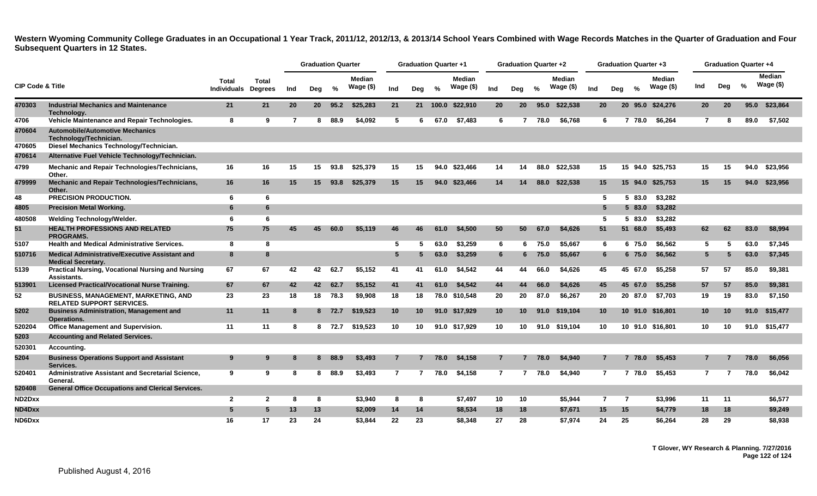|                             |                                                                                 |                             |                         |     | <b>Graduation Quarter</b> |         |                            |                 | <b>Graduation Quarter +1</b> |               |                            |                 | <b>Graduation Quarter +2</b> |      |                     |                 |                | <b>Graduation Quarter +3</b> |                             |                 | <b>Graduation Quarter +4</b> |               |                            |
|-----------------------------|---------------------------------------------------------------------------------|-----------------------------|-------------------------|-----|---------------------------|---------|----------------------------|-----------------|------------------------------|---------------|----------------------------|-----------------|------------------------------|------|---------------------|-----------------|----------------|------------------------------|-----------------------------|-----------------|------------------------------|---------------|----------------------------|
| <b>CIP Code &amp; Title</b> |                                                                                 | Total<br><b>Individuals</b> | Total<br><b>Degrees</b> | Ind | Deg                       | %       | <b>Median</b><br>Wage (\$) | Ind             | Deg                          | $\frac{9}{6}$ | <b>Median</b><br>Wage (\$) | Ind             | Deg                          | $\%$ | Median<br>Wage (\$) | Ind             | Deg            | $\frac{0}{2}$                | <b>Median</b><br>Wage $($)$ | Ind             | Deg                          | $\frac{9}{6}$ | <b>Median</b><br>Wage (\$) |
| 470303                      | <b>Industrial Mechanics and Maintenance</b><br>Technology.                      | 21                          | 21                      | 20  |                           | 20 95.2 | \$25,283                   | 21              |                              |               | 21 100.0 \$22,910          | 20              | 20                           |      | 95.0 \$22,538       | <b>20</b>       |                |                              | 20 95.0 \$24,276            | <b>20</b>       | <b>20</b>                    |               | 95.0 \$23,864              |
| 4706                        | Vehicle Maintenance and Repair Technologies.                                    | 8                           | 9                       | -7  | 8                         | 88.9    | \$4,092                    | 5               | 6.                           | 67.0          | \$7,483                    | 6               | $\overline{7}$               | 78.0 | \$6,768             |                 | 6              | 7 78.0                       | \$6,264                     | $\overline{7}$  | 8                            | 89.0          | \$7,502                    |
| 470604                      | <b>Automobile/Automotive Mechanics</b><br>Technology/Technician.                |                             |                         |     |                           |         |                            |                 |                              |               |                            |                 |                              |      |                     |                 |                |                              |                             |                 |                              |               |                            |
| 470605                      | Diesel Mechanics Technology/Technician.                                         |                             |                         |     |                           |         |                            |                 |                              |               |                            |                 |                              |      |                     |                 |                |                              |                             |                 |                              |               |                            |
| 470614                      | Alternative Fuel Vehicle Technology/Technician.                                 |                             |                         |     |                           |         |                            |                 |                              |               |                            |                 |                              |      |                     |                 |                |                              |                             |                 |                              |               |                            |
| 4799                        | <b>Mechanic and Repair Technologies/Technicians,</b><br>Other.                  | 16                          | 16                      | 15  | 15                        | 93.8    | \$25.379                   | 15              | 15                           |               | 94.0 \$23,466              | 14              | 14                           | 88.0 | \$22,538            | 15              |                |                              | 15 94.0 \$25.753            | 15              | 15                           | 94.0          | \$23.956                   |
| 479999                      | Mechanic and Repair Technologies/Technicians,<br>Other.                         | 16                          | 16                      | 15  | 15                        | 93.8    | \$25,379                   | 15              | 15                           |               | 94.0 \$23,466              | 14              | 14                           | 88.0 | \$22,538            | 15              |                |                              | 15 94.0 \$25,753            | 15              | 15                           |               | 94.0 \$23,956              |
| 48                          | PRECISION PRODUCTION.                                                           | 6                           | 6                       |     |                           |         |                            |                 |                              |               |                            |                 |                              |      |                     |                 | 5.             | 83.0<br>-5                   | \$3,282                     |                 |                              |               |                            |
| 4805                        | <b>Precision Metal Working.</b>                                                 | 6                           | 6                       |     |                           |         |                            |                 |                              |               |                            |                 |                              |      |                     | 5               |                | 583.0                        | \$3,282                     |                 |                              |               |                            |
| 480508                      | Welding Technology/Welder.                                                      | 6                           | 6                       |     |                           |         |                            |                 |                              |               |                            |                 |                              |      |                     | 5               |                | 5 83.0                       | \$3,282                     |                 |                              |               |                            |
| 51                          | <b>HEALTH PROFESSIONS AND RELATED</b><br><b>PROGRAMS.</b>                       | 75                          | 75                      | 45  | 45.                       | 60.0    | \$5,119                    | 46              | 46                           | 61.0          | \$4,500                    | 50              | 50                           | 67.0 | \$4,626             | 51              |                | 51 68.0                      | \$5,493                     | 62              | 62                           | 83.0          | \$8,994                    |
| 5107                        | <b>Health and Medical Administrative Services.</b>                              | 8                           | 8                       |     |                           |         |                            | -5              | 5                            | 63.0          | \$3,259                    | 6               | 6                            | 75.0 | \$5.667             | 6               |                | 6 75.0                       | \$6,562                     | 5               | 5                            | 63.0          | \$7,345                    |
| 510716                      | Medical Administrative/Executive Assistant and<br><b>Medical Secretary.</b>     | 8                           | 8                       |     |                           |         |                            | $5\phantom{.0}$ | 5                            | 63.0          | \$3,259                    | 6               | 6                            | 75.0 | \$5,667             | 6               |                | 6 75.0                       | \$6,562                     | 5               | 5                            | 63.0          | \$7,345                    |
| 5139                        | <b>Practical Nursing, Vocational Nursing and Nursing</b><br>Assistants.         | 67                          | 67                      | 42  | 42                        | 62.7    | \$5.152                    | 41              | 41                           | 61.0          | \$4.542                    | 44              | 44                           | 66.0 | \$4.626             | 45              |                | 45 67.0                      | \$5.258                     | 57              | 57                           | 85.0          | \$9.381                    |
| 513901                      | <b>Licensed Practical/Vocational Nurse Training.</b>                            | 67                          | 67                      | 42  | 42                        | 62.7    | \$5,152                    | 41              | 41                           | 61.0          | \$4,542                    | 44              | 44                           | 66.0 | \$4.626             | 45              |                | 45 67.0                      | \$5,258                     | 57              | 57                           | 85.0          | \$9,381                    |
| 52                          | <b>BUSINESS, MANAGEMENT, MARKETING, AND</b><br><b>RELATED SUPPORT SERVICES.</b> | 23                          | 23                      | 18  | 18                        | 78.3    | \$9,908                    | 18              | 18                           |               | 78.0 \$10,548              | 20              | 20                           | 87.0 | \$6.267             | 20              |                | 20 87.0                      | \$7.703                     | 19              | 19                           | 83.0          | \$7,150                    |
| 5202                        | <b>Business Administration, Management and</b><br>Operations.                   | 11                          | 11                      | 8   |                           | 8 72.7  | \$19,523                   | 10              | 10                           |               | 91.0 \$17,929              | 10 <sub>1</sub> | 10                           | 91.0 | \$19,104            | 10 <sup>°</sup> |                |                              | 10 91.0 \$16,801            | 10 <sup>°</sup> | 10                           |               | 91.0 \$15,477              |
| 520204                      | <b>Office Management and Supervision.</b>                                       | 11                          | 11                      | 8   |                           | 8 72.7  | \$19,523                   | 10              | 10                           |               | 91.0 \$17,929              | 10              | 10                           |      | 91.0 \$19,104       | 10              |                | 10 91.0 \$16,801             |                             | 10              | 10                           |               | 91.0 \$15,477              |
| 5203                        | <b>Accounting and Related Services.</b>                                         |                             |                         |     |                           |         |                            |                 |                              |               |                            |                 |                              |      |                     |                 |                |                              |                             |                 |                              |               |                            |
| 520301                      | Accounting.                                                                     |                             |                         |     |                           |         |                            |                 |                              |               |                            |                 |                              |      |                     |                 |                |                              |                             |                 |                              |               |                            |
| 5204                        | <b>Business Operations Support and Assistant</b><br>Services.                   | 9                           | 9                       |     | 8                         | 88.9    | \$3,493                    | 7               |                              | 78.0          | \$4,158                    | 7               |                              | 78.0 | \$4,940             | 7               |                | 7 78.0                       | \$5.453                     |                 |                              | 78.0          | \$6,056                    |
| 520401                      | Administrative Assistant and Secretarial Science,<br>General.                   | 9                           | 9                       | 8   | 8                         | 88.9    | \$3,493                    | $\overline{7}$  |                              | 78.0          | \$4,158                    | $\overline{7}$  |                              | 78.0 | \$4.940             |                 | $\overline{7}$ | 7 78.0                       | \$5.453                     | $\overline{7}$  |                              | 78.0          | \$6.042                    |
| 520408                      | <b>General Office Occupations and Clerical Services.</b>                        |                             |                         |     |                           |         |                            |                 |                              |               |                            |                 |                              |      |                     |                 |                |                              |                             |                 |                              |               |                            |
| ND <sub>2</sub> Dxx         |                                                                                 | $\overline{2}$              | $\mathbf{2}$            | -8  | 8                         |         | \$3,940                    | 8               | 8                            |               | \$7,497                    | 10              | 10                           |      | \$5.944             | $\overline{7}$  |                | $\overline{7}$               | \$3,996                     | 11              | 11                           |               | \$6,577                    |
| ND4Dxx                      |                                                                                 | -5                          | 5                       | 13  | 13                        |         | \$2,009                    | 14              | 14                           |               | \$8,534                    | 18              | 18                           |      | \$7,671             | 15              |                | 15                           | \$4,779                     | 18              | 18                           |               | \$9,249                    |
| ND6Dxx                      |                                                                                 | 16                          | 17                      | 23  | 24                        |         | \$3,844                    | 22              | 23                           |               | \$8,348                    | 27              | 28                           |      | \$7.974             | 24              |                | 25                           | \$6.264                     | 28              | 29                           |               | \$8.938                    |

**T Glover, WY Research & Planning. 7/27/2016 Page 122 of 124**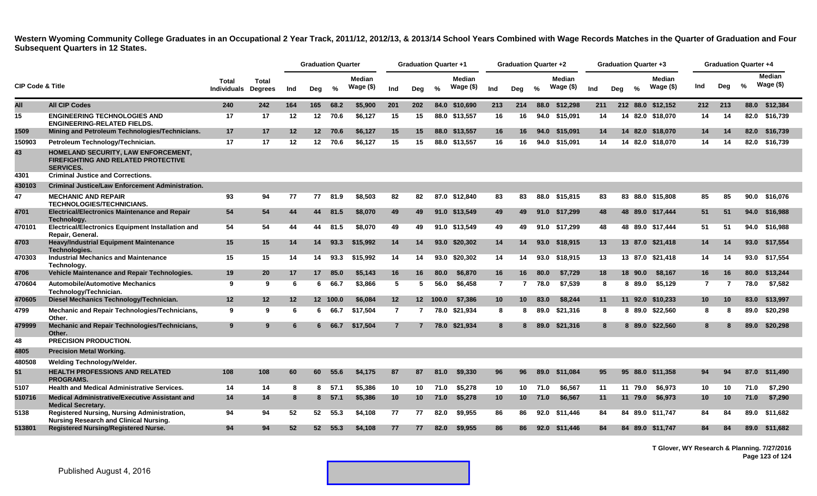|                             |                                                                                                       |                             |                         |         | <b>Graduation Quarter</b> |          |                            |                 | <b>Graduation Quarter +1</b> |       |                            |                 | <b>Graduation Quarter +2</b> |      |                            |     |     |               | <b>Graduation Quarter +3</b> |     | <b>Graduation Quarter +4</b> |               |                             |
|-----------------------------|-------------------------------------------------------------------------------------------------------|-----------------------------|-------------------------|---------|---------------------------|----------|----------------------------|-----------------|------------------------------|-------|----------------------------|-----------------|------------------------------|------|----------------------------|-----|-----|---------------|------------------------------|-----|------------------------------|---------------|-----------------------------|
| <b>CIP Code &amp; Title</b> |                                                                                                       | Total<br><b>Individuals</b> | Total<br><b>Degrees</b> | Ind     | Deg                       | %        | <b>Median</b><br>Wage (\$) | Ind             | Deg                          | $\%$  | <b>Median</b><br>Wage (\$) | Ind             | Deg                          | $\%$ | <b>Median</b><br>Wage (\$) | Ind | Deg | $\frac{9}{6}$ | <b>Median</b><br>Wage (\$)   | Ind | Dea                          | $\frac{9}{6}$ | <b>Median</b><br>Wage $($)$ |
| All                         | <b>All CIP Codes</b>                                                                                  | 240                         | 242                     | 164     | 165                       | 68.2     | \$5,900                    | 201             | 202                          | 84.0  | \$10,690                   | 213             | 214                          | 88.0 | \$12,298                   | 211 |     |               | 212 88.0 \$12,152            | 212 | 213                          |               | 88.0 \$12,384               |
| 15                          | <b>ENGINEERING TECHNOLOGIES AND</b><br><b>ENGINEERING-RELATED FIELDS.</b>                             | 17                          | 17                      | 12      | 12                        | 70.6     | \$6,127                    | 15              | 15                           |       | 88.0 \$13,557              | 16              | 16                           |      | 94.0 \$15,091              | 14  |     |               | 14 82.0 \$18,070             | 14  | -14                          |               | 82.0 \$16,739               |
| 1509                        | Mining and Petroleum Technologies/Technicians.                                                        | 17                          | 17                      | $12 \,$ | 12 <sup>12</sup>          | 70.6     | \$6,127                    | 15              | 15                           |       | 88.0 \$13,557              | 16              | 16                           | 94.0 | \$15,091                   | 14  |     |               | 14 82.0 \$18.070             | 14  | -14                          | 82.0          | \$16,739                    |
| 150903                      | Petroleum Technology/Technician.                                                                      | 17                          | 17                      | $12 \,$ | 12 <sup>12</sup>          | 70.6     | \$6,127                    | 15              | 15                           |       | 88.0 \$13,557              | 16              | 16                           | 94.0 | \$15.091                   | 14  |     |               | 14 82.0 \$18.070             | 14  | 14                           |               | 82.0 \$16,739               |
| 43                          | HOMELAND SECURITY, LAW ENFORCEMENT,<br><b>FIREFIGHTING AND RELATED PROTECTIVE</b><br><b>SERVICES.</b> |                             |                         |         |                           |          |                            |                 |                              |       |                            |                 |                              |      |                            |     |     |               |                              |     |                              |               |                             |
| 4301                        | <b>Criminal Justice and Corrections.</b>                                                              |                             |                         |         |                           |          |                            |                 |                              |       |                            |                 |                              |      |                            |     |     |               |                              |     |                              |               |                             |
| 430103                      | <b>Criminal Justice/Law Enforcement Administration.</b>                                               |                             |                         |         |                           |          |                            |                 |                              |       |                            |                 |                              |      |                            |     |     |               |                              |     |                              |               |                             |
| 47                          | <b>MECHANIC AND REPAIR</b><br><b>TECHNOLOGIES/TECHNICIANS.</b>                                        | 93                          | 94                      | 77      | 77                        | 81.9     | \$8,503                    | 82              | 82                           |       | 87.0 \$12,840              | 83              | 83                           | 88.0 | \$15,815                   | 83  |     |               | 83 88.0 \$15,808             | 85  | 85                           |               | 90.0 \$16,076               |
| 4701                        | <b>Electrical/Electronics Maintenance and Repair</b><br>Technology.                                   | 54                          | 54                      | 44      | 44                        | 81.5     | \$8,070                    | 49              | 49                           |       | 91.0 \$13,549              | 49              | 49                           | 91.0 | \$17,299                   | 48  |     |               | 48 89.0 \$17,444             | 51  | 51                           |               | 94.0 \$16,988               |
| 470101                      | <b>Electrical/Electronics Equipment Installation and</b><br>Repair, General.                          | 54                          | 54                      | 44      | 44                        | 81.5     | \$8,070                    | 49              | 49                           |       | 91.0 \$13.549              | 49              | 49                           |      | 91.0 \$17.299              | 48  |     |               | 48 89.0 \$17.444             | 51  | -51                          |               | 94.0 \$16.988               |
| 4703                        | Heavy/Industrial Equipment Maintenance<br>Technologies.                                               | 15                          | 15                      | 14      | 14                        | 93.3     | \$15,992                   | 14              | 14                           |       | 93.0 \$20,302              | 14              | 14                           | 93.0 | \$18,915                   | 13  |     |               | 13 87.0 \$21,418             | 14  | 14                           |               | 93.0 \$17,554               |
| 470303                      | <b>Industrial Mechanics and Maintenance</b><br>Technology.                                            | 15                          | 15                      | 14      | 14                        | 93.3     | \$15,992                   | 14              | 14                           |       | 93.0 \$20,302              | 14              | 14                           | 93.0 | \$18.915                   | 13  |     |               | 13 87.0 \$21,418             | 14  | 14                           |               | 93.0 \$17.554               |
| 4706                        | Vehicle Maintenance and Repair Technologies.                                                          | 19                          | 20                      | 17      | 17                        | 85.0     | \$5,143                    | 16              | 16                           | 80.0  | \$6,870                    | 16              | 16                           | 80.0 | \$7,729                    | 18  |     | 18 90.0       | \$8,167                      | 16  | 16                           | 80.0          | \$13,244                    |
| 470604                      | <b>Automobile/Automotive Mechanics</b><br>Technology/Technician.                                      | 9                           | 9                       | 6       | 6                         | 66.7     | \$3,866                    | 5               | -5                           | 56.0  | \$6,458                    | $\overline{7}$  | 7                            | 78.0 | \$7.539                    | 8   |     | 8 89.0        | \$5.129                      | 7   | $\overline{7}$               | 78.0          | \$7,582                     |
| 470605                      | Diesel Mechanics Technology/Technician.                                                               | 12                          | 12                      | 12      |                           | 12 100.0 | \$6,084                    | 12 <sub>2</sub> | 12 <sub>2</sub>              | 100.0 | \$7,386                    | 10 <sup>°</sup> | 10 <sup>°</sup>              | 83.0 | \$8,244                    | 11  |     | 11 92.0       | \$10,233                     | 10  | 10                           | 83.0          | \$13,997                    |
| 4799                        | Mechanic and Repair Technologies/Technicians,<br>Other.                                               | 9                           | 9                       | 6       | 6                         | 66.7     | \$17,504                   | $\overline{7}$  | 7                            | 78.0  | \$21,934                   | 8               | 8                            | 89.0 | \$21,316                   | 8   |     |               | 8 89.0 \$22,560              | 8   | -8                           | 89.0          | \$20,298                    |
| 479999                      | Mechanic and Repair Technologies/Technicians,<br>Other.                                               | 9                           | 9                       | -6      | 6.                        | 66.7     | \$17.504                   | $\overline{7}$  |                              |       | 78.0 \$21.934              | 8               | 8                            | 89.0 | \$21,316                   | 8   |     |               | 8 89.0 \$22,560              | 8   |                              | 89.0          | \$20,298                    |
| 48                          | <b>PRECISION PRODUCTION.</b>                                                                          |                             |                         |         |                           |          |                            |                 |                              |       |                            |                 |                              |      |                            |     |     |               |                              |     |                              |               |                             |
| 4805                        | <b>Precision Metal Working.</b>                                                                       |                             |                         |         |                           |          |                            |                 |                              |       |                            |                 |                              |      |                            |     |     |               |                              |     |                              |               |                             |
| 480508                      | <b>Welding Technology/Welder.</b>                                                                     |                             |                         |         |                           |          |                            |                 |                              |       |                            |                 |                              |      |                            |     |     |               |                              |     |                              |               |                             |
| 51                          | <b>HEALTH PROFESSIONS AND RELATED</b><br><b>PROGRAMS.</b>                                             | 108                         | 108                     | 60      | 60                        | 55.6     | \$4,175                    | 87              | 87                           | 81.0  | \$9,330                    | 96              | 96                           | 89.0 | \$11.084                   | 95  |     |               | 95 88.0 \$11.358             | 94  | -94                          | 87.0          | \$11,490                    |
| 5107                        | <b>Health and Medical Administrative Services.</b>                                                    | 14                          | 14                      | 8       | 8                         | 57.1     | \$5,386                    | 10              | 10                           | 71.0  | \$5,278                    | 10              | 10                           | 71.0 | \$6.567                    | 11  |     | 11 79.0       | \$6,973                      | 10  | 10                           | 71.0          | \$7,290                     |
| 510716                      | <b>Medical Administrative/Executive Assistant and</b><br><b>Medical Secretary.</b>                    | 14                          | 14                      | 8       | 8                         | 57.1     | \$5,386                    | 10 <sub>1</sub> | 10                           | 71.0  | \$5,278                    | 10              | 10 <sup>°</sup>              | 71.0 | \$6,567                    | 11  |     | 11 79.0       | \$6,973                      | 10  | 10                           | 71.0          | \$7,290                     |
| 5138                        | Registered Nursing, Nursing Administration,<br>Nursing Research and Clinical Nursing.                 | 94                          | 94                      | 52      | 52                        | 55.3     | \$4,108                    | 77              | 77                           | 82.0  | \$9,955                    | 86              | 86                           | 92.0 | \$11.446                   | 84  |     |               | 84 89.0 \$11.747             | 84  | 84                           |               | 89.0 \$11.682               |
| 513801                      | <b>Registered Nursing/Registered Nurse.</b>                                                           | 94                          | 94                      | 52      | 52 <sub>2</sub>           | 55.3     | \$4,108                    | 77              | 77                           | 82.0  | \$9,955                    | 86              | 86                           | 92.0 | \$11,446                   | 84  |     |               | 84 89.0 \$11,747             | 84  | 84                           |               | 89.0 \$11,682               |

**T Glover, WY Research & Planning. 7/27/2016 Page 123 of 124**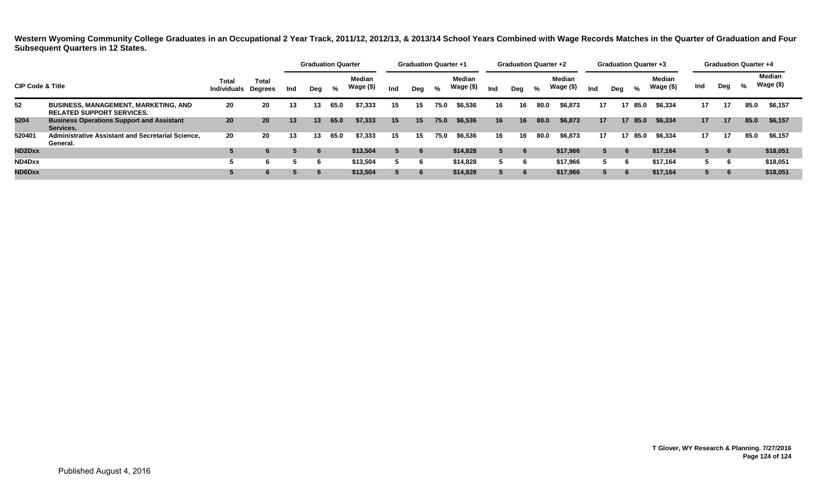|                             |                                                                                 |                                     |                 |     | <b>Graduation Quarter</b> |      |                     |     | <b>Graduation Quarter +1</b> |      |                            |     | <b>Graduation Quarter +2</b> |      |                            |     | <b>Graduation Quarter +3</b> |         |                     |     |     | <b>Graduation Quarter +4</b> |                     |
|-----------------------------|---------------------------------------------------------------------------------|-------------------------------------|-----------------|-----|---------------------------|------|---------------------|-----|------------------------------|------|----------------------------|-----|------------------------------|------|----------------------------|-----|------------------------------|---------|---------------------|-----|-----|------------------------------|---------------------|
| <b>CIP Code &amp; Title</b> |                                                                                 | Total<br><b>Individuals Degrees</b> | <b>Total</b>    | Ind | Dea                       | %    | Median<br>Wage (\$) | Ind | Dea                          | %    | <b>Median</b><br>Wage (\$) | Ind | Deg                          | %    | <b>Median</b><br>Wage (\$) | Ind | Dea                          | %       | Median<br>Wage (\$) | Ind | Deg | %                            | Median<br>Wage (\$) |
| 52                          | <b>BUSINESS, MANAGEMENT, MARKETING, AND</b><br><b>RELATED SUPPORT SERVICES.</b> | 20                                  | 20              | 13  | 13                        | 65.0 | \$7,333             | 15  | 15.                          | 75.0 | \$6,536                    | 16  | 16                           | 80.0 | \$6,873                    | 17  |                              | 17 85.0 | \$6.334             | 17  | 17  | 85.0                         | \$6,157             |
| 5204                        | <b>Business Operations Support and Assistant</b><br>Services.                   | 20                                  | 20 <sub>2</sub> | 13  | 13                        | 65.0 | \$7.333             | 15  | 15                           | 75.0 | \$6,536                    | 16  | 16                           | 80.0 | \$6,873                    | 17  |                              | 17 85.0 | \$6,334             | 17  | 17  | 85.0                         | \$6,157             |
| 520401                      | Administrative Assistant and Secretarial Science,<br>General.                   | 20                                  | 20              | 13  | 13                        | 65.0 | \$7,333             | 15  | 15                           | 75.0 | \$6,536                    | 16  | 16                           | 80.0 | \$6,873                    | 17  |                              | 17 85.0 | \$6,334             | 17  | 17  | 85.0                         | \$6,157             |
| ND2Dxx                      |                                                                                 |                                     | 6               |     |                           |      | \$13,504            |     | 6                            |      | \$14,828                   |     |                              |      | \$17,966                   |     | 6                            |         | \$17,164            |     | -6  |                              | \$18,051            |
| ND4Dxx                      |                                                                                 |                                     | 6               |     |                           |      | \$13.504            |     | 6                            |      | \$14,828                   |     |                              |      | \$17.966                   |     | n                            |         | \$17.164            |     | - 6 |                              | \$18,051            |
| ND6Dxx                      |                                                                                 |                                     | 6               |     |                           |      | \$13,504            |     | 6                            |      | \$14,828                   | 5.  | 6                            |      | \$17,966                   |     | $\mathbf b$                  |         | \$17,164            |     | -6  |                              | \$18,051            |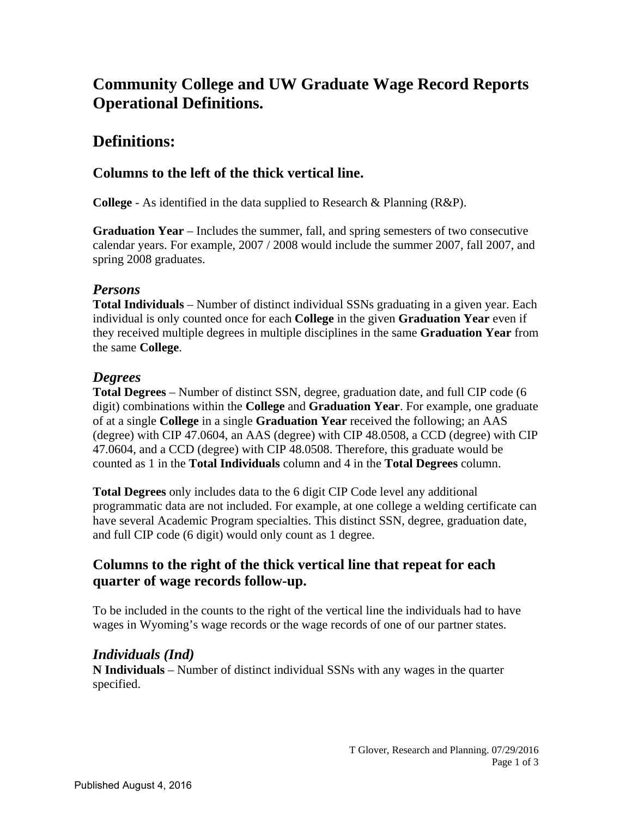# **Community College and UW Graduate Wage Record Reports Operational Definitions.**

# **Definitions:**

### **Columns to the left of the thick vertical line.**

**College** - As identified in the data supplied to Research & Planning (R&P).

**Graduation Year** – Includes the summer, fall, and spring semesters of two consecutive calendar years. For example, 2007 / 2008 would include the summer 2007, fall 2007, and spring 2008 graduates.

#### *Persons*

**Total Individuals** – Number of distinct individual SSNs graduating in a given year. Each individual is only counted once for each **College** in the given **Graduation Year** even if they received multiple degrees in multiple disciplines in the same **Graduation Year** from the same **College**.

#### *Degrees*

**Total Degrees** – Number of distinct SSN, degree, graduation date, and full CIP code (6 digit) combinations within the **College** and **Graduation Year**. For example, one graduate of at a single **College** in a single **Graduation Year** received the following; an AAS (degree) with CIP 47.0604, an AAS (degree) with CIP 48.0508, a CCD (degree) with CIP 47.0604, and a CCD (degree) with CIP 48.0508. Therefore, this graduate would be counted as 1 in the **Total Individuals** column and 4 in the **Total Degrees** column.

**Total Degrees** only includes data to the 6 digit CIP Code level any additional programmatic data are not included. For example, at one college a welding certificate can have several Academic Program specialties. This distinct SSN, degree, graduation date, and full CIP code (6 digit) would only count as 1 degree.

### **Columns to the right of the thick vertical line that repeat for each quarter of wage records follow-up.**

To be included in the counts to the right of the vertical line the individuals had to have wages in Wyoming's wage records or the wage records of one of our partner states.

### *Individuals (Ind)*

**N Individuals** – Number of distinct individual SSNs with any wages in the quarter specified.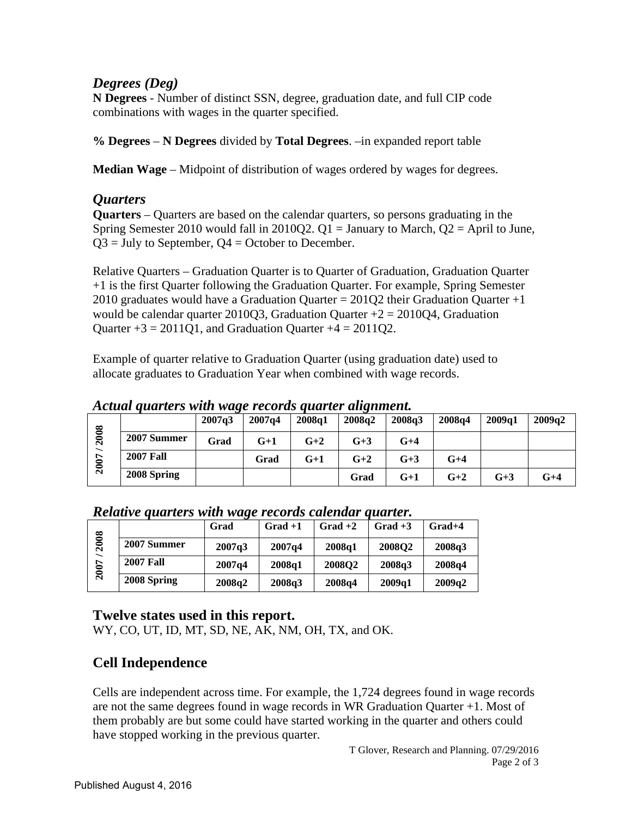#### *Degrees (Deg)*

**N Degrees** - Number of distinct SSN, degree, graduation date, and full CIP code combinations with wages in the quarter specified.

**% Degrees** – **N Degrees** divided by **Total Degrees**. –in expanded report table

**Median Wage** – Midpoint of distribution of wages ordered by wages for degrees.

#### *Quarters*

**Quarters** – Quarters are based on the calendar quarters, so persons graduating in the Spring Semester 2010 would fall in 2010Q2.  $Q1 =$  January to March,  $Q2 =$  April to June,  $Q3 =$  July to September,  $Q4 =$  October to December.

Relative Quarters – Graduation Quarter is to Quarter of Graduation, Graduation Quarter +1 is the first Quarter following the Graduation Quarter. For example, Spring Semester 2010 graduates would have a Graduation Quarter =  $201Q2$  their Graduation Quarter +1 would be calendar quarter 2010Q3, Graduation Quarter  $+2 = 2010Q4$ , Graduation Quarter  $+3 = 2011Q1$ , and Graduation Quarter  $+4 = 2011Q2$ .

Example of quarter relative to Graduation Quarter (using graduation date) used to allocate graduates to Graduation Year when combined with wage records.

*Actual quarters with wage records quarter alignment.* 

|                                  |                  | 2007q3 | 2007q4 | 2008q1 | . .<br>2008q2 | 2008q3 | 2008 <sub>a4</sub> | 2009a1 | 2009q2 |
|----------------------------------|------------------|--------|--------|--------|---------------|--------|--------------------|--------|--------|
| 2008<br>$\overline{\phantom{0}}$ | 2007 Summer      | Grad   | $G+1$  | $G+2$  | $G+3$         | $G+4$  |                    |        |        |
|                                  | <b>2007 Fall</b> |        | Grad   | $G+1$  | $G+2$         | $G+3$  | $G+4$              |        |        |
| $\boldsymbol{5}$                 | 2008 Spring      |        |        |        | Grad          | $G+1$  | $G+2$              | $G+3$  | $G+4$  |

| Relative quarters with wage records calendar quarter. |
|-------------------------------------------------------|
|-------------------------------------------------------|

|     |                  | Grad   | $Grad + 1$ | $Grad + 2$    | $Grad + 3$    | $Grad+4$ |
|-----|------------------|--------|------------|---------------|---------------|----------|
| 608 | 2007 Summer      | 2007q3 | 2007q4     | 2008q1        | <b>2008O2</b> | 2008q3   |
|     | <b>2007 Fall</b> | 2007q4 | 2008q1     | <b>2008Q2</b> | 2008q3        | 2008q4   |
| ິ   | 2008 Spring      | 2008q2 | 2008q3     | 2008q4        | 2009q1        | 2009q2   |

### **Twelve states used in this report.**

WY, CO, UT, ID, MT, SD, NE, AK, NM, OH, TX, and OK.

## **Cell Independence**

Cells are independent across time. For example, the 1,724 degrees found in wage records are not the same degrees found in wage records in WR Graduation Quarter +1. Most of them probably are but some could have started working in the quarter and others could have stopped working in the previous quarter.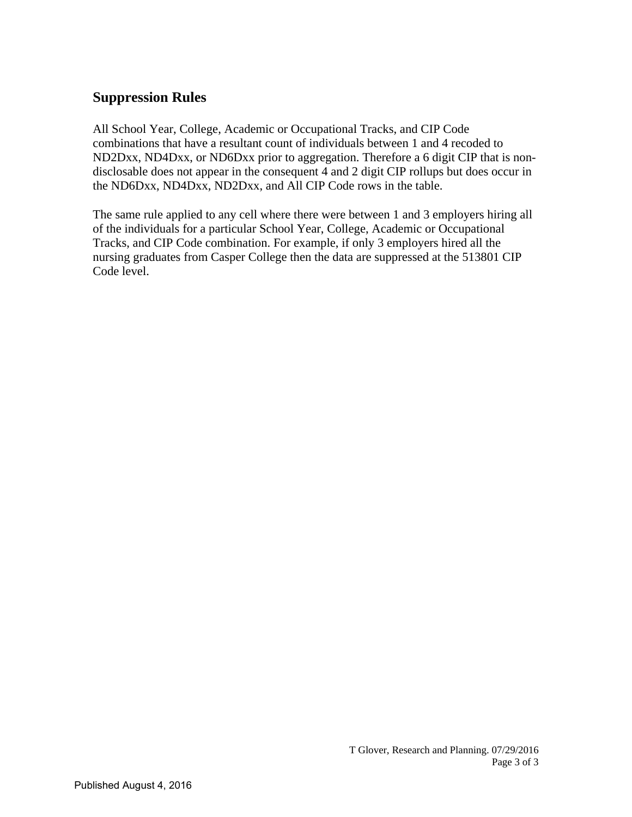## **Suppression Rules**

All School Year, College, Academic or Occupational Tracks, and CIP Code combinations that have a resultant count of individuals between 1 and 4 recoded to ND2Dxx, ND4Dxx, or ND6Dxx prior to aggregation. Therefore a 6 digit CIP that is nondisclosable does not appear in the consequent 4 and 2 digit CIP rollups but does occur in the ND6Dxx, ND4Dxx, ND2Dxx, and All CIP Code rows in the table.

The same rule applied to any cell where there were between 1 and 3 employers hiring all of the individuals for a particular School Year, College, Academic or Occupational Tracks, and CIP Code combination. For example, if only 3 employers hired all the nursing graduates from Casper College then the data are suppressed at the 513801 CIP Code level.